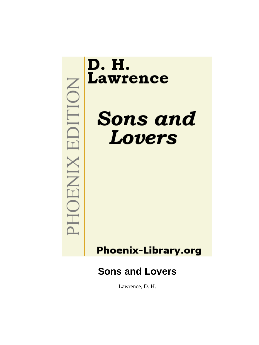

Lawrence, D. H.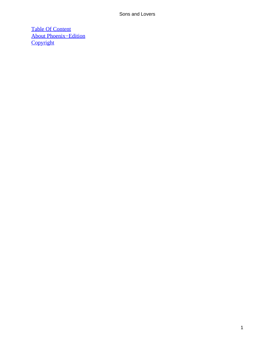[Table Of Content](#page-470-0) [About Phoenix−Edition](#page-471-0) **[Copyright](#page-472-0)**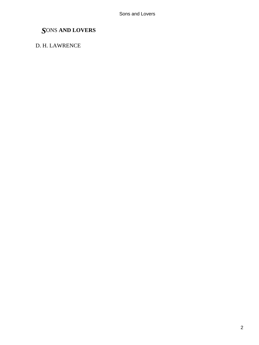# *S*ONS **AND LOVERS**

### D. H. LAWRENCE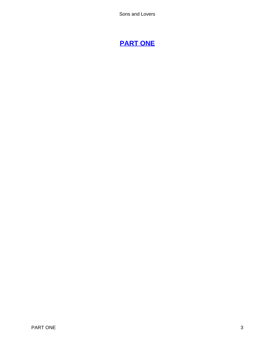# **[PART ONE](#page-470-0)**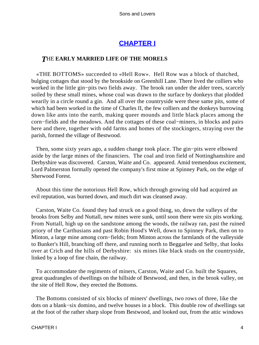## **[CHAPTER I](#page-470-0)**

#### *T*HE **EARLY MARRIED LIFE OF THE MORELS**

 «THE BOTTOMS» succeeded to «Hell Row». Hell Row was a block of thatched, bulging cottages that stood by the brookside on Greenhill Lane. There lived the colliers who worked in the little gin−pits two fields away. The brook ran under the alder trees, scarcely soiled by these small mines, whose coal was drawn to the surface by donkeys that plodded wearily in a circle round a gin. And all over the countryside were these same pits, some of which had been worked in the time of Charles II, the few colliers and the donkeys burrowing down like ants into the earth, making queer mounds and little black places among the corn−fields and the meadows. And the cottages of these coal−miners, in blocks and pairs here and there, together with odd farms and homes of the stockingers, straying over the parish, formed the village of Bestwood.

 Then, some sixty years ago, a sudden change took place. The gin−pits were elbowed aside by the large mines of the financiers. The coal and iron field of Nottinghamshire and Derbyshire was discovered. Carston, Waite and Co. appeared. Amid tremendous excitement, Lord Palmerston formally opened the company's first mine at Spinney Park, on the edge of Sherwood Forest.

 About this time the notorious Hell Row, which through growing old had acquired an evil reputation, was burned down, and much dirt was cleansed away.

 Carston, Waite Co. found they had struck on a good thing, so, down the valleys of the brooks from Selby and Nuttall, new mines were sunk, until soon there were six pits working. From Nuttall, high up on the sandstone among the woods, the railway ran, past the ruined priory of the Carthusians and past Robin Hood's Well, down to Spinney Park, then on to Minton, a large mine among corn−fields; from Minton across the farmlands of the valleyside to Bunker's Hill, branching off there, and running north to Beggarlee and Selby, that looks over at Crich and the hills of Derbyshire: six mines like black studs on the countryside, linked by a loop of fine chain, the railway.

 To accommodate the regiments of miners, Carston, Waite and Co. built the Squares, great quadrangles of dwellings on the hillside of Bestwood, and then, in the brook valley, on the site of Hell Row, they erected the Bottoms.

 The Bottoms consisted of six blocks of miners' dwellings, two rows of three, like the dots on a blank−six domino, and twelve houses in a block. This double row of dwellings sat at the foot of the rather sharp slope from Bestwood, and looked out, from the attic windows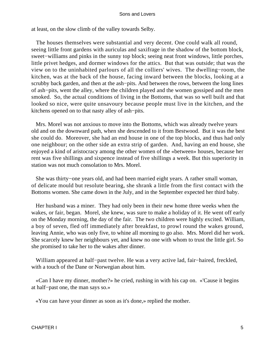at least, on the slow climb of the valley towards Selby.

 The houses themselves were substantial and very decent. One could walk all round, seeing little front gardens with auriculas and saxifrage in the shadow of the bottom block, sweet–williams and pinks in the sunny top block; seeing neat front windows, little porches, little privet hedges, and dormer windows for the attics. But that was outside; that was the view on to the uninhabited parlours of all the colliers' wives. The dwelling−room, the kitchen, was at the back of the house, facing inward between the blocks, looking at a scrubby back garden, and then at the ash−pits. And between the rows, between the long lines of ash−pits, went the alley, where the children played and the women gossiped and the men smoked. So, the actual conditions of living in the Bottoms, that was so well built and that looked so nice, were quite unsavoury because people must live in the kitchen, and the kitchens opened on to that nasty alley of ash−pits.

 Mrs. Morel was not anxious to move into the Bottoms, which was already twelve years old and on the downward path, when she descended to it from Bestwood. But it was the best she could do. Moreover, she had an end house in one of the top blocks, and thus had only one neighbour; on the other side an extra strip of garden. And, having an end house, she enjoyed a kind of aristocracy among the other women of the «between» houses, because her rent was five shillings and sixpence instead of five shillings a week. But this superiority in station was not much consolation to Mrs. Morel.

 She was thirty−one years old, and had been married eight years. A rather small woman, of delicate mould but resolute bearing, she shrank a little from the first contact with the Bottoms women. She came down in the July, and in the September expected her third baby.

 Her husband was a miner. They had only been in their new home three weeks when the wakes, or fair, began. Morel, she knew, was sure to make a holiday of it. He went off early on the Monday morning, the day of the fair. The two children were highly excited. William, a boy of seven, fled off immediately after breakfast, to prowl round the wakes ground, leaving Annie, who was only five, to whine all morning to go also. Mrs. Morel did her work. She scarcely knew her neighbours yet, and knew no one with whom to trust the little girl. So she promised to take her to the wakes after dinner.

 William appeared at half−past twelve. He was a very active lad, fair−haired, freckled, with a touch of the Dane or Norwegian about him.

 «Can I have my dinner, mother?» he cried, rushing in with his cap on. «'Cause it begins at half−past one, the man says so.»

«You can have your dinner as soon as it's done,» replied the mother.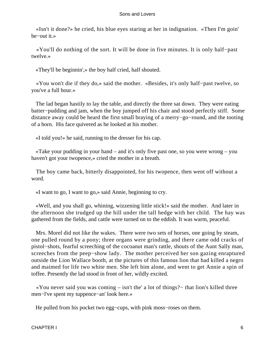«Isn't it done?» he cried, his blue eyes staring at her in indignation. «Then I'm goin' be−out it.»

 «You'll do nothing of the sort. It will be done in five minutes. It is only half−past twelve.»

«They'll be beginnin',» the boy half cried, half shouted.

 «You won't die if they do,» said the mother. «Besides, it's only half−past twelve, so you've a full hour.»

 The lad began hastily to lay the table, and directly the three sat down. They were eating batter−pudding and jam, when the boy jumped off his chair and stood perfectly stiff. Some distance away could be heard the first small braying of a merry−go−round, and the tooting of a horn. His face quivered as he looked at his mother.

«I told you!» he said, running to the dresser for his cap.

 «Take your pudding in your hand – and it's only five past one, so you were wrong – you haven't got your twopence,» cried the mother in a breath.

 The boy came back, bitterly disappointed, for his twopence, then went off without a word.

«I want to go, I want to go,» said Annie, beginning to cry.

 «Well, and you shall go, whining, wizzening little stick!» said the mother. And later in the afternoon she trudged up the hill under the tall hedge with her child. The hay was gathered from the fields, and cattle were turned on to the eddish. It was warm, peaceful.

 Mrs. Morel did not like the wakes. There were two sets of horses, one going by steam, one pulled round by a pony; three organs were grinding, and there came odd cracks of pistol−shots, fearful screeching of the cocoanut man's rattle, shouts of the Aunt Sally man, screeches from the peep−show lady. The mother perceived her son gazing enraptured outside the Lion Wallace booth, at the pictures of this famous lion that had killed a negro and maimed for life two white men. She left him alone, and went to get Annie a spin of toffee. Presently the lad stood in front of her, wildly excited.

 «You never said you was coming – isn't the' a lot of things?− that lion's killed three men−l've spent my tuppence−an' look here.»

He pulled from his pocket two egg−cups, with pink moss−roses on them.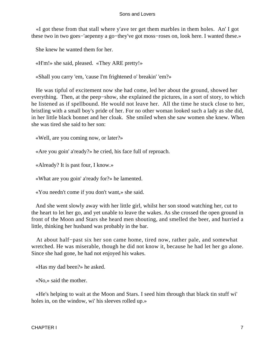«I got these from that stall where y'ave ter get them marbles in them holes. An' I got these two in two goes−'aepenny a go−they've got moss−roses on, look here. I wanted these.»

She knew he wanted them for her.

«H'm!» she said, pleased. «They ARE pretty!»

«Shall you carry 'em, 'cause I'm frightened o' breakin' 'em?»

 He was tipful of excitement now she had come, led her about the ground, showed her everything. Then, at the peep−show, she explained the pictures, in a sort of story, to which he listened as if spellbound. He would not leave her. All the time he stuck close to her, bristling with a small boy's pride of her. For no other woman looked such a lady as she did, in her little black bonnet and her cloak. She smiled when she saw women she knew. When she was tired she said to her son:

«Well, are you coming now, or later?»

«Are you goin' a'ready?» he cried, his face full of reproach.

«Already? It is past four, I know.»

«What are you goin' a'ready for?» he lamented.

«You needn't come if you don't want,» she said.

 And she went slowly away with her little girl, whilst her son stood watching her, cut to the heart to let her go, and yet unable to leave the wakes. As she crossed the open ground in front of the Moon and Stars she heard men shouting, and smelled the beer, and hurried a little, thinking her husband was probably in the bar.

 At about half−past six her son came home, tired now, rather pale, and somewhat wretched. He was miserable, though he did not know it, because he had let her go alone. Since she had gone, he had not enjoyed his wakes.

«Has my dad been?» he asked.

«No,» said the mother.

 «He's helping to wait at the Moon and Stars. I seed him through that black tin stuff wi' holes in, on the window, wi' his sleeves rolled up.»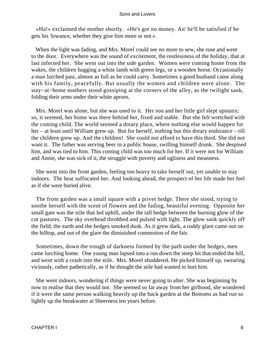«Ha!» exclaimed the mother shortly. «He's got no money. An' he'll be satisfied if he gets his 'lowance, whether they give him more or not.»

 When the light was fading, and Mrs. Morel could see no more to sew, she rose and went to the door. Everywhere was the sound of excitement, the restlessness of the holiday, that at last infected her. She went out into the side garden. Women were coming home from the wakes, the children hugging a white lamb with green legs, or a wooden horse. Occasionally a man lurched past, almost as full as he could carry. Sometimes a good husband came along with his family, peacefully. But usually the women and children were alone. The stay−at−home mothers stood gossiping at the corners of the alley, as the twilight sank, folding their arms under their white aprons.

Mrs. Morel was alone, but she was used to it. Her son and her little girl slept upstairs; so, it seemed, her home was there behind her, fixed and stable. But she felt wretched with the coming child. The world seemed a dreary place, where nothing else would happen for her – at least until William grew up. But for herself, nothing but this dreary endurance – till the children grew up. And the children! She could not afford to have this third. She did not want it. The father was serving beer in a public house, swilling himself drunk. She despised him, and was tied to him. This coming child was too much for her. If it were not for William and Annie, she was sick of it, the struggle with poverty and ugliness and meanness.

 She went into the front garden, feeling too heavy to take herself out, yet unable to stay indoors. The heat suffocated her. And looking ahead, the prospect of her life made her feel as if she were buried alive.

 The front garden was a small square with a privet hedge. There she stood, trying to soothe herself with the scent of flowers and the fading, beautiful evening. Opposite her small gate was the stile that led uphill, under the tall hedge between the burning glow of the cut pastures. The sky overhead throbbed and pulsed with light. The glow sank quickly off the field; the earth and the hedges smoked dusk. As it grew dark, a ruddy glare came out on the hilltop, and out of the glare the diminished commotion of the fair.

 Sometimes, down the trough of darkness formed by the path under the hedges, men came lurching home. One young man lapsed into a run down the steep bit that ended the hill, and went with a crash into the stile. Mrs. Morel shuddered. He picked himself up, swearing viciously, rather pathetically, as if he thought the stile had wanted to hurt him.

 She went indoors, wondering if things were never going to alter. She was beginning by now to realise that they would not. She seemed so far away from her girlhood, she wondered if it were the same person walking heavily up the back garden at the Bottoms as had run so lightly up the breakwater at Sheerness ten years before.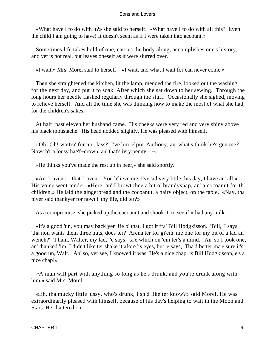«What have I to do with it?» she said to herself. «What have I to do with all this? Even the child I am going to have! It doesn't seem as if I were taken into account.»

 Sometimes life takes hold of one, carries the body along, accomplishes one's history, and yet is not real, but leaves oneself as it were slurred over.

«I wait,» Mrs. Morel said to herself – «I wait, and what I wait for can never come.»

 Then she straightened the kitchen, lit the lamp, mended the fire, looked out the washing for the next day, and put it to soak. After which she sat down to her sewing. Through the long hours her needle flashed regularly through the stuff. Occasionally she sighed, moving to relieve herself. And all the time she was thinking how to make the most of what she had, for the children's sakes.

 At half−past eleven her husband came. His cheeks were very red and very shiny above his black moustache. His head nodded slightly. He was pleased with himself.

 «Oh! Oh! waitin' for me, lass? I've bin 'elpin' Anthony, an' what's think he's gen me? Nowt b'r a lousy hae'f−crown, an' that's ivry penny – −»

«He thinks you've made the rest up in beer,» she said shortly.

 «An' I 'aven't – that I 'aven't. You b'lieve me, I've 'ad very little this day, I have an' all.» His voice went tender. «Here, an' I browt thee a bit o' brandysnap, an' a cocoanut for th' children.» He laid the gingerbread and the cocoanut, a hairy object, on the table. «Nay, tha niver said thankyer for nowt i' thy life, did ter?»

As a compromise, she picked up the cocoanut and shook it, to see if it had any milk.

 «It's a good 'un, you may back yer life o' that. I got it fra' Bill Hodgkisson. 'Bill,' I says, 'tha non wants them three nuts, does ter? Arena ter for gi'ein' me one for my bit of a lad an' wench?' 'I ham, Walter, my lad,' 'e says; 'ta'e which on 'em ter's a mind.' An' so I took one, an' thanked 'im. I didn't like ter shake it afore 'is eyes, but 'e says, 'Tha'd better ma'e sure it's a good un, Walt.' An' so, yer see, I knowed it was. He's a nice chap, is Bill Hodgkisson, e's a nice chap!»

 «A man will part with anything so long as he's drunk, and you're drunk along with him,» said Mrs. Morel.

 «Eh, tha mucky little 'ussy, who's drunk, I sh'd like ter know?» said Morel. He was extraordinarily pleased with himself, because of his day's helping to wait in the Moon and Stars. He chattered on.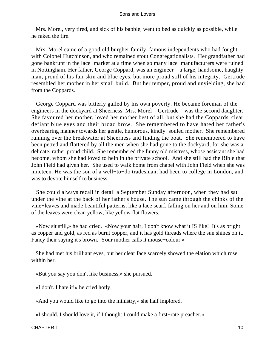Mrs. Morel, very tired, and sick of his babble, went to bed as quickly as possible, while he raked the fire.

 Mrs. Morel came of a good old burgher family, famous independents who had fought with Colonel Hutchinson, and who remained stout Congregationalists. Her grandfather had gone bankrupt in the lace−market at a time when so many lace−manufacturers were ruined in Nottingham. Her father, George Coppard, was an engineer – a large, handsome, haughty man, proud of his fair skin and blue eyes, but more proud still of his integrity. Gertrude resembled her mother in her small build. But her temper, proud and unyielding, she had from the Coppards.

 George Coppard was bitterly galled by his own poverty. He became foreman of the engineers in the dockyard at Sheerness. Mrs. Morel – Gertrude – was the second daughter. She favoured her mother, loved her mother best of all; but she had the Coppards' clear, defiant blue eyes and their broad brow. She remembered to have hated her father's overbearing manner towards her gentle, humorous, kindly−souled mother. She remembered running over the breakwater at Sheerness and finding the boat. She remembered to have been petted and flattered by all the men when she had gone to the dockyard, for she was a delicate, rather proud child. She remembered the funny old mistress, whose assistant she had become, whom she had loved to help in the private school. And she still had the Bible that John Field had given her. She used to walk home from chapel with John Field when she was nineteen. He was the son of a well−to−do tradesman, had been to college in London, and was to devote himself to business.

 She could always recall in detail a September Sunday afternoon, when they had sat under the vine at the back of her father's house. The sun came through the chinks of the vine−leaves and made beautiful patterns, like a lace scarf, falling on her and on him. Some of the leaves were clean yellow, like yellow flat flowers.

 «Now sit still,» he had cried. «Now your hair, I don't know what it IS like! It's as bright as copper and gold, as red as burnt copper, and it has gold threads where the sun shines on it. Fancy their saying it's brown. Your mother calls it mouse−colour.»

 She had met his brilliant eyes, but her clear face scarcely showed the elation which rose within her.

«But you say you don't like business,» she pursued.

«I don't. I hate it!» he cried hotly.

«And you would like to go into the ministry,» she half implored.

«I should. I should love it, if I thought I could make a first−rate preacher.»

CHAPTER I 10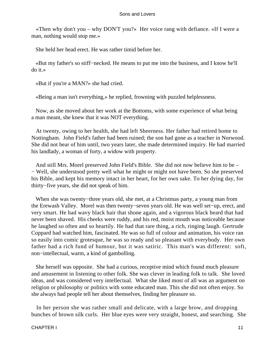«Then why don't you – why DON'T you?» Her voice rang with defiance. «If I were a man, nothing would stop me.»

She held her head erect. He was rather timid before her.

 «But my father's so stiff−necked. He means to put me into the business, and I know he'll do it.»

«But if you're a MAN?» she had cried.

«Being a man isn't everything,» he replied, frowning with puzzled helplessness.

 Now, as she moved about her work at the Bottoms, with some experience of what being a man meant, she knew that it was NOT everything.

 At twenty, owing to her health, she had left Sheerness. Her father had retired home to Nottingham. John Field's father had been ruined; the son had gone as a teacher in Norwood. She did not hear of him until, two years later, she made determined inquiry. He had married his landlady, a woman of forty, a widow with property.

 And still Mrs. Morel preserved John Field's Bible. She did not now believe him to be – − Well, she understood pretty well what he might or might not have been. So she preserved his Bible, and kept his memory intact in her heart, for her own sake. To her dying day, for thirty−five years, she did not speak of him.

 When she was twenty−three years old, she met, at a Christmas party, a young man from the Erewash Valley. Morel was then twenty−seven years old. He was well set−up, erect, and very smart. He had wavy black hair that shone again, and a vigorous black beard that had never been shaved. His cheeks were ruddy, and his red, moist mouth was noticeable because he laughed so often and so heartily. He had that rare thing, a rich, ringing laugh. Gertrude Coppard had watched him, fascinated. He was so full of colour and animation, his voice ran so easily into comic grotesque, he was so ready and so pleasant with everybody. Her own father had a rich fund of humour, but it was satiric. This man's was different: soft, non−intellectual, warm, a kind of gambolling.

 She herself was opposite. She had a curious, receptive mind which found much pleasure and amusement in listening to other folk. She was clever in leading folk to talk. She loved ideas, and was considered very intellectual. What she liked most of all was an argument on religion or philosophy or politics with some educated man. This she did not often enjoy. So she always had people tell her about themselves, finding her pleasure so.

 In her person she was rather small and delicate, with a large brow, and dropping bunches of brown silk curls. Her blue eyes were very straight, honest, and searching. She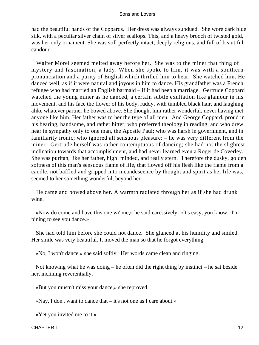had the beautiful hands of the Coppards. Her dress was always subdued. She wore dark blue silk, with a peculiar silver chain of silver scallops. This, and a heavy brooch of twisted gold, was her only ornament. She was still perfectly intact, deeply religious, and full of beautiful candour.

 Walter Morel seemed melted away before her. She was to the miner that thing of mystery and fascination, a lady. When she spoke to him, it was with a southern pronunciation and a purity of English which thrilled him to hear. She watched him. He danced well, as if it were natural and joyous in him to dance. His grandfather was a French refugee who had married an English barmaid – if it had been a marriage. Gertrude Coppard watched the young miner as he danced, a certain subtle exultation like glamour in his movement, and his face the flower of his body, ruddy, with tumbled black hair, and laughing alike whatever partner he bowed above. She thought him rather wonderful, never having met anyone like him. Her father was to her the type of all men. And George Coppard, proud in his bearing, handsome, and rather bitter; who preferred theology in reading, and who drew near in sympathy only to one man, the Apostle Paul; who was harsh in government, and in familiarity ironic; who ignored all sensuous pleasure: – he was very different from the miner. Gertrude herself was rather contemptuous of dancing; she had not the slightest inclination towards that accomplishment, and had never learned even a Roger de Coverley. She was puritan, like her father, high−minded, and really stern. Therefore the dusky, golden softness of this man's sensuous flame of life, that flowed off his flesh like the flame from a candle, not baffled and gripped into incandescence by thought and spirit as her life was, seemed to her something wonderful, beyond her.

 He came and bowed above her. A warmth radiated through her as if she had drunk wine.

 «Now do come and have this one wi' me,» he said caressively. «It's easy, you know. I'm pining to see you dance.»

 She had told him before she could not dance. She glanced at his humility and smiled. Her smile was very beautiful. It moved the man so that he forgot everything.

«No, I won't dance,» she said softly. Her words came clean and ringing.

 Not knowing what he was doing – he often did the right thing by instinct – he sat beside her, inclining reverentially.

«But you mustn't miss your dance,» she reproved.

«Nay, I don't want to dance that – it's not one as I care about.»

«Yet you invited me to it.»

CHAPTER I 12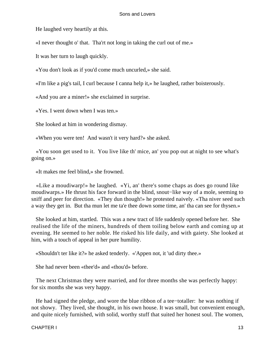He laughed very heartily at this.

«I never thought o' that. Tha'rt not long in taking the curl out of me.»

It was her turn to laugh quickly.

«You don't look as if you'd come much uncurled,» she said.

«I'm like a pig's tail, I curl because I canna help it,» he laughed, rather boisterously.

«And you are a miner!» she exclaimed in surprise.

«Yes. I went down when I was ten.»

She looked at him in wondering dismay.

«When you were ten! And wasn't it very hard?» she asked.

 «You soon get used to it. You live like th' mice, an' you pop out at night to see what's going on.»

«It makes me feel blind,» she frowned.

 «Like a moudiwarp!» he laughed. «Yi, an' there's some chaps as does go round like moudiwarps.» He thrust his face forward in the blind, snout−like way of a mole, seeming to sniff and peer for direction. «They dun though!» he protested naively. «Tha niver seed such a way they get in. But tha mun let me ta'e thee down some time, an' tha can see for thysen.»

 She looked at him, startled. This was a new tract of life suddenly opened before her. She realised the life of the miners, hundreds of them toiling below earth and coming up at evening. He seemed to her noble. He risked his life daily, and with gaiety. She looked at him, with a touch of appeal in her pure humility.

«Shouldn't ter like it?» he asked tenderly. «'Appen not, it 'ud dirty thee.»

She had never been «thee'd» and «thou'd» before.

 The next Christmas they were married, and for three months she was perfectly happy: for six months she was very happy.

 He had signed the pledge, and wore the blue ribbon of a tee−totaller: he was nothing if not showy. They lived, she thought, in his own house. It was small, but convenient enough, and quite nicely furnished, with solid, worthy stuff that suited her honest soul. The women,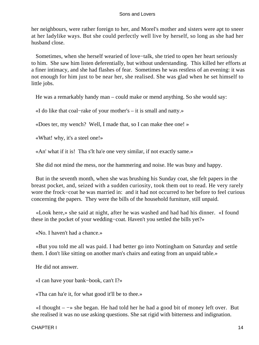her neighbours, were rather foreign to her, and Morel's mother and sisters were apt to sneer at her ladylike ways. But she could perfectly well live by herself, so long as she had her husband close.

 Sometimes, when she herself wearied of love−talk, she tried to open her heart seriously to him. She saw him listen deferentially, but without understanding. This killed her efforts at a finer intimacy, and she had flashes of fear. Sometimes he was restless of an evening: it was not enough for him just to be near her, she realised. She was glad when he set himself to little jobs.

He was a remarkably handy man – could make or mend anything. So she would say:

«I do like that coal−rake of your mother's – it is small and natty.»

«Does ter, my wench? Well, I made that, so I can make thee one! »

«What! why, it's a steel one!»

«An' what if it is! Tha s'lt ha'e one very similar, if not exactly same.»

She did not mind the mess, nor the hammering and noise. He was busy and happy.

 But in the seventh month, when she was brushing his Sunday coat, she felt papers in the breast pocket, and, seized with a sudden curiosity, took them out to read. He very rarely wore the frock−coat he was married in: and it had not occurred to her before to feel curious concerning the papers. They were the bills of the household furniture, still unpaid.

 «Look here,» she said at night, after he was washed and had had his dinner. «I found these in the pocket of your wedding−coat. Haven't you settled the bills yet?»

«No. I haven't had a chance.»

 «But you told me all was paid. I had better go into Nottingham on Saturday and settle them. I don't like sitting on another man's chairs and eating from an unpaid table.»

He did not answer.

«I can have your bank−book, can't I?»

«Tha can ha'e it, for what good it'll be to thee.»

 «I thought – −» she began. He had told her he had a good bit of money left over. But she realised it was no use asking questions. She sat rigid with bitterness and indignation.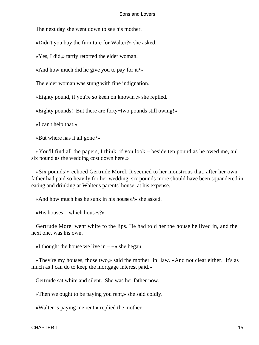The next day she went down to see his mother.

«Didn't you buy the furniture for Walter?» she asked.

«Yes, I did,» tartly retorted the elder woman.

«And how much did he give you to pay for it?»

The elder woman was stung with fine indignation.

«Eighty pound, if you're so keen on knowin',» she replied.

«Eighty pounds! But there are forty−two pounds still owing!»

«I can't help that.»

«But where has it all gone?»

 «You'll find all the papers, I think, if you look – beside ten pound as he owed me, an' six pound as the wedding cost down here.»

 «Six pounds!» echoed Gertrude Morel. It seemed to her monstrous that, after her own father had paid so heavily for her wedding, six pounds more should have been squandered in eating and drinking at Walter's parents' house, at his expense.

«And how much has he sunk in his houses?» she asked.

«His houses – which houses?»

 Gertrude Morel went white to the lips. He had told her the house he lived in, and the next one, was his own.

«I thought the house we live in  $-\rightarrow$  she began.

 «They're my houses, those two,» said the mother−in−law. «And not clear either. It's as much as I can do to keep the mortgage interest paid.»

Gertrude sat white and silent. She was her father now.

«Then we ought to be paying you rent,» she said coldly.

«Walter is paying me rent,» replied the mother.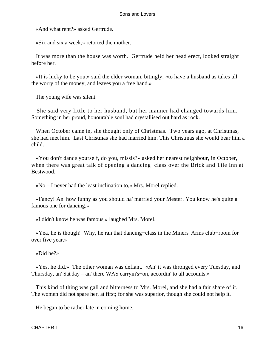«And what rent?» asked Gertrude.

«Six and six a week,» retorted the mother.

 It was more than the house was worth. Gertrude held her head erect, looked straight before her.

 «It is lucky to be you,» said the elder woman, bitingly, «to have a husband as takes all the worry of the money, and leaves you a free hand.»

The young wife was silent.

 She said very little to her husband, but her manner had changed towards him. Something in her proud, honourable soul had crystallised out hard as rock.

 When October came in, she thought only of Christmas. Two years ago, at Christmas, she had met him. Last Christmas she had married him. This Christmas she would bear him a child.

 «You don't dance yourself, do you, missis?» asked her nearest neighbour, in October, when there was great talk of opening a dancing−class over the Brick and Tile Inn at Bestwood.

«No – I never had the least inclination to,» Mrs. Morel replied.

 «Fancy! An' how funny as you should ha' married your Mester. You know he's quite a famous one for dancing.»

«I didn't know he was famous,» laughed Mrs. Morel.

 «Yea, he is though! Why, he ran that dancing−class in the Miners' Arms club−room for over five year.»

«Did he?»

 «Yes, he did.» The other woman was defiant. «An' it was thronged every Tuesday, and Thursday, an' Sat'day – an' there WAS carryin's−on, accordin' to all accounts.»

 This kind of thing was gall and bitterness to Mrs. Morel, and she had a fair share of it. The women did not spare her, at first; for she was superior, though she could not help it.

He began to be rather late in coming home.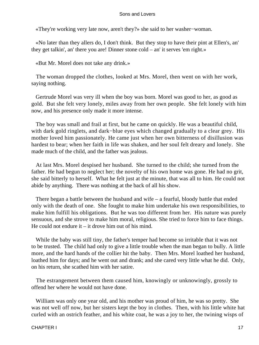«They're working very late now, aren't they?» she said to her washer−woman.

 «No later than they allers do, I don't think. But they stop to have their pint at Ellen's, an' they get talkin', an' there you are! Dinner stone cold – an' it serves 'em right.»

«But Mr. Morel does not take any drink.»

 The woman dropped the clothes, looked at Mrs. Morel, then went on with her work, saying nothing.

 Gertrude Morel was very ill when the boy was born. Morel was good to her, as good as gold. But she felt very lonely, miles away from her own people. She felt lonely with him now, and his presence only made it more intense.

 The boy was small and frail at first, but he came on quickly. He was a beautiful child, with dark gold ringlets, and dark−blue eyes which changed gradually to a clear grey. His mother loved him passionately. He came just when her own bitterness of disillusion was hardest to bear; when her faith in life was shaken, and her soul felt dreary and lonely. She made much of the child, and the father was jealous.

 At last Mrs. Morel despised her husband. She turned to the child; she turned from the father. He had begun to neglect her; the novelty of his own home was gone. He had no grit, she said bitterly to herself. What he felt just at the minute, that was all to him. He could not abide by anything. There was nothing at the back of all his show.

 There began a battle between the husband and wife – a fearful, bloody battle that ended only with the death of one. She fought to make him undertake his own responsibilities, to make him fulfill his obligations. But he was too different from her. His nature was purely sensuous, and she strove to make him moral, religious. She tried to force him to face things. He could not endure it  $-$  it drove him out of his mind.

 While the baby was still tiny, the father's temper had become so irritable that it was not to be trusted. The child had only to give a little trouble when the man began to bully. A little more, and the hard hands of the collier hit the baby. Then Mrs. Morel loathed her husband, loathed him for days; and he went out and drank; and she cared very little what he did. Only, on his return, she scathed him with her satire.

 The estrangement between them caused him, knowingly or unknowingly, grossly to offend her where he would not have done.

 William was only one year old, and his mother was proud of him, he was so pretty. She was not well off now, but her sisters kept the boy in clothes. Then, with his little white hat curled with an ostrich feather, and his white coat, he was a joy to her, the twining wisps of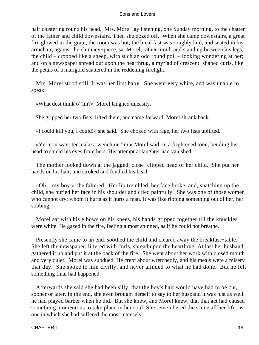hair clustering round his head. Mrs. Morel lay listening, one Sunday morning, to the chatter of the father and child downstairs. Then she dozed off. When she came downstairs, a great fire glowed in the grate, the room was hot, the breakfast was roughly laid, and seated in his armchair, against the chimney−piece, sat Morel, rather timid; and standing between his legs, the child – cropped like a sheep, with such an odd round poll – looking wondering at her; and on a newspaper spread out upon the hearthrug, a myriad of crescent−shaped curls, like the petals of a marigold scattered in the reddening firelight.

 Mrs. Morel stood still. It was her first baby. She went very white, and was unable to speak.

«What dost think o' 'im?» Morel laughed uneasily.

She gripped her two fists, lifted them, and came forward. Morel shrank back.

«I could kill you, I could!» she said. She choked with rage, her two fists uplifted.

 «Yer non want ter make a wench on 'im,» Morel said, in a frightened tone, bending his head to shield his eyes from hers. His attempt at laughter had vanished.

 The mother looked down at the jagged, close−clipped head of her child. She put her hands on his hair, and stroked and fondled his head.

 «Oh – my boy!» she faltered. Her lip trembled, her face broke, and, snatching up the child, she buried her face in his shoulder and cried painfully. She was one of those women who cannot cry; whom it hurts as it hurts a man. It was like ripping something out of her, her sobbing.

 Morel sat with his elbows on his knees, his hands gripped together till the knuckles were white. He gazed in the fire, feeling almost stunned, as if he could not breathe.

 Presently she came to an end, soothed the child and cleared away the breakfast−table. She left the newspaper, littered with curls, spread upon the hearthrug. At last her husband gathered it up and put it at the back of the fire. She went about her work with closed mouth and very quiet. Morel was subdued. He crept about wretchedly, and his meals were a misery that day. She spoke to him civilly, and never alluded to what he had done. But he felt something final had happened.

 Afterwards she said she had been silly, that the boy's hair would have had to be cut, sooner or later. In the end, she even brought herself to say to her husband it was just as well he had played barber when he did. But she knew, and Morel knew, that that act had caused something momentous to take place in her soul. She remembered the scene all her life, as one in which she had suffered the most intensely.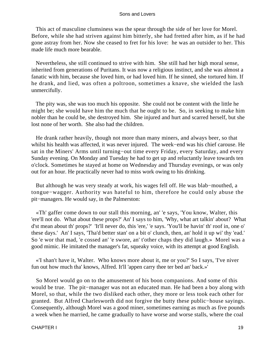This act of masculine clumsiness was the spear through the side of her love for Morel. Before, while she had striven against him bitterly, she had fretted after him, as if he had gone astray from her. Now she ceased to fret for his love: he was an outsider to her. This made life much more bearable.

 Nevertheless, she still continued to strive with him. She still had her high moral sense, inherited from generations of Puritans. It was now a religious instinct, and she was almost a fanatic with him, because she loved him, or had loved him. If he sinned, she tortured him. If he drank, and lied, was often a poltroon, sometimes a knave, she wielded the lash unmercifully.

 The pity was, she was too much his opposite. She could not be content with the little he might be; she would have him the much that he ought to be. So, in seeking to make him nobler than he could be, she destroyed him. She injured and hurt and scarred herself, but she lost none of her worth. She also had the children.

 He drank rather heavily, though not more than many miners, and always beer, so that whilst his health was affected, it was never injured. The week−end was his chief carouse. He sat in the Miners' Arms until turning−out time every Friday, every Saturday, and every Sunday evening. On Monday and Tuesday he had to get up and reluctantly leave towards ten o'clock. Sometimes he stayed at home on Wednesday and Thursday evenings, or was only out for an hour. He practically never had to miss work owing to his drinking.

 But although he was very steady at work, his wages fell off. He was blab−mouthed, a tongue−wagger. Authority was hateful to him, therefore he could only abuse the pit−managers. He would say, in the Palmerston:

 «Th' gaffer come down to our stall this morning, an' 'e says, 'You know, Walter, this 'ere'll not do. What about these props?' An' I says to him, 'Why, what art talkin' about? What d'st mean about th' props?' 'It'll never do, this 'ere,' 'e says. 'You'll be havin' th' roof in, one o' these days.' An' I says, 'Tha'd better stan' on a bit o' clunch, then, an' hold it up wi' thy 'ead.' So 'e wor that mad, 'e cossed an' 'e swore, an' t'other chaps they did laugh.» Morel was a good mimic. He imitated the manager's fat, squeaky voice, with its attempt at good English.

 «'I shan't have it, Walter. Who knows more about it, me or you?' So I says, 'I've niver fun out how much tha' knows, Alfred. It'll 'appen carry thee ter bed an' back.»'

 So Morel would go on to the amusement of his boon companions. And some of this would be true. The pit−manager was not an educated man. He had been a boy along with Morel, so that, while the two disliked each other, they more or less took each other for granted. But Alfred Charlesworth did not forgive the butty these public−house sayings. Consequently, although Morel was a good miner, sometimes earning as much as five pounds a week when he married, he came gradually to have worse and worse stalls, where the coal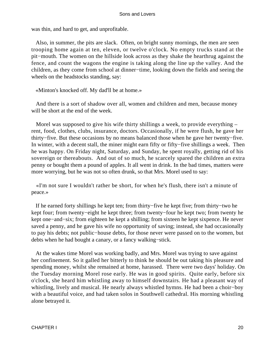was thin, and hard to get, and unprofitable.

 Also, in summer, the pits are slack. Often, on bright sunny mornings, the men are seen trooping home again at ten, eleven, or twelve o'clock. No empty trucks stand at the pit−mouth. The women on the hillside look across as they shake the hearthrug against the fence, and count the wagons the engine is taking along the line up the valley. And the children, as they come from school at dinner−time, looking down the fields and seeing the wheels on the headstocks standing, say:

«Minton's knocked off. My dad'll be at home.»

 And there is a sort of shadow over all, women and children and men, because money will be short at the end of the week.

 Morel was supposed to give his wife thirty shillings a week, to provide everything – rent, food, clothes, clubs, insurance, doctors. Occasionally, if he were flush, he gave her thirty−five. But these occasions by no means balanced those when he gave her twenty−five. In winter, with a decent stall, the miner might earn fifty or fifty−five shillings a week. Then he was happy. On Friday night, Saturday, and Sunday, he spent royally, getting rid of his sovereign or thereabouts. And out of so much, he scarcely spared the children an extra penny or bought them a pound of apples. It all went in drink. In the bad times, matters were more worrying, but he was not so often drunk, so that Mrs. Morel used to say:

 «I'm not sure I wouldn't rather be short, for when he's flush, there isn't a minute of peace.»

 If he earned forty shillings he kept ten; from thirty−five he kept five; from thirty−two he kept four; from twenty−eight he kept three; from twenty−four he kept two; from twenty he kept one−and−six; from eighteen he kept a shilling; from sixteen he kept sixpence. He never saved a penny, and he gave his wife no opportunity of saving; instead, she had occasionally to pay his debts; not public−house debts, for those never were passed on to the women, but debts when he had bought a canary, or a fancy walking−stick.

 At the wakes time Morel was working badly, and Mrs. Morel was trying to save against her confinement. So it galled her bitterly to think he should be out taking his pleasure and spending money, whilst she remained at home, harassed. There were two days' holiday. On the Tuesday morning Morel rose early. He was in good spirits. Quite early, before six o'clock, she heard him whistling away to himself downstairs. He had a pleasant way of whistling, lively and musical. He nearly always whistled hymns. He had been a choir−boy with a beautiful voice, and had taken solos in Southwell cathedral. His morning whistling alone betrayed it.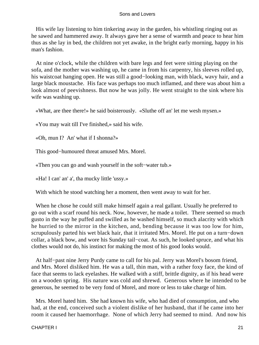His wife lay listening to him tinkering away in the garden, his whistling ringing out as he sawed and hammered away. It always gave her a sense of warmth and peace to hear him thus as she lay in bed, the children not yet awake, in the bright early morning, happy in his man's fashion.

 At nine o'clock, while the children with bare legs and feet were sitting playing on the sofa, and the mother was washing up, he came in from his carpentry, his sleeves rolled up, his waistcoat hanging open. He was still a good−looking man, with black, wavy hair, and a large black moustache. His face was perhaps too much inflamed, and there was about him a look almost of peevishness. But now he was jolly. He went straight to the sink where his wife was washing up.

«What, are thee there!» he said boisterously. «Sluthe off an' let me wesh mysen.»

«You may wait till I've finished,» said his wife.

«Oh, mun I? An' what if I shonna?»

This good−humoured threat amused Mrs. Morel.

«Then you can go and wash yourself in the soft−water tub.»

«Ha! I can' an' a', tha mucky little 'ussy.»

With which he stood watching her a moment, then went away to wait for her.

 When he chose he could still make himself again a real gallant. Usually he preferred to go out with a scarf round his neck. Now, however, he made a toilet. There seemed so much gusto in the way he puffed and swilled as he washed himself, so much alacrity with which he hurried to the mirror in the kitchen, and, bending because it was too low for him, scrupulously parted his wet black hair, that it irritated Mrs. Morel. He put on a turn−down collar, a black bow, and wore his Sunday tail−coat. As such, he looked spruce, and what his clothes would not do, his instinct for making the most of his good looks would.

 At half−past nine Jerry Purdy came to call for his pal. Jerry was Morel's bosom friend, and Mrs. Morel disliked him. He was a tall, thin man, with a rather foxy face, the kind of face that seems to lack eyelashes. He walked with a stiff, brittle dignity, as if his head were on a wooden spring. His nature was cold and shrewd. Generous where he intended to be generous, he seemed to be very fond of Morel, and more or less to take charge of him.

 Mrs. Morel hated him. She had known his wife, who had died of consumption, and who had, at the end, conceived such a violent dislike of her husband, that if he came into her room it caused her haemorrhage. None of which Jerry had seemed to mind. And now his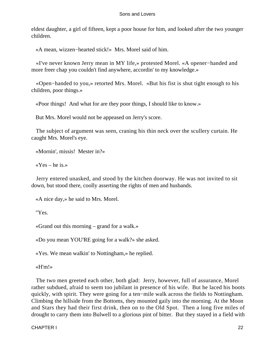eldest daughter, a girl of fifteen, kept a poor house for him, and looked after the two younger children.

«A mean, wizzen−hearted stick!» Mrs. Morel said of him.

 «I've never known Jerry mean in MY life,» protested Morel. «A opener−handed and more freer chap you couldn't find anywhere, accordin' to my knowledge.»

 «Open−handed to you,» retorted Mrs. Morel. «But his fist is shut tight enough to his children, poor things.»

«Poor things! And what for are they poor things, I should like to know.»

But Mrs. Morel would not be appeased on Jerry's score.

 The subject of argument was seen, craning his thin neck over the scullery curtain. He caught Mrs. Morel's eye.

«Mornin', missis! Mester in?»

 $\angle$  Yes – he is.»

 Jerry entered unasked, and stood by the kitchen doorway. He was not invited to sit down, but stood there, coolly asserting the rights of men and husbands.

«A nice day,» he said to Mrs. Morel.

"Yes.

«Grand out this morning – grand for a walk.»

«Do you mean YOU'RE going for a walk?» she asked.

«Yes. We mean walkin' to Nottingham,» he replied.

«H'm!»

 The two men greeted each other, both glad: Jerry, however, full of assurance, Morel rather subdued, afraid to seem too jubilant in presence of his wife. But he laced his boots quickly, with spirit. They were going for a ten−mile walk across the fields to Nottingham. Climbing the hillside from the Bottoms, they mounted gaily into the morning. At the Moon and Stars they had their first drink, then on to the Old Spot. Then a long five miles of drought to carry them into Bulwell to a glorious pint of bitter. But they stayed in a field with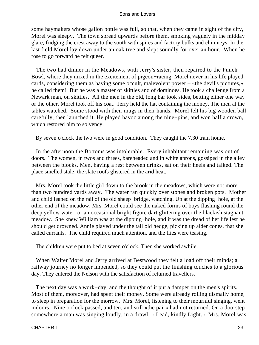some haymakers whose gallon bottle was full, so that, when they came in sight of the city, Morel was sleepy. The town spread upwards before them, smoking vaguely in the midday glare, fridging the crest away to the south with spires and factory bulks and chimneys. In the last field Morel lay down under an oak tree and slept soundly for over an hour. When he rose to go forward he felt queer.

 The two had dinner in the Meadows, with Jerry's sister, then repaired to the Punch Bowl, where they mixed in the excitement of pigeon−racing. Morel never in his life played cards, considering them as having some occult, malevolent power – «the devil's pictures,» he called them! But he was a master of skittles and of dominoes. He took a challenge from a Newark man, on skittles. All the men in the old, long bar took sides, betting either one way or the other. Morel took off his coat. Jerry held the hat containing the money. The men at the tables watched. Some stood with their mugs in their hands. Morel felt his big wooden ball carefully, then launched it. He played havoc among the nine−pins, and won half a crown, which restored him to solvency.

By seven o'clock the two were in good condition. They caught the 7.30 train home.

 In the afternoon the Bottoms was intolerable. Every inhabitant remaining was out of doors. The women, in twos and threes, bareheaded and in white aprons, gossiped in the alley between the blocks. Men, having a rest between drinks, sat on their heels and talked. The place smelled stale; the slate roofs glistered in the arid heat.

 Mrs. Morel took the little girl down to the brook in the meadows, which were not more than two hundred yards away. The water ran quickly over stones and broken pots. Mother and child leaned on the rail of the old sheep−bridge, watching. Up at the dipping−hole, at the other end of the meadow, Mrs. Morel could see the naked forms of boys flashing round the deep yellow water, or an occasional bright figure dart glittering over the blackish stagnant meadow. She knew William was at the dipping−hole, and it was the dread of her life lest he should get drowned. Annie played under the tall old hedge, picking up alder cones, that she called currants. The child required much attention, and the flies were teasing.

The children were put to bed at seven o'clock. Then she worked awhile.

 When Walter Morel and Jerry arrived at Bestwood they felt a load off their minds; a railway journey no longer impended, so they could put the finishing touches to a glorious day. They entered the Nelson with the satisfaction of returned travellers.

The next day was a work–day, and the thought of it put a damper on the men's spirits. Most of them, moreover, had spent their money. Some were already rolling dismally home, to sleep in preparation for the morrow. Mrs. Morel, listening to their mournful singing, went indoors. Nine o'clock passed, and ten, and still «the pair» had not returned. On a doorstep somewhere a man was singing loudly, in a drawl: «Lead, kindly Light.» Mrs. Morel was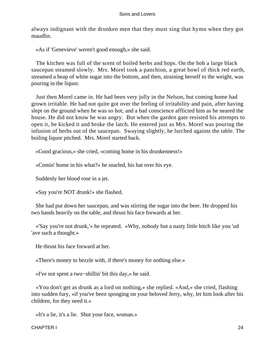always indignant with the drunken men that they must sing that hymn when they got maudlin.

«As if 'Genevieve' weren't good enough,» she said.

 The kitchen was full of the scent of boiled herbs and hops. On the hob a large black saucepan steamed slowly. Mrs. Morel took a panchion, a great bowl of thick red earth, streamed a heap of white sugar into the bottom, and then, straining herself to the weight, was pouring in the liquor.

 Just then Morel came in. He had been very jolly in the Nelson, but coming home had grown irritable. He had not quite got over the feeling of irritability and pain, after having slept on the ground when he was so hot; and a bad conscience afflicted him as he neared the house. He did not know he was angry. But when the garden gate resisted his attempts to open it, he kicked it and broke the latch. He entered just as Mrs. Morel was pouring the infusion of herbs out of the saucepan. Swaying slightly, he lurched against the table. The boiling liquor pitched. Mrs. Morel started back.

«Good gracious,» she cried, «coming home in his drunkenness!»

«Comin' home in his what?» he snarled, his hat over his eye.

Suddenly her blood rose in a jet.

«Say you're NOT drunk!» she flashed.

 She had put down her saucepan, and was stirring the sugar into the beer. He dropped his two hands heavily on the table, and thrust his face forwards at her.

 «'Say you're not drunk,'» he repeated. «Why, nobody but a nasty little bitch like you 'ud 'ave such a thought.»

He thrust his face forward at her.

«There's money to bezzle with, if there's money for nothing else.»

«I've not spent a two−shillin' bit this day,» he said.

 «You don't get as drunk as a lord on nothing,» she replied. «And,» she cried, flashing into sudden fury, «if you've been sponging on your beloved Jerry, why, let him look after his children, for they need it.»

«It's a lie, it's a lie. Shut your face, woman.»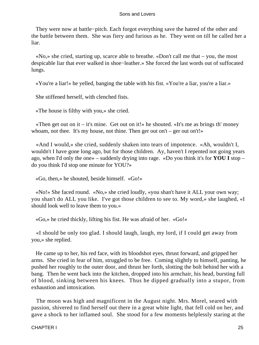They were now at battle−pitch. Each forgot everything save the hatred of the other and the battle between them. She was fiery and furious as he. They went on till he called her a liar.

 «No,» she cried, starting up, scarce able to breathe. «Don't call me that – you, the most despicable liar that ever walked in shoe−leather.» She forced the last words out of suffocated lungs.

«You're a liar!» he yelled, banging the table with his fist. «You're a liar, you're a liar.»

She stiffened herself, with clenched fists.

«The house is filthy with you,» she cried.

«Then get out on it – it's mine. Get out on it!» he shouted. «It's me as brings th' money whoam, not thee. It's my house, not thine. Then ger out on't – ger out on't!»

 «And I would,» she cried, suddenly shaken into tears of impotence. «Ah, wouldn't I, wouldn't I have gone long ago, but for those children. Ay, haven't I repented not going years ago, when I'd only the one» – suddenly drying into rage. «Do you think it's for **YOU I** stop – do you think I'd stop one minute for YOU?»

«Go, then,» he shouted, beside himself. «Go!»

 «No!» She faced round. «No,» she cried loudly, «you shan't have it ALL your own way; you shan't do ALL you like. I've got those children to see to. My word,» she laughed, «I should look well to leave them to you.»

«Go,» he cried thickly, lifting his fist. He was afraid of her. «Go!»

 «I should be only too glad. I should laugh, laugh, my lord, if I could get away from you,» she replied.

 He came up to her, his red face, with its bloodshot eyes, thrust forward, and gripped her arms. She cried in fear of him, struggled to be free. Coming slightly to himself, panting, he pushed her roughly to the outer door, and thrust her forth, slotting the bolt behind her with a bang. Then he went back into the kitchen, dropped into his armchair, his head, bursting full of blood, sinking between his knees. Thus he dipped gradually into a stupor, from exhaustion and intoxication.

 The moon was high and magnificent in the August night. Mrs. Morel, seared with passion, shivered to find herself out there in a great white light, that fell cold on her, and gave a shock to her inflamed soul. She stood for a few moments helplessly staring at the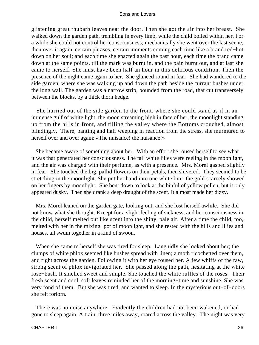glistening great rhubarb leaves near the door. Then she got the air into her breast. She walked down the garden path, trembling in every limb, while the child boiled within her. For a while she could not control her consciousness; mechanically she went over the last scene, then over it again, certain phrases, certain moments coming each time like a brand red−hot down on her soul; and each time she enacted again the past hour, each time the brand came down at the same points, till the mark was burnt in, and the pain burnt out, and at last she came to herself. She must have been half an hour in this delirious condition. Then the presence of the night came again to her. She glanced round in fear. She had wandered to the side garden, where she was walking up and down the path beside the currant bushes under the long wall. The garden was a narrow strip, bounded from the road, that cut transversely between the blocks, by a thick thorn hedge.

 She hurried out of the side garden to the front, where she could stand as if in an immense gulf of white light, the moon streaming high in face of her, the moonlight standing up from the hills in front, and filling the valley where the Bottoms crouched, almost blindingly. There, panting and half weeping in reaction from the stress, she murmured to herself over and over again: «The nuisance! the nuisance!»

 She became aware of something about her. With an effort she roused herself to see what it was that penetrated her consciousness. The tall white lilies were reeling in the moonlight, and the air was charged with their perfume, as with a presence. Mrs. Morel gasped slightly in fear. She touched the big, pallid flowers on their petals, then shivered. They seemed to be stretching in the moonlight. She put her hand into one white bin: the gold scarcely showed on her fingers by moonlight. She bent down to look at the binful of yellow pollen; but it only appeared dusky. Then she drank a deep draught of the scent. It almost made her dizzy.

 Mrs. Morel leaned on the garden gate, looking out, and she lost herself awhile. She did not know what she thought. Except for a slight feeling of sickness, and her consciousness in the child, herself melted out like scent into the shiny, pale air. After a time the child, too, melted with her in the mixing−pot of moonlight, and she rested with the hills and lilies and houses, all swum together in a kind of swoon.

 When she came to herself she was tired for sleep. Languidly she looked about her; the clumps of white phlox seemed like bushes spread with linen; a moth ricochetted over them, and right across the garden. Following it with her eye roused her. A few whiffs of the raw, strong scent of phlox invigorated her. She passed along the path, hesitating at the white rose−bush. It smelled sweet and simple. She touched the white ruffles of the roses. Their fresh scent and cool, soft leaves reminded her of the morning−time and sunshine. She was very fond of them. But she was tired, and wanted to sleep. In the mysterious out−of−doors she felt forlorn.

 There was no noise anywhere. Evidently the children had not been wakened, or had gone to sleep again. A train, three miles away, roared across the valley. The night was very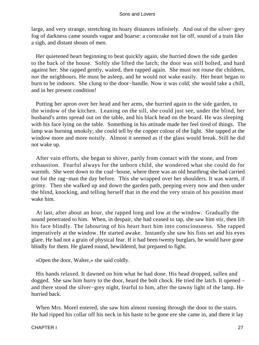large, and very strange, stretching its hoary distances infinitely. And out of the silver−grey fog of darkness came sounds vague and hoarse: a corncrake not far off, sound of a train like a sigh, and distant shouts of men.

 Her quietened heart beginning to beat quickly again, she hurried down the side garden to the back of the house. Softly she lifted the latch; the door was still bolted, and hard against her. She rapped gently, waited, then rapped again. She must not rouse the children, nor the neighbours. He must be asleep, and he would not wake easily. Her heart began to burn to be indoors. She clung to the door−handle. Now it was cold; she would take a chill, and in her present condition!

 Putting her apron over her head and her arms, she hurried again to the side garden, to the window of the kitchen. Leaning on the sill, she could just see, under the blind, her husband's arms spread out on the table, and his black head on the board. He was sleeping with his face lying on the table. Something in his attitude made her feel tired of things. The lamp was burning smokily; she could tell by the copper colour of the light. She tapped at the window more and more noisily. Almost it seemed as if the glass would break. Still he did not wake up.

 After vain efforts, she began to shiver, partly from contact with the stone, and from exhaustion. Fearful always for the unborn child, she wondered what she could do for warmth. She went down to the coal−house, where there was an old hearthrug she had carried out for the rag−man the day before. This she wrapped over her shoulders. It was warm, if grimy. Then she walked up and down the garden path, peeping every now and then under the blind, knocking, and telling herself that in the end the very strain of his position must wake him.

 At last, after about an hour, she rapped long and low at the window. Gradually the sound penetrated to him. When, in despair, she had ceased to tap, she saw him stir, then lift his face blindly. The labouring of his heart hurt him into consciousness. She rapped imperatively at the window. He started awake. Instantly she saw his fists set and his eyes glare. He had not a grain of physical fear. If it had been twenty burglars, he would have gone blindly for them. He glared round, bewildered, but prepared to fight.

«Open the door, Walter,» she said coldly.

 His hands relaxed. It dawned on him what he had done. His head dropped, sullen and dogged. She saw him hurry to the door, heard the bolt chock. He tried the latch. It opened – and there stood the silver−grey night, fearful to him, after the tawny light of the lamp. He hurried back.

 When Mrs. Morel entered, she saw him almost running through the door to the stairs. He had ripped his collar off his neck in his haste to be gone ere she came in, and there it lay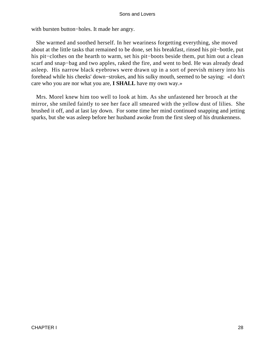with bursten button−holes. It made her angry.

 She warmed and soothed herself. In her weariness forgetting everything, she moved about at the little tasks that remained to be done, set his breakfast, rinsed his pit−bottle, put his pit−clothes on the hearth to warm, set his pit−boots beside them, put him out a clean scarf and snap−bag and two apples, raked the fire, and went to bed. He was already dead asleep. His narrow black eyebrows were drawn up in a sort of peevish misery into his forehead while his cheeks' down−strokes, and his sulky mouth, seemed to be saying: «I don't care who you are nor what you are, **I SHALL** have my own way.»

 Mrs. Morel knew him too well to look at him. As she unfastened her brooch at the mirror, she smiled faintly to see her face all smeared with the yellow dust of lilies. She brushed it off, and at last lay down. For some time her mind continued snapping and jetting sparks, but she was asleep before her husband awoke from the first sleep of his drunkenness.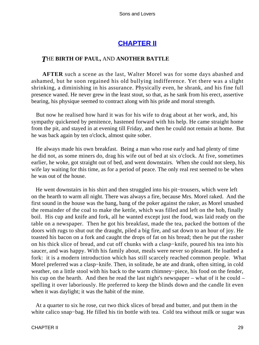### **[CHAPTER II](#page-470-0)**

#### *T*HE **BIRTH OF PAUL,** AND **ANOTHER BATTLE**

**AFTER** such a scene as the last, Walter Morel was for some days abashed and ashamed, but he soon regained his old bullying indifference. Yet there was a slight shrinking, a diminishing in his assurance. Physically even, he shrank, and his fine full presence waned. He never grew in the least stout, so that, as he sank from his erect, assertive bearing, his physique seemed to contract along with his pride and moral strength.

 But now he realised how hard it was for his wife to drag about at her work, and, his sympathy quickened by penitence, hastened forward with his help. He came straight home from the pit, and stayed in at evening till Friday, and then he could not remain at home. But he was back again by ten o'clock, almost quite sober.

 He always made his own breakfast. Being a man who rose early and had plenty of time he did not, as some miners do, drag his wife out of bed at six o'clock. At five, sometimes earlier, he woke, got straight out of bed, and went downstairs. When she could not sleep, his wife lay waiting for this time, as for a period of peace. The only real rest seemed to be when he was out of the house.

 He went downstairs in his shirt and then struggled into his pit−trousers, which were left on the hearth to warm all night. There was always a fire, because Mrs. Morel raked. And the first sound in the house was the bang, bang of the poker against the raker, as Morel smashed the remainder of the coal to make the kettle, which was filled and left on the hob, finally boil. His cup and knife and fork, all he wanted except just the food, was laid ready on the table on a newspaper. Then he got his breakfast, made the tea, packed the bottom of the doors with rugs to shut out the draught, piled a big fire, and sat down to an hour of joy. He toasted his bacon on a fork and caught the drops of fat on his bread; then he put the rasher on his thick slice of bread, and cut off chunks with a clasp−knife, poured his tea into his saucer, and was happy. With his family about, meals were never so pleasant. He loathed a fork: it is a modern introduction which has still scarcely reached common people. What Morel preferred was a clasp−knife. Then, in solitude, he ate and drank, often sitting, in cold weather, on a little stool with his back to the warm chimney−piece, his food on the fender, his cup on the hearth. And then he read the last night's newspaper – what of it he could – spelling it over laboriously. He preferred to keep the blinds down and the candle lit even when it was daylight; it was the habit of the mine.

 At a quarter to six he rose, cut two thick slices of bread and butter, and put them in the white calico snap−bag. He filled his tin bottle with tea. Cold tea without milk or sugar was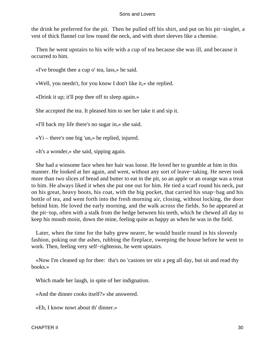the drink he preferred for the pit. Then he pulled off his shirt, and put on his pit−singlet, a vest of thick flannel cut low round the neck, and with short sleeves like a chemise.

 Then he went upstairs to his wife with a cup of tea because she was ill, and because it occurred to him.

«I've brought thee a cup o' tea, lass,» he said.

«Well, you needn't, for you know I don't like it,» she replied.

«Drink it up; it'll pop thee off to sleep again.»

She accepted the tea. It pleased him to see her take it and sip it.

«I'll back my life there's no sugar in,» she said.

 $\langle xY_1 \rangle$  – there's one big 'un, be replied, injured.

«It's a wonder,» she said, sipping again.

 She had a winsome face when her hair was loose. He loved her to grumble at him in this manner. He looked at her again, and went, without any sort of leave−taking. He never took more than two slices of bread and butter to eat in the pit, so an apple or an orange was a treat to him. He always liked it when she put one out for him. He tied a scarf round his neck, put on his great, heavy boots, his coat, with the big pocket, that carried his snap−bag and his bottle of tea, and went forth into the fresh morning air, closing, without locking, the door behind him. He loved the early morning, and the walk across the fields. So he appeared at the pit−top, often with a stalk from the hedge between his teeth, which he chewed all day to keep his mouth moist, down the mine, feeling quite as happy as when he was in the field.

 Later, when the time for the baby grew nearer, he would bustle round in his slovenly fashion, poking out the ashes, rubbing the fireplace, sweeping the house before he went to work. Then, feeling very self−righteous, he went upstairs.

 «Now I'm cleaned up for thee: tha's no 'casions ter stir a peg all day, but sit and read thy books.»

Which made her laugh, in spite of her indignation.

«And the dinner cooks itself?» she answered.

«Eh, I know nowt about th' dinner.»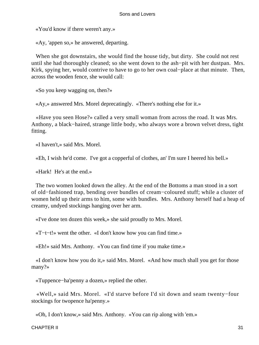«You'd know if there weren't any.»

«Ay, 'appen so,» he answered, departing.

 When she got downstairs, she would find the house tidy, but dirty. She could not rest until she had thoroughly cleaned; so she went down to the ash−pit with her dustpan. Mrs. Kirk, spying her, would contrive to have to go to her own coal−place at that minute. Then, across the wooden fence, she would call:

«So you keep wagging on, then?»

«Ay,» answered Mrs. Morel deprecatingly. «There's nothing else for it.»

 «Have you seen Hose?» called a very small woman from across the road. It was Mrs. Anthony, a black−haired, strange little body, who always wore a brown velvet dress, tight fitting.

«I haven't,» said Mrs. Morel.

«Eh, I wish he'd come. I've got a copperful of clothes, an' I'm sure I heered his bell.»

«Hark! He's at the end.»

 The two women looked down the alley. At the end of the Bottoms a man stood in a sort of old−fashioned trap, bending over bundles of cream−coloured stuff; while a cluster of women held up their arms to him, some with bundles. Mrs. Anthony herself had a heap of creamy, undyed stockings hanging over her arm.

«I've done ten dozen this week,» she said proudly to Mrs. Morel.

«T−t−t!» went the other. «I don't know how you can find time.»

«Eh!» said Mrs. Anthony. «You can find time if you make time.»

 «I don't know how you do it,» said Mrs. Morel. «And how much shall you get for those many?»

«Tuppence−ha'penny a dozen,» replied the other.

 «Well,» said Mrs. Morel. «I'd starve before I'd sit down and seam twenty−four stockings for twopence ha'penny.»

«Oh, I don't know,» said Mrs. Anthony. «You can rip along with 'em.»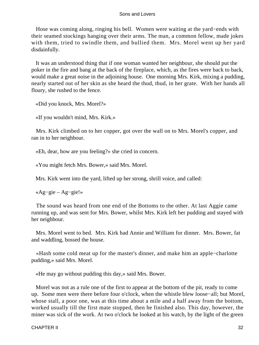Hose was coming along, ringing his bell. Women were waiting at the yard−ends with their seamed stockings hanging over their arms. The man, a common fellow, made jokes with them, tried to swindle them, and bullied them. Mrs. Morel went up her yard disdainfully.

 It was an understood thing that if one woman wanted her neighbour, she should put the poker in the fire and bang at the back of the fireplace, which, as the fires were back to back, would make a great noise in the adjoining house. One morning Mrs. Kirk, mixing a pudding, nearly started out of her skin as she heard the thud, thud, in her grate. With her hands all floury, she rushed to the fence.

«Did you knock, Mrs. Morel?»

«If you wouldn't mind, Mrs. Kirk.»

 Mrs. Kirk climbed on to her copper, got over the wall on to Mrs. Morel's copper, and ran in to her neighbour.

«Eh, dear, how are you feeling?» she cried in concern.

«You might fetch Mrs. Bower,» said Mrs. Morel.

Mrs. Kirk went into the yard, lifted up her strong, shrill voice, and called:

«Ag−gie – Ag−gie!»

 The sound was heard from one end of the Bottoms to the other. At last Aggie came running up, and was sent for Mrs. Bower, whilst Mrs. Kirk left her pudding and stayed with her neighbour.

 Mrs. Morel went to bed. Mrs. Kirk had Annie and William for dinner. Mrs. Bower, fat and waddling, bossed the house.

 «Hash some cold meat up for the master's dinner, and make him an apple−charlotte pudding,» said Mrs. Morel.

«He may go without pudding this day,» said Mrs. Bower.

 Morel was not as a rule one of the first to appear at the bottom of the pit, ready to come up. Some men were there before four o'clock, when the whistle blew loose−all; but Morel, whose stall, a poor one, was at this time about a mile and a half away from the bottom, worked usually till the first mate stopped, then he finished also. This day, however, the miner was sick of the work. At two o'clock he looked at his watch, by the light of the green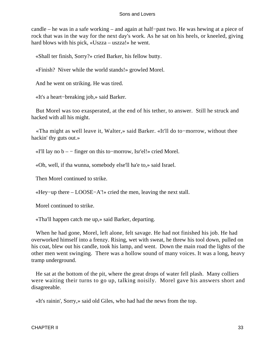candle – he was in a safe working – and again at half−past two. He was hewing at a piece of rock that was in the way for the next day's work. As he sat on his heels, or kneeled, giving hard blows with his pick, «Uszza – uszza!» he went.

«Shall ter finish, Sorry?» cried Barker, his fellow butty.

«Finish? Niver while the world stands!» growled Morel.

And he went on striking. He was tired.

«It's a heart−breaking job,» said Barker.

 But Morel was too exasperated, at the end of his tether, to answer. Still he struck and hacked with all his might.

 «Tha might as well leave it, Walter,» said Barker. «It'll do to−morrow, without thee hackin' thy guts out.»

«I'll lay no b – − finger on this to−morrow, Isr'el!» cried Morel.

«Oh, well, if tha wunna, somebody else'll ha'e to,» said Israel.

Then Morel continued to strike.

«Hey−up there – LOOSE−A'!» cried the men, leaving the next stall.

Morel continued to strike.

«Tha'll happen catch me up,» said Barker, departing.

 When he had gone, Morel, left alone, felt savage. He had not finished his job. He had overworked himself into a frenzy. Rising, wet with sweat, he threw his tool down, pulled on his coat, blew out his candle, took his lamp, and went. Down the main road the lights of the other men went swinging. There was a hollow sound of many voices. It was a long, heavy tramp underground.

 He sat at the bottom of the pit, where the great drops of water fell plash. Many colliers were waiting their turns to go up, talking noisily. Morel gave his answers short and disagreeable.

«It's rainin', Sorry,» said old Giles, who had had the news from the top.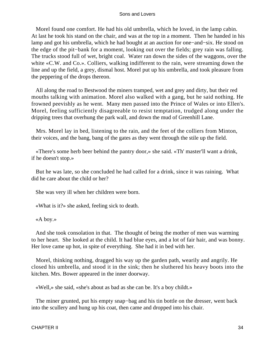Morel found one comfort. He had his old umbrella, which he loved, in the lamp cabin. At last he took his stand on the chair, and was at the top in a moment. Then he handed in his lamp and got his umbrella, which he had bought at an auction for one−and−six. He stood on the edge of the pit−bank for a moment, looking out over the fields; grey rain was falling. The trucks stood full of wet, bright coal. Water ran down the sides of the waggons, over the white «C.W. and Co.». Colliers, walking indifferent to the rain, were streaming down the line and up the field, a grey, dismal host. Morel put up his umbrella, and took pleasure from the peppering of the drops thereon.

 All along the road to Bestwood the miners tramped, wet and grey and dirty, but their red mouths talking with animation. Morel also walked with a gang, but he said nothing. He frowned peevishly as he went. Many men passed into the Prince of Wales or into Ellen's. Morel, feeling sufficiently disagreeable to resist temptation, trudged along under the dripping trees that overhung the park wall, and down the mud of Greenhill Lane.

 Mrs. Morel lay in bed, listening to the rain, and the feet of the colliers from Minton, their voices, and the bang, bang of the gates as they went through the stile up the field.

 «There's some herb beer behind the pantry door,» she said. «Th' master'll want a drink, if he doesn't stop.»

 But he was late, so she concluded he had called for a drink, since it was raining. What did he care about the child or her?

She was very ill when her children were born.

«What is it?» she asked, feeling sick to death.

«A boy.»

 And she took consolation in that. The thought of being the mother of men was warming to her heart. She looked at the child. It had blue eyes, and a lot of fair hair, and was bonny. Her love came up hot, in spite of everything. She had it in bed with her.

 Morel, thinking nothing, dragged his way up the garden path, wearily and angrily. He closed his umbrella, and stood it in the sink; then he sluthered his heavy boots into the kitchen. Mrs. Bower appeared in the inner doorway.

«Well,» she said, «she's about as bad as she can be. It's a boy childt.»

The miner grunted, put his empty snap–bag and his tin bottle on the dresser, went back into the scullery and hung up his coat, then came and dropped into his chair.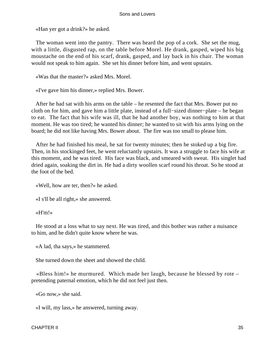«Han yer got a drink?» he asked.

 The woman went into the pantry. There was heard the pop of a cork. She set the mug, with a little, disgusted rap, on the table before Morel. He drank, gasped, wiped his big moustache on the end of his scarf, drank, gasped, and lay back in his chair. The woman would not speak to him again. She set his dinner before him, and went upstairs.

«Was that the master?» asked Mrs. Morel.

«I've gave him his dinner,» replied Mrs. Bower.

 After he had sat with his arms on the table – he resented the fact that Mrs. Bower put no cloth on for him, and gave him a little plate, instead of a full−sized dinner−plate – he began to eat. The fact that his wife was ill, that he had another boy, was nothing to him at that moment. He was too tired; he wanted his dinner; he wanted to sit with his arms lying on the board; he did not like having Mrs. Bower about. The fire was too small to please him.

 After he had finished his meal, he sat for twenty minutes; then he stoked up a big fire. Then, in his stockinged feet, he went reluctantly upstairs. It was a struggle to face his wife at this moment, and he was tired. His face was black, and smeared with sweat. His singlet had dried again, soaking the dirt in. He had a dirty woollen scarf round his throat. So he stood at the foot of the bed.

«Well, how are ter, then?» he asked.

«I s'll be all right,» she answered.

«H'm!»

 He stood at a loss what to say next. He was tired, and this bother was rather a nuisance to him, and he didn't quite know where he was.

«A lad, tha says,» he stammered.

She turned down the sheet and showed the child.

 «Bless him!» he murmured. Which made her laugh, because he blessed by rote – pretending paternal emotion, which he did not feel just then.

«Go now,» she said.

«I will, my lass,» he answered, turning away.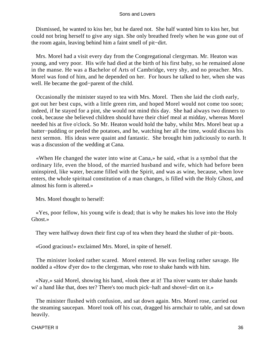Dismissed, he wanted to kiss her, but he dared not. She half wanted him to kiss her, but could not bring herself to give any sign. She only breathed freely when he was gone out of the room again, leaving behind him a faint smell of pit−dirt.

 Mrs. Morel had a visit every day from the Congregational clergyman. Mr. Heaton was young, and very poor. His wife had died at the birth of his first baby, so he remained alone in the manse. He was a Bachelor of Arts of Cambridge, very shy, and no preacher. Mrs. Morel was fond of him, and he depended on her. For hours he talked to her, when she was well. He became the god−parent of the child.

 Occasionally the minister stayed to tea with Mrs. Morel. Then she laid the cloth early, got out her best cups, with a little green rim, and hoped Morel would not come too soon; indeed, if he stayed for a pint, she would not mind this day. She had always two dinners to cook, because she believed children should have their chief meal at midday, whereas Morel needed his at five o'clock. So Mr. Heaton would hold the baby, whilst Mrs. Morel beat up a batter−pudding or peeled the potatoes, and he, watching her all the time, would discuss his next sermon. His ideas were quaint and fantastic. She brought him judiciously to earth. It was a discussion of the wedding at Cana.

 «When He changed the water into wine at Cana,» he said, «that is a symbol that the ordinary life, even the blood, of the married husband and wife, which had before been uninspired, like water, became filled with the Spirit, and was as wine, because, when love enters, the whole spiritual constitution of a man changes, is filled with the Holy Ghost, and almost his form is altered.»

Mrs. Morel thought to herself:

 «Yes, poor fellow, his young wife is dead; that is why he makes his love into the Holy Ghost.»

They were halfway down their first cup of tea when they heard the sluther of pit−boots.

«Good gracious!» exclaimed Mrs. Morel, in spite of herself.

 The minister looked rather scared. Morel entered. He was feeling rather savage. He nodded a «How d'yer do» to the clergyman, who rose to shake hands with him.

 «Nay,» said Morel, showing his hand, «look thee at it! Tha niver wants ter shake hands wi' a hand like that, does ter? There's too much pick−haft and shovel−dirt on it.»

 The minister flushed with confusion, and sat down again. Mrs. Morel rose, carried out the steaming saucepan. Morel took off his coat, dragged his armchair to table, and sat down heavily.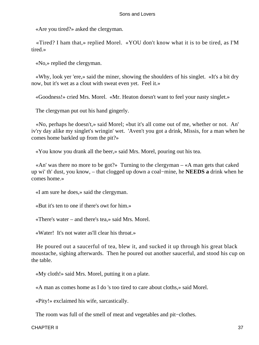«Are you tired?» asked the clergyman.

 «Tired? I ham that,» replied Morel. «YOU don't know what it is to be tired, as I'M tired.»

«No,» replied the clergyman.

 «Why, look yer 'ere,» said the miner, showing the shoulders of his singlet. «It's a bit dry now, but it's wet as a clout with sweat even yet. Feel it.»

«Goodness!» cried Mrs. Morel. «Mr. Heaton doesn't want to feel your nasty singlet.»

The clergyman put out his hand gingerly.

 «No, perhaps he doesn't,» said Morel; «but it's all come out of me, whether or not. An' iv'ry day alike my singlet's wringin' wet. 'Aven't you got a drink, Missis, for a man when he comes home barkled up from the pit?»

«You know you drank all the beer,» said Mrs. Morel, pouring out his tea.

 «An' was there no more to be got?» Turning to the clergyman – «A man gets that caked up wi' th' dust, you know, – that clogged up down a coal−mine, he **NEEDS a** drink when he comes home.»

«I am sure he does,» said the clergyman.

«But it's ten to one if there's owt for him.»

«There's water – and there's tea,» said Mrs. Morel.

«Water! It's not water as'll clear his throat.»

 He poured out a saucerful of tea, blew it, and sucked it up through his great black moustache, sighing afterwards. Then he poured out another saucerful, and stood his cup on the table.

«My cloth!» said Mrs. Morel, putting it on a plate.

«A man as comes home as I do 's too tired to care about cloths,» said Morel.

«Pity!» exclaimed his wife, sarcastically.

The room was full of the smell of meat and vegetables and pit−clothes.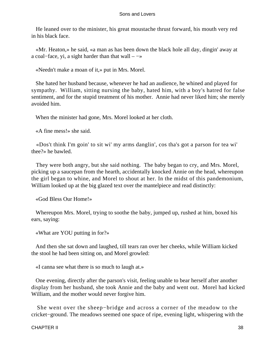He leaned over to the minister, his great moustache thrust forward, his mouth very red in his black face.

 «Mr. Heaton,» he said, «a man as has been down the black hole all day, dingin' away at a coal−face, yi, a sight harder than that wall – −»

«Needn't make a moan of it,» put in Mrs. Morel.

 She hated her husband because, whenever he had an audience, he whined and played for sympathy. William, sitting nursing the baby, hated him, with a boy's hatred for false sentiment, and for the stupid treatment of his mother. Annie had never liked him; she merely avoided him.

When the minister had gone, Mrs. Morel looked at her cloth.

«A fine mess!» she said.

 «Dos't think I'm goin' to sit wi' my arms danglin', cos tha's got a parson for tea wi' thee?» he bawled.

 They were both angry, but she said nothing. The baby began to cry, and Mrs. Morel, picking up a saucepan from the hearth, accidentally knocked Annie on the head, whereupon the girl began to whine, and Morel to shout at her. In the midst of this pandemonium, William looked up at the big glazed text over the mantelpiece and read distinctly:

«God Bless Our Home!»

 Whereupon Mrs. Morel, trying to soothe the baby, jumped up, rushed at him, boxed his ears, saying:

«What are YOU putting in for?»

 And then she sat down and laughed, till tears ran over her cheeks, while William kicked the stool he had been sitting on, and Morel growled:

«I canna see what there is so much to laugh at.»

 One evening, directly after the parson's visit, feeling unable to bear herself after another display from her husband, she took Annie and the baby and went out. Morel had kicked William, and the mother would never forgive him.

 She went over the sheep−bridge and across a corner of the meadow to the cricket−ground. The meadows seemed one space of ripe, evening light, whispering with the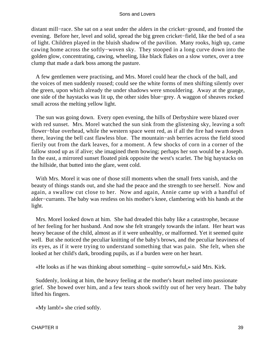distant mill−race. She sat on a seat under the alders in the cricket−ground, and fronted the evening. Before her, level and solid, spread the big green cricket−field, like the bed of a sea of light. Children played in the bluish shadow of the pavilion. Many rooks, high up, came cawing home across the softly−woven sky. They stooped in a long curve down into the golden glow, concentrating, cawing, wheeling, like black flakes on a slow vortex, over a tree clump that made a dark boss among the pasture.

 A few gentlemen were practising, and Mrs. Morel could hear the chock of the ball, and the voices of men suddenly roused; could see the white forms of men shifting silently over the green, upon which already the under shadows were smouldering. Away at the grange, one side of the haystacks was lit up, the other sides blue−grey. A waggon of sheaves rocked small across the melting yellow light.

 The sun was going down. Every open evening, the hills of Derbyshire were blazed over with red sunset. Mrs. Morel watched the sun sink from the glistening sky, leaving a soft flower−blue overhead, while the western space went red, as if all the fire had swum down there, leaving the bell cast flawless blue. The mountain−ash berries across the field stood fierily out from the dark leaves, for a moment. A few shocks of corn in a corner of the fallow stood up as if alive; she imagined them bowing; perhaps her son would be a Joseph. In the east, a mirrored sunset floated pink opposite the west's scarlet. The big haystacks on the hillside, that butted into the glare, went cold.

 With Mrs. Morel it was one of those still moments when the small frets vanish, and the beauty of things stands out, and she had the peace and the strength to see herself. Now and again, a swallow cut close to her. Now and again, Annie came up with a handful of alder−currants. The baby was restless on his mother's knee, clambering with his hands at the light.

 Mrs. Morel looked down at him. She had dreaded this baby like a catastrophe, because of her feeling for her husband. And now she felt strangely towards the infant. Her heart was heavy because of the child, almost as if it were unhealthy, or malformed. Yet it seemed quite well. But she noticed the peculiar knitting of the baby's brows, and the peculiar heaviness of its eyes, as if it were trying to understand something that was pain. She felt, when she looked at her child's dark, brooding pupils, as if a burden were on her heart.

«He looks as if he was thinking about something – quite sorrowful,» said Mrs. Kirk.

 Suddenly, looking at him, the heavy feeling at the mother's heart melted into passionate grief. She bowed over him, and a few tears shook swiftly out of her very heart. The baby lifted his fingers.

«My lamb!» she cried softly.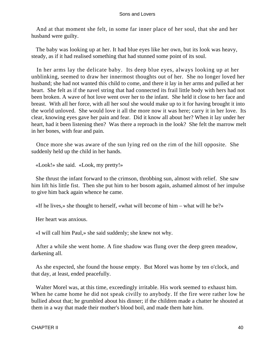And at that moment she felt, in some far inner place of her soul, that she and her husband were guilty.

 The baby was looking up at her. It had blue eyes like her own, but its look was heavy, steady, as if it had realised something that had stunned some point of its soul.

 In her arms lay the delicate baby. Its deep blue eyes, always looking up at her unblinking, seemed to draw her innermost thoughts out of her. She no longer loved her husband; she had not wanted this child to come, and there it lay in her arms and pulled at her heart. She felt as if the navel string that had connected its frail little body with hers had not been broken. A wave of hot love went over her to the infant. She held it close to her face and breast. With all her force, with all her soul she would make up to it for having brought it into the world unloved. She would love it all the more now it was here; carry it in her love. Its clear, knowing eyes gave her pain and fear. Did it know all about her? When it lay under her heart, had it been listening then? Was there a reproach in the look? She felt the marrow melt in her bones, with fear and pain.

 Once more she was aware of the sun lying red on the rim of the hill opposite. She suddenly held up the child in her hands.

«Look!» she said. «Look, my pretty!»

 She thrust the infant forward to the crimson, throbbing sun, almost with relief. She saw him lift his little fist. Then she put him to her bosom again, ashamed almost of her impulse to give him back again whence he came.

«If he lives,» she thought to herself, «what will become of him – what will he be?»

Her heart was anxious.

«I will call him Paul,» she said suddenly; she knew not why.

 After a while she went home. A fine shadow was flung over the deep green meadow, darkening all.

 As she expected, she found the house empty. But Morel was home by ten o'clock, and that day, at least, ended peacefully.

 Walter Morel was, at this time, exceedingly irritable. His work seemed to exhaust him. When he came home he did not speak civilly to anybody. If the fire were rather low he bullied about that; he grumbled about his dinner; if the children made a chatter he shouted at them in a way that made their mother's blood boil, and made them hate him.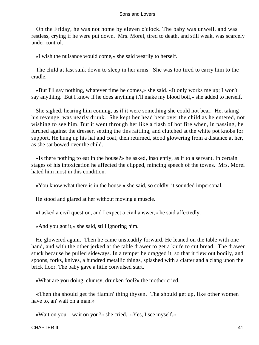On the Friday, he was not home by eleven o'clock. The baby was unwell, and was restless, crying if he were put down. Mrs. Morel, tired to death, and still weak, was scarcely under control.

«I wish the nuisance would come,» she said wearily to herself.

 The child at last sank down to sleep in her arms. She was too tired to carry him to the cradle.

 «But I'll say nothing, whatever time he comes,» she said. «It only works me up; I won't say anything. But I know if he does anything it'll make my blood boil,» she added to herself.

 She sighed, hearing him coming, as if it were something she could not bear. He, taking his revenge, was nearly drunk. She kept her head bent over the child as he entered, not wishing to see him. But it went through her like a flash of hot fire when, in passing, he lurched against the dresser, setting the tins rattling, and clutched at the white pot knobs for support. He hung up his hat and coat, then returned, stood glowering from a distance at her, as she sat bowed over the child.

 «Is there nothing to eat in the house?» he asked, insolently, as if to a servant. In certain stages of his intoxication he affected the clipped, mincing speech of the towns. Mrs. Morel hated him most in this condition.

«You know what there is in the house,» she said, so coldly, it sounded impersonal.

He stood and glared at her without moving a muscle.

«I asked a civil question, and I expect a civil answer,» he said affectedly.

«And you got it,» she said, still ignoring him.

 He glowered again. Then he came unsteadily forward. He leaned on the table with one hand, and with the other jerked at the table drawer to get a knife to cut bread. The drawer stuck because he pulled sideways. In a temper he dragged it, so that it flew out bodily, and spoons, forks, knives, a hundred metallic things, splashed with a clatter and a clang upon the brick floor. The baby gave a little convulsed start.

«What are you doing, clumsy, drunken fool?» the mother cried.

 «Then tha should get the flamin' thing thysen. Tha should get up, like other women have to, an' wait on a man.»

«Wait on you – wait on you?» she cried. «Yes, I see myself.»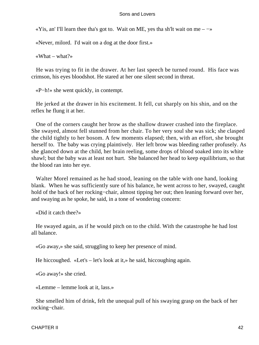«Yis, an' I'll learn thee tha's got to. Wait on ME, yes tha sh'lt wait on me –  $\rightarrow$ 

«Never, milord. I'd wait on a dog at the door first.»

«What – what?»

 He was trying to fit in the drawer. At her last speech be turned round. His face was crimson, his eyes bloodshot. He stared at her one silent second in threat.

«P−h!» she went quickly, in contempt.

 He jerked at the drawer in his excitement. It fell, cut sharply on his shin, and on the reflex he flung it at her.

 One of the corners caught her brow as the shallow drawer crashed into the fireplace. She swayed, almost fell stunned from her chair. To her very soul she was sick; she clasped the child tightly to her bosom. A few moments elapsed; then, with an effort, she brought herself to. The baby was crying plaintively. Her left brow was bleeding rather profusely. As she glanced down at the child, her brain reeling, some drops of blood soaked into its white shawl; but the baby was at least not hurt. She balanced her head to keep equilibrium, so that the blood ran into her eye.

 Walter Morel remained as he had stood, leaning on the table with one hand, looking blank. When he was sufficiently sure of his balance, he went across to her, swayed, caught hold of the back of her rocking−chair, almost tipping her out; then leaning forward over her, and swaying as he spoke, he said, in a tone of wondering concern:

«Did it catch thee?»

 He swayed again, as if he would pitch on to the child. With the catastrophe he had lost all balance.

«Go away,» she said, struggling to keep her presence of mind.

He hiccoughed. «Let's – let's look at it,» he said, hiccoughing again.

«Go away!» she cried.

«Lemme – lemme look at it, lass.»

 She smelled him of drink, felt the unequal pull of his swaying grasp on the back of her rocking−chair.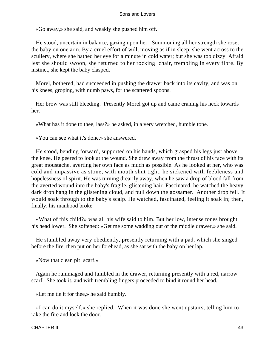«Go away,» she said, and weakly she pushed him off.

 He stood, uncertain in balance, gazing upon her. Summoning all her strength she rose, the baby on one arm. By a cruel effort of will, moving as if in sleep, she went across to the scullery, where she bathed her eye for a minute in cold water; but she was too dizzy. Afraid lest she should swoon, she returned to her rocking−chair, trembling in every fibre. By instinct, she kept the baby clasped.

 Morel, bothered, had succeeded in pushing the drawer back into its cavity, and was on his knees, groping, with numb paws, for the scattered spoons.

 Her brow was still bleeding. Presently Morel got up and came craning his neck towards her.

«What has it done to thee, lass?» he asked, in a very wretched, humble tone.

«You can see what it's done,» she answered.

 He stood, bending forward, supported on his hands, which grasped his legs just above the knee. He peered to look at the wound. She drew away from the thrust of his face with its great moustache, averting her own face as much as possible. As he looked at her, who was cold and impassive as stone, with mouth shut tight, he sickened with feebleness and hopelessness of spirit. He was turning drearily away, when he saw a drop of blood fall from the averted wound into the baby's fragile, glistening hair. Fascinated, he watched the heavy dark drop hang in the glistening cloud, and pull down the gossamer. Another drop fell. It would soak through to the baby's scalp. He watched, fascinated, feeling it soak in; then, finally, his manhood broke.

 «What of this child?» was all his wife said to him. But her low, intense tones brought his head lower. She softened: «Get me some wadding out of the middle drawer,» she said.

 He stumbled away very obediently, presently returning with a pad, which she singed before the fire, then put on her forehead, as she sat with the baby on her lap.

«Now that clean pit−scarf.»

 Again he rummaged and fumbled in the drawer, returning presently with a red, narrow scarf. She took it, and with trembling fingers proceeded to bind it round her head.

«Let me tie it for thee,» he said humbly.

 «I can do it myself,» she replied. When it was done she went upstairs, telling him to rake the fire and lock the door.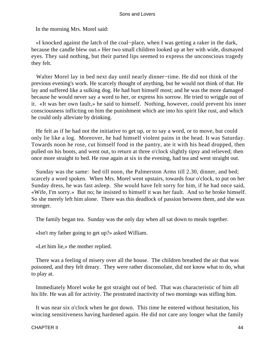In the morning Mrs. Morel said:

 «I knocked against the latch of the coal−place, when I was getting a raker in the dark, because the candle blew out.» Her two small children looked up at her with wide, dismayed eyes. They said nothing, but their parted lips seemed to express the unconscious tragedy they felt.

 Walter Morel lay in bed next day until nearly dinner−time. He did not think of the previous evening's work. He scarcely thought of anything, but he would not think of that. He lay and suffered like a sulking dog. He had hurt himself most; and he was the more damaged because he would never say a word to her, or express his sorrow. He tried to wriggle out of it. «It was her own fault,» he said to himself. Nothing, however, could prevent his inner consciousness inflicting on him the punishment which ate into his spirit like rust, and which he could only alleviate by drinking.

 He felt as if he had not the initiative to get up, or to say a word, or to move, but could only lie like a log. Moreover, he had himself violent pains in the head. It was Saturday. Towards noon he rose, cut himself food in the pantry, ate it with his head dropped, then pulled on his boots, and went out, to return at three o'clock slightly tipsy and relieved; then once more straight to bed. He rose again at six in the evening, had tea and went straight out.

 Sunday was the same: bed till noon, the Palmerston Arms till 2.30, dinner, and bed; scarcely a word spoken. When Mrs. Morel went upstairs, towards four o'clock, to put on her Sunday dress, he was fast asleep. She would have felt sorry for him, if he had once said, «Wife, I'm sorry.» But no; he insisted to himself it was her fault. And so he broke himself. So she merely left him alone. There was this deadlock of passion between them, and she was stronger.

The family began tea. Sunday was the only day when all sat down to meals together.

«Isn't my father going to get up?» asked William.

«Let him lie,» the mother replied.

 There was a feeling of misery over all the house. The children breathed the air that was poisoned, and they felt dreary. They were rather disconsolate, did not know what to do, what to play at.

 Immediately Morel woke he got straight out of bed. That was characteristic of him all his life. He was all for activity. The prostrated inactivity of two mornings was stifling him.

 It was near six o'clock when he got down. This time he entered without hesitation, his wincing sensitiveness having hardened again. He did not care any longer what the family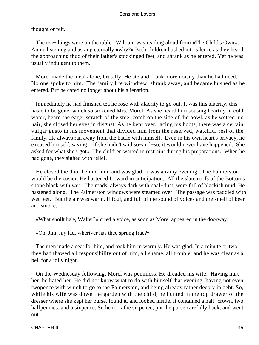# thought or felt.

 The tea−things were on the table. William was reading aloud from «The Child's Own», Annie listening and asking eternally «why?» Both children hushed into silence as they heard the approaching thud of their father's stockinged feet, and shrank as he entered. Yet he was usually indulgent to them.

 Morel made the meal alone, brutally. He ate and drank more noisily than he had need. No one spoke to him. The family life withdrew, shrank away, and became hushed as he entered. But he cared no longer about his alienation.

 Immediately he had finished tea he rose with alacrity to go out. It was this alacrity, this haste to be gone, which so sickened Mrs. Morel. As she heard him sousing heartily in cold water, heard the eager scratch of the steel comb on the side of the bowl, as he wetted his hair, she closed her eyes in disgust. As he bent over, lacing his boots, there was a certain vulgar gusto in his movement that divided him from the reserved, watchful rest of the family. He always ran away from the battle with himself. Even in his own heart's privacy, he excused himself, saying, «If she hadn't said so−and−so, it would never have happened. She asked for what she's got.» The children waited in restraint during his preparations. When he had gone, they sighed with relief.

 He closed the door behind him, and was glad. It was a rainy evening. The Palmerston would be the cosier. He hastened forward in anticipation. All the slate roofs of the Bottoms shone black with wet. The roads, always dark with coal−dust, were full of blackish mud. He hastened along. The Palmerston windows were steamed over. The passage was paddled with wet feet. But the air was warm, if foul, and full of the sound of voices and the smell of beer and smoke.

«What shollt ha'e, Walter?» cried a voice, as soon as Morel appeared in the doorway.

«Oh, Jim, my lad, wheriver has thee sprung frae?»

 The men made a seat for him, and took him in warmly. He was glad. In a minute or two they had thawed all responsibility out of him, all shame, all trouble, and he was clear as a bell for a jolly night.

 On the Wednesday following, Morel was penniless. He dreaded his wife. Having hurt her, he hated her. He did not know what to do with himself that evening, having not even twopence with which to go to the Palmerston, and being already rather deeply in debt. So, while his wife was down the garden with the child, he hunted in the top drawer of the dresser where she kept her purse, found it, and looked inside. It contained a half−crown, two halfpennies, and a sixpence. So he took the sixpence, put the purse carefully back, and went out.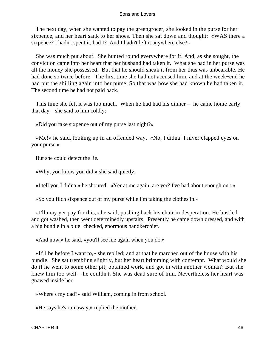The next day, when she wanted to pay the greengrocer, she looked in the purse for her sixpence, and her heart sank to her shoes. Then she sat down and thought: «WAS there a sixpence? I hadn't spent it, had I? And I hadn't left it anywhere else?»

 She was much put about. She hunted round everywhere for it. And, as she sought, the conviction came into her heart that her husband had taken it. What she had in her purse was all the money she possessed. But that he should sneak it from her thus was unbearable. He had done so twice before. The first time she had not accused him, and at the week−end he had put the shilling again into her purse. So that was how she had known he had taken it. The second time he had not paid back.

 This time she felt it was too much. When he had had his dinner – he came home early that day – she said to him coldly:

«Did you take sixpence out of my purse last night?»

 «Me!» he said, looking up in an offended way. «No, I didna! I niver clapped eyes on your purse.»

But she could detect the lie.

«Why, you know you did,» she said quietly.

«I tell you I didna,» he shouted. «Yer at me again, are yer? I've had about enough on't.»

«So you filch sixpence out of my purse while I'm taking the clothes in.»

 «I'll may yer pay for this,» he said, pushing back his chair in desperation. He bustled and got washed, then went determinedly upstairs. Presently he came down dressed, and with a big bundle in a blue−checked, enormous handkerchief.

«And now,» he said, «you'll see me again when you do.»

 «It'll be before I want to,» she replied; and at that he marched out of the house with his bundle. She sat trembling slightly, but her heart brimming with contempt. What would she do if he went to some other pit, obtained work, and got in with another woman? But she knew him too well – he couldn't. She was dead sure of him. Nevertheless her heart was gnawed inside her.

«Where's my dad?» said William, coming in from school.

«He says he's run away,» replied the mother.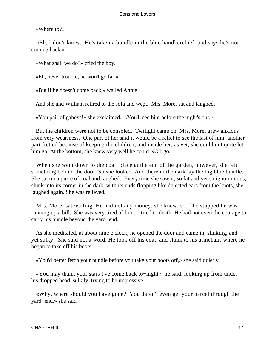«Where to?»

 «Eh, I don't know. He's taken a bundle in the blue handkerchief, and says he's not coming back.»

«What shall we do?» cried the boy.

«Eh, never trouble, he won't go far.»

«But if he doesn't come back,» wailed Annie.

And she and William retired to the sofa and wept. Mrs. Morel sat and laughed.

«You pair of gabeys!» she exclaimed. «You'll see him before the night's out.»

 But the children were not to be consoled. Twilight came on. Mrs. Morel grew anxious from very weariness. One part of her said it would be a relief to see the last of him; another part fretted because of keeping the children; and inside her, as yet, she could not quite let him go. At the bottom, she knew very well he could NOT go.

 When she went down to the coal−place at the end of the garden, however, she felt something behind the door. So she looked. And there in the dark lay the big blue bundle. She sat on a piece of coal and laughed. Every time she saw it, so fat and yet so ignominious, slunk into its corner in the dark, with its ends flopping like dejected ears from the knots, she laughed again. She was relieved.

 Mrs. Morel sat waiting. He had not any money, she knew, so if he stopped he was running up a bill. She was very tired of him – tired to death. He had not even the courage to carry his bundle beyond the yard−end.

 As she meditated, at about nine o'clock, he opened the door and came in, slinking, and yet sulky. She said not a word. He took off his coat, and slunk to his armchair, where he began to take off his boots.

«You'd better fetch your bundle before you take your boots off,» she said quietly.

 «You may thank your stars I've come back to−night,» he said, looking up from under his dropped head, sulkily, trying to be impressive.

 «Why, where should you have gone? You daren't even get your parcel through the yard−end,» she said.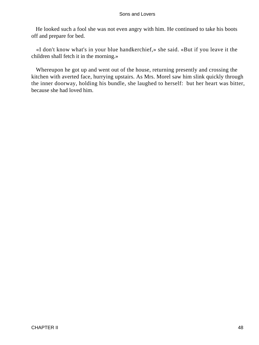He looked such a fool she was not even angry with him. He continued to take his boots off and prepare for bed.

 «I don't know what's in your blue handkerchief,» she said. «But if you leave it the children shall fetch it in the morning.»

 Whereupon he got up and went out of the house, returning presently and crossing the kitchen with averted face, hurrying upstairs. As Mrs. Morel saw him slink quickly through the inner doorway, holding his bundle, she laughed to herself: but her heart was bitter, because she had loved him.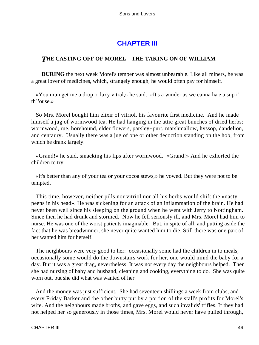# **[CHAPTER III](#page-470-0)**

# *T*HE **CASTING OFF OF MOREL** – **THE TAKING ON OF WILLIAM**

**DURING** the next week Morel's temper was almost unbearable. Like all miners, he was a great lover of medicines, which, strangely enough, he would often pay for himself.

 «You mun get me a drop o' laxy vitral,» he said. «It's a winder as we canna ha'e a sup i' th' 'ouse.»

 So Mrs. Morel bought him elixir of vitriol, his favourite first medicine. And he made himself a jug of wormwood tea. He had hanging in the attic great bunches of dried herbs: wormwood, rue, horehound, elder flowers, parsley−purt, marshmallow, hyssop, dandelion, and centaury. Usually there was a jug of one or other decoction standing on the hob, from which he drank largely.

 «Grand!» he said, smacking his lips after wormwood. «Grand!» And he exhorted the children to try.

 «It's better than any of your tea or your cocoa stews,» he vowed. But they were not to be tempted.

 This time, however, neither pills nor vitriol nor all his herbs would shift the «nasty peens in his head». He was sickening for an attack of an inflammation of the brain. He had never been well since his sleeping on the ground when he went with Jerry to Nottingham. Since then he had drunk and stormed. Now he fell seriously ill, and Mrs. Morel had him to nurse. He was one of the worst patients imaginable. But, in spite of all, and putting aside the fact that he was breadwinner, she never quite wanted him to die. Still there was one part of her wanted him for herself.

 The neighbours were very good to her: occasionally some had the children in to meals, occasionally some would do the downstairs work for her, one would mind the baby for a day. But it was a great drag, nevertheless. It was not every day the neighbours helped. Then she had nursing of baby and husband, cleaning and cooking, everything to do. She was quite worn out, but she did what was wanted of her.

 And the money was just sufficient. She had seventeen shillings a week from clubs, and every Friday Barker and the other butty put by a portion of the stall's profits for Morel's wife. And the neighbours made broths, and gave eggs, and such invalids' trifles. If they had not helped her so generously in those times, Mrs. Morel would never have pulled through,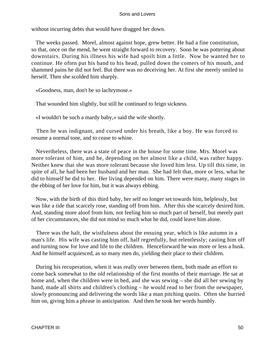without incurring debts that would have dragged her down.

 The weeks passed. Morel, almost against hope, grew better. He had a fine constitution, so that, once on the mend, he went straight forward to recovery. Soon he was pottering about downstairs. During his illness his wife had spoilt him a little. Now he wanted her to continue. He often put his band to his head, pulled down the comers of his mouth, and shammed pains he did not feel. But there was no deceiving her. At first she merely smiled to herself. Then she scolded him sharply.

«Goodness, man, don't be so lachrymose.»

That wounded him slightly, but still he continued to feign sickness.

«I wouldn't be such a mardy baby,» said the wife shortly.

 Then he was indignant, and cursed under his breath, like a boy. He was forced to resume a normal tone, and to cease to whine.

 Nevertheless, there was a state of peace in the house for some time. Mrs. Morel was more tolerant of him, and he, depending on her almost like a child, was rather happy. Neither knew that she was more tolerant because she loved him less. Up till this time, in spite of all, he had been her husband and her man. She had felt that, more or less, what he did to himself he did to her. Her living depended on him. There were many, many stages in the ebbing of her love for him, but it was always ebbing.

 Now, with the birth of this third baby, her self no longer set towards him, helplessly, but was like a tide that scarcely rose, standing off from him. After this she scarcely desired him. And, standing more aloof from him, not feeling him so much part of herself, but merely part of her circumstances, she did not mind so much what he did, could leave him alone.

 There was the halt, the wistfulness about the ensuing year, which is like autumn in a man's life. His wife was casting him off, half regretfully, but relentlessly; casting him off and turning now for love and life to the children. Henceforward he was more or less a husk. And he himself acquiesced, as so many men do, yielding their place to their children.

 During his recuperation, when it was really over between them, both made an effort to come back somewhat to the old relationship of the first months of their marriage. He sat at home and, when the children were in bed, and she was sewing – she did all her sewing by hand, made all shirts and children's clothing – he would read to her from the newspaper, slowly pronouncing and delivering the words like a man pitching quoits. Often she hurried him on, giving him a phrase in anticipation. And then he took her words humbly.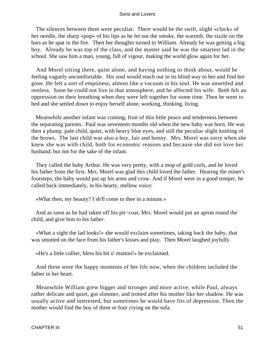The silences between them were peculiar. There would be the swift, slight «cluck» of her needle, the sharp «pop» of his lips as he let out the smoke, the warmth, the sizzle on the bars as he spat in the fire. Then her thoughts turned to William. Already he was getting a big boy. Already he was top of the class, and the master said he was the smartest lad in the school. She saw him a man, young, full of vigour, making the world glow again for her.

 And Morel sitting there, quite alone, and having nothing to think about, would be feeling vaguely uncomfortable. His soul would reach out in its blind way to her and find her gone. He felt a sort of emptiness, almost like a vacuum in his soul. He was unsettled and restless. Soon he could not live in that atmosphere, and he affected his wife. Both felt an oppression on their breathing when they were left together for some time. Then he went to bed and she settled down to enjoy herself alone, working, thinking, living.

 Meanwhile another infant was coming, fruit of this little peace and tenderness between the separating parents. Paul was seventeen months old when the new baby was born. He was then a plump, pale child, quiet, with heavy blue eyes, and still the peculiar slight knitting of the brows. The last child was also a boy, fair and bonny. Mrs. Morel was sorry when she knew she was with child, both for economic reasons and because she did not love her husband; but not for the sake of the infant.

 They called the baby Arthur. He was very pretty, with a mop of gold curls, and he loved his father from the first. Mrs. Morel was glad this child loved the father. Hearing the miner's footsteps, the baby would put up his arms and crow. And if Morel were in a good temper, he called back immediately, in his hearty, mellow voice:

«What then, my beauty? I sh'll come to thee in a minute.»

 And as soon as he had taken off his pit−coat, Mrs. Morel would put an apron round the child, and give him to his father.

 «What a sight the lad looks!» she would exclaim sometimes, taking back the baby, that was smutted on the face from his father's kisses and play. Then Morel laughed joyfully.

«He's a little collier, bless his bit o' mutton!» he exclaimed.

 And these were the happy moments of her life now, when the children included the father in her heart.

 Meanwhile William grew bigger and stronger and more active, while Paul, always rather delicate and quiet, got slimmer, and trotted after his mother like her shadow. He was usually active and interested, but sometimes he would have fits of depression. Then the mother would find the boy of three or four crying on the sofa.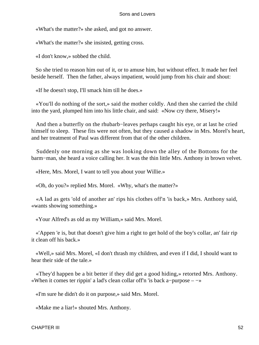«What's the matter?» she asked, and got no answer.

«What's the matter?» she insisted, getting cross.

«I don't know,» sobbed the child.

 So she tried to reason him out of it, or to amuse him, but without effect. It made her feel beside herself. Then the father, always impatient, would jump from his chair and shout:

«If he doesn't stop, I'll smack him till he does.»

 «You'll do nothing of the sort,» said the mother coldly. And then she carried the child into the yard, plumped him into his little chair, and said: «Now cry there, Misery!»

 And then a butterfly on the rhubarb−leaves perhaps caught his eye, or at last he cried himself to sleep. These fits were not often, but they caused a shadow in Mrs. Morel's heart, and her treatment of Paul was different from that of the other children.

 Suddenly one morning as she was looking down the alley of the Bottoms for the barm−man, she heard a voice calling her. It was the thin little Mrs. Anthony in brown velvet.

«Here, Mrs. Morel, I want to tell you about your Willie.»

«Oh, do you?» replied Mrs. Morel. «Why, what's the matter?»

 «A lad as gets 'old of another an' rips his clothes off'n 'is back,» Mrs. Anthony said, «wants showing something.»

«Your Alfred's as old as my William,» said Mrs. Morel.

 «'Appen 'e is, but that doesn't give him a right to get hold of the boy's collar, an' fair rip it clean off his back.»

 «Well,» said Mrs. Morel, «I don't thrash my children, and even if I did, I should want to hear their side of the tale.»

 «They'd happen be a bit better if they did get a good hiding,» retorted Mrs. Anthony. «When it comes ter rippin' a lad's clean collar off'n 'is back a−purpose – −»

«I'm sure he didn't do it on purpose,» said Mrs. Morel.

«Make me a liar!» shouted Mrs. Anthony.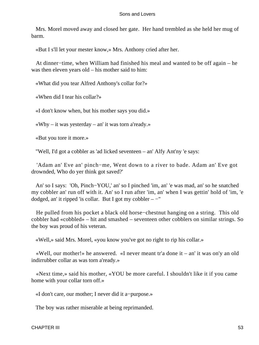Mrs. Morel moved away and closed her gate. Her hand trembled as she held her mug of barm.

«But I s'll let your mester know,» Mrs. Anthony cried after her.

 At dinner−time, when William had finished his meal and wanted to be off again – he was then eleven years old – his mother said to him:

«What did you tear Alfred Anthony's collar for?»

«When did I tear his collar?»

«I don't know when, but his mother says you did.»

«Why – it was yesterday – an' it was torn a'ready.»

«But you tore it more.»

"Well, I'd got a cobbler as 'ad licked seventeen – an' Alfy Ant'ny 'e says:

 'Adam an' Eve an' pinch−me, Went down to a river to bade. Adam an' Eve got drownded, Who do yer think got saved?'

 An' so I says: 'Oh, Pinch−YOU,' an' so I pinched 'im, an' 'e was mad, an' so he snatched my cobbler an' run off with it. An' so I run after 'im, an' when I was gettin' hold of 'im, 'e dodged, an' it ripped 'is collar. But I got my cobbler  $-$ "

 He pulled from his pocket a black old horse−chestnut hanging on a string. This old cobbler had «cobbled» – hit and smashed – seventeen other cobblers on similar strings. So the boy was proud of his veteran.

«Well,» said Mrs. Morel, «you know you've got no right to rip his collar.»

 «Well, our mother!» he answered. «I never meant tr'a done it – an' it was on'y an old indirrubber collar as was torn a'ready.»

 «Next time,» said his mother, «YOU be more careful. I shouldn't like it if you came home with your collar torn off.»

«I don't care, our mother; I never did it a−purpose.»

The boy was rather miserable at being reprimanded.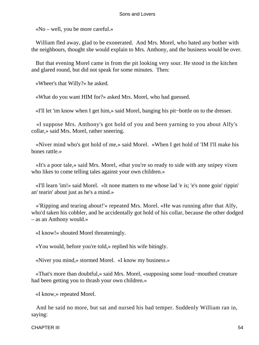«No – well, you be more careful.»

 William fled away, glad to be exonerated. And Mrs. Morel, who hated any bother with the neighbours, thought she would explain to Mrs. Anthony, and the business would be over.

 But that evening Morel came in from the pit looking very sour. He stood in the kitchen and glared round, but did not speak for some minutes. Then:

«Wheer's that Willy?» he asked.

«What do you want HIM for?» asked Mrs. Morel, who had guessed.

«I'll let 'im know when I get him,» said Morel, banging his pit−bottle on to the dresser.

 «I suppose Mrs. Anthony's got hold of you and been yarning to you about Alfy's collar,» said Mrs. Morel, rather sneering.

 «Niver mind who's got hold of me,» said Morel. «When I get hold of 'IM I'll make his bones rattle.»

 «It's a poor tale,» said Mrs. Morel, «that you're so ready to side with any snipey vixen who likes to come telling tales against your own children.»

 «I'll learn 'im!» said Morel. «It none matters to me whose lad 'e is; 'e's none goin' rippin' an' tearin' about just as he's a mind.»

 «'Ripping and tearing about!'» repeated Mrs. Morel. «He was running after that Alfy, who'd taken his cobbler, and he accidentally got hold of his collar, because the other dodged – as an Anthony would.»

«I know!» shouted Morel threateningly.

«You would, before you're told,» replied his wife bitingly.

«Niver you mind,» stormed Morel. «I know my business.»

 «That's more than doubtful,» said Mrs. Morel, «supposing some loud−mouthed creature had been getting you to thrash your own children.»

«I know,» repeated Morel.

 And he said no more, but sat and nursed his bad temper. Suddenly William ran in, saying: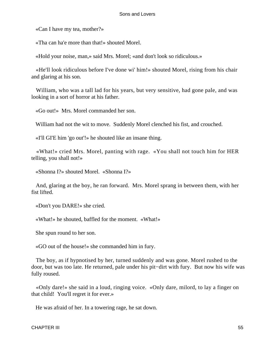«Can I have my tea, mother?»

«Tha can ha'e more than that!» shouted Morel.

«Hold your noise, man,» said Mrs. Morel; «and don't look so ridiculous.»

 «He'll look ridiculous before I've done wi' him!» shouted Morel, rising from his chair and glaring at his son.

 William, who was a tall lad for his years, but very sensitive, had gone pale, and was looking in a sort of horror at his father.

«Go out!» Mrs. Morel commanded her son.

William had not the wit to move. Suddenly Morel clenched his fist, and crouched.

«I'll GI'E him 'go out'!» he shouted like an insane thing.

 «What!» cried Mrs. Morel, panting with rage. «You shall not touch him for HER telling, you shall not!»

«Shonna I?» shouted Morel. «Shonna I?»

 And, glaring at the boy, he ran forward. Mrs. Morel sprang in between them, with her fist lifted.

«Don't you DARE!» she cried.

«What!» he shouted, baffled for the moment. «What!»

She spun round to her son.

«GO out of the house!» she commanded him in fury.

 The boy, as if hypnotised by her, turned suddenly and was gone. Morel rushed to the door, but was too late. He returned, pale under his pit−dirt with fury. But now his wife was fully roused.

 «Only dare!» she said in a loud, ringing voice. «Only dare, milord, to lay a finger on that child! You'll regret it for ever.»

He was afraid of her. In a towering rage, he sat down.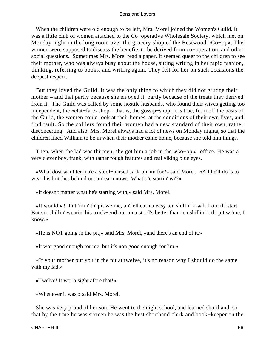When the children were old enough to be left, Mrs. Morel joined the Women's Guild. It was a little club of women attached to the Co−operative Wholesale Society, which met on Monday night in the long room over the grocery shop of the Bestwood «Co−op». The women were supposed to discuss the benefits to be derived from co−operation, and other social questions. Sometimes Mrs. Morel read a paper. It seemed queer to the children to see their mother, who was always busy about the house, sitting writing in her rapid fashion, thinking, referring to books, and writing again. They felt for her on such occasions the deepest respect.

 But they loved the Guild. It was the only thing to which they did not grudge their mother – and that partly because she enjoyed it, partly because of the treats they derived from it. The Guild was called by some hostile husbands, who found their wives getting too independent, the «clat−fart» shop – that is, the gossip−shop. It is true, from off the basis of the Guild, the women could look at their homes, at the conditions of their own lives, and find fault. So the colliers found their women had a new standard of their own, rather disconcerting. And also, Mrs. Morel always had a lot of news on Monday nights, so that the children liked William to be in when their mother came home, because she told him things.

 Then, when the lad was thirteen, she got him a job in the «Co−op.» office. He was a very clever boy, frank, with rather rough features and real viking blue eyes.

 «What dost want ter ma'e a stool−harsed Jack on 'im for?» said Morel. «All he'll do is to wear his britches behind out an' earn nowt. What's 'e startin' wi'?»

«It doesn't matter what he's starting with,» said Mrs. Morel.

 «It wouldna! Put 'im i' th' pit we me, an' 'ell earn a easy ten shillin' a wik from th' start. But six shillin' wearin' his truck−end out on a stool's better than ten shillin' i' th' pit wi'me, I know.»

«He is NOT going in the pit,» said Mrs. Morel, «and there's an end of it.»

«It wor good enough for me, but it's non good enough for 'im.»

 «If your mother put you in the pit at twelve, it's no reason why I should do the same with my lad.»

«Twelve! It wor a sight afore that!»

«Whenever it was,» said Mrs. Morel.

 She was very proud of her son. He went to the night school, and learned shorthand, so that by the time he was sixteen he was the best shorthand clerk and book−keeper on the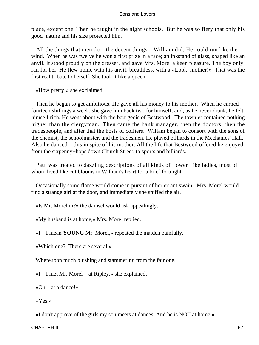place, except one. Then he taught in the night schools. But he was so fiery that only his good−nature and his size protected him.

 All the things that men do – the decent things – William did. He could run like the wind. When he was twelve he won a first prize in a race; an inkstand of glass, shaped like an anvil. It stood proudly on the dresser, and gave Mrs. Morel a keen pleasure. The boy only ran for her. He flew home with his anvil, breathless, with a «Look, mother!» That was the first real tribute to herself. She took it like a queen.

«How pretty!» she exclaimed.

 Then he began to get ambitious. He gave all his money to his mother. When he earned fourteen shillings a week, she gave him back two for himself, and, as he never drank, he felt himself rich. He went about with the bourgeois of Bestwood. The townlet contained nothing higher than the clergyman. Then came the bank manager, then the doctors, then the tradespeople, and after that the hosts of colliers. Willam began to consort with the sons of the chemist, the schoolmaster, and the tradesmen. He played billiards in the Mechanics' Hall. Also he danced – this in spite of his mother. All the life that Bestwood offered he enjoyed, from the sixpenny−hops down Church Street, to sports and billiards.

 Paul was treated to dazzling descriptions of all kinds of flower−like ladies, most of whom lived like cut blooms in William's heart for a brief fortnight.

 Occasionally some flame would come in pursuit of her errant swain. Mrs. Morel would find a strange girl at the door, and immediately she sniffed the air.

«Is Mr. Morel in?» the damsel would ask appealingly.

«My husband is at home,» Mrs. Morel replied.

«I – I mean **YOUNG** Mr. Morel,» repeated the maiden painfully.

«Which one? There are several.»

Whereupon much blushing and stammering from the fair one.

«I – I met Mr. Morel – at Ripley,» she explained.

«Oh – at a dance!»

«Yes.»

«I don't approve of the girls my son meets at dances. And he is NOT at home.»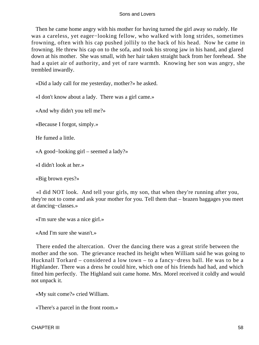Then he came home angry with his mother for having turned the girl away so rudely. He was a careless, yet eager−looking fellow, who walked with long strides, sometimes frowning, often with his cap pushed jollily to the back of his head. Now he came in frowning. He threw his cap on to the sofa, and took his strong jaw in his hand, and glared down at his mother. She was small, with her hair taken straight back from her forehead. She had a quiet air of authority, and yet of rare warmth. Knowing her son was angry, she trembled inwardly.

«Did a lady call for me yesterday, mother?» he asked.

«I don't know about a lady. There was a girl came.»

«And why didn't you tell me?»

«Because I forgot, simply.»

He fumed a little.

«A good−looking girl – seemed a lady?»

«I didn't look at her.»

«Big brown eyes?»

 «I did NOT look. And tell your girls, my son, that when they're running after you, they're not to come and ask your mother for you. Tell them that – brazen baggages you meet at dancing−classes.»

«I'm sure she was a nice girl.»

«And I'm sure she wasn't.»

 There ended the altercation. Over the dancing there was a great strife between the mother and the son. The grievance reached its height when William said he was going to Hucknall Torkard – considered a low town – to a fancy−dress ball. He was to be a Highlander. There was a dress he could hire, which one of his friends had had, and which fitted him perfectly. The Highland suit came home. Mrs. Morel received it coldly and would not unpack it.

«My suit come?» cried William.

«There's a parcel in the front room.»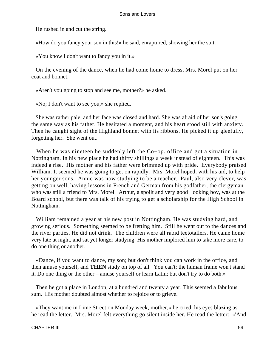He rushed in and cut the string.

«How do you fancy your son in this!» he said, enraptured, showing her the suit.

«You know I don't want to fancy you in it.»

 On the evening of the dance, when he had come home to dress, Mrs. Morel put on her coat and bonnet.

«Aren't you going to stop and see me, mother?» he asked.

«No; I don't want to see you,» she replied.

 She was rather pale, and her face was closed and hard. She was afraid of her son's going the same way as his father. He hesitated a moment, and his heart stood still with anxiety. Then he caught sight of the Highland bonnet with its ribbons. He picked it up gleefully, forgetting her. She went out.

 When he was nineteen he suddenly left the Co−op. office and got a situation in Nottingham. In his new place he had thirty shillings a week instead of eighteen. This was indeed a rise. His mother and his father were brimmed up with pride. Everybody praised William. It seemed he was going to get on rapidly. Mrs. Morel hoped, with his aid, to help her younger sons. Annie was now studying to be a teacher. Paul, also very clever, was getting on well, having lessons in French and German from his godfather, the clergyman who was still a friend to Mrs. Morel. Arthur, a spoilt and very good−looking boy, was at the Board school, but there was talk of his trying to get a scholarship for the High School in Nottingham.

 William remained a year at his new post in Nottingham. He was studying hard, and growing serious. Something seemed to be fretting him. Still he went out to the dances and the river parties. He did not drink. The children were all rabid teetotallers. He came home very late at night, and sat yet longer studying. His mother implored him to take more care, to do one thing or another.

 «Dance, if you want to dance, my son; but don't think you can work in the office, and then amuse yourself, and **THEN** study on top of all. You can't; the human frame won't stand it. Do one thing or the other – amuse yourself or learn Latin; but don't try to do both.»

 Then he got a place in London, at a hundred and twenty a year. This seemed a fabulous sum. His mother doubted almost whether to rejoice or to grieve.

 «They want me in Lime Street on Monday week, mother,» he cried, his eyes blazing as he read the letter. Mrs. Morel felt everything go silent inside her. He read the letter: «'And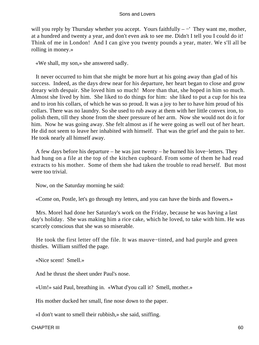will you reply by Thursday whether you accept. Yours faithfully  $-$  They want me, mother, at a hundred and twenty a year, and don't even ask to see me. Didn't I tell you I could do it! Think of me in London! And I can give you twenty pounds a year, mater. We s'll all be rolling in money.»

«We shall, my son,» she answered sadly.

 It never occurred to him that she might be more hurt at his going away than glad of his success. Indeed, as the days drew near for his departure, her heart began to close and grow dreary with despair. She loved him so much! More than that, she hoped in him so much. Almost she lived by him. She liked to do things for him: she liked to put a cup for his tea and to iron his collars, of which he was so proud. It was a joy to her to have him proud of his collars. There was no laundry. So she used to rub away at them with her little convex iron, to polish them, till they shone from the sheer pressure of her arm. Now she would not do it for him. Now he was going away. She felt almost as if he were going as well out of her heart. He did not seem to leave her inhabited with himself. That was the grief and the pain to her. He took nearly all himself away.

 A few days before his departure – he was just twenty – he burned his love−letters. They had hung on a file at the top of the kitchen cupboard. From some of them he had read extracts to his mother. Some of them she had taken the trouble to read herself. But most were too trivial.

Now, on the Saturday morning he said:

«Come on, Postle, let's go through my letters, and you can have the birds and flowers.»

 Mrs. Morel had done her Saturday's work on the Friday, because he was having a last day's holiday. She was making him a rice cake, which he loved, to take with him. He was scarcely conscious that she was so miserable.

 He took the first letter off the file. It was mauve−tinted, and had purple and green thistles. William sniffed the page.

«Nice scent! Smell.»

And he thrust the sheet under Paul's nose.

«Um!» said Paul, breathing in. «What d'you call it? Smell, mother.»

His mother ducked her small, fine nose down to the paper.

«I don't want to smell their rubbish,» she said, sniffing.

CHAPTER III 60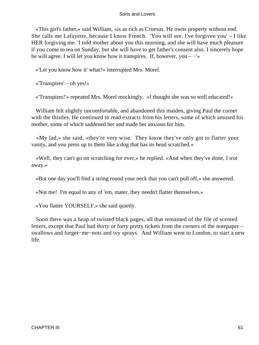«This girl's father,» said William, «is as rich as Croesus. He owns property without end. She calls me Lafayette, because I know French. 'You will see, I've forgiven you' – I like HER forgiving me. 'I told mother about you this morning, and she will have much pleasure if you come to tea on Sunday, but she will have to get father's consent also. I sincerely hope he will agree. I will let you know how it transpires. If, however, you –  $-\frac{1}{x}$ 

«'Let you know how it' what?» interrupted Mrs. Morel.

«'Transpires' – oh yes!»

«'Transpires!'» repeated Mrs. Morel mockingly. «I thought she was so well educated!»

 William felt slightly uncomfortable, and abandoned this maiden, giving Paul the corner with the thistles. He continued to read extracts from his letters, some of which amused his mother, some of which saddened her and made her anxious for him.

 «My lad,» she said, «they're very wise. They know they've only got to flatter your vanity, and you press up to them like a dog that has its head scratched.»

 «Well, they can't go on scratching for ever,» he replied. «And when they've done, I trot away.»

«But one day you'll find a string round your neck that you can't pull off,» she answered.

«Not me! I'm equal to any of 'em, mater, they needn't flatter themselves.»

«You flatter YOURSELF,» she said quietly.

 Soon there was a heap of twisted black pages, all that remained of the file of scented letters, except that Paul had thirty or forty pretty tickets from the corners of the notepaper – swallows and forget−me−nots and ivy sprays. And William went to London, to start a new life.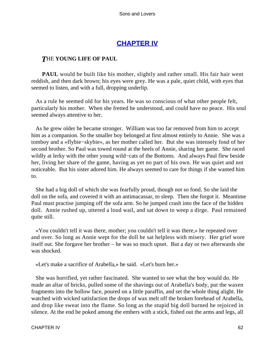# **[CHAPTER IV](#page-470-0)**

# *T*HE **YOUNG LIFE OF PAUL**

**PAUL** would be built like his mother, slightly and rather small. His fair hair went reddish, and then dark brown; his eyes were grey. He was a pale, quiet child, with eyes that seemed to listen, and with a full, dropping underlip.

 As a rule he seemed old for his years. He was so conscious of what other people felt, particularly his mother. When she fretted he understood, and could have no peace. His soul seemed always attentive to her.

 As he grew older he became stronger. William was too far removed from him to accept him as a companion. So the smaller boy belonged at first almost entirely to Annie. She was a tomboy and a «flybie−skybie», as her mother called her. But she was intensely fond of her second brother. So Paul was towed round at the heels of Annie, sharing her game. She raced wildly at lerky with the other young wild−cats of the Bottoms. And always Paul flew beside her, living her share of the game, having as yet no part of his own. He was quiet and not noticeable. But his sister adored him. He always seemed to care for things if she wanted him to.

 She had a big doll of which she was fearfully proud, though not so fond. So she laid the doll on the sofa, and covered it with an antimacassar, to sleep. Then she forgot it. Meantime Paul must practise jumping off the sofa arm. So he jumped crash into the face of the hidden doll. Annie rushed up, uttered a loud wail, and sat down to weep a dirge. Paul remained quite still.

 «You couldn't tell it was there, mother; you couldn't tell it was there,» he repeated over and over. So long as Annie wept for the doll he sat helpless with misery. Her grief wore itself out. She forgave her brother – he was so much upset. But a day or two afterwards she was shocked.

«Let's make a sacrifice of Arabella,» he said. «Let's burn her.»

 She was horrified, yet rather fascinated. She wanted to see what the boy would do. He made an altar of bricks, pulled some of the shavings out of Arabella's body, put the waxen fragments into the hollow face, poured on a little paraffin, and set the whole thing alight. He watched with wicked satisfaction the drops of wax melt off the broken forehead of Arabella, and drop like sweat into the flame. So long as the stupid big doll burned he rejoiced in silence. At the end be poked among the embers with a stick, fished out the arms and legs, all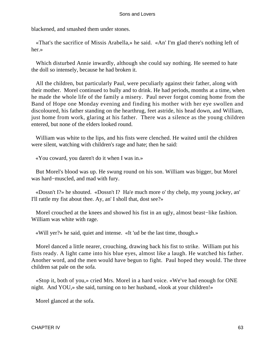blackened, and smashed them under stones.

 «That's the sacrifice of Missis Arabella,» he said. «An' I'm glad there's nothing left of her.»

 Which disturbed Annie inwardly, although she could say nothing. He seemed to hate the doll so intensely, because he had broken it.

 All the children, but particularly Paul, were peculiarly against their father, along with their mother. Morel continued to bully and to drink. He had periods, months at a time, when he made the whole life of the family a misery. Paul never forgot coming home from the Band of Hope one Monday evening and finding his mother with her eye swollen and discoloured, his father standing on the hearthrug, feet astride, his head down, and William, just home from work, glaring at his father. There was a silence as the young children entered, but none of the elders looked round.

 William was white to the lips, and his fists were clenched. He waited until the children were silent, watching with children's rage and hate; then he said:

«You coward, you daren't do it when I was in.»

 But Morel's blood was up. He swung round on his son. William was bigger, but Morel was hard−muscled, and mad with fury.

 «Dossn't I?» he shouted. «Dossn't I? Ha'e much more o' thy chelp, my young jockey, an' I'll rattle my fist about thee. Ay, an' I sholl that, dost see?»

 Morel crouched at the knees and showed his fist in an ugly, almost beast−like fashion. William was white with rage.

«Will yer?» he said, quiet and intense. «It 'ud be the last time, though.»

 Morel danced a little nearer, crouching, drawing back his fist to strike. William put his fists ready. A light came into his blue eyes, almost like a laugh. He watched his father. Another word, and the men would have begun to fight. Paul hoped they would. The three children sat pale on the sofa.

 «Stop it, both of you,» cried Mrs. Morel in a hard voice. «We've had enough for ONE night. And YOU,» she said, turning on to her husband, «look at your children!»

Morel glanced at the sofa.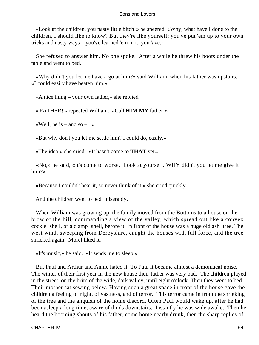«Look at the children, you nasty little bitch!» he sneered. «Why, what have I done to the children, I should like to know? But they're like yourself; you've put 'em up to your own tricks and nasty ways – you've learned 'em in it, you 'ave.»

 She refused to answer him. No one spoke. After a while he threw his boots under the table and went to bed.

 «Why didn't you let me have a go at him?» said William, when his father was upstairs. «I could easily have beaten him.»

«A nice thing – your own father,» she replied.

«'FATHER!'» repeated William. «Call **HIM MY** father!»

«Well, he is – and so –  $-\infty$ 

«But why don't you let me settle him? I could do, easily.»

«The idea!» she cried. «It hasn't come to **THAT** yet.»

 «No,» he said, «it's come to worse. Look at yourself. WHY didn't you let me give it him?»

«Because I couldn't bear it, so never think of it,» she cried quickly.

And the children went to bed, miserably.

 When William was growing up, the family moved from the Bottoms to a house on the brow of the hill, commanding a view of the valley, which spread out like a convex cockle−shell, or a clamp−shell, before it. In front of the house was a huge old ash−tree. The west wind, sweeping from Derbyshire, caught the houses with full force, and the tree shrieked again. Morel liked it.

«It's music,» he said. «It sends me to sleep.»

 But Paul and Arthur and Annie hated it. To Paul it became almost a demoniacal noise. The winter of their first year in the new house their father was very bad. The children played in the street, on the brim of the wide, dark valley, until eight o'clock. Then they went to bed. Their mother sat sewing below. Having such a great space in front of the house gave the children a feeling of night, of vastness, and of terror. This terror came in from the shrieking of the tree and the anguish of the home discord. Often Paul would wake up, after he had been asleep a long time, aware of thuds downstairs. Instantly he was wide awake. Then he heard the booming shouts of his father, come home nearly drunk, then the sharp replies of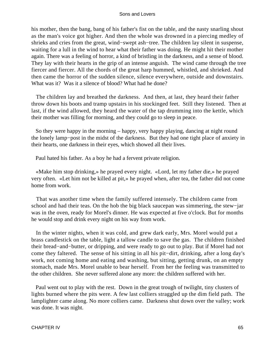his mother, then the bang, bang of his father's fist on the table, and the nasty snarling shout as the man's voice got higher. And then the whole was drowned in a piercing medley of shrieks and cries from the great, wind−swept ash−tree. The children lay silent in suspense, waiting for a lull in the wind to hear what their father was doing. He might hit their mother again. There was a feeling of horror, a kind of bristling in the darkness, and a sense of blood. They lay with their hearts in the grip of an intense anguish. The wind came through the tree fiercer and fiercer. All the chords of the great harp hummed, whistled, and shrieked. And then came the horror of the sudden silence, silence everywhere, outside and downstairs. What was it? Was it a silence of blood? What had he done?

 The children lay and breathed the darkness. And then, at last, they heard their father throw down his boots and tramp upstairs in his stockinged feet. Still they listened. Then at last, if the wind allowed, they heard the water of the tap drumming into the kettle, which their mother was filling for morning, and they could go to sleep in peace.

 So they were happy in the morning – happy, very happy playing, dancing at night round the lonely lamp−post in the midst of the darkness. But they had one tight place of anxiety in their hearts, one darkness in their eyes, which showed all their lives.

Paul hated his father. As a boy he had a fervent private religion.

 «Make him stop drinking,» he prayed every night. «Lord, let my father die,» he prayed very often. «Let him not be killed at pit,» he prayed when, after tea, the father did not come home from work.

 That was another time when the family suffered intensely. The children came from school and had their teas. On the hob the big black saucepan was simmering, the stew−jar was in the oven, ready for Morel's dinner. He was expected at five o'clock. But for months he would stop and drink every night on his way from work.

 In the winter nights, when it was cold, and grew dark early, Mrs. Morel would put a brass candlestick on the table, light a tallow candle to save the gas. The children finished their bread−and−butter, or dripping, and were ready to go out to play. But if Morel had not come they faltered. The sense of his sitting in all his pit−dirt, drinking, after a long day's work, not coming home and eating and washing, but sitting, getting drunk, on an empty stomach, made Mrs. Morel unable to bear herself. From her the feeling was transmitted to the other children. She never suffered alone any more: the children suffered with her.

 Paul went out to play with the rest. Down in the great trough of twilight, tiny clusters of lights burned where the pits were. A few last colliers straggled up the dim field path. The lamplighter came along. No more colliers came. Darkness shut down over the valley; work was done. It was night.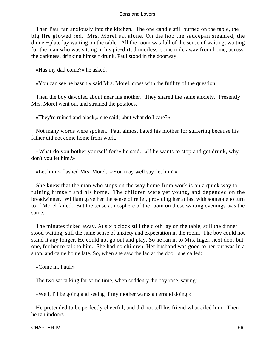Then Paul ran anxiously into the kitchen. The one candle still burned on the table, the big fire glowed red. Mrs. Morel sat alone. On the hob the saucepan steamed; the dinner−plate lay waiting on the table. All the room was full of the sense of waiting, waiting for the man who was sitting in his pit−dirt, dinnerless, some mile away from home, across the darkness, drinking himself drunk. Paul stood in the doorway.

«Has my dad come?» he asked.

«You can see he hasn't,» said Mrs. Morel, cross with the futility of the question.

 Then the boy dawdled about near his mother. They shared the same anxiety. Presently Mrs. Morel went out and strained the potatoes.

«They're ruined and black,» she said; «but what do I care?»

 Not many words were spoken. Paul almost hated his mother for suffering because his father did not come home from work.

 «What do you bother yourself for?» he said. «If he wants to stop and get drunk, why don't you let him?»

«Let him!» flashed Mrs. Morel. «You may well say 'let him'.»

 She knew that the man who stops on the way home from work is on a quick way to ruining himself and his home. The children were yet young, and depended on the breadwinner. William gave her the sense of relief, providing her at last with someone to turn to if Morel failed. But the tense atmosphere of the room on these waiting evenings was the same.

 The minutes ticked away. At six o'clock still the cloth lay on the table, still the dinner stood waiting, still the same sense of anxiety and expectation in the room. The boy could not stand it any longer. He could not go out and play. So he ran in to Mrs. Inger, next door but one, for her to talk to him. She had no children. Her husband was good to her but was in a shop, and came home late. So, when she saw the lad at the door, she called:

«Come in, Paul.»

The two sat talking for some time, when suddenly the boy rose, saying:

«Well, I'll be going and seeing if my mother wants an errand doing.»

 He pretended to be perfectly cheerful, and did not tell his friend what ailed him. Then he ran indoors.

CHAPTER IV 66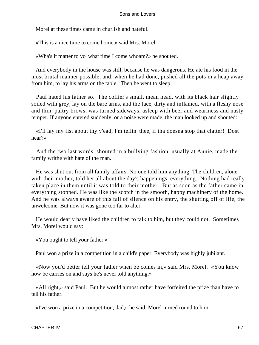Morel at these times came in churlish and hateful.

«This is a nice time to come home,» said Mrs. Morel.

«Wha's it matter to yo' what time I come whoam?» he shouted.

 And everybody in the house was still, because he was dangerous. He ate his food in the most brutal manner possible, and, when he had done, pushed all the pots in a heap away from him, to lay his arms on the table. Then he went to sleep.

 Paul hated his father so. The collier's small, mean head, with its black hair slightly soiled with grey, lay on the bare arms, and the face, dirty and inflamed, with a fleshy nose and thin, paltry brows, was turned sideways, asleep with beer and weariness and nasty temper. If anyone entered suddenly, or a noise were made, the man looked up and shouted:

 «I'll lay my fist about thy y'ead, I'm tellin' thee, if tha doesna stop that clatter! Dost hear?»

 And the two last words, shouted in a bullying fashion, usually at Annie, made the family writhe with hate of the man.

 He was shut out from all family affairs. No one told him anything. The children, alone with their mother, told her all about the day's happenings, everything. Nothing had really taken place in them until it was told to their mother. But as soon as the father came in, everything stopped. He was like the scotch in the smooth, happy machinery of the home. And he was always aware of this fall of silence on his entry, the shutting off of life, the unwelcome. But now it was gone too far to alter.

 He would dearly have liked the children to talk to him, but they could not. Sometimes Mrs. Morel would say:

«You ought to tell your father.»

Paul won a prize in a competition in a child's paper. Everybody was highly jubilant.

 «Now you'd better tell your father when be comes in,» said Mrs. Morel. «You know how be carries on and says he's never told anything.»

 «All right,» said Paul. But he would almost rather have forfeited the prize than have to tell his father.

«I've won a prize in a competition, dad,» he said. Morel turned round to him.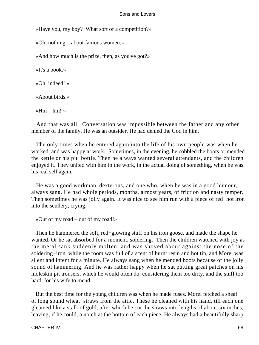«Have you, my boy? What sort of a competition?»

«Oh, nothing – about famous women.»

«And how much is the prize, then, as you've got?»

«It's a book.»

«Oh, indeed! »

«About birds.»

«Hm –  $hm!$ 

 And that was all. Conversation was impossible between the father and any other member of the family. He was an outsider. He had denied the God in him.

 The only times when he entered again into the life of his own people was when he worked, and was happy at work. Sometimes, in the evening, he cobbled the boots or mended the kettle or his pit−bottle. Then he always wanted several attendants, and the children enjoyed it. They united with him in the work, in the actual doing of something, when he was his real self again.

 He was a good workman, dexterous, and one who, when he was in a good humour, always sang. He had whole periods, months, almost years, of friction and nasty temper. Then sometimes he was jolly again. It was nice to see him run with a piece of red−hot iron into the scullery, crying:

```
 «Out of my road – out of my road!»
```
 Then he hammered the soft, red−glowing stuff on his iron goose, and made the shape he wanted. Or he sat absorbed for a moment, soldering. Then the children watched with joy as the metal sank suddenly molten, and was shoved about against the nose of the soldering−iron, while the room was full of a scent of burnt resin and hot tin, and Morel was silent and intent for a minute. He always sang when he mended boots because of the jolly sound of hammering. And he was rather happy when he sat putting great patches on his moleskin pit trousers, which he would often do, considering them too dirty, and the stuff too hard, for his wife to mend.

 But the best time for the young children was when he made fuses. Morel fetched a sheaf of long sound wheat−straws from the attic. These he cleaned with his hand, till each one gleamed like a stalk of gold, after which he cut the straws into lengths of about six inches, leaving, if he could, a notch at the bottom of each piece. He always had a beautifully sharp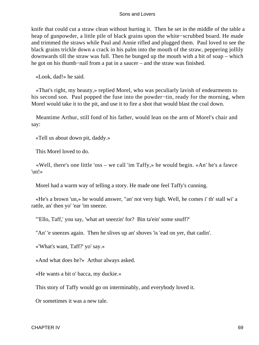knife that could cut a straw clean without hurting it. Then he set in the middle of the table a heap of gunpowder, a little pile of black grains upon the white−scrubbed board. He made and trimmed the straws while Paul and Annie rifled and plugged them. Paul loved to see the black grains trickle down a crack in his palm into the mouth of the straw, peppering jollily downwards till the straw was full. Then he bunged up the mouth with a bit of soap – which he got on his thumb−nail from a pat in a saucer – and the straw was finished.

«Look, dad!» he said.

 «That's right, my beauty,» replied Morel, who was peculiarly lavish of endearments to his second son. Paul popped the fuse into the powder−tin, ready for the morning, when Morel would take it to the pit, and use it to fire a shot that would blast the coal down.

 Meantime Arthur, still fond of his father, would lean on the arm of Morel's chair and say:

«Tell us about down pit, daddy.»

This Morel loved to do.

 «Well, there's one little 'oss – we call 'im Taffy,» he would begin. «An' he's a fawce 'un!»

Morel had a warm way of telling a story. He made one feel Taffy's cunning.

 «He's a brown 'un,» he would answer, "an' not very high. Well, he comes i' th' stall wi' a rattle, an' then yo' 'ear 'im sneeze.

"'Ello, Taff,' you say, 'what art sneezin' for? Bin ta'ein' some snuff?'

"An' 'e sneezes again. Then he slives up an' shoves 'is 'ead on yer, that cadin'.

«'What's want, Taff?' yo' say.»

«And what does he?» Arthur always asked.

«He wants a bit o' bacca, my duckie.»

This story of Taffy would go on interminably, and everybody loved it.

Or sometimes it was a new tale.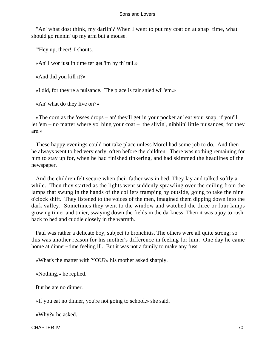"An' what dost think, my darlin'? When I went to put my coat on at snap−time, what should go runnin' up my arm but a mouse.

"'Hey up, theer!' I shouts.

«An' I wor just in time ter get 'im by th' tail.»

«And did you kill it?»

«I did, for they're a nuisance. The place is fair snied wi' 'em.»

«An' what do they live on?»

 «The corn as the 'osses drops – an' they'll get in your pocket an' eat your snap, if you'll let 'em – no matter where yo' hing your coat – the slivin', nibblin' little nuisances, for they are.»

 These happy evenings could not take place unless Morel had some job to do. And then he always went to bed very early, often before the children. There was nothing remaining for him to stay up for, when he had finished tinkering, and had skimmed the headlines of the newspaper.

 And the children felt secure when their father was in bed. They lay and talked softly a while. Then they started as the lights went suddenly sprawling over the ceiling from the lamps that swung in the hands of the colliers tramping by outside, going to take the nine o'clock shift. They listened to the voices of the men, imagined them dipping down into the dark valley. Sometimes they went to the window and watched the three or four lamps growing tinier and tinier, swaying down the fields in the darkness. Then it was a joy to rush back to bed and cuddle closely in the warmth.

 Paul was rather a delicate boy, subject to bronchitis. The others were all quite strong; so this was another reason for his mother's difference in feeling for him. One day he came home at dinner−time feeling ill. But it was not a family to make any fuss.

«What's the matter with YOU?» his mother asked sharply.

«Nothing,» he replied.

But he ate no dinner.

«If you eat no dinner, you're not going to school,» she said.

«Why?» he asked.

CHAPTER IV 70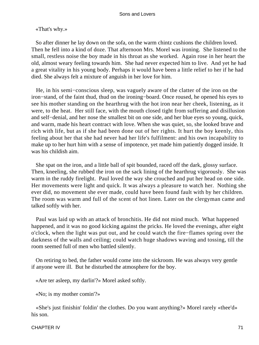# «That's why.»

 So after dinner he lay down on the sofa, on the warm chintz cushions the children loved. Then he fell into a kind of doze. That afternoon Mrs. Morel was ironing. She listened to the small, restless noise the boy made in his throat as she worked. Again rose in her heart the old, almost weary feeling towards him. She had never expected him to live. And yet he had a great vitality in his young body. Perhaps it would have been a little relief to her if he had died. She always felt a mixture of anguish in her love for him.

 He, in his semi−conscious sleep, was vaguely aware of the clatter of the iron on the iron−stand, of the faint thud, thud on the ironing−board. Once roused, he opened his eyes to see his mother standing on the hearthrug with the hot iron near her cheek, listening, as it were, to the heat. Her still face, with the mouth closed tight from suffering and disillusion and self−denial, and her nose the smallest bit on one side, and her blue eyes so young, quick, and warm, made his heart contract with love. When she was quiet, so, she looked brave and rich with life, but as if she had been done out of her rights. It hurt the boy keenly, this feeling about her that she had never had her life's fulfilment: and his own incapability to make up to her hurt him with a sense of impotence, yet made him patiently dogged inside. It was his childish aim.

 She spat on the iron, and a little ball of spit bounded, raced off the dark, glossy surface. Then, kneeling, she rubbed the iron on the sack lining of the hearthrug vigorously. She was warm in the ruddy firelight. Paul loved the way she crouched and put her head on one side. Her movements were light and quick. It was always a pleasure to watch her. Nothing she ever did, no movement she ever made, could have been found fault with by her children. The room was warm and full of the scent of hot linen. Later on the clergyman came and talked softly with her.

 Paul was laid up with an attack of bronchitis. He did not mind much. What happened happened, and it was no good kicking against the pricks. He loved the evenings, after eight o'clock, when the light was put out, and he could watch the fire−flames spring over the darkness of the walls and ceiling; could watch huge shadows waving and tossing, till the room seemed full of men who battled silently.

 On retiring to bed, the father would come into the sickroom. He was always very gentle if anyone were ill. But he disturbed the atmosphere for the boy.

«Are ter asleep, my darlin'?» Morel asked softly.

«No; is my mother comin'?»

 «She's just finishin' foldin' the clothes. Do you want anything?» Morel rarely «thee'd» his son.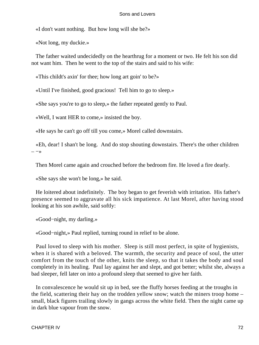«I don't want nothing. But how long will she be?»

«Not long, my duckie.»

 The father waited undecidedly on the hearthrug for a moment or two. He felt his son did not want him. Then he went to the top of the stairs and said to his wife:

«This childt's axin' for thee; how long art goin' to be?»

«Until I've finished, good gracious! Tell him to go to sleep.»

«She says you're to go to sleep,» the father repeated gently to Paul.

«Well, I want HER to come,» insisted the boy.

«He says he can't go off till you come,» Morel called downstairs.

 «Eh, dear! I shan't be long. And do stop shouting downstairs. There's the other children  $-\rightarrow$ 

Then Morel came again and crouched before the bedroom fire. He loved a fire dearly.

«She says she won't be long,» he said.

 He loitered about indefinitely. The boy began to get feverish with irritation. His father's presence seemed to aggravate all his sick impatience. At last Morel, after having stood looking at his son awhile, said softly:

«Good−night, my darling.»

«Good−night,» Paul replied, turning round in relief to be alone.

 Paul loved to sleep with his mother. Sleep is still most perfect, in spite of hygienists, when it is shared with a beloved. The warmth, the security and peace of soul, the utter comfort from the touch of the other, knits the sleep, so that it takes the body and soul completely in its healing. Paul lay against her and slept, and got better; whilst she, always a bad sleeper, fell later on into a profound sleep that seemed to give her faith.

 In convalescence he would sit up in bed, see the fluffy horses feeding at the troughs in the field, scattering their hay on the trodden yellow snow; watch the miners troop home – small, black figures trailing slowly in gangs across the white field. Then the night came up in dark blue vapour from the snow.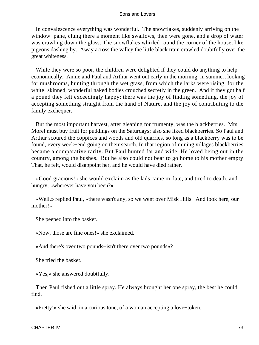In convalescence everything was wonderful. The snowflakes, suddenly arriving on the window−pane, clung there a moment like swallows, then were gone, and a drop of water was crawling down the glass. The snowflakes whirled round the corner of the house, like pigeons dashing by. Away across the valley the little black train crawled doubtfully over the great whiteness.

While they were so poor, the children were delighted if they could do anything to help economically. Annie and Paul and Arthur went out early in the morning, in summer, looking for mushrooms, hunting through the wet grass, from which the larks were rising, for the white−skinned, wonderful naked bodies crouched secretly in the green. And if they got half a pound they felt exceedingly happy: there was the joy of finding something, the joy of accepting something straight from the hand of Nature, and the joy of contributing to the family exchequer.

 But the most important harvest, after gleaning for frumenty, was the blackberries. Mrs. Morel must buy fruit for puddings on the Saturdays; also she liked blackberries. So Paul and Arthur scoured the coppices and woods and old quarries, so long as a blackberry was to be found, every week−end going on their search. In that region of mining villages blackberries became a comparative rarity. But Paul hunted far and wide. He loved being out in the country, among the bushes. But he also could not bear to go home to his mother empty. That, he felt, would disappoint her, and he would have died rather.

 «Good gracious!» she would exclaim as the lads came in, late, and tired to death, and hungry, «wherever have you been?»

 «Well,» replied Paul, «there wasn't any, so we went over Misk Hills. And look here, our mother!»

She peeped into the basket.

«Now, those are fine ones!» she exclaimed.

«And there's over two pounds−isn't there over two pounds»?

She tried the basket.

«Yes,» she answered doubtfully.

 Then Paul fished out a little spray. He always brought her one spray, the best he could find.

«Pretty!» she said, in a curious tone, of a woman accepting a love−token.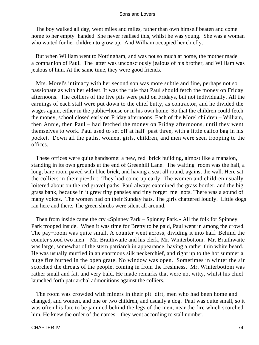The boy walked all day, went miles and miles, rather than own himself beaten and come home to her empty−handed. She never realised this, whilst he was young. She was a woman who waited for her children to grow up. And William occupied her chiefly.

 But when William went to Nottingham, and was not so much at home, the mother made a companion of Paul. The latter was unconsciously jealous of his brother, and William was jealous of him. At the same time, they were good friends.

 Mrs. Morel's intimacy with her second son was more subtle and fine, perhaps not so passionate as with her eldest. It was the rule that Paul should fetch the money on Friday afternoons. The colliers of the five pits were paid on Fridays, but not individually. All the earnings of each stall were put down to the chief butty, as contractor, and he divided the wages again, either in the public−house or in his own home. So that the children could fetch the money, school closed early on Friday afternoons. Each of the Morel children – William, then Annie, then Paul – had fetched the money on Friday afternoons, until they went themselves to work. Paul used to set off at half−past three, with a little calico bag in his pocket. Down all the paths, women, girls, children, and men were seen trooping to the offices.

 These offices were quite handsome: a new, red−brick building, almost like a mansion, standing in its own grounds at the end of Greenhill Lane. The waiting−room was the hall, a long, bare room paved with blue brick, and having a seat all round, against the wall. Here sat the colliers in their pit−dirt. They had come up early. The women and children usually loitered about on the red gravel paths. Paul always examined the grass border, and the big grass bank, because in it grew tiny pansies and tiny forget−me−nots. There was a sound of many voices. The women had on their Sunday hats. The girls chattered loudly. Little dogs ran here and there. The green shrubs were silent all around.

 Then from inside came the cry «Spinney Park – Spinney Park.» All the folk for Spinney Park trooped inside. When it was time for Bretty to be paid, Paul went in among the crowd. The pay−room was quite small. A counter went across, dividing it into half. Behind the counter stood two men – Mr. Braithwaite and his clerk, Mr. Winterbottom. Mr. Braithwaite was large, somewhat of the stern patriarch in appearance, having a rather thin white beard. He was usually muffled in an enormous silk neckerchief, and right up to the hot summer a huge fire burned in the open grate. No window was open. Sometimes in winter the air scorched the throats of the people, coming in from the freshness. Mr. Winterbottom was rather small and fat, and very bald. He made remarks that were not witty, whilst his chief launched forth patriarchal admonitions against the colliers.

 The room was crowded with miners in their pit−dirt, men who had been home and changed, and women, and one or two children, and usually a dog. Paul was quite small, so it was often his fate to be jammed behind the legs of the men, near the fire which scorched him. He knew the order of the names – they went according to stall number.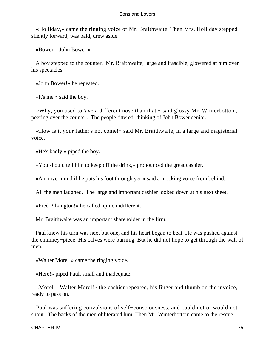«Holliday,» came the ringing voice of Mr. Braithwaite. Then Mrs. Holliday stepped silently forward, was paid, drew aside.

«Bower – John Bower.»

 A boy stepped to the counter. Mr. Braithwaite, large and irascible, glowered at him over his spectacles.

«John Bower!» he repeated.

«It's me,» said the boy.

 «Why, you used to 'ave a different nose than that,» said glossy Mr. Winterbottom, peering over the counter. The people tittered, thinking of John Bower senior.

 «How is it your father's not come!» said Mr. Braithwaite, in a large and magisterial voice.

«He's badly,» piped the boy.

«You should tell him to keep off the drink,» pronounced the great cashier.

«An' niver mind if he puts his foot through yer,» said a mocking voice from behind.

All the men laughed. The large and important cashier looked down at his next sheet.

«Fred Pilkington!» he called, quite indifferent.

Mr. Braithwaite was an important shareholder in the firm.

 Paul knew his turn was next but one, and his heart began to beat. He was pushed against the chimney−piece. His calves were burning. But he did not hope to get through the wall of men.

«Walter Morel!» came the ringing voice.

«Here!» piped Paul, small and inadequate.

 «Morel – Walter Morel!» the cashier repeated, his finger and thumb on the invoice, ready to pass on.

 Paul was suffering convulsions of self−consciousness, and could not or would not shout. The backs of the men obliterated him. Then Mr. Winterbottom came to the rescue.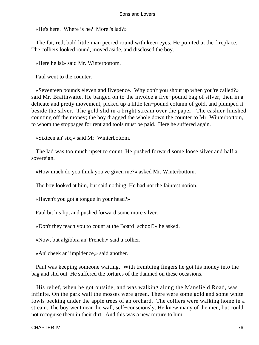«He's here. Where is he? Morel's lad?»

 The fat, red, bald little man peered round with keen eyes. He pointed at the fireplace. The colliers looked round, moved aside, and disclosed the boy.

«Here he is!» said Mr. Winterbottom.

Paul went to the counter.

 «Seventeen pounds eleven and fivepence. Why don't you shout up when you're called?» said Mr. Braithwaite. He banged on to the invoice a five−pound bag of silver, then in a delicate and pretty movement, picked up a little ten−pound column of gold, and plumped it beside the silver. The gold slid in a bright stream over the paper. The cashier finished counting off the money; the boy dragged the whole down the counter to Mr. Winterbottom, to whom the stoppages for rent and tools must be paid. Here he suffered again.

«Sixteen an' six,» said Mr. Winterbottom.

 The lad was too much upset to count. He pushed forward some loose silver and half a sovereign.

«How much do you think you've given me?» asked Mr. Winterbottom.

The boy looked at him, but said nothing. He had not the faintest notion.

«Haven't you got a tongue in your head?»

Paul bit his lip, and pushed forward some more silver.

«Don't they teach you to count at the Board−school?» he asked.

«Nowt but algibbra an' French,» said a collier.

«An' cheek an' impidence,» said another.

 Paul was keeping someone waiting. With trembling fingers he got his money into the bag and slid out. He suffered the tortures of the damned on these occasions.

 His relief, when he got outside, and was walking along the Mansfield Road, was infinite. On the park wall the mosses were green. There were some gold and some white fowls pecking under the apple trees of an orchard. The colliers were walking home in a stream. The boy went near the wall, self−consciously. He knew many of the men, but could not recognise them in their dirt. And this was a new torture to him.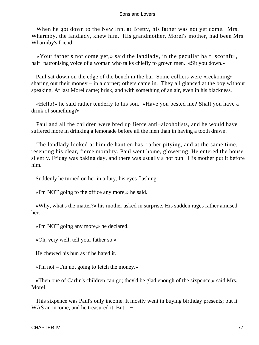When he got down to the New Inn, at Bretty, his father was not yet come. Mrs. Wharmby, the landlady, knew him. His grandmother, Morel's mother, had been Mrs. Wharmby's friend.

 «Your father's not come yet,» said the landlady, in the peculiar half−scornful, half–patronising voice of a woman who talks chiefly to grown men. «Sit you down.»

 Paul sat down on the edge of the bench in the bar. Some colliers were «reckoning» – sharing out their money – in a corner; others came in. They all glanced at the boy without speaking. At last Morel came; brisk, and with something of an air, even in his blackness.

 «Hello!» he said rather tenderly to his son. «Have you bested me? Shall you have a drink of something?»

 Paul and all the children were bred up fierce anti−alcoholists, and he would have suffered more in drinking a lemonade before all the men than in having a tooth drawn.

 The landlady looked at him de haut en bas, rather pitying, and at the same time, resenting his clear, fierce morality. Paul went home, glowering. He entered the house silently. Friday was baking day, and there was usually a hot bun. His mother put it before him.

Suddenly he turned on her in a fury, his eyes flashing:

«I'm NOT going to the office any more,» he said.

 «Why, what's the matter?» his mother asked in surprise. His sudden rages rather amused her.

«I'm NOT going any more,» he declared.

«Oh, very well, tell your father so.»

He chewed his bun as if he hated it.

 $\ll$ I'm not – I'm not going to fetch the money.»

 «Then one of Carlin's children can go; they'd be glad enough of the sixpence,» said Mrs. Morel.

 This sixpence was Paul's only income. It mostly went in buying birthday presents; but it WAS an income, and he treasured it. But  $-$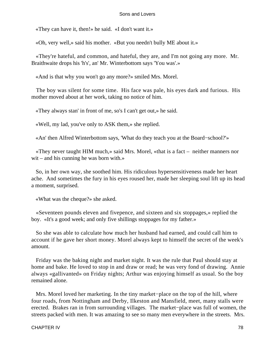«They can have it, then!» he said. «I don't want it.»

«Oh, very well,» said his mother. «But you needn't bully ME about it.»

 «They're hateful, and common, and hateful, they are, and I'm not going any more. Mr. Braithwaite drops his 'h's', an' Mr. Winterbottom says 'You was'.»

«And is that why you won't go any more?» smiled Mrs. Morel.

 The boy was silent for some time. His face was pale, his eyes dark and furious. His mother moved about at her work, taking no notice of him.

«They always stan' in front of me, so's I can't get out,» he said.

«Well, my lad, you've only to ASK them,» she replied.

«An' then Alfred Winterbottom says, 'What do they teach you at the Board−school?'»

 «They never taught HIM much,» said Mrs. Morel, «that is a fact – neither manners nor wit – and his cunning he was born with.»

 So, in her own way, she soothed him. His ridiculous hypersensitiveness made her heart ache. And sometimes the fury in his eyes roused her, made her sleeping soul lift up its head a moment, surprised.

«What was the cheque?» she asked.

 «Seventeen pounds eleven and fivepence, and sixteen and six stoppages,» replied the boy. «It's a good week; and only five shillings stoppages for my father.»

 So she was able to calculate how much her husband had earned, and could call him to account if he gave her short money. Morel always kept to himself the secret of the week's amount.

 Friday was the baking night and market night. It was the rule that Paul should stay at home and bake. He loved to stop in and draw or read; he was very fond of drawing. Annie always «gallivanted» on Friday nights; Arthur was enjoying himself as usual. So the boy remained alone.

 Mrs. Morel loved her marketing. In the tiny market−place on the top of the hill, where four roads, from Nottingham and Derby, Ilkeston and Mansfield, meet, many stalls were erected. Brakes ran in from surrounding villages. The market−place was full of women, the streets packed with men. It was amazing to see so many men everywhere in the streets. Mrs.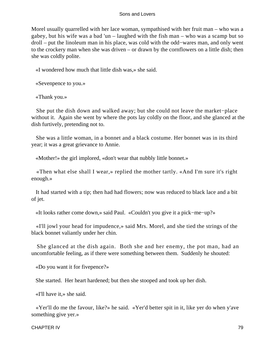Morel usually quarrelled with her lace woman, sympathised with her fruit man – who was a gabey, but his wife was a bad 'un – laughed with the fish man – who was a scamp but so droll – put the linoleum man in his place, was cold with the odd−wares man, and only went to the crockery man when she was driven – or drawn by the cornflowers on a little dish; then she was coldly polite.

«I wondered how much that little dish was,» she said.

«Sevenpence to you.»

«Thank you.»

 She put the dish down and walked away; but she could not leave the market−place without it. Again she went by where the pots lay coldly on the floor, and she glanced at the dish furtively, pretending not to.

 She was a little woman, in a bonnet and a black costume. Her bonnet was in its third year; it was a great grievance to Annie.

«Mother!» the girl implored, «don't wear that nubbly little bonnet.»

 «Then what else shall I wear,» replied the mother tartly. «And I'm sure it's right enough.»

 It had started with a tip; then had had flowers; now was reduced to black lace and a bit of jet.

«It looks rather come down,» said Paul. «Couldn't you give it a pick−me−up?»

 «I'll jowl your head for impudence,» said Mrs. Morel, and she tied the strings of the black bonnet valiantly under her chin.

 She glanced at the dish again. Both she and her enemy, the pot man, had an uncomfortable feeling, as if there were something between them. Suddenly he shouted:

«Do you want it for fivepence?»

She started. Her heart hardened; but then she stooped and took up her dish.

«I'll have it,» she said.

 «Yer'll do me the favour, like?» he said. «Yer'd better spit in it, like yer do when y'ave something give yer.»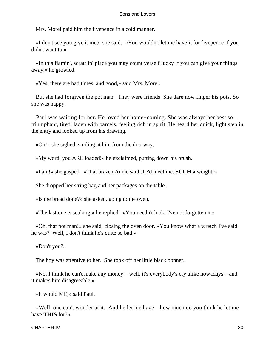Mrs. Morel paid him the fivepence in a cold manner.

 «I don't see you give it me,» she said. «You wouldn't let me have it for fivepence if you didn't want to.»

 «In this flamin', scrattlin' place you may count yerself lucky if you can give your things away,» he growled.

«Yes; there are bad times, and good,» said Mrs. Morel.

 But she had forgiven the pot man. They were friends. She dare now finger his pots. So she was happy.

 Paul was waiting for her. He loved her home−coming. She was always her best so – triumphant, tired, laden with parcels, feeling rich in spirit. He heard her quick, light step in the entry and looked up from his drawing.

«Oh!» she sighed, smiling at him from the doorway.

«My word, you ARE loaded!» he exclaimed, putting down his brush.

«I am!» she gasped. «That brazen Annie said she'd meet me. **SUCH a** weight!»

She dropped her string bag and her packages on the table.

«Is the bread done?» she asked, going to the oven.

«The last one is soaking,» he replied. «You needn't look, I've not forgotten it.»

 «Oh, that pot man!» she said, closing the oven door. «You know what a wretch I've said he was? Well, I don't think he's quite so bad.»

«Don't you?»

The boy was attentive to her. She took off her little black bonnet.

 «No. I think he can't make any money – well, it's everybody's cry alike nowadays – and it makes him disagreeable.»

«It would ME,» said Paul.

 «Well, one can't wonder at it. And he let me have – how much do you think he let me have **THIS** for?»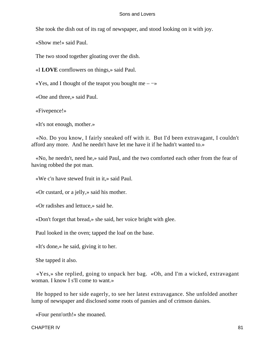She took the dish out of its rag of newspaper, and stood looking on it with joy.

«Show me!» said Paul.

The two stood together gloating over the dish.

«I **LOVE** cornflowers on things,» said Paul.

«Yes, and I thought of the teapot you bought me  $-\rightarrow$ 

«One and three,» said Paul.

«Fivepence!»

«It's not enough, mother.»

 «No. Do you know, I fairly sneaked off with it. But I'd been extravagant, I couldn't afford any more. And he needn't have let me have it if he hadn't wanted to.»

 «No, he needn't, need he,» said Paul, and the two comforted each other from the fear of having robbed the pot man.

«We c'n have stewed fruit in it,» said Paul.

«Or custard, or a jelly,» said his mother.

«Or radishes and lettuce,» said he.

«Don't forget that bread,» she said, her voice bright with glee.

Paul looked in the oven; tapped the loaf on the base.

«It's done,» he said, giving it to her.

She tapped it also.

 «Yes,» she replied, going to unpack her bag. «Oh, and I'm a wicked, extravagant woman. I know I s'll come to want.»

 He hopped to her side eagerly, to see her latest extravagance. She unfolded another lump of newspaper and disclosed some roots of pansies and of crimson daisies.

«Four penn'orth!» she moaned.

CHAPTER IV 81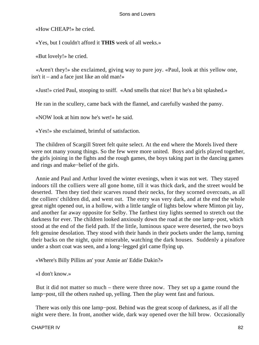«How CHEAP!» he cried.

«Yes, but I couldn't afford it **THIS** week of all weeks.»

«But lovely!» he cried.

 «Aren't they!» she exclaimed, giving way to pure joy. «Paul, look at this yellow one, isn't it – and a face just like an old man!»

«Just!» cried Paul, stooping to sniff. «And smells that nice! But he's a bit splashed.»

He ran in the scullery, came back with the flannel, and carefully washed the pansy.

«NOW look at him now he's wet!» he said.

«Yes!» she exclaimed, brimful of satisfaction.

 The children of Scargill Street felt quite select. At the end where the Morels lived there were not many young things. So the few were more united. Boys and girls played together, the girls joining in the fights and the rough games, the boys taking part in the dancing games and rings and make−belief of the girls.

 Annie and Paul and Arthur loved the winter evenings, when it was not wet. They stayed indoors till the colliers were all gone home, till it was thick dark, and the street would be deserted. Then they tied their scarves round their necks, for they scorned overcoats, as all the colliers' children did, and went out. The entry was very dark, and at the end the whole great night opened out, in a hollow, with a little tangle of lights below where Minton pit lay, and another far away opposite for Selby. The farthest tiny lights seemed to stretch out the darkness for ever. The children looked anxiously down the road at the one lamp−post, which stood at the end of the field path. If the little, luminous space were deserted, the two boys felt genuine desolation. They stood with their hands in their pockets under the lamp, turning their backs on the night, quite miserable, watching the dark houses. Suddenly a pinafore under a short coat was seen, and a long−legged girl came flying up.

«Where's Billy Pillins an' your Annie an' Eddie Dakin?»

«I don't know.»

 But it did not matter so much – there were three now. They set up a game round the lamp−post, till the others rushed up, yelling. Then the play went fast and furious.

 There was only this one lamp−post. Behind was the great scoop of darkness, as if all the night were there. In front, another wide, dark way opened over the hill brow. Occasionally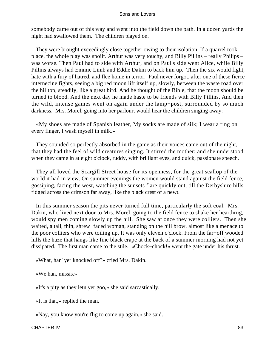somebody came out of this way and went into the field down the path. In a dozen yards the night had swallowed them. The children played on.

 They were brought exceedingly close together owing to their isolation. If a quarrel took place, the whole play was spoilt. Arthur was very touchy, and Billy Pillins – really Philips – was worse. Then Paul had to side with Arthur, and on Paul's side went Alice, while Billy Pillins always had Emmie Limb and Eddie Dakin to back him up. Then the six would fight, hate with a fury of hatred, and flee home in terror. Paul never forgot, after one of these fierce internecine fights, seeing a big red moon lift itself up, slowly, between the waste road over the hilltop, steadily, like a great bird. And he thought of the Bible, that the moon should be turned to blood. And the next day he made haste to be friends with Billy Pillins. And then the wild, intense games went on again under the lamp−post, surrounded by so much darkness. Mrs. Morel, going into her parlour, would hear the children singing away:

 «My shoes are made of Spanish leather, My socks are made of silk; I wear a ring on every finger, I wash myself in milk.»

 They sounded so perfectly absorbed in the game as their voices came out of the night, that they had the feel of wild creatures singing. It stirred the mother; and she understood when they came in at eight o'clock, ruddy, with brilliant eyes, and quick, passionate speech.

 They all loved the Scargill Street house for its openness, for the great scallop of the world it had in view. On summer evenings the women would stand against the field fence, gossiping, facing the west, watching the sunsets flare quickly out, till the Derbyshire hills ridged across the crimson far away, like the black crest of a newt.

 In this summer season the pits never turned full time, particularly the soft coal. Mrs. Dakin, who lived next door to Mrs. Morel, going to the field fence to shake her hearthrug, would spy men coming slowly up the hill. She saw at once they were colliers. Then she waited, a tall, thin, shrew−faced woman, standing on the hill brow, almost like a menace to the poor colliers who were toiling up. It was only eleven o'clock. From the far−off wooded hills the haze that hangs like fine black crape at the back of a summer morning had not yet dissipated. The first man came to the stile. «Chock−chock!» went the gate under his thrust.

«What, han' yer knocked off?» cried Mrs. Dakin.

«We han, missis.»

«It's a pity as they letn yer goo,» she said sarcastically.

«It is that,» replied the man.

«Nay, you know you're flig to come up again,» she said.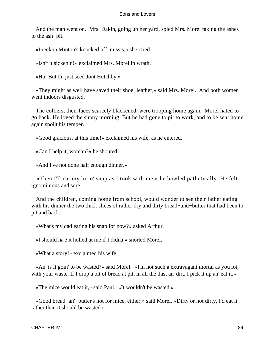And the man went on. Mrs. Dakin, going up her yard, spied Mrs. Morel taking the ashes to the ash−pit.

«I reckon Minton's knocked off, missis,» she cried.

«Isn't it sickenin!» exclaimed Mrs. Morel in wrath.

«Ha! But I'n just seed Jont Hutchby.»

 «They might as well have saved their shoe−leather,» said Mrs. Morel. And both women went indoors disgusted.

 The colliers, their faces scarcely blackened, were trooping home again. Morel hated to go back. He loved the sunny morning. But he had gone to pit to work, and to be sent home again spoilt his temper.

«Good gracious, at this time!» exclaimed his wife, as he entered.

«Can I help it, woman?» he shouted.

«And I've not done half enough dinner.»

 «Then I'll eat my bit o' snap as I took with me,» he bawled pathetically. He felt ignominious and sore.

 And the children, coming home from school, would wonder to see their father eating with his dinner the two thick slices of rather dry and dirty bread−and−butter that had been to pit and back.

«What's my dad eating his snap for now?» asked Arthur.

«I should ha'e it holled at me if I didna,» snorted Morel.

«What a story!» exclaimed his wife.

 «An' is it goin' to be wasted?» said Morel. «I'm not such a extravagant mortal as you lot, with your waste. If I drop a bit of bread at pit, in all the dust an' dirt, I pick it up an' eat it.»

«The mice would eat it,» said Paul. «It wouldn't be wasted.»

 «Good bread−an'−butter's not for mice, either,» said Morel. «Dirty or not dirty, I'd eat it rather than it should be wasted.»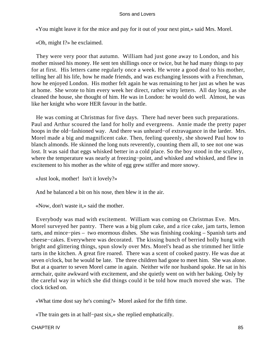«You might leave it for the mice and pay for it out of your next pint,» said Mrs. Morel.

«Oh, might I?» he exclaimed.

 They were very poor that autumn. William had just gone away to London, and his mother missed his money. He sent ten shillings once or twice, but he had many things to pay for at first. His letters came regularly once a week. He wrote a good deal to his mother, telling her all his life, how he made friends, and was exchanging lessons with a Frenchman, how he enjoyed London. His mother felt again he was remaining to her just as when he was at home. She wrote to him every week her direct, rather witty letters. All day long, as she cleaned the house, she thought of him. He was in London: he would do well. Almost, he was like her knight who wore HER favour in the battle.

 He was coming at Christmas for five days. There had never been such preparations. Paul and Arthur scoured the land for holly and evergreens. Annie made the pretty paper hoops in the old−fashioned way. And there was unheard−of extravagance in the larder. Mrs. Morel made a big and magnificent cake. Then, feeling queenly, she showed Paul how to blanch almonds. He skinned the long nuts reverently, counting them all, to see not one was lost. It was said that eggs whisked better in a cold place. So the boy stood in the scullery, where the temperature was nearly at freezing−point, and whisked and whisked, and flew in excitement to his mother as the white of egg grew stiffer and more snowy.

«Just look, mother! Isn't it lovely?»

And he balanced a bit on his nose, then blew it in the air.

«Now, don't waste it,» said the mother.

 Everybody was mad with excitement. William was coming on Christmas Eve. Mrs. Morel surveyed her pantry. There was a big plum cake, and a rice cake, jam tarts, lemon tarts, and mince−pies – two enormous dishes. She was finishing cooking – Spanish tarts and cheese−cakes. Everywhere was decorated. The kissing bunch of berried holly hung with bright and glittering things, spun slowly over Mrs. Morel's head as she trimmed her little tarts in the kitchen. A great fire roared. There was a scent of cooked pastry. He was due at seven o'clock, but he would be late. The three children had gone to meet him. She was alone. But at a quarter to seven Morel came in again. Neither wife nor husband spoke. He sat in his armchair, quite awkward with excitement, and she quietly went on with her baking. Only by the careful way in which she did things could it be told how much moved she was. The clock ticked on.

«What time dost say he's coming?» Morel asked for the fifth time.

«The train gets in at half−past six,» she replied emphatically.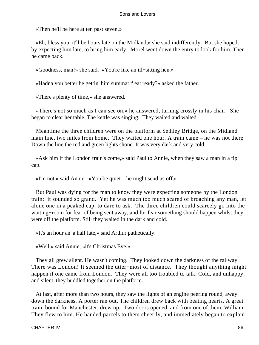«Then he'll be here at ten past seven.»

 «Eh, bless you, it'll be hours late on the Midland,» she said indifferently. But she hoped, by expecting him late, to bring him early. Morel went down the entry to look for him. Then he came back.

«Goodness, man!» she said. «You're like an ill−sitting hen.»

«Hadna you better be gettin' him summat t' eat ready?» asked the father.

«There's plenty of time,» she answered.

 «There's not so much as I can see on,» he answered, turning crossly in his chair. She began to clear her table. The kettle was singing. They waited and waited.

 Meantime the three children were on the platform at Sethley Bridge, on the Midland main line, two miles from home. They waited one hour. A train came – he was not there. Down the line the red and green lights shone. It was very dark and very cold.

 «Ask him if the London train's come,» said Paul to Annie, when they saw a man in a tip cap.

«I'm not,» said Annie. «You be quiet – he might send us off.»

 But Paul was dying for the man to know they were expecting someone by the London train: it sounded so grand. Yet he was much too much scared of broaching any man, let alone one in a peaked cap, to dare to ask. The three children could scarcely go into the waiting−room for fear of being sent away, and for fear something should happen whilst they were off the platform. Still they waited in the dark and cold.

«It's an hour an' a half late,» said Arthur pathetically.

«Well,» said Annie, «it's Christmas Eve.»

 They all grew silent. He wasn't coming. They looked down the darkness of the railway. There was London! It seemed the utter−most of distance. They thought anything might happen if one came from London. They were all too troubled to talk. Cold, and unhappy, and silent, they huddled together on the platform.

 At last, after more than two hours, they saw the lights of an engine peering round, away down the darkness. A porter ran out. The children drew back with beating hearts. A great train, bound for Manchester, drew up. Two doors opened, and from one of them, William. They flew to him. He handed parcels to them cheerily, and immediately began to explain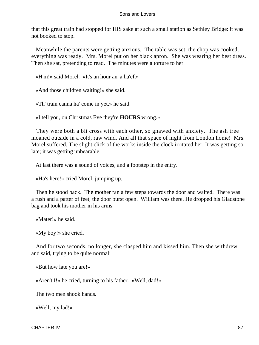that this great train had stopped for HIS sake at such a small station as Sethley Bridge: it was not booked to stop.

 Meanwhile the parents were getting anxious. The table was set, the chop was cooked, everything was ready. Mrs. Morel put on her black apron. She was wearing her best dress. Then she sat, pretending to read. The minutes were a torture to her.

«H'm!» said Morel. «It's an hour an' a ha'ef.»

«And those children waiting!» she said.

«Th' train canna ha' come in yet,» he said.

«I tell you, on Christmas Eve they're **HOURS** wrong.»

 They were both a bit cross with each other, so gnawed with anxiety. The ash tree moaned outside in a cold, raw wind. And all that space of night from London home! Mrs. Morel suffered. The slight click of the works inside the clock irritated her. It was getting so late; it was getting unbearable.

At last there was a sound of voices, and a footstep in the entry.

«Ha's here!» cried Morel, jumping up.

 Then he stood back. The mother ran a few steps towards the door and waited. There was a rush and a patter of feet, the door burst open. William was there. He dropped his Gladstone bag and took his mother in his arms.

«Mater!» he said.

«My boy!» she cried.

 And for two seconds, no longer, she clasped him and kissed him. Then she withdrew and said, trying to be quite normal:

«But how late you are!»

«Aren't I!» he cried, turning to his father. «Well, dad!»

The two men shook hands.

«Well, my lad!»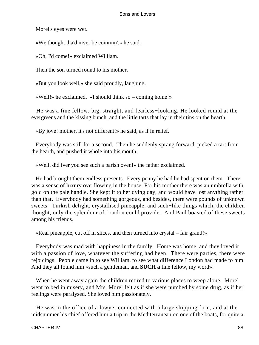Morel's eyes were wet.

«We thought tha'd niver be commin',» he said.

«Oh, I'd come!» exclaimed William.

Then the son turned round to his mother.

«But you look well,» she said proudly, laughing.

«Well!» he exclaimed. «I should think so – coming home!»

 He was a fine fellow, big, straight, and fearless−looking. He looked round at the evergreens and the kissing bunch, and the little tarts that lay in their tins on the hearth.

«By jove! mother, it's not different!» he said, as if in relief.

 Everybody was still for a second. Then he suddenly sprang forward, picked a tart from the hearth, and pushed it whole into his mouth.

«Well, did iver you see such a parish oven!» the father exclaimed.

 He had brought them endless presents. Every penny he had he had spent on them. There was a sense of luxury overflowing in the house. For his mother there was an umbrella with gold on the pale handle. She kept it to her dying day, and would have lost anything rather than that. Everybody had something gorgeous, and besides, there were pounds of unknown sweets: Turkish delight, crystallised pineapple, and such−like things which, the children thought, only the splendour of London could provide. And Paul boasted of these sweets among his friends.

«Real pineapple, cut off in slices, and then turned into crystal – fair grand!»

 Everybody was mad with happiness in the family. Home was home, and they loved it with a passion of love, whatever the suffering had been. There were parties, there were rejoicings. People came in to see William, to see what difference London had made to him. And they all found him «such a gentleman, and **SUCH a** fine fellow, my word»!

 When he went away again the children retired to various places to weep alone. Morel went to bed in misery, and Mrs. Morel felt as if she were numbed by some drug, as if her feelings were paralysed. She loved him passionately.

 He was in the office of a lawyer connected with a large shipping firm, and at the midsummer his chief offered him a trip in the Mediterranean on one of the boats, for quite a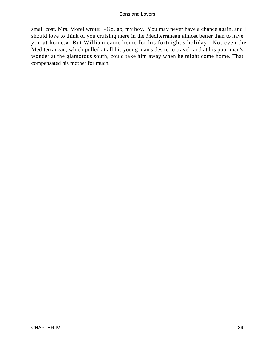small cost. Mrs. Morel wrote: «Go, go, my boy. You may never have a chance again, and I should love to think of you cruising there in the Mediterranean almost better than to have you at home.» But William came home for his fortnight's holiday. Not even the Mediterranean, which pulled at all his young man's desire to travel, and at his poor man's wonder at the glamorous south, could take him away when he might come home. That compensated his mother for much.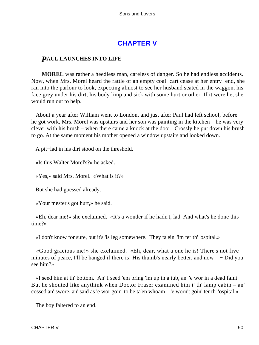# **[CHAPTER V](#page-470-0)**

# *P*AUL **LAUNCHES INTO LIFE**

**MOREL** was rather a heedless man, careless of danger. So he had endless accidents. Now, when Mrs. Morel heard the rattle of an empty coal−cart cease at her entry−end, she ran into the parlour to look, expecting almost to see her husband seated in the waggon, his face grey under his dirt, his body limp and sick with some hurt or other. If it were he, she would run out to help.

 About a year after William went to London, and just after Paul had left school, before he got work, Mrs. Morel was upstairs and her son was painting in the kitchen – he was very clever with his brush – when there came a knock at the door. Crossly he put down his brush to go. At the same moment his mother opened a window upstairs and looked down.

A pit−lad in his dirt stood on the threshold.

«Is this Walter Morel's?» he asked.

«Yes,» said Mrs. Morel. «What is it?»

But she had guessed already.

«Your mester's got hurt,» he said.

 «Eh, dear me!» she exclaimed. «It's a wonder if he hadn't, lad. And what's he done this time?»

«I don't know for sure, but it's 'is leg somewhere. They ta'ein' 'im ter th' 'ospital.»

 «Good gracious me!» she exclaimed. «Eh, dear, what a one he is! There's not five minutes of peace, I'll be hanged if there is! His thumb's nearly better, and now – − Did you see him?»

 «I seed him at th' bottom. An' I seed 'em bring 'im up in a tub, an' 'e wor in a dead faint. But he shouted like anythink when Doctor Fraser examined him i' th' lamp cabin – an' cossed an' swore, an' said as 'e wor goin' to be ta'en whoam – 'e worn't goin' ter th' 'ospital.»

The boy faltered to an end.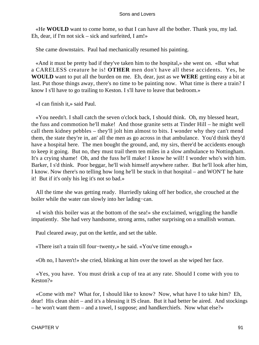«He **WOULD** want to come home, so that I can have all the bother. Thank you, my lad. Eh, dear, if I'm not sick – sick and surfeited, I am!»

She came downstairs. Paul had mechanically resumed his painting.

 «And it must be pretty bad if they've taken him to the hospital,» she went on. «But what a CARELESS creature he is! **OTHER** men don't have all these accidents. Yes, he **WOULD** want to put all the burden on me. Eh, dear, just as we **WERE** getting easy a bit at last. Put those things away, there's no time to be painting now. What time is there a train? I know I s'll have to go trailing to Keston. I s'll have to leave that bedroom.»

«I can finish it,» said Paul.

 «You needn't. I shall catch the seven o'clock back, I should think. Oh, my blessed heart, the fuss and commotion he'll make! And those granite setts at Tinder Hill – he might well call them kidney pebbles – they'll jolt him almost to bits. I wonder why they can't mend them, the state they're in, an' all the men as go across in that ambulance. You'd think they'd have a hospital here. The men bought the ground, and, my sirs, there'd be accidents enough to keep it going. But no, they must trail them ten miles in a slow ambulance to Nottingham. It's a crying shame! Oh, and the fuss he'll make! I know he will! I wonder who's with him. Barker, I s'd think. Poor beggar, he'll wish himself anywhere rather. But he'll look after him, I know. Now there's no telling how long he'll be stuck in that hospital – and WON'T he hate it! But if it's only his leg it's not so bad.»

 All the time she was getting ready. Hurriedly taking off her bodice, she crouched at the boiler while the water ran slowly into her lading−can.

 «I wish this boiler was at the bottom of the sea!» she exclaimed, wriggling the handle impatiently. She had very handsome, strong arms, rather surprising on a smallish woman.

Paul cleared away, put on the kettle, and set the table.

«There isn't a train till four−twenty,» he said. «You've time enough.»

«Oh no, I haven't!» she cried, blinking at him over the towel as she wiped her face.

 «Yes, you have. You must drink a cup of tea at any rate. Should I come with you to Keston?»

 «Come with me? What for, I should like to know? Now, what have I to take him? Eh, dear! His clean shirt – and it's a blessing it IS clean. But it had better be aired. And stockings – he won't want them – and a towel, I suppose; and handkerchiefs. Now what else?»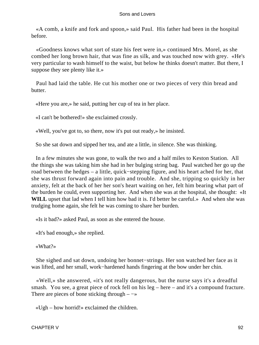«A comb, a knife and fork and spoon,» said Paul. His father had been in the hospital before.

 «Goodness knows what sort of state his feet were in,» continued Mrs. Morel, as she combed her long brown hair, that was fine as silk, and was touched now with grey. «He's very particular to wash himself to the waist, but below he thinks doesn't matter. But there, I suppose they see plenty like it.»

 Paul had laid the table. He cut his mother one or two pieces of very thin bread and butter.

«Here you are,» he said, putting her cup of tea in her place.

«I can't be bothered!» she exclaimed crossly.

«Well, you've got to, so there, now it's put out ready,» he insisted.

So she sat down and sipped her tea, and ate a little, in silence. She was thinking.

 In a few minutes she was gone, to walk the two and a half miles to Keston Station. All the things she was taking him she had in her bulging string bag. Paul watched her go up the road between the hedges – a little, quick−stepping figure, and his heart ached for her, that she was thrust forward again into pain and trouble. And she, tripping so quickly in her anxiety, felt at the back of her her son's heart waiting on her, felt him bearing what part of the burden he could, even supporting her. And when she was at the hospital, she thought: «It WILL upset that lad when I tell him how bad it is. I'd better be careful.» And when she was trudging home again, she felt he was coming to share her burden.

«Is it bad?» asked Paul, as soon as she entered the house.

«It's bad enough,» she replied.

«What?»

 She sighed and sat down, undoing her bonnet−strings. Her son watched her face as it was lifted, and her small, work−hardened hands fingering at the bow under her chin.

 «Well,» she answered, «it's not really dangerous, but the nurse says it's a dreadful smash. You see, a great piece of rock fell on his leg – here – and it's a compound fracture. There are pieces of bone sticking through –  $\rightarrow$ 

«Ugh – how horrid!» exclaimed the children.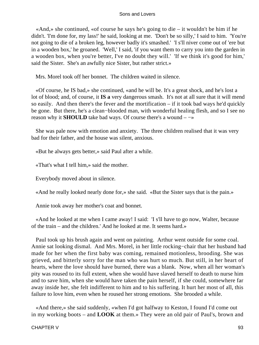«And,» she continued, «of course he says he's going to die – it wouldn't be him if he didn't. 'I'm done for, my lass!' he said, looking at me. 'Don't be so silly,' I said to him. 'You're not going to die of a broken leg, however badly it's smashed.' 'I s'll niver come out of 'ere but in a wooden box,' he groaned. 'Well,' I said, 'if you want them to carry you into the garden in a wooden box, when you're better, I've no doubt they will.' 'If we think it's good for him,' said the Sister. She's an awfully nice Sister, but rather strict.»

Mrs. Morel took off her bonnet. The children waited in silence.

 «Of course, he IS bad,» she continued, «and he will be. It's a great shock, and he's lost a lot of blood; and, of course, it **IS a** very dangerous smash. It's not at all sure that it will mend so easily. And then there's the fever and the mortification – if it took bad ways he'd quickly be gone. But there, he's a clean−blooded man, with wonderful healing flesh, and so I see no reason why it **SHOULD** take bad ways. Of course there's a wound – −»

 She was pale now with emotion and anxiety. The three children realised that it was very bad for their father, and the house was silent, anxious.

«But he always gets better,» said Paul after a while.

«That's what I tell him,» said the mother.

Everybody moved about in silence.

«And he really looked nearly done for,» she said. «But the Sister says that is the pain.»

Annie took away her mother's coat and bonnet.

 «And he looked at me when I came away! I said: 'I s'll have to go now, Walter, because of the train – and the children.' And he looked at me. It seems hard.»

 Paul took up his brush again and went on painting. Arthur went outside for some coal. Annie sat looking dismal. And Mrs. Morel, in her little rocking−chair that her husband had made for her when the first baby was coming, remained motionless, brooding. She was grieved, and bitterly sorry for the man who was hurt so much. But still, in her heart of hearts, where the love should have burned, there was a blank. Now, when all her woman's pity was roused to its full extent, when she would have slaved herself to death to nurse him and to save him, when she would have taken the pain herself, if she could, somewhere far away inside her, she felt indifferent to him and to his suffering. It hurt her most of all, this failure to love him, even when he roused her strong emotions. She brooded a while.

 «And there,» she said suddenly, «when I'd got halfway to Keston, I found I'd come out in my working boots – and **LOOK** at them.» They were an old pair of Paul's, brown and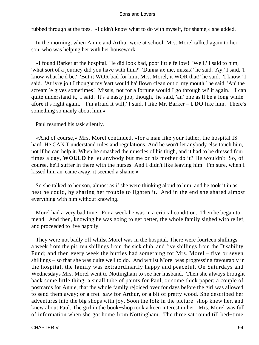rubbed through at the toes. «I didn't know what to do with myself, for shame,» she added.

 In the morning, when Annie and Arthur were at school, Mrs. Morel talked again to her son, who was helping her with her housework.

 «I found Barker at the hospital. He did look bad, poor little fellow! 'Well,' I said to him, 'what sort of a journey did you have with him?' 'Dunna ax me, missis!' he said. 'Ay,' I said, 'I know what he'd be.' 'But it WOR bad for him, Mrs. Morel, it WOR that!' he said. 'I know,' I said. 'At ivry jolt I thought my 'eart would ha' flown clean out o' my mouth,' he said. 'An' the scream 'e gives sometimes! Missis, not for a fortune would I go through wi' it again.' 'I can quite understand it,' I said. 'It's a nasty job, though,' he said, 'an' one as'll be a long while afore it's right again.' 'I'm afraid it will,' I said. I like Mr. Barker – **I DO** like him. There's something so manly about him.»

Paul resumed his task silently.

 «And of course,» Mrs. Morel continued, «for a man like your father, the hospital IS hard. He CAN'T understand rules and regulations. And he won't let anybody else touch him, not if he can help it. When he smashed the muscles of his thigh, and it had to be dressed four times a day, **WOULD** he let anybody but me or his mother do it? He wouldn't. So, of course, he'll suffer in there with the nurses. And I didn't like leaving him. I'm sure, when I kissed him an' came away, it seemed a shame.»

 So she talked to her son, almost as if she were thinking aloud to him, and he took it in as best he could, by sharing her trouble to lighten it. And in the end she shared almost everything with him without knowing.

 Morel had a very bad time. For a week he was in a critical condition. Then he began to mend. And then, knowing he was going to get better, the whole family sighed with relief, and proceeded to live happily.

 They were not badly off whilst Morel was in the hospital. There were fourteen shillings a week from the pit, ten shillings from the sick club, and five shillings from the Disability Fund; and then every week the butties had something for Mrs. Morel – five or seven shillings – so that she was quite well to do. And whilst Morel was progressing favourably in the hospital, the family was extraordinarily happy and peaceful. On Saturdays and Wednesdays Mrs. Morel went to Nottingham to see her husband. Then she always brought back some little thing: a small tube of paints for Paul, or some thick paper; a couple of postcards for Annie, that the whole family rejoiced over for days before the girl was allowed to send them away; or a fret−saw for Arthur, or a bit of pretty wood. She described her adventures into the big shops with joy. Soon the folk in the picture−shop knew her, and knew about Paul. The girl in the book−shop took a keen interest in her. Mrs. Morel was full of information when she got home from Nottingham. The three sat round till bed−time,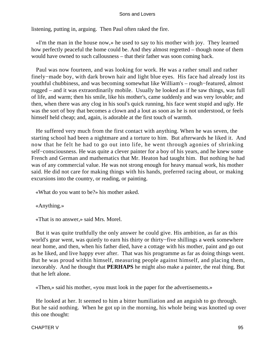listening, putting in, arguing. Then Paul often raked the fire.

 «I'm the man in the house now,» he used to say to his mother with joy. They learned how perfectly peaceful the home could be. And they almost regretted – though none of them would have owned to such callousness – that their father was soon coming back.

 Paul was now fourteen, and was looking for work. He was a rather small and rather finely−made boy, with dark brown hair and light blue eyes. His face had already lost its youthful chubbiness, and was becoming somewhat like William's – rough−featured, almost rugged – and it was extraordinarily mobile. Usually he looked as if he saw things, was full of life, and warm; then his smile, like his mother's, came suddenly and was very lovable; and then, when there was any clog in his soul's quick running, his face went stupid and ugly. He was the sort of boy that becomes a clown and a lout as soon as he is not understood, or feels himself held cheap; and, again, is adorable at the first touch of warmth.

 He suffered very much from the first contact with anything. When he was seven, the starting school had been a nightmare and a torture to him. But afterwards he liked it. And now that he felt he had to go out into life, he went through agonies of shrinking self−consciousness. He was quite a clever painter for a boy of his years, and he knew some French and German and mathematics that Mr. Heaton had taught him. But nothing he had was of any commercial value. He was not strong enough for heavy manual work, his mother said. He did not care for making things with his hands, preferred racing about, or making excursions into the country, or reading, or painting.

«What do you want to be?» his mother asked.

«Anything.»

«That is no answer,» said Mrs. Morel.

 But it was quite truthfully the only answer he could give. His ambition, as far as this world's gear went, was quietly to earn his thirty or thirty−five shillings a week somewhere near home, and then, when his father died, have a cottage with his mother, paint and go out as he liked, and live happy ever after. That was his programme as far as doing things went. But he was proud within himself, measuring people against himself, and placing them, inexorably. And he thought that **PERHAPS** he might also make a painter, the real thing. But that he left alone.

«Then,» said his mother, «you must look in the paper for the advertisements.»

 He looked at her. It seemed to him a bitter humiliation and an anguish to go through. But he said nothing. When he got up in the morning, his whole being was knotted up over this one thought: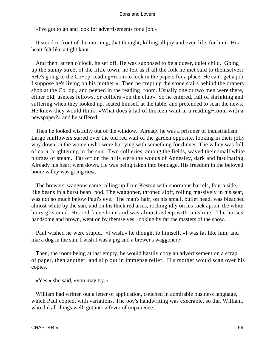«I've got to go and look for advertisements for a job.»

 It stood in front of the morning, that thought, killing all joy and even life, for him. His heart felt like a tight knot.

 And then, at ten o'clock, he set off. He was supposed to be a queer, quiet child. Going up the sunny street of the little town, he felt as if all the folk he met said to themselves: «He's going to the Co−op. reading−room to look in the papers for a place. He can't get a job. I suppose he's living on his mother.» Then he crept up the stone stairs behind the drapery shop at the Co−op., and peeped in the reading−room. Usually one or two men were there, either old, useless fellows, or colliers «on the club». So he entered, full of shrinking and suffering when they looked up, seated himself at the table, and pretended to scan the news. He knew they would think: «What does a lad of thirteen want in a reading−room with a newspaper?» and he suffered.

 Then he looked wistfully out of the window. Already he was a prisoner of industrialism. Large sunflowers stared over the old red wall of the garden opposite, looking in their jolly way down on the women who were hurrying with something for dinner. The valley was full of corn, brightening in the sun. Two collieries, among the fields, waved their small white plumes of steam. Far off on the hills were the woods of Annesley, dark and fascinating. Already his heart went down. He was being taken into bondage. His freedom in the beloved home valley was going now.

 The brewers' waggons came rolling up from Keston with enormous barrels, four a side, like beans in a burst bean−pod. The waggoner, throned aloft, rolling massively in his seat, was not so much below Paul's eye. The man's hair, on his small, bullet head, was bleached almost white by the sun, and on his thick red arms, rocking idly on his sack apron, the white hairs glistened. His red face shone and was almost asleep with sunshine. The horses, handsome and brown, went on by themselves, looking by far the masters of the show.

 Paul wished he were stupid. «I wish,» he thought to himself, «I was fat like him, and like a dog in the sun. I wish I was a pig and a brewer's waggoner.»

 Then, the room being at last empty, he would hastily copy an advertisement on a scrap of paper, then another, and slip out in immense relief. His mother would scan over his copies.

«Yes,» she said, «you may try.»

 William had written out a letter of application, couched in admirable business language, which Paul copied, with variations. The boy's handwriting was execrable, so that William, who did all things well, got into a fever of impatience.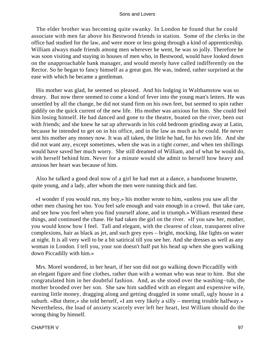The elder brother was becoming quite swanky. In London he found that he could associate with men far above his Bestwood friends in station. Some of the clerks in the office had studied for the law, and were more or less going through a kind of apprenticeship. William always made friends among men wherever he went, he was so jolly. Therefore he was soon visiting and staying in houses of men who, in Bestwood, would have looked down on the unapproachable bank manager, and would merely have called indifferently on the Rector. So he began to fancy himself as a great gun. He was, indeed, rather surprised at the ease with which he became a gentleman.

 His mother was glad, he seemed so pleased. And his lodging in Walthamstow was so dreary. But now there seemed to come a kind of fever into the young man's letters. He was unsettled by all the change, he did not stand firm on his own feet, but seemed to spin rather giddily on the quick current of the new life. His mother was anxious for him. She could feel him losing himself. He had danced and gone to the theatre, boated on the river, been out with friends; and she knew he sat up afterwards in his cold bedroom grinding away at Latin, because he intended to get on in his office, and in the law as much as he could. He never sent his mother any money now. It was all taken, the little he had, for his own life. And she did not want any, except sometimes, when she was in a tight corner, and when ten shillings would have saved her much worry. She still dreamed of William, and of what he would do, with herself behind him. Never for a minute would she admit to herself how heavy and anxious her heart was because of him.

 Also he talked a good deal now of a girl he had met at a dance, a handsome brunette, quite young, and a lady, after whom the men were running thick and fast.

 «I wonder if you would run, my boy,» his mother wrote to him, «unless you saw all the other men chasing her too. You feel safe enough and vain enough in a crowd. But take care, and see how you feel when you find yourself alone, and in triumph.» William resented these things, and continued the chase. He had taken the girl on the river. «If you saw her, mother, you would know how I feel. Tall and elegant, with the clearest of clear, transparent olive complexions, hair as black as jet, and such grey eyes – bright, mocking, like lights on water at night. It is all very well to be a bit satirical till you see her. And she dresses as well as any woman in London. I tell you, your son doesn't half put his head up when she goes walking down Piccadilly with him.»

 Mrs. Morel wondered, in her heart, if her son did not go walking down Piccadilly with an elegant figure and fine clothes, rather than with a woman who was near to him. But she congratulated him in her doubtful fashion. And, as she stood over the washing−tub, the mother brooded over her son. She saw him saddled with an elegant and expensive wife, earning little money, dragging along and getting draggled in some small, ugly house in a suburb. «But there,» she told herself, «I am very likely a silly – meeting trouble halfway.» Nevertheless, the load of anxiety scarcely ever left her heart, lest William should do the wrong thing by himself.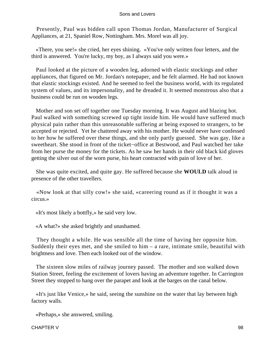Presently, Paul was bidden call upon Thomas Jordan, Manufacturer of Surgical Appliances, at 21, Spaniel Row, Nottingham. Mrs. Morel was all joy.

 «There, you see!» she cried, her eyes shining. «You've only written four letters, and the third is answered. You're lucky, my boy, as I always said you were.»

 Paul looked at the picture of a wooden leg, adorned with elastic stockings and other appliances, that figured on Mr. Jordan's notepaper, and he felt alarmed. He had not known that elastic stockings existed. And he seemed to feel the business world, with its regulated system of values, and its impersonality, and he dreaded it. It seemed monstrous also that a business could be run on wooden legs.

 Mother and son set off together one Tuesday morning. It was August and blazing hot. Paul walked with something screwed up tight inside him. He would have suffered much physical pain rather than this unreasonable suffering at being exposed to strangers, to be accepted or rejected. Yet he chattered away with his mother. He would never have confessed to her how he suffered over these things, and she only partly guessed. She was gay, like a sweetheart. She stood in front of the ticket−office at Bestwood, and Paul watched her take from her purse the money for the tickets. As he saw her hands in their old black kid gloves getting the silver out of the worn purse, his heart contracted with pain of love of her.

 She was quite excited, and quite gay. He suffered because she **WOULD** talk aloud in presence of the other travellers.

 «Now look at that silly cow!» she said, «careering round as if it thought it was a circus.»

«It's most likely a bottfly,» he said very low.

«A what?» she asked brightly and unashamed.

 They thought a while. He was sensible all the time of having her opposite him. Suddenly their eyes met, and she smiled to him – a rare, intimate smile, beautiful with brightness and love. Then each looked out of the window.

 The sixteen slow miles of railway journey passed. The mother and son walked down Station Street, feeling the excitement of lovers having an adventure together. In Carrington Street they stopped to hang over the parapet and look at the barges on the canal below.

 «It's just like Venice,» he said, seeing the sunshine on the water that lay between high factory walls.

«Perhaps,» she answered, smiling.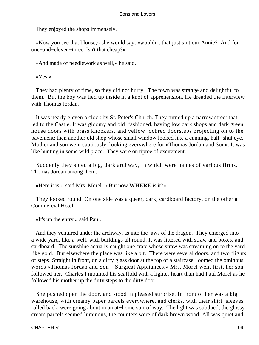They enjoyed the shops immensely.

 «Now you see that blouse,» she would say, «wouldn't that just suit our Annie? And for one−and−eleven−three. Isn't that cheap?»

«And made of needlework as well,» he said.

«Yes.»

 They had plenty of time, so they did not hurry. The town was strange and delightful to them. But the boy was tied up inside in a knot of apprehension. He dreaded the interview with Thomas Jordan.

 It was nearly eleven o'clock by St. Peter's Church. They turned up a narrow street that led to the Castle. It was gloomy and old−fashioned, having low dark shops and dark green house doors with brass knockers, and yellow−ochred doorsteps projecting on to the pavement; then another old shop whose small window looked like a cunning, half−shut eye. Mother and son went cautiously, looking everywhere for «Thomas Jordan and Son». It was like hunting in some wild place. They were on tiptoe of excitement.

 Suddenly they spied a big, dark archway, in which were names of various firms, Thomas Jordan among them.

«Here it is!» said Mrs. Morel. «But now **WHERE** is it?»

 They looked round. On one side was a queer, dark, cardboard factory, on the other a Commercial Hotel.

«It's up the entry,» said Paul.

 And they ventured under the archway, as into the jaws of the dragon. They emerged into a wide yard, like a well, with buildings all round. It was littered with straw and boxes, and cardboard. The sunshine actually caught one crate whose straw was streaming on to the yard like gold. But elsewhere the place was like a pit. There were several doors, and two flights of steps. Straight in front, on a dirty glass door at the top of a staircase, loomed the ominous words «Thomas Jordan and Son – Surgical Appliances.» Mrs. Morel went first, her son followed her. Charles I mounted his scaffold with a lighter heart than had Paul Morel as he followed his mother up the dirty steps to the dirty door.

 She pushed open the door, and stood in pleased surprise. In front of her was a big warehouse, with creamy paper parcels everywhere, and clerks, with their shirt−sleeves rolled back, were going about in an at−home sort of way. The light was subdued, the glossy cream parcels seemed luminous, the counters were of dark brown wood. All was quiet and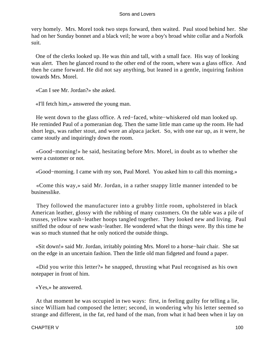very homely. Mrs. Morel took two steps forward, then waited. Paul stood behind her. She had on her Sunday bonnet and a black veil; he wore a boy's broad white collar and a Norfolk suit.

 One of the clerks looked up. He was thin and tall, with a small face. His way of looking was alert. Then he glanced round to the other end of the room, where was a glass office. And then he came forward. He did not say anything, but leaned in a gentle, inquiring fashion towards Mrs. Morel.

«Can I see Mr. Jordan?» she asked.

«I'll fetch him,» answered the young man.

 He went down to the glass office. A red−faced, white−whiskered old man looked up. He reminded Paul of a pomeranian dog. Then the same little man came up the room. He had short legs, was rather stout, and wore an alpaca jacket. So, with one ear up, as it were, he came stoutly and inquiringly down the room.

 «Good−morning!» he said, hesitating before Mrs. Morel, in doubt as to whether she were a customer or not.

«Good−morning. I came with my son, Paul Morel. You asked him to call this morning.»

 «Come this way,» said Mr. Jordan, in a rather snappy little manner intended to be businesslike.

 They followed the manufacturer into a grubby little room, upholstered in black American leather, glossy with the rubbing of many customers. On the table was a pile of trusses, yellow wash−leather hoops tangled together. They looked new and living. Paul sniffed the odour of new wash−leather. He wondered what the things were. By this time he was so much stunned that he only noticed the outside things.

 «Sit down!» said Mr. Jordan, irritably pointing Mrs. Morel to a horse−hair chair. She sat on the edge in an uncertain fashion. Then the little old man fidgeted and found a paper.

 «Did you write this letter?» he snapped, thrusting what Paul recognised as his own notepaper in front of him.

«Yes,» he answered.

 At that moment he was occupied in two ways: first, in feeling guilty for telling a lie, since William had composed the letter; second, in wondering why his letter seemed so strange and different, in the fat, red hand of the man, from what it had been when it lay on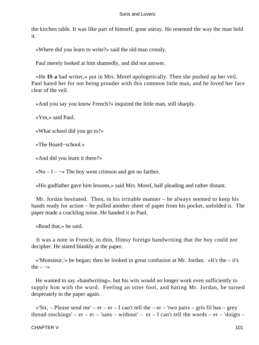the kitchen table. It was like part of himself, gone astray. He resented the way the man held it.

«Where did you learn to write?» said the old man crossly.

Paul merely looked at him shamedly, and did not answer.

 «He **IS a** bad writer,» put in Mrs. Morel apologetically. Then she pushed up her veil. Paul hated her for not being prouder with this common little man, and he loved her face clear of the veil.

«And you say you know French?» inquired the little man, still sharply.

«Yes,» said Paul.

«What school did you go to?»

«The Board−school.»

«And did you learn it there?»

 $\alpha$ No – I –  $\rightarrow$  The boy went crimson and got no farther.

«His godfather gave him lessons,» said Mrs. Morel, half pleading and rather distant.

 Mr. Jordan hesitated. Then, in his irritable manner – he always seemed to keep his hands ready for action – he pulled another sheet of paper from his pocket, unfolded it. The paper made a crackling noise. He handed it to Paul.

«Read that,» he said.

 It was a note in French, in thin, flimsy foreign handwriting that the boy could not decipher. He stared blankly at the paper.

 «'Monsieur,'» he began; then he looked in great confusion at Mr. Jordan. «It's the – it's the  $-\rightarrow$ 

 He wanted to say «handwriting», but his wits would no longer work even sufficiently to supply him with the word. Feeling an utter fool, and hating Mr. Jordan, he turned desperately to the paper again.

«'Sir, – Please send me' – er – er – I can't tell the – er – 'two pairs – gris fil bas – grey thread stockings' –  $er - er - 'sans - without' - er - I can't tell the words - er - 'doigts -$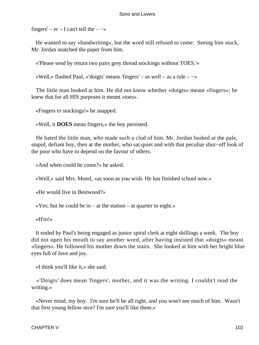fingers' –  $er - I$  can't tell the –  $\rightarrow$ 

 He wanted to say «handwriting», but the word still refused to come. Seeing him stuck, Mr. Jordan snatched the paper from him.

«'Please send by return two pairs grey thread stockings without TOES.'»

«Well,» flashed Paul, «'doigts' means 'fingers' – as well – as a rule – −»

 The little man looked at him. He did not know whether «doigts» meant «fingers»; he knew that for all HIS purposes it meant «toes».

«Fingers to stockings!» he snapped.

«Well, it **DOES** mean fingers,» the boy persisted.

 He hated the little man, who made such a clod of him. Mr. Jordan looked at the pale, stupid, defiant boy, then at the mother, who sat quiet and with that peculiar shut−off look of the poor who have to depend on the favour of others.

«And when could he come?» he asked.

«Well,» said Mrs. Morel, «as soon as you wish. He has finished school now.»

«He would live in Bestwood?»

 $\langle$  Yes; but he could be in – at the station – at quarter to eight.»

«H'm!»

 It ended by Paul's being engaged as junior spiral clerk at eight shillings a week. The boy did not open his mouth to say another word, after having insisted that «doigts» meant «fingers». He followed his mother down the stairs. She looked at him with her bright blue eyes full of love and joy.

«I think you'll like it,» she said.

 «'Doigts' does mean 'fingers', mother, and it was the writing. I couldn't read the writing.»

 «Never mind, my boy. I'm sure he'll be all right, and you won't see much of him. Wasn't that first young fellow nice? I'm sure you'll like them.»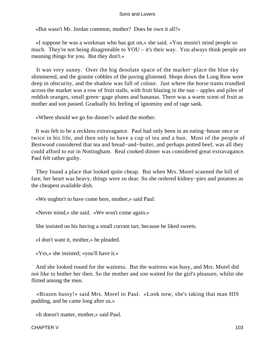«But wasn't Mr. Jordan common, mother? Does he own it all?»

 «I suppose he was a workman who has got on,» she said. «You mustn't mind people so much. They're not being disagreeable to YOU – it's their way. You always think people are meaning things for you. But they don't.»

 It was very sunny. Over the big desolate space of the market−place the blue sky shimmered, and the granite cobbles of the paving glistened. Shops down the Long Row were deep in obscurity, and the shadow was full of colour. Just where the horse trams trundled across the market was a row of fruit stalls, with fruit blazing in the sun – apples and piles of reddish oranges, small green−gage plums and bananas. There was a warm scent of fruit as mother and son passed. Gradually his feeling of ignominy and of rage sank.

«Where should we go for dinner?» asked the mother.

 It was felt to be a reckless extravagance. Paul had only been in an eating−house once or twice in his life, and then only to have a cup of tea and a bun. Most of the people of Bestwood considered that tea and bread−and−butter, and perhaps potted beef, was all they could afford to eat in Nottingham. Real cooked dinner was considered great extravagance. Paul felt rather guilty.

 They found a place that looked quite cheap. But when Mrs. Morel scanned the bill of fare, her heart was heavy, things were so dear. So she ordered kidney−pies and potatoes as the cheapest available dish.

«We oughtn't to have come here, mother,» said Paul.

«Never mind,» she said. «We won't come again.»

She insisted on his having a small currant tart, because he liked sweets.

«I don't want it, mother,» he pleaded.

«Yes,» she insisted; «you'll have it.»

 And she looked round for the waitress. But the waitress was busy, and Mrs. Morel did not like to bother her then. So the mother and son waited for the girl's pleasure, whilst she flirted among the men.

 «Brazen hussy!» said Mrs. Morel to Paul. «Look now, she's taking that man HIS pudding, and he came long after us.»

«It doesn't matter, mother,» said Paul.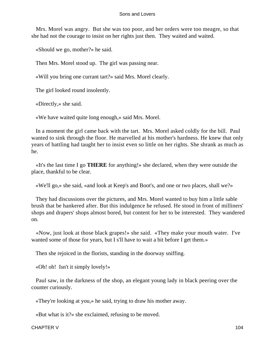Mrs. Morel was angry. But she was too poor, and her orders were too meagre, so that she had not the courage to insist on her rights just then. They waited and waited.

«Should we go, mother?» he said.

Then Mrs. Morel stood up. The girl was passing near.

«Will you bring one currant tart?» said Mrs. Morel clearly.

The girl looked round insolently.

«Directly,» she said.

«We have waited quite long enough,» said Mrs. Morel.

 In a moment the girl came back with the tart. Mrs. Morel asked coldly for the bill. Paul wanted to sink through the floor. He marvelled at his mother's hardness. He knew that only years of battling had taught her to insist even so little on her rights. She shrank as much as he.

 «It's the last time I go **THERE** for anything!» she declared, when they were outside the place, thankful to be clear.

«We'll go,» she said, «and look at Keep's and Boot's, and one or two places, shall we?»

 They had discussions over the pictures, and Mrs. Morel wanted to buy him a little sable brush that be hankered after. But this indulgence he refused. He stood in front of milliners' shops and drapers' shops almost bored, but content for her to be interested. They wandered on.

 «Now, just look at those black grapes!» she said. «They make your mouth water. I've wanted some of those for years, but I s'll have to wait a bit before I get them.»

Then she rejoiced in the florists, standing in the doorway sniffing.

«Oh! oh! Isn't it simply lovely!»

 Paul saw, in the darkness of the shop, an elegant young lady in black peering over the counter curiously.

«They're looking at you,» he said, trying to draw his mother away.

«But what is it?» she exclaimed, refusing to be moved.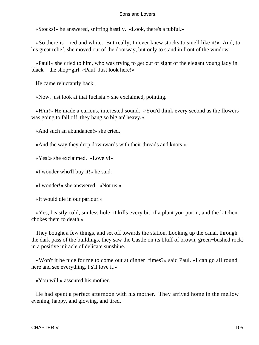«Stocks!» he answered, sniffing hastily. «Look, there's a tubful.»

«So there is – red and white. But really, I never knew stocks to smell like it!» And, to his great relief, she moved out of the doorway, but only to stand in front of the window.

 «Paul!» she cried to him, who was trying to get out of sight of the elegant young lady in black – the shop−girl. «Paul! Just look here!»

He came reluctantly back.

«Now, just look at that fuchsia!» she exclaimed, pointing.

 «H'm!» He made a curious, interested sound. «You'd think every second as the flowers was going to fall off, they hang so big an' heavy.»

«And such an abundance!» she cried.

«And the way they drop downwards with their threads and knots!»

«Yes!» she exclaimed. «Lovely!»

«I wonder who'll buy it!» he said.

«I wonder!» she answered. «Not us.»

«It would die in our parlour.»

 «Yes, beastly cold, sunless hole; it kills every bit of a plant you put in, and the kitchen chokes them to death.»

 They bought a few things, and set off towards the station. Looking up the canal, through the dark pass of the buildings, they saw the Castle on its bluff of brown, green−bushed rock, in a positive miracle of delicate sunshine.

 «Won't it be nice for me to come out at dinner−times?» said Paul. «I can go all round here and see everything. I s'll love it.»

«You will,» assented his mother.

 He had spent a perfect afternoon with his mother. They arrived home in the mellow evening, happy, and glowing, and tired.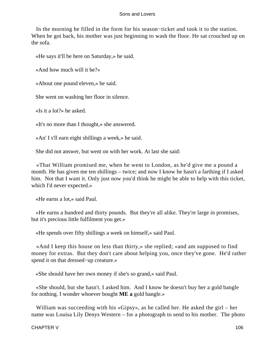In the morning he filled in the form for his season−ticket and took it to the station. When he got back, his mother was just beginning to wash the floor. He sat crouched up on the sofa.

«He says it'll be here on Saturday,» he said.

«And how much will it be?»

«About one pound eleven,» he said.

She went on washing her floor in silence.

«Is it a lot?» he asked.

«It's no more than I thought,» she answered.

«An' I s'll earn eight shillings a week,» he said.

She did not answer, but went on with her work. At last she said:

 «That William promised me, when he went to London, as he'd give me a pound a month. He has given me ten shillings – twice; and now I know he hasn't a farthing if I asked him. Not that I want it. Only just now you'd think he might be able to help with this ticket, which I'd never expected.»

«He earns a lot,» said Paul.

 «He earns a hundred and thirty pounds. But they're all alike. They're large in promises, but it's precious little fulfilment you get.»

«He spends over fifty shillings a week on himself,» said Paul.

 «And I keep this house on less than thirty,» she replied; «and am supposed to find money for extras. But they don't care about helping you, once they've gone. He'd rather spend it on that dressed−up creature.»

«She should have her own money if she's so grand,» said Paul.

 «She should, but she hasn't. I asked him. And I know he doesn't buy her a gold bangle for nothing. I wonder whoever bought **ME a** gold bangle.»

William was succeeding with his «Gipsy», as he called her. He asked the girl – her name was Louisa Lily Denys Western – for a photograph to send to his mother. The photo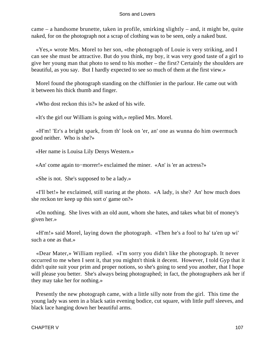came – a handsome brunette, taken in profile, smirking slightly – and, it might be, quite naked, for on the photograph not a scrap of clothing was to be seen, only a naked bust.

 «Yes,» wrote Mrs. Morel to her son, «the photograph of Louie is very striking, and I can see she must be attractive. But do you think, my boy, it was very good taste of a girl to give her young man that photo to send to his mother – the first? Certainly the shoulders are beautiful, as you say. But I hardly expected to see so much of them at the first view.»

 Morel found the photograph standing on the chiffonier in the parlour. He came out with it between his thick thumb and finger.

«Who dost reckon this is?» he asked of his wife.

«It's the girl our William is going with,» replied Mrs. Morel.

 «H'm! 'Er's a bright spark, from th' look on 'er, an' one as wunna do him owermuch good neither. Who is she?»

«Her name is Louisa Lily Denys Western.»

«An' come again to−morrer!» exclaimed the miner. «An' is 'er an actress?»

«She is not. She's supposed to be a lady.»

 «I'll bet!» he exclaimed, still staring at the photo. «A lady, is she? An' how much does she reckon ter keep up this sort o' game on?»

 «On nothing. She lives with an old aunt, whom she hates, and takes what bit of money's given her.»

 «H'm!» said Morel, laying down the photograph. «Then he's a fool to ha' ta'en up wi' such a one as that.»

 «Dear Mater,» William replied. «I'm sorry you didn't like the photograph. It never occurred to me when I sent it, that you mightn't think it decent. However, I told Gyp that it didn't quite suit your prim and proper notions, so she's going to send you another, that I hope will please you better. She's always being photographed; in fact, the photographers ask her if they may take her for nothing.»

 Presently the new photograph came, with a little silly note from the girl. This time the young lady was seen in a black satin evening bodice, cut square, with little puff sleeves, and black lace hanging down her beautiful arms.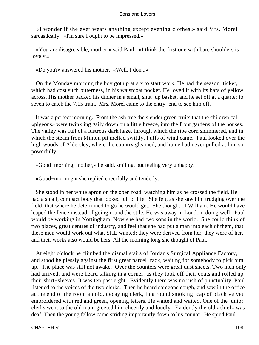«I wonder if she ever wears anything except evening clothes,» said Mrs. Morel sarcastically. «I'm sure I ought to be impressed.»

 «You are disagreeable, mother,» said Paul. «I think the first one with bare shoulders is lovely.»

«Do you?» answered his mother. «Well, I don't.»

 On the Monday morning the boy got up at six to start work. He had the season−ticket, which had cost such bitterness, in his waistcoat pocket. He loved it with its bars of yellow across. His mother packed his dinner in a small, shut−up basket, and he set off at a quarter to seven to catch the 7.15 train. Mrs. Morel came to the entry–end to see him off.

 It was a perfect morning. From the ash tree the slender green fruits that the children call «pigeons» were twinkling gaily down on a little breeze, into the front gardens of the houses. The valley was full of a lustrous dark haze, through which the ripe corn shimmered, and in which the steam from Minton pit melted swiftly. Puffs of wind came. Paul looked over the high woods of Aldersley, where the country gleamed, and home had never pulled at him so powerfully.

«Good−morning, mother,» he said, smiling, but feeling very unhappy.

«Good−morning,» she replied cheerfully and tenderly.

 She stood in her white apron on the open road, watching him as he crossed the field. He had a small, compact body that looked full of life. She felt, as she saw him trudging over the field, that where he determined to go he would get. She thought of William. He would have leaped the fence instead of going round the stile. He was away in London, doing well. Paul would be working in Nottingham. Now she had two sons in the world. She could think of two places, great centres of industry, and feel that she had put a man into each of them, that these men would work out what SHE wanted; they were derived from her, they were of her, and their works also would be hers. All the morning long she thought of Paul.

 At eight o'clock he climbed the dismal stairs of Jordan's Surgical Appliance Factory, and stood helplessly against the first great parcel−rack, waiting for somebody to pick him up. The place was still not awake. Over the counters were great dust sheets. Two men only had arrived, and were heard talking in a corner, as they took off their coats and rolled up their shirt−sleeves. It was ten past eight. Evidently there was no rush of punctuality. Paul listened to the voices of the two clerks. Then he heard someone cough, and saw in the office at the end of the room an old, decaying clerk, in a round smoking−cap of black velvet embroidered with red and green, opening letters. He waited and waited. One of the junior clerks went to the old man, greeted him cheerily and loudly. Evidently the old «chief» was deaf. Then the young fellow came striding importantly down to his counter. He spied Paul.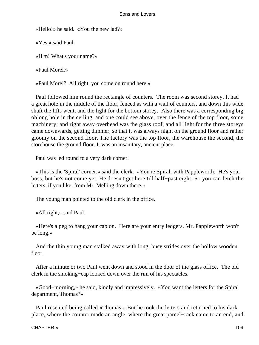«Hello!» he said. «You the new lad?»

«Yes,» said Paul.

«H'm! What's your name?»

«Paul Morel.»

«Paul Morel? All right, you come on round here.»

 Paul followed him round the rectangle of counters. The room was second storey. It had a great hole in the middle of the floor, fenced as with a wall of counters, and down this wide shaft the lifts went, and the light for the bottom storey. Also there was a corresponding big, oblong hole in the ceiling, and one could see above, over the fence of the top floor, some machinery; and right away overhead was the glass roof, and all light for the three storeys came downwards, getting dimmer, so that it was always night on the ground floor and rather gloomy on the second floor. The factory was the top floor, the warehouse the second, the storehouse the ground floor. It was an insanitary, ancient place.

Paul was led round to a very dark corner.

 «This is the 'Spiral' corner,» said the clerk. «You're Spiral, with Pappleworth. He's your boss, but he's not come yet. He doesn't get here till half−past eight. So you can fetch the letters, if you like, from Mr. Melling down there.»

The young man pointed to the old clerk in the office.

«All right,» said Paul.

 «Here's a peg to hang your cap on. Here are your entry ledgers. Mr. Pappleworth won't be long.»

 And the thin young man stalked away with long, busy strides over the hollow wooden floor.

 After a minute or two Paul went down and stood in the door of the glass office. The old clerk in the smoking−cap looked down over the rim of his spectacles.

 «Good−morning,» he said, kindly and impressively. «You want the letters for the Spiral department, Thomas?»

 Paul resented being called «Thomas». But he took the letters and returned to his dark place, where the counter made an angle, where the great parcel−rack came to an end, and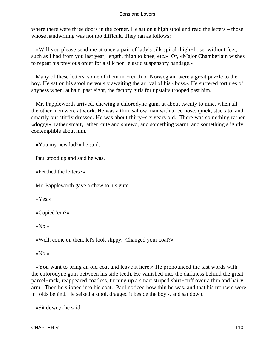where there were three doors in the corner. He sat on a high stool and read the letters – those whose handwriting was not too difficult. They ran as follows:

 «Will you please send me at once a pair of lady's silk spiral thigh−hose, without feet, such as I had from you last year; length, thigh to knee, etc.» Or, «Major Chamberlain wishes to repeat his previous order for a silk non−elastic suspensory bandage.»

 Many of these letters, some of them in French or Norwegian, were a great puzzle to the boy. He sat on his stool nervously awaiting the arrival of his «boss». He suffered tortures of shyness when, at half−past eight, the factory girls for upstairs trooped past him.

 Mr. Pappleworth arrived, chewing a chlorodyne gum, at about twenty to nine, when all the other men were at work. He was a thin, sallow man with a red nose, quick, staccato, and smartly but stiffly dressed. He was about thirty–six years old. There was something rather «doggy», rather smart, rather 'cute and shrewd, and something warm, and something slightly contemptible about him.

«You my new lad?» he said.

Paul stood up and said he was.

«Fetched the letters?»

Mr. Pappleworth gave a chew to his gum.

«Yes.»

«Copied 'em?»

«No.»

«Well, come on then, let's look slippy. Changed your coat?»

«No.»

 «You want to bring an old coat and leave it here.» He pronounced the last words with the chlorodyne gum between his side teeth. He vanished into the darkness behind the great parcel−rack, reappeared coatless, turning up a smart striped shirt−cuff over a thin and hairy arm. Then he slipped into his coat. Paul noticed how thin he was, and that his trousers were in folds behind. He seized a stool, dragged it beside the boy's, and sat down.

«Sit down,» he said.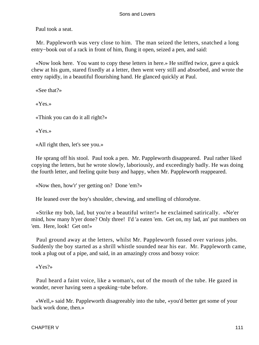Paul took a seat.

 Mr. Pappleworth was very close to him. The man seized the letters, snatched a long entry−book out of a rack in front of him, flung it open, seized a pen, and said:

 «Now look here. You want to copy these letters in here.» He sniffed twice, gave a quick chew at his gum, stared fixedly at a letter, then went very still and absorbed, and wrote the entry rapidly, in a beautiful flourishing hand. He glanced quickly at Paul.

«See that?»

«Yes.»

«Think you can do it all right?»

«Yes.»

«All right then, let's see you.»

 He sprang off his stool. Paul took a pen. Mr. Pappleworth disappeared. Paul rather liked copying the letters, but he wrote slowly, laboriously, and exceedingly badly. He was doing the fourth letter, and feeling quite busy and happy, when Mr. Pappleworth reappeared.

«Now then, how'r' yer getting on? Done 'em?»

He leaned over the boy's shoulder, chewing, and smelling of chlorodyne.

 «Strike my bob, lad, but you're a beautiful writer!» he exclaimed satirically. «Ne'er mind, how many h'yer done? Only three! I'd 'a eaten 'em. Get on, my lad, an' put numbers on 'em. Here, look! Get on!»

 Paul ground away at the letters, whilst Mr. Pappleworth fussed over various jobs. Suddenly the boy started as a shrill whistle sounded near his ear. Mr. Pappleworth came, took a plug out of a pipe, and said, in an amazingly cross and bossy voice:

«Yes?»

 Paul heard a faint voice, like a woman's, out of the mouth of the tube. He gazed in wonder, never having seen a speaking−tube before.

 «Well,» said Mr. Pappleworth disagreeably into the tube, «you'd better get some of your back work done, then.»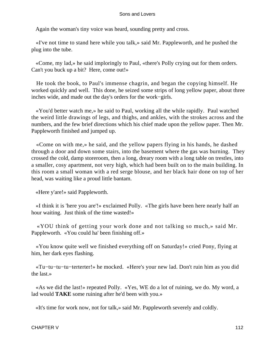Again the woman's tiny voice was heard, sounding pretty and cross.

 «I've not time to stand here while you talk,» said Mr. Pappleworth, and he pushed the plug into the tube.

 «Come, my lad,» he said imploringly to Paul, «there's Polly crying out for them orders. Can't you buck up a bit? Here, come out!»

 He took the book, to Paul's immense chagrin, and began the copying himself. He worked quickly and well. This done, he seized some strips of long yellow paper, about three inches wide, and made out the day's orders for the work−girls.

 «You'd better watch me,» he said to Paul, working all the while rapidly. Paul watched the weird little drawings of legs, and thighs, and ankles, with the strokes across and the numbers, and the few brief directions which his chief made upon the yellow paper. Then Mr. Pappleworth finished and jumped up.

 «Come on with me,» he said, and the yellow papers flying in his hands, he dashed through a door and down some stairs, into the basement where the gas was burning. They crossed the cold, damp storeroom, then a long, dreary room with a long table on trestles, into a smaller, cosy apartment, not very high, which had been built on to the main building. In this room a small woman with a red serge blouse, and her black hair done on top of her head, was waiting like a proud little bantam.

«Here y'are!» said Pappleworth.

 «I think it is 'here you are'!» exclaimed Polly. «The girls have been here nearly half an hour waiting. Just think of the time wasted!»

 «YOU think of getting your work done and not talking so much,» said Mr. Pappleworth. «You could ha' been finishing off.»

 «You know quite well we finished everything off on Saturday!» cried Pony, flying at him, her dark eyes flashing.

 «Tu−tu−tu−tu−terterter!» he mocked. «Here's your new lad. Don't ruin him as you did the last.»

 «As we did the last!» repeated Polly. «Yes, WE do a lot of ruining, we do. My word, a lad would **TAKE** some ruining after he'd been with you.»

«It's time for work now, not for talk,» said Mr. Pappleworth severely and coldly.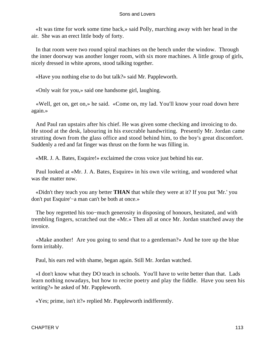«It was time for work some time back,» said Polly, marching away with her head in the air. She was an erect little body of forty.

 In that room were two round spiral machines on the bench under the window. Through the inner doorway was another longer room, with six more machines. A little group of girls, nicely dressed in white aprons, stood talking together.

«Have you nothing else to do but talk?» said Mr. Pappleworth.

«Only wait for you,» said one handsome girl, laughing.

 «Well, get on, get on,» he said. «Come on, my lad. You'll know your road down here again.»

 And Paul ran upstairs after his chief. He was given some checking and invoicing to do. He stood at the desk, labouring in his execrable handwriting. Presently Mr. Jordan came strutting down from the glass office and stood behind him, to the boy's great discomfort. Suddenly a red and fat finger was thrust on the form he was filling in.

«MR. J. A. Bates, Esquire!» exclaimed the cross voice just behind his ear.

 Paul looked at «Mr. J. A. Bates, Esquire» in his own vile writing, and wondered what was the matter now

 «Didn't they teach you any better **THAN** that while they were at it? If you put 'Mr.' you don't put Esquire'−a man can't be both at once.»

 The boy regretted his too−much generosity in disposing of honours, hesitated, and with trembling fingers, scratched out the «Mr.» Then all at once Mr. Jordan snatched away the invoice.

 «Make another! Are you going to send that to a gentleman?» And he tore up the blue form irritably.

Paul, his ears red with shame, began again. Still Mr. Jordan watched.

 «I don't know what they DO teach in schools. You'll have to write better than that. Lads learn nothing nowadays, but how to recite poetry and play the fiddle. Have you seen his writing?» he asked of Mr. Pappleworth.

«Yes; prime, isn't it?» replied Mr. Pappleworth indifferently.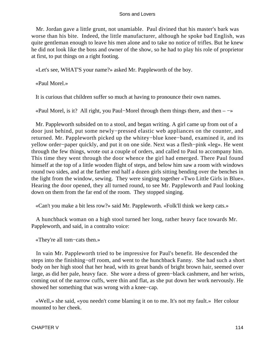Mr. Jordan gave a little grunt, not unamiable. Paul divined that his master's bark was worse than his bite. Indeed, the little manufacturer, although he spoke bad English, was quite gentleman enough to leave his men alone and to take no notice of trifles. But he knew he did not look like the boss and owner of the show, so he had to play his role of proprietor at first, to put things on a right footing.

«Let's see, WHAT'S your name?» asked Mr. Pappleworth of the boy.

«Paul Morel.»

It is curious that children suffer so much at having to pronounce their own names.

«Paul Morel, is it? All right, you Paul−Morel through them things there, and then – −»

 Mr. Pappleworth subsided on to a stool, and began writing. A girl came up from out of a door just behind, put some newly−pressed elastic web appliances on the counter, and returned. Mr. Pappleworth picked up the whitey−blue knee−band, examined it, and its yellow order−paper quickly, and put it on one side. Next was a flesh−pink «leg». He went through the few things, wrote out a couple of orders, and called to Paul to accompany him. This time they went through the door whence the girl had emerged. There Paul found himself at the top of a little wooden flight of steps, and below him saw a room with windows round two sides, and at the farther end half a dozen girls sitting bending over the benches in the light from the window, sewing. They were singing together «Two Little Girls in Blue». Hearing the door opened, they all turned round, to see Mr. Pappleworth and Paul looking down on them from the far end of the room. They stopped singing.

«Can't you make a bit less row?» said Mr. Pappleworth. «Folk'll think we keep cats.»

 A hunchback woman on a high stool turned her long, rather heavy face towards Mr. Pappleworth, and said, in a contralto voice:

«They're all tom−cats then.»

 In vain Mr. Pappleworth tried to be impressive for Paul's benefit. He descended the steps into the finishing−off room, and went to the hunchback Fanny. She had such a short body on her high stool that her head, with its great bands of bright brown hair, seemed over large, as did her pale, heavy face. She wore a dress of green−black cashmere, and her wrists, coming out of the narrow cuffs, were thin and flat, as she put down her work nervously. He showed her something that was wrong with a knee−cap.

 «Well,» she said, «you needn't come blaming it on to me. It's not my fault.» Her colour mounted to her cheek.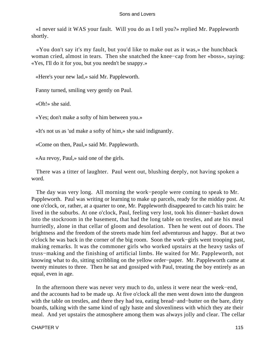«I never said it WAS your fault. Will you do as I tell you?» replied Mr. Pappleworth shortly.

 «You don't say it's my fault, but you'd like to make out as it was,» the hunchback woman cried, almost in tears. Then she snatched the knee−cap from her «boss», saying: «Yes, I'll do it for you, but you needn't be snappy.»

«Here's your new lad,» said Mr. Pappleworth.

Fanny turned, smiling very gently on Paul.

«Oh!» she said.

«Yes; don't make a softy of him between you.»

«It's not us as 'ud make a softy of him,» she said indignantly.

«Come on then, Paul,» said Mr. Pappleworth.

«Au revoy, Paul,» said one of the girls.

 There was a titter of laughter. Paul went out, blushing deeply, not having spoken a word.

 The day was very long. All morning the work−people were coming to speak to Mr. Pappleworth. Paul was writing or learning to make up parcels, ready for the midday post. At one o'clock, or, rather, at a quarter to one, Mr. Pappleworth disappeared to catch his train: he lived in the suburbs. At one o'clock, Paul, feeling very lost, took his dinner−basket down into the stockroom in the basement, that had the long table on trestles, and ate his meal hurriedly, alone in that cellar of gloom and desolation. Then he went out of doors. The brightness and the freedom of the streets made him feel adventurous and happy. But at two o'clock he was back in the corner of the big room. Soon the work−girls went trooping past, making remarks. It was the commoner girls who worked upstairs at the heavy tasks of truss−making and the finishing of artificial limbs. He waited for Mr. Pappleworth, not knowing what to do, sitting scribbling on the yellow order−paper. Mr. Pappleworth came at twenty minutes to three. Then he sat and gossiped with Paul, treating the boy entirely as an equal, even in age.

 In the afternoon there was never very much to do, unless it were near the week−end, and the accounts had to be made up. At five o'clock all the men went down into the dungeon with the table on trestles, and there they had tea, eating bread−and−butter on the bare, dirty boards, talking with the same kind of ugly haste and slovenliness with which they ate their meal. And yet upstairs the atmosphere among them was always jolly and clear. The cellar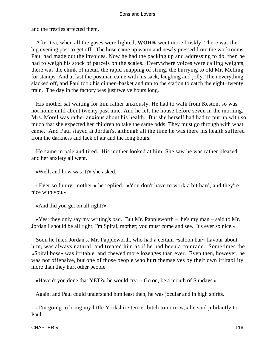and the trestles affected them.

 After tea, when all the gases were lighted, **WORK** went more briskly. There was the big evening post to get off. The hose came up warm and newly pressed from the workrooms. Paul had made out the invoices. Now he had the packing up and addressing to do, then he had to weigh his stock of parcels on the scales. Everywhere voices were calling weights, there was the chink of metal, the rapid snapping of string, the hurrying to old Mr. Melling for stamps. And at last the postman came with his sack, laughing and jolly. Then everything slacked off, and Paul took his dinner−basket and ran to the station to catch the eight−twenty train. The day in the factory was just twelve hours long.

 His mother sat waiting for him rather anxiously. He had to walk from Keston, so was not home until about twenty past nine. And he left the house before seven in the morning. Mrs. Morel was rather anxious about his health. But she herself had had to put up with so much that she expected her children to take the same odds. They must go through with what came. And Paul stayed at Jordan's, although all the time he was there his health suffered from the darkness and lack of air and the long hours.

 He came in pale and tired. His mother looked at him. She saw he was rather pleased, and her anxiety all went.

«Well, and how was it?» she asked.

 «Ever so funny, mother,» he replied. «You don't have to work a bit hard, and they're nice with you.»

«And did you get on all right?»

 «Yes: they only say my writing's bad. But Mr. Pappleworth – he's my man – said to Mr. Jordan I should be all right. I'm Spiral, mother; you must come and see. It's ever so nice.»

 Soon he liked Jordan's. Mr. Pappleworth, who had a certain «saloon bar» flavour about him, was always natural, and treated him as if he had been a comrade. Sometimes the «Spiral boss» was irritable, and chewed more lozenges than ever. Even then, however, he was not offensive, but one of those people who hurt themselves by their own irritability more than they hurt other people.

«Haven't you done that YET?» he would cry. «Go on, be a month of Sundays.»

Again, and Paul could understand him least then, he was jocular and in high spirits.

 «I'm going to bring my little Yorkshire terrier bitch tomorrow,» he said jubilantly to Paul.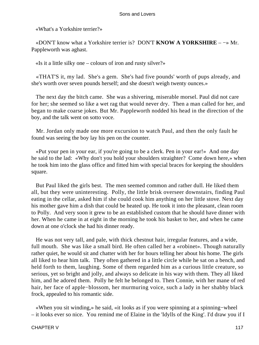«What's a Yorkshire terrier?»

 «DON'T know what a Yorkshire terrier is? DON'T **KNOW A YORKSHIRE** – −» Mr. Pappleworth was aghast.

«Is it a little silky one – colours of iron and rusty silver?»

 «THAT'S it, my lad. She's a gem. She's had five pounds' worth of pups already, and she's worth over seven pounds herself; and she doesn't weigh twenty ounces.»

 The next day the bitch came. She was a shivering, miserable morsel. Paul did not care for her; she seemed so like a wet rag that would never dry. Then a man called for her, and began to make coarse jokes. But Mr. Pappleworth nodded his head in the direction of the boy, and the talk went on sotto voce.

 Mr. Jordan only made one more excursion to watch Paul, and then the only fault he found was seeing the boy lay his pen on the counter.

 «Put your pen in your ear, if you're going to be a clerk. Pen in your ear!» And one day he said to the lad: «Why don't you hold your shoulders straighter? Come down here,» when he took him into the glass office and fitted him with special braces for keeping the shoulders square.

 But Paul liked the girls best. The men seemed common and rather dull. He liked them all, but they were uninteresting. Polly, the little brisk overseer downstairs, finding Paul eating in the cellar, asked him if she could cook him anything on her little stove. Next day his mother gave him a dish that could be heated up. He took it into the pleasant, clean room to Polly. And very soon it grew to be an established custom that he should have dinner with her. When he came in at eight in the morning he took his basket to her, and when he came down at one o'clock she had his dinner ready.

 He was not very tall, and pale, with thick chestnut hair, irregular features, and a wide, full mouth. She was like a small bird. He often called her a «robinet». Though naturally rather quiet, he would sit and chatter with her for hours telling her about his home. The girls all liked to hear him talk. They often gathered in a little circle while he sat on a bench, and held forth to them, laughing. Some of them regarded him as a curious little creature, so serious, yet so bright and jolly, and always so delicate in his way with them. They all liked him, and he adored them. Polly he felt he belonged to. Then Connie, with her mane of red hair, her face of apple−blossom, her murmuring voice, such a lady in her shabby black frock, appealed to his romantic side.

 «When you sit winding,» he said, «it looks as if you were spinning at a spinning−wheel – it looks ever so nice. You remind me of Elaine in the 'Idylls of the King'. I'd draw you if I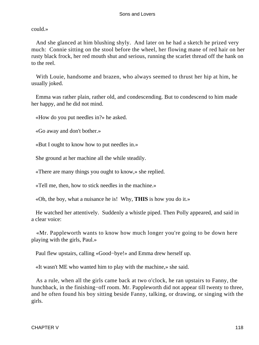could.»

 And she glanced at him blushing shyly. And later on he had a sketch he prized very much: Connie sitting on the stool before the wheel, her flowing mane of red hair on her rusty black frock, her red mouth shut and serious, running the scarlet thread off the hank on to the reel.

 With Louie, handsome and brazen, who always seemed to thrust her hip at him, he usually joked.

 Emma was rather plain, rather old, and condescending. But to condescend to him made her happy, and he did not mind.

«How do you put needles in?» he asked.

«Go away and don't bother.»

«But I ought to know how to put needles in.»

She ground at her machine all the while steadily.

«There are many things you ought to know,» she replied.

«Tell me, then, how to stick needles in the machine.»

«Oh, the boy, what a nuisance he is! Why, **THIS** is how you do it.»

 He watched her attentively. Suddenly a whistle piped. Then Polly appeared, and said in a clear voice:

 «Mr. Pappleworth wants to know how much longer you're going to be down here playing with the girls, Paul.»

Paul flew upstairs, calling «Good−bye!» and Emma drew herself up.

«It wasn't ME who wanted him to play with the machine,» she said.

 As a rule, when all the girls came back at two o'clock, he ran upstairs to Fanny, the hunchback, in the finishing−off room. Mr. Pappleworth did not appear till twenty to three, and he often found his boy sitting beside Fanny, talking, or drawing, or singing with the girls.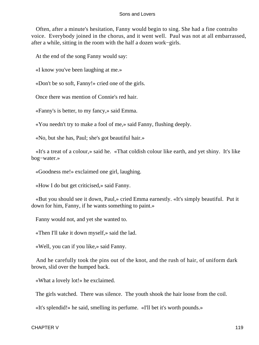Often, after a minute's hesitation, Fanny would begin to sing. She had a fine contralto voice. Everybody joined in the chorus, and it went well. Paul was not at all embarrassed, after a while, sitting in the room with the half a dozen work−girls.

At the end of the song Fanny would say:

«I know you've been laughing at me.»

«Don't be so soft, Fanny!» cried one of the girls.

Once there was mention of Connie's red hair.

«Fanny's is better, to my fancy,» said Emma.

«You needn't try to make a fool of me,» said Fanny, flushing deeply.

«No, but she has, Paul; she's got beautiful hair.»

 «It's a treat of a colour,» said he. «That coldish colour like earth, and yet shiny. It's like bog−water.»

«Goodness me!» exclaimed one girl, laughing.

«How I do but get criticised,» said Fanny.

 «But you should see it down, Paul,» cried Emma earnestly. «It's simply beautiful. Put it down for him, Fanny, if he wants something to paint.»

Fanny would not, and yet she wanted to.

«Then I'll take it down myself,» said the lad.

«Well, you can if you like,» said Fanny.

 And he carefully took the pins out of the knot, and the rush of hair, of uniform dark brown, slid over the humped back.

«What a lovely lot!» he exclaimed.

The girls watched. There was silence. The youth shook the hair loose from the coil.

«It's splendid!» he said, smelling its perfume. «I'll bet it's worth pounds.»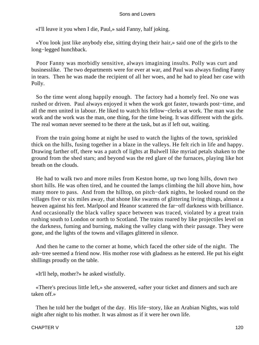«I'll leave it you when I die, Paul,» said Fanny, half joking.

 «You look just like anybody else, sitting drying their hair,» said one of the girls to the long−legged hunchback.

 Poor Fanny was morbidly sensitive, always imagining insults. Polly was curt and businesslike. The two departments were for ever at war, and Paul was always finding Fanny in tears. Then he was made the recipient of all her woes, and he had to plead her case with Polly.

 So the time went along happily enough. The factory had a homely feel. No one was rushed or driven. Paul always enjoyed it when the work got faster, towards post−time, and all the men united in labour. He liked to watch his fellow−clerks at work. The man was the work and the work was the man, one thing, for the time being. It was different with the girls. The real woman never seemed to be there at the task, but as if left out, waiting.

 From the train going home at night he used to watch the lights of the town, sprinkled thick on the hills, fusing together in a blaze in the valleys. He felt rich in life and happy. Drawing farther off, there was a patch of lights at Bulwell like myriad petals shaken to the ground from the shed stars; and beyond was the red glare of the furnaces, playing like hot breath on the clouds.

 He had to walk two and more miles from Keston home, up two long hills, down two short hills. He was often tired, and he counted the lamps climbing the hill above him, how many more to pass. And from the hilltop, on pitch−dark nights, he looked round on the villages five or six miles away, that shone like swarms of glittering living things, almost a heaven against his feet. Marlpool and Heanor scattered the far−off darkness with brilliance. And occasionally the black valley space between was traced, violated by a great train rushing south to London or north to Scotland. The trains roared by like projectiles level on the darkness, fuming and burning, making the valley clang with their passage. They were gone, and the lights of the towns and villages glittered in silence.

 And then he came to the corner at home, which faced the other side of the night. The ash−tree seemed a friend now. His mother rose with gladness as he entered. He put his eight shillings proudly on the table.

«It'll help, mother?» he asked wistfully.

 «There's precious little left,» she answered, «after your ticket and dinners and such are taken off.»

 Then he told her the budget of the day. His life−story, like an Arabian Nights, was told night after night to his mother. It was almost as if it were her own life.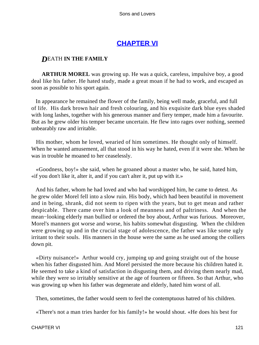# **[CHAPTER VI](#page-470-0)**

# *D*EATH **IN THE FAMILY**

**ARTHUR MOREL** was growing up. He was a quick, careless, impulsive boy, a good deal like his father. He hated study, made a great moan if he had to work, and escaped as soon as possible to his sport again.

 In appearance he remained the flower of the family, being well made, graceful, and full of life. His dark brown hair and fresh colouring, and his exquisite dark blue eyes shaded with long lashes, together with his generous manner and fiery temper, made him a favourite. But as he grew older his temper became uncertain. He flew into rages over nothing, seemed unbearably raw and irritable.

 His mother, whom he loved, wearied of him sometimes. He thought only of himself. When he wanted amusement, all that stood in his way he hated, even if it were she. When he was in trouble he moaned to her ceaselessly.

 «Goodness, boy!» she said, when he groaned about a master who, he said, hated him, «if you don't like it, alter it, and if you can't alter it, put up with it.»

 And his father, whom he had loved and who had worshipped him, he came to detest. As he grew older Morel fell into a slow ruin. His body, which had been beautiful in movement and in being, shrank, did not seem to ripen with the years, but to get mean and rather despicable. There came over him a look of meanness and of paltriness. And when the mean−looking elderly man bullied or ordered the boy about, Arthur was furious. Moreover, Morel's manners got worse and worse, his habits somewhat disgusting. When the children were growing up and in the crucial stage of adolescence, the father was like some ugly irritant to their souls. His manners in the house were the same as he used among the colliers down pit.

 «Dirty nuisance!» Arthur would cry, jumping up and going straight out of the house when his father disgusted him. And Morel persisted the more because his children hated it. He seemed to take a kind of satisfaction in disgusting them, and driving them nearly mad, while they were so irritably sensitive at the age of fourteen or fifteen. So that Arthur, who was growing up when his father was degenerate and elderly, hated him worst of all.

Then, sometimes, the father would seem to feel the contemptuous hatred of his children.

«There's not a man tries harder for his family!» he would shout. «He does his best for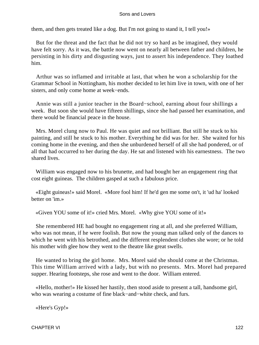them, and then gets treated like a dog. But I'm not going to stand it, I tell you!»

 But for the threat and the fact that he did not try so hard as be imagined, they would have felt sorry. As it was, the battle now went on nearly all between father and children, he persisting in his dirty and disgusting ways, just to assert his independence. They loathed him.

 Arthur was so inflamed and irritable at last, that when he won a scholarship for the Grammar School in Nottingham, his mother decided to let him live in town, with one of her sisters, and only come home at week−ends.

 Annie was still a junior teacher in the Board−school, earning about four shillings a week. But soon she would have fifteen shillings, since she had passed her examination, and there would be financial peace in the house.

 Mrs. Morel clung now to Paul. He was quiet and not brilliant. But still he stuck to his painting, and still he stuck to his mother. Everything he did was for her. She waited for his coming home in the evening, and then she unburdened herself of all she had pondered, or of all that had occurred to her during the day. He sat and listened with his earnestness. The two shared lives.

 William was engaged now to his brunette, and had bought her an engagement ring that cost eight guineas. The children gasped at such a fabulous price.

 «Eight guineas!» said Morel. «More fool him! If he'd gen me some on't, it 'ud ha' looked better on 'im.»

«Given YOU some of it!» cried Mrs. Morel. «Why give YOU some of it!»

 She remembered HE had bought no engagement ring at all, and she preferred William, who was not mean, if he were foolish. But now the young man talked only of the dances to which he went with his betrothed, and the different resplendent clothes she wore; or he told his mother with glee how they went to the theatre like great swells.

 He wanted to bring the girl home. Mrs. Morel said she should come at the Christmas. This time William arrived with a lady, but with no presents. Mrs. Morel had prepared supper. Hearing footsteps, she rose and went to the door. William entered.

 «Hello, mother!» He kissed her hastily, then stood aside to present a tall, handsome girl, who was wearing a costume of fine black−and−white check, and furs.

«Here's Gyp!»

CHAPTER VI 122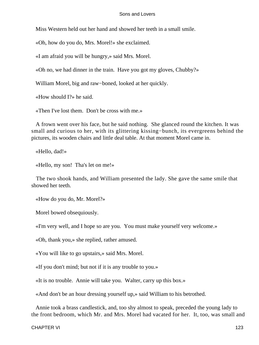Miss Western held out her hand and showed her teeth in a small smile.

«Oh, how do you do, Mrs. Morel!» she exclaimed.

«I am afraid you will be hungry,» said Mrs. Morel.

«Oh no, we had dinner in the train. Have you got my gloves, Chubby?»

William Morel, big and raw−boned, looked at her quickly.

«How should I?» he said.

«Then I've lost them. Don't be cross with me.»

 A frown went over his face, but he said nothing. She glanced round the kitchen. It was small and curious to her, with its glittering kissing−bunch, its evergreens behind the pictures, its wooden chairs and little deal table. At that moment Morel came in.

«Hello, dad!»

«Hello, my son! Tha's let on me!»

 The two shook hands, and William presented the lady. She gave the same smile that showed her teeth.

«How do you do, Mr. Morel?»

Morel bowed obsequiously.

«I'm very well, and I hope so are you. You must make yourself very welcome.»

«Oh, thank you,» she replied, rather amused.

«You will like to go upstairs,» said Mrs. Morel.

«If you don't mind; but not if it is any trouble to you.»

«It is no trouble. Annie will take you. Walter, carry up this box.»

«And don't be an hour dressing yourself up,» said William to his betrothed.

 Annie took a brass candlestick, and, too shy almost to speak, preceded the young lady to the front bedroom, which Mr. and Mrs. Morel had vacated for her. It, too, was small and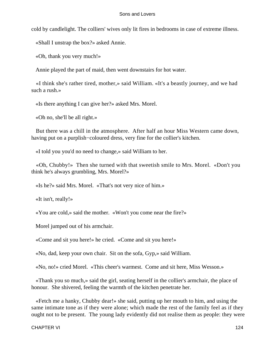cold by candlelight. The colliers' wives only lit fires in bedrooms in case of extreme illness.

«Shall I unstrap the box?» asked Annie.

«Oh, thank you very much!»

Annie played the part of maid, then went downstairs for hot water.

 «I think she's rather tired, mother,» said William. «It's a beastly journey, and we had such a rush.»

«Is there anything I can give her?» asked Mrs. Morel.

«Oh no, she'll be all right.»

 But there was a chill in the atmosphere. After half an hour Miss Western came down, having put on a purplish−coloured dress, very fine for the collier's kitchen.

«I told you you'd no need to change,» said William to her.

 «Oh, Chubby!» Then she turned with that sweetish smile to Mrs. Morel. «Don't you think he's always grumbling, Mrs. Morel?»

«Is he?» said Mrs. Morel. «That's not very nice of him.»

«It isn't, really!»

«You are cold,» said the mother. «Won't you come near the fire?»

Morel jumped out of his armchair.

«Come and sit you here!» he cried. «Come and sit you here!»

«No, dad, keep your own chair. Sit on the sofa, Gyp,» said William.

«No, no!» cried Morel. «This cheer's warmest. Come and sit here, Miss Wesson.»

 «Thank you so much,» said the girl, seating herself in the collier's armchair, the place of honour. She shivered, feeling the warmth of the kitchen penetrate her.

 «Fetch me a hanky, Chubby dear!» she said, putting up her mouth to him, and using the same intimate tone as if they were alone; which made the rest of the family feel as if they ought not to be present. The young lady evidently did not realise them as people: they were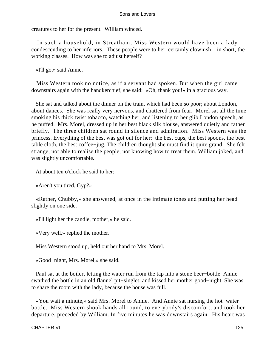creatures to her for the present. William winced.

 In such a household, in Streatham, Miss Western would have been a lady condescending to her inferiors. These people were to her, certainly clownish – in short, the working classes. How was she to adjust herself?

«I'll go,» said Annie.

 Miss Western took no notice, as if a servant had spoken. But when the girl came downstairs again with the handkerchief, she said: «Oh, thank you!» in a gracious way.

 She sat and talked about the dinner on the train, which had been so poor; about London, about dances. She was really very nervous, and chattered from fear. Morel sat all the time smoking his thick twist tobacco, watching her, and listening to her glib London speech, as he puffed. Mrs. Morel, dressed up in her best black silk blouse, answered quietly and rather briefly. The three children sat round in silence and admiration. Miss Western was the princess. Everything of the best was got out for her: the best cups, the best spoons, the best table cloth, the best coffee−jug. The children thought she must find it quite grand. She felt strange, not able to realise the people, not knowing how to treat them. William joked, and was slightly uncomfortable.

At about ten o'clock he said to her:

«Aren't you tired, Gyp?»

 «Rather, Chubby,» she answered, at once in the intimate tones and putting her head slightly on one side.

«I'll light her the candle, mother,» he said.

«Very well,» replied the mother.

Miss Western stood up, held out her hand to Mrs. Morel.

«Good−night, Mrs. Morel,» she said.

 Paul sat at the boiler, letting the water run from the tap into a stone beer−bottle. Annie swathed the bottle in an old flannel pit−singlet, and kissed her mother good−night. She was to share the room with the lady, because the house was full.

 «You wait a minute,» said Mrs. Morel to Annie. And Annie sat nursing the hot−water bottle. Miss Western shook hands all round, to everybody's discomfort, and took her departure, preceded by William. In five minutes he was downstairs again. His heart was

CHAPTER VI 125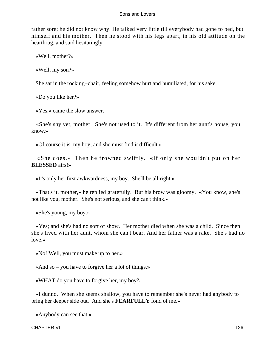rather sore; he did not know why. He talked very little till everybody had gone to bed, but himself and his mother. Then he stood with his legs apart, in his old attitude on the hearthrug, and said hesitatingly:

«Well, mother?»

«Well, my son?»

She sat in the rocking−chair, feeling somehow hurt and humiliated, for his sake.

«Do you like her?»

«Yes,» came the slow answer.

 «She's shy yet, mother. She's not used to it. It's different from her aunt's house, you know.»

«Of course it is, my boy; and she must find it difficult.»

 «She does.» Then he frowned swiftly. «If only she wouldn't put on her **BLESSED** airs!»

«It's only her first awkwardness, my boy. She'll be all right.»

 «That's it, mother,» he replied gratefully. But his brow was gloomy. «You know, she's not like you, mother. She's not serious, and she can't think.»

«She's young, my boy.»

 «Yes; and she's had no sort of show. Her mother died when she was a child. Since then she's lived with her aunt, whom she can't bear. And her father was a rake. She's had no love.»

«No! Well, you must make up to her.»

«And so – you have to forgive her a lot of things.»

«WHAT do you have to forgive her, my boy?»

 «I dunno. When she seems shallow, you have to remember she's never had anybody to bring her deeper side out. And she's **FEARFULLY** fond of me.»

«Anybody can see that.»

CHAPTER VI 126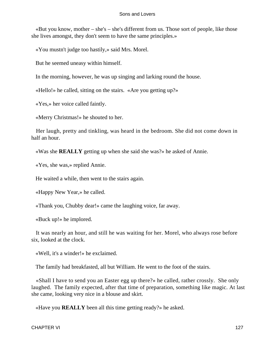«But you know, mother – she's – she's different from us. Those sort of people, like those she lives amongst, they don't seem to have the same principles.»

«You mustn't judge too hastily,» said Mrs. Morel.

But he seemed uneasy within himself.

In the morning, however, he was up singing and larking round the house.

«Hello!» he called, sitting on the stairs. «Are you getting up?»

«Yes,» her voice called faintly.

«Merry Christmas!» he shouted to her.

 Her laugh, pretty and tinkling, was heard in the bedroom. She did not come down in half an hour.

«Was she **REALLY** getting up when she said she was?» he asked of Annie.

«Yes, she was,» replied Annie.

He waited a while, then went to the stairs again.

«Happy New Year,» he called.

«Thank you, Chubby dear!» came the laughing voice, far away.

«Buck up!» he implored.

 It was nearly an hour, and still he was waiting for her. Morel, who always rose before six, looked at the clock.

«Well, it's a winder!» he exclaimed.

The family had breakfasted, all but William. He went to the foot of the stairs.

 «Shall I have to send you an Easter egg up there?» he called, rather crossly. She only laughed. The family expected, after that time of preparation, something like magic. At last she came, looking very nice in a blouse and skirt.

«Have you **REALLY** been all this time getting ready?» he asked.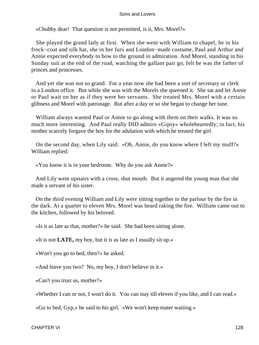«Chubby dear! That question is not permitted, is it, Mrs. Morel?»

 She played the grand lady at first. When she went with William to chapel, he in his frock−coat and silk hat, she in her furs and London−made costume, Paul and Arthur and Annie expected everybody to bow to the ground in admiration. And Morel, standing in his Sunday suit at the end of the road, watching the gallant pair go, felt he was the father of princes and princesses.

 And yet she was not so grand. For a year now she had been a sort of secretary or clerk in a London office. But while she was with the Morels she queened it. She sat and let Annie or Paul wait on her as if they were her servants. She treated Mrs. Morel with a certain glibness and Morel with patronage. But after a day or so she began to change her tune.

 William always wanted Paul or Annie to go along with them on their walks. It was so much more interesting. And Paul really DID admire «Gipsy» wholeheartedly; in fact, his mother scarcely forgave the boy for the adulation with which he treated the girl.

 On the second day, when Lily said: «Oh, Annie, do you know where I left my muff?» William replied:

«You know it is in your bedroom. Why do you ask Annie?»

 And Lily went upstairs with a cross, shut mouth. But it angered the young man that she made a servant of his sister.

 On the third evening William and Lily were sitting together in the parlour by the fire in the dark. At a quarter to eleven Mrs. Morel was heard raking the fire. William came out to the kitchen, followed by his beloved.

«Is it as late as that, mother?» he said. She had been sitting alone.

«It is not **LATE,** my boy, but it is as late as I usually sit up.»

«Won't you go to bed, then?» he asked.

«And leave you two? No, my boy, I don't believe in it.»

«Can't you trust us, mother?»

«Whether I can or not, I won't do it. You can stay till eleven if you like, and I can read.»

«Go to bed, Gyp,» he said to his girl. «We won't keep mater waiting.»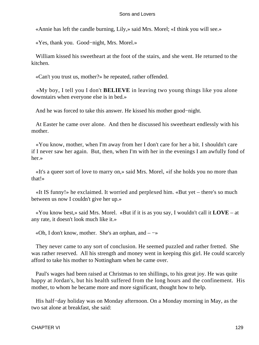«Annie has left the candle burning, Lily,» said Mrs. Morel; «I think you will see.»

«Yes, thank you. Good−night, Mrs. Morel.»

 William kissed his sweetheart at the foot of the stairs, and she went. He returned to the kitchen.

«Can't you trust us, mother?» he repeated, rather offended.

 «My boy, I tell you I don't **BELIEVE** in leaving two young things like you alone downstairs when everyone else is in bed.»

And he was forced to take this answer. He kissed his mother good−night.

 At Easter he came over alone. And then he discussed his sweetheart endlessly with his mother.

 «You know, mother, when I'm away from her I don't care for her a bit. I shouldn't care if I never saw her again. But, then, when I'm with her in the evenings I am awfully fond of her.»

 «It's a queer sort of love to marry on,» said Mrs. Morel, «if she holds you no more than that!»

 «It IS funny!» he exclaimed. It worried and perplexed him. «But yet – there's so much between us now I couldn't give her up.»

 «You know best,» said Mrs. Morel. «But if it is as you say, I wouldn't call it **LOVE** – at any rate, it doesn't look much like it.»

«Oh, I don't know, mother. She's an orphan, and  $-\rightarrow$ 

 They never came to any sort of conclusion. He seemed puzzled and rather fretted. She was rather reserved. All his strength and money went in keeping this girl. He could scarcely afford to take his mother to Nottingham when he came over.

 Paul's wages had been raised at Christmas to ten shillings, to his great joy. He was quite happy at Jordan's, but his health suffered from the long hours and the confinement. His mother, to whom he became more and more significant, thought how to help.

 His half−day holiday was on Monday afternoon. On a Monday morning in May, as the two sat alone at breakfast, she said: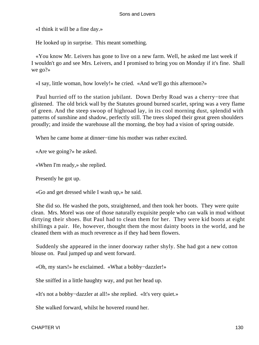«I think it will be a fine day.»

He looked up in surprise. This meant something.

 «You know Mr. Leivers has gone to live on a new farm. Well, he asked me last week if I wouldn't go and see Mrs. Leivers, and I promised to bring you on Monday if it's fine. Shall we go?»

«I say, little woman, how lovely!» he cried. «And we'll go this afternoon?»

 Paul hurried off to the station jubilant. Down Derby Road was a cherry−tree that glistened. The old brick wall by the Statutes ground burned scarlet, spring was a very flame of green. And the steep swoop of highroad lay, in its cool morning dust, splendid with patterns of sunshine and shadow, perfectly still. The trees sloped their great green shoulders proudly; and inside the warehouse all the morning, the boy had a vision of spring outside.

When he came home at dinner−time his mother was rather excited.

«Are we going?» he asked.

«When I'm ready,» she replied.

Presently he got up.

«Go and get dressed while I wash up,» he said.

 She did so. He washed the pots, straightened, and then took her boots. They were quite clean. Mrs. Morel was one of those naturally exquisite people who can walk in mud without dirtying their shoes. But Paul had to clean them for her. They were kid boots at eight shillings a pair. He, however, thought them the most dainty boots in the world, and he cleaned them with as much reverence as if they had been flowers.

 Suddenly she appeared in the inner doorway rather shyly. She had got a new cotton blouse on. Paul jumped up and went forward.

«Oh, my stars!» he exclaimed. «What a bobby−dazzler!»

She sniffed in a little haughty way, and put her head up.

«It's not a bobby−dazzler at all!» she replied. «It's very quiet.»

She walked forward, whilst he hovered round her.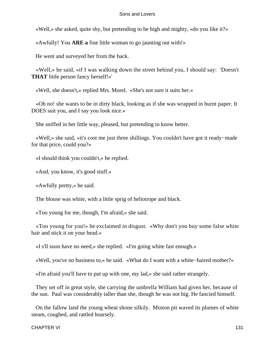«Well,» she asked, quite shy, but pretending to be high and mighty, «do you like it?»

«Awfully! You **ARE a** fine little woman to go jaunting out with!»

He went and surveyed her from the back.

 «Well,» he said, «if I was walking down the street behind you, I should say: 'Doesn't **THAT** little person fancy herself!»'

«Well, she doesn't,» replied Mrs. Morel. «She's not sure it suits her.»

 «Oh no! she wants to be in dirty black, looking as if she was wrapped in burnt paper. It DOES suit you, and I say you look nice.»

She sniffed in her little way, pleased, but pretending to know better.

 «Well,» she said, «it's cost me just three shillings. You couldn't have got it ready−made for that price, could you?»

«I should think you couldn't,» he replied.

«And, you know, it's good stuff.»

«Awfully pretty,» he said.

The blouse was white, with a little sprig of heliotrope and black.

«Too young for me, though, I'm afraid,» she said.

 «Too young for you!» he exclaimed in disgust. «Why don't you buy some false white hair and stick it on your head.»

«I s'll soon have no need,» she replied. «I'm going white fast enough.»

«Well, you've no business to,» he said. «What do I want with a white−haired mother?»

«I'm afraid you'll have to put up with one, my lad,» she said rather strangely.

 They set off in great style, she carrying the umbrella William had given her, because of the sun. Paul was considerably taller than she, though he was not big. He fancied himself.

 On the fallow land the young wheat shone silkily. Minton pit waved its plumes of white steam, coughed, and rattled hoarsely.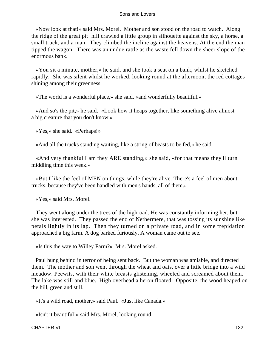«Now look at that!» said Mrs. Morel. Mother and son stood on the road to watch. Along the ridge of the great pit−hill crawled a little group in silhouette against the sky, a horse, a small truck, and a man. They climbed the incline against the heavens. At the end the man tipped the wagon. There was an undue rattle as the waste fell down the sheer slope of the enormous bank.

 «You sit a minute, mother,» he said, and she took a seat on a bank, whilst he sketched rapidly. She was silent whilst he worked, looking round at the afternoon, the red cottages shining among their greenness.

«The world is a wonderful place,» she said, «and wonderfully beautiful.»

 «And so's the pit,» he said. «Look how it heaps together, like something alive almost – a big creature that you don't know.»

«Yes,» she said. «Perhaps!»

«And all the trucks standing waiting, like a string of beasts to be fed,» he said.

 «And very thankful I am they ARE standing,» she said, «for that means they'll turn middling time this week.»

 «But I like the feel of MEN on things, while they're alive. There's a feel of men about trucks, because they've been handled with men's hands, all of them.»

«Yes,» said Mrs. Morel.

 They went along under the trees of the highroad. He was constantly informing her, but she was interested. They passed the end of Nethermere, that was tossing its sunshine like petals lightly in its lap. Then they turned on a private road, and in some trepidation approached a big farm. A dog barked furiously. A woman came out to see.

«Is this the way to Willey Farm?» Mrs. Morel asked.

 Paul hung behind in terror of being sent back. But the woman was amiable, and directed them. The mother and son went through the wheat and oats, over a little bridge into a wild meadow. Peewits, with their white breasts glistening, wheeled and screamed about them. The lake was still and blue. High overhead a heron floated. Opposite, the wood heaped on the hill, green and still.

«It's a wild road, mother,» said Paul. «Just like Canada.»

«Isn't it beautiful!» said Mrs. Morel, looking round.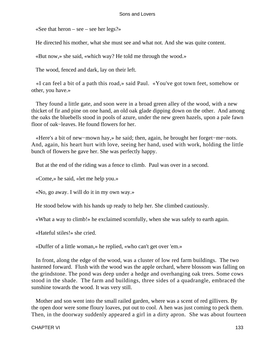«See that heron – see – see her legs?»

He directed his mother, what she must see and what not. And she was quite content.

«But now,» she said, «which way? He told me through the wood.»

The wood, fenced and dark, lay on their left.

 «I can feel a bit of a path this road,» said Paul. «You've got town feet, somehow or other, you have.»

 They found a little gate, and soon were in a broad green alley of the wood, with a new thicket of fir and pine on one hand, an old oak glade dipping down on the other. And among the oaks the bluebells stood in pools of azure, under the new green hazels, upon a pale fawn floor of oak−leaves. He found flowers for her.

 «Here's a bit of new−mown hay,» he said; then, again, he brought her forget−me−nots. And, again, his heart hurt with love, seeing her hand, used with work, holding the little bunch of flowers he gave her. She was perfectly happy.

But at the end of the riding was a fence to climb. Paul was over in a second.

«Come,» he said, «let me help you.»

«No, go away. I will do it in my own way.»

He stood below with his hands up ready to help her. She climbed cautiously.

«What a way to climb!» he exclaimed scornfully, when she was safely to earth again.

«Hateful stiles!» she cried.

«Duffer of a little woman,» he replied, «who can't get over 'em.»

 In front, along the edge of the wood, was a cluster of low red farm buildings. The two hastened forward. Flush with the wood was the apple orchard, where blossom was falling on the grindstone. The pond was deep under a hedge and overhanging oak trees. Some cows stood in the shade. The farm and buildings, three sides of a quadrangle, embraced the sunshine towards the wood. It was very still.

 Mother and son went into the small railed garden, where was a scent of red gillivers. By the open door were some floury loaves, put out to cool. A hen was just coming to peck them. Then, in the doorway suddenly appeared a girl in a dirty apron. She was about fourteen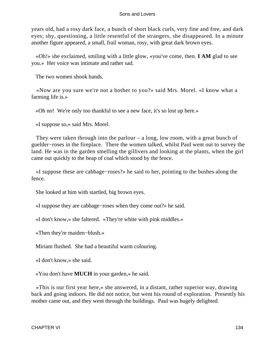years old, had a rosy dark face, a bunch of short black curls, very fine and free, and dark eyes; shy, questioning, a little resentful of the strangers, she disappeared. In a minute another figure appeared, a small, frail woman, rosy, with great dark brown eyes.

 «Oh!» she exclaimed, smiling with a little glow, «you've come, then. **I AM** glad to see you.» Her voice was intimate and rather sad.

The two women shook hands.

 «Now are you sure we're not a bother to you?» said Mrs. Morel. «I know what a farming life is.»

«Oh no! We're only too thankful to see a new face, it's so lost up here.»

«I suppose so,» said Mrs. Morel.

 They were taken through into the parlour – a long, low room, with a great bunch of guelder−roses in the fireplace. There the women talked, whilst Paul went out to survey the land. He was in the garden smelling the gillivers and looking at the plants, when the girl came out quickly to the heap of coal which stood by the fence.

 «I suppose these are cabbage−roses?» he said to her, pointing to the bushes along the fence.

She looked at him with startled, big brown eyes.

«I suppose they are cabbage−roses when they come out?» he said.

«I don't know,» she faltered. «They're white with pink middles.»

«Then they're maiden−blush.»

Miriam flushed. She had a beautiful warm colouring.

«I don't know,» she said.

«You don't have **MUCH** in your garden,» he said.

 «This is our first year here,» she answered, in a distant, rather superior way, drawing back and going indoors. He did not notice, but went his round of exploration. Presently his mother came out, and they went through the buildings. Paul was hugely delighted.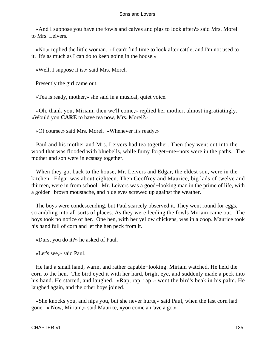«And I suppose you have the fowls and calves and pigs to look after?» said Mrs. Morel to Mrs. Leivers.

 «No,» replied the little woman. «I can't find time to look after cattle, and I'm not used to it. It's as much as I can do to keep going in the house.»

«Well, I suppose it is,» said Mrs. Morel.

Presently the girl came out.

«Tea is ready, mother,» she said in a musical, quiet voice.

 «Oh, thank you, Miriam, then we'll come,» replied her mother, almost ingratiatingly. «Would you **CARE** to have tea now, Mrs. Morel?»

«Of course,» said Mrs. Morel. «Whenever it's ready.»

 Paul and his mother and Mrs. Leivers had tea together. Then they went out into the wood that was flooded with bluebells, while fumy forget−me−nots were in the paths. The mother and son were in ecstasy together.

 When they got back to the house, Mr. Leivers and Edgar, the eldest son, were in the kitchen. Edgar was about eighteen. Then Geoffrey and Maurice, big lads of twelve and thirteen, were in from school. Mr. Leivers was a good−looking man in the prime of life, with a golden−brown moustache, and blue eyes screwed up against the weather.

 The boys were condescending, but Paul scarcely observed it. They went round for eggs, scrambling into all sorts of places. As they were feeding the fowls Miriam came out. The boys took no notice of her. One hen, with her yellow chickens, was in a coop. Maurice took his hand full of corn and let the hen peck from it.

«Durst you do it?» he asked of Paul.

«Let's see,» said Paul.

 He had a small hand, warm, and rather capable−looking. Miriam watched. He held the corn to the hen. The bird eyed it with her hard, bright eye, and suddenly made a peck into his hand. He started, and laughed. «Rap, rap, rap!» went the bird's beak in his palm. He laughed again, and the other boys joined.

 «She knocks you, and nips you, but she never hurts,» said Paul, when the last corn had gone. « Now, Miriam,» said Maurice, «you come an 'ave a go.»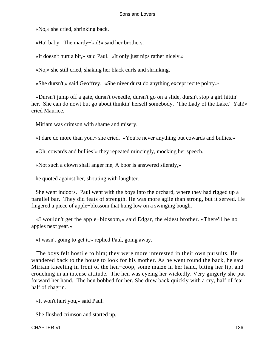«No,» she cried, shrinking back.

«Ha! baby. The mardy−kid!» said her brothers.

«It doesn't hurt a bit,» said Paul. «It only just nips rather nicely.»

«No,» she still cried, shaking her black curls and shrinking.

«She dursn't,» said Geoffrey. «She niver durst do anything except recite poitry.»

 «Dursn't jump off a gate, dursn't tweedle, dursn't go on a slide, dursn't stop a girl hittin' her. She can do nowt but go about thinkin' herself somebody. 'The Lady of the Lake.' Yah!» cried Maurice.

Miriam was crimson with shame and misery.

«I dare do more than you,» she cried. «You're never anything but cowards and bullies.»

«Oh, cowards and bullies!» they repeated mincingly, mocking her speech.

«Not such a clown shall anger me, A boor is answered silently,»

he quoted against her, shouting with laughter.

 She went indoors. Paul went with the boys into the orchard, where they had rigged up a parallel bar. They did feats of strength. He was more agile than strong, but it served. He fingered a piece of apple−blossom that hung low on a swinging bough.

 «I wouldn't get the apple−blossom,» said Edgar, the eldest brother. «There'll be no apples next year.»

«I wasn't going to get it,» replied Paul, going away.

 The boys felt hostile to him; they were more interested in their own pursuits. He wandered back to the house to look for his mother. As he went round the back, he saw Miriam kneeling in front of the hen−coop, some maize in her hand, biting her lip, and crouching in an intense attitude. The hen was eyeing her wickedly. Very gingerly she put forward her hand. The hen bobbed for her. She drew back quickly with a cry, half of fear, half of chagrin.

«It won't hurt you,» said Paul.

She flushed crimson and started up.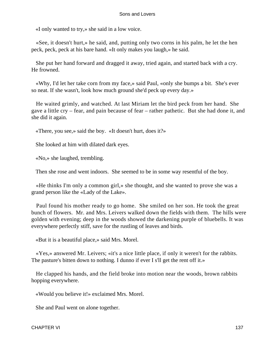«I only wanted to try,» she said in a low voice.

 «See, it doesn't hurt,» he said, and, putting only two corns in his palm, he let the hen peck, peck, peck at his bare hand. «It only makes you laugh,» he said.

 She put her hand forward and dragged it away, tried again, and started back with a cry. He frowned.

 «Why, I'd let her take corn from my face,» said Paul, «only she bumps a bit. She's ever so neat. If she wasn't, look how much ground she'd peck up every day.»

 He waited grimly, and watched. At last Miriam let the bird peck from her hand. She gave a little cry – fear, and pain because of fear – rather pathetic. But she had done it, and she did it again.

«There, you see,» said the boy. «It doesn't hurt, does it?»

She looked at him with dilated dark eyes.

«No,» she laughed, trembling.

Then she rose and went indoors. She seemed to be in some way resentful of the boy.

 «He thinks I'm only a common girl,» she thought, and she wanted to prove she was a grand person like the «Lady of the Lake».

 Paul found his mother ready to go home. She smiled on her son. He took the great bunch of flowers. Mr. and Mrs. Leivers walked down the fields with them. The hills were golden with evening; deep in the woods showed the darkening purple of bluebells. It was everywhere perfectly stiff, save for the rustling of leaves and birds.

«But it is a beautiful place,» said Mrs. Morel.

 «Yes,» answered Mr. Leivers; «it's a nice little place, if only it weren't for the rabbits. The pasture's bitten down to nothing. I dunno if ever I s'll get the rent off it.»

 He clapped his hands, and the field broke into motion near the woods, brown rabbits hopping everywhere.

«Would you believe it!» exclaimed Mrs. Morel.

She and Paul went on alone together.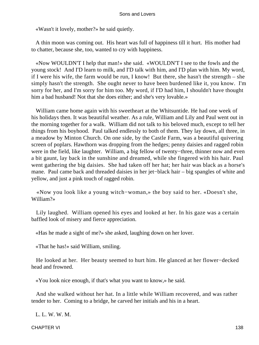«Wasn't it lovely, mother?» he said quietly.

 A thin moon was coming out. His heart was full of happiness till it hurt. His mother had to chatter, because she, too, wanted to cry with happiness.

 «Now WOULDN'T I help that man!» she said. «WOULDN'T I see to the fowls and the young stock! And I'D learn to milk, and I'D talk with him, and I'D plan with him. My word, if I were his wife, the farm would be run, I know! But there, she hasn't the strength – she simply hasn't the strength. She ought never to have been burdened like it, you know. I'm sorry for her, and I'm sorry for him too. My word, if I'D had him, I shouldn't have thought him a bad husband! Not that she does either; and she's very lovable.»

 William came home again with his sweetheart at the Whitsuntide. He had one week of his holidays then. It was beautiful weather. As a rule, William and Lily and Paul went out in the morning together for a walk. William did not talk to his beloved much, except to tell her things from his boyhood. Paul talked endlessly to both of them. They lay down, all three, in a meadow by Minton Church. On one side, by the Castle Farm, was a beautiful quivering screen of poplars. Hawthorn was dropping from the hedges; penny daisies and ragged robin were in the field, like laughter. William, a big fellow of twenty−three, thinner now and even a bit gaunt, lay back in the sunshine and dreamed, while she fingered with his hair. Paul went gathering the big daisies. She had taken off her hat; her hair was black as a horse's mane. Paul came back and threaded daisies in her jet−black hair – big spangles of white and yellow, and just a pink touch of ragged robin.

 «Now you look like a young witch−woman,» the boy said to her. «Doesn't she, William?»

 Lily laughed. William opened his eyes and looked at her. In his gaze was a certain baffled look of misery and fierce appreciation.

«Has he made a sight of me?» she asked, laughing down on her lover.

«That he has!» said William, smiling.

 He looked at her. Her beauty seemed to hurt him. He glanced at her flower−decked head and frowned.

«You look nice enough, if that's what you want to know,» he said.

 And she walked without her hat. In a little while William recovered, and was rather tender to her. Coming to a bridge, he carved her initials and his in a heart.

L. L. W. W. M.

CHAPTER VI 138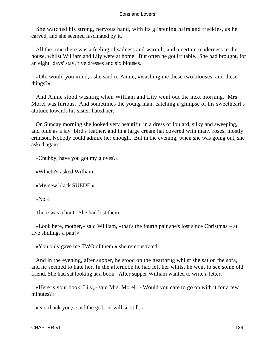She watched his strong, nervous hand, with its glistening hairs and freckles, as he carved, and she seemed fascinated by it.

 All the time there was a feeling of sadness and warmth, and a certain tenderness in the house, whilst William and Lily were at home. But often he got irritable. She had brought, for an eight−days' stay, five dresses and six blouses.

 «Oh, would you mind,» she said to Annie, «washing me these two blouses, and these things?»

 And Annie stood washing when William and Lily went out the next morning. Mrs. Morel was furious. And sometimes the young man, catching a glimpse of his sweetheart's attitude towards his sister, hated her.

 On Sunday morning she looked very beautiful in a dress of foulard, silky and sweeping, and blue as a jay−bird's feather, and in a large cream hat covered with many roses, mostly crimson. Nobody could admire her enough. But in the evening, when she was going out, she asked again:

«Chubby, have you got my gloves?»

«Which?» asked William.

«My new black SUEDE.»

«No.»

There was a hunt. She had lost them.

 «Look here, mother,» said William, «that's the fourth pair she's lost since Christmas – at five shillings a pair!»

«You only gave me TWO of them,» she remonstrated.

 And in the evening, after supper, he stood on the hearthrug whilst she sat on the sofa, and he seemed to hate her. In the afternoon he had left her whilst he went to see some old friend. She had sat looking at a book. After supper William wanted to write a letter.

 «Here is your book, Lily,» said Mrs. Morel. «Would you care to go on with it for a few minutes?»

«No, thank you,» said the girl. «I will sit still.»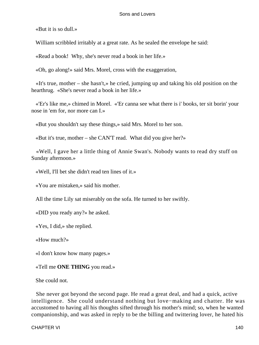«But it is so dull.»

William scribbled irritably at a great rate. As he sealed the envelope he said:

«Read a book! Why, she's never read a book in her life.»

«Oh, go along!» said Mrs. Morel, cross with the exaggeration,

 «It's true, mother – she hasn't,» he cried, jumping up and taking his old position on the hearthrug. «She's never read a book in her life.»

 «'Er's like me,» chimed in Morel. «'Er canna see what there is i' books, ter sit borin' your nose in 'em for, nor more can I.»

«But you shouldn't say these things,» said Mrs. Morel to her son.

«But it's true, mother – she CAN'T read. What did you give her?»

 «Well, I gave her a little thing of Annie Swan's. Nobody wants to read dry stuff on Sunday afternoon.»

«Well, I'll bet she didn't read ten lines of it.»

«You are mistaken,» said his mother.

All the time Lily sat miserably on the sofa. He turned to her swiftly.

«DID you ready any?» he asked.

«Yes, I did,» she replied.

«How much?»

«l don't know how many pages.»

«Tell me **ONE THING** you read.»

She could not.

 She never got beyond the second page. He read a great deal, and had a quick, active intelligence. She could understand nothing but love−making and chatter. He was accustomed to having all his thoughts sifted through his mother's mind; so, when he wanted companionship, and was asked in reply to be the billing and twittering lover, he hated his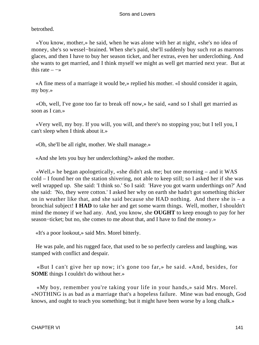betrothed.

 «You know, mother,» he said, when he was alone with her at night, «she's no idea of money, she's so wessel−brained. When she's paid, she'll suddenly buy such rot as marrons glaces, and then I have to buy her season ticket, and her extras, even her underclothing. And she wants to get married, and I think myself we might as well get married next year. But at this rate  $-\rightarrow$ 

 «A fine mess of a marriage it would be,» replied his mother. «I should consider it again, my boy.»

 «Oh, well, I've gone too far to break off now,» he said, «and so I shall get married as soon as I can.»

 «Very well, my boy. If you will, you will, and there's no stopping you; but I tell you, I can't sleep when I think about it.»

«Oh, she'll be all right, mother. We shall manage.»

«And she lets you buy her underclothing?» asked the mother.

 «Well,» he began apologetically, «she didn't ask me; but one morning – and it WAS cold – I found her on the station shivering, not able to keep still; so I asked her if she was well wrapped up. She said: 'I think so.' So I said: 'Have you got warm underthings on?' And she said: 'No, they were cotton.' I asked her why on earth she hadn't got something thicker on in weather like that, and she said because she HAD nothing. And there she is  $-$  a bronchial subject! **I HAD** to take her and get some warm things. Well, mother, I shouldn't mind the money if we had any. And, you know, she **OUGHT** to keep enough to pay for her season−ticket; but no, she comes to me about that, and I have to find the money.»

«It's a poor lookout,» said Mrs. Morel bitterly.

 He was pale, and his rugged face, that used to be so perfectly careless and laughing, was stamped with conflict and despair.

 «But I can't give her up now; it's gone too far,» he said. «And, besides, for **SOME** things I couldn't do without her.»

 «My boy, remember you're taking your life in your hands,» said Mrs. Morel. «NOTHING is as bad as a marriage that's a hopeless failure. Mine was bad enough, God knows, and ought to teach you something; but it might have been worse by a long chalk.»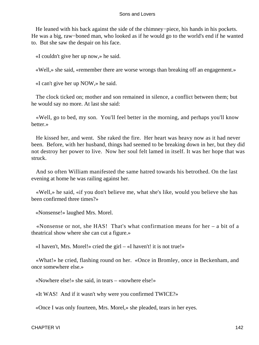He leaned with his back against the side of the chimney−piece, his hands in his pockets. He was a big, raw−boned man, who looked as if he would go to the world's end if he wanted to. But she saw the despair on his face.

«I couldn't give her up now,» he said.

«Well,» she said, «remember there are worse wrongs than breaking off an engagement.»

«I can't give her up NOW,» he said.

 The clock ticked on; mother and son remained in silence, a conflict between them; but he would say no more. At last she said:

 «Well, go to bed, my son. You'll feel better in the morning, and perhaps you'll know better.»

 He kissed her, and went. She raked the fire. Her heart was heavy now as it had never been. Before, with her husband, things had seemed to be breaking down in her, but they did not destroy her power to live. Now her soul felt lamed in itself. It was her hope that was struck.

 And so often William manifested the same hatred towards his betrothed. On the last evening at home he was railing against her.

 «Well,» he said, «if you don't believe me, what she's like, would you believe she has been confirmed three times?»

«Nonsense!» laughed Mrs. Morel.

 «Nonsense or not, she HAS! That's what confirmation means for her – a bit of a theatrical show where she can cut a figure.»

«I haven't, Mrs. Morel!» cried the girl – «I haven't! it is not true!»

 «What!» he cried, flashing round on her. «Once in Bromley, once in Beckenham, and once somewhere else.»

«Nowhere else!» she said, in tears – «nowhere else!»

«It WAS! And if it wasn't why were you confirmed TWICE?»

«Once I was only fourteen, Mrs. Morel,» she pleaded, tears in her eyes.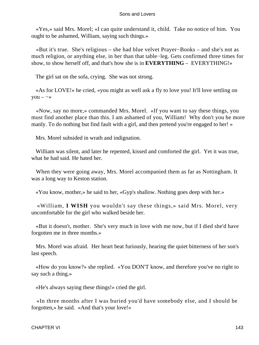«Yes,» said Mrs. Morel; «I can quite understand it, child. Take no notice of him. You ought to be ashamed, William, saying such things.»

 «But it's true. She's religious – she had blue velvet Prayer−Books – and she's not as much religion, or anything else, in her than that table−leg. Gets confirmed three times for show, to show herself off, and that's how she is in **EVERYTHING** – EVERYTHING!»

The girl sat on the sofa, crying. She was not strong.

 «As for LOVE!» he cried, «you might as well ask a fly to love you! It'll love settling on  $you - \rightarrow$ 

 «Now, say no more,» commanded Mrs. Morel. «If you want to say these things, you must find another place than this. I am ashamed of you, William! Why don't you be more manly. To do nothing but find fault with a girl, and then pretend you're engaged to her! »

Mrs. Morel subsided in wrath and indignation.

 William was silent, and later he repented, kissed and comforted the girl. Yet it was true, what he had said. He hated her.

 When they were going away, Mrs. Morel accompanied them as far as Nottingham. It was a long way to Keston station.

«You know, mother,» he said to her, «Gyp's shallow. Nothing goes deep with her.»

 «William, **I WISH** you wouldn't say these things,» said Mrs. Morel, very uncomfortable for the girl who walked beside her.

 «But it doesn't, mother. She's very much in love with me now, but if I died she'd have forgotten me in three months.»

 Mrs. Morel was afraid. Her heart beat furiously, hearing the quiet bitterness of her son's last speech.

 «How do you know?» she replied. «You DON'T know, and therefore you've no right to say such a thing.»

«He's always saying these things!» cried the girl.

 «In three months after I was buried you'd have somebody else, and I should be forgotten,» he said. «And that's your love!»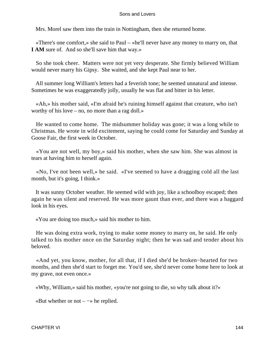Mrs. Morel saw them into the train in Nottingham, then she returned home.

 «There's one comfort,» she said to Paul – «he'll never have any money to marry on, that **I AM** sure of. And so she'll save him that way.»

 So she took cheer. Matters were not yet very desperate. She firmly believed William would never marry his Gipsy. She waited, and she kept Paul near to her.

 All summer long William's letters had a feverish tone; he seemed unnatural and intense. Sometimes he was exaggeratedly jolly, usually he was flat and bitter in his letter.

 «Ah,» his mother said, «I'm afraid he's ruining himself against that creature, who isn't worthy of his love – no, no more than a rag doll.»

 He wanted to come home. The midsummer holiday was gone; it was a long while to Christmas. He wrote in wild excitement, saying he could come for Saturday and Sunday at Goose Fair, the first week in October.

 «You are not well, my boy,» said his mother, when she saw him. She was almost in tears at having him to herself again.

 «No, I've not been well,» he said. «I've seemed to have a dragging cold all the last month, but it's going, I think.»

 It was sunny October weather. He seemed wild with joy, like a schoolboy escaped; then again he was silent and reserved. He was more gaunt than ever, and there was a haggard look in his eyes.

«You are doing too much,» said his mother to him.

 He was doing extra work, trying to make some money to marry on, he said. He only talked to his mother once on the Saturday night; then he was sad and tender about his beloved.

 «And yet, you know, mother, for all that, if I died she'd be broken−hearted for two months, and then she'd start to forget me. You'd see, she'd never come home here to look at my grave, not even once.»

«Why, William,» said his mother, «you're not going to die, so why talk about it?»

«But whether or not  $-\rightarrow$  he replied.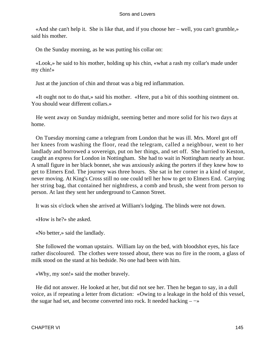«And she can't help it. She is like that, and if you choose her – well, you can't grumble,» said his mother.

On the Sunday morning, as he was putting his collar on:

 «Look,» he said to his mother, holding up his chin, «what a rash my collar's made under my chin!»

Just at the junction of chin and throat was a big red inflammation.

 «It ought not to do that,» said his mother. «Here, put a bit of this soothing ointment on. You should wear different collars.»

 He went away on Sunday midnight, seeming better and more solid for his two days at home.

 On Tuesday morning came a telegram from London that he was ill. Mrs. Morel got off her knees from washing the floor, read the telegram, called a neighbour, went to her landlady and borrowed a sovereign, put on her things, and set off. She hurried to Keston, caught an express for London in Nottingham. She had to wait in Nottingham nearly an hour. A small figure in her black bonnet, she was anxiously asking the porters if they knew how to get to Elmers End. The journey was three hours. She sat in her corner in a kind of stupor, never moving. At King's Cross still no one could tell her how to get to Elmers End. Carrying her string bag, that contained her nightdress, a comb and brush, she went from person to person. At last they sent her underground to Cannon Street.

It was six o'clock when she arrived at William's lodging. The blinds were not down.

«How is he?» she asked.

«No better,» said the landlady.

 She followed the woman upstairs. William lay on the bed, with bloodshot eyes, his face rather discoloured. The clothes were tossed about, there was no fire in the room, a glass of milk stood on the stand at his bedside. No one had been with him.

«Why, my son!» said the mother bravely.

 He did not answer. He looked at her, but did not see her. Then he began to say, in a dull voice, as if repeating a letter from dictation: «Owing to a leakage in the hold of this vessel, the sugar had set, and become converted into rock. It needed hacking  $-\rightarrow$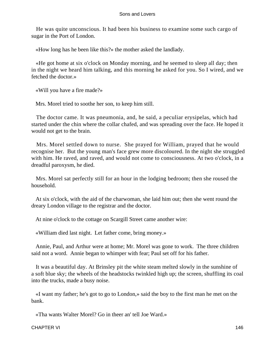He was quite unconscious. It had been his business to examine some such cargo of sugar in the Port of London.

«How long has he been like this?» the mother asked the landlady.

 «He got home at six o'clock on Monday morning, and he seemed to sleep all day; then in the night we heard him talking, and this morning he asked for you. So I wired, and we fetched the doctor.»

«Will you have a fire made?»

Mrs. Morel tried to soothe her son, to keep him still.

 The doctor came. It was pneumonia, and, he said, a peculiar erysipelas, which had started under the chin where the collar chafed, and was spreading over the face. He hoped it would not get to the brain.

 Mrs. Morel settled down to nurse. She prayed for William, prayed that he would recognise her. But the young man's face grew more discoloured. In the night she struggled with him. He raved, and raved, and would not come to consciousness. At two o'clock, in a dreadful paroxysm, he died.

 Mrs. Morel sat perfectly still for an hour in the lodging bedroom; then she roused the household.

 At six o'clock, with the aid of the charwoman, she laid him out; then she went round the dreary London village to the registrar and the doctor.

At nine o'clock to the cottage on Scargill Street came another wire:

«William died last night. Let father come, bring money.»

 Annie, Paul, and Arthur were at home; Mr. Morel was gone to work. The three children said not a word. Annie began to whimper with fear; Paul set off for his father.

 It was a beautiful day. At Brinsley pit the white steam melted slowly in the sunshine of a soft blue sky; the wheels of the headstocks twinkled high up; the screen, shuffling its coal into the trucks, made a busy noise.

 «I want my father; he's got to go to London,» said the boy to the first man he met on the bank.

«Tha wants Walter Morel? Go in theer an' tell Joe Ward.»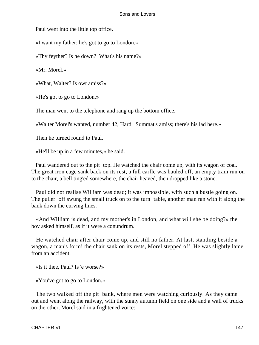Paul went into the little top office.

«I want my father; he's got to go to London.»

«Thy feyther? Is he down? What's his name?»

«Mr. Morel.»

«What, Walter? Is owt amiss?»

«He's got to go to London.»

The man went to the telephone and rang up the bottom office.

«Walter Morel's wanted, number 42, Hard. Summat's amiss; there's his lad here.»

Then he turned round to Paul.

«He'll be up in a few minutes,» he said.

 Paul wandered out to the pit−top. He watched the chair come up, with its wagon of coal. The great iron cage sank back on its rest, a full carfle was hauled off, an empty tram run on to the chair, a bell ting'ed somewhere, the chair heaved, then dropped like a stone.

 Paul did not realise William was dead; it was impossible, with such a bustle going on. The puller–off swung the small truck on to the turn–table, another man ran with it along the bank down the curving lines.

 «And William is dead, and my mother's in London, and what will she be doing?» the boy asked himself, as if it were a conundrum.

 He watched chair after chair come up, and still no father. At last, standing beside a wagon, a man's form! the chair sank on its rests, Morel stepped off. He was slightly lame from an accident.

«Is it thee, Paul? Is 'e worse?»

«You've got to go to London.»

 The two walked off the pit−bank, where men were watching curiously. As they came out and went along the railway, with the sunny autumn field on one side and a wall of trucks on the other, Morel said in a frightened voice: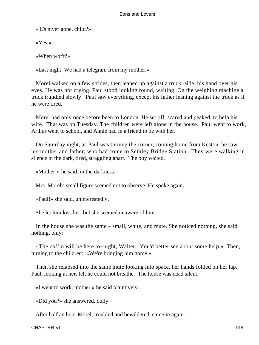«'E's niver gone, child?»

«Yes.»

«When wor't?»

«Last night. We had a telegram from my mother.»

 Morel walked on a few strides, then leaned up against a truck−side, his hand over his eyes. He was not crying. Paul stood looking round, waiting. On the weighing machine a truck trundled slowly. Paul saw everything, except his father leaning against the truck as if he were tired.

 Morel had only once before been to London. He set off, scared and peaked, to help his wife. That was on Tuesday. The children were left alone in the house. Paul went to work, Arthur went to school, and Annie had in a friend to be with her.

 On Saturday night, as Paul was turning the corner, coming home from Keston, he saw his mother and father, who had come to Sethley Bridge Station. They were walking in silence in the dark, tired, straggling apart. The boy waited.

«Mother!» he said, in the darkness.

Mrs. Morel's small figure seemed not to observe. He spoke again.

«Paul!» she said, uninterestedly.

She let him kiss her, but she seemed unaware of him.

 In the house she was the same – small, white, and mute. She noticed nothing, she said nothing, only:

 «The coffin will be here to−night, Walter. You'd better see about some help.» Then, turning to the children: «We're bringing him home.»

 Then she relapsed into the same mute looking into space, her hands folded on her lap. Paul, looking at her, felt he could not breathe. The house was dead silent.

«I went to work, mother,» he said plaintively.

«Did you?» she answered, dully.

After half an hour Morel, troubled and bewildered, came in again.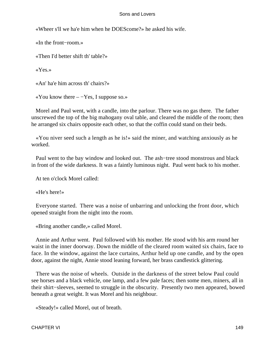«Wheer s'll we ha'e him when he DOEScome?» he asked his wife.

«In the front−room.»

«Then I'd better shift th' table?»

«Yes.»

«An' ha'e him across th' chairs?»

«You know there  $-$  -Yes, I suppose so.»

 Morel and Paul went, with a candle, into the parlour. There was no gas there. The father unscrewed the top of the big mahogany oval table, and cleared the middle of the room; then he arranged six chairs opposite each other, so that the coffin could stand on their beds.

 «You niver seed such a length as he is!» said the miner, and watching anxiously as he worked.

 Paul went to the bay window and looked out. The ash−tree stood monstrous and black in front of the wide darkness. It was a faintly luminous night. Paul went back to his mother.

At ten o'clock Morel called:

«He's here!»

 Everyone started. There was a noise of unbarring and unlocking the front door, which opened straight from the night into the room.

«Bring another candle,» called Morel.

 Annie and Arthur went. Paul followed with his mother. He stood with his arm round her waist in the inner doorway. Down the middle of the cleared room waited six chairs, face to face. In the window, against the lace curtains, Arthur held up one candle, and by the open door, against the night, Annie stood leaning forward, her brass candlestick glittering.

 There was the noise of wheels. Outside in the darkness of the street below Paul could see horses and a black vehicle, one lamp, and a few pale faces; then some men, miners, all in their shirt−sleeves, seemed to struggle in the obscurity. Presently two men appeared, bowed beneath a great weight. It was Morel and his neighbour.

«Steady!» called Morel, out of breath.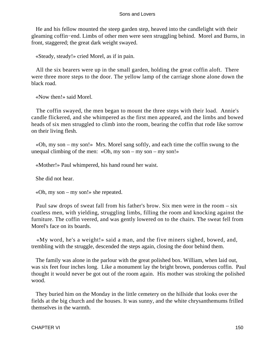He and his fellow mounted the steep garden step, heaved into the candlelight with their gleaming coffin−end. Limbs of other men were seen struggling behind. Morel and Burns, in front, staggered; the great dark weight swayed.

«Steady, steady!» cried Morel, as if in pain.

 All the six bearers were up in the small garden, holding the great coffin aloft. There were three more steps to the door. The yellow lamp of the carriage shone alone down the black road.

«Now then!» said Morel.

 The coffin swayed, the men began to mount the three steps with their load. Annie's candle flickered, and she whimpered as the first men appeared, and the limbs and bowed heads of six men struggled to climb into the room, bearing the coffin that rode like sorrow on their living flesh.

 «Oh, my son – my son!» Mrs. Morel sang softly, and each time the coffin swung to the unequal climbing of the men: «Oh, my son – my son – my son!»

«Mother!» Paul whimpered, his hand round her waist.

She did not hear.

«Oh, my son – my son!» she repeated.

 Paul saw drops of sweat fall from his father's brow. Six men were in the room – six coatless men, with yielding, struggling limbs, filling the room and knocking against the furniture. The coffin veered, and was gently lowered on to the chairs. The sweat fell from Morel's face on its boards.

 «My word, he's a weight!» said a man, and the five miners sighed, bowed, and, trembling with the struggle, descended the steps again, closing the door behind them.

 The family was alone in the parlour with the great polished box. William, when laid out, was six feet four inches long. Like a monument lay the bright brown, ponderous coffin. Paul thought it would never be got out of the room again. His mother was stroking the polished wood.

 They buried him on the Monday in the little cemetery on the hillside that looks over the fields at the big church and the houses. It was sunny, and the white chrysanthemums frilled themselves in the warmth.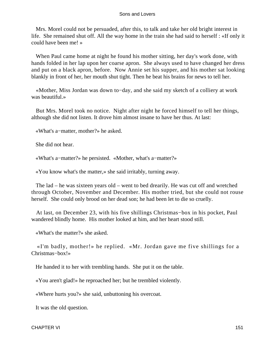Mrs. Morel could not be persuaded, after this, to talk and take her old bright interest in life. She remained shut off. All the way home in the train she had said to herself : «If only it could have been me! »

 When Paul came home at night he found his mother sitting, her day's work done, with hands folded in her lap upon her coarse apron. She always used to have changed her dress and put on a black apron, before. Now Annie set his supper, and his mother sat looking blankly in front of her, her mouth shut tight. Then he beat his brains for news to tell her.

 «Mother, Miss Jordan was down to−day, and she said my sketch of a colliery at work was beautiful.»

 But Mrs. Morel took no notice. Night after night he forced himself to tell her things, although she did not listen. It drove him almost insane to have her thus. At last:

«What's a−matter, mother?» he asked.

She did not hear.

«What's a−matter?» he persisted. «Mother, what's a−matter?»

«You know what's the matter,» she said irritably, turning away.

 The lad – he was sixteen years old – went to bed drearily. He was cut off and wretched through October, November and December. His mother tried, but she could not rouse herself. She could only brood on her dead son; he had been let to die so cruelly.

 At last, on December 23, with his five shillings Christmas−box in his pocket, Paul wandered blindly home. His mother looked at him, and her heart stood still.

«What's the matter?» she asked.

 «I'm badly, mother!» he replied. «Mr. Jordan gave me five shillings for a Christmas−box!»

He handed it to her with trembling hands. She put it on the table.

«You aren't glad!» he reproached her; but he trembled violently.

«Where hurts you?» she said, unbuttoning his overcoat.

It was the old question.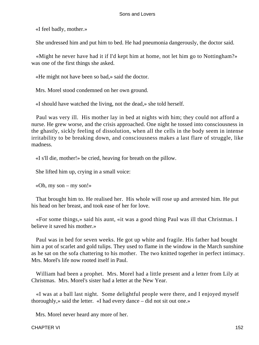«I feel badly, mother.»

She undressed him and put him to bed. He had pneumonia dangerously, the doctor said.

 «Might he never have had it if I'd kept him at home, not let him go to Nottingham?» was one of the first things she asked.

«He might not have been so bad,» said the doctor.

Mrs. Morel stood condemned on her own ground.

«I should have watched the living, not the dead,» she told herself.

 Paul was very ill. His mother lay in bed at nights with him; they could not afford a nurse. He grew worse, and the crisis approached. One night he tossed into consciousness in the ghastly, sickly feeling of dissolution, when all the cells in the body seem in intense irritability to be breaking down, and consciousness makes a last flare of struggle, like madness.

«I s'll die, mother!» be cried, heaving for breath on the pillow.

She lifted him up, crying in a small voice:

«Oh, my son – my son!»

 That brought him to. He realised her. His whole will rose up and arrested him. He put his head on her breast, and took ease of her for love.

 «For some things,» said his aunt, «it was a good thing Paul was ill that Christmas. I believe it saved his mother.»

 Paul was in bed for seven weeks. He got up white and fragile. His father had bought him a pot of scarlet and gold tulips. They used to flame in the window in the March sunshine as he sat on the sofa chattering to his mother. The two knitted together in perfect intimacy. Mrs. Morel's life now rooted itself in Paul.

 William had been a prophet. Mrs. Morel had a little present and a letter from Lily at Christmas. Mrs. Morel's sister had a letter at the New Year.

 «I was at a ball last night. Some delightful people were there, and I enjoyed myself thoroughly,» said the letter. «I had every dance – did not sit out one.»

Mrs. Morel never heard any more of her.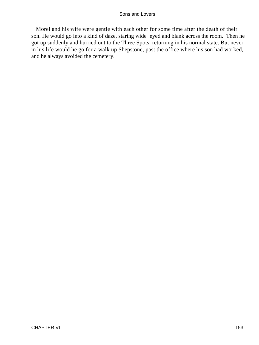Morel and his wife were gentle with each other for some time after the death of their son. He would go into a kind of daze, staring wide−eyed and blank across the room. Then he got up suddenly and hurried out to the Three Spots, returning in his normal state. But never in his life would he go for a walk up Shepstone, past the office where his son had worked, and he always avoided the cemetery.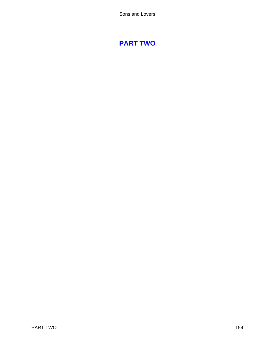# **[PART TWO](#page-470-0)**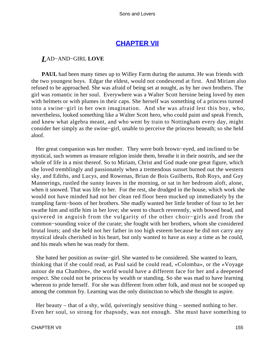## **[CHAPTER VII](#page-470-0)**

### *L*AD−AND−GIRL **LOVE**

**PAUL** had been many times up to Willey Farm during the autumn. He was friends with the two youngest boys. Edgar the eldest, would not condescend at first. And Miriam also refused to be approached. She was afraid of being set at nought, as by her own brothers. The girl was romantic in her soul. Everywhere was a Walter Scott heroine being loved by men with helmets or with plumes in their caps. She herself was something of a princess turned into a swine−girl in her own imagination. And she was afraid lest this boy, who, nevertheless, looked something like a Walter Scott hero, who could paint and speak French, and knew what algebra meant, and who went by train to Nottingham every day, might consider her simply as the swine−girl, unable to perceive the princess beneath; so she held aloof.

 Her great companion was her mother. They were both brown−eyed, and inclined to be mystical, such women as treasure religion inside them, breathe it in their nostrils, and see the whole of life in a mist thereof. So to Miriam, Christ and God made one great figure, which she loved tremblingly and passionately when a tremendous sunset burned out the western sky, and Ediths, and Lucys, and Rowenas, Brian de Bois Guilberts, Rob Roys, and Guy Mannerings, rustled the sunny leaves in the morning, or sat in her bedroom aloft, alone, when it snowed. That was life to her. For the rest, she drudged in the house, which work she would not have minded had not her clean red floor been mucked up immediately by the trampling farm−boots of her brothers. She madly wanted her little brother of four to let her swathe him and stifle him in her love; she went to church reverently, with bowed head, and quivered in anguish from the vulgarity of the other choir−girls and from the common−sounding voice of the curate; she fought with her brothers, whom she considered brutal louts; and she held not her father in too high esteem because he did not carry any mystical ideals cherished in his heart, but only wanted to have as easy a time as he could, and his meals when he was ready for them.

 She hated her position as swine−girl. She wanted to be considered. She wanted to learn, thinking that if she could read, as Paul said he could read, «Colomba», or the «Voyage autour de ma Chambre», the world would have a different face for her and a deepened respect. She could not be princess by wealth or standing. So she was mad to have learning whereon to pride herself. For she was different from other folk, and must not be scooped up among the common fry. Learning was the only distinction to which she thought to aspire.

 Her beauty – that of a shy, wild, quiveringly sensitive thing – seemed nothing to her. Even her soul, so strong for rhapsody, was not enough. She must have something to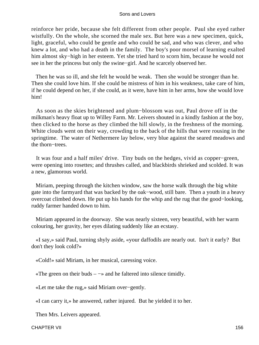reinforce her pride, because she felt different from other people. Paul she eyed rather wistfully. On the whole, she scorned the male sex. But here was a new specimen, quick, light, graceful, who could be gentle and who could be sad, and who was clever, and who knew a lot, and who had a death in the family. The boy's poor morsel of learning exalted him almost sky−high in her esteem. Yet she tried hard to scorn him, because he would not see in her the princess but only the swine−girl. And he scarcely observed her.

 Then he was so ill, and she felt he would be weak. Then she would be stronger than he. Then she could love him. If she could be mistress of him in his weakness, take care of him, if he could depend on her, if she could, as it were, have him in her arms, how she would love him!

 As soon as the skies brightened and plum−blossom was out, Paul drove off in the milkman's heavy float up to Willey Farm. Mr. Leivers shouted in a kindly fashion at the boy, then clicked to the horse as they climbed the hill slowly, in the freshness of the morning. White clouds went on their way, crowding to the back of the hills that were rousing in the springtime. The water of Nethermere lay below, very blue against the seared meadows and the thorn−trees.

 It was four and a half miles' drive. Tiny buds on the hedges, vivid as copper−green, were opening into rosettes; and thrushes called, and blackbirds shrieked and scolded. It was a new, glamorous world.

 Miriam, peeping through the kitchen window, saw the horse walk through the big white gate into the farmyard that was backed by the oak−wood, still bare. Then a youth in a heavy overcoat climbed down. He put up his hands for the whip and the rug that the good−looking, ruddy farmer handed down to him.

 Miriam appeared in the doorway. She was nearly sixteen, very beautiful, with her warm colouring, her gravity, her eyes dilating suddenly like an ecstasy.

 «I say,» said Paul, turning shyly aside, «your daffodils are nearly out. Isn't it early? But don't they look cold?»

«Cold!» said Miriam, in her musical, caressing voice.

«The green on their buds –  $\rightarrow \infty$  and he faltered into silence timidly.

«Let me take the rug,» said Miriam over−gently.

«I can carry it,» he answered, rather injured. But he yielded it to her.

Then Mrs. Leivers appeared.

CHAPTER VII 156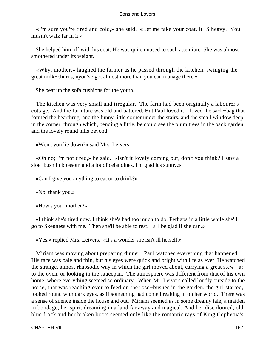«I'm sure you're tired and cold,» she said. «Let me take your coat. It IS heavy. You mustn't walk far in it.»

 She helped him off with his coat. He was quite unused to such attention. She was almost smothered under its weight.

 «Why, mother,» laughed the farmer as he passed through the kitchen, swinging the great milk−churns, «you've got almost more than you can manage there.»

She beat up the sofa cushions for the youth.

 The kitchen was very small and irregular. The farm had been originally a labourer's cottage. And the furniture was old and battered. But Paul loved it – loved the sack−bag that formed the hearthrug, and the funny little corner under the stairs, and the small window deep in the corner, through which, bending a little, be could see the plum trees in the back garden and the lovely round hills beyond.

«Won't you lie down?» said Mrs. Leivers.

 «Oh no; I'm not tired,» he said. «Isn't it lovely coming out, don't you think? I saw a sloe−bush in blossom and a lot of celandines. I'm glad it's sunny.»

«Can I give you anything to eat or to drink?»

«No, thank you.»

«How's your mother?»

 «I think she's tired now. I think she's had too much to do. Perhaps in a little while she'll go to Skegness with me. Then she'll be able to rest. I s'll be glad if she can.»

«Yes,» replied Mrs. Leivers. «It's a wonder she isn't ill herself.»

 Miriam was moving about preparing dinner. Paul watched everything that happened. His face was pale and thin, but his eyes were quick and bright with life as ever. He watched the strange, almost rhapsodic way in which the girl moved about, carrying a great stew−jar to the oven, or looking in the saucepan. The atmosphere was different from that of his own home, where everything seemed so ordinary. When Mr. Leivers called loudly outside to the horse, that was reaching over to feed on the rose−bushes in the garden, the girl started, looked round with dark eyes, as if something had come breaking in on her world. There was a sense of silence inside the house and out. Miriam seemed as in some dreamy tale, a maiden in bondage, her spirit dreaming in a land far away and magical. And her discoloured, old blue frock and her broken boots seemed only like the romantic rags of King Cophetua's

CHAPTER VII 157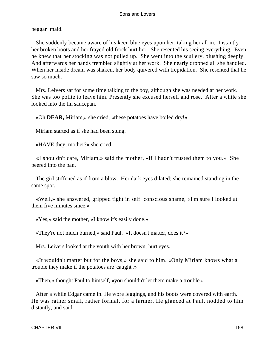beggar−maid.

 She suddenly became aware of his keen blue eyes upon her, taking her all in. Instantly her broken boots and her frayed old frock hurt her. She resented his seeing everything. Even he knew that her stocking was not pulled up. She went into the scullery, blushing deeply. And afterwards her hands trembled slightly at her work. She nearly dropped all she handled. When her inside dream was shaken, her body quivered with trepidation. She resented that he saw so much.

 Mrs. Leivers sat for some time talking to the boy, although she was needed at her work. She was too polite to leave him. Presently she excused herself and rose. After a while she looked into the tin saucepan.

«Oh **DEAR,** Miriam,» she cried, «these potatoes have boiled dry!»

Miriam started as if she had been stung.

«HAVE they, mother?» she cried.

 «I shouldn't care, Miriam,» said the mother, «if I hadn't trusted them to you.» She peered into the pan.

 The girl stiffened as if from a blow. Her dark eyes dilated; she remained standing in the same spot.

 «Well,» she answered, gripped tight in self−conscious shame, «I'm sure I looked at them five minutes since.»

«Yes,» said the mother, «I know it's easily done.»

«They're not much burned,» said Paul. «It doesn't matter, does it?»

Mrs. Leivers looked at the youth with her brown, hurt eyes.

 «It wouldn't matter but for the boys,» she said to him. «Only Miriam knows what a trouble they make if the potatoes are 'caught'.»

«Then,» thought Paul to himself, «you shouldn't let them make a trouble.»

 After a while Edgar came in. He wore leggings, and his boots were covered with earth. He was rather small, rather formal, for a farmer. He glanced at Paul, nodded to him distantly, and said: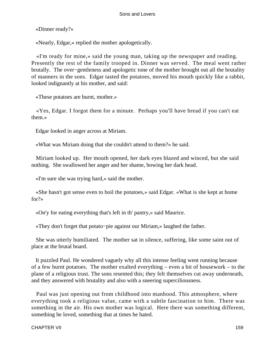«Dinner ready?»

«Nearly, Edgar,» replied the mother apologetically.

 «I'm ready for mine,» said the young man, taking up the newspaper and reading. Presently the rest of the family trooped in. Dinner was served. The meal went rather brutally. The over−gentleness and apologetic tone of the mother brought out all the brutality of manners in the sons. Edgar tasted the potatoes, moved his mouth quickly like a rabbit, looked indignantly at his mother, and said:

«These potatoes are burnt, mother.»

 «Yes, Edgar. I forgot them for a minute. Perhaps you'll have bread if you can't eat them.»

Edgar looked in anger across at Miriam.

«What was Miriam doing that she couldn't attend to them?» he said.

 Miriam looked up. Her mouth opened, her dark eyes blazed and winced, but she said nothing. She swallowed her anger and her shame, bowing her dark head.

«I'm sure she was trying hard,» said the mother.

 «She hasn't got sense even to boil the potatoes,» said Edgar. «What is she kept at home for?»

«On'y for eating everything that's left in th' pantry,» said Maurice.

«They don't forget that potato−pie against our Miriam,» laughed the father.

 She was utterly humiliated. The mother sat in silence, suffering, like some saint out of place at the brutal board.

 It puzzled Paul. He wondered vaguely why all this intense feeling went running because of a few burnt potatoes. The mother exalted everything – even a bit of housework – to the plane of a religious trust. The sons resented this; they felt themselves cut away underneath, and they answered with brutality and also with a sneering superciliousness.

 Paul was just opening out from childhood into manhood. This atmosphere, where everything took a religious value, came with a subtle fascination to him. There was something in the air. His own mother was logical. Here there was something different, something he loved, something that at times he hated.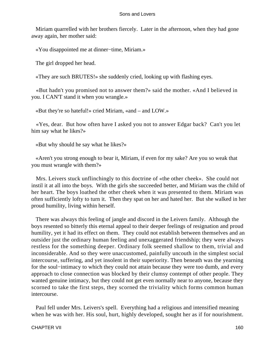Miriam quarrelled with her brothers fiercely. Later in the afternoon, when they had gone away again, her mother said:

«You disappointed me at dinner−time, Miriam.»

The girl dropped her head.

«They are such BRUTES!» she suddenly cried, looking up with flashing eyes.

 «But hadn't you promised not to answer them?» said the mother. «And I believed in you. I CAN'T stand it when you wrangle.»

«But they're so hateful!» cried Miriam, «and – and LOW.»

 «Yes, dear. But how often have I asked you not to answer Edgar back? Can't you let him say what he likes?»

«But why should he say what he likes?»

 «Aren't you strong enough to bear it, Miriam, if even for my sake? Are you so weak that you must wrangle with them?»

 Mrs. Leivers stuck unflinchingly to this doctrine of «the other cheek». She could not instil it at all into the boys. With the girls she succeeded better, and Miriam was the child of her heart. The boys loathed the other cheek when it was presented to them. Miriam was often sufficiently lofty to turn it. Then they spat on her and hated her. But she walked in her proud humility, living within herself.

 There was always this feeling of jangle and discord in the Leivers family. Although the boys resented so bitterly this eternal appeal to their deeper feelings of resignation and proud humility, yet it had its effect on them. They could not establish between themselves and an outsider just the ordinary human feeling and unexaggerated friendship; they were always restless for the something deeper. Ordinary folk seemed shallow to them, trivial and inconsiderable. And so they were unaccustomed, painfully uncouth in the simplest social intercourse, suffering, and yet insolent in their superiority. Then beneath was the yearning for the soul−intimacy to which they could not attain because they were too dumb, and every approach to close connection was blocked by their clumsy contempt of other people. They wanted genuine intimacy, but they could not get even normally near to anyone, because they scorned to take the first steps, they scorned the triviality which forms common human intercourse.

 Paul fell under Mrs. Leivers's spell. Everything had a religious and intensified meaning when he was with her. His soul, hurt, highly developed, sought her as if for nourishment.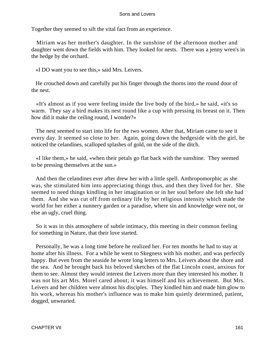Together they seemed to sift the vital fact from an experience.

 Miriam was her mother's daughter. In the sunshine of the afternoon mother and daughter went down the fields with him. They looked for nests. There was a jenny wren's in the hedge by the orchard.

«I DO want you to see this,» said Mrs. Leivers.

 He crouched down and carefully put his finger through the thorns into the round door of the nest.

 «It's almost as if you were feeling inside the live body of the bird,» he said, «it's so warm. They say a bird makes its nest round like a cup with pressing its breast on it. Then how did it make the ceiling round, I wonder?»

 The nest seemed to start into life for the two women. After that, Miriam came to see it every day. It seemed so close to her. Again, going down the hedgeside with the girl, he noticed the celandines, scalloped splashes of gold, on the side of the ditch.

 «I like them,» he said, «when their petals go flat back with the sunshine. They seemed to be pressing themselves at the sun.»

 And then the celandines ever after drew her with a little spell. Anthropomorphic as she was, she stimulated him into appreciating things thus, and then they lived for her. She seemed to need things kindling in her imagination or in her soul before she felt she had them. And she was cut off from ordinary life by her religious intensity which made the world for her either a nunnery garden or a paradise, where sin and knowledge were not, or else an ugly, cruel thing.

 So it was in this atmosphere of subtle intimacy, this meeting in their common feeling for something in Nature, that their love started.

 Personally, he was a long time before he realized her. For ten months he had to stay at home after his illness. For a while he went to Skegness with his mother, and was perfectly happy. But even from the seaside he wrote long letters to Mrs. Leivers about the shore and the sea. And he brought back his beloved sketches of the flat Lincoln coast, anxious for them to see. Almost they would interest the Leivers more than they interested his mother. It was not his art Mrs. Morel cared about; it was himself and his achievement. But Mrs. Leivers and her children were almost his disciples. They kindled him and made him glow to his work, whereas his mother's influence was to make him quietly determined, patient, dogged, unwearied.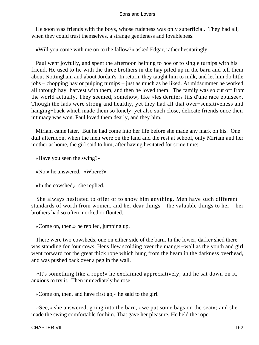He soon was friends with the boys, whose rudeness was only superficial. They had all, when they could trust themselves, a strange gentleness and lovableness.

«Will you come with me on to the fallow?» asked Edgar, rather hesitatingly.

 Paul went joyfully, and spent the afternoon helping to hoe or to single turnips with his friend. He used to lie with the three brothers in the hay piled up in the barn and tell them about Nottingham and about Jordan's. In return, they taught him to milk, and let him do little jobs – chopping hay or pulping turnips – just as much as he liked. At midsummer he worked all through hay−harvest with them, and then he loved them. The family was so cut off from the world actually. They seemed, somehow, like «les derniers fils d'une race epuisee». Though the lads were strong and healthy, yet they had all that over−sensitiveness and hanging−back which made them so lonely, yet also such close, delicate friends once their intimacy was won. Paul loved them dearly, and they him.

 Miriam came later. But he had come into her life before she made any mark on his. One dull afternoon, when the men were on the land and the rest at school, only Miriam and her mother at home, the girl said to him, after having hesitated for some time:

«Have you seen the swing?»

«No,» he answered. «Where?»

«In the cowshed,» she replied.

 She always hesitated to offer or to show him anything. Men have such different standards of worth from women, and her dear things – the valuable things to her – her brothers had so often mocked or flouted.

«Come on, then,» he replied, jumping up.

 There were two cowsheds, one on either side of the barn. In the lower, darker shed there was standing for four cows. Hens flew scolding over the manger−wall as the youth and girl went forward for the great thick rope which hung from the beam in the darkness overhead, and was pushed back over a peg in the wall.

 «It's something like a rope!» he exclaimed appreciatively; and he sat down on it, anxious to try it. Then immediately he rose.

«Come on, then, and have first go,» he said to the girl.

 «See,» she answered, going into the barn, «we put some bags on the seat»; and she made the swing comfortable for him. That gave her pleasure. He held the rope.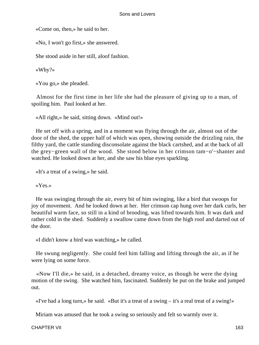«Come on, then,» he said to her.

«No, I won't go first,» she answered.

She stood aside in her still, aloof fashion.

«Why?»

«You go,» she pleaded.

 Almost for the first time in her life she had the pleasure of giving up to a man, of spoiling him. Paul looked at her.

«All right,» he said, sitting down. «Mind out!»

 He set off with a spring, and in a moment was flying through the air, almost out of the door of the shed, the upper half of which was open, showing outside the drizzling rain, the filthy yard, the cattle standing disconsolate against the black cartshed, and at the back of all the grey−green wall of the wood. She stood below in her crimson tam−o'−shanter and watched. He looked down at her, and she saw his blue eyes sparkling.

«It's a treat of a swing,» he said.

«Yes.»

 He was swinging through the air, every bit of him swinging, like a bird that swoops for joy of movement. And he looked down at her. Her crimson cap hung over her dark curls, her beautiful warm face, so still in a kind of brooding, was lifted towards him. It was dark and rather cold in the shed. Suddenly a swallow came down from the high roof and darted out of the door.

«I didn't know a bird was watching,» he called.

 He swung negligently. She could feel him falling and lifting through the air, as if he were lying on some force.

 «Now I'll die,» he said, in a detached, dreamy voice, as though he were the dying motion of the swing. She watched him, fascinated. Suddenly he put on the brake and jumped out.

«I've had a long turn,» he said. «But it's a treat of a swing – it's a real treat of a swing!»

Miriam was amused that he took a swing so seriously and felt so warmly over it.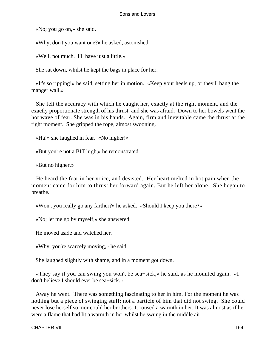«No; you go on,» she said.

«Why, don't you want one?» he asked, astonished.

«Well, not much. I'll have just a little.»

She sat down, whilst he kept the bags in place for her.

 «It's so ripping!» he said, setting her in motion. «Keep your heels up, or they'll bang the manger wall.»

 She felt the accuracy with which he caught her, exactly at the right moment, and the exactly proportionate strength of his thrust, and she was afraid. Down to her bowels went the hot wave of fear. She was in his hands. Again, firm and inevitable came the thrust at the right moment. She gripped the rope, almost swooning.

«Ha!» she laughed in fear. «No higher!»

«But you're not a BIT high,» he remonstrated.

«But no higher.»

 He heard the fear in her voice, and desisted. Her heart melted in hot pain when the moment came for him to thrust her forward again. But he left her alone. She began to breathe.

«Won't you really go any farther?» he asked. «Should I keep you there?»

«No; let me go by myself,» she answered.

He moved aside and watched her.

«Why, you're scarcely moving,» he said.

She laughed slightly with shame, and in a moment got down.

 «They say if you can swing you won't be sea−sick,» he said, as he mounted again. «I don't believe I should ever be sea−sick.»

 Away he went. There was something fascinating to her in him. For the moment he was nothing but a piece of swinging stuff; not a particle of him that did not swing. She could never lose herself so, nor could her brothers. It roused a warmth in her. It was almost as if he were a flame that had lit a warmth in her whilst he swung in the middle air.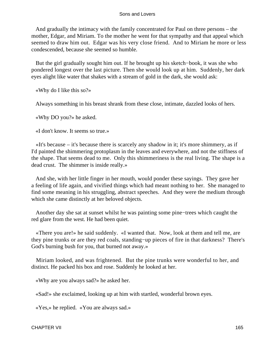And gradually the intimacy with the family concentrated for Paul on three persons – the mother, Edgar, and Miriam. To the mother he went for that sympathy and that appeal which seemed to draw him out. Edgar was his very close friend. And to Miriam he more or less condescended, because she seemed so humble.

 But the girl gradually sought him out. If he brought up his sketch−book, it was she who pondered longest over the last picture. Then she would look up at him. Suddenly, her dark eyes alight like water that shakes with a stream of gold in the dark, she would ask:

«Why do I like this so?»

Always something in his breast shrank from these close, intimate, dazzled looks of hers.

«Why DO you?» he asked.

«I don't know. It seems so true.»

 «It's because – it's because there is scarcely any shadow in it; it's more shimmery, as if I'd painted the shimmering protoplasm in the leaves and everywhere, and not the stiffness of the shape. That seems dead to me. Only this shimmeriness is the real living. The shape is a dead crust. The shimmer is inside really.»

 And she, with her little finger in her mouth, would ponder these sayings. They gave her a feeling of life again, and vivified things which had meant nothing to her. She managed to find some meaning in his struggling, abstract speeches. And they were the medium through which she came distinctly at her beloved objects.

 Another day she sat at sunset whilst he was painting some pine−trees which caught the red glare from the west. He had been quiet.

 «There you are!» he said suddenly. «I wanted that. Now, look at them and tell me, are they pine trunks or are they red coals, standing−up pieces of fire in that darkness? There's God's burning bush for you, that burned not away.»

 Miriam looked, and was frightened. But the pine trunks were wonderful to her, and distinct. He packed his box and rose. Suddenly he looked at her.

«Why are you always sad?» he asked her.

«Sad!» she exclaimed, looking up at him with startled, wonderful brown eyes.

«Yes,» he replied. «You are always sad.»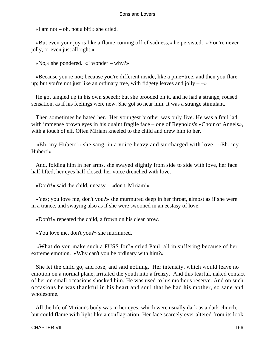«I am not – oh, not a bit!» she cried.

 «But even your joy is like a flame coming off of sadness,» he persisted. «You're never jolly, or even just all right.»

«No,» she pondered. «I wonder – why?»

 «Because you're not; because you're different inside, like a pine−tree, and then you flare up; but you're not just like an ordinary tree, with fidgety leaves and jolly – −»

 He got tangled up in his own speech; but she brooded on it, and he had a strange, roused sensation, as if his feelings were new. She got so near him. It was a strange stimulant.

 Then sometimes he hated her. Her youngest brother was only five. He was a frail lad, with immense brown eyes in his quaint fragile face – one of Reynolds's «Choir of Angels», with a touch of elf. Often Miriam kneeled to the child and drew him to her.

 «Eh, my Hubert!» she sang, in a voice heavy and surcharged with love. «Eh, my Hubert!»

 And, folding him in her arms, she swayed slightly from side to side with love, her face half lifted, her eyes half closed, her voice drenched with love.

«Don't!» said the child, uneasy – «don't, Miriam!»

 «Yes; you love me, don't you?» she murmured deep in her throat, almost as if she were in a trance, and swaying also as if she were swooned in an ecstasy of love.

«Don't!» repeated the child, a frown on his clear brow.

«You love me, don't you?» she murmured.

 «What do you make such a FUSS for?» cried Paul, all in suffering because of her extreme emotion. «Why can't you be ordinary with him?»

 She let the child go, and rose, and said nothing. Her intensity, which would leave no emotion on a normal plane, irritated the youth into a frenzy. And this fearful, naked contact of her on small occasions shocked him. He was used to his mother's reserve. And on such occasions he was thankful in his heart and soul that he had his mother, so sane and wholesome.

 All the life of Miriam's body was in her eyes, which were usually dark as a dark church, but could flame with light like a conflagration. Her face scarcely ever altered from its look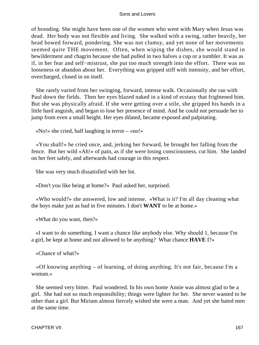of brooding. She might have been one of the women who went with Mary when Jesus was dead. Her body was not flexible and living. She walked with a swing, rather heavily, her head bowed forward, pondering. She was not clumsy, and yet none of her movements seemed quite THE movement. Often, when wiping the dishes, she would stand in bewilderment and chagrin because she had pulled in two halves a cup or a tumbler. It was as if, in her fear and self−mistrust, she put too much strength into the effort. There was no looseness or abandon about her. Everything was gripped stiff with intensity, and her effort, overcharged, closed in on itself.

 She rarely varied from her swinging, forward, intense walk. Occasionally she ran with Paul down the fields. Then her eyes blazed naked in a kind of ecstasy that frightened him. But she was physically afraid. If she were getting over a stile, she gripped his hands in a little hard anguish, and began to lose her presence of mind. And he could not persuade her to jump from even a small height. Her eyes dilated, became exposed and palpitating.

«No!» she cried, half laughing in terror – «no!»

 «You shall!» he cried once, and, jerking her forward, he brought her falling from the fence. But her wild «Ah!» of pain, as if she were losing consciousness, cut him. She landed on her feet safely, and afterwards had courage in this respect.

She was very much dissatisfied with her lot.

«Don't you like being at home?» Paul asked her, surprised.

 «Who would?» she answered, low and intense. «What is it? I'm all day cleaning what the boys make just as bad in five minutes. I don't **WANT** to be at home.»

«What do you want, then?»

 «I want to do something. I want a chance like anybody else. Why should 1, because I'm a girl, be kept at home and not allowed to be anything? What chance **HAVE** I?»

«Chance of what?»

 «Of knowing anything – of learning, of doing anything. It's not fair, because I'm a woman.»

 She seemed very bitter. Paul wondered. In his own home Annie was almost glad to be a girl. She had not so much responsibility; things were lighter for her. She never wanted to be other than a girl. But Miriam almost fiercely wished she were a man. And yet she hated men at the same time.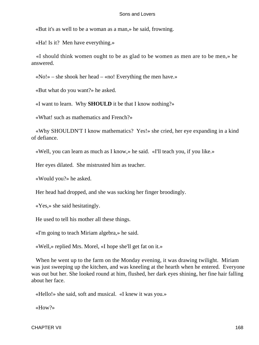«But it's as well to be a woman as a man,» he said, frowning.

«Ha! Is it? Men have everything.»

 «I should think women ought to be as glad to be women as men are to be men,» he answered.

«No!» – she shook her head – «no! Everything the men have.»

«But what do you want?» he asked.

«I want to learn. Why **SHOULD** it be that I know nothing?»

«What! such as mathematics and French?»

 «Why SHOULDN'T I know mathematics? Yes!» she cried, her eye expanding in a kind of defiance.

«Well, you can learn as much as I know,» he said. «I'll teach you, if you like.»

Her eyes dilated. She mistrusted him as teacher.

«Would you?» he asked.

Her head had dropped, and she was sucking her finger broodingly.

«Yes,» she said hesitatingly.

He used to tell his mother all these things.

«I'm going to teach Miriam algebra,» he said.

«Well,» replied Mrs. Morel, «I hope she'll get fat on it.»

When he went up to the farm on the Monday evening, it was drawing twilight. Miriam was just sweeping up the kitchen, and was kneeling at the hearth when he entered. Everyone was out but her. She looked round at him, flushed, her dark eyes shining, her fine hair falling about her face.

«Hello!» she said, soft and musical. «I knew it was you.»

«How?»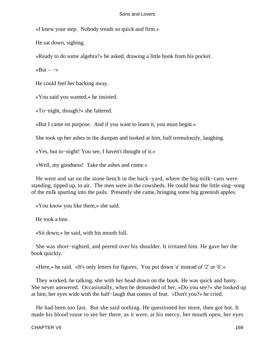«I knew your step. Nobody treads so quick and firm.»

He sat down, sighing.

«Ready to do some algebra?» he asked, drawing a little book from his pocket.

«But – −»

He could feel her backing away.

«You said you wanted,» he insisted.

«To−night, though?» she faltered.

«But I came on purpose. And if you want to learn it, you must begin.»

She took up her ashes in the dustpan and looked at him, half tremulously, laughing.

«Yes, but to−night! You see, I haven't thought of it.»

«Well, my goodness! Take the ashes and come.»

 He went and sat on the stone bench in the back−yard, where the big milk−cans were standing, tipped up, to air. The men were in the cowsheds. He could hear the little sing−song of the milk spurting into the pails. Presently she came, bringing some big greenish apples.

«You know you like them,» she said.

He took a bite.

«Sit down,» he said, with his mouth full.

 She was short−sighted, and peered over his shoulder. It irritated him. He gave her the book quickly.

«Here,» he said. «It's only letters for figures. You put down 'a' instead of '2' or '6'.»

 They worked, he talking, she with her head down on the book. He was quick and hasty. She never answered. Occasionally, when he demanded of her, «Do you see?» she looked up at him, her eyes wide with the half−laugh that comes of fear. «Don't you?» he cried.

 He had been too fast. But she said nothing. He questioned her more, then got hot. It made his blood rouse to see her there, as it were, at his mercy, her mouth open, her eyes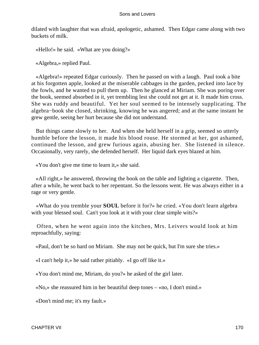dilated with laughter that was afraid, apologetic, ashamed. Then Edgar came along with two buckets of milk.

«Hello!» he said. «What are you doing?»

«Algebra,» replied Paul.

 «Algebra!» repeated Edgar curiously. Then he passed on with a laugh. Paul took a bite at his forgotten apple, looked at the miserable cabbages in the garden, pecked into lace by the fowls, and he wanted to pull them up. Then he glanced at Miriam. She was poring over the book, seemed absorbed in it, yet trembling lest she could not get at it. It made him cross. She was ruddy and beautiful. Yet her soul seemed to be intensely supplicating. The algebra−book she closed, shrinking, knowing he was angered; and at the same instant he grew gentle, seeing her hurt because she did not understand.

 But things came slowly to her. And when she held herself in a grip, seemed so utterly humble before the lesson, it made his blood rouse. He stormed at her, got ashamed, continued the lesson, and grew furious again, abusing her. She listened in silence. Occasionally, very rarely, she defended herself. Her liquid dark eyes blazed at him.

«You don't give me time to learn it,» she said.

 «All right,» he answered, throwing the book on the table and lighting a cigarette. Then, after a while, he went back to her repentant. So the lessons went. He was always either in a rage or very gentle.

 «What do you tremble your **SOUL** before it for?» he cried. «You don't learn algebra with your blessed soul. Can't you look at it with your clear simple wits?»

 Often, when he went again into the kitchen, Mrs. Leivers would look at him reproachfully, saying:

«Paul, don't be so hard on Miriam. She may not be quick, but I'm sure she tries.»

«I can't help it,» he said rather pitiably. «I go off like it.»

«You don't mind me, Miriam, do you?» he asked of the girl later.

«No,» she reassured him in her beautiful deep tones – «no, I don't mind.»

«Don't mind me; it's my fault.»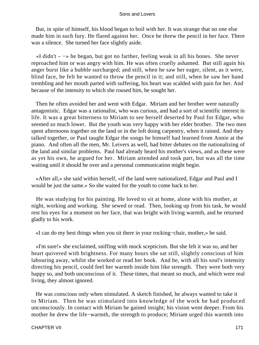But, in spite of himself, his blood began to boil with her. It was strange that no one else made him in such fury. He flared against her. Once he threw the pencil in her face. There was a silence. She turned her face slightly aside.

 «I didn't – −» he began, but got no farther, feeling weak in all his bones. She never reproached him or was angry with him. He was often cruelly ashamed. But still again his anger burst like a bubble surcharged; and still, when he saw her eager, silent, as it were, blind face, he felt he wanted to throw the pencil in it; and still, when he saw her hand trembling and her mouth parted with suffering, his heart was scalded with pain for her. And because of the intensity to which she roused him, he sought her.

 Then he often avoided her and went with Edgar. Miriam and her brother were naturally antagonistic. Edgar was a rationalist, who was curious, and had a sort of scientific interest in life. It was a great bitterness to Miriam to see herself deserted by Paul for Edgar, who seemed so much lower. But the youth was very happy with her elder brother. The two men spent afternoons together on the land or in the loft doing carpentry, when it rained. And they talked together, or Paul taught Edgar the songs he himself had learned from Annie at the piano. And often all the men, Mr. Leivers as well, had bitter debates on the nationalizing of the land and similar problems. Paul had already heard his mother's views, and as these were as yet his own, he argued for her. Miriam attended and took part, but was all the time waiting until it should be over and a personal communication might begin.

 «After all,» she said within herself, «if the land were nationalized, Edgar and Paul and I would be just the same.» So she waited for the youth to come back to her.

 He was studying for his painting. He loved to sit at home, alone with his mother, at night, working and working. She sewed or read. Then, looking up from his task, he would rest his eyes for a moment on her face, that was bright with living warmth, and he returned gladly to his work.

«I can do my best things when you sit there in your rocking−chair, mother,» he said.

 «I'm sure!» she exclaimed, sniffing with mock scepticism. But she felt it was so, and her heart quivered with brightness. For many hours she sat still, slightly conscious of him labouring away, whilst she worked or read her book. And he, with all his soul's intensity directing his pencil, could feel her warmth inside him like strength. They were both very happy so, and both unconscious of it. These times, that meant so much, and which were real living, they almost ignored.

 He was conscious only when stimulated. A sketch finished, he always wanted to take it to Miriam. Then he was stimulated into knowledge of the work he had produced unconsciously. In contact with Miriam he gained insight; his vision went deeper. From his mother he drew the life−warmth, the strength to produce; Miriam urged this warmth into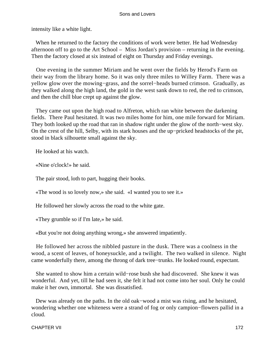intensity like a white light.

 When he returned to the factory the conditions of work were better. He had Wednesday afternoon off to go to the Art School – Miss Jordan's provision – returning in the evening. Then the factory closed at six instead of eight on Thursday and Friday evenings.

 One evening in the summer Miriam and he went over the fields by Herod's Farm on their way from the library home. So it was only three miles to Willey Farm. There was a yellow glow over the mowing−grass, and the sorrel−heads burned crimson. Gradually, as they walked along the high land, the gold in the west sank down to red, the red to crimson, and then the chill blue crept up against the glow.

 They came out upon the high road to Alfreton, which ran white between the darkening fields. There Paul hesitated. It was two miles home for him, one mile forward for Miriam. They both looked up the road that ran in shadow right under the glow of the north−west sky. On the crest of the hill, Selby, with its stark houses and the up−pricked headstocks of the pit, stood in black silhouette small against the sky.

He looked at his watch.

«Nine o'clock!» he said.

The pair stood, loth to part, hugging their books.

«The wood is so lovely now,» she said. «I wanted you to see it.»

He followed her slowly across the road to the white gate.

«They grumble so if I'm late,» he said.

«But you're not doing anything wrong,» she answered impatiently.

 He followed her across the nibbled pasture in the dusk. There was a coolness in the wood, a scent of leaves, of honeysuckle, and a twilight. The two walked in silence. Night came wonderfully there, among the throng of dark tree−trunks. He looked round, expectant.

 She wanted to show him a certain wild−rose bush she had discovered. She knew it was wonderful. And yet, till he had seen it, she felt it had not come into her soul. Only he could make it her own, immortal. She was dissatisfied.

 Dew was already on the paths. In the old oak−wood a mist was rising, and he hesitated, wondering whether one whiteness were a strand of fog or only campion−flowers pallid in a cloud.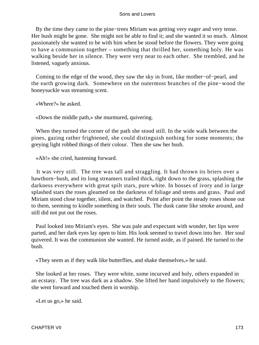By the time they came to the pine−trees Miriam was getting very eager and very tense. Her bush might be gone. She might not be able to find it; and she wanted it so much. Almost passionately she wanted to be with him when be stood before the flowers. They were going to have a communion together – something that thrilled her, something holy. He was walking beside her in silence. They were very near to each other. She trembled, and he listened, vaguely anxious.

 Coming to the edge of the wood, they saw the sky in front, like mother−of−pearl, and the earth growing dark. Somewhere on the outermost branches of the pine−wood the honeysuckle was streaming scent.

«Where?» he asked.

«Down the middle path,» she murmured, quivering.

 When they turned the corner of the path she stood still. In the wide walk between the pines, gazing rather frightened, she could distinguish nothing for some moments; the greying light robbed things of their colour. Then she saw her bush.

«Ah!» she cried, hastening forward.

 It was very still. The tree was tall and straggling. It had thrown its briers over a hawthorn−bush, and its long streamers trailed thick, right down to the grass, splashing the darkness everywhere with great spilt stars, pure white. In bosses of ivory and in large splashed stars the roses gleamed on the darkness of foliage and stems and grass. Paul and Miriam stood close together, silent, and watched. Point after point the steady roses shone out to them, seeming to kindle something in their souls. The dusk came like smoke around, and still did not put out the roses.

 Paul looked into Miriam's eyes. She was pale and expectant with wonder, her lips were parted, and her dark eyes lay open to him. His look seemed to travel down into her. Her soul quivered. It was the communion she wanted. He turned aside, as if pained. He turned to the bush.

«They seem as if they walk like butterflies, and shake themselves,» he said.

 She looked at her roses. They were white, some incurved and holy, others expanded in an ecstasy. The tree was dark as a shadow. She lifted her hand impulsively to the flowers; she went forward and touched them in worship.

«Let us go,» he said.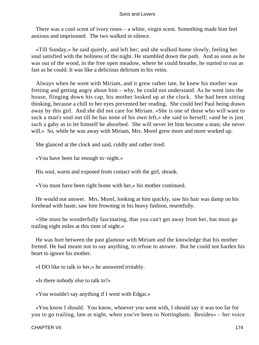There was a cool scent of ivory roses – a white, virgin scent. Something made him feel anxious and imprisoned. The two walked in silence.

 «Till Sunday,» he said quietly, and left her; and she walked home slowly, feeling her soul satisfied with the holiness of the night. He stumbled down the path. And as soon as he was out of the wood, in the free open meadow, where he could breathe, he started to run as fast as he could. It was like a delicious delirium in his veins.

 Always when he went with Miriam, and it grew rather late, he knew his mother was fretting and getting angry about him – why, he could not understand. As he went into the house, flinging down his cap, his mother looked up at the clock. She had been sitting thinking, because a chill to her eyes prevented her reading. She could feel Paul being drawn away by this girl. And she did not care for Miriam. «She is one of those who will want to suck a man's soul out till he has none of his own left,» she said to herself; «and he is just such a gaby as to let himself be absorbed. She will never let him become a man; she never will.» So, while he was away with Miriam, Mrs. Morel grew more and more worked up.

She glanced at the clock and said, coldly and rather tired:

«You have been far enough to−night.»

His soul, warm and exposed from contact with the girl, shrank.

«You must have been right home with her,» his mother continued.

 He would not answer. Mrs. Morel, looking at him quickly, saw his hair was damp on his forehead with haste, saw him frowning in his heavy fashion, resentfully.

 «She must be wonderfully fascinating, that you can't get away from her, but must go trailing eight miles at this time of night.»

 He was hurt between the past glamour with Miriam and the knowledge that his mother fretted. He had meant not to say anything, to refuse to answer. But he could not harden his heart to ignore his mother.

«I DO like to talk to her,» he answered irritably.

«Is there nobody else to talk to?»

«You wouldn't say anything if I went with Edgar.»

 «You know I should. You know, whoever you went with, I should say it was too far for you to go trailing, late at night, when you've been to Nottingham. Besides» – her voice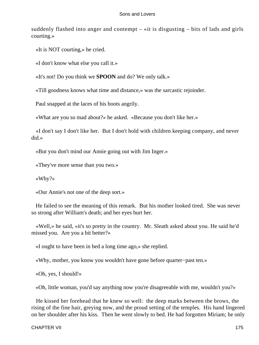suddenly flashed into anger and contempt – «it is disgusting – bits of lads and girls courting.»

«It is NOT courting,» he cried.

«I don't know what else you call it.»

«It's not! Do you think we **SPOON** and do? We only talk.»

«Till goodness knows what time and distance,» was the sarcastic rejoinder.

Paul snapped at the laces of his boots angrily.

«What are you so mad about?» he asked. «Because you don't like her.»

 «I don't say I don't like her. But I don't hold with children keeping company, and never did.»

«But you don't mind our Annie going out with Jim Inger.»

«They've more sense than you two.»

«Why?»

«Our Annie's not one of the deep sort.»

 He failed to see the meaning of this remark. But his mother looked tired. She was never so strong after William's death; and her eyes hurt her.

 «Well,» he said, «it's so pretty in the country. Mr. Sleath asked about you. He said he'd missed you. Are you a bit better?»

«I ought to have been in bed a long time ago,» she replied.

«Why, mother, you know you wouldn't have gone before quarter−past ten.»

«Oh, yes, I should!»

«Oh, little woman, you'd say anything now you're disagreeable with me, wouldn't you?»

 He kissed her forehead that he knew so well: the deep marks between the brows, the rising of the fine hair, greying now, and the proud setting of the temples. His hand lingered on her shoulder after his kiss. Then he went slowly to bed. He had forgotten Miriam; he only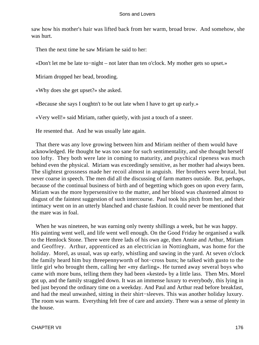saw how his mother's hair was lifted back from her warm, broad brow. And somehow, she was hurt.

Then the next time he saw Miriam he said to her:

«Don't let me be late to−night – not later than ten o'clock. My mother gets so upset.»

Miriam dropped her bead, brooding.

«Why does she get upset?» she asked.

«Because she says I oughtn't to be out late when I have to get up early.»

«Very well!» said Miriam, rather quietly, with just a touch of a sneer.

He resented that. And he was usually late again.

 That there was any love growing between him and Miriam neither of them would have acknowledged. He thought he was too sane for such sentimentality, and she thought herself too lofty. They both were late in coming to maturity, and psychical ripeness was much behind even the physical. Miriam was exceedingly sensitive, as her mother had always been. The slightest grossness made her recoil almost in anguish. Her brothers were brutal, but never coarse in speech. The men did all the discussing of farm matters outside. But, perhaps, because of the continual business of birth and of begetting which goes on upon every farm, Miriam was the more hypersensitive to the matter, and her blood was chastened almost to disgust of the faintest suggestion of such intercourse. Paul took his pitch from her, and their intimacy went on in an utterly blanched and chaste fashion. It could never be mentioned that the mare was in foal.

 When he was nineteen, he was earning only twenty shillings a week, but he was happy. His painting went well, and life went well enough. On the Good Friday he organised a walk to the Hemlock Stone. There were three lads of his own age, then Annie and Arthur, Miriam and Geoffrey. Arthur, apprenticed as an electrician in Nottingham, was home for the holiday. Morel, as usual, was up early, whistling and sawing in the yard. At seven o'clock the family heard him buy threepennyworth of hot−cross buns; he talked with gusto to the little girl who brought them, calling her «my darling». He turned away several boys who came with more buns, telling them they had been «kested» by a little lass. Then Mrs. Morel got up, and the family straggled down. It was an immense luxury to everybody, this lying in bed just beyond the ordinary time on a weekday. And Paul and Arthur read before breakfast, and had the meal unwashed, sitting in their shirt−sleeves. This was another holiday luxury. The room was warm. Everything felt free of care and anxiety. There was a sense of plenty in the house.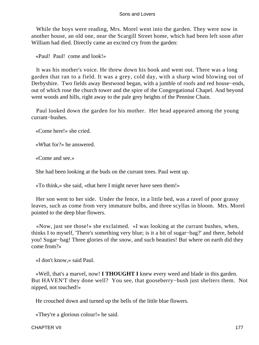While the boys were reading, Mrs. Morel went into the garden. They were now in another house, an old one, near the Scargill Street home, which had been left soon after William had died. Directly came an excited cry from the garden:

«Paul! Paul! come and look!»

 It was his mother's voice. He threw down his book and went out. There was a long garden that ran to a field. It was a grey, cold day, with a sharp wind blowing out of Derbyshire. Two fields away Bestwood began, with a jumble of roofs and red house−ends, out of which rose the church tower and the spire of the Congregational Chapel. And beyond went woods and hills, right away to the pale grey heights of the Pennine Chain.

 Paul looked down the garden for his mother. Her head appeared among the young currant−bushes.

«Come here!» she cried.

«What for?» he answered.

«Come and see.»

She had been looking at the buds on the currant trees. Paul went up.

«To think,» she said, «that here I might never have seen them!»

 Her son went to her side. Under the fence, in a little bed, was a ravel of poor grassy leaves, such as come from very immature bulbs, and three scyllas in bloom. Mrs. Morel pointed to the deep blue flowers.

 «Now, just see those!» she exclaimed. «I was looking at the currant bushes, when, thinks I to myself, 'There's something very blue; is it a bit of sugar−bag?' and there, behold you! Sugar−bag! Three glories of the snow, and such beauties! But where on earth did they come from?»

«I don't know,» said Paul.

 «Well, that's a marvel, now! **I THOUGHT I** knew every weed and blade in this garden. But HAVEN'T they done well? You see, that gooseberry−bush just shelters them. Not nipped, not touched!»

He crouched down and turned up the bells of the little blue flowers.

«They're a glorious colour!» he said.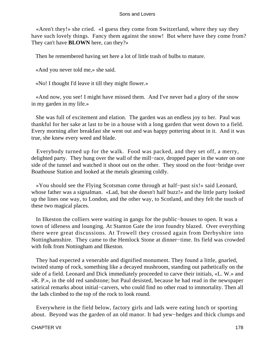«Aren't they!» she cried. «I guess they come from Switzerland, where they say they have such lovely things. Fancy them against the snow! But where have they come from? They can't have **BLOWN** here, can they?»

Then he remembered having set here a lot of little trash of bulbs to mature.

«And you never told me,» she said.

«No! I thought I'd leave it till they might flower.»

 «And now, you see! I might have missed them. And I've never had a glory of the snow in my garden in my life.»

 She was full of excitement and elation. The garden was an endless joy to her. Paul was thankful for her sake at last to be in a house with a long garden that went down to a field. Every morning after breakfast she went out and was happy pottering about in it. And it was true, she knew every weed and blade.

 Everybody turned up for the walk. Food was packed, and they set off, a merry, delighted party. They hung over the wall of the mill−race, dropped paper in the water on one side of the tunnel and watched it shoot out on the other. They stood on the foot−bridge over Boathouse Station and looked at the metals gleaming coldly.

 «You should see the Flying Scotsman come through at half−past six!» said Leonard, whose father was a signalman. «Lad, but she doesn't half buzz!» and the little party looked up the lines one way, to London, and the other way, to Scotland, and they felt the touch of these two magical places.

 In Ilkeston the colliers were waiting in gangs for the public−houses to open. It was a town of idleness and lounging. At Stanton Gate the iron foundry blazed. Over everything there were great discussions. At Trowell they crossed again from Derbyshire into Nottinghamshire. They came to the Hemlock Stone at dinner−time. Its field was crowded with folk from Nottingham and Ilkeston.

 They had expected a venerable and dignified monument. They found a little, gnarled, twisted stump of rock, something like a decayed mushroom, standing out pathetically on the side of a field. Leonard and Dick immediately proceeded to carve their initials, «L. W.» and «R. P.», in the old red sandstone; but Paul desisted, because he had read in the newspaper satirical remarks about initial−carvers, who could find no other road to immortality. Then all the lads climbed to the top of the rock to look round.

 Everywhere in the field below, factory girls and lads were eating lunch or sporting about. Beyond was the garden of an old manor. It had yew−hedges and thick clumps and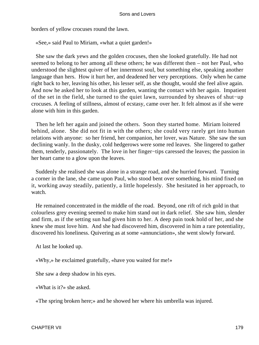borders of yellow crocuses round the lawn.

«See,» said Paul to Miriam, «what a quiet garden!»

 She saw the dark yews and the golden crocuses, then she looked gratefully. He had not seemed to belong to her among all these others; he was different then – not her Paul, who understood the slightest quiver of her innermost soul, but something else, speaking another language than hers. How it hurt her, and deadened her very perceptions. Only when he came right back to her, leaving his other, his lesser self, as she thought, would she feel alive again. And now he asked her to look at this garden, wanting the contact with her again. Impatient of the set in the field, she turned to the quiet lawn, surrounded by sheaves of shut−up crocuses. A feeling of stillness, almost of ecstasy, came over her. It felt almost as if she were alone with him in this garden.

 Then he left her again and joined the others. Soon they started home. Miriam loitered behind, alone. She did not fit in with the others; she could very rarely get into human relations with anyone: so her friend, her companion, her lover, was Nature. She saw the sun declining wanly. In the dusky, cold hedgerows were some red leaves. She lingered to gather them, tenderly, passionately. The love in her finger−tips caressed the leaves; the passion in her heart came to a glow upon the leaves.

 Suddenly she realised she was alone in a strange road, and she hurried forward. Turning a corner in the lane, she came upon Paul, who stood bent over something, his mind fixed on it, working away steadily, patiently, a little hopelessly. She hesitated in her approach, to watch.

 He remained concentrated in the middle of the road. Beyond, one rift of rich gold in that colourless grey evening seemed to make him stand out in dark relief. She saw him, slender and firm, as if the setting sun had given him to her. A deep pain took hold of her, and she knew she must love him. And she had discovered him, discovered in him a rare potentiality, discovered his loneliness. Quivering as at some «annunciation», she went slowly forward.

At last he looked up.

«Why,» he exclaimed gratefully, «have you waited for me!»

She saw a deep shadow in his eyes.

«What is it?» she asked.

«The spring broken here;» and he showed her where his umbrella was injured.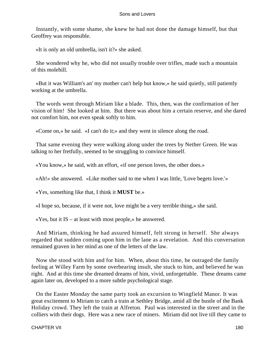Instantly, with some shame, she knew he had not done the damage himself, but that Geoffrey was responsible.

«It is only an old umbrella, isn't it?» she asked.

 She wondered why he, who did not usually trouble over trifles, made such a mountain of this molehill.

 «But it was William's an' my mother can't help but know,» he said quietly, still patiently working at the umbrella.

 The words went through Miriam like a blade. This, then, was the confirmation of her vision of him! She looked at him. But there was about him a certain reserve, and she dared not comfort him, not even speak softly to him.

«Come on,» he said. «I can't do it;» and they went in silence along the road.

 That same evening they were walking along under the trees by Nether Green. He was talking to her fretfully, seemed to be struggling to convince himself.

«You know,» he said, with an effort, «if one person loves, the other does.»

«Ah!» she answered. «Like mother said to me when I was little, 'Love begets love.'»

«Yes, something like that, I think it **MUST** be.»

«I hope so, because, if it were not, love might be a very terrible thing,» she said.

«Yes, but it IS – at least with most people,» he answered.

 And Miriam, thinking he had assured himself, felt strong in herself. She always regarded that sudden coming upon him in the lane as a revelation. And this conversation remained graven in her mind as one of the letters of the law.

 Now she stood with him and for him. When, about this time, he outraged the family feeling at Willey Farm by some overbearing insult, she stuck to him, and believed he was right. And at this time she dreamed dreams of him, vivid, unforgettable. These dreams came again later on, developed to a more subtle psychological stage.

 On the Easter Monday the same party took an excursion to Wingfield Manor. It was great excitement to Miriam to catch a train at Sethley Bridge, amid all the bustle of the Bank Holiday crowd. They left the train at Alfreton. Paul was interested in the street and in the colliers with their dogs. Here was a new race of miners. Miriam did not live till they came to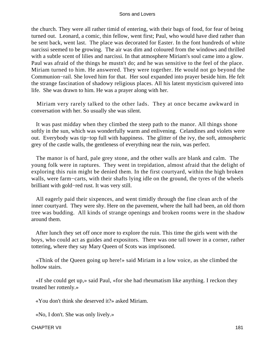the church. They were all rather timid of entering, with their bags of food, for fear of being turned out. Leonard, a comic, thin fellow, went first; Paul, who would have died rather than be sent back, went last. The place was decorated for Easter. In the font hundreds of white narcissi seemed to be growing. The air was dim and coloured from the windows and thrilled with a subtle scent of lilies and narcissi. In that atmosphere Miriam's soul came into a glow. Paul was afraid of the things he mustn't do; and he was sensitive to the feel of the place. Miriam turned to him. He answered. They were together. He would not go beyond the Communion−rail. She loved him for that. Her soul expanded into prayer beside him. He felt the strange fascination of shadowy religious places. All his latent mysticism quivered into life. She was drawn to him. He was a prayer along with her.

 Miriam very rarely talked to the other lads. They at once became awkward in conversation with her. So usually she was silent.

 It was past midday when they climbed the steep path to the manor. All things shone softly in the sun, which was wonderfully warm and enlivening. Celandines and violets were out. Everybody was tip−top full with happiness. The glitter of the ivy, the soft, atmospheric grey of the castle walls, the gentleness of everything near the ruin, was perfect.

 The manor is of hard, pale grey stone, and the other walls are blank and calm. The young folk were in raptures. They went in trepidation, almost afraid that the delight of exploring this ruin might be denied them. In the first courtyard, within the high broken walls, were farm−carts, with their shafts lying idle on the ground, the tyres of the wheels brilliant with gold−red rust. It was very still.

 All eagerly paid their sixpences, and went timidly through the fine clean arch of the inner courtyard. They were shy. Here on the pavement, where the hall had been, an old thorn tree was budding. All kinds of strange openings and broken rooms were in the shadow around them.

 After lunch they set off once more to explore the ruin. This time the girls went with the boys, who could act as guides and expositors. There was one tall tower in a corner, rather tottering, where they say Mary Queen of Scots was imprisoned.

 «Think of the Queen going up here!» said Miriam in a low voice, as she climbed the hollow stairs.

 «If she could get up,» said Paul, «for she had rheumatism like anything. I reckon they treated her rottenly.»

«You don't think she deserved it?» asked Miriam.

«No, I don't. She was only lively.»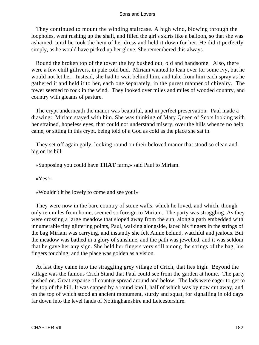They continued to mount the winding staircase. A high wind, blowing through the loopholes, went rushing up the shaft, and filled the girl's skirts like a balloon, so that she was ashamed, until he took the hem of her dress and held it down for her. He did it perfectly simply, as he would have picked up her glove. She remembered this always.

 Round the broken top of the tower the ivy bushed out, old and handsome. Also, there were a few chill gillivers, in pale cold bud. Miriam wanted to lean over for some ivy, but he would not let her. Instead, she had to wait behind him, and take from him each spray as he gathered it and held it to her, each one separately, in the purest manner of chivalry. The tower seemed to rock in the wind. They looked over miles and miles of wooded country, and country with gleams of pasture.

 The crypt underneath the manor was beautiful, and in perfect preservation. Paul made a drawing: Miriam stayed with him. She was thinking of Mary Queen of Scots looking with her strained, hopeless eyes, that could not understand misery, over the hills whence no help came, or sitting in this crypt, being told of a God as cold as the place she sat in.

 They set off again gaily, looking round on their beloved manor that stood so clean and big on its hill.

«Supposing you could have **THAT** farm,» said Paul to Miriam.

«Yes!»

«Wouldn't it be lovely to come and see you!»

 They were now in the bare country of stone walls, which he loved, and which, though only ten miles from home, seemed so foreign to Miriam. The party was straggling. As they were crossing a large meadow that sloped away from the sun, along a path embedded with innumerable tiny glittering points, Paul, walking alongside, laced his fingers in the strings of the bag Miriam was carrying, and instantly she felt Annie behind, watchful and jealous. But the meadow was bathed in a glory of sunshine, and the path was jewelled, and it was seldom that he gave her any sign. She held her fingers very still among the strings of the bag, his fingers touching; and the place was golden as a vision.

 At last they came into the straggling grey village of Crich, that lies high. Beyond the village was the famous Crich Stand that Paul could see from the garden at home. The party pushed on. Great expanse of country spread around and below. The lads were eager to get to the top of the hill. It was capped by a round knoll, half of which was by now cut away, and on the top of which stood an ancient monument, sturdy and squat, for signalling in old days far down into the level lands of Nottinghamshire and Leicestershire.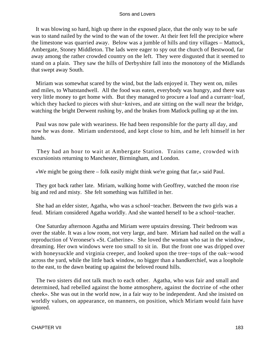It was blowing so hard, high up there in the exposed place, that the only way to be safe was to stand nailed by the wind to the wan of the tower. At their feet fell the precipice where the limestone was quarried away. Below was a jumble of hills and tiny villages – Mattock, Ambergate, Stoney Middleton. The lads were eager to spy out the church of Bestwood, far away among the rather crowded country on the left. They were disgusted that it seemed to stand on a plain. They saw the hills of Derbyshire fall into the monotony of the Midlands that swept away South.

 Miriam was somewhat scared by the wind, but the lads enjoyed it. They went on, miles and miles, to Whatstandwell. All the food was eaten, everybody was hungry, and there was very little money to get home with. But they managed to procure a loaf and a currant−loaf, which they hacked to pieces with shut−knives, and ate sitting on the wall near the bridge, watching the bright Derwent rushing by, and the brakes from Matlock pulling up at the inn.

 Paul was now pale with weariness. He had been responsible for the party all day, and now he was done. Miriam understood, and kept close to him, and he left himself in her hands.

 They had an hour to wait at Ambergate Station. Trains came, crowded with excursionists returning to Manchester, Birmingham, and London.

«We might be going there – folk easily might think we're going that far,» said Paul.

 They got back rather late. Miriam, walking home with Geoffrey, watched the moon rise big and red and misty. She felt something was fulfilled in her.

 She had an elder sister, Agatha, who was a school−teacher. Between the two girls was a feud. Miriam considered Agatha worldly. And she wanted herself to be a school−teacher.

 One Saturday afternoon Agatha and Miriam were upstairs dressing. Their bedroom was over the stable. It was a low room, not very large, and bare. Miriam had nailed on the wall a reproduction of Veronese's «St. Catherine». She loved the woman who sat in the window, dreaming. Her own windows were too small to sit in. But the front one was dripped over with honeysuckle and virginia creeper, and looked upon the tree−tops of the oak−wood across the yard, while the little back window, no bigger than a handkerchief, was a loophole to the east, to the dawn beating up against the beloved round hills.

 The two sisters did not talk much to each other. Agatha, who was fair and small and determined, had rebelled against the home atmosphere, against the doctrine of «the other cheek». She was out in the world now, in a fair way to be independent. And she insisted on worldly values, on appearance, on manners, on position, which Miriam would fain have ignored.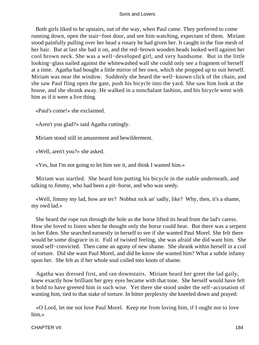Both girls liked to be upstairs, out of the way, when Paul came. They preferred to come running down, open the stair−foot door, and see him watching, expectant of them. Miriam stood painfully pulling over her head a rosary he had given her. It caught in the fine mesh of her hair. But at last she had it on, and the red−brown wooden beads looked well against her cool brown neck. She was a well−developed girl, and very handsome. But in the little looking−glass nailed against the whitewashed wall she could only see a fragment of herself at a time. Agatha had bought a little mirror of her own, which she propped up to suit herself. Miriam was near the window. Suddenly she heard the well−known click of the chain, and she saw Paul fling open the gate, push his bicycle into the yard. She saw him look at the house, and she shrank away. He walked in a nonchalant fashion, and his bicycle went with him as if it were a live thing.

«Paul's come!» she exclaimed.

«Aren't you glad?» said Agatha cuttingly.

Miriam stood still in amazement and bewilderment.

«Well, aren't you?» she asked.

«Yes, but I'm not going to let him see it, and think I wanted him.»

 Miriam was startled. She heard him putting his bicycle in the stable underneath, and talking to Jimmy, who had been a pit−horse, and who was seedy.

 «Well, Jimmy my lad, how are ter? Nobbut sick an' sadly, like? Why, then, it's a shame, my owd lad.»

 She heard the rope run through the hole as the horse lifted its head from the lad's caress. How she loved to listen when he thought only the horse could hear. But there was a serpent in her Eden. She searched earnestly in herself to see if she wanted Paul Morel. She felt there would be some disgrace in it. Full of twisted feeling, she was afraid she did want him. She stood self−convicted. Then came an agony of new shame. She shrank within herself in a coil of torture. Did she want Paul Morel, and did he know she wanted him? What a subtle infamy upon her. She felt as if her whole soul coiled into knots of shame.

 Agatha was dressed first, and ran downstairs. Miriam heard her greet the lad gaily, knew exactly how brilliant her grey eyes became with that tone. She herself would have felt it bold to have greeted him in such wise. Yet there she stood under the self−accusation of wanting him, tied to that stake of torture. In bitter perplexity she kneeled down and prayed:

 «O Lord, let me not love Paul Morel. Keep me from loving him, if I ought not to love him.»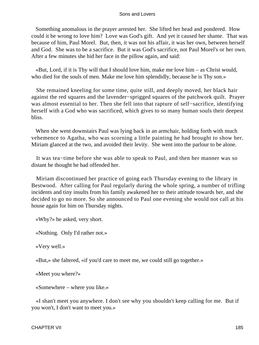Something anomalous in the prayer arrested her. She lifted her head and pondered. How could it be wrong to love him? Love was God's gift. And yet it caused her shame. That was because of him, Paul Morel. But, then, it was not his affair, it was her own, between herself and God. She was to be a sacrifice. But it was God's sacrifice, not Paul Morel's or her own. After a few minutes she hid her face in the pillow again, and said:

 «But, Lord, if it is Thy will that I should love him, make me love him – as Christ would, who died for the souls of men. Make me love him splendidly, because he is Thy son.»

 She remained kneeling for some time, quite still, and deeply moved, her black hair against the red squares and the lavender−sprigged squares of the patchwork quilt. Prayer was almost essential to her. Then she fell into that rapture of self−sacrifice, identifying herself with a God who was sacrificed, which gives to so many human souls their deepest bliss.

 When she went downstairs Paul was lying back in an armchair, holding forth with much vehemence to Agatha, who was scorning a little painting he had brought to show her. Miriam glanced at the two, and avoided their levity. She went into the parlour to be alone.

 It was tea−time before she was able to speak to Paul, and then her manner was so distant he thought he had offended her.

 Miriam discontinued her practice of going each Thursday evening to the library in Bestwood. After calling for Paul regularly during the whole spring, a number of trifling incidents and tiny insults from his family awakened her to their attitude towards her, and she decided to go no more. So she announced to Paul one evening she would not call at his house again for him on Thursday nights.

«Why?» he asked, very short.

«Nothing. Only I'd rather not.»

«Very well.»

«But,» she faltered, «if you'd care to meet me, we could still go together.»

«Meet you where?»

«Somewhere – where you like.»

 «I shan't meet you anywhere. I don't see why you shouldn't keep calling for me. But if you won't, I don't want to meet you.»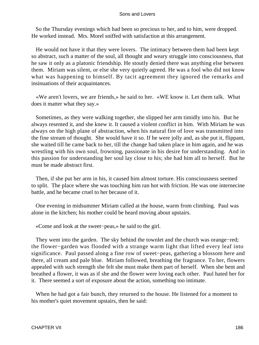So the Thursday evenings which had been so precious to her, and to him, were dropped. He worked instead. Mrs. Morel sniffed with satisfaction at this arrangement.

 He would not have it that they were lovers. The intimacy between them had been kept so abstract, such a matter of the soul, all thought and weary struggle into consciousness, that he saw it only as a platonic friendship. He stoutly denied there was anything else between them. Miriam was silent, or else she very quietly agreed. He was a fool who did not know what was happening to himself. By tacit agreement they ignored the remarks and insinuations of their acquaintances.

 «We aren't lovers, we are friends,» he said to her. «WE know it. Let them talk. What does it matter what they say.»

 Sometimes, as they were walking together, she slipped her arm timidly into his. But he always resented it, and she knew it. It caused a violent conflict in him. With Miriam he was always on the high plane of abstraction, when his natural fire of love was transmitted into the fine stream of thought. She would have it so. If he were jolly and, as she put it, flippant, she waited till he came back to her, till the change had taken place in him again, and he was wrestling with his own soul, frowning, passionate in his desire for understanding. And in this passion for understanding her soul lay close to his; she had him all to herself. But he must be made abstract first.

 Then, if she put her arm in his, it caused him almost torture. His consciousness seemed to split. The place where she was touching him ran hot with friction. He was one internecine battle, and he became cruel to her because of it.

 One evening in midsummer Miriam called at the house, warm from climbing. Paul was alone in the kitchen; his mother could be heard moving about upstairs.

«Come and look at the sweet−peas,» he said to the girl.

 They went into the garden. The sky behind the townlet and the church was orange−red; the flower−garden was flooded with a strange warm light that lifted every leaf into significance. Paul passed along a fine row of sweet−peas, gathering a blossom here and there, all cream and pale blue. Miriam followed, breathing the fragrance. To her, flowers appealed with such strength she felt she must make them part of herself. When she bent and breathed a flower, it was as if she and the flower were loving each other. Paul hated her for it. There seemed a sort of exposure about the action, something too intimate.

 When he had got a fair bunch, they returned to the house. He listened for a moment to his mother's quiet movement upstairs, then he said: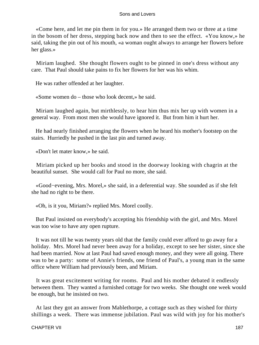«Come here, and let me pin them in for you.» He arranged them two or three at a time in the bosom of her dress, stepping back now and then to see the effect. «You know,» he said, taking the pin out of his mouth, «a woman ought always to arrange her flowers before her glass.»

 Miriam laughed. She thought flowers ought to be pinned in one's dress without any care. That Paul should take pains to fix her flowers for her was his whim.

He was rather offended at her laughter.

«Some women do – those who look decent,» he said.

 Miriam laughed again, but mirthlessly, to hear him thus mix her up with women in a general way. From most men she would have ignored it. But from him it hurt her.

 He had nearly finished arranging the flowers when he heard his mother's footstep on the stairs. Hurriedly he pushed in the last pin and turned away.

«Don't let mater know,» he said.

 Miriam picked up her books and stood in the doorway looking with chagrin at the beautiful sunset. She would call for Paul no more, she said.

 «Good−evening, Mrs. Morel,» she said, in a deferential way. She sounded as if she felt she had no right to be there.

«Oh, is it you, Miriam?» replied Mrs. Morel coolly.

 But Paul insisted on everybody's accepting his friendship with the girl, and Mrs. Morel was too wise to have any open rupture.

 It was not till he was twenty years old that the family could ever afford to go away for a holiday. Mrs. Morel had never been away for a holiday, except to see her sister, since she had been married. Now at last Paul had saved enough money, and they were all going. There was to be a party: some of Annie's friends, one friend of Paul's, a young man in the same office where William had previously been, and Miriam.

 It was great excitement writing for rooms. Paul and his mother debated it endlessly between them. They wanted a furnished cottage for two weeks. She thought one week would be enough, but he insisted on two.

 At last they got an answer from Mablethorpe, a cottage such as they wished for thirty shillings a week. There was immense jubilation. Paul was wild with joy for his mother's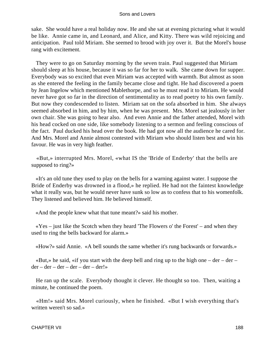sake. She would have a real holiday now. He and she sat at evening picturing what it would be like. Annie came in, and Leonard, and Alice, and Kitty. There was wild rejoicing and anticipation. Paul told Miriam. She seemed to brood with joy over it. But the Morel's house rang with excitement.

 They were to go on Saturday morning by the seven train. Paul suggested that Miriam should sleep at his house, because it was so far for her to walk. She came down for supper. Everybody was so excited that even Miriam was accepted with warmth. But almost as soon as she entered the feeling in the family became close and tight. He had discovered a poem by Jean Ingelow which mentioned Mablethorpe, and so he must read it to Miriam. He would never have got so far in the direction of sentimentality as to read poetry to his own family. But now they condescended to listen. Miriam sat on the sofa absorbed in him. She always seemed absorbed in him, and by him, when he was present. Mrs. Morel sat jealously in her own chair. She was going to hear also. And even Annie and the father attended, Morel with his head cocked on one side, like somebody listening to a sermon and feeling conscious of the fact. Paul ducked his head over the book. He had got now all the audience he cared for. And Mrs. Morel and Annie almost contested with Miriam who should listen best and win his favour. He was in very high feather.

 «But,» interrupted Mrs. Morel, «what IS the 'Bride of Enderby' that the bells are supposed to ring?»

 «It's an old tune they used to play on the bells for a warning against water. I suppose the Bride of Enderby was drowned in a flood,» he replied. He had not the faintest knowledge what it really was, but he would never have sunk so low as to confess that to his womenfolk. They listened and believed him. He believed himself.

«And the people knew what that tune meant?» said his mother.

 $\langle Y \rangle$  =  $\langle Y \rangle$  is the Scotch when they heard 'The Flowers o' the Forest' – and when they used to ring the bells backward for alarm.»

«How?» said Annie. «A bell sounds the same whether it's rung backwards or forwards.»

«But,» he said, «if you start with the deep bell and ring up to the high one  $-$  der  $$  $der - der - der - der - der - der! \rightarrow$ 

 He ran up the scale. Everybody thought it clever. He thought so too. Then, waiting a minute, he continued the poem.

 «Hm!» said Mrs. Morel curiously, when he finished. «But I wish everything that's written weren't so sad.»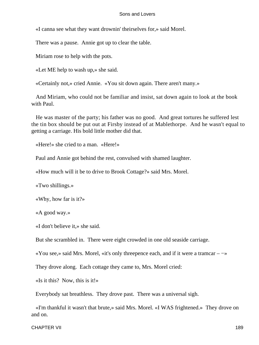«I canna see what they want drownin' theirselves for,» said Morel.

There was a pause. Annie got up to clear the table.

Miriam rose to help with the pots.

«Let ME help to wash up,» she said.

«Certainly not,» cried Annie. «You sit down again. There aren't many.»

 And Miriam, who could not be familiar and insist, sat down again to look at the book with Paul.

 He was master of the party; his father was no good. And great tortures he suffered lest the tin box should be put out at Firsby instead of at Mablethorpe. And he wasn't equal to getting a carriage. His bold little mother did that.

«Here!» she cried to a man. «Here!»

Paul and Annie got behind the rest, convulsed with shamed laughter.

«How much will it be to drive to Brook Cottage?» said Mrs. Morel.

«Two shillings.»

«Why, how far is it?»

«A good way.»

«I don't believe it,» she said.

But she scrambled in. There were eight crowded in one old seaside carriage.

«You see,» said Mrs. Morel, «it's only threepence each, and if it were a tramcar – −»

They drove along. Each cottage they came to, Mrs. Morel cried:

«Is it this? Now, this is it!»

Everybody sat breathless. They drove past. There was a universal sigh.

 «I'm thankful it wasn't that brute,» said Mrs. Morel. «I WAS frightened.» They drove on and on.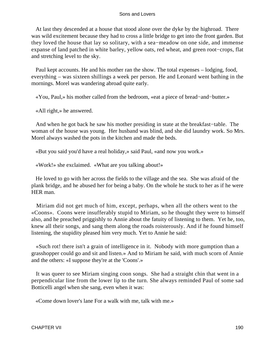At last they descended at a house that stood alone over the dyke by the highroad. There was wild excitement because they had to cross a little bridge to get into the front garden. But they loved the house that lay so solitary, with a sea−meadow on one side, and immense expanse of land patched in white barley, yellow oats, red wheat, and green root−crops, flat and stretching level to the sky.

 Paul kept accounts. He and his mother ran the show. The total expenses – lodging, food, everything – was sixteen shillings a week per person. He and Leonard went bathing in the mornings. Morel was wandering abroad quite early.

«You, Paul,» his mother called from the bedroom, «eat a piece of bread−and−butter.»

«All right,» he answered.

 And when he got back he saw his mother presiding in state at the breakfast−table. The woman of the house was young. Her husband was blind, and she did laundry work. So Mrs. Morel always washed the pots in the kitchen and made the beds.

«But you said you'd have a real holiday,» said Paul, «and now you work.»

«Work!» she exclaimed. «What are you talking about!»

 He loved to go with her across the fields to the village and the sea. She was afraid of the plank bridge, and he abused her for being a baby. On the whole he stuck to her as if he were HER man.

 Miriam did not get much of him, except, perhaps, when all the others went to the «Coons». Coons were insufferably stupid to Miriam, so he thought they were to himself also, and he preached priggishly to Annie about the fatuity of listening to them. Yet he, too, knew all their songs, and sang them along the roads roisterously. And if he found himself listening, the stupidity pleased him very much. Yet to Annie he said:

 «Such rot! there isn't a grain of intelligence in it. Nobody with more gumption than a grasshopper could go and sit and listen.» And to Miriam he said, with much scorn of Annie and the others: «I suppose they're at the 'Coons'.»

 It was queer to see Miriam singing coon songs. She had a straight chin that went in a perpendicular line from the lower lip to the turn. She always reminded Paul of some sad Botticelli angel when she sang, even when it was:

«Come down lover's lane For a walk with me, talk with me.»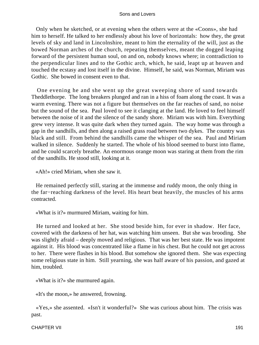Only when he sketched, or at evening when the others were at the «Coons», she had him to herself. He talked to her endlessly about his love of horizontals: how they, the great levels of sky and land in Lincolnshire, meant to him the eternality of the will, just as the bowed Norman arches of the church, repeating themselves, meant the dogged leaping forward of the persistent human soul, on and on, nobody knows where; in contradiction to the perpendicular lines and to the Gothic arch, which, he said, leapt up at heaven and touched the ecstasy and lost itself in the divine. Himself, he said, was Norman, Miriam was Gothic. She bowed in consent even to that.

 One evening he and she went up the great sweeping shore of sand towards Theddlethorpe. The long breakers plunged and ran in a hiss of foam along the coast. It was a warm evening. There was not a figure but themselves on the far reaches of sand, no noise but the sound of the sea. Paul loved to see it clanging at the land. He loved to feel himself between the noise of it and the silence of the sandy shore. Miriam was with him. Everything grew very intense. It was quite dark when they turned again. The way home was through a gap in the sandhills, and then along a raised grass road between two dykes. The country was black and still. From behind the sandhills came the whisper of the sea. Paul and Miriam walked in silence. Suddenly he started. The whole of his blood seemed to burst into flame, and he could scarcely breathe. An enormous orange moon was staring at them from the rim of the sandhills. He stood still, looking at it.

«Ah!» cried Miriam, when she saw it.

 He remained perfectly still, staring at the immense and ruddy moon, the only thing in the far−reaching darkness of the level. His heart beat heavily, the muscles of his arms contracted.

«What is it?» murmured Miriam, waiting for him.

 He turned and looked at her. She stood beside him, for ever in shadow. Her face, covered with the darkness of her hat, was watching him unseen. But she was brooding. She was slightly afraid – deeply moved and religious. That was her best state. He was impotent against it. His blood was concentrated like a flame in his chest. But he could not get across to her. There were flashes in his blood. But somehow she ignored them. She was expecting some religious state in him. Still yearning, she was half aware of his passion, and gazed at him, troubled.

«What is it?» she murmured again.

«It's the moon,» he answered, frowning.

 «Yes,» she assented. «Isn't it wonderful?» She was curious about him. The crisis was past.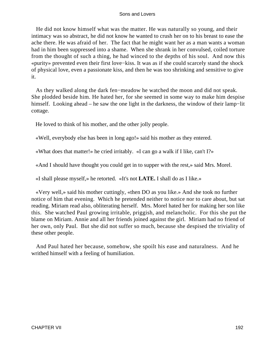He did not know himself what was the matter. He was naturally so young, and their intimacy was so abstract, he did not know he wanted to crush her on to his breast to ease the ache there. He was afraid of her. The fact that he might want her as a man wants a woman had in him been suppressed into a shame. When she shrank in her convulsed, coiled torture from the thought of such a thing, he had winced to the depths of his soul. And now this «purity» prevented even their first love−kiss. It was as if she could scarcely stand the shock of physical love, even a passionate kiss, and then he was too shrinking and sensitive to give it.

 As they walked along the dark fen−meadow he watched the moon and did not speak. She plodded beside him. He hated her, for she seemed in some way to make him despise himself. Looking ahead – he saw the one light in the darkness, the window of their lamp−lit cottage.

He loved to think of his mother, and the other jolly people.

«Well, everybody else has been in long ago!» said his mother as they entered.

«What does that matter!» he cried irritably. «I can go a walk if I like, can't I?»

«And I should have thought you could get in to supper with the rest,» said Mrs. Morel.

«I shall please myself,» he retorted. «It's not **LATE.** I shall do as I like.»

 «Very well,» said his mother cuttingly, «then DO as you like.» And she took no further notice of him that evening. Which he pretended neither to notice nor to care about, but sat reading. Miriam read also, obliterating herself. Mrs. Morel hated her for making her son like this. She watched Paul growing irritable, priggish, and melancholic. For this she put the blame on Miriam. Annie and all her friends joined against the girl. Miriam had no friend of her own, only Paul. But she did not suffer so much, because she despised the triviality of these other people.

 And Paul hated her because, somehow, she spoilt his ease and naturalness. And he writhed himself with a feeling of humiliation.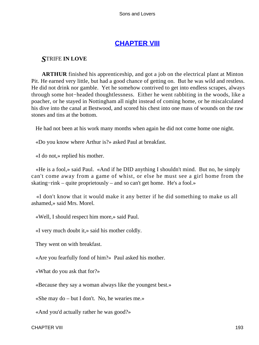# **[CHAPTER VIII](#page-470-0)**

# *S*TRIFE **IN LOVE**

**ARTHUR** finished his apprenticeship, and got a job on the electrical plant at Minton Pit. He earned very little, but had a good chance of getting on. But he was wild and restless. He did not drink nor gamble. Yet he somehow contrived to get into endless scrapes, always through some hot−headed thoughtlessness. Either he went rabbiting in the woods, like a poacher, or he stayed in Nottingham all night instead of coming home, or he miscalculated his dive into the canal at Bestwood, and scored his chest into one mass of wounds on the raw stones and tins at the bottom.

He had not been at his work many months when again he did not come home one night.

«Do you know where Arthur is?» asked Paul at breakfast.

«I do not,» replied his mother.

 «He is a fool,» said Paul. «And if he DID anything I shouldn't mind. But no, he simply can't come away from a game of whist, or else he must see a girl home from the skating−rink – quite proprietously – and so can't get home. He's a fool.»

 «I don't know that it would make it any better if he did something to make us all ashamed,» said Mrs. Morel.

«Well, I should respect him more,» said Paul.

«I very much doubt it,» said his mother coldly.

They went on with breakfast.

«Are you fearfully fond of him?» Paul asked his mother.

«What do you ask that for?»

«Because they say a woman always like the youngest best.»

«She may do – but I don't. No, he wearies me.»

«And you'd actually rather he was good?»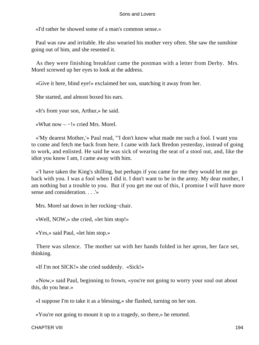«I'd rather he showed some of a man's common sense.»

 Paul was raw and irritable. He also wearied his mother very often. She saw the sunshine going out of him, and she resented it.

 As they were finishing breakfast came the postman with a letter from Derby. Mrs. Morel screwed up her eyes to look at the address.

«Give it here, blind eye!» exclaimed her son, snatching it away from her.

She started, and almost boxed his ears.

«It's from your son, Arthur,» he said.

«What now – −!» cried Mrs. Morel.

 «'My dearest Mother,'» Paul read, "'I don't know what made me such a fool. I want you to come and fetch me back from here. I came with Jack Bredon yesterday, instead of going to work, and enlisted. He said he was sick of wearing the seat of a stool out, and, like the idiot you know I am, I came away with him.

 «'I have taken the King's shilling, but perhaps if you came for me they would let me go back with you. I was a fool when I did it. I don't want to be in the army. My dear mother, I am nothing but a trouble to you. But if you get me out of this, I promise I will have more sense and consideration. . . .'»

Mrs. Morel sat down in her rocking−chair.

«Well, NOW,» she cried, «let him stop!»

«Yes,» said Paul, «let him stop.»

 There was silence. The mother sat with her hands folded in her apron, her face set, thinking.

«If I'm not SICK!» she cried suddenly. «Sick!»

 «Now,» said Paul, beginning to frown, «you're not going to worry your soul out about this, do you hear.»

«I suppose I'm to take it as a blessing,» she flashed, turning on her son.

«You're not going to mount it up to a tragedy, so there,» he retorted.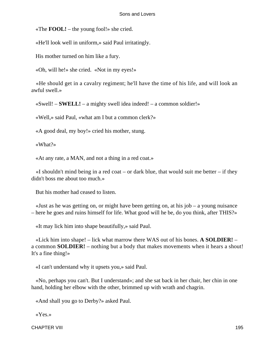«The **FOOL!** – the young fool!» she cried.

«He'll look well in uniform,» said Paul irritatingly.

His mother turned on him like a fury.

«Oh, will he!» she cried. «Not in my eyes!»

 «He should get in a cavalry regiment; he'll have the time of his life, and will look an awful swell.»

«Swell! – **SWELL!** – a mighty swell idea indeed! – a common soldier!»

«Well,» said Paul, «what am I but a common clerk?»

«A good deal, my boy!» cried his mother, stung.

«What?»

«At any rate, a MAN, and not a thing in a red coat.»

 $\ll$ I shouldn't mind being in a red coat – or dark blue, that would suit me better – if they didn't boss me about too much.»

But his mother had ceased to listen.

 «Just as he was getting on, or might have been getting on, at his job – a young nuisance – here he goes and ruins himself for life. What good will he be, do you think, after THIS?»

«It may lick him into shape beautifully,» said Paul.

 «Lick him into shape! – lick what marrow there WAS out of his bones. **A SOLDIER!** – a common **SOLDIER!** – nothing but a body that makes movements when it hears a shout! It's a fine thing!»

«I can't understand why it upsets you,» said Paul.

 «No, perhaps you can't. But I understand»; and she sat back in her chair, her chin in one hand, holding her elbow with the other, brimmed up with wrath and chagrin.

«And shall you go to Derby?» asked Paul.

«Yes.»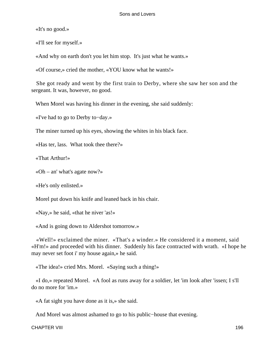«It's no good.»

«I'll see for myself.»

«And why on earth don't you let him stop. It's just what he wants.»

«Of course,» cried the mother, «YOU know what he wants!»

 She got ready and went by the first train to Derby, where she saw her son and the sergeant. It was, however, no good.

When Morel was having his dinner in the evening, she said suddenly:

«I've had to go to Derby to−day.»

The miner turned up his eyes, showing the whites in his black face.

«Has ter, lass. What took thee there?»

«That Arthur!»

«Oh – an' what's agate now?»

«He's only enlisted.»

Morel put down his knife and leaned back in his chair.

«Nay,» he said, «that he niver 'as!»

«And is going down to Aldershot tomorrow.»

 «Well!» exclaimed the miner. «That's a winder.» He considered it a moment, said «H'm!» and proceeded with his dinner. Suddenly his face contracted with wrath. «I hope he may never set foot i' my house again,» he said.

«The idea!» cried Mrs. Morel. «Saying such a thing!»

 «I do,» repeated Morel. «A fool as runs away for a soldier, let 'im look after 'issen; I s'll do no more for 'im.»

«A fat sight you have done as it is,» she said.

And Morel was almost ashamed to go to his public−house that evening.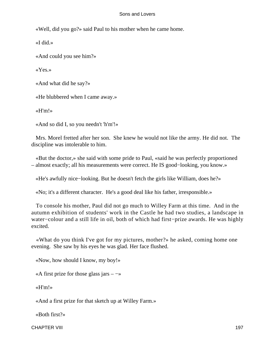«Well, did you go?» said Paul to his mother when he came home.

«I did.»

«And could you see him?»

«Yes.»

«And what did he say?»

«He blubbered when I came away.»

«H'm!»

«And so did I, so you needn't 'h'm'!»

 Mrs. Morel fretted after her son. She knew he would not like the army. He did not. The discipline was intolerable to him.

 «But the doctor,» she said with some pride to Paul, «said he was perfectly proportioned – almost exactly; all his measurements were correct. He IS good−looking, you know.»

«He's awfully nice−looking. But he doesn't fetch the girls like William, does he?»

«No; it's a different character. He's a good deal like his father, irresponsible.»

 To console his mother, Paul did not go much to Willey Farm at this time. And in the autumn exhibition of students' work in the Castle he had two studies, a landscape in water−colour and a still life in oil, both of which had first−prize awards. He was highly excited.

 «What do you think I've got for my pictures, mother?» he asked, coming home one evening. She saw by his eyes he was glad. Her face flushed.

«Now, how should I know, my boy!»

«A first prize for those glass jars  $-\rightarrow$ 

«H'm!»

«And a first prize for that sketch up at Willey Farm.»

«Both first?»

CHAPTER VIII 197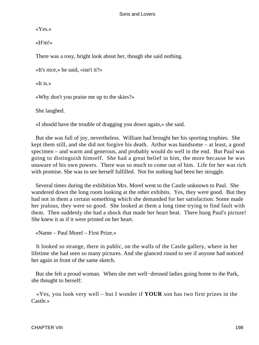«Yes.»

«H'm!»

There was a rosy, bright look about her, though she said nothing.

«It's nice,» he said, «isn't it?»

 $\kappa$ It is.»

«Why don't you praise me up to the skies?»

She laughed.

«I should have the trouble of dragging you down again,» she said.

 But she was full of joy, nevertheless. William had brought her his sporting trophies. She kept them still, and she did not forgive his death. Arthur was handsome – at least, a good specimen – and warm and generous, and probably would do well in the end. But Paul was going to distinguish himself. She had a great belief in him, the more because he was unaware of his own powers. There was so much to come out of him. Life for her was rich with promise. She was to see herself fulfilled. Not for nothing had been her struggle.

 Several times during the exhibition Mrs. Morel went to the Castle unknown to Paul. She wandered down the long room looking at the other exhibits. Yes, they were good. But they had not in them a certain something which she demanded for her satisfaction. Some made her jealous, they were so good. She looked at them a long time trying to find fault with them. Then suddenly she had a shock that made her heart beat. There hung Paul's picture! She knew it as if it were printed on her heart.

«Name – Paul Morel – First Prize.»

 It looked so strange, there in public, on the walls of the Castle gallery, where in her lifetime she had seen so many pictures. And she glanced round to see if anyone had noticed her again in front of the same sketch.

 But she felt a proud woman. When she met well−dressed ladies going home to the Park, she thought to herself:

 «Yes, you look very well – but I wonder if **YOUR** son has two first prizes in the Castle.»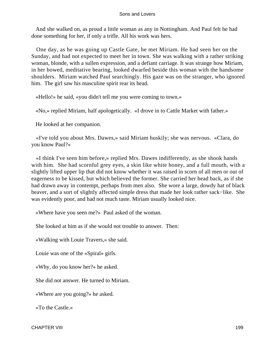And she walked on, as proud a little woman as any in Nottingham. And Paul felt he had done something for her, if only a trifle. All his work was hers.

 One day, as he was going up Castle Gate, he met Miriam. He had seen her on the Sunday, and had not expected to meet her in town. She was walking with a rather striking woman, blonde, with a sullen expression, and a defiant carriage. It was strange how Miriam, in her bowed, meditative bearing, looked dwarfed beside this woman with the handsome shoulders. Miriam watched Paul searchingly. His gaze was on the stranger, who ignored him. The girl saw his masculine spirit rear its head.

«Hello!» he said, «you didn't tell me you were coming to town.»

«No,» replied Miriam, half apologetically. «I drove in to Cattle Market with father.»

He looked at her companion.

 «I've told you about Mrs. Dawes,» said Miriam huskily; she was nervous. «Clara, do you know Paul?»

 «I think I've seen him before,» replied Mrs. Dawes indifferently, as she shook hands with him. She had scornful grey eyes, a skin like white honey, and a full mouth, with a slightly lifted upper lip that did not know whether it was raised in scorn of all men or out of eagerness to be kissed, but which believed the former. She carried her head back, as if she had drawn away in contempt, perhaps from men also. She wore a large, dowdy hat of black beaver, and a sort of slightly affected simple dress that made her look rather sack−like. She was evidently poor, and had not much taste. Miriam usually looked nice.

«Where have you seen me?» Paul asked of the woman.

She looked at him as if she would not trouble to answer. Then:

«Walking with Louie Travers,» she said.

Louie was one of the «Spiral» girls.

«Why, do you know her?» he asked.

She did not answer. He turned to Miriam.

«Where are you going?» he asked.

«To the Castle.»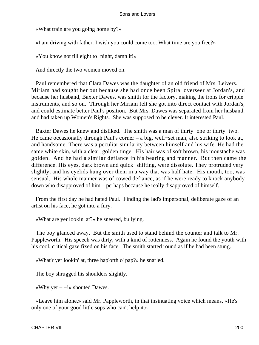«What train are you going home by?»

«I am driving with father. I wish you could come too. What time are you free?»

«You know not till eight to−night, damn it!»

And directly the two women moved on.

 Paul remembered that Clara Dawes was the daughter of an old friend of Mrs. Leivers. Miriam had sought her out because she had once been Spiral overseer at Jordan's, and because her husband, Baxter Dawes, was smith for the factory, making the irons for cripple instruments, and so on. Through her Miriam felt she got into direct contact with Jordan's, and could estimate better Paul's position. But Mrs. Dawes was separated from her husband, and had taken up Women's Rights. She was supposed to be clever. It interested Paul.

 Baxter Dawes he knew and disliked. The smith was a man of thirty−one or thirty−two. He came occasionally through Paul's corner – a big, well−set man, also striking to look at, and handsome. There was a peculiar similarity between himself and his wife. He had the same white skin, with a clear, golden tinge. His hair was of soft brown, his moustache was golden. And he had a similar defiance in his bearing and manner. But then came the difference. His eyes, dark brown and quick−shifting, were dissolute. They protruded very slightly, and his eyelids hung over them in a way that was half hate. His mouth, too, was sensual. His whole manner was of cowed defiance, as if he were ready to knock anybody down who disapproved of him – perhaps because he really disapproved of himself.

 From the first day he had hated Paul. Finding the lad's impersonal, deliberate gaze of an artist on his face, he got into a fury.

«What are yer lookin' at?» he sneered, bullying.

 The boy glanced away. But the smith used to stand behind the counter and talk to Mr. Pappleworth. His speech was dirty, with a kind of rottenness. Again he found the youth with his cool, critical gaze fixed on his face. The smith started round as if he had been stung.

«What'r yer lookin' at, three hap'orth o' pap?» he snarled.

The boy shrugged his shoulders slightly.

«Why yer  $-$  -!» shouted Dawes.

 «Leave him alone,» said Mr. Pappleworth, in that insinuating voice which means, «He's only one of your good little sops who can't help it.»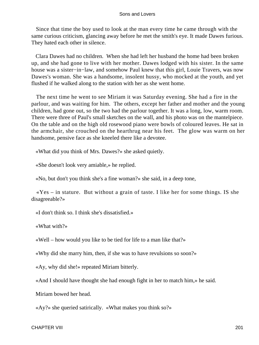Since that time the boy used to look at the man every time he came through with the same curious criticism, glancing away before he met the smith's eye. It made Dawes furious. They hated each other in silence.

 Clara Dawes had no children. When she had left her husband the home had been broken up, and she had gone to live with her mother. Dawes lodged with his sister. In the same house was a sister−in−law, and somehow Paul knew that this girl, Louie Travers, was now Dawes's woman. She was a handsome, insolent hussy, who mocked at the youth, and yet flushed if he walked along to the station with her as she went home.

 The next time he went to see Miriam it was Saturday evening. She had a fire in the parlour, and was waiting for him. The others, except her father and mother and the young children, had gone out, so the two had the parlour together. It was a long, low, warm room. There were three of Paul's small sketches on the wall, and his photo was on the mantelpiece. On the table and on the high old rosewood piano were bowls of coloured leaves. He sat in the armchair, she crouched on the hearthrug near his feet. The glow was warm on her handsome, pensive face as she kneeled there like a devotee.

«What did you think of Mrs. Dawes?» she asked quietly.

«She doesn't look very amiable,» he replied.

«No, but don't you think she's a fine woman?» she said, in a deep tone,

 «Yes – in stature. But without a grain of taste. I like her for some things. IS she disagreeable?»

«I don't think so. I think she's dissatisfied.»

«What with?»

«Well – how would you like to be tied for life to a man like that?»

«Why did she marry him, then, if she was to have revulsions so soon?»

«Ay, why did she!» repeated Miriam bitterly.

«And I should have thought she had enough fight in her to match him,» he said.

Miriam bowed her head.

«Ay?» she queried satirically. «What makes you think so?»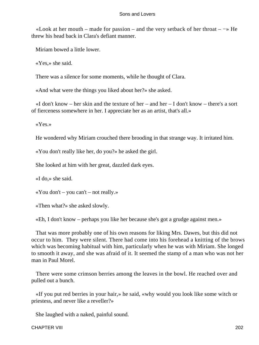«Look at her mouth – made for passion – and the very setback of her throat – −» He threw his head back in Clara's defiant manner.

Miriam bowed a little lower.

«Yes,» she said.

There was a silence for some moments, while he thought of Clara.

«And what were the things you liked about her?» she asked.

 «I don't know – her skin and the texture of her – and her – I don't know – there's a sort of fierceness somewhere in her. I appreciate her as an artist, that's all.»

«Yes.»

He wondered why Miriam crouched there brooding in that strange way. It irritated him.

«You don't really like her, do you?» he asked the girl.

She looked at him with her great, dazzled dark eyes.

«I do,» she said.

«You don't – you can't – not really.»

«Then what?» she asked slowly.

«Eh, I don't know – perhaps you like her because she's got a grudge against men.»

 That was more probably one of his own reasons for liking Mrs. Dawes, but this did not occur to him. They were silent. There had come into his forehead a knitting of the brows which was becoming habitual with him, particularly when he was with Miriam. She longed to smooth it away, and she was afraid of it. It seemed the stamp of a man who was not her man in Paul Morel.

 There were some crimson berries among the leaves in the bowl. He reached over and pulled out a bunch.

 «If you put red berries in your hair,» he said, «why would you look like some witch or priestess, and never like a reveller?»

She laughed with a naked, painful sound.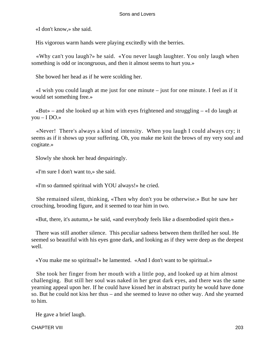«I don't know,» she said.

His vigorous warm hands were playing excitedly with the berries.

 «Why can't you laugh?» he said. «You never laugh laughter. You only laugh when something is odd or incongruous, and then it almost seems to hurt you.»

She bowed her head as if he were scolding her.

 «I wish you could laugh at me just for one minute – just for one minute. I feel as if it would set something free.»

 «But» – and she looked up at him with eyes frightened and struggling – «I do laugh at you  $-$  I DO.»

 «Never! There's always a kind of intensity. When you laugh I could always cry; it seems as if it shows up your suffering. Oh, you make me knit the brows of my very soul and cogitate.»

Slowly she shook her head despairingly.

«I'm sure I don't want to,» she said.

«I'm so damned spiritual with YOU always!» he cried.

 She remained silent, thinking, «Then why don't you be otherwise.» But he saw her crouching, brooding figure, and it seemed to tear him in two.

«But, there, it's autumn,» he said, «and everybody feels like a disembodied spirit then.»

 There was still another silence. This peculiar sadness between them thrilled her soul. He seemed so beautiful with his eyes gone dark, and looking as if they were deep as the deepest well.

«You make me so spiritual!» he lamented. «And I don't want to be spiritual.»

 She took her finger from her mouth with a little pop, and looked up at him almost challenging. But still her soul was naked in her great dark eyes, and there was the same yearning appeal upon her. If he could have kissed her in abstract purity he would have done so. But he could not kiss her thus – and she seemed to leave no other way. And she yearned to him.

He gave a brief laugh.

CHAPTER VIII 203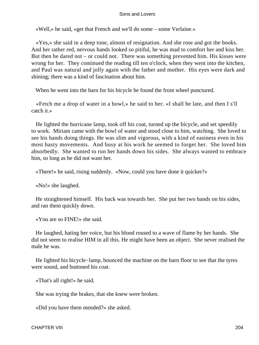«Well,» he said, «get that French and we'll do some – some Verlaine.»

 «Yes,» she said in a deep tone, almost of resignation. And she rose and got the books. And her rather red, nervous hands looked so pitiful, he was mad to comfort her and kiss her. But then be dared not – or could not. There was something prevented him. His kisses were wrong for her. They continued the reading till ten o'clock, when they went into the kitchen, and Paul was natural and jolly again with the father and mother. His eyes were dark and shining; there was a kind of fascination about him.

When he went into the barn for his bicycle he found the front wheel punctured.

 «Fetch me a drop of water in a bowl,» he said to her. «I shall be late, and then I s'll catch it.»

 He lighted the hurricane lamp, took off his coat, turned up the bicycle, and set speedily to work. Miriam came with the bowl of water and stood close to him, watching. She loved to see his hands doing things. He was slim and vigorous, with a kind of easiness even in his most hasty movements. And busy at his work he seemed to forget her. She loved him absorbedly. She wanted to run her hands down his sides. She always wanted to embrace him, so long as he did not want her.

«There!» he said, rising suddenly. «Now, could you have done it quicker?»

«No!» she laughed.

 He straightened himself. His back was towards her. She put her two hands on his sides, and ran them quickly down.

«You are so FINE!» she said.

 He laughed, hating her voice, but his blood roused to a wave of flame by her hands. She did not seem to realise HIM in all this. He might have been an object. She never realised the male he was.

 He lighted his bicycle−lamp, bounced the machine on the barn floor to see that the tyres were sound, and buttoned his coat.

«That's all right!» he said.

She was trying the brakes, that she knew were broken.

«Did you have them mended?» she asked.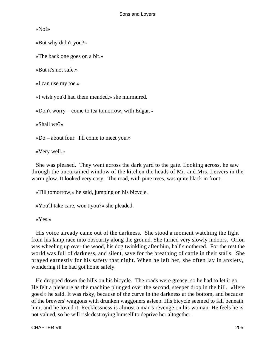«No!»

«But why didn't you?»

«The back one goes on a bit.»

«But it's not safe.»

«I can use my toe.»

«I wish you'd had them mended,» she murmured.

«Don't worry – come to tea tomorrow, with Edgar.»

«Shall we?»

«Do – about four. I'll come to meet you.»

«Very well.»

 She was pleased. They went across the dark yard to the gate. Looking across, he saw through the uncurtained window of the kitchen the heads of Mr. and Mrs. Leivers in the warm glow. It looked very cosy. The road, with pine trees, was quite black in front.

«Till tomorrow,» he said, jumping on his bicycle.

«You'll take care, won't you?» she pleaded.

«Yes.»

 His voice already came out of the darkness. She stood a moment watching the light from his lamp race into obscurity along the ground. She turned very slowly indoors. Orion was wheeling up over the wood, his dog twinkling after him, half smothered. For the rest the world was full of darkness, and silent, save for the breathing of cattle in their stalls. She prayed earnestly for his safety that night. When he left her, she often lay in anxiety, wondering if he had got home safely.

 He dropped down the hills on his bicycle. The roads were greasy, so he had to let it go. He felt a pleasure as the machine plunged over the second, steeper drop in the hill. «Here goes!» he said. It was risky, because of the curve in the darkness at the bottom, and because of the brewers' waggons with drunken waggoners asleep. His bicycle seemed to fall beneath him, and he loved it. Recklessness is almost a man's revenge on his woman. He feels he is not valued, so he will risk destroying himself to deprive her altogether.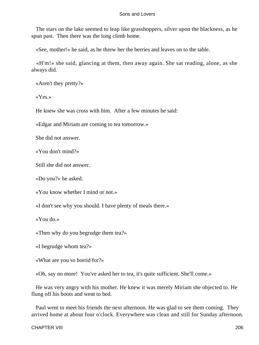The stars on the lake seemed to leap like grasshoppers, silver upon the blackness, as he spun past. Then there was the long climb home.

«See, mother!» he said, as he threw her the berries and leaves on to the table.

 «H'm!» she said, glancing at them, then away again. She sat reading, alone, as she always did.

«Aren't they pretty?»

«Yes.»

He knew she was cross with him. After a few minutes he said:

«Edgar and Miriam are coming to tea tomorrow.»

She did not answer.

«You don't mind?»

Still she did not answer.

«Do you?» he asked.

«You know whether I mind or not.»

«I don't see why you should. I have plenty of meals there.»

«You do.»

«Then why do you begrudge them tea?»

«I begrudge whom tea?»

«What are you so horrid for?»

«Oh, say no more! You've asked her to tea, it's quite sufficient. She'll come.»

 He was very angry with his mother. He knew it was merely Miriam she objected to. He flung off his boots and went to bed.

 Paul went to meet his friends the next afternoon. He was glad to see them coming. They arrived home at about four o'clock. Everywhere was clean and still for Sunday afternoon.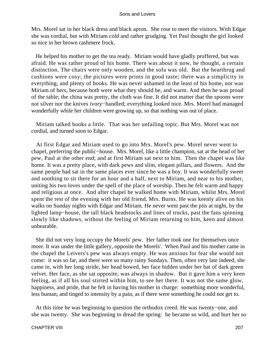Mrs. Morel sat in her black dress and black apron. She rose to meet the visitors. With Edgar she was cordial, but with Miriam cold and rather grudging. Yet Paul thought the girl looked so nice in her brown cashmere frock.

 He helped his mother to get the tea ready. Miriam would have gladly proffered, but was afraid. He was rather proud of his home. There was about it now, he thought, a certain distinction. The chairs were only wooden, and the sofa was old. But the hearthrug and cushions were cosy; the pictures were prints in good taste; there was a simplicity in everything, and plenty of books. He was never ashamed in the least of his home, nor was Miriam of hers, because both were what they should be, and warm. And then he was proud of the table; the china was pretty, the cloth was fine. It did not matter that the spoons were not silver nor the knives ivory−handled; everything looked nice. Mrs. Morel had managed wonderfully while her children were growing up, so that nothing was out of place.

 Miriam talked books a little. That was her unfailing topic. But Mrs. Morel was not cordial, and turned soon to Edgar.

 At first Edgar and Miriam used to go into Mrs. Morel's pew. Morel never went to chapel, preferring the public−house. Mrs. Morel, like a little champion, sat at the head of her pew, Paul at the other end; and at first Miriam sat next to him. Then the chapel was like home. It was a pretty place, with dark pews and slim, elegant pillars, and flowers. And the same people had sat in the same places ever since he was a boy. It was wonderfully sweet and soothing to sit there for an hour and a half, next to Miriam, and near to his mother, uniting his two loves under the spell of the place of worship. Then he felt warm and happy and religious at once. And after chapel he walked home with Miriam, whilst Mrs. Morel spent the rest of the evening with her old friend, Mrs. Burns. He was keenly alive on his walks on Sunday nights with Edgar and Miriam. He never went past the pits at night, by the lighted lamp−house, the tall black headstocks and lines of trucks, past the fans spinning slowly like shadows, without the feeling of Miriam returning to him, keen and almost unbearable.

 She did not very long occupy the Morels' pew. Her father took one for themselves once more. It was under the little gallery, opposite the Morels'. When Paul and his mother came in the chapel the Leivers's pew was always empty. He was anxious for fear she would not come: it was so far, and there were so many rainy Sundays. Then, often very late indeed, she came in, with her long stride, her head bowed, her face hidden under her bat of dark green velvet. Her face, as she sat opposite, was always in shadow. But it gave him a very keen feeling, as if all his soul stirred within him, to see her there. It was not the same glow, happiness, and pride, that he felt in having his mother in charge: something more wonderful, less human, and tinged to intensity by a pain, as if there were something he could not get to.

 At this time he was beginning to question the orthodox creed. He was twenty−one, and she was twenty. She was beginning to dread the spring: he became so wild, and hurt her so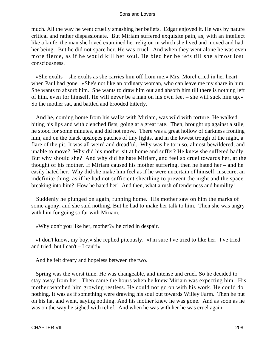much. All the way he went cruelly smashing her beliefs. Edgar enjoyed it. He was by nature critical and rather dispassionate. But Miriam suffered exquisite pain, as, with an intellect like a knife, the man she loved examined her religion in which she lived and moved and had her being. But he did not spare her. He was cruel. And when they went alone he was even more fierce, as if he would kill her soul. He bled her beliefs till she almost lost consciousness.

 «She exults – she exults as she carries him off from me,» Mrs. Morel cried in her heart when Paul had gone. «She's not like an ordinary woman, who can leave me my share in him. She wants to absorb him. She wants to draw him out and absorb him till there is nothing left of him, even for himself. He will never be a man on his own feet – she will suck him up.» So the mother sat, and battled and brooded bitterly.

 And he, coming home from his walks with Miriam, was wild with torture. He walked biting his lips and with clenched fists, going at a great rate. Then, brought up against a stile, he stood for some minutes, and did not move. There was a great hollow of darkness fronting him, and on the black upslopes patches of tiny lights, and in the lowest trough of the night, a flare of the pit. It was all weird and dreadful. Why was he torn so, almost bewildered, and unable to move? Why did his mother sit at home and suffer? He knew she suffered badly. But why should she? And why did he hate Miriam, and feel so cruel towards her, at the thought of his mother. If Miriam caused his mother suffering, then he hated her – and he easily hated her. Why did she make him feel as if he were uncertain of himself, insecure, an indefinite thing, as if he had not sufficient sheathing to prevent the night and the space breaking into him? How he hated her! And then, what a rush of tenderness and humility!

 Suddenly he plunged on again, running home. His mother saw on him the marks of some agony, and she said nothing. But he had to make her talk to him. Then she was angry with him for going so far with Miriam.

«Why don't you like her, mother?» he cried in despair.

 «I don't know, my boy,» she replied piteously. «I'm sure I've tried to like her. I've tried and tried, but I can't  $-$  I can't!»

And he felt dreary and hopeless between the two.

 Spring was the worst time. He was changeable, and intense and cruel. So he decided to stay away from her. Then came the hours when he knew Miriam was expecting him. His mother watched him growing restless. He could not go on with his work. He could do nothing. It was as if something were drawing his soul out towards Willey Farm. Then he put on his hat and went, saying nothing. And his mother knew he was gone. And as soon as he was on the way he sighed with relief. And when he was with her he was cruel again.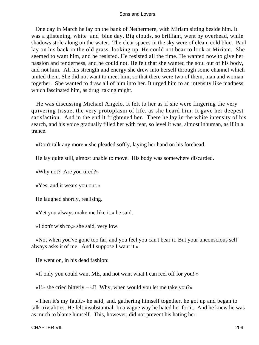One day in March he lay on the bank of Nethermere, with Miriam sitting beside him. It was a glistening, white−and−blue day. Big clouds, so brilliant, went by overhead, while shadows stole along on the water. The clear spaces in the sky were of clean, cold blue. Paul lay on his back in the old grass, looking up. He could not bear to look at Miriam. She seemed to want him, and he resisted. He resisted all the time. He wanted now to give her passion and tenderness, and he could not. He felt that she wanted the soul out of his body, and not him. All his strength and energy she drew into herself through some channel which united them. She did not want to meet him, so that there were two of them, man and woman together. She wanted to draw all of him into her. It urged him to an intensity like madness, which fascinated him, as drug−taking might.

 He was discussing Michael Angelo. It felt to her as if she were fingering the very quivering tissue, the very protoplasm of life, as she heard him. It gave her deepest satisfaction. And in the end it frightened her. There he lay in the white intensity of his search, and his voice gradually filled her with fear, so level it was, almost inhuman, as if in a trance.

«Don't talk any more,» she pleaded softly, laying her hand on his forehead.

He lay quite still, almost unable to move. His body was somewhere discarded.

«Why not? Are you tired?»

«Yes, and it wears you out.»

He laughed shortly, realising.

«Yet you always make me like it,» he said.

«I don't wish to,» she said, very low.

 «Not when you've gone too far, and you feel you can't bear it. But your unconscious self always asks it of me. And I suppose I want it.»

He went on, in his dead fashion:

«If only you could want ME, and not want what I can reel off for you! »

 $\lll$ !» she cried bitterly –  $\lll$ ! Why, when would you let me take you?»

 «Then it's my fault,» he said, and, gathering himself together, he got up and began to talk trivialities. He felt insubstantial. In a vague way he hated her for it. And he knew he was as much to blame himself. This, however, did not prevent his hating her.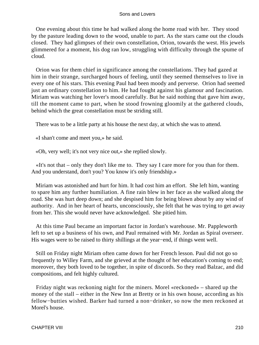One evening about this time he had walked along the home road with her. They stood by the pasture leading down to the wood, unable to part. As the stars came out the clouds closed. They had glimpses of their own constellation, Orion, towards the west. His jewels glimmered for a moment, his dog ran low, struggling with difficulty through the spume of cloud.

 Orion was for them chief in significance among the constellations. They had gazed at him in their strange, surcharged hours of feeling, until they seemed themselves to live in every one of his stars. This evening Paul had been moody and perverse. Orion had seemed just an ordinary constellation to him. He had fought against his glamour and fascination. Miriam was watching her lover's mood carefully. But he said nothing that gave him away, till the moment came to part, when he stood frowning gloomily at the gathered clouds, behind which the great constellation must be striding still.

There was to be a little party at his house the next day, at which she was to attend.

«I shan't come and meet you,» he said.

«Oh, very well; it's not very nice out,» she replied slowly.

 «It's not that – only they don't like me to. They say I care more for you than for them. And you understand, don't you? You know it's only friendship.»

 Miriam was astonished and hurt for him. It had cost him an effort. She left him, wanting to spare him any further humiliation. A fine rain blew in her face as she walked along the road. She was hurt deep down; and she despised him for being blown about by any wind of authority. And in her heart of hearts, unconsciously, she felt that he was trying to get away from her. This she would never have acknowledged. She pitied him.

 At this time Paul became an important factor in Jordan's warehouse. Mr. Pappleworth left to set up a business of his own, and Paul remained with Mr. Jordan as Spiral overseer. His wages were to be raised to thirty shillings at the year−end, if things went well.

 Still on Friday night Miriam often came down for her French lesson. Paul did not go so frequently to Willey Farm, and she grieved at the thought of her education's coming to end; moreover, they both loved to be together, in spite of discords. So they read Balzac, and did compositions, and felt highly cultured.

 Friday night was reckoning night for the miners. Morel «reckoned» – shared up the money of the stall – either in the New Inn at Bretty or in his own house, according as his fellow−butties wished. Barker had turned a non−drinker, so now the men reckoned at Morel's house.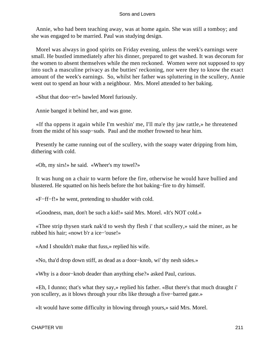Annie, who had been teaching away, was at home again. She was still a tomboy; and she was engaged to be married. Paul was studying design.

 Morel was always in good spirits on Friday evening, unless the week's earnings were small. He bustled immediately after his dinner, prepared to get washed. It was decorum for the women to absent themselves while the men reckoned. Women were not supposed to spy into such a masculine privacy as the butties' reckoning, nor were they to know the exact amount of the week's earnings. So, whilst her father was spluttering in the scullery, Annie went out to spend an hour with a neighbour. Mrs. Morel attended to her baking.

«Shut that doo−er!» bawled Morel furiously.

Annie banged it behind her, and was gone.

 «If tha oppens it again while I'm weshin' me, I'll ma'e thy jaw rattle,» he threatened from the midst of his soap−suds. Paul and the mother frowned to hear him.

 Presently he came running out of the scullery, with the soapy water dripping from him, dithering with cold.

«Oh, my sirs!» he said. «Wheer's my towel?»

 It was hung on a chair to warm before the fire, otherwise he would have bullied and blustered. He squatted on his heels before the hot baking−fire to dry himself.

«F−ff−f!» he went, pretending to shudder with cold.

«Goodness, man, don't be such a kid!» said Mrs. Morel. «It's NOT cold.»

 «Thee strip thysen stark nak'd to wesh thy flesh i' that scullery,» said the miner, as he rubbed his hair; «nowt b'r a ice−'ouse!»

«And I shouldn't make that fuss,» replied his wife.

«No, tha'd drop down stiff, as dead as a door−knob, wi' thy nesh sides.»

«Why is a door−knob deader than anything else?» asked Paul, curious.

 «Eh, I dunno; that's what they say,» replied his father. «But there's that much draught i' yon scullery, as it blows through your ribs like through a five−barred gate.»

«It would have some difficulty in blowing through yours,» said Mrs. Morel.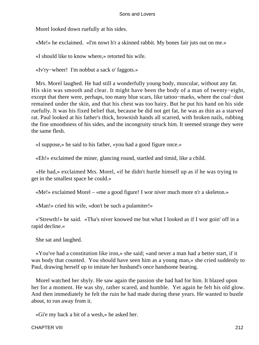Morel looked down ruefully at his sides.

«Me!» he exclaimed. «I'm nowt b'r a skinned rabbit. My bones fair juts out on me.»

«I should like to know where,» retorted his wife.

«Iv'ry−wheer! I'm nobbut a sack o' faggots.»

 Mrs. Morel laughed. He had still a wonderfully young body, muscular, without any fat. His skin was smooth and clear. It might have been the body of a man of twenty−eight, except that there were, perhaps, too many blue scars, like tattoo−marks, where the coal−dust remained under the skin, and that his chest was too hairy. But he put his hand on his side ruefully. It was his fixed belief that, because be did not get fat, he was as thin as a starved rat. Paul looked at his father's thick, brownish hands all scarred, with broken nails, rubbing the fine smoothness of his sides, and the incongruity struck him. It seemed strange they were the same flesh.

«I suppose,» he said to his father, «you had a good figure once.»

«Eh!» exclaimed the miner, glancing round, startled and timid, like a child.

 «He had,» exclaimed Mrs. Morel, «if he didn't hurtle himself up as if he was trying to get in the smallest space he could.»

«Me!» exclaimed Morel – «me a good figure! I wor niver much more n'r a skeleton.»

«Man!» cried his wife, «don't be such a pulamiter!»

 «'Strewth!» he said. «Tha's niver knowed me but what I looked as if I wor goin' off in a rapid decline.»

She sat and laughed.

 «You've had a constitution like iron,» she said; «and never a man had a better start, if it was body that counted. You should have seen him as a young man,» she cried suddenly to Paul, drawing herself up to imitate her husband's once handsome bearing.

 Morel watched her shyly. He saw again the passion she had had for him. It blazed upon her for a moment. He was shy, rather scared, and humble. Yet again he felt his old glow. And then immediately he felt the ruin he had made during these years. He wanted to bustle about, to run away from it.

«Gi'e my back a bit of a wesh,» he asked her.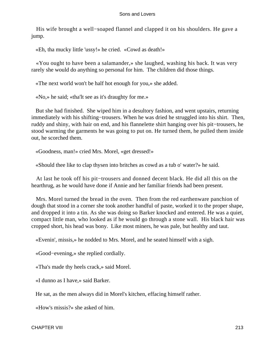His wife brought a well−soaped flannel and clapped it on his shoulders. He gave a jump.

«Eh, tha mucky little 'ussy!» he cried. «Cowd as death!»

 «You ought to have been a salamander,» she laughed, washing his back. It was very rarely she would do anything so personal for him. The children did those things.

«The next world won't be half hot enough for you,» she added.

«No,» he said; «tha'lt see as it's draughty for me.»

 But she had finished. She wiped him in a desultory fashion, and went upstairs, returning immediately with his shifting−trousers. When he was dried he struggled into his shirt. Then, ruddy and shiny, with hair on end, and his flannelette shirt hanging over his pit−trousers, he stood warming the garments he was going to put on. He turned them, he pulled them inside out, he scorched them.

«Goodness, man!» cried Mrs. Morel, «get dressed!»

«Should thee like to clap thysen into britches as cowd as a tub o' water?» he said.

 At last he took off his pit−trousers and donned decent black. He did all this on the hearthrug, as he would have done if Annie and her familiar friends had been present.

 Mrs. Morel turned the bread in the oven. Then from the red earthenware panchion of dough that stood in a corner she took another handful of paste, worked it to the proper shape, and dropped it into a tin. As she was doing so Barker knocked and entered. He was a quiet, compact little man, who looked as if he would go through a stone wall. His black hair was cropped short, his head was bony. Like most miners, he was pale, but healthy and taut.

«Evenin', missis,» he nodded to Mrs. Morel, and he seated himself with a sigh.

«Good−evening,» she replied cordially.

«Tha's made thy heels crack,» said Morel.

«I dunno as I have,» said Barker.

He sat, as the men always did in Morel's kitchen, effacing himself rather.

«How's missis?» she asked of him.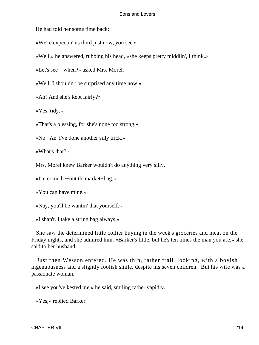He had told her some time back:

«We're expectin' us third just now, you see.»

«Well,» he answered, rubbing his head, «she keeps pretty middlin', I think.»

«Let's see – when?» asked Mrs. Morel.

«Well, I shouldn't be surprised any time now.»

«Ah! And she's kept fairly?»

«Yes, tidy.»

«That's a blessing, for she's none too strong.»

«No. An' I've done another silly trick.»

«What's that?»

Mrs. Morel knew Barker wouldn't do anything very silly.

«I'm come be−out th' market−bag.»

«You can have mine.»

«Nay, you'll be wantin' that yourself.»

«I shan't. I take a string bag always.»

 She saw the determined little collier buying in the week's groceries and meat on the Friday nights, and she admired him. «Barker's little, but he's ten times the man you are,» she said to her husband.

 Just then Wesson entered. He was thin, rather frail−looking, with a boyish ingenuousness and a slightly foolish smile, despite his seven children. But his wife was a passionate woman.

«I see you've kested me,» he said, smiling rather vapidly.

«Yes,» replied Barker.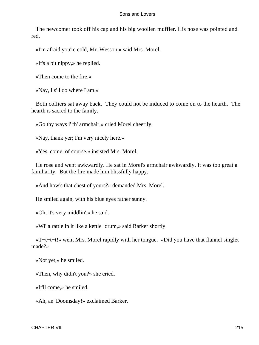The newcomer took off his cap and his big woollen muffler. His nose was pointed and red.

«I'm afraid you're cold, Mr. Wesson,» said Mrs. Morel.

«It's a bit nippy,» he replied.

«Then come to the fire.»

«Nay, I s'll do where I am.»

 Both colliers sat away back. They could not be induced to come on to the hearth. The hearth is sacred to the family.

«Go thy ways i' th' armchair,» cried Morel cheerily.

«Nay, thank yer; I'm very nicely here.»

«Yes, come, of course,» insisted Mrs. Morel.

 He rose and went awkwardly. He sat in Morel's armchair awkwardly. It was too great a familiarity. But the fire made him blissfully happy.

«And how's that chest of yours?» demanded Mrs. Morel.

He smiled again, with his blue eyes rather sunny.

«Oh, it's very middlin',» he said.

«Wi' a rattle in it like a kettle−drum,» said Barker shortly.

 «T−t−t−t!» went Mrs. Morel rapidly with her tongue. «Did you have that flannel singlet made?»

«Not yet,» he smiled.

«Then, why didn't you?» she cried.

«It'll come,» he smiled.

«Ah, an' Doomsday!» exclaimed Barker.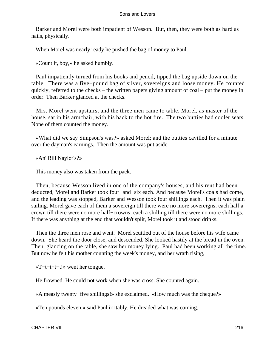Barker and Morel were both impatient of Wesson. But, then, they were both as hard as nails, physically.

When Morel was nearly ready he pushed the bag of money to Paul.

«Count it, boy,» he asked humbly.

 Paul impatiently turned from his books and pencil, tipped the bag upside down on the table. There was a five−pound bag of silver, sovereigns and loose money. He counted quickly, referred to the checks – the written papers giving amount of coal – put the money in order. Then Barker glanced at the checks.

 Mrs. Morel went upstairs, and the three men came to table. Morel, as master of the house, sat in his armchair, with his back to the hot fire. The two butties had cooler seats. None of them counted the money.

 «What did we say Simpson's was?» asked Morel; and the butties cavilled for a minute over the dayman's earnings. Then the amount was put aside.

«An' Bill Naylor's?»

This money also was taken from the pack.

 Then, because Wesson lived in one of the company's houses, and his rent had been deducted, Morel and Barker took four−and−six each. And because Morel's coals had come, and the leading was stopped, Barker and Wesson took four shillings each. Then it was plain sailing. Morel gave each of them a sovereign till there were no more sovereigns; each half a crown till there were no more half−crowns; each a shilling till there were no more shillings. If there was anything at the end that wouldn't split, Morel took it and stood drinks.

 Then the three men rose and went. Morel scuttled out of the house before his wife came down. She heard the door close, and descended. She looked hastily at the bread in the oven. Then, glancing on the table, she saw her money lying. Paul had been working all the time. But now he felt his mother counting the week's money, and her wrath rising,

«T−t−t−t−t!» went her tongue.

He frowned. He could not work when she was cross. She counted again.

«A measly twenty−five shillings!» she exclaimed. «How much was the cheque?»

«Ten pounds eleven,» said Paul irritably. He dreaded what was coming.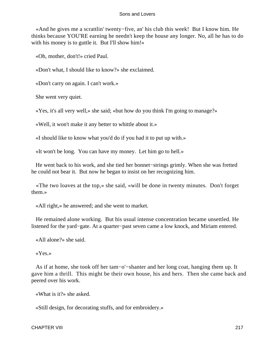«And he gives me a scrattlin' twenty−five, an' his club this week! But I know him. He thinks because YOU'RE earning he needn't keep the house any longer. No, all he has to do with his money is to guttle it. But I'll show him!»

«Oh, mother, don't!» cried Paul.

«Don't what, I should like to know?» she exclaimed.

«Don't carry on again. I can't work.»

She went very quiet.

«Yes, it's all very well,» she said; «but how do you think I'm going to manage?»

«Well, it won't make it any better to whittle about it.»

«I should like to know what you'd do if you had it to put up with.»

«It won't be long. You can have my money. Let him go to hell.»

 He went back to his work, and she tied her bonnet−strings grimly. When she was fretted he could not bear it. But now he began to insist on her recognizing him.

 «The two loaves at the top,» she said, «will be done in twenty minutes. Don't forget them.»

«All right,» he answered; and she went to market.

 He remained alone working. But his usual intense concentration became unsettled. He listened for the yard−gate. At a quarter−past seven came a low knock, and Miriam entered.

«All alone?» she said.

«Yes.»

 As if at home, she took off her tam−o'−shanter and her long coat, hanging them up. It gave him a thrill. This might be their own house, his and hers. Then she came back and peered over his work.

«What is it?» she asked.

«Still design, for decorating stuffs, and for embroidery.»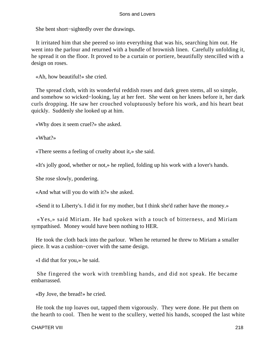She bent short−sightedly over the drawings.

 It irritated him that she peered so into everything that was his, searching him out. He went into the parlour and returned with a bundle of brownish linen. Carefully unfolding it, he spread it on the floor. It proved to be a curtain or portiere, beautifully stencilled with a design on roses.

«Ah, how beautiful!» she cried.

 The spread cloth, with its wonderful reddish roses and dark green stems, all so simple, and somehow so wicked−looking, lay at her feet. She went on her knees before it, her dark curls dropping. He saw her crouched voluptuously before his work, and his heart beat quickly. Suddenly she looked up at him.

«Why does it seem cruel?» she asked.

«What?»

«There seems a feeling of cruelty about it,» she said.

«It's jolly good, whether or not,» he replied, folding up his work with a lover's hands.

She rose slowly, pondering.

«And what will you do with it?» she asked.

«Send it to Liberty's. I did it for my mother, but I think she'd rather have the money.»

 «Yes,» said Miriam. He had spoken with a touch of bitterness, and Miriam sympathised. Money would have been nothing to HER.

 He took the cloth back into the parlour. When he returned he threw to Miriam a smaller piece. It was a cushion−cover with the same design.

«I did that for you,» he said.

 She fingered the work with trembling hands, and did not speak. He became embarrassed.

«By Jove, the bread!» he cried.

 He took the top loaves out, tapped them vigorously. They were done. He put them on the hearth to cool. Then he went to the scullery, wetted his hands, scooped the last white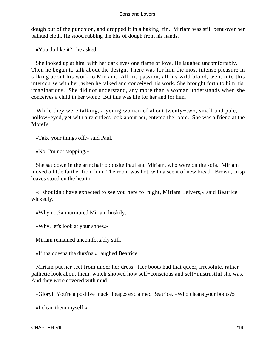dough out of the punchion, and dropped it in a baking−tin. Miriam was still bent over her painted cloth. He stood rubbing the bits of dough from his hands.

«You do like it?» he asked.

 She looked up at him, with her dark eyes one flame of love. He laughed uncomfortably. Then he began to talk about the design. There was for him the most intense pleasure in talking about his work to Miriam. All his passion, all his wild blood, went into this intercourse with her, when he talked and conceived his work. She brought forth to him his imaginations. She did not understand, any more than a woman understands when she conceives a child in her womb. But this was life for her and for him.

 While they were talking, a young woman of about twenty−two, small and pale, hollow−eyed, yet with a relentless look about her, entered the room. She was a friend at the Morel's.

«Take your things off,» said Paul.

«No, I'm not stopping.»

 She sat down in the armchair opposite Paul and Miriam, who were on the sofa. Miriam moved a little farther from him. The room was hot, with a scent of new bread. Brown, crisp loaves stood on the hearth.

 «I shouldn't have expected to see you here to−night, Miriam Leivers,» said Beatrice wickedly.

«Why not?» murmured Miriam huskily.

«Why, let's look at your shoes.»

Miriam remained uncomfortably still.

«If tha doesna tha durs'na,» laughed Beatrice.

 Miriam put her feet from under her dress. Her boots had that queer, irresolute, rather pathetic look about them, which showed how self−conscious and self−mistrustful she was. And they were covered with mud.

«Glory! You're a positive muck−heap,» exclaimed Beatrice. «Who cleans your boots?»

«I clean them myself.»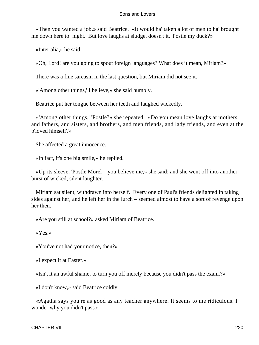«Then you wanted a job,» said Beatrice. «It would ha' taken a lot of men to ha' brought me down here to−night. But love laughs at sludge, doesn't it, 'Postle my duck?»

«Inter alia,» he said.

«Oh, Lord! are you going to spout foreign languages? What does it mean, Miriam?»

There was a fine sarcasm in the last question, but Miriam did not see it.

«'Among other things,' I believe,» she said humbly.

Beatrice put her tongue between her teeth and laughed wickedly.

 «'Among other things,' 'Postle?» she repeated. «Do you mean love laughs at mothers, and fathers, and sisters, and brothers, and men friends, and lady friends, and even at the b'loved himself?»

She affected a great innocence.

«In fact, it's one big smile,» he replied.

 «Up its sleeve, 'Postle Morel – you believe me,» she said; and she went off into another burst of wicked, silent laughter.

 Miriam sat silent, withdrawn into herself. Every one of Paul's friends delighted in taking sides against her, and he left her in the lurch – seemed almost to have a sort of revenge upon her then.

«Are you still at school?» asked Miriam of Beatrice.

«Yes.»

«You've not had your notice, then?»

«I expect it at Easter.»

«Isn't it an awful shame, to turn you off merely because you didn't pass the exam.?»

«I don't know,» said Beatrice coldly.

 «Agatha says you're as good as any teacher anywhere. It seems to me ridiculous. I wonder why you didn't pass.»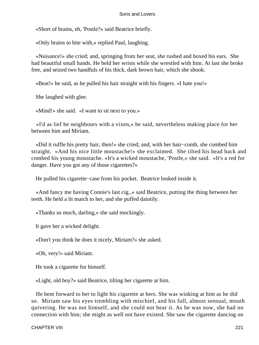«Short of brains, eh, 'Postle?» said Beatrice briefly.

«Only brains to bite with,» replied Paul, laughing.

 «Nuisance!» she cried; and, springing from her seat, she rushed and boxed his ears. She had beautiful small hands. He held her wrists while she wrestled with him. At last she broke free, and seized two handfuls of his thick, dark brown hair, which she shook.

«Beat!» he said, as he pulled his hair straight with his fingers. «I hate you!»

She laughed with glee.

«Mind!» she said. «I want to sit next to you.»

 «I'd as lief be neighbours with a vixen,» he said, nevertheless making place for her between him and Miriam.

 «Did it ruffle his pretty hair, then!» she cried; and, with her hair−comb, she combed him straight. «And his nice little moustache!» she exclaimed. She tilted his head back and combed his young moustache. «It's a wicked moustache, 'Postle,» she said. «It's a red for danger. Have you got any of those cigarettes?»

He pulled his cigarette−case from his pocket. Beatrice looked inside it.

 «And fancy me having Connie's last cig.,» said Beatrice, putting the thing between her teeth. He held a lit match to her, and she puffed daintily.

«Thanks so much, darling,» she said mockingly.

It gave her a wicked delight.

«Don't you think he does it nicely, Miriam?» she asked.

«Oh, very!» said Miriam.

He took a cigarette for himself.

«Light, old boy?» said Beatrice, tilting her cigarette at him.

 He bent forward to her to light his cigarette at hers. She was winking at him as he did so. Miriam saw his eyes trembling with mischief, and his full, almost sensual, mouth quivering. He was not himself, and she could not bear it. As he was now, she had no connection with him; she might as well not have existed. She saw the cigarette dancing on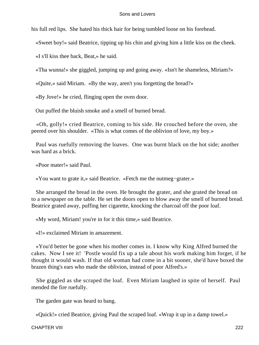his full red lips. She hated his thick hair for being tumbled loose on his forehead.

«Sweet boy!» said Beatrice, tipping up his chin and giving him a little kiss on the cheek.

«I s'll kiss thee back, Beat,» he said.

«Tha wunna!» she giggled, jumping up and going away. «Isn't he shameless, Miriam?»

«Quite,» said Miriam. «By the way, aren't you forgetting the bread?»

«By Jove!» he cried, flinging open the oven door.

Out puffed the bluish smoke and a smell of burned bread.

 «Oh, golly!» cried Beatrice, coming to his side. He crouched before the oven, she peered over his shoulder. «This is what comes of the oblivion of love, my boy.»

 Paul was ruefully removing the loaves. One was burnt black on the hot side; another was hard as a brick.

«Poor mater!» said Paul.

«You want to grate it,» said Beatrice. «Fetch me the nutmeg−grater.»

 She arranged the bread in the oven. He brought the grater, and she grated the bread on to a newspaper on the table. He set the doors open to blow away the smell of burned bread. Beatrice grated away, puffing her cigarette, knocking the charcoal off the poor loaf.

«My word, Miriam! you're in for it this time,» said Beatrice.

«I!» exclaimed Miriam in amazement.

 «You'd better be gone when his mother comes in. I know why King Alfred burned the cakes. Now I see it! 'Postle would fix up a tale about his work making him forget, if he thought it would wash. If that old woman had come in a bit sooner, she'd have boxed the brazen thing's ears who made the oblivion, instead of poor Alfred's.»

 She giggled as she scraped the loaf. Even Miriam laughed in spite of herself. Paul mended the fire ruefully.

The garden gate was heard to bang.

«Quick!» cried Beatrice, giving Paul the scraped loaf. «Wrap it up in a damp towel.»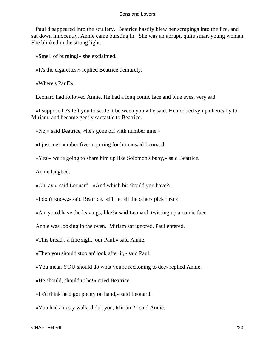Paul disappeared into the scullery. Beatrice hastily blew her scrapings into the fire, and sat down innocently. Annie came bursting in. She was an abrupt, quite smart young woman. She blinked in the strong light.

«Smell of burning!» she exclaimed.

«It's the cigarettes,» replied Beatrice demurely.

«Where's Paul?»

Leonard had followed Annie. He had a long comic face and blue eyes, very sad.

 «I suppose he's left you to settle it between you,» he said. He nodded sympathetically to Miriam, and became gently sarcastic to Beatrice.

«No,» said Beatrice, «he's gone off with number nine.»

«I just met number five inquiring for him,» said Leonard.

«Yes – we're going to share him up like Solomon's baby,» said Beatrice.

Annie laughed.

«Oh, ay,» said Leonard. «And which bit should you have?»

«I don't know,» said Beatrice. «I'll let all the others pick first.»

«An' you'd have the leavings, like?» said Leonard, twisting up a comic face.

Annie was looking in the oven. Miriam sat ignored. Paul entered.

«This bread's a fine sight, our Paul,» said Annie.

«Then you should stop an' look after it,» said Paul.

«You mean YOU should do what you're reckoning to do,» replied Annie.

«He should, shouldn't he!» cried Beatrice.

«I s'd think he'd got plenty on hand,» said Leonard.

«You had a nasty walk, didn't you, Miriam?» said Annie.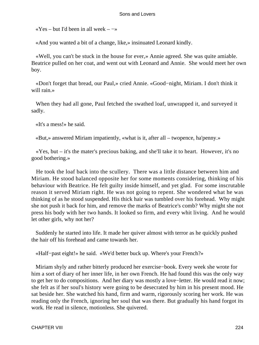«Yes – but I'd been in all week –  $-\infty$ 

«And you wanted a bit of a change, like,» insinuated Leonard kindly.

 «Well, you can't be stuck in the house for ever,» Annie agreed. She was quite amiable. Beatrice pulled on her coat, and went out with Leonard and Annie. She would meet her own boy.

 «Don't forget that bread, our Paul,» cried Annie. «Good−night, Miriam. I don't think it will rain.»

 When they had all gone, Paul fetched the swathed loaf, unwrapped it, and surveyed it sadly.

«It's a mess!» he said.

«But,» answered Miriam impatiently, «what is it, after all – twopence, ha'penny.»

 «Yes, but – it's the mater's precious baking, and she'll take it to heart. However, it's no good bothering.»

 He took the loaf back into the scullery. There was a little distance between him and Miriam. He stood balanced opposite her for some moments considering, thinking of his behaviour with Beatrice. He felt guilty inside himself, and yet glad. For some inscrutable reason it served Miriam right. He was not going to repent. She wondered what he was thinking of as he stood suspended. His thick hair was tumbled over his forehead. Why might she not push it back for him, and remove the marks of Beatrice's comb? Why might she not press his body with her two hands. It looked so firm, and every whit living. And he would let other girls, why not her?

 Suddenly he started into life. It made her quiver almost with terror as he quickly pushed the hair off his forehead and came towards her.

«Half−past eight!» he said. «We'd better buck up. Where's your French?»

 Miriam shyly and rather bitterly produced her exercise−book. Every week she wrote for him a sort of diary of her inner life, in her own French. He had found this was the only way to get her to do compositions. And her diary was mostly a love−letter. He would read it now; she felt as if her soul's history were going to be desecrated by him in his present mood. He sat beside her. She watched his hand, firm and warm, rigorously scoring her work. He was reading only the French, ignoring her soul that was there. But gradually his hand forgot its work. He read in silence, motionless. She quivered.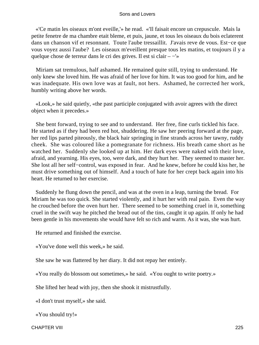«'Ce matin les oiseaux m'ont eveille,'» he read. «'Il faisait encore un crepuscule. Mais la petite fenetre de ma chambre etait bleme, et puis, jaune, et tous les oiseaux du bois eclaterent dans un chanson vif et resonnant. Toute l'aube tressaillit. J'avais reve de vous. Est−ce que vous voyez aussi l'aube? Les oiseaux m'eveillent presque tous les matins, et toujours il y a quelque chose de terreur dans le cri des grives. Il est si clair – −'»

 Miriam sat tremulous, half ashamed. He remained quite still, trying to understand. He only knew she loved him. He was afraid of her love for him. It was too good for him, and he was inadequate. His own love was at fault, not hers. Ashamed, he corrected her work, humbly writing above her words.

 «Look,» he said quietly, «the past participle conjugated with avoir agrees with the direct object when it precedes.»

 She bent forward, trying to see and to understand. Her free, fine curls tickled his face. He started as if they had been red hot, shuddering. He saw her peering forward at the page, her red lips parted piteously, the black hair springing in fine strands across her tawny, ruddy cheek. She was coloured like a pomegranate for richness. His breath came short as he watched her. Suddenly she looked up at him. Her dark eyes were naked with their love, afraid, and yearning. His eyes, too, were dark, and they hurt her. They seemed to master her. She lost all her self−control, was exposed in fear. And he knew, before he could kiss her, he must drive something out of himself. And a touch of hate for her crept back again into his heart. He returned to her exercise.

 Suddenly he flung down the pencil, and was at the oven in a leap, turning the bread. For Miriam he was too quick. She started violently, and it hurt her with real pain. Even the way he crouched before the oven hurt her. There seemed to be something cruel in it, something cruel in the swift way he pitched the bread out of the tins, caught it up again. If only he had been gentle in his movements she would have felt so rich and warm. As it was, she was hurt.

He returned and finished the exercise.

«You've done well this week,» he said.

She saw he was flattered by her diary. It did not repay her entirely.

«You really do blossom out sometimes,» he said. «You ought to write poetry.»

She lifted her head with joy, then she shook it mistrustfully.

«I don't trust myself,» she said.

«You should try!»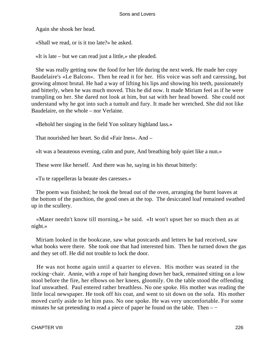Again she shook her head.

«Shall we read, or is it too late?» he asked.

«It is late – but we can read just a little,» she pleaded.

 She was really getting now the food for her life during the next week. He made her copy Baudelaire's «Le Balcon». Then he read it for her. His voice was soft and caressing, but growing almost brutal. He had a way of lifting his lips and showing his teeth, passionately and bitterly, when he was much moved. This he did now. It made Miriam feel as if he were trampling on her. She dared not look at him, but sat with her head bowed. She could not understand why he got into such a tumult and fury. It made her wretched. She did not like Baudelaire, on the whole – nor Verlaine.

«Behold her singing in the field Yon solitary highland lass.»

That nourished her heart. So did «Fair Ines». And –

«It was a beauteous evening, calm and pure, And breathing holy quiet like a nun.»

These were like herself. And there was he, saying in his throat bitterly:

«Tu te rappelleras la beaute des caresses.»

 The poem was finished; he took the bread out of the oven, arranging the burnt loaves at the bottom of the panchion, the good ones at the top. The desiccated loaf remained swathed up in the scullery.

 «Mater needn't know till morning,» he said. «It won't upset her so much then as at night.»

 Miriam looked in the bookcase, saw what postcards and letters he had received, saw what books were there. She took one that had interested him. Then he turned down the gas and they set off. He did not trouble to lock the door.

 He was not home again until a quarter to eleven. His mother was seated in the rocking−chair. Annie, with a rope of hair hanging down her back, remained sitting on a low stool before the fire, her elbows on her knees, gloomily. On the table stood the offending loaf unswathed. Paul entered rather breathless. No one spoke. His mother was reading the little local newspaper. He took off his coat, and went to sit down on the sofa. His mother moved curtly aside to let him pass. No one spoke. He was very uncomfortable. For some minutes he sat pretending to read a piece of paper he found on the table. Then – −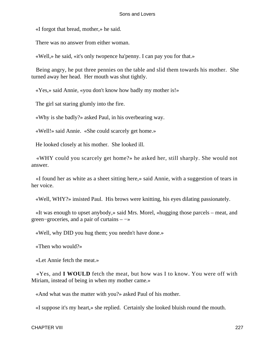«I forgot that bread, mother,» he said.

There was no answer from either woman.

«Well,» he said, «it's only twopence ha'penny. I can pay you for that.»

 Being angry, he put three pennies on the table and slid them towards his mother. She turned away her head. Her mouth was shut tightly.

«Yes,» said Annie, «you don't know how badly my mother is!»

The girl sat staring glumly into the fire.

«Why is she badly?» asked Paul, in his overbearing way.

«Well!» said Annie. «She could scarcely get home.»

He looked closely at his mother. She looked ill.

 «WHY could you scarcely get home?» he asked her, still sharply. She would not answer.

 «I found her as white as a sheet sitting here,» said Annie, with a suggestion of tears in her voice.

«Well, WHY?» insisted Paul. His brows were knitting, his eyes dilating passionately.

 «It was enough to upset anybody,» said Mrs. Morel, «hugging those parcels – meat, and green−groceries, and a pair of curtains – −»

«Well, why DID you hug them; you needn't have done.»

«Then who would?»

«Let Annie fetch the meat.»

 «Yes, and **I WOULD** fetch the meat, but how was I to know. You were off with Miriam, instead of being in when my mother came.»

«And what was the matter with you?» asked Paul of his mother.

«I suppose it's my heart,» she replied. Certainly she looked bluish round the mouth.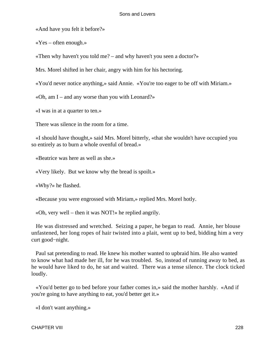«And have you felt it before?»

«Yes – often enough.»

«Then why haven't you told me? – and why haven't you seen a doctor?»

Mrs. Morel shifted in her chair, angry with him for his hectoring.

«You'd never notice anything,» said Annie. «You're too eager to be off with Miriam.»

«Oh, am I – and any worse than you with Leonard?»

«I was in at a quarter to ten.»

There was silence in the room for a time.

 «I should have thought,» said Mrs. Morel bitterly, «that she wouldn't have occupied you so entirely as to burn a whole ovenful of bread.»

«Beatrice was here as well as she.»

«Very likely. But we know why the bread is spoilt.»

«Why?» he flashed.

«Because you were engrossed with Miriam,» replied Mrs. Morel hotly.

«Oh, very well – then it was NOT!» he replied angrily.

 He was distressed and wretched. Seizing a paper, he began to read. Annie, her blouse unfastened, her long ropes of hair twisted into a plait, went up to bed, bidding him a very curt good−night.

 Paul sat pretending to read. He knew his mother wanted to upbraid him. He also wanted to know what had made her ill, for he was troubled. So, instead of running away to bed, as he would have liked to do, he sat and waited. There was a tense silence. The clock ticked loudly.

 «You'd better go to bed before your father comes in,» said the mother harshly. «And if you're going to have anything to eat, you'd better get it.»

«I don't want anything.»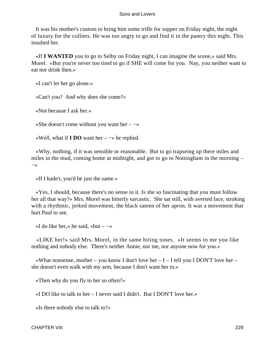It was his mother's custom to bring him some trifle for supper on Friday night, the night of luxury for the colliers. He was too angry to go and find it in the pantry this night. This insulted her.

 «If **I WANTED** you to go to Selby on Friday night, I can imagine the scene,» said Mrs. Morel. «But you're never too tired to go if SHE will come for you. Nay, you neither want to eat nor drink then.»

«I can't let her go alone.»

«Can't you? And why does she come?»

«Not because I ask her.»

«She doesn't come without you want her –  $\rightarrow$ 

«Well, what if **I DO** want her – −» he replied.

 «Why, nothing, if it was sensible or reasonable. But to go trapseing up there miles and miles in the mud, coming home at midnight, and got to go to Nottingham in the morning – −»

«If I hadn't, you'd be just the same.»

 «Yes, I should, because there's no sense in it. Is she so fascinating that you must follow her all that way?» Mrs. Morel was bitterly sarcastic. She sat still, with averted face, stroking with a rhythmic, jerked movement, the black sateen of her apron. It was a movement that hurt Paul to see.

«I do like her.» he said, «but –  $-\infty$ 

 «LIKE her!» said Mrs. Morel, in the same biting tones. «It seems to me you like nothing and nobody else. There's neither Annie, nor me, nor anyone now for you.»

«What nonsense, mother – you know I don't love her  $-I - I$  tell you I DON'T love her – she doesn't even walk with my arm, because I don't want her to.»

«Then why do you fly to her so often?»

«I DO like to talk to her – I never said I didn't. But I DON'T love her.»

«Is there nobody else to talk to?»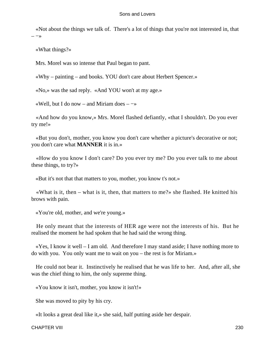«Not about the things we talk of. There's a lot of things that you're not interested in, that  $-\rightarrow$ 

«What things?»

Mrs. Morel was so intense that Paul began to pant.

«Why – painting – and books. YOU don't care about Herbert Spencer.»

«No,» was the sad reply. «And YOU won't at my age.»

«Well, but I do now – and Miriam does – −»

 «And how do you know,» Mrs. Morel flashed defiantly, «that I shouldn't. Do you ever try me!»

 «But you don't, mother, you know you don't care whether a picture's decorative or not; you don't care what **MANNER** it is in.»

 «How do you know I don't care? Do you ever try me? Do you ever talk to me about these things, to try?»

«But it's not that that matters to you, mother, you know t's not.»

 «What is it, then – what is it, then, that matters to me?» she flashed. He knitted his brows with pain.

«You're old, mother, and we're young.»

 He only meant that the interests of HER age were not the interests of his. But he realised the moment he had spoken that he had said the wrong thing.

 $\angle$  Yes, I know it well – I am old. And therefore I may stand aside; I have nothing more to do with you. You only want me to wait on you – the rest is for Miriam.»

 He could not bear it. Instinctively he realised that he was life to her. And, after all, she was the chief thing to him, the only supreme thing.

«You know it isn't, mother, you know it isn't!»

She was moved to pity by his cry.

«It looks a great deal like it,» she said, half putting aside her despair.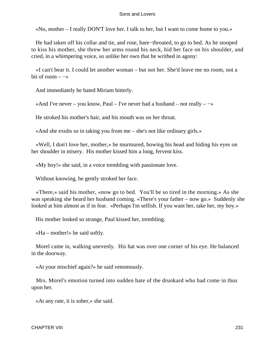«No, mother – I really DON'T love her. I talk to her, but I want to come home to you.»

 He had taken off his collar and tie, and rose, bare−throated, to go to bed. As he stooped to kiss his mother, she threw her arms round his neck, hid her face on his shoulder, and cried, in a whimpering voice, so unlike her own that he writhed in agony:

 «I can't bear it. I could let another woman – but not her. She'd leave me no room, not a bit of room  $-\rightarrow$ 

And immediately he hated Miriam bitterly.

«And I've never – you know, Paul – I've never had a husband – not really –  $-\infty$ 

He stroked his mother's hair, and his mouth was on her throat.

«And she exults so in taking you from me – she's not like ordinary girls.»

 «Well, I don't love her, mother,» he murmured, bowing his head and hiding his eyes on her shoulder in misery. His mother kissed him a long, fervent kiss.

«My boy!» she said, in a voice trembling with passionate love.

Without knowing, he gently stroked her face.

 «There,» said his mother, «now go to bed. You'll be so tired in the morning.» As she was speaking she heard her husband coming. «There's your father – now go.» Suddenly she looked at him almost as if in fear. «Perhaps I'm selfish. If you want her, take her, my boy.»

His mother looked so strange, Paul kissed her, trembling.

«Ha – mother!» he said softly.

 Morel came in, walking unevenly. His hat was over one corner of his eye. He balanced in the doorway.

«At your mischief again?» he said venomously.

 Mrs. Morel's emotion turned into sudden hate of the drunkard who had come in thus upon her.

«At any rate, it is sober,» she said.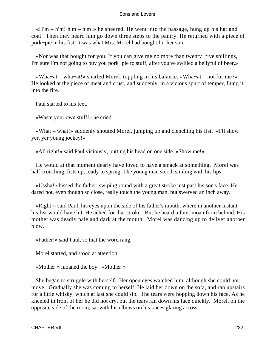$\kappa$ H'm – h'm! h'm – h'm!» he sneered. He went into the passage, hung up his hat and coat. Then they heard him go down three steps to the pantry. He returned with a piece of pork−pie in his fist. It was what Mrs. Morel had bought for her son.

 «Nor was that bought for you. If you can give me no more than twenty−five shillings, I'm sure I'm not going to buy you pork−pie to stuff, after you've swilled a bellyful of beer.»

 «Wha−at – wha−at!» snarled Morel, toppling in his balance. «Wha−at – not for me?» He looked at the piece of meat and crust, and suddenly, in a vicious spurt of temper, flung it into the fire.

Paul started to his feet.

«Waste your own stuff!» he cried.

 «What – what!» suddenly shouted Morel, jumping up and clenching his fist. «I'll show yer, yer young jockey!»

«All right!» said Paul viciously, putting his head on one side. «Show me!»

 He would at that moment dearly have loved to have a smack at something. Morel was half crouching, fists up, ready to spring. The young man stood, smiling with his lips.

 «Ussha!» hissed the father, swiping round with a great stroke just past his son's face. He dared not, even though so close, really touch the young man, but swerved an inch away.

 «Right!» said Paul, his eyes upon the side of his father's mouth, where in another instant his fist would have hit. He ached for that stroke. But he heard a faint moan from behind. His mother was deadly pale and dark at the mouth. Morel was dancing up to deliver another blow.

«Father!» said Paul, so that the word rang.

Morel started, and stood at attention.

«Mother!» moaned the boy. «Mother!»

 She began to struggle with herself. Her open eyes watched him, although she could not move. Gradually she was coming to herself. He laid her down on the sofa, and ran upstairs for a little whisky, which at last she could sip. The tears were hopping down his face. As he kneeled in front of her he did not cry, but the tears ran down his face quickly. Morel, on the opposite side of the room, sat with his elbows on his knees glaring across.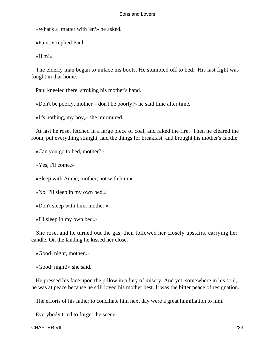«What's a−matter with 'er?» he asked.

«Faint!» replied Paul.

«H'm!»

 The elderly man began to unlace his boots. He stumbled off to bed. His last fight was fought in that home.

Paul kneeled there, stroking his mother's hand.

«Don't be poorly, mother – don't be poorly!» he said time after time.

«It's nothing, my boy,» she murmured.

 At last he rose, fetched in a large piece of coal, and raked the fire. Then he cleared the room, put everything straight, laid the things for breakfast, and brought his mother's candle.

«Can you go to bed, mother?»

«Yes, I'll come.»

«Sleep with Annie, mother, not with him.»

«No. I'll sleep in my own bed.»

«Don't sleep with him, mother.»

«I'll sleep in my own bed.»

 She rose, and he turned out the gas, then followed her closely upstairs, carrying her candle. On the landing he kissed her close.

«Good−night, mother.»

«Good−night!» she said.

 He pressed his face upon the pillow in a fury of misery. And yet, somewhere in his soul, he was at peace because he still loved his mother best. It was the bitter peace of resignation.

The efforts of his father to conciliate him next day were a great humiliation to him.

Everybody tried to forget the scene.

CHAPTER VIII 233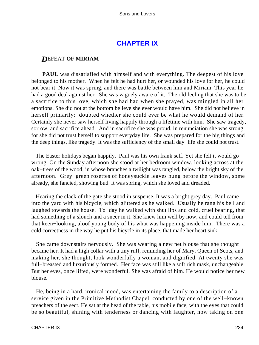# **[CHAPTER IX](#page-470-0)**

# *D*EFEAT **OF MIRIAM**

**PAUL** was dissatisfied with himself and with everything. The deepest of his love belonged to his mother. When he felt he had hurt her, or wounded his love for her, he could not bear it. Now it was spring, and there was battle between him and Miriam. This year he had a good deal against her. She was vaguely aware of it. The old feeling that she was to be a sacrifice to this love, which she had had when she prayed, was mingled in all her emotions. She did not at the bottom believe she ever would have him. She did not believe in herself primarily: doubted whether she could ever be what he would demand of her. Certainly she never saw herself living happily through a lifetime with him. She saw tragedy, sorrow, and sacrifice ahead. And in sacrifice she was proud, in renunciation she was strong, for she did not trust herself to support everyday life. She was prepared for the big things and the deep things, like tragedy. It was the sufficiency of the small day−life she could not trust.

 The Easter holidays began happily. Paul was his own frank self. Yet she felt it would go wrong. On the Sunday afternoon she stood at her bedroom window, looking across at the oak−trees of the wood, in whose branches a twilight was tangled, below the bright sky of the afternoon. Grey−green rosettes of honeysuckle leaves hung before the window, some already, she fancied, showing bud. It was spring, which she loved and dreaded.

 Hearing the clack of the gate she stood in suspense. It was a bright grey day. Paul came into the yard with his bicycle, which glittered as he walked. Usually he rang his bell and laughed towards the house. To−day he walked with shut lips and cold, cruel bearing, that had something of a slouch and a sneer in it. She knew him well by now, and could tell from that keen−looking, aloof young body of his what was happening inside him. There was a cold correctness in the way he put his bicycle in its place, that made her heart sink.

 She came downstairs nervously. She was wearing a new net blouse that she thought became her. It had a high collar with a tiny ruff, reminding her of Mary, Queen of Scots, and making her, she thought, look wonderfully a woman, and dignified. At twenty she was full−breasted and luxuriously formed. Her face was still like a soft rich mask, unchangeable. But her eyes, once lifted, were wonderful. She was afraid of him. He would notice her new blouse.

 He, being in a hard, ironical mood, was entertaining the family to a description of a service given in the Primitive Methodist Chapel, conducted by one of the well−known preachers of the sect. He sat at the head of the table, his mobile face, with the eyes that could be so beautiful, shining with tenderness or dancing with laughter, now taking on one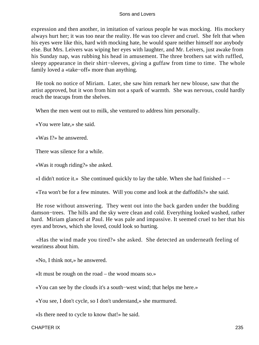expression and then another, in imitation of various people he was mocking. His mockery always hurt her; it was too near the reality. He was too clever and cruel. She felt that when his eyes were like this, hard with mocking hate, he would spare neither himself nor anybody else. But Mrs. Leivers was wiping her eyes with laughter, and Mr. Leivers, just awake from his Sunday nap, was rubbing his head in amusement. The three brothers sat with ruffled, sleepy appearance in their shirt−sleeves, giving a guffaw from time to time. The whole family loved a «take−off» more than anything.

 He took no notice of Miriam. Later, she saw him remark her new blouse, saw that the artist approved, but it won from him not a spark of warmth. She was nervous, could hardly reach the teacups from the shelves.

When the men went out to milk, she ventured to address him personally.

«You were late,» she said.

«Was I?» he answered.

There was silence for a while.

«Was it rough riding?» she asked.

«I didn't notice it.» She continued quickly to lay the table. When she had finished – −

«Tea won't be for a few minutes. Will you come and look at the daffodils?» she said.

 He rose without answering. They went out into the back garden under the budding damson−trees. The hills and the sky were clean and cold. Everything looked washed, rather hard. Miriam glanced at Paul. He was pale and impassive. It seemed cruel to her that his eyes and brows, which she loved, could look so hurting.

 «Has the wind made you tired?» she asked. She detected an underneath feeling of weariness about him.

«No, I think not,» he answered.

«It must be rough on the road – the wood moans so.»

«You can see by the clouds it's a south−west wind; that helps me here.»

«You see, I don't cycle, so I don't understand,» she murmured.

«Is there need to cycle to know that!» he said.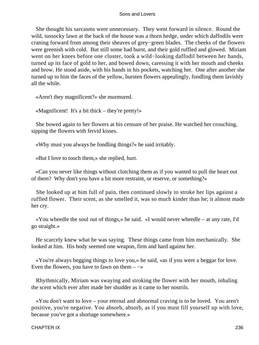She thought his sarcasms were unnecessary. They went forward in silence. Round the wild, tussocky lawn at the back of the house was a thorn hedge, under which daffodils were craning forward from among their sheaves of grey−green blades. The cheeks of the flowers were greenish with cold. But still some had burst, and their gold ruffled and glowed. Miriam went on her knees before one cluster, took a wild−looking daffodil between her hands, turned up its face of gold to her, and bowed down, caressing it with her mouth and cheeks and brow. He stood aside, with his hands in his pockets, watching her. One after another she turned up to him the faces of the yellow, bursten flowers appealingly, fondling them lavishly all the while.

«Aren't they magnificent?» she murmured.

«Magnificent! It's a bit thick – they're pretty!»

 She bowed again to her flowers at his censure of her praise. He watched her crouching, sipping the flowers with fervid kisses.

«Why must you always be fondling things?» he said irritably.

«But I love to touch them,» she replied, hurt.

 «Can you never like things without clutching them as if you wanted to pull the heart out of them? Why don't you have a bit more restraint, or reserve, or something?»

 She looked up at him full of pain, then continued slowly to stroke her lips against a ruffled flower. Their scent, as she smelled it, was so much kinder than he; it almost made her cry.

 «You wheedle the soul out of things,» he said. «I would never wheedle – at any rate, I'd go straight.»

 He scarcely knew what he was saying. These things came from him mechanically. She looked at him. His body seemed one weapon, firm and hard against her.

 «You're always begging things to love you,» he said, «as if you were a beggar for love. Even the flowers, you have to fawn on them  $-\rightarrow$ 

 Rhythmically, Miriam was swaying and stroking the flower with her mouth, inhaling the scent which ever after made her shudder as it came to her nostrils.

 «You don't want to love – your eternal and abnormal craving is to be loved. You aren't positive, you're negative. You absorb, absorb, as if you must fill yourself up with love, because you've got a shortage somewhere.»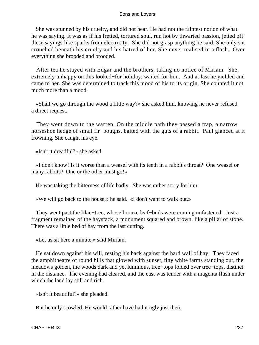She was stunned by his cruelty, and did not hear. He had not the faintest notion of what he was saying. It was as if his fretted, tortured soul, run hot by thwarted passion, jetted off these sayings like sparks from electricity. She did not grasp anything he said. She only sat crouched beneath his cruelty and his hatred of her. She never realised in a flash. Over everything she brooded and brooded.

 After tea he stayed with Edgar and the brothers, taking no notice of Miriam. She, extremely unhappy on this looked−for holiday, waited for him. And at last he yielded and came to her. She was determined to track this mood of his to its origin. She counted it not much more than a mood.

 «Shall we go through the wood a little way?» she asked him, knowing he never refused a direct request.

 They went down to the warren. On the middle path they passed a trap, a narrow horseshoe hedge of small fir−boughs, baited with the guts of a rabbit. Paul glanced at it frowning. She caught his eye.

«Isn't it dreadful?» she asked.

 «I don't know! Is it worse than a weasel with its teeth in a rabbit's throat? One weasel or many rabbits? One or the other must go!»

He was taking the bitterness of life badly. She was rather sorry for him.

«We will go back to the house,» he said. «I don't want to walk out.»

 They went past the lilac−tree, whose bronze leaf−buds were coming unfastened. Just a fragment remained of the haystack, a monument squared and brown, like a pillar of stone. There was a little bed of hay from the last cutting.

«Let us sit here a minute,» said Miriam.

 He sat down against his will, resting his back against the hard wall of hay. They faced the amphitheatre of round hills that glowed with sunset, tiny white farms standing out, the meadows golden, the woods dark and yet luminous, tree−tops folded over tree−tops, distinct in the distance. The evening had cleared, and the east was tender with a magenta flush under which the land lay still and rich.

«Isn't it beautiful?» she pleaded.

But he only scowled. He would rather have had it ugly just then.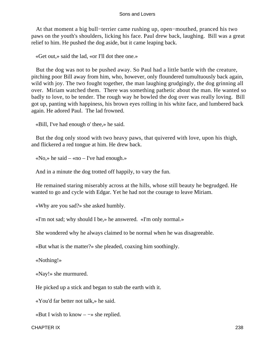At that moment a big bull−terrier came rushing up, open−mouthed, pranced his two paws on the youth's shoulders, licking his face. Paul drew back, laughing. Bill was a great relief to him. He pushed the dog aside, but it came leaping back.

«Get out,» said the lad, «or I'll dot thee one.»

 But the dog was not to be pushed away. So Paul had a little battle with the creature, pitching poor Bill away from him, who, however, only floundered tumultuously back again, wild with joy. The two fought together, the man laughing grudgingly, the dog grinning all over. Miriam watched them. There was something pathetic about the man. He wanted so badly to love, to be tender. The rough way he bowled the dog over was really loving. Bill got up, panting with happiness, his brown eyes rolling in his white face, and lumbered back again. He adored Paul. The lad frowned.

«Bill, I've had enough o' thee,» he said.

 But the dog only stood with two heavy paws, that quivered with love, upon his thigh, and flickered a red tongue at him. He drew back.

«No,» he said – «no – I've had enough.»

And in a minute the dog trotted off happily, to vary the fun.

 He remained staring miserably across at the hills, whose still beauty he begrudged. He wanted to go and cycle with Edgar. Yet he had not the courage to leave Miriam.

«Why are you sad?» she asked humbly.

«I'm not sad; why should I be,» he answered. «I'm only normal.»

She wondered why he always claimed to be normal when he was disagreeable.

«But what is the matter?» she pleaded, coaxing him soothingly.

«Nothing!»

«Nay!» she murmured.

He picked up a stick and began to stab the earth with it.

«You'd far better not talk,» he said.

«But I wish to know  $-\rightarrow$  she replied.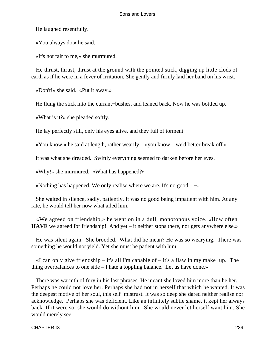He laughed resentfully.

«You always do,» he said.

«It's not fair to me,» she murmured.

 He thrust, thrust, thrust at the ground with the pointed stick, digging up little clods of earth as if he were in a fever of irritation. She gently and firmly laid her band on his wrist.

«Don't!» she said. «Put it away.»

He flung the stick into the currant–bushes, and leaned back. Now he was bottled up.

«What is it?» she pleaded softly.

He lay perfectly still, only his eyes alive, and they full of torment.

«You know,» he said at length, rather wearily – «you know – we'd better break off.»

It was what she dreaded. Swiftly everything seemed to darken before her eyes.

«Why!» she murmured. «What has happened?»

«Nothing has happened. We only realise where we are. It's no good  $-\rightarrow$ 

 She waited in silence, sadly, patiently. It was no good being impatient with him. At any rate, he would tell her now what ailed him.

 «We agreed on friendship,» he went on in a dull, monotonous voice. «How often **HAVE** we agreed for friendship! And yet – it neither stops there, nor gets anywhere else.»

 He was silent again. She brooded. What did he mean? He was so wearying. There was something he would not yield. Yet she must be patient with him.

 «I can only give friendship – it's all I'm capable of – it's a flaw in my make−up. The thing overbalances to one side – I hate a toppling balance. Let us have done.»

 There was warmth of fury in his last phrases. He meant she loved him more than he her. Perhaps he could not love her. Perhaps she had not in herself that which he wanted. It was the deepest motive of her soul, this self−mistrust. It was so deep she dared neither realise nor acknowledge. Perhaps she was deficient. Like an infinitely subtle shame, it kept her always back. If it were so, she would do without him. She would never let herself want him. She would merely see.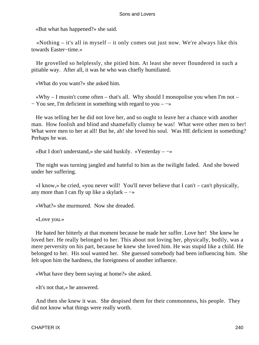«But what has happened?» she said.

 «Nothing – it's all in myself – it only comes out just now. We're always like this towards Easter−time.»

 He grovelled so helplessly, she pitied him. At least she never floundered in such a pitiable way. After all, it was he who was chiefly humiliated.

«What do you want?» she asked him.

 $\mathbf{w}$  why – I mustn't come often – that's all. Why should I monopolise you when I'm not − You see, I'm deficient in something with regard to you – −»

 He was telling her he did not love her, and so ought to leave her a chance with another man. How foolish and blind and shamefully clumsy he was! What were other men to her! What were men to her at all! But he, ah! she loved his soul. Was HE deficient in something? Perhaps he was.

«But I don't understand,» she said huskily. «Yesterday – −»

 The night was turning jangled and hateful to him as the twilight faded. And she bowed under her suffering.

 «I know,» he cried, «you never will! You'll never believe that I can't – can't physically, any more than I can fly up like a skylark –  $\rightarrow$ 

«What?» she murmured. Now she dreaded.

«Love you.»

 He hated her bitterly at that moment because he made her suffer. Love her! She knew he loved her. He really belonged to her. This about not loving her, physically, bodily, was a mere perversity on his part, because he knew she loved him. He was stupid like a child. He belonged to her. His soul wanted her. She guessed somebody had been influencing him. She felt upon him the hardness, the foreignness of another influence.

«What have they been saying at home?» she asked.

«It's not that,» he answered.

 And then she knew it was. She despised them for their commonness, his people. They did not know what things were really worth.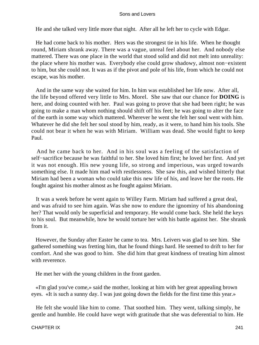He and she talked very little more that night. After all he left her to cycle with Edgar.

 He had come back to his mother. Hers was the strongest tie in his life. When he thought round, Miriam shrank away. There was a vague, unreal feel about her. And nobody else mattered. There was one place in the world that stood solid and did not melt into unreality: the place where his mother was. Everybody else could grow shadowy, almost non−existent to him, but she could not. It was as if the pivot and pole of his life, from which he could not escape, was his mother.

 And in the same way she waited for him. In him was established her life now. After all, the life beyond offered very little to Mrs. Morel. She saw that our chance for **DOING** is here, and doing counted with her. Paul was going to prove that she had been right; he was going to make a man whom nothing should shift off his feet; he was going to alter the face of the earth in some way which mattered. Wherever he went she felt her soul went with him. Whatever he did she felt her soul stood by him, ready, as it were, to hand him his tools. She could not bear it when he was with Miriam. William was dead. She would fight to keep Paul.

 And he came back to her. And in his soul was a feeling of the satisfaction of self−sacrifice because he was faithful to her. She loved him first; he loved her first. And yet it was not enough. His new young life, so strong and imperious, was urged towards something else. It made him mad with restlessness. She saw this, and wished bitterly that Miriam had been a woman who could take this new life of his, and leave her the roots. He fought against his mother almost as he fought against Miriam.

 It was a week before he went again to Willey Farm. Miriam had suffered a great deal, and was afraid to see him again. Was she now to endure the ignominy of his abandoning her? That would only be superficial and temporary. He would come back. She held the keys to his soul. But meanwhile, how he would torture her with his battle against her. She shrank from it.

 However, the Sunday after Easter he came to tea. Mrs. Leivers was glad to see him. She gathered something was fretting him, that he found things hard. He seemed to drift to her for comfort. And she was good to him. She did him that great kindness of treating him almost with reverence.

He met her with the young children in the front garden.

 «I'm glad you've come,» said the mother, looking at him with her great appealing brown eyes. «It is such a sunny day. I was just going down the fields for the first time this year.»

 He felt she would like him to come. That soothed him. They went, talking simply, he gentle and humble. He could have wept with gratitude that she was deferential to him. He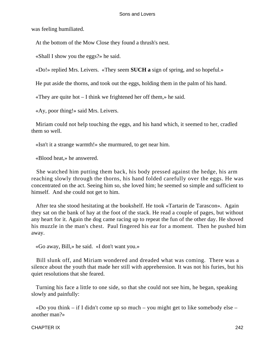was feeling humiliated.

At the bottom of the Mow Close they found a thrush's nest.

«Shall I show you the eggs?» he said.

«Do!» replied Mrs. Leivers. «They seem **SUCH a** sign of spring, and so hopeful.»

He put aside the thorns, and took out the eggs, holding them in the palm of his hand.

«They are quite hot – I think we frightened her off them,» he said.

«Ay, poor thing!» said Mrs. Leivers.

 Miriam could not help touching the eggs, and his hand which, it seemed to her, cradled them so well.

«Isn't it a strange warmth!» she murmured, to get near him.

«Blood heat,» he answered.

 She watched him putting them back, his body pressed against the hedge, his arm reaching slowly through the thorns, his hand folded carefully over the eggs. He was concentrated on the act. Seeing him so, she loved him; he seemed so simple and sufficient to himself. And she could not get to him.

 After tea she stood hesitating at the bookshelf. He took «Tartarin de Tarascon». Again they sat on the bank of hay at the foot of the stack. He read a couple of pages, but without any heart for it. Again the dog came racing up to repeat the fun of the other day. He shoved his muzzle in the man's chest. Paul fingered his ear for a moment. Then he pushed him away.

«Go away, Bill,» he said. «I don't want you.»

 Bill slunk off, and Miriam wondered and dreaded what was coming. There was a silence about the youth that made her still with apprehension. It was not his furies, but his quiet resolutions that she feared.

 Turning his face a little to one side, so that she could not see him, he began, speaking slowly and painfully:

«Do you think – if I didn't come up so much – you might get to like somebody else – another man?»

### CHAPTER IX 242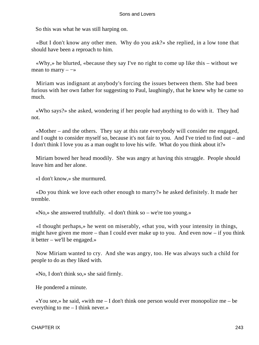So this was what he was still harping on.

 «But I don't know any other men. Why do you ask?» she replied, in a low tone that should have been a reproach to him.

 «Why,» he blurted, «because they say I've no right to come up like this – without we mean to marry  $-\rightarrow$ 

 Miriam was indignant at anybody's forcing the issues between them. She had been furious with her own father for suggesting to Paul, laughingly, that he knew why he came so much.

 «Who says?» she asked, wondering if her people had anything to do with it. They had not.

 «Mother – and the others. They say at this rate everybody will consider me engaged, and I ought to consider myself so, because it's not fair to you. And I've tried to find out – and I don't think I love you as a man ought to love his wife. What do you think about it?»

 Miriam bowed her head moodily. She was angry at having this struggle. People should leave him and her alone.

«I don't know,» she murmured.

 «Do you think we love each other enough to marry?» he asked definitely. It made her tremble.

«No,» she answered truthfully. «I don't think so – we're too young.»

 «I thought perhaps,» he went on miserably, «that you, with your intensity in things, might have given me more – than I could ever make up to you. And even now – if you think it better – we'll be engaged.»

 Now Miriam wanted to cry. And she was angry, too. He was always such a child for people to do as they liked with.

«No, I don't think so,» she said firmly.

He pondered a minute.

 $\alpha$ You see,» he said,  $\alpha$  with me – I don't think one person would ever monopolize me – be everything to me – I think never.»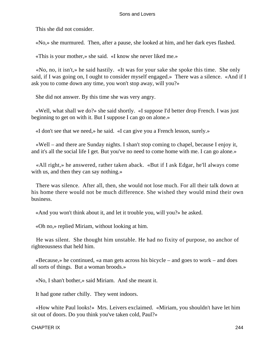This she did not consider.

«No,» she murmured. Then, after a pause, she looked at him, and her dark eyes flashed.

«This is your mother,» she said. «I know she never liked me.»

 «No, no, it isn't,» he said hastily. «It was for your sake she spoke this time. She only said, if I was going on, I ought to consider myself engaged.» There was a silence. «And if I ask you to come down any time, you won't stop away, will you?»

She did not answer. By this time she was very angry.

 «Well, what shall we do?» she said shortly. «I suppose I'd better drop French. I was just beginning to get on with it. But I suppose I can go on alone.»

«I don't see that we need,» he said. «I can give you a French lesson, surely.»

 «Well – and there are Sunday nights. I shan't stop coming to chapel, because I enjoy it, and it's all the social life I get. But you've no need to come home with me. I can go alone.»

 «All right,» he answered, rather taken aback. «But if I ask Edgar, he'll always come with us, and then they can say nothing.»

 There was silence. After all, then, she would not lose much. For all their talk down at his home there would not be much difference. She wished they would mind their own business.

«And you won't think about it, and let it trouble you, will you?» he asked.

«Oh no,» replied Miriam, without looking at him.

 He was silent. She thought him unstable. He had no fixity of purpose, no anchor of righteousness that held him.

 «Because,» he continued, «a man gets across his bicycle – and goes to work – and does all sorts of things. But a woman broods.»

«No, I shan't bother,» said Miriam. And she meant it.

It had gone rather chilly. They went indoors.

 «How white Paul looks!» Mrs. Leivers exclaimed. «Miriam, you shouldn't have let him sit out of doors. Do you think you've taken cold, Paul?»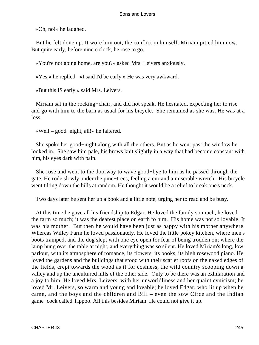«Oh, no!» he laughed.

 But he felt done up. It wore him out, the conflict in himself. Miriam pitied him now. But quite early, before nine o'clock, he rose to go.

«You're not going home, are you?» asked Mrs. Leivers anxiously.

«Yes,» he replied. «I said I'd be early.» He was very awkward.

«But this IS early,» said Mrs. Leivers.

 Miriam sat in the rocking−chair, and did not speak. He hesitated, expecting her to rise and go with him to the barn as usual for his bicycle. She remained as she was. He was at a loss.

«Well – good−night, all!» he faltered.

 She spoke her good−night along with all the others. But as he went past the window he looked in. She saw him pale, his brows knit slightly in a way that had become constant with him, his eyes dark with pain.

 She rose and went to the doorway to wave good−bye to him as he passed through the gate. He rode slowly under the pine−trees, feeling a cur and a miserable wretch. His bicycle went tilting down the hills at random. He thought it would be a relief to break one's neck.

Two days later he sent her up a book and a little note, urging her to read and be busy.

 At this time he gave all his friendship to Edgar. He loved the family so much, he loved the farm so much; it was the dearest place on earth to him. His home was not so lovable. It was his mother. But then he would have been just as happy with his mother anywhere. Whereas Willey Farm he loved passionately. He loved the little pokey kitchen, where men's boots tramped, and the dog slept with one eye open for fear of being trodden on; where the lamp hung over the table at night, and everything was so silent. He loved Miriam's long, low parlour, with its atmosphere of romance, its flowers, its books, its high rosewood piano. He loved the gardens and the buildings that stood with their scarlet roofs on the naked edges of the fields, crept towards the wood as if for cosiness, the wild country scooping down a valley and up the uncultured hills of the other side. Only to be there was an exhilaration and a joy to him. He loved Mrs. Leivers, with her unworldliness and her quaint cynicism; he loved Mr. Leivers, so warm and young and lovable; he loved Edgar, who lit up when he came, and the boys and the children and Bill – even the sow Circe and the Indian game−cock called Tippoo. All this besides Miriam. He could not give it up.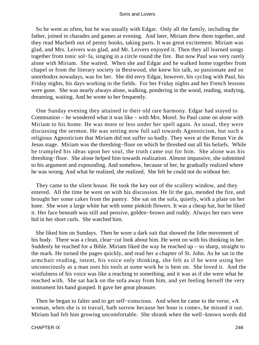So he went as often, but he was usually with Edgar. Only all the family, including the father, joined in charades and games at evening. And later, Miriam drew them together, and they read Macbeth out of penny books, taking parts. It was great excitement. Miriam was glad, and Mrs. Leivers was glad, and Mr. Leivers enjoyed it. Then they all learned songs together from tonic sol−fa, singing in a circle round the fire. But now Paul was very rarely alone with Miriam. She waited. When she and Edgar and he walked home together from chapel or from the literary society in Bestwood, she knew his talk, so passionate and so unorthodox nowadays, was for her. She did envy Edgar, however, his cycling with Paul, his Friday nights, his days working in the fields. For her Friday nights and her French lessons were gone. She was nearly always alone, walking, pondering in the wood, reading, studying, dreaming, waiting. And he wrote to her frequently.

 One Sunday evening they attained to their old rare harmony. Edgar had stayed to Communion – he wondered what it was like – with Mrs. Morel. So Paul came on alone with Miriam to his home. He was more or less under her spell again. As usual, they were discussing the sermon. He was setting now full sail towards Agnosticism, but such a religious Agnosticism that Miriam did not suffer so badly. They were at the Renan Vie de Jesus stage. Miriam was the threshing−floor on which he threshed out all his beliefs. While he trampled his ideas upon her soul, the truth came out for him. She alone was his threshing−floor. She alone helped him towards realization. Almost impassive, she submitted to his argument and expounding. And somehow, because of her, he gradually realized where he was wrong. And what he realized, she realized. She felt he could not do without her.

 They came to the silent house. He took the key out of the scullery window, and they entered. All the time he went on with his discussion. He lit the gas, mended the fire, and brought her some cakes from the pantry. She sat on the sofa, quietly, with a plate on her knee. She wore a large white hat with some pinkish flowers. It was a cheap hat, but he liked it. Her face beneath was still and pensive, golden−brown and ruddy. Always her ears were hid in her short curls. She watched him.

 She liked him on Sundays. Then he wore a dark suit that showed the lithe movement of his body. There was a clean, clear−cut look about him. He went on with his thinking to her. Suddenly he reached for a Bible. Miriam liked the way he reached  $up - so$  sharp, straight to the mark. He turned the pages quickly, and read her a chapter of St. John. As he sat in the armchair reading, intent, his voice only thinking, she felt as if he were using her unconsciously as a man uses his tools at some work he is bent on. She loved it. And the wistfulness of his voice was like a reaching to something, and it was as if she were what he reached with. She sat back on the sofa away from him, and yet feeling herself the very instrument his hand grasped. It gave her great pleasure.

 Then he began to falter and to get self−conscious. And when he came to the verse, «A woman, when she is in travail, hath sorrow because her hour is come», he missed it out. Miriam had felt him growing uncomfortable. She shrank when the well−known words did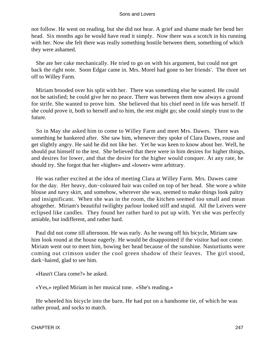not follow. He went on reading, but she did not hear. A grief and shame made her bend her head. Six months ago he would have read it simply. Now there was a scotch in his running with her. Now she felt there was really something hostile between them, something of which they were ashamed.

 She ate her cake mechanically. He tried to go on with his argument, but could not get back the right note. Soon Edgar came in. Mrs. Morel had gone to her friends'. The three set off to Willey Farm.

 Miriam brooded over his split with her. There was something else he wanted. He could not be satisfied; he could give her no peace. There was between them now always a ground for strife. She wanted to prove him. She believed that his chief need in life was herself. If she could prove it, both to herself and to him, the rest might go; she could simply trust to the future.

 So in May she asked him to come to Willey Farm and meet Mrs. Dawes. There was something he hankered after. She saw him, whenever they spoke of Clara Dawes, rouse and get slightly angry. He said he did not like her. Yet he was keen to know about her. Well, he should put himself to the test. She believed that there were in him desires for higher things, and desires for lower, and that the desire for the higher would conquer. At any rate, he should try. She forgot that her «higher» and «lower» were arbitrary.

 He was rather excited at the idea of meeting Clara at Willey Farm. Mrs. Dawes came for the day. Her heavy, dun−coloured hair was coiled on top of her head. She wore a white blouse and navy skirt, and somehow, wherever she was, seemed to make things look paltry and insignificant. When she was in the room, the kitchen seemed too small and mean altogether. Miriam's beautiful twilighty parlour looked stiff and stupid. All the Leivers were eclipsed like candles. They found her rather hard to put up with. Yet she was perfectly amiable, but indifferent, and rather hard.

 Paul did not come till afternoon. He was early. As he swung off his bicycle, Miriam saw him look round at the house eagerly. He would be disappointed if the visitor had not come. Miriam went out to meet him, bowing her head because of the sunshine. Nasturtiums were coming out crimson under the cool green shadow of their leaves. The girl stood, dark−haired, glad to see him.

«Hasn't Clara come?» he asked.

«Yes,» replied Miriam in her musical tone. «She's reading.»

 He wheeled his bicycle into the barn. He had put on a handsome tie, of which he was rather proud, and socks to match.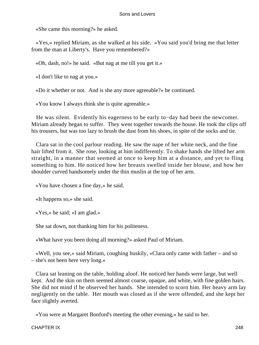«She came this morning?» he asked.

 «Yes,» replied Miriam, as she walked at his side. «You said you'd bring me that letter from the man at Liberty's. Have you remembered?»

«Oh, dash, no!» he said. «But nag at me till you get it.»

«I don't like to nag at you.»

«Do it whether or not. And is she any more agreeable?» he continued.

«You know I always think she is quite agreeable.»

 He was silent. Evidently his eagerness to be early to−day had been the newcomer. Miriam already began to suffer. They went together towards the house. He took the clips off his trousers, but was too lazy to brush the dust from his shoes, in spite of the socks and tie.

 Clara sat in the cool parlour reading. He saw the nape of her white neck, and the fine hair lifted from it. She rose, looking at him indifferently. To shake hands she lifted her arm straight, in a manner that seemed at once to keep him at a distance, and yet to fling something to him. He noticed how her breasts swelled inside her blouse, and how her shoulder curved handsomely under the thin muslin at the top of her arm.

«You have chosen a fine day,» he said.

«It happens so,» she said.

«Yes,» he said; «I am glad.»

She sat down, not thanking him for his politeness.

«What have you been doing all morning?» asked Paul of Miriam.

 «Well, you see,» said Miriam, coughing huskily, «Clara only came with father – and so – she's not been here very long.»

 Clara sat leaning on the table, holding aloof. He noticed her hands were large, but well kept. And the skin on them seemed almost coarse, opaque, and white, with fine golden hairs. She did not mind if he observed her hands. She intended to scorn him. Her heavy arm lay negligently on the table. Her mouth was closed as if she were offended, and she kept her face slightly averted.

«You were at Margaret Bonford's meeting the other evening,» he said to her.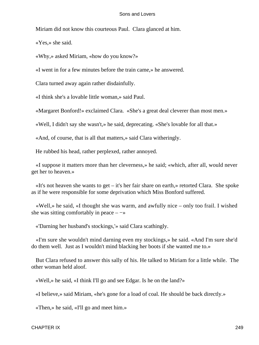Miriam did not know this courteous Paul. Clara glanced at him.

«Yes,» she said.

«Why,» asked Miriam, «how do you know?»

«I went in for a few minutes before the train came,» he answered.

Clara turned away again rather disdainfully.

«I think she's a lovable little woman,» said Paul.

«Margaret Bonford!» exclaimed Clara. «She's a great deal cleverer than most men.»

«Well, I didn't say she wasn't,» he said, deprecating. «She's lovable for all that.»

«And, of course, that is all that matters,» said Clara witheringly.

He rubbed his head, rather perplexed, rather annoyed.

 «I suppose it matters more than her cleverness,» he said; «which, after all, would never get her to heaven.»

 $\ll$ It's not heaven she wants to get – it's her fair share on earth,  $\gg$  retorted Clara. She spoke as if he were responsible for some deprivation which Miss Bonford suffered.

 «Well,» he said, «I thought she was warm, and awfully nice – only too frail. I wished she was sitting comfortably in peace –  $-\infty$ 

«'Darning her husband's stockings,'» said Clara scathingly.

 «I'm sure she wouldn't mind darning even my stockings,» he said. «And I'm sure she'd do them well. Just as I wouldn't mind blacking her boots if she wanted me to.»

 But Clara refused to answer this sally of his. He talked to Miriam for a little while. The other woman held aloof.

«Well,» he said, «I think I'll go and see Edgar. Is he on the land?»

«I believe,» said Miriam, «he's gone for a load of coal. He should be back directly.»

«Then,» he said, «I'll go and meet him.»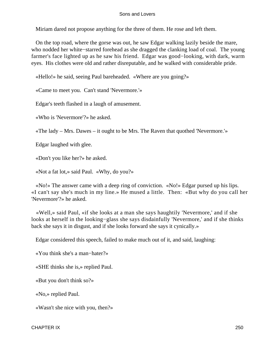Miriam dared not propose anything for the three of them. He rose and left them.

 On the top road, where the gorse was out, he saw Edgar walking lazily beside the mare, who nodded her white−starred forehead as she dragged the clanking load of coal. The young farmer's face lighted up as he saw his friend. Edgar was good−looking, with dark, warm eyes. His clothes were old and rather disreputable, and he walked with considerable pride.

«Hello!» he said, seeing Paul bareheaded. «Where are you going?»

«Came to meet you. Can't stand 'Nevermore.'»

Edgar's teeth flashed in a laugh of amusement.

«Who is 'Nevermore'?» he asked.

«The lady – Mrs. Dawes – it ought to be Mrs. The Raven that quothed 'Nevermore.'»

Edgar laughed with glee.

«Don't you like her?» he asked.

«Not a fat lot,» said Paul. «Why, do you?»

 «No!» The answer came with a deep ring of conviction. «No!» Edgar pursed up his lips. «I can't say she's much in my line.» He mused a little. Then: «But why do you call her 'Nevermore'?» he asked.

 «Well,» said Paul, «if she looks at a man she says haughtily 'Nevermore,' and if she looks at herself in the looking−glass she says disdainfully 'Nevermore,' and if she thinks back she says it in disgust, and if she looks forward she says it cynically.»

Edgar considered this speech, failed to make much out of it, and said, laughing:

«You think she's a man−hater?»

«SHE thinks she is,» replied Paul.

«But you don't think so?»

«No,» replied Paul.

«Wasn't she nice with you, then?»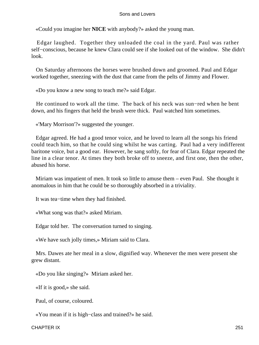«Could you imagine her **NICE** with anybody?» asked the young man.

 Edgar laughed. Together they unloaded the coal in the yard. Paul was rather self−conscious, because he knew Clara could see if she looked out of the window. She didn't look.

 On Saturday afternoons the horses were brushed down and groomed. Paul and Edgar worked together, sneezing with the dust that came from the pelts of Jimmy and Flower.

«Do you know a new song to teach me?» said Edgar.

 He continued to work all the time. The back of his neck was sun−red when he bent down, and his fingers that held the brush were thick. Paul watched him sometimes.

«'Mary Morrison'?» suggested the younger.

 Edgar agreed. He had a good tenor voice, and he loved to learn all the songs his friend could teach him, so that he could sing whilst he was carting. Paul had a very indifferent baritone voice, but a good ear. However, he sang softly, for fear of Clara. Edgar repeated the line in a clear tenor. At times they both broke off to sneeze, and first one, then the other, abused his horse.

 Miriam was impatient of men. It took so little to amuse them – even Paul. She thought it anomalous in him that he could be so thoroughly absorbed in a triviality.

It was tea−time when they had finished.

«What song was that?» asked Miriam.

Edgar told her. The conversation turned to singing.

«We have such jolly times,» Miriam said to Clara.

 Mrs. Dawes ate her meal in a slow, dignified way. Whenever the men were present she grew distant.

«Do you like singing?» Miriam asked her.

«If it is good,» she said.

Paul, of course, coloured.

«You mean if it is high−class and trained?» he said.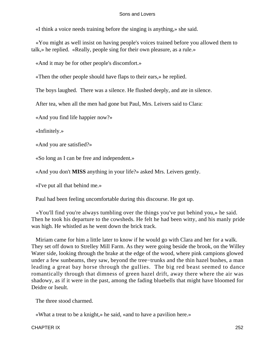«I think a voice needs training before the singing is anything,» she said.

 «You might as well insist on having people's voices trained before you allowed them to talk,» he replied. «Really, people sing for their own pleasure, as a rule.»

«And it may be for other people's discomfort.»

«Then the other people should have flaps to their ears,» he replied.

The boys laughed. There was a silence. He flushed deeply, and ate in silence.

After tea, when all the men had gone but Paul, Mrs. Leivers said to Clara:

«And you find life happier now?»

«Infinitely.»

«And you are satisfied?»

«So long as I can be free and independent.»

«And you don't **MISS** anything in your life?» asked Mrs. Leivers gently.

«I've put all that behind me.»

Paul had been feeling uncomfortable during this discourse. He got up.

 «You'll find you're always tumbling over the things you've put behind you,» he said. Then he took his departure to the cowsheds. He felt he had been witty, and his manly pride was high. He whistled as he went down the brick track.

 Miriam came for him a little later to know if he would go with Clara and her for a walk. They set off down to Strelley Mill Farm. As they were going beside the brook, on the Willey Water side, looking through the brake at the edge of the wood, where pink campions glowed under a few sunbeams, they saw, beyond the tree−trunks and the thin hazel bushes, a man leading a great bay horse through the gullies. The big red beast seemed to dance romantically through that dimness of green hazel drift, away there where the air was shadowy, as if it were in the past, among the fading bluebells that might have bloomed for Deidre or Iseult.

The three stood charmed.

«What a treat to be a knight,» he said, «and to have a pavilion here.»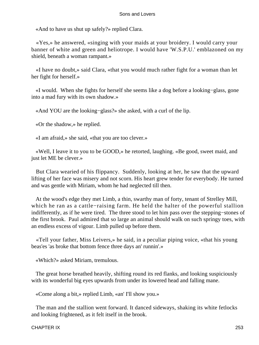«And to have us shut up safely?» replied Clara.

 «Yes,» he answered, «singing with your maids at your broidery. I would carry your banner of white and green and heliotrope. I would have 'W.S.P.U.' emblazoned on my shield, beneath a woman rampant.»

 «I have no doubt,» said Clara, «that you would much rather fight for a woman than let her fight for herself.»

 «I would. When she fights for herself she seems like a dog before a looking−glass, gone into a mad fury with its own shadow.»

«And YOU are the looking−glass?» she asked, with a curl of the lip.

«Or the shadow,» he replied.

«I am afraid,» she said, «that you are too clever.»

 «Well, I leave it to you to be GOOD,» he retorted, laughing. «Be good, sweet maid, and just let ME be clever.»

 But Clara wearied of his flippancy. Suddenly, looking at her, he saw that the upward lifting of her face was misery and not scorn. His heart grew tender for everybody. He turned and was gentle with Miriam, whom he had neglected till then.

 At the wood's edge they met Limb, a thin, swarthy man of forty, tenant of Strelley Mill, which he ran as a cattle−raising farm. He held the halter of the powerful stallion indifferently, as if he were tired. The three stood to let him pass over the stepping−stones of the first brook. Paul admired that so large an animal should walk on such springy toes, with an endless excess of vigour. Limb pulled up before them.

 «Tell your father, Miss Leivers,» he said, in a peculiar piping voice, «that his young beas'es 'as broke that bottom fence three days an' runnin'.»

«Which?» asked Miriam, tremulous.

 The great horse breathed heavily, shifting round its red flanks, and looking suspiciously with its wonderful big eyes upwards from under its lowered head and falling mane.

«Come along a bit,» replied Limb, «an' I'll show you.»

 The man and the stallion went forward. It danced sideways, shaking its white fetlocks and looking frightened, as it felt itself in the brook.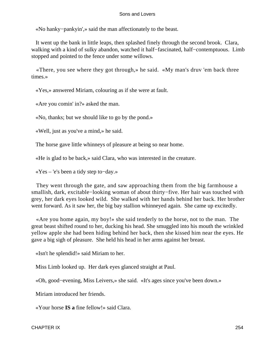«No hanky−pankyin',» said the man affectionately to the beast.

 It went up the bank in little leaps, then splashed finely through the second brook. Clara, walking with a kind of sulky abandon, watched it half−fascinated, half−contemptuous. Limb stopped and pointed to the fence under some willows.

 «There, you see where they got through,» he said. «My man's druv 'em back three times.»

«Yes,» answered Miriam, colouring as if she were at fault.

«Are you comin' in?» asked the man.

«No, thanks; but we should like to go by the pond.»

«Well, just as you've a mind,» he said.

The horse gave little whinneys of pleasure at being so near home.

«He is glad to be back,» said Clara, who was interested in the creature.

«Yes – 'e's been a tidy step to−day.»

 They went through the gate, and saw approaching them from the big farmhouse a smallish, dark, excitable−looking woman of about thirty−five. Her hair was touched with grey, her dark eyes looked wild. She walked with her hands behind her back. Her brother went forward. As it saw her, the big bay stallion whinneyed again. She came up excitedly.

 «Are you home again, my boy!» she said tenderly to the horse, not to the man. The great beast shifted round to her, ducking his head. She smuggled into his mouth the wrinkled yellow apple she had been hiding behind her back, then she kissed him near the eyes. He gave a big sigh of pleasure. She held his head in her arms against her breast.

«Isn't he splendid!» said Miriam to her.

Miss Limb looked up. Her dark eyes glanced straight at Paul.

«Oh, good−evening, Miss Leivers,» she said. «It's ages since you've been down.»

Miriam introduced her friends.

«Your horse **IS a** fine fellow!» said Clara.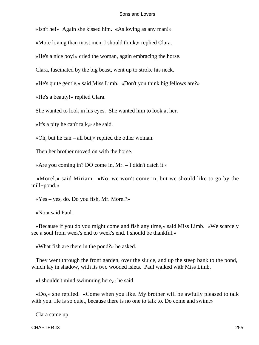«Isn't he!» Again she kissed him. «As loving as any man!»

«More loving than most men, I should think,» replied Clara.

«He's a nice boy!» cried the woman, again embracing the horse.

Clara, fascinated by the big beast, went up to stroke his neck.

«He's quite gentle,» said Miss Limb. «Don't you think big fellows are?»

«He's a beauty!» replied Clara.

She wanted to look in his eyes. She wanted him to look at her.

«It's a pity he can't talk,» she said.

«Oh, but he can – all but,» replied the other woman.

Then her brother moved on with the horse.

«Are you coming in? DO come in, Mr. – I didn't catch it.»

 «Morel,» said Miriam. «No, we won't come in, but we should like to go by the mill−pond.»

«Yes – yes, do. Do you fish, Mr. Morel?»

«No,» said Paul.

 «Because if you do you might come and fish any time,» said Miss Limb. «We scarcely see a soul from week's end to week's end. I should be thankful.»

«What fish are there in the pond?» he asked.

 They went through the front garden, over the sluice, and up the steep bank to the pond, which lay in shadow, with its two wooded islets. Paul walked with Miss Limb.

«I shouldn't mind swimming here,» he said.

 «Do,» she replied. «Come when you like. My brother will be awfully pleased to talk with you. He is so quiet, because there is no one to talk to. Do come and swim.»

Clara came up.

CHAPTER IX 255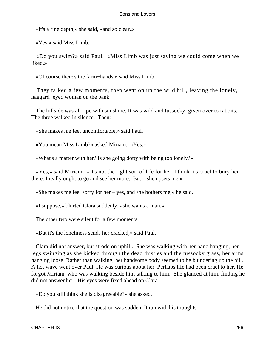«It's a fine depth,» she said, «and so clear.»

«Yes,» said Miss Limb.

 «Do you swim?» said Paul. «Miss Limb was just saying we could come when we liked.»

«Of course there's the farm−hands,» said Miss Limb.

 They talked a few moments, then went on up the wild hill, leaving the lonely, haggard−eyed woman on the bank.

 The hillside was all ripe with sunshine. It was wild and tussocky, given over to rabbits. The three walked in silence. Then:

«She makes me feel uncomfortable,» said Paul.

«You mean Miss Limb?» asked Miriam. «Yes.»

«What's a matter with her? Is she going dotty with being too lonely?»

 «Yes,» said Miriam. «It's not the right sort of life for her. I think it's cruel to bury her there. I really ought to go and see her more. But – she upsets me.»

«She makes me feel sorry for her – yes, and she bothers me,» he said.

«I suppose,» blurted Clara suddenly, «she wants a man.»

The other two were silent for a few moments.

«But it's the loneliness sends her cracked,» said Paul.

 Clara did not answer, but strode on uphill. She was walking with her hand hanging, her legs swinging as she kicked through the dead thistles and the tussocky grass, her arms hanging loose. Rather than walking, her handsome body seemed to be blundering up the hill. A hot wave went over Paul. He was curious about her. Perhaps life had been cruel to her. He forgot Miriam, who was walking beside him talking to him. She glanced at him, finding he did not answer her. His eyes were fixed ahead on Clara.

«Do you still think she is disagreeable?» she asked.

He did not notice that the question was sudden. It ran with his thoughts.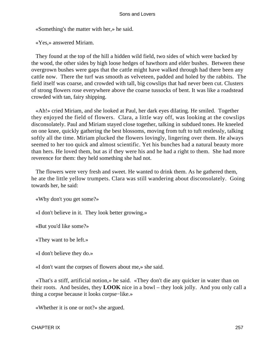«Something's the matter with her,» he said.

«Yes,» answered Miriam.

 They found at the top of the hill a hidden wild field, two sides of which were backed by the wood, the other sides by high loose hedges of hawthorn and elder bushes. Between these overgrown bushes were gaps that the cattle might have walked through had there been any cattle now. There the turf was smooth as velveteen, padded and holed by the rabbits. The field itself was coarse, and crowded with tall, big cowslips that had never been cut. Clusters of strong flowers rose everywhere above the coarse tussocks of bent. It was like a roadstead crowded with tan, fairy shipping.

 «Ah!» cried Miriam, and she looked at Paul, her dark eyes dilating. He smiled. Together they enjoyed the field of flowers. Clara, a little way off, was looking at the cowslips disconsolately. Paul and Miriam stayed close together, talking in subdued tones. He kneeled on one knee, quickly gathering the best blossoms, moving from tuft to tuft restlessly, talking softly all the time. Miriam plucked the flowers lovingly, lingering over them. He always seemed to her too quick and almost scientific. Yet his bunches had a natural beauty more than hers. He loved them, but as if they were his and he had a right to them. She had more reverence for them: they held something she had not.

 The flowers were very fresh and sweet. He wanted to drink them. As he gathered them, he ate the little yellow trumpets. Clara was still wandering about disconsolately. Going towards her, he said:

«Why don't you get some?»

«I don't believe in it. They look better growing.»

«But you'd like some?»

«They want to be left.»

«I don't believe they do.»

«I don't want the corpses of flowers about me,» she said.

 «That's a stiff, artificial notion,» he said. «They don't die any quicker in water than on their roots. And besides, they **LOOK** nice in a bowl – they look jolly. And you only call a thing a corpse because it looks corpse−like.»

«Whether it is one or not?» she argued.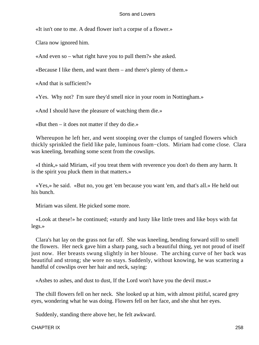«It isn't one to me. A dead flower isn't a corpse of a flower.»

Clara now ignored him.

«And even so – what right have you to pull them?» she asked.

«Because I like them, and want them – and there's plenty of them.»

«And that is sufficient?»

«Yes. Why not? I'm sure they'd smell nice in your room in Nottingham.»

«And I should have the pleasure of watching them die.»

«But then – it does not matter if they do die.»

 Whereupon he left her, and went stooping over the clumps of tangled flowers which thickly sprinkled the field like pale, luminous foam−clots. Miriam had come close. Clara was kneeling, breathing some scent from the cowslips.

 «I think,» said Miriam, «if you treat them with reverence you don't do them any harm. It is the spirit you pluck them in that matters.»

 «Yes,» he said. «But no, you get 'em because you want 'em, and that's all.» He held out his bunch.

Miriam was silent. He picked some more.

 «Look at these!» he continued; «sturdy and lusty like little trees and like boys with fat legs.»

 Clara's hat lay on the grass not far off. She was kneeling, bending forward still to smell the flowers. Her neck gave him a sharp pang, such a beautiful thing, yet not proud of itself just now. Her breasts swung slightly in her blouse. The arching curve of her back was beautiful and strong; she wore no stays. Suddenly, without knowing, he was scattering a handful of cowslips over her hair and neck, saying:

«Ashes to ashes, and dust to dust, If the Lord won't have you the devil must.»

 The chill flowers fell on her neck. She looked up at him, with almost pitiful, scared grey eyes, wondering what he was doing. Flowers fell on her face, and she shut her eyes.

Suddenly, standing there above her, he felt awkward.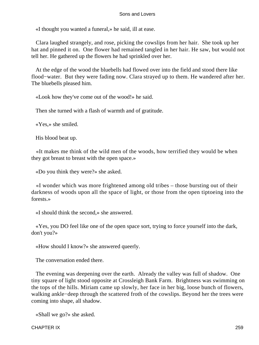«I thought you wanted a funeral,» he said, ill at ease.

 Clara laughed strangely, and rose, picking the cowslips from her hair. She took up her hat and pinned it on. One flower had remained tangled in her hair. He saw, but would not tell her. He gathered up the flowers he had sprinkled over her.

 At the edge of the wood the bluebells had flowed over into the field and stood there like flood−water. But they were fading now. Clara strayed up to them. He wandered after her. The bluebells pleased him.

«Look how they've come out of the wood!» he said.

Then she turned with a flash of warmth and of gratitude.

«Yes,» she smiled.

His blood beat up.

 «It makes me think of the wild men of the woods, how terrified they would be when they got breast to breast with the open space.»

«Do you think they were?» she asked.

 «I wonder which was more frightened among old tribes – those bursting out of their darkness of woods upon all the space of light, or those from the open tiptoeing into the forests.»

«I should think the second,» she answered.

 «Yes, you DO feel like one of the open space sort, trying to force yourself into the dark, don't you?»

«How should I know?» she answered queerly.

The conversation ended there.

 The evening was deepening over the earth. Already the valley was full of shadow. One tiny square of light stood opposite at Crossleigh Bank Farm. Brightness was swimming on the tops of the hills. Miriam came up slowly, her face in her big, loose bunch of flowers, walking ankle−deep through the scattered froth of the cowslips. Beyond her the trees were coming into shape, all shadow.

«Shall we go?» she asked.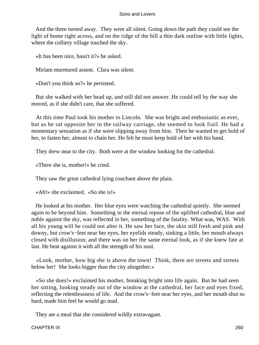And the three turned away. They were all silent. Going down the path they could see the light of home right across, and on the ridge of the hill a thin dark outline with little lights, where the colliery village touched the sky.

«It has been nice, hasn't it?» he asked.

Miriam murmured assent. Clara was silent.

«Don't you think so?» he persisted.

 But she walked with her head up, and still did not answer. He could tell by the way she moved, as if she didn't care, that she suffered.

 At this time Paul took his mother to Lincoln. She was bright and enthusiastic as ever, but as he sat opposite her in the railway carriage, she seemed to look frail. He had a momentary sensation as if she were slipping away from him. Then he wanted to get hold of her, to fasten her, almost to chain her. He felt he must keep hold of her with his hand.

They drew near to the city. Both were at the window looking for the cathedral.

«There she is, mother!» he cried.

They saw the great cathedral lying couchant above the plain.

«Ah!» she exclaimed. «So she is!»

 He looked at his mother. Her blue eyes were watching the cathedral quietly. She seemed again to be beyond him. Something in the eternal repose of the uplifted cathedral, blue and noble against the sky, was reflected in her, something of the fatality. What was, WAS. With all his young will he could not alter it. He saw her face, the skin still fresh and pink and downy, but crow's−feet near her eyes, her eyelids steady, sinking a little, her mouth always closed with disillusion; and there was on her the same eternal look, as if she knew fate at last. He beat against it with all the strength of his soul.

 «Look, mother, how big she is above the town! Think, there are streets and streets below her! She looks bigger than the city altogether.»

 «So she does!» exclaimed his mother, breaking bright into life again. But he had seen her sitting, looking steady out of the window at the cathedral, her face and eyes fixed, reflecting the relentlessness of life. And the crow's−feet near her eyes, and her mouth shut so hard, made him feel he would go mad.

They ate a meal that she considered wildly extravagant.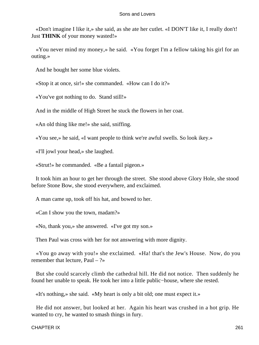«Don't imagine I like it,» she said, as she ate her cutlet. «I DON'T like it, I really don't! Just **THINK** of your money wasted!»

 «You never mind my money,» he said. «You forget I'm a fellow taking his girl for an outing.»

And he bought her some blue violets.

«Stop it at once, sir!» she commanded. «How can I do it?»

«You've got nothing to do. Stand still!»

And in the middle of High Street he stuck the flowers in her coat.

«An old thing like me!» she said, sniffing.

«You see,» he said, «I want people to think we're awful swells. So look ikey.»

«I'll jowl your head,» she laughed.

«Strut!» he commanded. «Be a fantail pigeon.»

 It took him an hour to get her through the street. She stood above Glory Hole, she stood before Stone Bow, she stood everywhere, and exclaimed.

A man came up, took off his hat, and bowed to her.

«Can I show you the town, madam?»

«No, thank you,» she answered. «I've got my son.»

Then Paul was cross with her for not answering with more dignity.

 «You go away with you!» she exclaimed. «Ha! that's the Jew's House. Now, do you remember that lecture, Paul – ?»

 But she could scarcely climb the cathedral hill. He did not notice. Then suddenly he found her unable to speak. He took her into a little public−house, where she rested.

«It's nothing,» she said. «My heart is only a bit old; one must expect it.»

 He did not answer, but looked at her. Again his heart was crushed in a hot grip. He wanted to cry, he wanted to smash things in fury.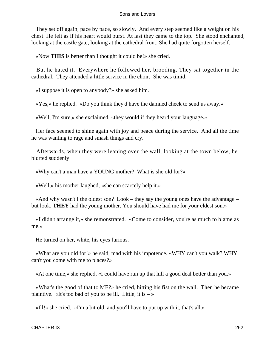They set off again, pace by pace, so slowly. And every step seemed like a weight on his chest. He felt as if his heart would burst. At last they came to the top. She stood enchanted, looking at the castle gate, looking at the cathedral front. She had quite forgotten herself.

«Now **THIS** is better than I thought it could be!» she cried.

 But he hated it. Everywhere he followed her, brooding. They sat together in the cathedral. They attended a little service in the choir. She was timid.

«I suppose it is open to anybody?» she asked him.

«Yes,» he replied. «Do you think they'd have the damned cheek to send us away.»

«Well, I'm sure,» she exclaimed, «they would if they heard your language.»

 Her face seemed to shine again with joy and peace during the service. And all the time he was wanting to rage and smash things and cry.

 Afterwards, when they were leaning over the wall, looking at the town below, he blurted suddenly:

«Why can't a man have a YOUNG mother? What is she old for?»

«Well,» his mother laughed, «she can scarcely help it.»

«And why wasn't I the oldest son? Look – they say the young ones have the advantage – but look, **THEY** had the young mother. You should have had me for your eldest son.»

 «I didn't arrange it,» she remonstrated. «Come to consider, you're as much to blame as me.»

He turned on her, white, his eyes furious.

 «What are you old for!» he said, mad with his impotence. «WHY can't you walk? WHY can't you come with me to places?»

«At one time,» she replied, «I could have run up that hill a good deal better than you.»

 «What's the good of that to ME?» he cried, hitting his fist on the wall. Then he became plaintive. «It's too bad of you to be ill. Little, it is  $-\infty$ 

«Ill!» she cried. «I'm a bit old, and you'll have to put up with it, that's all.»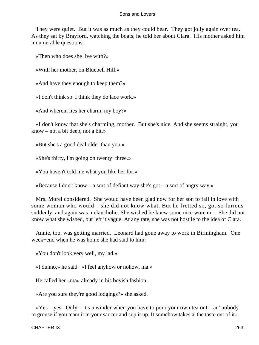They were quiet. But it was as much as they could bear. They got jolly again over tea. As they sat by Brayford, watching the boats, he told her about Clara. His mother asked him innumerable questions.

«Then who does she live with?»

«With her mother, on Bluebell Hill.»

«And have they enough to keep them?»

«I don't think so. I think they do lace work.»

«And wherein lies her charm, my boy?»

 «I don't know that she's charming, mother. But she's nice. And she seems straight, you know – not a bit deep, not a bit.»

«But she's a good deal older than you.»

«She's thirty, I'm going on twenty−three.»

«You haven't told me what you like her for.»

«Because I don't know – a sort of defiant way she's got – a sort of angry way.»

 Mrs. Morel considered. She would have been glad now for her son to fall in love with some woman who would – she did not know what. But he fretted so, got so furious suddenly, and again was melancholic. She wished he knew some nice woman – She did not know what she wished, but left it vague. At any rate, she was not hostile to the idea of Clara.

 Annie, too, was getting married. Leonard had gone away to work in Birmingham. One week−end when he was home she had said to him:

«You don't look very well, my lad.»

«I dunno,» he said. «I feel anyhow or nohow, ma.»

He called her «ma» already in his boyish fashion.

«Are you sure they're good lodgings?» she asked.

 $\langle x \rangle$   $\langle x \rangle$  /  $\langle x \rangle$  =  $\langle y \rangle$  =  $\langle x \rangle$  a winder when you have to pour your own tea out – an' nobody to grouse if you team it in your saucer and sup it up. It somehow takes a' the taste out of it.»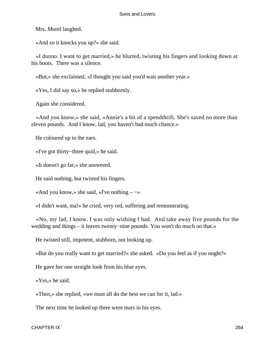Mrs. Morel laughed.

«And so it knocks you up?» she said.

 «I dunno. I want to get married,» he blurted, twisting his fingers and looking down at his boots. There was a silence.

«But,» she exclaimed, «I thought you said you'd wait another year.»

«Yes, I did say so,» he replied stubbornly.

Again she considered.

 «And you know,» she said, «Annie's a bit of a spendthrift. She's saved no more than eleven pounds. And I know, lad, you haven't had much chance.»

He coloured up to the ears.

«I've got thirty−three quid,» he said.

«It doesn't go far,» she answered.

He said nothing, but twisted his fingers.

«And you know,» she said, «I've nothing –  $\rightarrow$ »

«I didn't want, ma!» he cried, very red, suffering and remonstrating.

 «No, my lad, I know. I was only wishing I had. And take away five pounds for the wedding and things – it leaves twenty−nine pounds. You won't do much on that.»

He twisted still, impotent, stubborn, not looking up.

«But do you really want to get married?» she asked. «Do you feel as if you ought?»

He gave her one straight look from his blue eyes.

«Yes,» he said.

«Then,» she replied, «we must all do the best we can for it, lad.»

The next time he looked up there were tears in his eyes.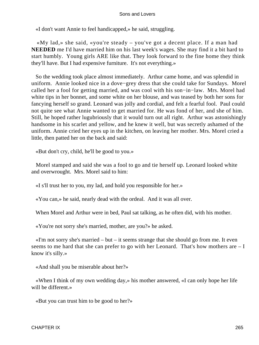«I don't want Annie to feel handicapped,» he said, struggling.

 «My lad,» she said, «you're steady – you've got a decent place. If a man had **NEEDED** me I'd have married him on his last week's wages. She may find it a bit hard to start humbly. Young girls ARE like that. They look forward to the fine home they think they'll have. But I had expensive furniture. It's not everything.»

 So the wedding took place almost immediately. Arthur came home, and was splendid in uniform. Annie looked nice in a dove−grey dress that she could take for Sundays. Morel called her a fool for getting married, and was cool with his son−in−law. Mrs. Morel had white tips in her bonnet, and some white on her blouse, and was teased by both her sons for fancying herself so grand. Leonard was jolly and cordial, and felt a fearful fool. Paul could not quite see what Annie wanted to get married for. He was fond of her, and she of him. Still, he hoped rather lugubriously that it would turn out all right. Arthur was astonishingly handsome in his scarlet and yellow, and he knew it well, but was secretly ashamed of the uniform. Annie cried her eyes up in the kitchen, on leaving her mother. Mrs. Morel cried a little, then patted her on the back and said:

«But don't cry, child, he'll be good to you.»

 Morel stamped and said she was a fool to go and tie herself up. Leonard looked white and overwrought. Mrs. Morel said to him:

«I s'll trust her to you, my lad, and hold you responsible for her.»

«You can,» he said, nearly dead with the ordeal. And it was all over.

When Morel and Arthur were in bed, Paul sat talking, as he often did, with his mother.

«You're not sorry she's married, mother, are you?» he asked.

 «I'm not sorry she's married – but – it seems strange that she should go from me. It even seems to me hard that she can prefer to go with her Leonard. That's how mothers are  $-I$ know it's silly.»

«And shall you be miserable about her?»

 «When I think of my own wedding day,» his mother answered, «I can only hope her life will be different.»

«But you can trust him to be good to her?»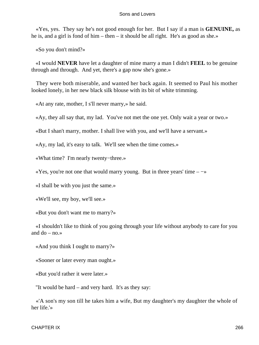«Yes, yes. They say he's not good enough for her. But I say if a man is **GENUINE,** as he is, and a girl is fond of him – then – it should be all right. He's as good as she.»

«So you don't mind?»

 «I would **NEVER** have let a daughter of mine marry a man I didn't **FEEL** to be genuine through and through. And yet, there's a gap now she's gone.»

 They were both miserable, and wanted her back again. It seemed to Paul his mother looked lonely, in her new black silk blouse with its bit of white trimming.

«At any rate, mother, I s'll never marry,» he said.

«Ay, they all say that, my lad. You've not met the one yet. Only wait a year or two.»

«But I shan't marry, mother. I shall live with you, and we'll have a servant.»

«Ay, my lad, it's easy to talk. We'll see when the time comes.»

«What time? I'm nearly twenty−three.»

 $\langle x \rangle$  are not one that would marry young. But in three years' time –  $-\rangle$ 

«I shall be with you just the same.»

«We'll see, my boy, we'll see.»

«But you don't want me to marry?»

 «I shouldn't like to think of you going through your life without anybody to care for you and do  $-$  no. $\gg$ 

«And you think I ought to marry?»

«Sooner or later every man ought.»

«But you'd rather it were later.»

"It would be hard – and very hard. It's as they say:

 «'A son's my son till he takes him a wife, But my daughter's my daughter the whole of her life.'»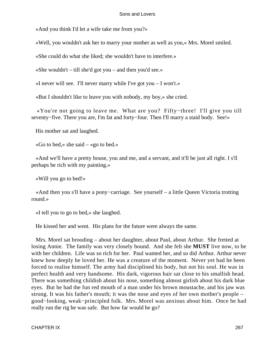«And you think I'd let a wife take me from you?»

«Well, you wouldn't ask her to marry your mother as well as you,» Mrs. Morel smiled.

«She could do what she liked; she wouldn't have to interfere.»

«She wouldn't – till she'd got you – and then you'd see.»

«I never will see. I'll never marry while I've got you  $-I$  won't.»

«But I shouldn't like to leave you with nobody, my boy,» she cried.

 «You're not going to leave me. What are you? Fifty−three! I'll give you till seventy−five. There you are, I'm fat and forty–four. Then I'll marry a staid body. See!»

His mother sat and laughed.

«Go to bed,» she said – «go to bed.»

 «And we'll have a pretty house, you and me, and a servant, and it'll be just all right. I s'll perhaps be rich with my painting.»

«Will you go to bed!»

 «And then you s'll have a pony−carriage. See yourself – a little Queen Victoria trotting round.»

«I tell you to go to bed,» she laughed.

He kissed her and went. His plans for the future were always the same.

 Mrs. Morel sat brooding – about her daughter, about Paul, about Arthur. She fretted at losing Annie. The family was very closely bound. And she felt she **MUST** live now, to be with her children. Life was so rich for her. Paul wanted her, and so did Arthur. Arthur never knew how deeply he loved her. He was a creature of the moment. Never yet had he been forced to realise himself. The army had disciplined his body, but not his soul. He was in perfect health and very handsome. His dark, vigorous hair sat close to his smallish head. There was something childish about his nose, something almost girlish about his dark blue eyes. But he had the fun red mouth of a man under his brown moustache, and his jaw was strong. It was his father's mouth; it was the nose and eyes of her own mother's people – good−looking, weak−principled folk. Mrs. Morel was anxious about him. Once he had really run the rig he was safe. But how far would he go?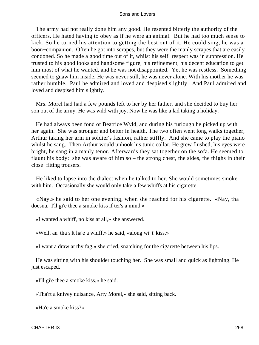The army had not really done him any good. He resented bitterly the authority of the officers. He hated having to obey as if he were an animal. But he had too much sense to kick. So he turned his attention to getting the best out of it. He could sing, he was a boon−companion. Often he got into scrapes, but they were the manly scrapes that are easily condoned. So he made a good time out of it, whilst his self−respect was in suppression. He trusted to his good looks and handsome figure, his refinement, his decent education to get him most of what he wanted, and he was not disappointed. Yet he was restless. Something seemed to gnaw him inside. He was never still, he was never alone. With his mother he was rather humble. Paul he admired and loved and despised slightly. And Paul admired and loved and despised him slightly.

 Mrs. Morel had had a few pounds left to her by her father, and she decided to buy her son out of the army. He was wild with joy. Now he was like a lad taking a holiday.

 He had always been fond of Beatrice Wyld, and during his furlough he picked up with her again. She was stronger and better in health. The two often went long walks together, Arthur taking her arm in soldier's fashion, rather stiffly. And she came to play the piano whilst he sang. Then Arthur would unhook his tunic collar. He grew flushed, his eyes were bright, he sang in a manly tenor. Afterwards they sat together on the sofa. He seemed to flaunt his body: she was aware of him so – the strong chest, the sides, the thighs in their close−fitting trousers.

 He liked to lapse into the dialect when he talked to her. She would sometimes smoke with him. Occasionally she would only take a few whiffs at his cigarette.

 «Nay,» he said to her one evening, when she reached for his cigarette. «Nay, tha doesna. I'll gi'e thee a smoke kiss if ter's a mind.»

«I wanted a whiff, no kiss at all,» she answered.

«Well, an' tha s'lt ha'e a whiff,» he said, «along wi' t' kiss.»

«I want a draw at thy fag,» she cried, snatching for the cigarette between his lips.

 He was sitting with his shoulder touching her. She was small and quick as lightning. He just escaped.

«I'll gi'e thee a smoke kiss,» he said.

«Tha'rt a knivey nuisance, Arty Morel,» she said, sitting back.

«Ha'e a smoke kiss?»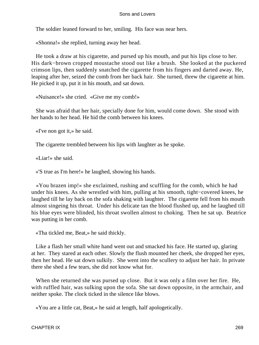The soldier leaned forward to her, smiling. His face was near hers.

«Shonna!» she replied, turning away her head.

 He took a draw at his cigarette, and pursed up his mouth, and put his lips close to her. His dark−brown cropped moustache stood out like a brush. She looked at the puckered crimson lips, then suddenly snatched the cigarette from his fingers and darted away. He, leaping after her, seized the comb from her back hair. She turned, threw the cigarette at him. He picked it up, put it in his mouth, and sat down.

«Nuisance!» she cried. «Give me my comb!»

 She was afraid that her hair, specially done for him, would come down. She stood with her hands to her head. He hid the comb between his knees.

«I've non got it,» he said.

The cigarette trembled between his lips with laughter as he spoke.

«Liar!» she said.

«'S true as I'm here!» he laughed, showing his hands.

 «You brazen imp!» she exclaimed, rushing and scuffling for the comb, which he had under his knees. As she wrestled with him, pulling at his smooth, tight−covered knees, he laughed till he lay back on the sofa shaking with laughter. The cigarette fell from his mouth almost singeing his throat. Under his delicate tan the blood flushed up, and he laughed till his blue eyes were blinded, his throat swollen almost to choking. Then he sat up. Beatrice was putting in her comb.

«Tha tickled me, Beat,» he said thickly.

 Like a flash her small white hand went out and smacked his face. He started up, glaring at her. They stared at each other. Slowly the flush mounted her cheek, she dropped her eyes, then her head. He sat down sulkily. She went into the scullery to adjust her hair. In private there she shed a few tears, she did not know what for.

 When she returned she was pursed up close. But it was only a film over her fire. He, with ruffled hair, was sulking upon the sofa. She sat down opposite, in the armchair, and neither spoke. The clock ticked in the silence like blows.

«You are a little cat, Beat,» he said at length, half apologetically.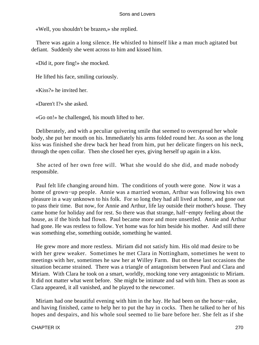«Well, you shouldn't be brazen,» she replied.

 There was again a long silence. He whistled to himself like a man much agitated but defiant. Suddenly she went across to him and kissed him.

«Did it, pore fing!» she mocked.

He lifted his face, smiling curiously.

«Kiss?» he invited her.

«Daren't I?» she asked.

«Go on!» he challenged, his mouth lifted to her.

 Deliberately, and with a peculiar quivering smile that seemed to overspread her whole body, she put her mouth on his. Immediately his arms folded round her. As soon as the long kiss was finished she drew back her head from him, put her delicate fingers on his neck, through the open collar. Then she closed her eyes, giving herself up again in a kiss.

 She acted of her own free will. What she would do she did, and made nobody responsible.

 Paul felt life changing around him. The conditions of youth were gone. Now it was a home of grown−up people. Annie was a married woman, Arthur was following his own pleasure in a way unknown to his folk. For so long they had all lived at home, and gone out to pass their time. But now, for Annie and Arthur, life lay outside their mother's house. They came home for holiday and for rest. So there was that strange, half−empty feeling about the house, as if the birds had flown. Paul became more and more unsettled. Annie and Arthur had gone. He was restless to follow. Yet home was for him beside his mother. And still there was something else, something outside, something he wanted.

 He grew more and more restless. Miriam did not satisfy him. His old mad desire to be with her grew weaker. Sometimes he met Clara in Nottingham, sometimes he went to meetings with her, sometimes he saw her at Willey Farm. But on these last occasions the situation became strained. There was a triangle of antagonism between Paul and Clara and Miriam. With Clara he took on a smart, worldly, mocking tone very antagonistic to Miriam. It did not matter what went before. She might be intimate and sad with him. Then as soon as Clara appeared, it all vanished, and he played to the newcomer.

 Miriam had one beautiful evening with him in the hay. He had been on the horse−rake, and having finished, came to help her to put the hay in cocks. Then he talked to her of his hopes and despairs, and his whole soul seemed to lie bare before her. She felt as if she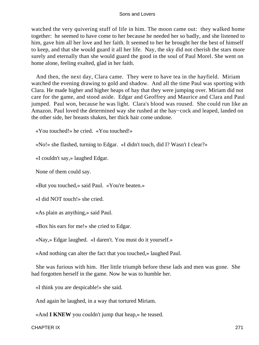watched the very quivering stuff of life in him. The moon came out: they walked home together: he seemed to have come to her because he needed her so badly, and she listened to him, gave him all her love and her faith. It seemed to her he brought her the best of himself to keep, and that she would guard it all her life. Nay, the sky did not cherish the stars more surely and eternally than she would guard the good in the soul of Paul Morel. She went on home alone, feeling exalted, glad in her faith.

 And then, the next day, Clara came. They were to have tea in the hayfield. Miriam watched the evening drawing to gold and shadow. And all the time Paul was sporting with Clara. He made higher and higher heaps of hay that they were jumping over. Miriam did not care for the game, and stood aside. Edgar and Geoffrey and Maurice and Clara and Paul jumped. Paul won, because he was light. Clara's blood was roused. She could run like an Amazon. Paul loved the determined way she rushed at the hay−cock and leaped, landed on the other side, her breasts shaken, her thick hair come undone.

«You touched!» he cried. «You touched!»

«No!» she flashed, turning to Edgar. «I didn't touch, did I? Wasn't I clear?»

«I couldn't say,» laughed Edgar.

None of them could say.

«But you touched,» said Paul. «You're beaten.»

«I did NOT touch!» she cried.

«As plain as anything,» said Paul.

«Box his ears for me!» she cried to Edgar.

«Nay,» Edgar laughed. «I daren't. You must do it yourself.»

«And nothing can alter the fact that you touched,» laughed Paul.

 She was furious with him. Her little triumph before these lads and men was gone. She had forgotten herself in the game. Now he was to humble her.

«I think you are despicable!» she said.

And again he laughed, in a way that tortured Miriam.

«And **I KNEW** you couldn't jump that heap,» he teased.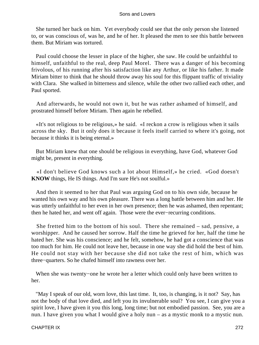She turned her back on him. Yet everybody could see that the only person she listened to, or was conscious of, was he, and he of her. It pleased the men to see this battle between them. But Miriam was tortured.

 Paul could choose the lesser in place of the higher, she saw. He could be unfaithful to himself, unfaithful to the real, deep Paul Morel. There was a danger of his becoming frivolous, of his running after his satisfaction like any Arthur, or like his father. It made Miriam bitter to think that he should throw away his soul for this flippant traffic of triviality with Clara. She walked in bitterness and silence, while the other two rallied each other, and Paul sported.

 And afterwards, he would not own it, but he was rather ashamed of himself, and prostrated himself before Miriam. Then again he rebelled.

 «It's not religious to be religious,» he said. «I reckon a crow is religious when it sails across the sky. But it only does it because it feels itself carried to where it's going, not because it thinks it is being eternal.»

 But Miriam knew that one should be religious in everything, have God, whatever God might be, present in everything.

 «I don't believe God knows such a lot about Himself,» he cried. «God doesn't **KNOW** things, He IS things. And I'm sure He's not soulful.»

 And then it seemed to her that Paul was arguing God on to his own side, because he wanted his own way and his own pleasure. There was a long battle between him and her. He was utterly unfaithful to her even in her own presence; then he was ashamed, then repentant; then he hated her, and went off again. Those were the ever−recurring conditions.

 She fretted him to the bottom of his soul. There she remained – sad, pensive, a worshipper. And he caused her sorrow. Half the time he grieved for her, half the time he hated her. She was his conscience; and he felt, somehow, he had got a conscience that was too much for him. He could not leave her, because in one way she did hold the best of him. He could not stay with her because she did not take the rest of him, which was three−quarters. So he chafed himself into rawness over her.

 When she was twenty−one he wrote her a letter which could only have been written to her.

 "May I speak of our old, worn love, this last time. It, too, is changing, is it not? Say, has not the body of that love died, and left you its invulnerable soul? You see, I can give you a spirit love, I have given it you this long, long time; but not embodied passion. See, you are a nun. I have given you what I would give a holy nun – as a mystic monk to a mystic nun.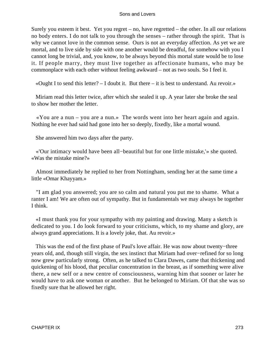Surely you esteem it best. Yet you regret – no, have regretted – the other. In all our relations no body enters. I do not talk to you through the senses – rather through the spirit. That is why we cannot love in the common sense. Ours is not an everyday affection. As yet we are mortal, and to live side by side with one another would be dreadful, for somehow with you I cannot long be trivial, and, you know, to be always beyond this mortal state would be to lose it. If people marry, they must live together as affectionate humans, who may be commonplace with each other without feeling awkward – not as two souls. So I feel it.

«Ought I to send this letter?  $- I$  doubt it. But there  $-$  it is best to understand. Au revoir.»

 Miriam read this letter twice, after which she sealed it up. A year later she broke the seal to show her mother the letter.

 «You are a nun – you are a nun.» The words went into her heart again and again. Nothing he ever had said had gone into her so deeply, fixedly, like a mortal wound.

She answered him two days after the party.

 «'Our intimacy would have been all−beautiful but for one little mistake,'» she quoted. «Was the mistake mine?»

 Almost immediately he replied to her from Nottingham, sending her at the same time a little «Omar Khayyam.»

 "I am glad you answered; you are so calm and natural you put me to shame. What a ranter I am! We are often out of sympathy. But in fundamentals we may always be together I think.

 «I must thank you for your sympathy with my painting and drawing. Many a sketch is dedicated to you. I do look forward to your criticisms, which, to my shame and glory, are always grand appreciations. It is a lovely joke, that. Au revoir.»

 This was the end of the first phase of Paul's love affair. He was now about twenty−three years old, and, though still virgin, the sex instinct that Miriam had over−refined for so long now grew particularly strong. Often, as he talked to Clara Dawes, came that thickening and quickening of his blood, that peculiar concentration in the breast, as if something were alive there, a new self or a new centre of consciousness, warning him that sooner or later he would have to ask one woman or another. But he belonged to Miriam. Of that she was so fixedly sure that he allowed her right.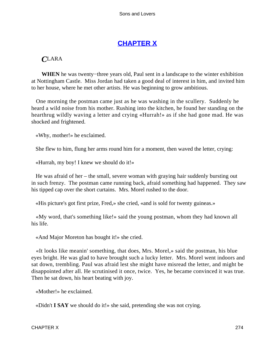# **[CHAPTER X](#page-470-0)**

# *C*LARA

**WHEN** he was twenty−three years old, Paul sent in a landscape to the winter exhibition at Nottingham Castle. Miss Jordan had taken a good deal of interest in him, and invited him to her house, where he met other artists. He was beginning to grow ambitious.

 One morning the postman came just as he was washing in the scullery. Suddenly he heard a wild noise from his mother. Rushing into the kitchen, he found her standing on the hearthrug wildly waving a letter and crying «Hurrah!» as if she had gone mad. He was shocked and frightened.

«Why, mother!» he exclaimed.

She flew to him, flung her arms round him for a moment, then waved the letter, crying:

«Hurrah, my boy! I knew we should do it!»

 He was afraid of her – the small, severe woman with graying hair suddenly bursting out in such frenzy. The postman came running back, afraid something had happened. They saw his tipped cap over the short curtains. Mrs. Morel rushed to the door.

«His picture's got first prize, Fred,» she cried, «and is sold for twenty guineas.»

 «My word, that's something like!» said the young postman, whom they had known all his life.

«And Major Moreton has bought it!» she cried.

 «It looks like meanin' something, that does, Mrs. Morel,» said the postman, his blue eyes bright. He was glad to have brought such a lucky letter. Mrs. Morel went indoors and sat down, trembling. Paul was afraid lest she might have misread the letter, and might be disappointed after all. He scrutinised it once, twice. Yes, he became convinced it was true. Then he sat down, his heart beating with joy.

«Mother!» he exclaimed.

«Didn't **I SAY** we should do it!» she said, pretending she was not crying.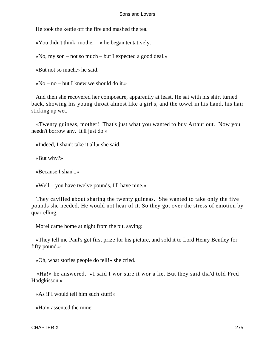He took the kettle off the fire and mashed the tea.

«You didn't think, mother  $-\infty$  he began tentatively.

«No, my son – not so much – but I expected a good deal.»

«But not so much,» he said.

«No – no – but I knew we should do it.»

 And then she recovered her composure, apparently at least. He sat with his shirt turned back, showing his young throat almost like a girl's, and the towel in his hand, his hair sticking up wet.

 «Twenty guineas, mother! That's just what you wanted to buy Arthur out. Now you needn't borrow any. It'll just do.»

«Indeed, I shan't take it all,» she said.

«But why?»

«Because I shan't.»

«Well – you have twelve pounds, I'll have nine.»

 They cavilled about sharing the twenty guineas. She wanted to take only the five pounds she needed. He would not hear of it. So they got over the stress of emotion by quarrelling.

Morel came home at night from the pit, saying:

 «They tell me Paul's got first prize for his picture, and sold it to Lord Henry Bentley for fifty pound.»

«Oh, what stories people do tell!» she cried.

 «Ha!» he answered. «I said I wor sure it wor a lie. But they said tha'd told Fred Hodgkisson.»

«As if I would tell him such stuff!»

«Ha!» assented the miner.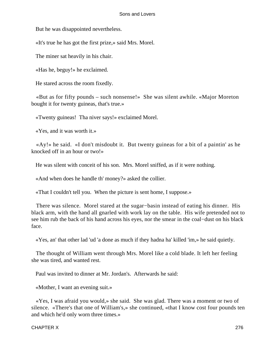But he was disappointed nevertheless.

«It's true he has got the first prize,» said Mrs. Morel.

The miner sat heavily in his chair.

«Has he, beguy!» he exclaimed.

He stared across the room fixedly.

 «But as for fifty pounds – such nonsense!» She was silent awhile. «Major Moreton bought it for twenty guineas, that's true.»

«Twenty guineas! Tha niver says!» exclaimed Morel.

«Yes, and it was worth it.»

 «Ay!» he said. «I don't misdoubt it. But twenty guineas for a bit of a paintin' as he knocked off in an hour or two!»

He was silent with conceit of his son. Mrs. Morel sniffed, as if it were nothing.

«And when does he handle th' money?» asked the collier.

«That I couldn't tell you. When the picture is sent home, I suppose.»

 There was silence. Morel stared at the sugar−basin instead of eating his dinner. His black arm, with the hand all gnarled with work lay on the table. His wife pretended not to see him rub the back of his hand across his eyes, nor the smear in the coal−dust on his black face.

«Yes, an' that other lad 'ud 'a done as much if they hadna ha' killed 'im,» he said quietly.

 The thought of William went through Mrs. Morel like a cold blade. It left her feeling she was tired, and wanted rest.

Paul was invited to dinner at Mr. Jordan's. Afterwards he said:

«Mother, I want an evening suit.»

 «Yes, I was afraid you would,» she said. She was glad. There was a moment or two of silence. «There's that one of William's,» she continued, «that I know cost four pounds ten and which he'd only worn three times.»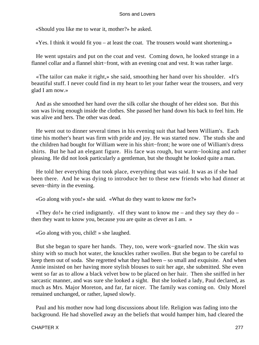«Should you like me to wear it, mother?» he asked.

«Yes. I think it would fit you – at least the coat. The trousers would want shortening.»

 He went upstairs and put on the coat and vest. Coming down, he looked strange in a flannel collar and a flannel shirt−front, with an evening coat and vest. It was rather large.

 «The tailor can make it right,» she said, smoothing her hand over his shoulder. «It's beautiful stuff. I never could find in my heart to let your father wear the trousers, and very glad I am now.»

 And as she smoothed her hand over the silk collar she thought of her eldest son. But this son was living enough inside the clothes. She passed her hand down his back to feel him. He was alive and hers. The other was dead.

 He went out to dinner several times in his evening suit that had been William's. Each time his mother's heart was firm with pride and joy. He was started now. The studs she and the children had bought for William were in his shirt−front; he wore one of William's dress shirts. But he had an elegant figure. His face was rough, but warm−looking and rather pleasing. He did not look particularly a gentleman, but she thought he looked quite a man.

 He told her everything that took place, everything that was said. It was as if she had been there. And he was dying to introduce her to these new friends who had dinner at seven−thirty in the evening.

«Go along with you!» she said. «What do they want to know me for?»

 «They do!» he cried indignantly. «If they want to know me – and they say they do – then they want to know you, because you are quite as clever as I am. »

«Go along with you, child! » she laughed.

 But she began to spare her hands. They, too, were work−gnarled now. The skin was shiny with so much hot water, the knuckles rather swollen. But she began to be careful to keep them out of soda. She regretted what they had been – so small and exquisite. And when Annie insisted on her having more stylish blouses to suit her age, she submitted. She even went so far as to allow a black velvet bow to be placed on her hair. Then she sniffed in her sarcastic manner, and was sure she looked a sight. But she looked a lady, Paul declared, as much as Mrs. Major Moreton, and far, far nicer. The family was coming on. Only Morel remained unchanged, or rather, lapsed slowly.

 Paul and his mother now had long discussions about life. Religion was fading into the background. He had shovelled away an the beliefs that would hamper him, had cleared the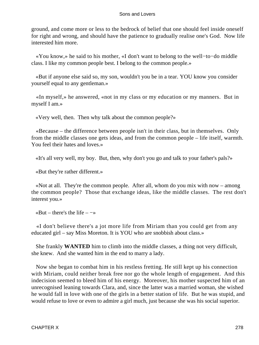ground, and come more or less to the bedrock of belief that one should feel inside oneself for right and wrong, and should have the patience to gradually realise one's God. Now life interested him more.

 «You know,» he said to his mother, «I don't want to belong to the well−to−do middle class. I like my common people best. I belong to the common people.»

 «But if anyone else said so, my son, wouldn't you be in a tear. YOU know you consider yourself equal to any gentleman.»

 «In myself,» he answered, «not in my class or my education or my manners. But in myself I am.»

«Very well, then. Then why talk about the common people?»

 «Because – the difference between people isn't in their class, but in themselves. Only from the middle classes one gets ideas, and from the common people – life itself, warmth. You feel their hates and loves.»

«It's all very well, my boy. But, then, why don't you go and talk to your father's pals?»

«But they're rather different.»

 «Not at all. They're the common people. After all, whom do you mix with now – among the common people? Those that exchange ideas, like the middle classes. The rest don't interest you.»

«But – there's the life –  $\rightarrow$ 

 «I don't believe there's a jot more life from Miriam than you could get from any educated girl – say Miss Moreton. It is YOU who are snobbish about class.»

 She frankly **WANTED** him to climb into the middle classes, a thing not very difficult, she knew. And she wanted him in the end to marry a lady.

 Now she began to combat him in his restless fretting. He still kept up his connection with Miriam, could neither break free nor go the whole length of engagement. And this indecision seemed to bleed him of his energy. Moreover, his mother suspected him of an unrecognised leaning towards Clara, and, since the latter was a married woman, she wished he would fall in love with one of the girls in a better station of life. But he was stupid, and would refuse to love or even to admire a girl much, just because she was his social superior.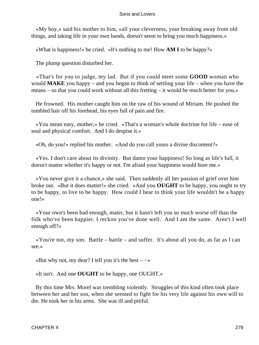«My boy,» said his mother to him, «all your cleverness, your breaking away from old things, and taking life in your own hands, doesn't seem to bring you much happiness.»

«What is happiness!» he cried. «It's nothing to me! How **AM I** to be happy?»

The plump question disturbed her.

 «That's for you to judge, my lad. But if you could meet some **GOOD** woman who would **MAKE** you happy – and you began to think of settling your life – when you have the means – so that you could work without all this fretting – it would be much better for you.»

 He frowned. His mother caught him on the raw of his wound of Miriam. He pushed the tumbled hair off his forehead, his eyes full of pain and fire.

 «You mean easy, mother,» he cried. «That's a woman's whole doctrine for life – ease of soul and physical comfort. And I do despise it.»

«Oh, do you!» replied his mother. «And do you call yours a divine discontent?»

 «Yes. I don't care about its divinity. But damn your happiness! So long as life's full, it doesn't matter whether it's happy or not. I'm afraid your happiness would bore me.»

 «You never give it a chance,» she said. Then suddenly all her passion of grief over him broke out. «But it does matter!» she cried. «And you **OUGHT** to be happy, you ought to try to be happy, to live to be happy. How could I bear to think your life wouldn't be a happy one!»

 «Your own's been bad enough, mater, but it hasn't left you so much worse off than the folk who've been happier. I reckon you've done well. And I am the same. Aren't I well enough off?»

 «You're not, my son. Battle – battle – and suffer. It's about all you do, as far as I can see.»

«But why not, my dear? I tell you it's the best  $-\rightarrow$ 

«It isn't. And one **OUGHT** to be happy, one OUGHT.»

 By this time Mrs. Morel was trembling violently. Struggles of this kind often took place between her and her son, when she seemed to fight for his very life against his own will to die. He took her in his arms. She was ill and pitiful.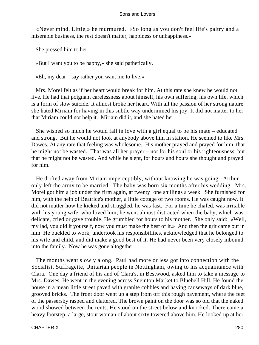«Never mind, Little,» he murmured. «So long as you don't feel life's paltry and a miserable business, the rest doesn't matter, happiness or unhappiness.»

She pressed him to her.

«But I want you to be happy,» she said pathetically.

 $\kappa$ Eh, my dear – say rather you want me to live.»

 Mrs. Morel felt as if her heart would break for him. At this rate she knew he would not live. He had that poignant carelessness about himself, his own suffering, his own life, which is a form of slow suicide. It almost broke her heart. With all the passion of her strong nature she hated Miriam for having in this subtle way undermined his joy. It did not matter to her that Miriam could not help it. Miriam did it, and she hated her.

 She wished so much he would fall in love with a girl equal to be his mate – educated and strong. But he would not look at anybody above him in station. He seemed to like Mrs. Dawes. At any rate that feeling was wholesome. His mother prayed and prayed for him, that he might not be wasted. That was all her prayer – not for his soul or his righteousness, but that he might not be wasted. And while he slept, for hours and hours she thought and prayed for him.

 He drifted away from Miriam imperceptibly, without knowing he was going. Arthur only left the army to be married. The baby was born six months after his wedding. Mrs. Morel got him a job under the firm again, at twenty−one shillings a week. She furnished for him, with the help of Beatrice's mother, a little cottage of two rooms. He was caught now. It did not matter how he kicked and struggled, he was fast. For a time he chafed, was irritable with his young wife, who loved him; he went almost distracted when the baby, which was delicate, cried or gave trouble. He grumbled for hours to his mother. She only said: «Well, my lad, you did it yourself, now you must make the best of it.» And then the grit came out in him. He buckled to work, undertook his responsibilities, acknowledged that he belonged to his wife and child, and did make a good best of it. He had never been very closely inbound into the family. Now he was gone altogether.

 The months went slowly along. Paul had more or less got into connection with the Socialist, Suffragette, Unitarian people in Nottingham, owing to his acquaintance with Clara. One day a friend of his and of Clara's, in Bestwood, asked him to take a message to Mrs. Dawes. He went in the evening across Sneinton Market to Bluebell Hill. He found the house in a mean little street paved with granite cobbles and having causeways of dark blue, grooved bricks. The front door went up a step from off this rough pavement, where the feet of the passersby rasped and clattered. The brown paint on the door was so old that the naked wood showed between the rents. He stood on the street below and knocked. There came a heavy footstep; a large, stout woman of about sixty towered above him. He looked up at her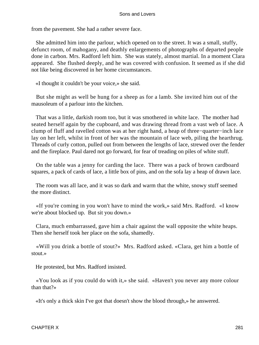from the pavement. She had a rather severe face.

 She admitted him into the parlour, which opened on to the street. It was a small, stuffy, defunct room, of mahogany, and deathly enlargements of photographs of departed people done in carbon. Mrs. Radford left him. She was stately, almost martial. In a moment Clara appeared. She flushed deeply, and he was covered with confusion. It seemed as if she did not like being discovered in her home circumstances.

«I thought it couldn't be your voice,» she said.

 But she might as well be hung for a sheep as for a lamb. She invited him out of the mausoleum of a parlour into the kitchen.

 That was a little, darkish room too, but it was smothered in white lace. The mother had seated herself again by the cupboard, and was drawing thread from a vast web of lace. A clump of fluff and ravelled cotton was at her right hand, a heap of three−quarter−inch lace lay on her left, whilst in front of her was the mountain of lace web, piling the hearthrug. Threads of curly cotton, pulled out from between the lengths of lace, strewed over the fender and the fireplace. Paul dared not go forward, for fear of treading on piles of white stuff.

 On the table was a jenny for carding the lace. There was a pack of brown cardboard squares, a pack of cards of lace, a little box of pins, and on the sofa lay a heap of drawn lace.

 The room was all lace, and it was so dark and warm that the white, snowy stuff seemed the more distinct.

 «If you're coming in you won't have to mind the work,» said Mrs. Radford. «I know we're about blocked up. But sit you down.»

 Clara, much embarrassed, gave him a chair against the wall opposite the white heaps. Then she herself took her place on the sofa, shamedly.

 «Will you drink a bottle of stout?» Mrs. Radford asked. «Clara, get him a bottle of stout.»

He protested, but Mrs. Radford insisted.

 «You look as if you could do with it,» she said. «Haven't you never any more colour than that?»

«It's only a thick skin I've got that doesn't show the blood through,» he answered.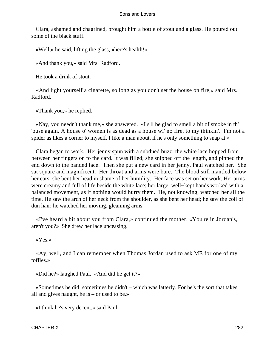Clara, ashamed and chagrined, brought him a bottle of stout and a glass. He poured out some of the black stuff.

«Well,» he said, lifting the glass, «here's health!»

«And thank you,» said Mrs. Radford.

He took a drink of stout.

 «And light yourself a cigarette, so long as you don't set the house on fire,» said Mrs. Radford.

«Thank you,» he replied.

 «Nay, you needn't thank me,» she answered. «I s'll be glad to smell a bit of smoke in th' 'ouse again. A house o' women is as dead as a house wi' no fire, to my thinkin'. I'm not a spider as likes a corner to myself. I like a man about, if he's only something to snap at.»

 Clara began to work. Her jenny spun with a subdued buzz; the white lace hopped from between her fingers on to the card. It was filled; she snipped off the length, and pinned the end down to the banded lace. Then she put a new card in her jenny. Paul watched her. She sat square and magnificent. Her throat and arms were bare. The blood still mantled below her ears; she bent her head in shame of her humility. Her face was set on her work. Her arms were creamy and full of life beside the white lace; her large, well−kept hands worked with a balanced movement, as if nothing would hurry them. He, not knowing, watched her all the time. He saw the arch of her neck from the shoulder, as she bent her head; he saw the coil of dun hair; he watched her moving, gleaming arms.

 «I've heard a bit about you from Clara,» continued the mother. «You're in Jordan's, aren't you?» She drew her lace unceasing.

«Yes.»

 «Ay, well, and I can remember when Thomas Jordan used to ask ME for one of my toffies.»

«Did he?» laughed Paul. «And did he get it?»

 «Sometimes he did, sometimes he didn't – which was latterly. For he's the sort that takes all and gives naught, he is – or used to be.»

«I think he's very decent,» said Paul.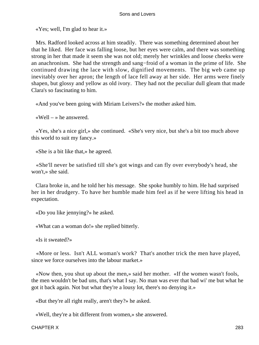«Yes; well, I'm glad to hear it.»

 Mrs. Radford looked across at him steadily. There was something determined about her that he liked. Her face was falling loose, but her eyes were calm, and there was something strong in her that made it seem she was not old; merely her wrinkles and loose cheeks were an anachronism. She had the strength and sang−froid of a woman in the prime of life. She continued drawing the lace with slow, dignified movements. The big web came up inevitably over her apron; the length of lace fell away at her side. Her arms were finely shapen, but glossy and yellow as old ivory. They had not the peculiar dull gleam that made Clara's so fascinating to him.

«And you've been going with Miriam Leivers?» the mother asked him.

«Well – » he answered.

 «Yes, she's a nice girl,» she continued. «She's very nice, but she's a bit too much above this world to suit my fancy.»

«She is a bit like that,» he agreed.

 «She'll never be satisfied till she's got wings and can fly over everybody's head, she won't,» she said.

 Clara broke in, and he told her his message. She spoke humbly to him. He had surprised her in her drudgery. To have her humble made him feel as if he were lifting his head in expectation.

«Do you like jennying?» he asked.

«What can a woman do!» she replied bitterly.

«Is it sweated?»

 «More or less. Isn't ALL woman's work? That's another trick the men have played, since we force ourselves into the labour market.»

 «Now then, you shut up about the men,» said her mother. «If the women wasn't fools, the men wouldn't be bad uns, that's what I say. No man was ever that bad wi' me but what he got it back again. Not but what they're a lousy lot, there's no denying it.»

«But they're all right really, aren't they?» he asked.

«Well, they're a bit different from women,» she answered.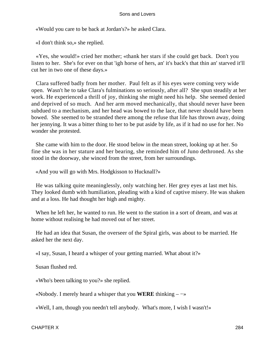«Would you care to be back at Jordan's?» he asked Clara.

«I don't think so,» she replied.

 «Yes, she would!» cried her mother; «thank her stars if she could get back. Don't you listen to her. She's for ever on that 'igh horse of hers, an' it's back's that thin an' starved it'll cut her in two one of these days.»

 Clara suffered badly from her mother. Paul felt as if his eyes were coming very wide open. Wasn't he to take Clara's fulminations so seriously, after all? She spun steadily at her work. He experienced a thrill of joy, thinking she might need his help. She seemed denied and deprived of so much. And her arm moved mechanically, that should never have been subdued to a mechanism, and her head was bowed to the lace, that never should have been bowed. She seemed to be stranded there among the refuse that life has thrown away, doing her jennying. It was a bitter thing to her to be put aside by life, as if it had no use for her. No wonder she protested.

 She came with him to the door. He stood below in the mean street, looking up at her. So fine she was in her stature and her bearing, she reminded him of Juno dethroned. As she stood in the doorway, she winced from the street, from her surroundings.

«And you will go with Mrs. Hodgkisson to Hucknall?»

 He was talking quite meaninglessly, only watching her. Her grey eyes at last met his. They looked dumb with humiliation, pleading with a kind of captive misery. He was shaken and at a loss. He had thought her high and mighty.

 When he left her, he wanted to run. He went to the station in a sort of dream, and was at home without realising he had moved out of her street.

 He had an idea that Susan, the overseer of the Spiral girls, was about to be married. He asked her the next day.

«I say, Susan, I heard a whisper of your getting married. What about it?»

Susan flushed red.

«Who's been talking to you?» she replied.

«Nobody. I merely heard a whisper that you **WERE** thinking – −»

«Well, I am, though you needn't tell anybody. What's more, I wish I wasn't!»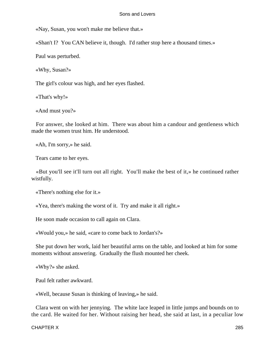«Nay, Susan, you won't make me believe that.»

«Shan't I? You CAN believe it, though. I'd rather stop here a thousand times.»

Paul was perturbed.

«Why, Susan?»

The girl's colour was high, and her eyes flashed.

«That's why!»

«And must you?»

 For answer, she looked at him. There was about him a candour and gentleness which made the women trust him. He understood.

«Ah, I'm sorry,» he said.

Tears came to her eyes.

 «But you'll see it'll turn out all right. You'll make the best of it,» he continued rather wistfully.

«There's nothing else for it.»

«Yea, there's making the worst of it. Try and make it all right.»

He soon made occasion to call again on Clara.

«Would you,» he said, «care to come back to Jordan's?»

 She put down her work, laid her beautiful arms on the table, and looked at him for some moments without answering. Gradually the flush mounted her cheek.

«Why?» she asked.

Paul felt rather awkward.

«Well, because Susan is thinking of leaving,» he said.

 Clara went on with her jennying. The white lace leaped in little jumps and bounds on to the card. He waited for her. Without raising her head, she said at last, in a peculiar low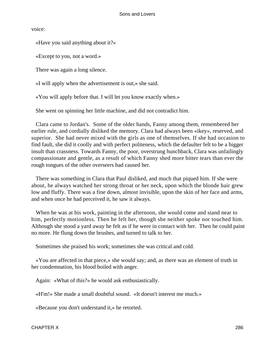voice:

«Have you said anything about it?»

«Except to you, not a word.»

There was again a long silence.

«I will apply when the advertisement is out,» she said.

«You will apply before that. I will let you know exactly when.»

She went on spinning her little machine, and did not contradict him.

 Clara came to Jordan's. Some of the older hands, Fanny among them, remembered her earlier rule, and cordially disliked the memory. Clara had always been «ikey», reserved, and superior. She had never mixed with the girls as one of themselves. If she had occasion to find fault, she did it coolly and with perfect politeness, which the defaulter felt to be a bigger insult than crassness. Towards Fanny, the poor, overstrung hunchback, Clara was unfailingly compassionate and gentle, as a result of which Fanny shed more bitter tears than ever the rough tongues of the other overseers had caused her.

 There was something in Clara that Paul disliked, and much that piqued him. If she were about, he always watched her strong throat or her neck, upon which the blonde hair grew low and fluffy. There was a fine down, almost invisible, upon the skin of her face and arms, and when once he had perceived it, he saw it always.

 When he was at his work, painting in the afternoon, she would come and stand near to him, perfectly motionless. Then he felt her, though she neither spoke nor touched him. Although she stood a yard away he felt as if he were in contact with her. Then he could paint no more. He flung down the brushes, and turned to talk to her.

Sometimes she praised his work; sometimes she was critical and cold.

 «You are affected in that piece,» she would say; and, as there was an element of truth in her condemnation, his blood boiled with anger.

Again: «What of this?» he would ask enthusiastically.

«H'm!» She made a small doubtful sound. «It doesn't interest me much.»

«Because you don't understand it,» he retorted.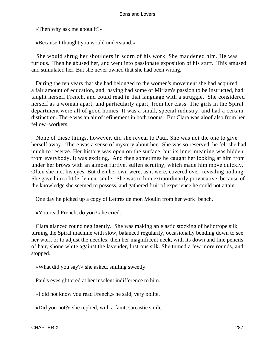«Then why ask me about it?»

«Because I thought you would understand.»

 She would shrug her shoulders in scorn of his work. She maddened him. He was furious. Then he abused her, and went into passionate exposition of his stuff. This amused and stimulated her. But she never owned that she had been wrong.

 During the ten years that she had belonged to the women's movement she had acquired a fair amount of education, and, having had some of Miriam's passion to be instructed, had taught herself French, and could read in that language with a struggle. She considered herself as a woman apart, and particularly apart, from her class. The girls in the Spiral department were all of good homes. It was a small, special industry, and had a certain distinction. There was an air of refinement in both rooms. But Clara was aloof also from her fellow−workers.

 None of these things, however, did she reveal to Paul. She was not the one to give herself away. There was a sense of mystery about her. She was so reserved, he felt she had much to reserve. Her history was open on the surface, but its inner meaning was hidden from everybody. It was exciting. And then sometimes he caught her looking at him from under her brows with an almost furtive, sullen scrutiny, which made him move quickly. Often she met his eyes. But then her own were, as it were, covered over, revealing nothing. She gave him a little, lenient smile. She was to him extraordinarily provocative, because of the knowledge she seemed to possess, and gathered fruit of experience he could not attain.

One day he picked up a copy of Lettres de mon Moulin from her work−bench.

«You read French, do you?» he cried.

 Clara glanced round negligently. She was making an elastic stocking of heliotrope silk, turning the Spiral machine with slow, balanced regularity, occasionally bending down to see her work or to adjust the needles; then her magnificent neck, with its down and fine pencils of hair, shone white against the lavender, lustrous silk. She tumed a few more rounds, and stopped.

«What did you say?» she asked, smiling sweetly.

Paul's eyes glittered at her insolent indifference to him.

«I did not know you read French,» he said, very polite.

«Did you not?» she replied, with a faint, sarcastic smile.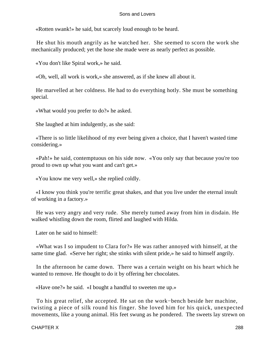«Rotten swank!» he said, but scarcely loud enough to be heard.

 He shut his mouth angrily as he watched her. She seemed to scorn the work she mechanically produced; yet the hose she made were as nearly perfect as possible.

«You don't like Spiral work,» he said.

«Oh, well, all work is work,» she answered, as if she knew all about it.

 He marvelled at her coldness. He had to do everything hotly. She must be something special.

«What would you prefer to do?» he asked.

She laughed at him indulgently, as she said:

 «There is so little likelihood of my ever being given a choice, that I haven't wasted time considering.»

 «Pah!» he said, contemptuous on his side now. «You only say that because you're too proud to own up what you want and can't get.»

«You know me very well,» she replied coldly.

 «I know you think you're terrific great shakes, and that you live under the eternal insult of working in a factory.»

 He was very angry and very rude. She merely tumed away from him in disdain. He walked whistling down the room, flirted and laughed with Hilda.

Later on he said to himself:

 «What was I so impudent to Clara for?» He was rather annoyed with himself, at the same time glad. «Serve her right; she stinks with silent pride,» he said to himself angrily.

 In the afternoon he came down. There was a certain weight on his heart which he wanted to remove. He thought to do it by offering her chocolates.

«Have one?» he said. «I bought a handful to sweeten me up.»

 To his great relief, she accepted. He sat on the work−bench beside her machine, twisting a piece of silk round his finger. She loved him for his quick, unexpected movements, like a young animal. His feet swung as he pondered. The sweets lay strewn on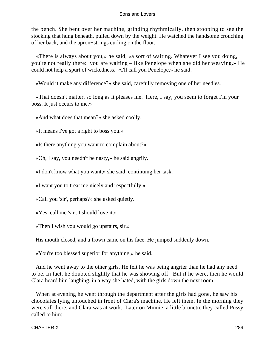the bench. She bent over her machine, grinding rhythmically, then stooping to see the stocking that hung beneath, pulled down by the weight. He watched the handsome crouching of her back, and the apron−strings curling on the floor.

 «There is always about you,» he said, «a sort of waiting. Whatever I see you doing, you're not really there: you are waiting – like Penelope when she did her weaving.» He could not help a spurt of wickedness. «I'll call you Penelope,» he said.

«Would it make any difference?» she said, carefully removing one of her needles.

 «That doesn't matter, so long as it pleases me. Here, I say, you seem to forget I'm your boss. It just occurs to me.»

«And what does that mean?» she asked coolly.

«It means I've got a right to boss you.»

«Is there anything you want to complain about?»

«Oh, I say, you needn't be nasty,» he said angrily.

«I don't know what you want,» she said, continuing her task.

«I want you to treat me nicely and respectfully.»

«Call you 'sir', perhaps?» she asked quietly.

«Yes, call me 'sir'. I should love it.»

«Then I wish you would go upstairs, sir.»

His mouth closed, and a frown came on his face. He jumped suddenly down.

«You're too blessed superior for anything,» he said.

 And he went away to the other girls. He felt he was being angrier than he had any need to be. In fact, he doubted slightly that he was showing off. But if he were, then he would. Clara heard him laughing, in a way she hated, with the girls down the next room.

 When at evening he went through the department after the girls had gone, he saw his chocolates lying untouched in front of Clara's machine. He left them. In the morning they were still there, and Clara was at work. Later on Minnie, a little brunette they called Pussy, called to him: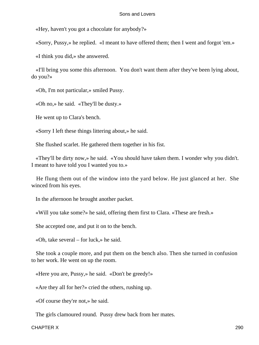«Hey, haven't you got a chocolate for anybody?»

«Sorry, Pussy,» he replied. «I meant to have offered them; then I went and forgot 'em.»

«I think you did,» she answered.

 «I'll bring you some this afternoon. You don't want them after they've been lying about, do you?»

«Oh, I'm not particular,» smiled Pussy.

«Oh no,» he said. «They'll be dusty.»

He went up to Clara's bench.

«Sorry I left these things littering about,» he said.

She flushed scarlet. He gathered them together in his fist.

 «They'll be dirty now,» he said. «You should have taken them. I wonder why you didn't. I meant to have told you I wanted you to.»

 He flung them out of the window into the yard below. He just glanced at her. She winced from his eyes.

In the afternoon he brought another packet.

«Will you take some?» he said, offering them first to Clara. «These are fresh.»

She accepted one, and put it on to the bench.

«Oh, take several – for luck,» he said.

 She took a couple more, and put them on the bench also. Then she turned in confusion to her work. He went on up the room.

«Here you are, Pussy,» he said. «Don't be greedy!»

«Are they all for her?» cried the others, rushing up.

«Of course they're not,» he said.

The girls clamoured round. Pussy drew back from her mates.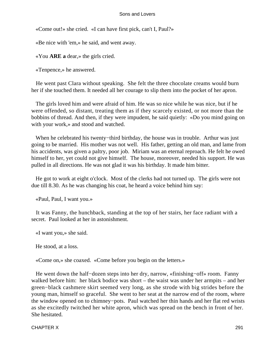«Come out!» she cried. «I can have first pick, can't I, Paul?»

«Be nice with 'em,» he said, and went away.

«You **ARE a** dear,» the girls cried.

«Tenpence,» he answered.

 He went past Clara without speaking. She felt the three chocolate creams would burn her if she touched them. It needed all her courage to slip them into the pocket of her apron.

 The girls loved him and were afraid of him. He was so nice while he was nice, but if he were offended, so distant, treating them as if they scarcely existed, or not more than the bobbins of thread. And then, if they were impudent, he said quietly: «Do you mind going on with your work,» and stood and watched.

 When he celebrated his twenty−third birthday, the house was in trouble. Arthur was just going to be married. His mother was not well. His father, getting an old man, and lame from his accidents, was given a paltry, poor job. Miriam was an eternal reproach. He felt he owed himself to her, yet could not give himself. The house, moreover, needed his support. He was pulled in all directions. He was not glad it was his birthday. It made him bitter.

 He got to work at eight o'clock. Most of the clerks had not turned up. The girls were not due till 8.30. As he was changing his coat, he heard a voice behind him say:

«Paul, Paul, I want you.»

 It was Fanny, the hunchback, standing at the top of her stairs, her face radiant with a secret. Paul looked at her in astonishment.

«I want you,» she said.

He stood, at a loss.

«Come on,» she coaxed. «Come before you begin on the letters.»

 He went down the half−dozen steps into her dry, narrow, «finishing−off» room. Fanny walked before him: her black bodice was short – the waist was under her armpits – and her green−black cashmere skirt seemed very long, as she strode with big strides before the young man, himself so graceful. She went to her seat at the narrow end of the room, where the window opened on to chimney−pots. Paul watched her thin hands and her flat red wrists as she excitedly twitched her white apron, which was spread on the bench in front of her. She hesitated.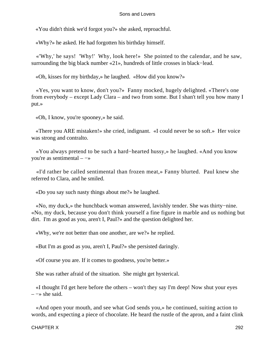«You didn't think we'd forgot you?» she asked, reproachful.

«Why?» he asked. He had forgotten his birthday himself.

 «'Why,' he says! 'Why!' Why, look here!» She pointed to the calendar, and he saw, surrounding the big black number «21», hundreds of little crosses in black−lead.

«Oh, kisses for my birthday,» he laughed. «How did you know?»

 «Yes, you want to know, don't you?» Fanny mocked, hugely delighted. «There's one from everybody – except Lady Clara – and two from some. But I shan't tell you how many I put.»

«Oh, I know, you're spooney,» he said.

 «There you ARE mistaken!» she cried, indignant. «I could never be so soft.» Her voice was strong and contralto.

 «You always pretend to be such a hard−hearted hussy,» he laughed. «And you know you're as sentimental – −»

 «I'd rather be called sentimental than frozen meat,» Fanny blurted. Paul knew she referred to Clara, and he smiled.

«Do you say such nasty things about me?» he laughed.

 «No, my duck,» the hunchback woman answered, lavishly tender. She was thirty−nine. «No, my duck, because you don't think yourself a fine figure in marble and us nothing but dirt. I'm as good as you, aren't I, Paul?» and the question delighted her.

«Why, we're not better than one another, are we?» he replied.

«But I'm as good as you, aren't I, Paul?» she persisted daringly.

«Of course you are. If it comes to goodness, you're better.»

She was rather afraid of the situation. She might get hysterical.

 «I thought I'd get here before the others – won't they say I'm deep! Now shut your eyes  $\rightarrow$  she said.

 «And open your mouth, and see what God sends you,» he continued, suiting action to words, and expecting a piece of chocolate. He heard the rustle of the apron, and a faint clink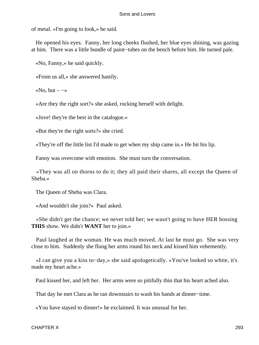of metal. «I'm going to look,» he said.

 He opened his eyes. Fanny, her long cheeks flushed, her blue eyes shining, was gazing at him. There was a little bundle of paint−tubes on the bench before him. He turned pale.

«No, Fanny,» he said quickly.

«From us all,» she answered hastily.

«No, but –  $\rightarrow$ 

«Are they the right sort?» she asked, rocking herself with delight.

«Jove! they're the best in the catalogue.»

«But they're the right sorts?» she cried.

«They're off the little list I'd made to get when my ship came in.» He bit his lip.

Fanny was overcome with emotion. She must turn the conversation.

 «They was all on thorns to do it; they all paid their shares, all except the Queen of Sheba.»

The Queen of Sheba was Clara.

«And wouldn't she join?» Paul asked.

 «She didn't get the chance; we never told her; we wasn't going to have HER bossing **THIS** show. We didn't **WANT** her to join.»

 Paul laughed at the woman. He was much moved. At last he must go. She was very close to him. Suddenly she flung her arms round his neck and kissed him vehemently.

 «I can give you a kiss to−day,» she said apologetically. «You've looked so white, it's made my heart ache.»

Paul kissed her, and left her. Her arms were so pitifully thin that his heart ached also.

That day he met Clara as he ran downstairs to wash his hands at dinner−time.

«You have stayed to dinner!» he exclaimed. It was unusual for her.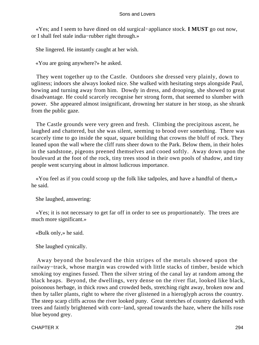«Yes; and I seem to have dined on old surgical−appliance stock. **I MUST** go out now, or I shall feel stale india−rubber right through.»

She lingered. He instantly caught at her wish.

«You are going anywhere?» he asked.

 They went together up to the Castle. Outdoors she dressed very plainly, down to ugliness; indoors she always looked nice. She walked with hesitating steps alongside Paul, bowing and turning away from him. Dowdy in dress, and drooping, she showed to great disadvantage. He could scarcely recognise her strong form, that seemed to slumber with power. She appeared almost insignificant, drowning her stature in her stoop, as she shrank from the public gaze.

 The Castle grounds were very green and fresh. Climbing the precipitous ascent, he laughed and chattered, but she was silent, seeming to brood over something. There was scarcely time to go inside the squat, square building that crowns the bluff of rock. They leaned upon the wall where the cliff runs sheer down to the Park. Below them, in their holes in the sandstone, pigeons preened themselves and cooed softly. Away down upon the boulevard at the foot of the rock, tiny trees stood in their own pools of shadow, and tiny people went scurrying about in almost ludicrous importance.

 «You feel as if you could scoop up the folk like tadpoles, and have a handful of them,» he said.

She laughed, answering:

 «Yes; it is not necessary to get far off in order to see us proportionately. The trees are much more significant.»

«Bulk only,» he said.

She laughed cynically.

 Away beyond the boulevard the thin stripes of the metals showed upon the railway−track, whose margin was crowded with little stacks of timber, beside which smoking toy engines fussed. Then the silver string of the canal lay at random among the black heaps. Beyond, the dwellings, very dense on the river flat, looked like black, poisonous herbage, in thick rows and crowded beds, stretching right away, broken now and then by taller plants, right to where the river glistened in a hieroglyph across the country. The steep scarp cliffs across the river looked puny. Great stretches of country darkened with trees and faintly brightened with corn−land, spread towards the haze, where the hills rose blue beyond grey.

CHAPTER X 294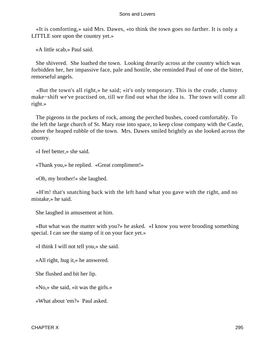«It is comforting,» said Mrs. Dawes, «to think the town goes no farther. It is only a LITTLE sore upon the country yet.»

«A little scab,» Paul said.

 She shivered. She loathed the town. Looking drearily across at the country which was forbidden her, her impassive face, pale and hostile, she reminded Paul of one of the bitter, remorseful angels.

 «But the town's all right,» he said; «it's only temporary. This is the crude, clumsy make−shift we've practised on, till we find out what the idea is. The town will come all right.»

 The pigeons in the pockets of rock, among the perched bushes, cooed comfortably. To the left the large church of St. Mary rose into space, to keep close company with the Castle, above the heaped rubble of the town. Mrs. Dawes smiled brightly as she looked across the country.

«I feel better,» she said.

«Thank you,» he replied. «Great compliment!»

«Oh, my brother!» she laughed.

 «H'm! that's snatching back with the left hand what you gave with the right, and no mistake,» he said.

She laughed in amusement at him.

 «But what was the matter with you?» he asked. «I know you were brooding something special. I can see the stamp of it on your face yet.»

«I think I will not tell you,» she said.

«All right, hug it,» he answered.

She flushed and bit her lip.

«No,» she said, «it was the girls.»

«What about 'em?» Paul asked.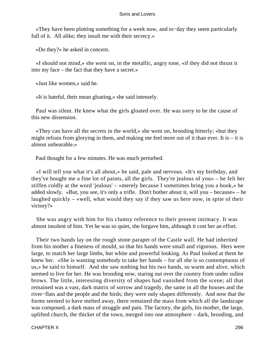«They have been plotting something for a week now, and to−day they seem particularly full of it. All alike; they insult me with their secrecy.»

«Do they?» he asked in concern.

 «I should not mind,» she went on, in the metallic, angry tone, «if they did not thrust it into my face – the fact that they have a secret.»

«Just like women,» said he.

«It is hateful, their mean gloating,» she said intensely.

 Paul was silent. He knew what the girls gloated over. He was sorry to be the cause of this new dissension.

 «They can have all the secrets in the world,» she went on, brooding bitterly; «but they might refrain from glorying in them, and making me feel more out of it than ever. It is  $-$  it is almost unbearable.»

Paul thought for a few minutes. He was much perturbed.

 «I will tell you what it's all about,» he said, pale and nervous. «It's my birthday, and they've bought me a fine lot of paints, all the girls. They're jealous of you» – he felt her stiffen coldly at the word 'jealous' – «merely because I sometimes bring you a book,» he added slowly. «But, you see, it's only a trifle. Don't bother about it, will you – because» – he laughed quickly – «well, what would they say if they saw us here now, in spite of their victory?»

 She was angry with him for his clumsy reference to their present intimacy. It was almost insolent of him. Yet he was so quiet, she forgave him, although it cost her an effort.

 Their two hands lay on the rough stone parapet of the Castle wall. He had inherited from his mother a fineness of mould, so that his hands were small and vigorous. Hers were large, to match her large limbs, but white and powerful looking. As Paul looked at them he knew her. «She is wanting somebody to take her hands – for all she is so contemptuous of us,» he said to himself. And she saw nothing but his two hands, so warm and alive, which seemed to live for her. He was brooding now, staring out over the country from under sullen brows. The little, interesting diversity of shapes had vanished from the scene; all that remained was a vast, dark matrix of sorrow and tragedy, the same in all the houses and the river−flats and the people and the birds; they were only shapen differently. And now that the forms seemed to have melted away, there remained the mass from which all the landscape was composed, a dark mass of struggle and pain. The factory, the girls, his mother, the large, uplifted church, the thicket of the town, merged into one atmosphere – dark, brooding, and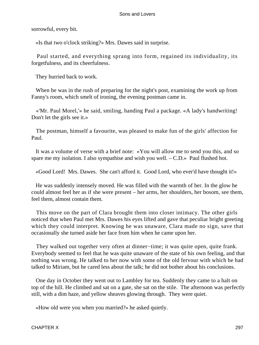sorrowful, every bit.

«Is that two o'clock striking?» Mrs. Dawes said in surprise.

 Paul started, and everything sprang into form, regained its individuality, its forgetfulness, and its cheerfulness.

They hurried back to work.

 When he was in the rush of preparing for the night's post, examining the work up from Fanny's room, which smelt of ironing, the evening postman came in.

 «'Mr. Paul Morel,'» he said, smiling, handing Paul a package. «A lady's handwriting! Don't let the girls see it.»

 The postman, himself a favourite, was pleased to make fun of the girls' affection for Paul.

 It was a volume of verse with a brief note: «You will allow me to send you this, and so spare me my isolation. I also sympathise and wish you well. – C.D.» Paul flushed hot.

«Good Lord! Mrs. Dawes. She can't afford it. Good Lord, who ever'd have thought it!»

 He was suddenly intensely moved. He was filled with the warmth of her. In the glow he could almost feel her as if she were present – her arms, her shoulders, her bosom, see them, feel them, almost contain them.

 This move on the part of Clara brought them into closer intimacy. The other girls noticed that when Paul met Mrs. Dawes his eyes lifted and gave that peculiar bright greeting which they could interpret. Knowing he was unaware, Clara made no sign, save that occasionally she turned aside her face from him when he came upon her.

 They walked out together very often at dinner−time; it was quite open, quite frank. Everybody seemed to feel that he was quite unaware of the state of his own feeling, and that nothing was wrong. He talked to her now with some of the old fervour with which he had talked to Miriam, but he cared less about the talk; he did not bother about his conclusions.

 One day in October they went out to Lambley for tea. Suddenly they came to a halt on top of the hill. He climbed and sat on a gate, she sat on the stile. The afternoon was perfectly still, with a dim haze, and yellow sheaves glowing through. They were quiet.

«How old were you when you married?» he asked quietly.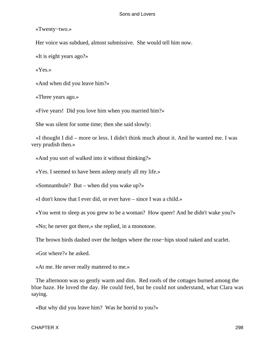«Twenty−two.»

Her voice was subdued, almost submissive. She would tell him now.

«It is eight years ago?»

«Yes.»

«And when did you leave him?»

«Three years ago.»

«Five years! Did you love him when you married him?»

She was silent for some time; then she said slowly:

 «I thought I did – more or less. I didn't think much about it. And he wanted me. I was very prudish then.»

«And you sort of walked into it without thinking?»

«Yes. I seemed to have been asleep nearly all my life.»

«Somnambule? But – when did you wake up?»

«I don't know that I ever did, or ever have – since I was a child.»

«You went to sleep as you grew to be a woman? How queer! And he didn't wake you?»

«No; he never got there,» she replied, in a monotone.

The brown birds dashed over the hedges where the rose−hips stood naked and scarlet.

«Got where?» he asked.

«At me. He never really mattered to me.»

 The afternoon was so gently warm and dim. Red roofs of the cottages burned among the blue haze. He loved the day. He could feel, but he could not understand, what Clara was saying.

«But why did you leave him? Was he horrid to you?»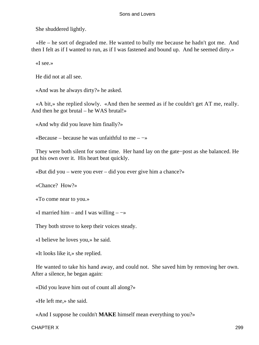She shuddered lightly.

 «He – he sort of degraded me. He wanted to bully me because he hadn't got me. And then I felt as if I wanted to run, as if I was fastened and bound up. And he seemed dirty.»

«I see.»

He did not at all see.

«And was he always dirty?» he asked.

 «A bit,» she replied slowly. «And then he seemed as if he couldn't get AT me, really. And then he got brutal – he WAS brutal!»

«And why did you leave him finally?»

«Because – because he was unfaithful to me – −»

 They were both silent for some time. Her hand lay on the gate−post as she balanced. He put his own over it. His heart beat quickly.

«But did you – were you ever – did you ever give him a chance?»

«Chance? How?»

«To come near to you.»

«I married him – and I was willing –  $\rightarrow$ 

They both strove to keep their voices steady.

«I believe he loves you,» he said.

«It looks like it,» she replied.

 He wanted to take his hand away, and could not. She saved him by removing her own. After a silence, he began again:

«Did you leave him out of count all along?»

«He left me,» she said.

«And I suppose he couldn't **MAKE** himself mean everything to you?»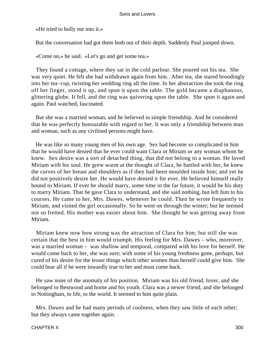«He tried to bully me into it.»

But the conversation had got them both out of their depth. Suddenly Paul jumped down.

«Come on,» he said. «Let's go and get some tea.»

 They found a cottage, where they sat in the cold parlour. She poured out his tea. She was very quiet. He felt she had withdrawn again from him. After tea, she stared broodingly into her tea−cup, twisting her wedding ring all the time. In her abstraction she took the ring off her finger, stood it up, and spun it upon the table. The gold became a diaphanous, glittering globe. It fell, and the ring was quivering upon the table. She spun it again and again. Paul watched, fascinated.

 But she was a married woman, and he believed in simple friendship. And he considered that he was perfectly honourable with regard to her. It was only a friendship between man and woman, such as any civilised persons might have.

 He was like so many young men of his own age. Sex had become so complicated in him that he would have denied that he ever could want Clara or Miriam or any woman whom he knew. Sex desire was a sort of detached thing, that did not belong to a woman. He loved Miriam with his soul. He grew warm at the thought of Clara, he battled with her, he knew the curves of her breast and shoulders as if they had been moulded inside him; and yet he did not positively desire her. He would have denied it for ever. He believed himself really bound to Miriam. If ever he should marry, some time in the far future, it would be his duty to marry Miriam. That he gave Clara to understand, and she said nothing, but left him to his courses. He came to her, Mrs. Dawes, whenever he could. Then he wrote frequently to Miriam, and visited the girl occasionally. So he went on through the winter; but he seemed not so fretted. His mother was easier about him. She thought he was getting away from Miriam.

 Miriam knew now how strong was the attraction of Clara for him; but still she was certain that the best in him would triumph. His feeling for Mrs. Dawes – who, moreover, was a married woman – was shallow and temporal, compared with his love for herself. He would come back to her, she was sure; with some of his young freshness gone, perhaps, but cured of his desire for the lesser things which other women than herself could give him. She could bear all if he were inwardly true to her and must come back.

 He saw none of the anomaly of his position. Miriam was his old friend, lover, and she belonged to Bestwood and home and his youth. Clara was a newer friend, and she belonged to Nottingham, to life, to the world. It seemed to him quite plain.

 Mrs. Dawes and he had many periods of coolness, when they saw little of each other; but they always came together again.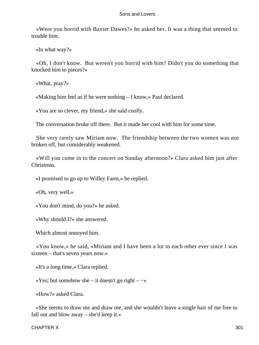«Were you horrid with Baxter Dawes?» he asked her. It was a thing that seemed to trouble him.

«In what way?»

 «Oh, I don't know. But weren't you horrid with him? Didn't you do something that knocked him to pieces?»

«What, pray?»

«Making him feel as if he were nothing – I know,» Paul declared.

«You are so clever, my friend,» she said coolly.

The conversation broke off there. But it made her cool with him for some time.

 She very rarely saw Miriam now. The friendship between the two women was not broken off, but considerably weakened.

 «Will you come in to the concert on Sunday afternoon?» Clara asked him just after Christmas.

«I promised to go up to Willey Farm,» he replied.

«Oh, very well.»

«You don't mind, do you?» he asked.

«Why should I?» she answered.

Which almost annoyed him.

 «You know,» he said, «Miriam and I have been a lot to each other ever since I was sixteen – that's seven years now.»

«It's a long time,» Clara replied.

«Yes; but somehow she – it doesn't go right – −»

«How?» asked Clara.

 «She seems to draw me and draw me, and she wouldn't leave a single hair of me free to fall out and blow away – she'd keep it.»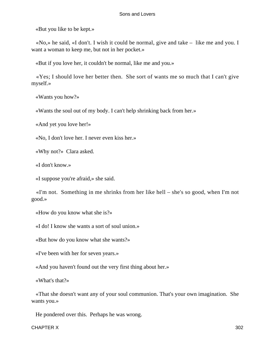«But you like to be kept.»

 «No,» he said, «I don't. I wish it could be normal, give and take – like me and you. I want a woman to keep me, but not in her pocket.»

«But if you love her, it couldn't be normal, like me and you.»

 «Yes; I should love her better then. She sort of wants me so much that I can't give myself.»

«Wants you how?»

«Wants the soul out of my body. I can't help shrinking back from her.»

«And yet you love her!»

«No, I don't love her. I never even kiss her.»

«Why not?» Clara asked.

«I don't know.»

«I suppose you're afraid,» she said.

 «I'm not. Something in me shrinks from her like hell – she's so good, when I'm not good.»

«How do you know what she is?»

«I do! I know she wants a sort of soul union.»

«But how do you know what she wants?»

«I've been with her for seven years.»

«And you haven't found out the very first thing about her.»

«What's that?»

 «That she doesn't want any of your soul communion. That's your own imagination. She wants you.»

He pondered over this. Perhaps he was wrong.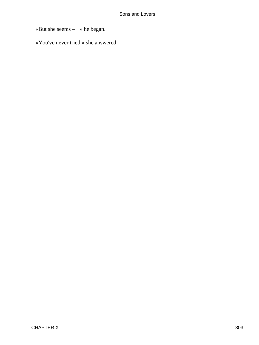«But she seems – −» he began.

«You've never tried,» she answered.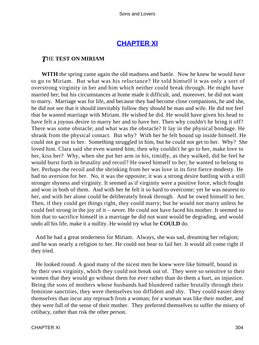# **[CHAPTER XI](#page-470-0)**

# *T*HE **TEST ON MIRIAM**

**WITH** the spring came again the old madness and battle. Now he knew he would have to go to Miriam. But what was his reluctance? He told himself it was only a sort of overstrong virginity in her and him which neither could break through. He might have married her; but his circumstances at home made it difficult, and, moreover, he did not want to marry. Marriage was for life, and because they had become close companions, he and she, he did not see that it should inevitably follow they should be man and wife. He did not feel that he wanted marriage with Miriam. He wished he did. He would have given his head to have felt a joyous desire to marry her and to have her. Then why couldn't he bring it off? There was some obstacle; and what was the obstacle? It lay in the physical bondage. He shrank from the physical contact. But why? With her he felt bound up inside himself. He could not go out to her. Something struggled in him, but he could not get to her. Why? She loved him. Clara said she even wanted him; then why couldn't he go to her, make love to her, kiss her? Why, when she put her arm in his, timidly, as they walked, did he feel he would burst forth in brutality and recoil? He owed himself to her; he wanted to belong to her. Perhaps the recoil and the shrinking from her was love in its first fierce modesty. He had no aversion for her. No, it was the opposite; it was a strong desire battling with a still stronger shyness and virginity. It seemed as if virginity were a positive force, which fought and won in both of them. And with her he felt it so hard to overcome; yet he was nearest to her, and with her alone could he deliberately break through. And he owed himself to her. Then, if they could get things right, they could marry; but he would not marry unless he could feel strong in the joy of it – never. He could not have faced his mother. It seemed to him that to sacrifice himself in a marriage he did not want would be degrading, and would undo all his life, make it a nullity. He would try what he **COULD** do.

 And he had a great tenderness for Miriam. Always, she was sad, dreaming her religion; and he was nearly a religion to her. He could not bear to fail her. It would all come right if they tried.

 He looked round. A good many of the nicest men he knew were like himself, bound in by their own virginity, which they could not break out of. They were so sensitive to their women that they would go without them for ever rather than do them a hurt, an injustice. Being the sons of mothers whose husbands had blundered rather brutally through their feminine sanctities, they were themselves too diffident and shy. They could easier deny themselves than incur any reproach from a woman; for a woman was like their mother, and they were full of the sense of their mother. They preferred themselves to suffer the misery of celibacy, rather than risk the other person.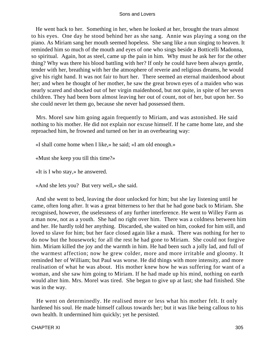He went back to her. Something in her, when he looked at her, brought the tears almost to his eyes. One day he stood behind her as she sang. Annie was playing a song on the piano. As Miriam sang her mouth seemed hopeless. She sang like a nun singing to heaven. It reminded him so much of the mouth and eyes of one who sings beside a Botticelli Madonna, so spiritual. Again, hot as steel, came up the pain in him. Why must he ask her for the other thing? Why was there his blood battling with her? If only he could have been always gentle, tender with her, breathing with her the atmosphere of reverie and religious dreams, he would give his right hand. It was not fair to hurt her. There seemed an eternal maidenhood about her; and when he thought of her mother, he saw the great brown eyes of a maiden who was nearly scared and shocked out of her virgin maidenhood, but not quite, in spite of her seven children. They had been born almost leaving her out of count, not of her, but upon her. So she could never let them go, because she never had possessed them.

 Mrs. Morel saw him going again frequently to Miriam, and was astonished. He said nothing to his mother. He did not explain nor excuse himself. If he came home late, and she reproached him, he frowned and turned on her in an overbearing way:

«I shall come home when I like,» he said; «I am old enough.»

«Must she keep you till this time?»

«It is I who stay,» he answered.

«And she lets you? But very well,» she said.

 And she went to bed, leaving the door unlocked for him; but she lay listening until he came, often long after. It was a great bitterness to her that he had gone back to Miriam. She recognised, however, the uselessness of any further interference. He went to Willey Farm as a man now, not as a youth. She had no right over him. There was a coldness between him and her. He hardly told her anything. Discarded, she waited on him, cooked for him still, and loved to slave for him; but her face closed again like a mask. There was nothing for her to do now but the housework; for all the rest he had gone to Miriam. She could not forgive him. Miriam killed the joy and the warmth in him. He had been such a jolly lad, and full of the warmest affection; now he grew colder, more and more irritable and gloomy. It reminded her of William; but Paul was worse. He did things with more intensity, and more realisation of what he was about. His mother knew how he was suffering for want of a woman, and she saw him going to Miriam. If he had made up his mind, nothing on earth would alter him. Mrs. Morel was tired. She began to give up at last; she had finished. She was in the way.

 He went on determinedly. He realised more or less what his mother felt. It only hardened his soul. He made himself callous towards her; but it was like being callous to his own health. It undermined him quickly; yet he persisted.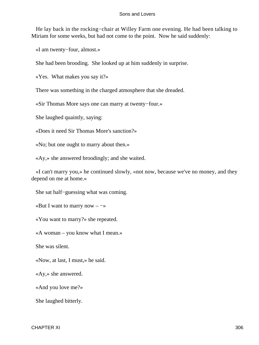He lay back in the rocking−chair at Willey Farm one evening. He had been talking to Miriam for some weeks, but had not come to the point. Now he said suddenly:

«I am twenty−four, almost.»

She had been brooding. She looked up at him suddenly in surprise.

«Yes. What makes you say it?»

There was something in the charged atmosphere that she dreaded.

«Sir Thomas More says one can marry at twenty−four.»

She laughed quaintly, saying:

«Does it need Sir Thomas More's sanction?»

«No; but one ought to marry about then.»

«Ay,» she answered broodingly; and she waited.

 «I can't marry you,» he continued slowly, «not now, because we've no money, and they depend on me at home.»

She sat half−guessing what was coming.

«But I want to marry now  $-\rightarrow$ 

«You want to marry?» she repeated.

«A woman – you know what I mean.»

She was silent.

«Now, at last, I must,» he said.

«Ay,» she answered.

«And you love me?»

She laughed bitterly.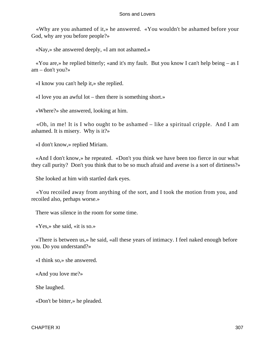«Why are you ashamed of it,» he answered. «You wouldn't be ashamed before your God, why are you before people?»

«Nay,» she answered deeply, «I am not ashamed.»

 «You are,» he replied bitterly; «and it's my fault. But you know I can't help being – as I am – don't you?»

«I know you can't help it,» she replied.

«I love you an awful lot – then there is something short.»

«Where?» she answered, looking at him.

 «Oh, in me! It is I who ought to be ashamed – like a spiritual cripple. And I am ashamed. It is misery. Why is it?»

«I don't know,» replied Miriam.

 «And I don't know,» he repeated. «Don't you think we have been too fierce in our what they call purity? Don't you think that to be so much afraid and averse is a sort of dirtiness?»

She looked at him with startled dark eyes.

 «You recoiled away from anything of the sort, and I took the motion from you, and recoiled also, perhaps worse.»

There was silence in the room for some time.

«Yes,» she said, «it is so.»

 «There is between us,» he said, «all these years of intimacy. I feel naked enough before you. Do you understand?»

«I think so,» she answered.

«And you love me?»

She laughed.

«Don't be bitter,» he pleaded.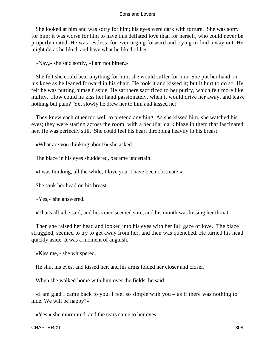She looked at him and was sorry for him; his eyes were dark with torture. She was sorry for him; it was worse for him to have this deflated love than for herself, who could never be properly mated. He was restless, for ever urging forward and trying to find a way out. He might do as he liked, and have what he liked of her.

«Nay,» she said softly, «I am not bitter.»

 She felt she could bear anything for him; she would suffer for him. She put her hand on his knee as he leaned forward in his chair. He took it and kissed it; but it hurt to do so. He felt he was putting himself aside. He sat there sacrificed to her purity, which felt more like nullity. How could he kiss her hand passionately, when it would drive her away, and leave nothing but pain? Yet slowly he drew her to him and kissed her.

 They knew each other too well to pretend anything. As she kissed him, she watched his eyes; they were staring across the room, with a peculiar dark blaze in them that fascinated her. He was perfectly still. She could feel his heart throbbing heavily in his breast.

«What are you thinking about?» she asked.

The blaze in his eyes shuddered, became uncertain.

«I was thinking, all the while, I love you. I have been obstinate.»

She sank her head on his breast.

«Yes,» she answered.

«That's all,» he said, and his voice seemed sure, and his mouth was kissing her throat.

 Then she raised her head and looked into his eyes with her full gaze of love. The blaze struggled, seemed to try to get away from her, and then was quenched. He turned his head quickly aside. It was a moment of anguish.

«Kiss me,» she whispered.

He shut his eyes, and kissed her, and his arms folded her closer and closer.

When she walked home with him over the fields, he said:

 «I am glad I came back to you. I feel so simple with you – as if there was nothing to hide. We will be happy?»

«Yes,» she murmured, and the tears came to her eyes.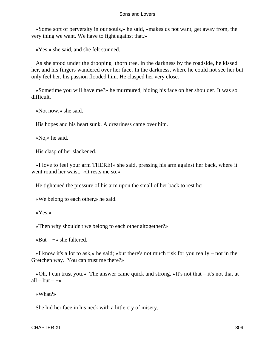«Some sort of perversity in our souls,» he said, «makes us not want, get away from, the very thing we want. We have to fight against that.»

«Yes,» she said, and she felt stunned.

 As she stood under the drooping−thorn tree, in the darkness by the roadside, he kissed her, and his fingers wandered over her face. In the darkness, where he could not see her but only feel her, his passion flooded him. He clasped her very close.

 «Sometime you will have me?» he murmured, hiding his face on her shoulder. It was so difficult.

«Not now,» she said.

His hopes and his heart sunk. A dreariness came over him.

«No,» he said.

His clasp of her slackened.

 «I love to feel your arm THERE!» she said, pressing his arm against her back, where it went round her waist. «It rests me so.»

He tightened the pressure of his arm upon the small of her back to rest her.

«We belong to each other,» he said.

«Yes.»

«Then why shouldn't we belong to each other altogether?»

«But – −» she faltered.

 «I know it's a lot to ask,» he said; «but there's not much risk for you really – not in the Gretchen way. You can trust me there?»

 «Oh, I can trust you.» The answer came quick and strong. «It's not that – it's not that at all – but –  $\rightarrow$ 

«What?»

She hid her face in his neck with a little cry of misery.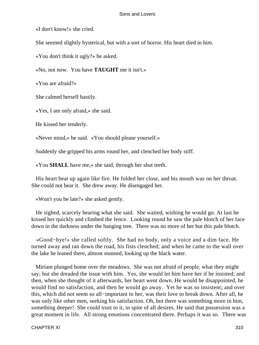«I don't know!» she cried.

She seemed slightly hysterical, but with a sort of horror. His heart died in him.

«You don't think it ugly?» he asked.

«No, not now. You have **TAUGHT** me it isn't.»

«You are afraid?»

She calmed herself hastily.

«Yes, I am only afraid,» she said.

He kissed her tenderly.

«Never mind,» he said. «You should please yourself.»

Suddenly she gripped his arms round her, and clenched her body stiff.

«You **SHALL** have me,» she said, through her shut teeth.

 His heart beat up again like fire. He folded her close, and his mouth was on her throat. She could not bear it. She drew away. He disengaged her.

«Won't you be late?» she asked gently.

 He sighed, scarcely hearing what she said. She waited, wishing he would go. At last he kissed her quickly and climbed the fence. Looking round he saw the pale blotch of her face down in the darkness under the hanging tree. There was no more of her but this pale blotch.

 «Good−bye!» she called softly. She had no body, only a voice and a dim face. He turned away and ran down the road, his fists clenched; and when he came to the wall over the lake he leaned there, almost stunned, looking up the black water.

 Miriam plunged home over the meadows. She was not afraid of people, what they might say; but she dreaded the issue with him. Yes, she would let him have her if he insisted; and then, when she thought of it afterwards, her heart went down. He would be disappointed, he would find no satisfaction, and then he would go away. Yet he was so insistent; and over this, which did not seem so all−important to her, was their love to break down. After all, he was only like other men, seeking his satisfaction. Oh, but there was something more in him, something deeper! She could trust to it, in spite of all desires. He said that possession was a great moment in life. All strong emotions concentrated there. Perhaps it was so. There was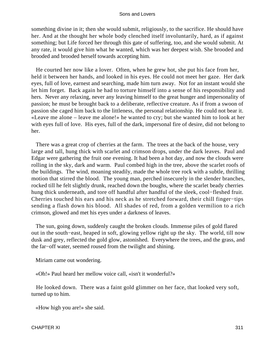something divine in it; then she would submit, religiously, to the sacrifice. He should have her. And at the thought her whole body clenched itself involuntarily, hard, as if against something; but Life forced her through this gate of suffering, too, and she would submit. At any rate, it would give him what he wanted, which was her deepest wish. She brooded and brooded and brooded herself towards accepting him.

 He courted her now like a lover. Often, when he grew hot, she put his face from her, held it between her hands, and looked in his eyes. He could not meet her gaze. Her dark eyes, full of love, earnest and searching, made him turn away. Not for an instant would she let him forget. Back again he had to torture himself into a sense of his responsibility and hers. Never any relaxing, never any leaving himself to the great hunger and impersonality of passion; he must be brought back to a deliberate, reflective creature. As if from a swoon of passion she caged him back to the littleness, the personal relationship. He could not bear it. «Leave me alone – leave me alone!» he wanted to cry; but she wanted him to look at her with eyes full of love. His eyes, full of the dark, impersonal fire of desire, did not belong to her.

 There was a great crop of cherries at the farm. The trees at the back of the house, very large and tall, hung thick with scarlet and crimson drops, under the dark leaves. Paul and Edgar were gathering the fruit one evening. It had been a hot day, and now the clouds were rolling in the sky, dark and warm. Paul combed high in the tree, above the scarlet roofs of the buildings. The wind, moaning steadily, made the whole tree rock with a subtle, thrilling motion that stirred the blood. The young man, perched insecurely in the slender branches, rocked till he felt slightly drunk, reached down the boughs, where the scarlet beady cherries hung thick underneath, and tore off handful after handful of the sleek, cool−fleshed fruit. Cherries touched his ears and his neck as he stretched forward, their chill finger−tips sending a flash down his blood. All shades of red, from a golden vermilion to a rich crimson, glowed and met his eyes under a darkness of leaves.

 The sun, going down, suddenly caught the broken clouds. Immense piles of gold flared out in the south−east, heaped in soft, glowing yellow right up the sky. The world, till now dusk and grey, reflected the gold glow, astonished. Everywhere the trees, and the grass, and the far−off water, seemed roused from the twilight and shining.

Miriam came out wondering.

«Oh!» Paul heard her mellow voice call, «isn't it wonderful?»

 He looked down. There was a faint gold glimmer on her face, that looked very soft, turned up to him.

«How high you are!» she said.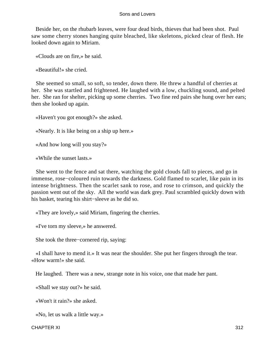Beside her, on the rhubarb leaves, were four dead birds, thieves that had been shot. Paul saw some cherry stones hanging quite bleached, like skeletons, picked clear of flesh. He looked down again to Miriam.

«Clouds are on fire,» he said.

«Beautiful!» she cried.

 She seemed so small, so soft, so tender, down there. He threw a handful of cherries at her. She was startled and frightened. He laughed with a low, chuckling sound, and pelted her. She ran for shelter, picking up some cherries. Two fine red pairs she hung over her ears; then she looked up again.

«Haven't you got enough?» she asked.

«Nearly. It is like being on a ship up here.»

«And how long will you stay?»

«While the sunset lasts.»

 She went to the fence and sat there, watching the gold clouds fall to pieces, and go in immense, rose−coloured ruin towards the darkness. Gold flamed to scarlet, like pain in its intense brightness. Then the scarlet sank to rose, and rose to crimson, and quickly the passion went out of the sky. All the world was dark grey. Paul scrambled quickly down with his basket, tearing his shirt−sleeve as he did so.

«They are lovely,» said Miriam, fingering the cherries.

«I've torn my sleeve,» he answered.

She took the three−cornered rip, saying:

 «I shall have to mend it.» It was near the shoulder. She put her fingers through the tear. «How warm!» she said.

He laughed. There was a new, strange note in his voice, one that made her pant.

«Shall we stay out?» he said.

«Won't it rain?» she asked.

«No, let us walk a little way.»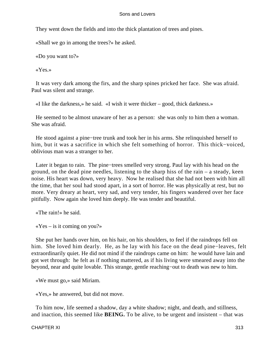They went down the fields and into the thick plantation of trees and pines.

«Shall we go in among the trees?» he asked.

«Do you want to?»

«Yes.»

 It was very dark among the firs, and the sharp spines pricked her face. She was afraid. Paul was silent and strange.

«I like the darkness,» he said. «I wish it were thicker – good, thick darkness.»

 He seemed to be almost unaware of her as a person: she was only to him then a woman. She was afraid.

 He stood against a pine−tree trunk and took her in his arms. She relinquished herself to him, but it was a sacrifice in which she felt something of horror. This thick−voiced, oblivious man was a stranger to her.

 Later it began to rain. The pine−trees smelled very strong. Paul lay with his head on the ground, on the dead pine needles, listening to the sharp hiss of the rain – a steady, keen noise. His heart was down, very heavy. Now he realised that she had not been with him all the time, that her soul had stood apart, in a sort of horror. He was physically at rest, but no more. Very dreary at heart, very sad, and very tender, his fingers wandered over her face pitifully. Now again she loved him deeply. He was tender and beautiful.

«The rain!» he said.

 $\langle Yes - is it coming on you?\rangle$ 

 She put her hands over him, on his hair, on his shoulders, to feel if the raindrops fell on him. She loved him dearly. He, as he lay with his face on the dead pine−leaves, felt extraordinarily quiet. He did not mind if the raindrops came on him: he would have lain and got wet through: he felt as if nothing mattered, as if his living were smeared away into the beyond, near and quite lovable. This strange, gentle reaching−out to death was new to him.

«We must go,» said Miriam.

«Yes,» he answered, but did not move.

 To him now, life seemed a shadow, day a white shadow; night, and death, and stillness, and inaction, this seemed like **BEING.** To be alive, to be urgent and insistent – that was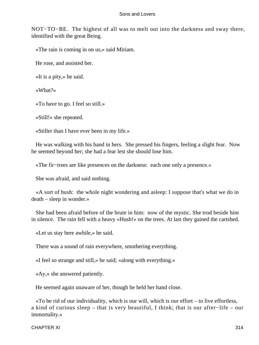NOT−TO−BE. The highest of all was to melt out into the darkness and sway there, identified with the great Being.

«The rain is coming in on us,» said Miriam.

He rose, and assisted her.

«It is a pity,» he said.

«What?»

«To have to go. I feel so still.»

«Still!» she repeated.

«Stiller than I have ever been in my life.»

 He was walking with his hand in hers. She pressed his fingers, feeling a slight fear. Now he seemed beyond her; she had a fear lest she should lose him.

«The fir−trees are like presences on the darkness: each one only a presence.»

She was afraid, and said nothing.

 «A sort of hush: the whole night wondering and asleep: I suppose that's what we do in death – sleep in wonder.»

 She had been afraid before of the brute in him: now of the mystic. She trod beside him in silence. The rain fell with a heavy «Hush!» on the trees. At last they gained the cartshed.

«Let us stay here awhile,» he said.

There was a sound of rain everywhere, smothering everything.

«I feel so strange and still,» he said; «along with everything.»

«Ay,» she answered patiently.

He seemed again unaware of her, though he held her hand close.

 «To be rid of our individuality, which is our will, which is our effort – to live effortless, a kind of curious sleep – that is very beautiful, I think; that is our after−life – our immortality.»

CHAPTER XI 314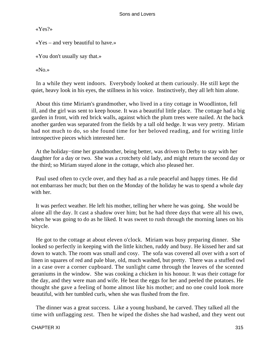«Yes?»

«Yes – and very beautiful to have.»

«You don't usually say that.»

«No.»

 In a while they went indoors. Everybody looked at them curiously. He still kept the quiet, heavy look in his eyes, the stillness in his voice. Instinctively, they all left him alone.

 About this time Miriam's grandmother, who lived in a tiny cottage in Woodlinton, fell ill, and the girl was sent to keep house. It was a beautiful little place. The cottage had a big garden in front, with red brick walls, against which the plum trees were nailed. At the back another garden was separated from the fields by a tall old hedge. It was very pretty. Miriam had not much to do, so she found time for her beloved reading, and for writing little introspective pieces which interested her.

 At the holiday−time her grandmother, being better, was driven to Derby to stay with her daughter for a day or two. She was a crotchety old lady, and might return the second day or the third; so Miriam stayed alone in the cottage, which also pleased her.

 Paul used often to cycle over, and they had as a rule peaceful and happy times. He did not embarrass her much; but then on the Monday of the holiday he was to spend a whole day with her.

 It was perfect weather. He left his mother, telling her where he was going. She would be alone all the day. It cast a shadow over him; but he had three days that were all his own, when he was going to do as he liked. It was sweet to rush through the morning lanes on his bicycle.

 He got to the cottage at about eleven o'clock. Miriam was busy preparing dinner. She looked so perfectly in keeping with the little kitchen, ruddy and busy. He kissed her and sat down to watch. The room was small and cosy. The sofa was covered all over with a sort of linen in squares of red and pale blue, old, much washed, but pretty. There was a stuffed owl in a case over a corner cupboard. The sunlight came through the leaves of the scented geraniums in the window. She was cooking a chicken in his honour. It was their cottage for the day, and they were man and wife. He beat the eggs for her and peeled the potatoes. He thought she gave a feeling of home almost like his mother; and no one could look more beautiful, with her tumbled curls, when she was flushed from the fire.

 The dinner was a great success. Like a young husband, he carved. They talked all the time with unflagging zest. Then he wiped the dishes she had washed, and they went out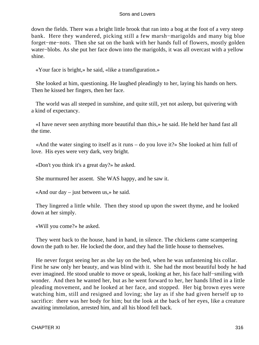down the fields. There was a bright little brook that ran into a bog at the foot of a very steep bank. Here they wandered, picking still a few marsh−marigolds and many big blue forget−me−nots. Then she sat on the bank with her hands full of flowers, mostly golden water−blobs. As she put her face down into the marigolds, it was all overcast with a yellow shine.

«Your face is bright,» he said, «like a transfiguration.»

 She looked at him, questioning. He laughed pleadingly to her, laying his hands on hers. Then he kissed her fingers, then her face.

 The world was all steeped in sunshine, and quite still, yet not asleep, but quivering with a kind of expectancy.

 «I have never seen anything more beautiful than this,» he said. He held her hand fast all the time.

 «And the water singing to itself as it runs – do you love it?» She looked at him full of love. His eyes were very dark, very bright.

«Don't you think it's a great day?» he asked.

She murmured her assent. She WAS happy, and he saw it.

«And our day – just between us,» he said.

 They lingered a little while. Then they stood up upon the sweet thyme, and he looked down at her simply.

«Will you come?» he asked.

 They went back to the house, hand in hand, in silence. The chickens came scampering down the path to her. He locked the door, and they had the little house to themselves.

 He never forgot seeing her as she lay on the bed, when he was unfastening his collar. First he saw only her beauty, and was blind with it. She had the most beautiful body he had ever imagined. He stood unable to move or speak, looking at her, his face half−smiling with wonder. And then he wanted her, but as he went forward to her, her hands lifted in a little pleading movement, and he looked at her face, and stopped. Her big brown eyes were watching him, still and resigned and loving; she lay as if she had given herself up to sacrifice: there was her body for him; but the look at the back of her eyes, like a creature awaiting immolation, arrested him, and all his blood fell back.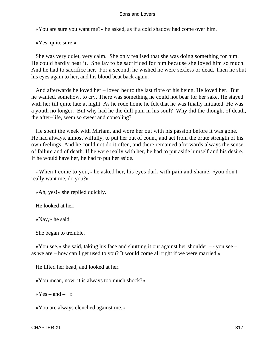«You are sure you want me?» he asked, as if a cold shadow had come over him.

«Yes, quite sure.»

 She was very quiet, very calm. She only realised that she was doing something for him. He could hardly bear it. She lay to be sacrificed for him because she loved him so much. And he had to sacrifice her. For a second, he wished he were sexless or dead. Then he shut his eyes again to her, and his blood beat back again.

 And afterwards he loved her – loved her to the last fibre of his being. He loved her. But he wanted, somehow, to cry. There was something he could not bear for her sake. He stayed with her till quite late at night. As he rode home he felt that he was finally initiated. He was a youth no longer. But why had he the dull pain in his soul? Why did the thought of death, the after−life, seem so sweet and consoling?

 He spent the week with Miriam, and wore her out with his passion before it was gone. He had always, almost wilfully, to put her out of count, and act from the brute strength of his own feelings. And he could not do it often, and there remained afterwards always the sense of failure and of death. If he were really with her, he had to put aside himself and his desire. If he would have her, he had to put her aside.

 «When I come to you,» he asked her, his eyes dark with pain and shame, «you don't really want me, do you?»

«Ah, yes!» she replied quickly.

He looked at her.

«Nay,» he said.

She began to tremble.

 «You see,» she said, taking his face and shutting it out against her shoulder – «you see – as we are – how can I get used to you? It would come all right if we were married.»

He lifted her head, and looked at her.

«You mean, now, it is always too much shock?»

« $Yes - and - \rightarrow$ 

«You are always clenched against me.»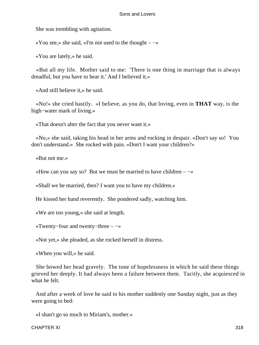She was trembling with agitation.

«You see,» she said, «I'm not used to the thought –  $-\infty$ 

«You are lately,» he said.

 «But all my life. Mother said to me: 'There is one thing in marriage that is always dreadful, but you have to bear it.' And I believed it.»

«And still believe it,» he said.

 «No!» she cried hastily. «I believe, as you do, that loving, even in **THAT** way, is the high−water mark of living.»

«That doesn't alter the fact that you never want it.»

 «No,» she said, taking his head in her arms and rocking in despair. «Don't say so! You don't understand.» She rocked with pain. «Don't I want your children?»

«But not me.»

«How can you say so? But we must be married to have children  $-\rightarrow$ 

«Shall we be married, then? I want you to have my children.»

He kissed her hand reverently. She pondered sadly, watching him.

«We are too young,» she said at length.

«Twenty−four and twenty−three – −»

«Not yet,» she pleaded, as she rocked herself in distress.

«When you will,» he said.

 She bowed her head gravely. The tone of hopelessness in which he said these things grieved her deeply. It had always been a failure between them. Tacitly, she acquiesced in what he felt.

 And after a week of love he said to his mother suddenly one Sunday night, just as they were going to bed:

«I shan't go so much to Miriam's, mother.»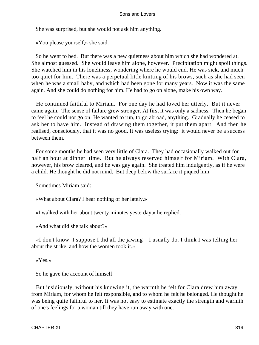She was surprised, but she would not ask him anything.

«You please yourself,» she said.

 So he went to bed. But there was a new quietness about him which she had wondered at. She almost guessed. She would leave him alone, however. Precipitation might spoil things. She watched him in his loneliness, wondering where he would end. He was sick, and much too quiet for him. There was a perpetual little knitting of his brows, such as she had seen when he was a small baby, and which had been gone for many years. Now it was the same again. And she could do nothing for him. He had to go on alone, make his own way.

 He continued faithful to Miriam. For one day he had loved her utterly. But it never came again. The sense of failure grew stronger. At first it was only a sadness. Then he began to feel he could not go on. He wanted to run, to go abroad, anything. Gradually he ceased to ask her to have him. Instead of drawing them together, it put them apart. And then he realised, consciously, that it was no good. It was useless trying: it would never be a success between them.

 For some months he had seen very little of Clara. They had occasionally walked out for half an hour at dinner−time. But he always reserved himself for Miriam. With Clara, however, his brow cleared, and he was gay again. She treated him indulgently, as if he were a child. He thought he did not mind. But deep below the surface it piqued him.

Sometimes Miriam said:

«What about Clara? I hear nothing of her lately.»

«I walked with her about twenty minutes yesterday,» he replied.

«And what did she talk about?»

 «I don't know. I suppose I did all the jawing – I usually do. I think I was telling her about the strike, and how the women took it.»

«Yes.»

So he gave the account of himself.

 But insidiously, without his knowing it, the warmth he felt for Clara drew him away from Miriam, for whom he felt responsible, and to whom he felt he belonged. He thought he was being quite faithful to her. It was not easy to estimate exactly the strength and warmth of one's feelings for a woman till they have run away with one.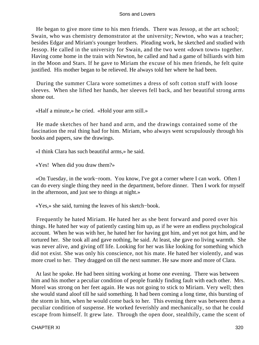He began to give more time to his men friends. There was Jessop, at the art school; Swain, who was chemistry demonstrator at the university; Newton, who was a teacher; besides Edgar and Miriam's younger brothers. Pleading work, he sketched and studied with Jessop. He called in the university for Swain, and the two went «down town» together. Having come home in the train with Newton, he called and had a game of billiards with him in the Moon and Stars. If he gave to Miriam the excuse of his men friends, he felt quite justified. His mother began to be relieved. He always told her where he had been.

 During the summer Clara wore sometimes a dress of soft cotton stuff with loose sleeves. When she lifted her hands, her sleeves fell back, and her beautiful strong arms shone out.

«Half a minute,» he cried. «Hold your arm still.»

 He made sketches of her hand and arm, and the drawings contained some of the fascination the real thing had for him. Miriam, who always went scrupulously through his books and papers, saw the drawings.

«I think Clara has such beautiful arms,» he said.

«Yes! When did you draw them?»

 «On Tuesday, in the work−room. You know, I've got a corner where I can work. Often I can do every single thing they need in the department, before dinner. Then I work for myself in the afternoon, and just see to things at night.»

«Yes,» she said, turning the leaves of his sketch−book.

 Frequently he hated Miriam. He hated her as she bent forward and pored over his things. He hated her way of patiently casting him up, as if he were an endless psychological account. When he was with her, he hated her for having got him, and yet not got him, and he tortured her. She took all and gave nothing, he said. At least, she gave no living warmth. She was never alive, and giving off life. Looking for her was like looking for something which did not exist. She was only his conscience, not his mate. He hated her violently, and was more cruel to her. They dragged on till the next summer. He saw more and more of Clara.

 At last he spoke. He had been sitting working at home one evening. There was between him and his mother a peculiar condition of people frankly finding fault with each other. Mrs. Morel was strong on her feet again. He was not going to stick to Miriam. Very well; then she would stand aloof till he said something. It had been coming a long time, this bursting of the storm in him, when he would come back to her. This evening there was between them a peculiar condition of suspense. He worked feverishly and mechanically, so that he could escape from himself. It grew late. Through the open door, stealthily, came the scent of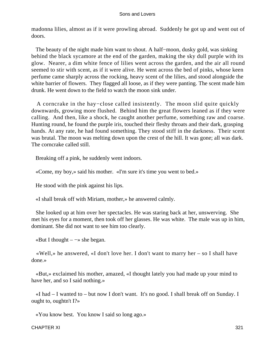madonna lilies, almost as if it were prowling abroad. Suddenly he got up and went out of doors.

The beauty of the night made him want to shout. A half–moon, dusky gold, was sinking behind the black sycamore at the end of the garden, making the sky dull purple with its glow. Nearer, a dim white fence of lilies went across the garden, and the air all round seemed to stir with scent, as if it were alive. He went across the bed of pinks, whose keen perfume came sharply across the rocking, heavy scent of the lilies, and stood alongside the white barrier of flowers. They flagged all loose, as if they were panting. The scent made him drunk. He went down to the field to watch the moon sink under.

 A corncrake in the hay−close called insistently. The moon slid quite quickly downwards, growing more flushed. Behind him the great flowers leaned as if they were calling. And then, like a shock, he caught another perfume, something raw and coarse. Hunting round, he found the purple iris, touched their fleshy throats and their dark, grasping hands. At any rate, he had found something. They stood stiff in the darkness. Their scent was brutal. The moon was melting down upon the crest of the hill. It was gone; all was dark. The corncrake called still.

Breaking off a pink, he suddenly went indoors.

«Come, my boy,» said his mother. «I'm sure it's time you went to bed.»

He stood with the pink against his lips.

«I shall break off with Miriam, mother,» he answered calmly.

 She looked up at him over her spectacles. He was staring back at her, unswerving. She met his eyes for a moment, then took off her glasses. He was white. The male was up in him, dominant. She did not want to see him too clearly.

«But I thought –  $\rightarrow$  she began.

 «Well,» he answered, «I don't love her. I don't want to marry her – so I shall have done.»

 «But,» exclaimed his mother, amazed, «I thought lately you had made up your mind to have her, and so I said nothing.»

 «I had – I wanted to – but now I don't want. It's no good. I shall break off on Sunday. I ought to, oughtn't I?»

«You know best. You know I said so long ago.»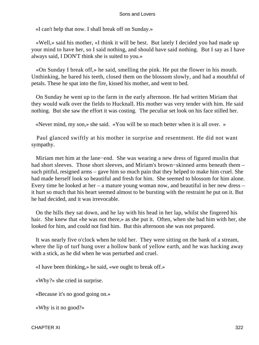«I can't help that now. I shall break off on Sunday.»

 «Well,» said his mother, «I think it will be best. But lately I decided you had made up your mind to have her, so I said nothing, and should have said nothing. But I say as I have always said, I DON'T think she is suited to you.»

 «On Sunday I break off,» he said, smelling the pink. He put the flower in his mouth. Unthinking, he bared his teeth, closed them on the blossom slowly, and had a mouthful of petals. These he spat into the fire, kissed his mother, and went to bed.

 On Sunday he went up to the farm in the early afternoon. He had written Miriam that they would walk over the fields to Hucknall. His mother was very tender with him. He said nothing. But she saw the effort it was costing. The peculiar set look on his face stilled her.

«Never mind, my son,» she said. «You will be so much better when it is all over. »

 Paul glanced swiftly at his mother in surprise and resentment. He did not want sympathy.

 Miriam met him at the lane−end. She was wearing a new dress of figured muslin that had short sleeves. Those short sleeves, and Miriam's brown−skinned arms beneath them – such pitiful, resigned arms – gave him so much pain that they helped to make him cruel. She had made herself look so beautiful and fresh for him. She seemed to blossom for him alone. Every time he looked at her – a mature young woman now, and beautiful in her new dress – it hurt so much that his heart seemed almost to be bursting with the restraint he put on it. But he had decided, and it was irrevocable.

 On the hills they sat down, and he lay with his head in her lap, whilst she fingered his hair. She knew that «he was not there,» as she put it. Often, when she had him with her, she looked for him, and could not find him. But this afternoon she was not prepared.

 It was nearly five o'clock when he told her. They were sitting on the bank of a stream, where the lip of turf hung over a hollow bank of yellow earth, and he was hacking away with a stick, as he did when he was perturbed and cruel.

«I have been thinking,» he said, «we ought to break off.»

«Why?» she cried in surprise.

«Because it's no good going on.»

«Why is it no good?»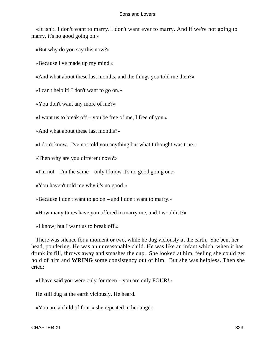«It isn't. I don't want to marry. I don't want ever to marry. And if we're not going to marry, it's no good going on.»

«But why do you say this now?»

«Because I've made up my mind.»

«And what about these last months, and the things you told me then?»

«I can't help it! I don't want to go on.»

«You don't want any more of me?»

«I want us to break off – you be free of me, I free of you.»

«And what about these last months?»

«I don't know. I've not told you anything but what I thought was true.»

«Then why are you different now?»

 $\ll$ I'm not – I'm the same – only I know it's no good going on.»

«You haven't told me why it's no good.»

«Because I don't want to go on – and I don't want to marry.»

«How many times have you offered to marry me, and I wouldn't?»

«I know; but I want us to break off.»

 There was silence for a moment or two, while he dug viciously at the earth. She bent her head, pondering. He was an unreasonable child. He was like an infant which, when it has drunk its fill, throws away and smashes the cup. She looked at him, feeling she could get hold of him and **WRING** some consistency out of him. But she was helpless. Then she cried:

«I have said you were only fourteen – you are only FOUR!»

He still dug at the earth viciously. He heard.

«You are a child of four,» she repeated in her anger.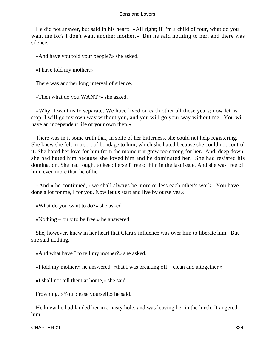He did not answer, but said in his heart: «All right; if I'm a child of four, what do you want me for? I don't want another mother.» But he said nothing to her, and there was silence.

«And have you told your people?» she asked.

«I have told my mother.»

There was another long interval of silence.

«Then what do you WANT?» she asked.

 «Why, I want us to separate. We have lived on each other all these years; now let us stop. I will go my own way without you, and you will go your way without me. You will have an independent life of your own then.»

 There was in it some truth that, in spite of her bitterness, she could not help registering. She knew she felt in a sort of bondage to him, which she hated because she could not control it. She hated her love for him from the moment it grew too strong for her. And, deep down, she had hated him because she loved him and he dominated her. She had resisted his domination. She had fought to keep herself free of him in the last issue. And she was free of him, even more than he of her.

 «And,» he continued, «we shall always be more or less each other's work. You have done a lot for me, I for you. Now let us start and live by ourselves.»

«What do you want to do?» she asked.

«Nothing – only to be free,» he answered.

 She, however, knew in her heart that Clara's influence was over him to liberate him. But she said nothing.

«And what have I to tell my mother?» she asked.

«I told my mother,» he answered, «that I was breaking off – clean and altogether.»

«I shall not tell them at home,» she said.

Frowning, «You please yourself,» he said.

 He knew he had landed her in a nasty hole, and was leaving her in the lurch. It angered him.

CHAPTER XI 324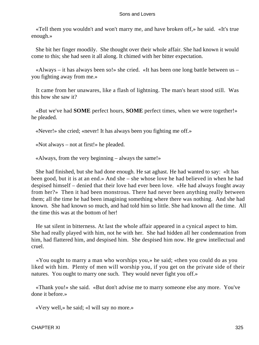«Tell them you wouldn't and won't marry me, and have broken off,» he said. «It's true enough.»

 She bit her finger moodily. She thought over their whole affair. She had known it would come to this; she had seen it all along. It chimed with her bitter expectation.

 «Always – it has always been so!» she cried. «It has been one long battle between us – you fighting away from me.»

 It came from her unawares, like a flash of lightning. The man's heart stood still. Was this how she saw it?

 «But we've had **SOME** perfect hours, **SOME** perfect times, when we were together!» he pleaded.

«Never!» she cried; «never! It has always been you fighting me off.»

«Not always – not at first!» he pleaded.

«Always, from the very beginning – always the same!»

 She had finished, but she had done enough. He sat aghast. He had wanted to say: «It has been good, but it is at an end.» And she – she whose love he had believed in when he had despised himself – denied that their love had ever been love. «He had always fought away from her?» Then it had been monstrous. There had never been anything really between them; all the time he had been imagining something where there was nothing. And she had known. She had known so much, and had told him so little. She had known all the time. All the time this was at the bottom of her!

 He sat silent in bitterness. At last the whole affair appeared in a cynical aspect to him. She had really played with him, not he with her. She had hidden all her condemnation from him, had flattered him, and despised him. She despised him now. He grew intellectual and cruel.

 «You ought to marry a man who worships you,» he said; «then you could do as you liked with him. Plenty of men will worship you, if you get on the private side of their natures. You ought to marry one such. They would never fight you off.»

 «Thank you!» she said. «But don't advise me to marry someone else any more. You've done it before.»

«Very well,» he said; «I will say no more.»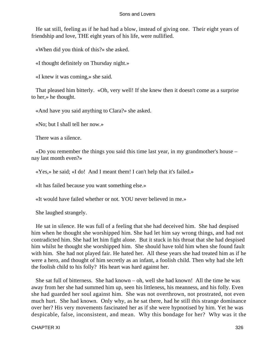He sat still, feeling as if he had had a blow, instead of giving one. Their eight years of friendship and love, THE eight years of his life, were nullified.

«When did you think of this?» she asked.

«I thought definitely on Thursday night.»

«I knew it was coming,» she said.

 That pleased him bitterly. «Oh, very well! If she knew then it doesn't come as a surprise to her,» he thought.

«And have you said anything to Clara?» she asked.

«No; but I shall tell her now.»

There was a silence.

 «Do you remember the things you said this time last year, in my grandmother's house – nay last month even?»

«Yes,» he said; «I do! And I meant them! I can't help that it's failed.»

«It has failed because you want something else.»

«It would have failed whether or not. YOU never believed in me.»

She laughed strangely.

 He sat in silence. He was full of a feeling that she had deceived him. She had despised him when he thought she worshipped him. She had let him say wrong things, and had not contradicted him. She had let him fight alone. But it stuck in his throat that she had despised him whilst he thought she worshipped him. She should have told him when she found fault with him. She had not played fair. He hated her. All these years she had treated him as if he were a hero, and thought of him secretly as an infant, a foolish child. Then why had she left the foolish child to his folly? His heart was hard against her.

 She sat full of bitterness. She had known – oh, well she had known! All the time he was away from her she had summed him up, seen his littleness, his meanness, and his folly. Even she had guarded her soul against him. She was not overthrown, not prostrated, not even much hurt. She had known. Only why, as he sat there, had he still this strange dominance over her? His very movements fascinated her as if she were hypnotised by him. Yet he was despicable, false, inconsistent, and mean. Why this bondage for her? Why was it the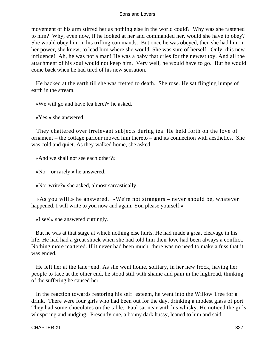movement of his arm stirred her as nothing else in the world could? Why was she fastened to him? Why, even now, if he looked at her and commanded her, would she have to obey? She would obey him in his trifling commands. But once he was obeyed, then she had him in her power, she knew, to lead him where she would. She was sure of herself. Only, this new influence! Ah, he was not a man! He was a baby that cries for the newest toy. And all the attachment of his soul would not keep him. Very well, he would have to go. But he would come back when he had tired of his new sensation.

 He hacked at the earth till she was fretted to death. She rose. He sat flinging lumps of earth in the stream.

«We will go and have tea here?» he asked.

«Yes,» she answered.

 They chattered over irrelevant subjects during tea. He held forth on the love of ornament – the cottage parlour moved him thereto – and its connection with aesthetics. She was cold and quiet. As they walked home, she asked:

«And we shall not see each other?»

«No – or rarely,» he answered.

«Nor write?» she asked, almost sarcastically.

 «As you will,» he answered. «We're not strangers – never should be, whatever happened. I will write to you now and again. You please yourself.»

«I see!» she answered cuttingly.

 But he was at that stage at which nothing else hurts. He had made a great cleavage in his life. He had had a great shock when she had told him their love had been always a conflict. Nothing more mattered. If it never had been much, there was no need to make a fuss that it was ended.

 He left her at the lane−end. As she went home, solitary, in her new frock, having her people to face at the other end, he stood still with shame and pain in the highroad, thinking of the suffering he caused her.

 In the reaction towards restoring his self−esteem, he went into the Willow Tree for a drink. There were four girls who had been out for the day, drinking a modest glass of port. They had some chocolates on the table. Paul sat near with his whisky. He noticed the girls whispering and nudging. Presently one, a bonny dark hussy, leaned to him and said: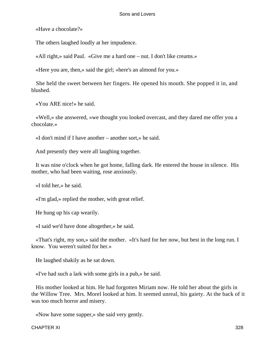«Have a chocolate?»

The others laughed loudly at her impudence.

«All right,» said Paul. «Give me a hard one – nut. I don't like creams.»

«Here you are, then,» said the girl; «here's an almond for you.»

 She held the sweet between her fingers. He opened his mouth. She popped it in, and blushed.

«You ARE nice!» he said.

 «Well,» she answered, «we thought you looked overcast, and they dared me offer you a chocolate.»

«I don't mind if I have another – another sort,» he said.

And presently they were all laughing together.

 It was nine o'clock when he got home, falling dark. He entered the house in silence. His mother, who had been waiting, rose anxiously.

«I told her,» he said.

«I'm glad,» replied the mother, with great relief.

He hung up his cap wearily.

«I said we'd have done altogether,» he said.

 «That's right, my son,» said the mother. «It's hard for her now, but best in the long run. I know. You weren't suited for her.»

He laughed shakily as he sat down.

«I've had such a lark with some girls in a pub,» he said.

 His mother looked at him. He had forgotten Miriam now. He told her about the girls in the Willow Tree. Mrs. Morel looked at him. It seemed unreal, his gaiety. At the back of it was too much horror and misery.

«Now have some supper,» she said very gently.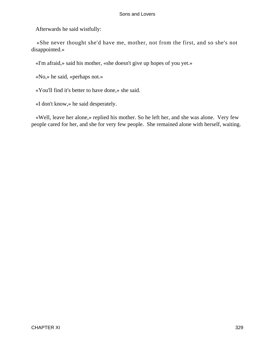Afterwards he said wistfully:

 «She never thought she'd have me, mother, not from the first, and so she's not disappointed.»

«I'm afraid,» said his mother, «she doesn't give up hopes of you yet.»

«No,» he said, «perhaps not.»

«You'll find it's better to have done,» she said.

«I don't know,» he said desperately.

 «Well, leave her alone,» replied his mother. So he left her, and she was alone. Very few people cared for her, and she for very few people. She remained alone with herself, waiting.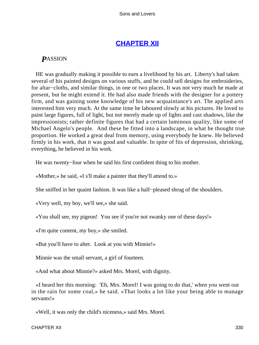# **[CHAPTER XII](#page-470-0)**

# *P*ASSION

 HE was gradually making it possible to earn a livelihood by his art. Liberty's had taken several of his painted designs on various stuffs, and he could sell designs for embroideries, for altar−cloths, and similar things, in one or two places. It was not very much he made at present, but he might extend it. He had also made friends with the designer for a pottery firm, and was gaining some knowledge of his new acquaintance's art. The applied arts interested him very much. At the same time he laboured slowly at his pictures. He loved to paint large figures, full of light, but not merely made up of lights and cast shadows, like the impressionists; rather definite figures that had a certain luminous quality, like some of Michael Angelo's people. And these he fitted into a landscape, in what he thought true proportion. He worked a great deal from memory, using everybody he knew. He believed firmly in his work, that it was good and valuable. In spite of fits of depression, shrinking, everything, he believed in his work.

He was twenty−four when he said his first confident thing to his mother.

«Mother,» he said, «I s'll make a painter that they'll attend to.»

She sniffed in her quaint fashion. It was like a half−pleased shrug of the shoulders.

«Very well, my boy, we'll see,» she said.

«You shall see, my pigeon! You see if you're not swanky one of these days!»

«I'm quite content, my boy,» she smiled.

«But you'll have to alter. Look at you with Minnie!»

Minnie was the small servant, a girl of fourteen.

«And what about Minnie?» asked Mrs. Morel, with dignity.

 «I heard her this morning: 'Eh, Mrs. Morel! I was going to do that,' when you went out in the rain for some coal,» he said. «That looks a lot like your being able to manage servants!»

«Well, it was only the child's niceness,» said Mrs. Morel.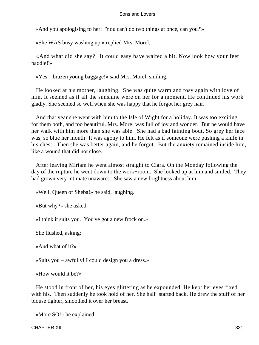«And you apologising to her: 'You can't do two things at once, can you?'»

«She WAS busy washing up,» replied Mrs. Morel.

 «And what did she say? 'It could easy have waited a bit. Now look how your feet paddle!'»

«Yes – brazen young baggage!» said Mrs. Morel, smiling.

 He looked at his mother, laughing. She was quite warm and rosy again with love of him. It seemed as if all the sunshine were on her for a moment. He continued his work gladly. She seemed so well when she was happy that he forgot her grey hair.

 And that year she went with him to the Isle of Wight for a holiday. It was too exciting for them both, and too beautiful. Mrs. Morel was full of joy and wonder. But he would have her walk with him more than she was able. She had a bad fainting bout. So grey her face was, so blue her mouth! It was agony to him. He felt as if someone were pushing a knife in his chest. Then she was better again, and he forgot. But the anxiety remained inside him, like a wound that did not close.

 After leaving Miriam he went almost straight to Clara. On the Monday following the day of the rupture he went down to the work−room. She looked up at him and smiled. They had grown very intimate unawares. She saw a new brightness about him.

«Well, Queen of Sheba!» he said, laughing.

«But why?» she asked.

«I think it suits you. You've got a new frock on.»

She flushed, asking:

«And what of it?»

«Suits you – awfully! I could design you a dress.»

«How would it be?»

 He stood in front of her, his eyes glittering as he expounded. He kept her eyes fixed with his. Then suddenly he took hold of her. She half−started back. He drew the stuff of her blouse tighter, smoothed it over her breast.

«More SO!» he explained.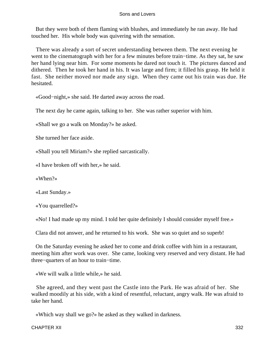But they were both of them flaming with blushes, and immediately he ran away. He had touched her. His whole body was quivering with the sensation.

 There was already a sort of secret understanding between them. The next evening he went to the cinematograph with her for a few minutes before train−time. As they sat, he saw her hand lying near him. For some moments he dared not touch it. The pictures danced and dithered. Then he took her hand in his. It was large and firm; it filled his grasp. He held it fast. She neither moved nor made any sign. When they came out his train was due. He hesitated.

«Good−night,» she said. He darted away across the road.

The next day he came again, talking to her. She was rather superior with him.

«Shall we go a walk on Monday?» he asked.

She turned her face aside.

«Shall you tell Miriam?» she replied sarcastically.

«I have broken off with her,» he said.

«When?»

«Last Sunday.»

«You quarrelled?»

«No! I had made up my mind. I told her quite definitely I should consider myself free.»

Clara did not answer, and he returned to his work. She was so quiet and so superb!

 On the Saturday evening he asked her to come and drink coffee with him in a restaurant, meeting him after work was over. She came, looking very reserved and very distant. He had three−quarters of an hour to train−time.

«We will walk a little while,» he said.

 She agreed, and they went past the Castle into the Park. He was afraid of her. She walked moodily at his side, with a kind of resentful, reluctant, angry walk. He was afraid to take her hand.

«Which way shall we go?» he asked as they walked in darkness.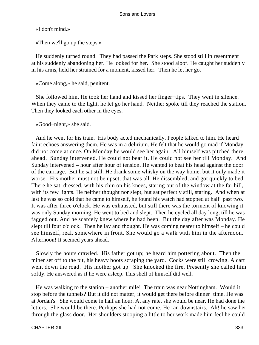«I don't mind.»

«Then we'll go up the steps.»

 He suddenly turned round. They had passed the Park steps. She stood still in resentment at his suddenly abandoning her. He looked for her. She stood aloof. He caught her suddenly in his arms, held her strained for a moment, kissed her. Then he let her go.

«Come along,» he said, penitent.

 She followed him. He took her hand and kissed her finger−tips. They went in silence. When they came to the light, he let go her hand. Neither spoke till they reached the station. Then they looked each other in the eyes.

«Good−night,» she said.

 And he went for his train. His body acted mechanically. People talked to him. He heard faint echoes answering them. He was in a delirium. He felt that he would go mad if Monday did not come at once. On Monday he would see her again. All himself was pitched there, ahead. Sunday intervened. He could not bear it. He could not see her till Monday. And Sunday intervened – hour after hour of tension. He wanted to beat his head against the door of the carriage. But he sat still. He drank some whisky on the way home, but it only made it worse. His mother must not be upset, that was all. He dissembled, and got quickly to bed. There he sat, dressed, with his chin on his knees, staring out of the window at the far hill, with its few lights. He neither thought nor slept, but sat perfectly still, staring. And when at last he was so cold that he came to himself, he found his watch had stopped at half−past two. It was after three o'clock. He was exhausted, but still there was the torment of knowing it was only Sunday morning. He went to bed and slept. Then he cycled all day long, till he was fagged out. And he scarcely knew where he had been. But the day after was Monday. He slept till four o'clock. Then he lay and thought. He was coming nearer to himself – he could see himself, real, somewhere in front. She would go a walk with him in the afternoon. Afternoon! It seemed years ahead.

 Slowly the hours crawled. His father got up; he heard him pottering about. Then the miner set off to the pit, his heavy boots scraping the yard. Cocks were still crowing. A cart went down the road. His mother got up. She knocked the fire. Presently she called him softly. He answered as if he were asleep. This shell of himself did well.

 He was walking to the station – another mile! The train was near Nottingham. Would it stop before the tunnels? But it did not matter; it would get there before dinner−time. He was at Jordan's. She would come in half an hour. At any rate, she would be near. He had done the letters. She would be there. Perhaps she had not come. He ran downstairs. Ah! he saw her through the glass door. Her shoulders stooping a little to her work made him feel he could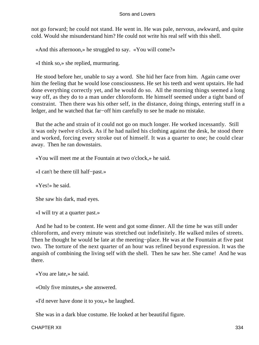not go forward; he could not stand. He went in. He was pale, nervous, awkward, and quite cold. Would she misunderstand him? He could not write his real self with this shell.

«And this afternoon,» he struggled to say. «You will come?»

«I think so,» she replied, murmuring.

 He stood before her, unable to say a word. She hid her face from him. Again came over him the feeling that he would lose consciousness. He set his teeth and went upstairs. He had done everything correctly yet, and he would do so. All the morning things seemed a long way off, as they do to a man under chloroform. He himself seemed under a tight band of constraint. Then there was his other self, in the distance, doing things, entering stuff in a ledger, and he watched that far−off him carefully to see he made no mistake.

 But the ache and strain of it could not go on much longer. He worked incessantly. Still it was only twelve o'clock. As if he had nailed his clothing against the desk, he stood there and worked, forcing every stroke out of himself. It was a quarter to one; he could clear away. Then he ran downstairs.

«You will meet me at the Fountain at two o'clock,» he said.

«I can't be there till half−past.»

«Yes!» he said.

She saw his dark, mad eyes.

«I will try at a quarter past.»

 And he had to be content. He went and got some dinner. All the time he was still under chloroform, and every minute was stretched out indefinitely. He walked miles of streets. Then he thought he would be late at the meeting–place. He was at the Fountain at five past two. The torture of the next quarter of an hour was refined beyond expression. It was the anguish of combining the living self with the shell. Then he saw her. She came! And he was there.

«You are late,» he said.

«Only five minutes,» she answered.

«I'd never have done it to you,» he laughed.

She was in a dark blue costume. He looked at her beautiful figure.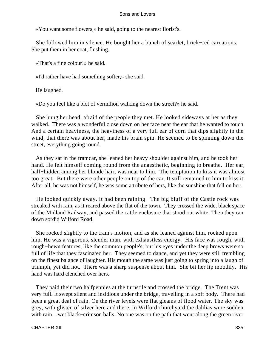«You want some flowers,» he said, going to the nearest florist's.

 She followed him in silence. He bought her a bunch of scarlet, brick−red carnations. She put them in her coat, flushing.

«That's a fine colour!» he said.

«I'd rather have had something softer,» she said.

He laughed.

«Do you feel like a blot of vermilion walking down the street?» he said.

 She hung her head, afraid of the people they met. He looked sideways at her as they walked. There was a wonderful close down on her face near the ear that he wanted to touch. And a certain heaviness, the heaviness of a very full ear of corn that dips slightly in the wind, that there was about her, made his brain spin. He seemed to be spinning down the street, everything going round.

 As they sat in the tramcar, she leaned her heavy shoulder against him, and he took her hand. He felt himself coming round from the anaesthetic, beginning to breathe. Her ear, half−hidden among her blonde hair, was near to him. The temptation to kiss it was almost too great. But there were other people on top of the car. It still remained to him to kiss it. After all, he was not himself, he was some attribute of hers, like the sunshine that fell on her.

 He looked quickly away. It had been raining. The big bluff of the Castle rock was streaked with rain, as it reared above the flat of the town. They crossed the wide, black space of the Midland Railway, and passed the cattle enclosure that stood out white. Then they ran down sordid Wilford Road.

 She rocked slightly to the tram's motion, and as she leaned against him, rocked upon him. He was a vigorous, slender man, with exhaustless energy. His face was rough, with rough−hewn features, like the common people's; but his eyes under the deep brows were so full of life that they fascinated her. They seemed to dance, and yet they were still trembling on the finest balance of laughter. His mouth the same was just going to spring into a laugh of triumph, yet did not. There was a sharp suspense about him. She bit her lip moodily. His hand was hard clenched over hers.

 They paid their two halfpennies at the turnstile and crossed the bridge. The Trent was very full. It swept silent and insidious under the bridge, travelling in a soft body. There had been a great deal of rain. On the river levels were flat gleams of flood water. The sky was grey, with glisten of silver here and there. In Wilford churchyard the dahlias were sodden with rain – wet black−crimson balls. No one was on the path that went along the green river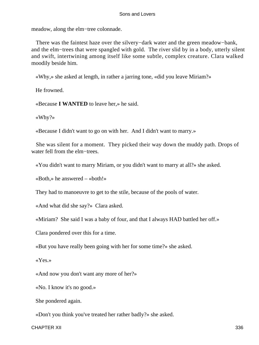meadow, along the elm−tree colonnade.

 There was the faintest haze over the silvery−dark water and the green meadow−bank, and the elm−trees that were spangled with gold. The river slid by in a body, utterly silent and swift, intertwining among itself like some subtle, complex creature. Clara walked moodily beside him.

«Why,» she asked at length, in rather a jarring tone, «did you leave Miriam?»

He frowned.

«Because **I WANTED** to leave her,» he said.

«Why?»

«Because I didn't want to go on with her. And I didn't want to marry.»

 She was silent for a moment. They picked their way down the muddy path. Drops of water fell from the elm−trees.

«You didn't want to marry Miriam, or you didn't want to marry at all?» she asked.

«Both,» he answered – «both!»

They had to manoeuvre to get to the stile, because of the pools of water.

«And what did she say?» Clara asked.

«Miriam? She said I was a baby of four, and that I always HAD battled her off.»

Clara pondered over this for a time.

«But you have really been going with her for some time?» she asked.

«Yes.»

«And now you don't want any more of her?»

«No. I know it's no good.»

She pondered again.

«Don't you think you've treated her rather badly?» she asked.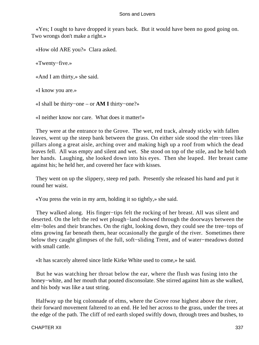«Yes; I ought to have dropped it years back. But it would have been no good going on. Two wrongs don't make a right.»

«How old ARE you?» Clara asked.

«Twenty−five.»

«And I am thirty,» she said.

«I know you are.»

«I shall be thirty−one – or **AM I** thirty−one?»

«I neither know nor care. What does it matter!»

 They were at the entrance to the Grove. The wet, red track, already sticky with fallen leaves, went up the steep bank between the grass. On either side stood the elm−trees like pillars along a great aisle, arching over and making high up a roof from which the dead leaves fell. All was empty and silent and wet. She stood on top of the stile, and he held both her hands. Laughing, she looked down into his eyes. Then she leaped. Her breast came against his; he held her, and covered her face with kisses.

 They went on up the slippery, steep red path. Presently she released his hand and put it round her waist.

«You press the vein in my arm, holding it so tightly,» she said.

 They walked along. His finger−tips felt the rocking of her breast. All was silent and deserted. On the left the red wet plough−land showed through the doorways between the elm−boles and their branches. On the right, looking down, they could see the tree−tops of elms growing far beneath them, hear occasionally the gurgle of the river. Sometimes there below they caught glimpses of the full, soft−sliding Trent, and of water−meadows dotted with small cattle

«It has scarcely altered since little Kirke White used to come,» he said.

 But he was watching her throat below the ear, where the flush was fusing into the honey−white, and her mouth that pouted disconsolate. She stirred against him as she walked, and his body was like a taut string.

 Halfway up the big colonnade of elms, where the Grove rose highest above the river, their forward movement faltered to an end. He led her across to the grass, under the trees at the edge of the path. The cliff of red earth sloped swiftly down, through trees and bushes, to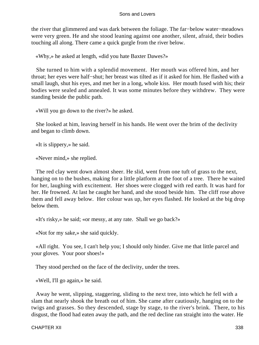the river that glimmered and was dark between the foliage. The far−below water−meadows were very green. He and she stood leaning against one another, silent, afraid, their bodies touching all along. There came a quick gurgle from the river below.

«Why,» he asked at length, «did you hate Baxter Dawes?»

 She turned to him with a splendid movement. Her mouth was offered him, and her throat; her eyes were half−shut; her breast was tilted as if it asked for him. He flashed with a small laugh, shut his eyes, and met her in a long, whole kiss. Her mouth fused with his; their bodies were sealed and annealed. It was some minutes before they withdrew. They were standing beside the public path.

«Will you go down to the river?» he asked.

 She looked at him, leaving herself in his hands. He went over the brim of the declivity and began to climb down.

«It is slippery,» he said.

«Never mind,» she replied.

 The red clay went down almost sheer. He slid, went from one tuft of grass to the next, hanging on to the bushes, making for a little platform at the foot of a tree. There he waited for her, laughing with excitement. Her shoes were clogged with red earth. It was hard for her. He frowned. At last he caught her hand, and she stood beside him. The cliff rose above them and fell away below. Her colour was up, her eyes flashed. He looked at the big drop below them.

«It's risky,» he said; «or messy, at any rate. Shall we go back?»

«Not for my sake,» she said quickly.

 «All right. You see, I can't help you; I should only hinder. Give me that little parcel and your gloves. Your poor shoes!»

They stood perched on the face of the declivity, under the trees.

«Well, I'll go again,» he said.

 Away he went, slipping, staggering, sliding to the next tree, into which he fell with a slam that nearly shook the breath out of him. She came after cautiously, hanging on to the twigs and grasses. So they descended, stage by stage, to the river's brink. There, to his disgust, the flood had eaten away the path, and the red decline ran straight into the water. He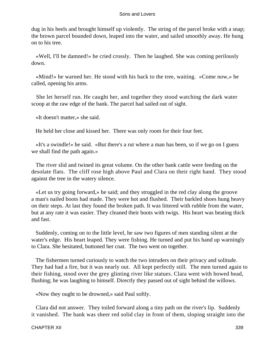dug in his heels and brought himself up violently. The string of the parcel broke with a snap; the brown parcel bounded down, leaped into the water, and sailed smoothly away. He hung on to his tree.

 «Well, I'll be damned!» he cried crossly. Then he laughed. She was coming perilously down.

 «Mind!» he warned her. He stood with his back to the tree, waiting. «Come now,» he called, opening his arms.

 She let herself run. He caught her, and together they stood watching the dark water scoop at the raw edge of the bank. The parcel had sailed out of sight.

«It doesn't matter,» she said.

He held her close and kissed her. There was only room for their four feet.

 «It's a swindle!» he said. «But there's a rut where a man has been, so if we go on I guess we shall find the path again.»

 The river slid and twined its great volume. On the other bank cattle were feeding on the desolate flats. The cliff rose high above Paul and Clara on their right hand. They stood against the tree in the watery silence.

 «Let us try going forward,» he said; and they struggled in the red clay along the groove a man's nailed boots had made. They were hot and flushed. Their barkled shoes hung heavy on their steps. At last they found the broken path. It was littered with rubble from the water, but at any rate it was easier. They cleaned their boots with twigs. His heart was beating thick and fast.

 Suddenly, coming on to the little level, he saw two figures of men standing silent at the water's edge. His heart leaped. They were fishing. He turned and put his hand up warningly to Clara. She hesitated, buttoned her coat. The two went on together.

 The fishermen turned curiously to watch the two intruders on their privacy and solitude. They had had a fire, but it was nearly out. All kept perfectly still. The men turned again to their fishing, stood over the grey glinting river like statues. Clara went with bowed head, flushing; he was laughing to himself. Directly they passed out of sight behind the willows.

«Now they ought to be drowned,» said Paul softly.

 Clara did not answer. They toiled forward along a tiny path on the river's lip. Suddenly it vanished. The bank was sheer red solid clay in front of them, sloping straight into the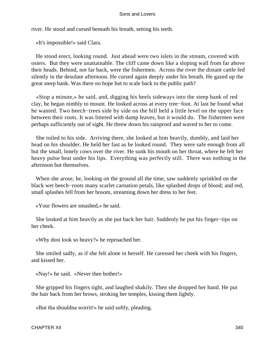river. He stood and cursed beneath his breath, setting his teeth.

«It's impossible!» said Clara.

 He stood erect, looking round. Just ahead were two islets in the stream, covered with osiers. But they were unattainable. The cliff came down like a sloping wall from far above their heads. Behind, not far back, were the fishermen. Across the river the distant cattle fed silently in the desolate afternoon. He cursed again deeply under his breath. He gazed up the great steep bank. Was there no hope but to scale back to the public path?

 «Stop a minute,» he said, and, digging his heels sideways into the steep bank of red clay, he began nimbly to mount. He looked across at every tree−foot. At last he found what he wanted. Two beech−trees side by side on the hill held a little level on the upper face between their roots. It was littered with damp leaves, but it would do. The fishermen were perhaps sufficiently out of sight. He threw down his rainproof and waved to her to come.

 She toiled to his side. Arriving there, she looked at him heavily, dumbly, and laid her head on his shoulder. He held her fast as he looked round. They were safe enough from all but the small, lonely cows over the river. He sunk his mouth on her throat, where he felt her heavy pulse beat under his lips. Everything was perfectly still. There was nothing in the afternoon but themselves.

 When she arose, he, looking on the ground all the time, saw suddenly sprinkled on the black wet beech−roots many scarlet carnation petals, like splashed drops of blood; and red, small splashes fell from her bosom, streaming down her dress to her feet.

«Your flowers are smashed,» he said.

 She looked at him heavily as she put back her hair. Suddenly he put his finger−tips on her cheek.

«Why dost look so heavy?» he reproached her.

 She smiled sadly, as if she felt alone in herself. He caressed her cheek with his fingers, and kissed her.

«Nay!» he said. «Never thee bother!»

 She gripped his fingers tight, and laughed shakily. Then she dropped her hand. He put the hair back from her brows, stroking her temples, kissing them lightly.

«But tha shouldna worrit!» he said softly, pleading.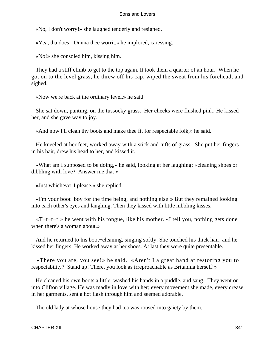«No, I don't worry!» she laughed tenderly and resigned.

«Yea, tha does! Dunna thee worrit,» he implored, caressing.

«No!» she consoled him, kissing him.

 They had a stiff climb to get to the top again. It took them a quarter of an hour. When he got on to the level grass, he threw off his cap, wiped the sweat from his forehead, and sighed.

«Now we're back at the ordinary level,» he said.

 She sat down, panting, on the tussocky grass. Her cheeks were flushed pink. He kissed her, and she gave way to joy.

«And now I'll clean thy boots and make thee fit for respectable folk,» he said.

 He kneeled at her feet, worked away with a stick and tufts of grass. She put her fingers in his hair, drew his head to her, and kissed it.

 «What am I supposed to be doing,» he said, looking at her laughing; «cleaning shoes or dibbling with love? Answer me that!»

«Just whichever I please,» she replied.

 «I'm your boot−boy for the time being, and nothing else!» But they remained looking into each other's eyes and laughing. Then they kissed with little nibbling kisses.

 «T−t−t−t!» he went with his tongue, like his mother. «I tell you, nothing gets done when there's a woman about.»

 And he returned to his boot−cleaning, singing softly. She touched his thick hair, and he kissed her fingers. He worked away at her shoes. At last they were quite presentable.

 «There you are, you see!» he said. «Aren't I a great hand at restoring you to respectability? Stand up! There, you look as irreproachable as Britannia herself!»

 He cleaned his own boots a little, washed his hands in a puddle, and sang. They went on into Clifton village. He was madly in love with her; every movement she made, every crease in her garments, sent a hot flash through him and seemed adorable.

The old lady at whose house they had tea was roused into gaiety by them.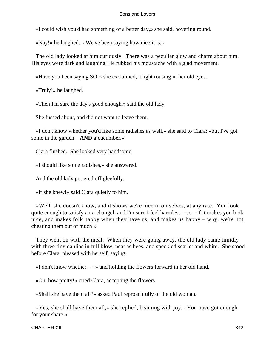«I could wish you'd had something of a better day,» she said, hovering round.

«Nay!» he laughed. «We've been saying how nice it is.»

 The old lady looked at him curiously. There was a peculiar glow and charm about him. His eyes were dark and laughing. He rubbed his moustache with a glad movement.

«Have you been saying SO!» she exclaimed, a light rousing in her old eyes.

«Truly!» he laughed.

«Then I'm sure the day's good enough,» said the old lady.

She fussed about, and did not want to leave them.

 «I don't know whether you'd like some radishes as well,» she said to Clara; «but I've got some in the garden – **AND a** cucumber.»

Clara flushed. She looked very handsome.

«I should like some radishes,» she answered.

And the old lady pottered off gleefully.

«If she knew!» said Clara quietly to him.

 «Well, she doesn't know; and it shows we're nice in ourselves, at any rate. You look quite enough to satisfy an archangel, and I'm sure I feel harmless – so – if it makes you look nice, and makes folk happy when they have us, and makes us happy – why, we're not cheating them out of much!»

 They went on with the meal. When they were going away, the old lady came timidly with three tiny dahlias in full blow, neat as bees, and speckled scarlet and white. She stood before Clara, pleased with herself, saying:

«I don't know whether – −» and holding the flowers forward in her old hand.

«Oh, how pretty!» cried Clara, accepting the flowers.

«Shall she have them all?» asked Paul reproachfully of the old woman.

 «Yes, she shall have them all,» she replied, beaming with joy. «You have got enough for your share.»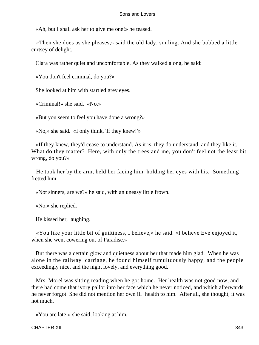«Ah, but I shall ask her to give me one!» he teased.

 «Then she does as she pleases,» said the old lady, smiling. And she bobbed a little curtsey of delight.

Clara was rather quiet and uncomfortable. As they walked along, he said:

«You don't feel criminal, do you?»

She looked at him with startled grey eyes.

«Criminal!» she said. «No.»

«But you seem to feel you have done a wrong?»

«No,» she said. «I only think, 'If they knew!'»

 «If they knew, they'd cease to understand. As it is, they do understand, and they like it. What do they matter? Here, with only the trees and me, you don't feel not the least bit wrong, do you?»

 He took her by the arm, held her facing him, holding her eyes with his. Something fretted him.

«Not sinners, are we?» he said, with an uneasy little frown.

«No,» she replied.

He kissed her, laughing.

 «You like your little bit of guiltiness, I believe,» he said. «I believe Eve enjoyed it, when she went cowering out of Paradise.»

 But there was a certain glow and quietness about her that made him glad. When he was alone in the railway−carriage, he found himself tumultuously happy, and the people exceedingly nice, and the night lovely, and everything good.

 Mrs. Morel was sitting reading when he got home. Her health was not good now, and there had come that ivory pallor into her face which he never noticed, and which afterwards he never forgot. She did not mention her own ill−health to him. After all, she thought, it was not much.

«You are late!» she said, looking at him.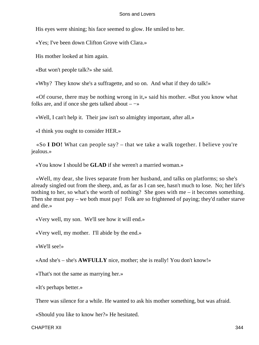His eyes were shining; his face seemed to glow. He smiled to her.

«Yes; I've been down Clifton Grove with Clara.»

His mother looked at him again.

«But won't people talk?» she said.

«Why? They know she's a suffragette, and so on. And what if they do talk!»

 «Of course, there may be nothing wrong in it,» said his mother. «But you know what folks are, and if once she gets talked about –  $\rightarrow$ 

«Well, I can't help it. Their jaw isn't so almighty important, after all.»

«I think you ought to consider HER.»

 «So **I DO!** What can people say? – that we take a walk together. I believe you're jealous.»

«You know I should be **GLAD** if she weren't a married woman.»

 «Well, my dear, she lives separate from her husband, and talks on platforms; so she's already singled out from the sheep, and, as far as I can see, hasn't much to lose. No; her life's nothing to her, so what's the worth of nothing? She goes with me – it becomes something. Then she must pay – we both must pay! Folk are so frightened of paying; they'd rather starve and die.»

«Very well, my son. We'll see how it will end.»

«Very well, my mother. I'll abide by the end.»

«We'll see!»

«And she's – she's **AWFULLY** nice, mother; she is really! You don't know!»

«That's not the same as marrying her.»

«It's perhaps better.»

There was silence for a while. He wanted to ask his mother something, but was afraid.

«Should you like to know her?» He hesitated.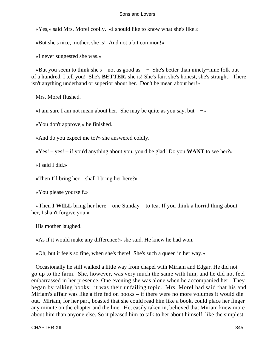«Yes,» said Mrs. Morel coolly. «I should like to know what she's like.»

«But she's nice, mother, she is! And not a bit common!»

«I never suggested she was.»

 «But you seem to think she's – not as good as – − She's better than ninety−nine folk out of a hundred, I tell you! She's **BETTER,** she is! She's fair, she's honest, she's straight! There isn't anything underhand or superior about her. Don't be mean about her!»

Mrs. Morel flushed.

«I am sure I am not mean about her. She may be quite as you say, but  $-\rightarrow$ 

«You don't approve,» he finished.

«And do you expect me to?» she answered coldly.

«Yes! – yes! – if you'd anything about you, you'd be glad! Do you **WANT** to see her?»

«I said I did.»

«Then I'll bring her – shall I bring her here?»

«You please yourself.»

 «Then **I WILL** bring her here – one Sunday – to tea. If you think a horrid thing about her, I shan't forgive you.»

His mother laughed.

«As if it would make any difference!» she said. He knew he had won.

«Oh, but it feels so fine, when she's there! She's such a queen in her way.»

 Occasionally he still walked a little way from chapel with Miriam and Edgar. He did not go up to the farm. She, however, was very much the same with him, and he did not feel embarrassed in her presence. One evening she was alone when he accompanied her. They began by talking books: it was their unfailing topic. Mrs. Morel had said that his and Miriam's affair was like a fire fed on books – if there were no more volumes it would die out. Miriam, for her part, boasted that she could read him like a book, could place her finger any minute on the chapter and the line. He, easily taken in, believed that Miriam knew more about him than anyone else. So it pleased him to talk to her about himself, like the simplest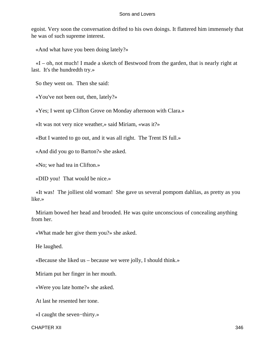egoist. Very soon the conversation drifted to his own doings. It flattered him immensely that he was of such supreme interest.

«And what have you been doing lately?»

 «I – oh, not much! I made a sketch of Bestwood from the garden, that is nearly right at last. It's the hundredth try.»

So they went on. Then she said:

«You've not been out, then, lately?»

«Yes; I went up Clifton Grove on Monday afternoon with Clara.»

«It was not very nice weather,» said Miriam, «was it?»

«But I wanted to go out, and it was all right. The Trent IS full.»

«And did you go to Barton?» she asked.

«No; we had tea in Clifton.»

«DID you! That would be nice.»

 «It was! The jolliest old woman! She gave us several pompom dahlias, as pretty as you like.»

 Miriam bowed her head and brooded. He was quite unconscious of concealing anything from her.

«What made her give them you?» she asked.

He laughed.

«Because she liked us – because we were jolly, I should think.»

Miriam put her finger in her mouth.

«Were you late home?» she asked.

At last he resented her tone.

«I caught the seven−thirty.»

CHAPTER XII 346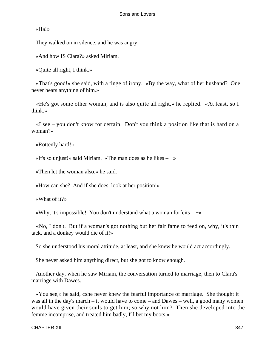«Ha!»

They walked on in silence, and he was angry.

«And how IS Clara?» asked Miriam.

«Quite all right, I think.»

 «That's good!» she said, with a tinge of irony. «By the way, what of her husband? One never hears anything of him.»

 «He's got some other woman, and is also quite all right,» he replied. «At least, so I think.»

 «I see – you don't know for certain. Don't you think a position like that is hard on a woman?»

«Rottenly hard!»

«It's so unjust!» said Miriam. «The man does as he likes – −»

«Then let the woman also,» he said.

«How can she? And if she does, look at her position!»

«What of it?»

«Why, it's impossible! You don't understand what a woman forfeits – −»

 «No, I don't. But if a woman's got nothing but her fair fame to feed on, why, it's thin tack, and a donkey would die of it!»

So she understood his moral attitude, at least, and she knew he would act accordingly.

She never asked him anything direct, but she got to know enough.

 Another day, when he saw Miriam, the conversation turned to marriage, then to Clara's marriage with Dawes.

 «You see,» he said, «she never knew the fearful importance of marriage. She thought it was all in the day's march – it would have to come – and Dawes – well, a good many women would have given their souls to get him; so why not him? Then she developed into the femme incomprise, and treated him badly, I'll bet my boots.»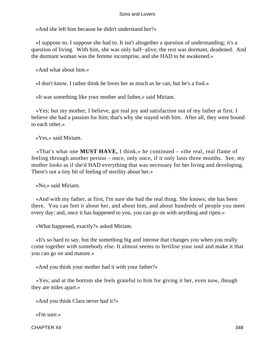«And she left him because he didn't understand her?»

 «I suppose so. I suppose she had to. It isn't altogether a question of understanding; it's a question of living. With him, she was only half−alive; the rest was dormant, deadened. And the dormant woman was the femme incomprise, and she HAD to be awakened.»

«And what about him.»

«I don't know. I rather think he loves her as much as he can, but he's a fool.»

«It was something like your mother and father,» said Miriam.

 «Yes; but my mother, I believe, got real joy and satisfaction out of my father at first. I believe she had a passion for him; that's why she stayed with him. After all, they were bound to each other.»

«Yes,» said Miriam.

 «That's what one **MUST HAVE,** I think,» he continued – «the real, real flame of feeling through another person – once, only once, if it only lasts three months. See, my mother looks as if she'd HAD everything that was necessary for her living and developing. There's not a tiny bit of feeling of sterility about her.»

«No,» said Miriam.

 «And with my father, at first, I'm sure she had the real thing. She knows; she has been there. You can feet it about her, and about him, and about hundreds of people you meet every day; and, once it has happened to you, you can go on with anything and ripen.»

«What happened, exactly?» asked Miriam.

 «It's so hard to say, but the something big and intense that changes you when you really come together with somebody else. It almost seems to fertilise your soul and make it that you can go on and mature.»

«And you think your mother had it with your father?»

 «Yes; and at the bottom she feels grateful to him for giving it her, even now, though they are miles apart.»

«And you think Clara never had it?»

«I'm sure.»

CHAPTER XII 348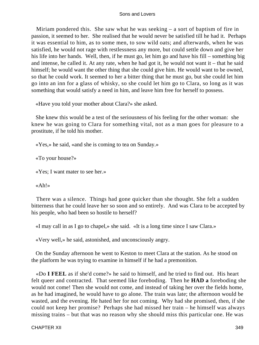Miriam pondered this. She saw what he was seeking – a sort of baptism of fire in passion, it seemed to her. She realised that he would never be satisfied till he had it. Perhaps it was essential to him, as to some men, to sow wild oats; and afterwards, when he was satisfied, he would not rage with restlessness any more, but could settle down and give her his life into her hands. Well, then, if he must go, let him go and have his fill – something big and intense, he called it. At any rate, when he had got it, he would not want it – that he said himself; he would want the other thing that she could give him. He would want to be owned, so that he could work. It seemed to her a bitter thing that he must go, but she could let him go into an inn for a glass of whisky, so she could let him go to Clara, so long as it was something that would satisfy a need in him, and leave him free for herself to possess.

«Have you told your mother about Clara?» she asked.

 She knew this would be a test of the seriousness of his feeling for the other woman: she knew he was going to Clara for something vital, not as a man goes for pleasure to a prostitute, if he told his mother.

«Yes,» he said, «and she is coming to tea on Sunday.»

«To your house?»

«Yes; I want mater to see her.»

«Ah!»

 There was a silence. Things had gone quicker than she thought. She felt a sudden bitterness that he could leave her so soon and so entirely. And was Clara to be accepted by his people, who had been so hostile to herself?

«I may call in as I go to chapel,» she said. «It is a long time since I saw Clara.»

«Very well,» he said, astonished, and unconsciously angry.

 On the Sunday afternoon he went to Keston to meet Clara at the station. As he stood on the platform he was trying to examine in himself if he had a premonition.

 «Do **I FEEL** as if she'd come?» he said to himself, and he tried to find out. His heart felt queer and contracted. That seemed like foreboding. Then he **HAD a** foreboding she would not come! Then she would not come, and instead of taking her over the fields home, as he had imagined, he would have to go alone. The train was late; the afternoon would be wasted, and the evening. He hated her for not coming. Why had she promised, then, if she could not keep her promise? Perhaps she had missed her train – he himself was always missing trains – but that was no reason why she should miss this particular one. He was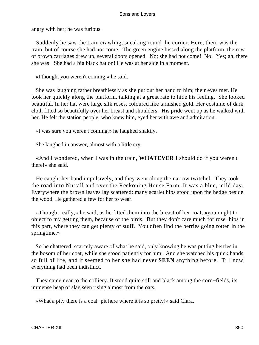angry with her; he was furious.

 Suddenly he saw the train crawling, sneaking round the corner. Here, then, was the train, but of course she had not come. The green engine hissed along the platform, the row of brown carriages drew up, several doors opened. No; she had not come! No! Yes; ah, there she was! She had a big black hat on! He was at her side in a moment.

«I thought you weren't coming,» he said.

 She was laughing rather breathlessly as she put out her hand to him; their eyes met. He took her quickly along the platform, talking at a great rate to hide his feeling. She looked beautiful. In her hat were large silk roses, coloured like tarnished gold. Her costume of dark cloth fitted so beautifully over her breast and shoulders. His pride went up as he walked with her. He felt the station people, who knew him, eyed her with awe and admiration.

«I was sure you weren't coming,» he laughed shakily.

She laughed in answer, almost with a little cry.

 «And I wondered, when I was in the train, **WHATEVER I** should do if you weren't there!» she said.

 He caught her hand impulsively, and they went along the narrow twitchel. They took the road into Nuttall and over the Reckoning House Farm. It was a blue, mild day. Everywhere the brown leaves lay scattered; many scarlet hips stood upon the hedge beside the wood. He gathered a few for her to wear.

 «Though, really,» he said, as he fitted them into the breast of her coat, «you ought to object to my getting them, because of the birds. But they don't care much for rose−hips in this part, where they can get plenty of stuff. You often find the berries going rotten in the springtime.»

 So he chattered, scarcely aware of what he said, only knowing he was putting berries in the bosom of her coat, while she stood patiently for him. And she watched his quick hands, so full of life, and it seemed to her she had never **SEEN** anything before. Till now, everything had been indistinct.

 They came near to the colliery. It stood quite still and black among the corn−fields, its immense heap of slag seen rising almost from the oats.

«What a pity there is a coal−pit here where it is so pretty!» said Clara.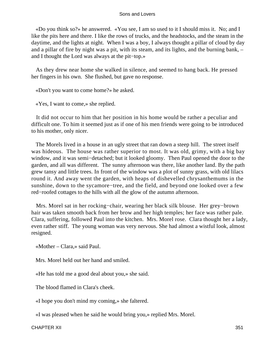«Do you think so?» he answered. «You see, I am so used to it I should miss it. No; and I like the pits here and there. I like the rows of trucks, and the headstocks, and the steam in the daytime, and the lights at night. When I was a boy, I always thought a pillar of cloud by day and a pillar of fire by night was a pit, with its steam, and its lights, and the burning bank, – and I thought the Lord was always at the pit−top.»

 As they drew near home she walked in silence, and seemed to hang back. He pressed her fingers in his own. She flushed, but gave no response.

«Don't you want to come home?» he asked.

«Yes, I want to come,» she replied.

 It did not occur to him that her position in his home would be rather a peculiar and difficult one. To him it seemed just as if one of his men friends were going to be introduced to his mother, only nicer.

 The Morels lived in a house in an ugly street that ran down a steep hill. The street itself was hideous. The house was rather superior to most. It was old, grimy, with a big bay window, and it was semi−detached; but it looked gloomy. Then Paul opened the door to the garden, and all was different. The sunny afternoon was there, like another land. By the path grew tansy and little trees. In front of the window was a plot of sunny grass, with old lilacs round it. And away went the garden, with heaps of dishevelled chrysanthemums in the sunshine, down to the sycamore−tree, and the field, and beyond one looked over a few red−roofed cottages to the hills with all the glow of the autumn afternoon.

 Mrs. Morel sat in her rocking−chair, wearing her black silk blouse. Her grey−brown hair was taken smooth back from her brow and her high temples; her face was rather pale. Clara, suffering, followed Paul into the kitchen. Mrs. Morel rose. Clara thought her a lady, even rather stiff. The young woman was very nervous. She had almost a wistful look, almost resigned.

«Mother – Clara,» said Paul.

Mrs. Morel held out her hand and smiled.

«He has told me a good deal about you,» she said.

The blood flamed in Clara's cheek.

«I hope you don't mind my coming,» she faltered.

«I was pleased when he said he would bring you,» replied Mrs. Morel.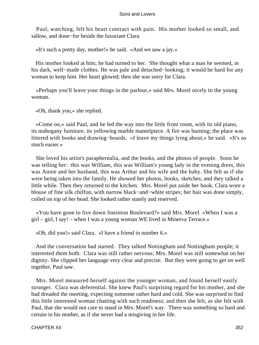Paul, watching, felt his heart contract with pain. His mother looked so small, and sallow, and done−for beside the luxuriant Clara.

«It's such a pretty day, mother!» he said. «And we saw a jay.»

 His mother looked at him; he had turned to her. She thought what a man he seemed, in his dark, well−made clothes. He was pale and detached−looking; it would be hard for any woman to keep him. Her heart glowed; then she was sorry for Clara.

 «Perhaps you'll leave your things in the parlour,» said Mrs. Morel nicely to the young woman.

«Oh, thank you,» she replied.

 «Come on,» said Paul, and he led the way into the little front room, with its old piano, its mahogany furniture, its yellowing marble mantelpiece. A fire was burning; the place was littered with books and drawing−boards. «I leave my things lying about,» he said. «It's so much easier.»

 She loved his artist's paraphernalia, and the books, and the photos of people. Soon he was telling her: this was William, this was William's young lady in the evening dress, this was Annie and her husband, this was Arthur and his wife and the baby. She felt as if she were being taken into the family. He showed her photos, books, sketches, and they talked a little while. Then they returned to the kitchen. Mrs. Morel put aside her book. Clara wore a blouse of fine silk chiffon, with narrow black−and−white stripes; her hair was done simply, coiled on top of her head. She looked rather stately and reserved.

 «You have gone to live down Sneinton Boulevard?» said Mrs. Morel. «When I was a girl – girl, I say! – when I was a young woman WE lived in Minerva Terrace.»

«Oh, did you!» said Clara. «I have a friend in number 6.»

 And the conversation had started. They talked Nottingham and Nottingham people; it interested them both. Clara was still rather nervous; Mrs. Morel was still somewhat on her dignity. She clipped her language very clear and precise. But they were going to get on well together, Paul saw.

 Mrs. Morel measured herself against the younger woman, and found herself easily stronger. Clara was deferential. She knew Paul's surprising regard for his mother, and she had dreaded the meeting, expecting someone rather hard and cold. She was surprised to find this little interested woman chatting with such readiness; and then she felt, as she felt with Paul, that she would not care to stand in Mrs. Morel's way. There was something so hard and certain in his mother, as if she never had a misgiving in her life.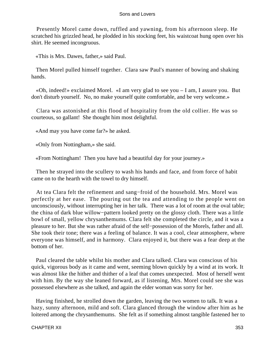Presently Morel came down, ruffled and yawning, from his afternoon sleep. He scratched his grizzled head, he plodded in his stocking feet, his waistcoat hung open over his shirt. He seemed incongruous.

«This is Mrs. Dawes, father,» said Paul.

 Then Morel pulled himself together. Clara saw Paul's manner of bowing and shaking hands.

 «Oh, indeed!» exclaimed Morel. «I am very glad to see you – I am, I assure you. But don't disturb yourself. No, no make yourself quite comfortable, and be very welcome.»

 Clara was astonished at this flood of hospitality from the old collier. He was so courteous, so gallant! She thought him most delightful.

«And may you have come far?» he asked.

«Only from Nottingham,» she said.

«From Nottingham! Then you have had a beautiful day for your journey.»

 Then he strayed into the scullery to wash his hands and face, and from force of habit came on to the hearth with the towel to dry himself.

 At tea Clara felt the refinement and sang−froid of the household. Mrs. Morel was perfectly at her ease. The pouring out the tea and attending to the people went on unconsciously, without interrupting her in her talk. There was a lot of room at the oval table; the china of dark blue willow−pattern looked pretty on the glossy cloth. There was a little bowl of small, yellow chrysanthemums. Clara felt she completed the circle, and it was a pleasure to her. But she was rather afraid of the self−possession of the Morels, father and all. She took their tone; there was a feeling of balance. It was a cool, clear atmosphere, where everyone was himself, and in harmony. Clara enjoyed it, but there was a fear deep at the bottom of her.

 Paul cleared the table whilst his mother and Clara talked. Clara was conscious of his quick, vigorous body as it came and went, seeming blown quickly by a wind at its work. It was almost like the hither and thither of a leaf that comes unexpected. Most of herself went with him. By the way she leaned forward, as if listening, Mrs. Morel could see she was possessed elsewhere as she talked, and again the elder woman was sorry for her.

 Having finished, he strolled down the garden, leaving the two women to talk. It was a hazy, sunny afternoon, mild and soft. Clara glanced through the window after him as he loitered among the chrysanthemums. She felt as if something almost tangible fastened her to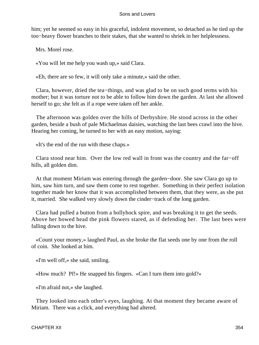him; yet he seemed so easy in his graceful, indolent movement, so detached as he tied up the too−heavy flower branches to their stakes, that she wanted to shriek in her helplessness.

Mrs. Morel rose.

«You will let me help you wash up,» said Clara.

«Eh, there are so few, it will only take a minute,» said the other.

 Clara, however, dried the tea−things, and was glad to be on such good terms with his mother; but it was torture not to be able to follow him down the garden. At last she allowed herself to go; she felt as if a rope were taken off her ankle.

 The afternoon was golden over the hills of Derbyshire. He stood across in the other garden, beside a bush of pale Michaelmas daisies, watching the last bees crawl into the hive. Hearing her coming, he turned to her with an easy motion, saying:

«It's the end of the run with these chaps.»

 Clara stood near him. Over the low red wall in front was the country and the far−off hills, all golden dim.

 At that moment Miriam was entering through the garden−door. She saw Clara go up to him, saw him turn, and saw them come to rest together. Something in their perfect isolation together made her know that it was accomplished between them, that they were, as she put it, married. She walked very slowly down the cinder−track of the long garden.

 Clara had pulled a button from a hollyhock spire, and was breaking it to get the seeds. Above her bowed head the pink flowers stared, as if defending her. The last bees were falling down to the hive.

 «Count your money,» laughed Paul, as she broke the flat seeds one by one from the roll of coin. She looked at him.

«I'm well off,» she said, smiling.

«How much? Pf!» He snapped his fingers. «Can I turn them into gold?»

«I'm afraid not,» she laughed.

 They looked into each other's eyes, laughing. At that moment they became aware of Miriam. There was a click, and everything had altered.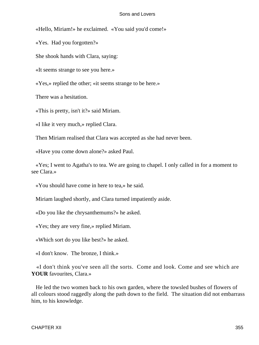«Hello, Miriam!» he exclaimed. «You said you'd come!»

«Yes. Had you forgotten?»

She shook hands with Clara, saying:

«It seems strange to see you here.»

«Yes,» replied the other; «it seems strange to be here.»

There was a hesitation.

«This is pretty, isn't it?» said Miriam.

«I like it very much,» replied Clara.

Then Miriam realised that Clara was accepted as she had never been.

«Have you come down alone?» asked Paul.

 «Yes; I went to Agatha's to tea. We are going to chapel. I only called in for a moment to see Clara.»

«You should have come in here to tea,» he said.

Miriam laughed shortly, and Clara turned impatiently aside.

«Do you like the chrysanthemums?» he asked.

«Yes; they are very fine,» replied Miriam.

«Which sort do you like best?» he asked.

«I don't know. The bronze, I think.»

 «I don't think you've seen all the sorts. Come and look. Come and see which are **YOUR** favourites, Clara.»

 He led the two women back to his own garden, where the towsled bushes of flowers of all colours stood raggedly along the path down to the field. The situation did not embarrass him, to his knowledge.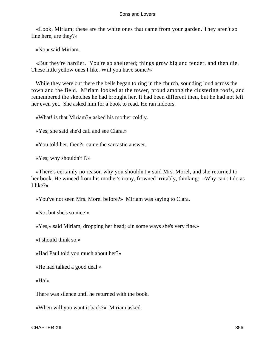«Look, Miriam; these are the white ones that came from your garden. They aren't so fine here, are they?»

«No,» said Miriam.

 «But they're hardier. You're so sheltered; things grow big and tender, and then die. These little yellow ones I like. Will you have some?»

 While they were out there the bells began to ring in the church, sounding loud across the town and the field. Miriam looked at the tower, proud among the clustering roofs, and remembered the sketches he had brought her. It had been different then, but he had not left her even yet. She asked him for a book to read. He ran indoors.

«What! is that Miriam?» asked his mother coldly.

«Yes; she said she'd call and see Clara.»

«You told her, then?» came the sarcastic answer.

«Yes; why shouldn't I?»

 «There's certainly no reason why you shouldn't,» said Mrs. Morel, and she returned to her book. He winced from his mother's irony, frowned irritably, thinking: «Why can't I do as I like?»

«You've not seen Mrs. Morel before?» Miriam was saying to Clara.

«No; but she's so nice!»

«Yes,» said Miriam, dropping her head; «in some ways she's very fine.»

«I should think so.»

«Had Paul told you much about her?»

«He had talked a good deal.»

«Ha!»

There was silence until he returned with the book.

«When will you want it back?» Miriam asked.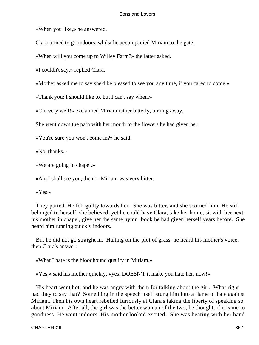«When you like,» he answered.

Clara turned to go indoors, whilst he accompanied Miriam to the gate.

«When will you come up to Willey Farm?» the latter asked.

«I couldn't say,» replied Clara.

«Mother asked me to say she'd be pleased to see you any time, if you cared to come.»

«Thank you; I should like to, but I can't say when.»

«Oh, very well!» exclaimed Miriam rather bitterly, turning away.

She went down the path with her mouth to the flowers he had given her.

«You're sure you won't come in?» he said.

«No, thanks.»

«We are going to chapel.»

«Ah, I shall see you, then!» Miriam was very bitter.

«Yes.»

 They parted. He felt guilty towards her. She was bitter, and she scorned him. He still belonged to herself, she believed; yet he could have Clara, take her home, sit with her next his mother in chapel, give her the same hymn−book he had given herself years before. She heard him running quickly indoors.

 But he did not go straight in. Halting on the plot of grass, he heard his mother's voice, then Clara's answer:

«What I hate is the bloodhound quality in Miriam.»

«Yes,» said his mother quickly, «yes; DOESN'T it make you hate her, now!»

 His heart went hot, and he was angry with them for talking about the girl. What right had they to say that? Something in the speech itself stung him into a flame of hate against Miriam. Then his own heart rebelled furiously at Clara's taking the liberty of speaking so about Miriam. After all, the girl was the better woman of the two, he thought, if it came to goodness. He went indoors. His mother looked excited. She was beating with her hand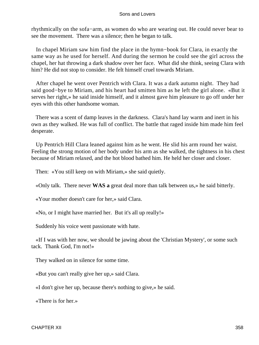rhythmically on the sofa−arm, as women do who are wearing out. He could never bear to see the movement. There was a silence; then he began to talk.

 In chapel Miriam saw him find the place in the hymn−book for Clara, in exactly the same way as he used for herself. And during the sermon he could see the girl across the chapel, her hat throwing a dark shadow over her face. What did she think, seeing Clara with him? He did not stop to consider. He felt himself cruel towards Miriam.

 After chapel he went over Pentrich with Clara. It was a dark autumn night. They had said good−bye to Miriam, and his heart had smitten him as he left the girl alone. «But it serves her right,» he said inside himself, and it almost gave him pleasure to go off under her eyes with this other handsome woman.

 There was a scent of damp leaves in the darkness. Clara's hand lay warm and inert in his own as they walked. He was full of conflict. The battle that raged inside him made him feel desperate.

 Up Pentrich Hill Clara leaned against him as he went. He slid his arm round her waist. Feeling the strong motion of her body under his arm as she walked, the tightness in his chest because of Miriam relaxed, and the hot blood bathed him. He held her closer and closer.

Then: «You still keep on with Miriam,» she said quietly.

«Only talk. There never **WAS a** great deal more than talk between us,» he said bitterly.

«Your mother doesn't care for her,» said Clara.

«No, or I might have married her. But it's all up really!»

Suddenly his voice went passionate with hate.

 «If I was with her now, we should be jawing about the 'Christian Mystery', or some such tack. Thank God, I'm not!»

They walked on in silence for some time.

«But you can't really give her up,» said Clara.

«I don't give her up, because there's nothing to give,» he said.

«There is for her.»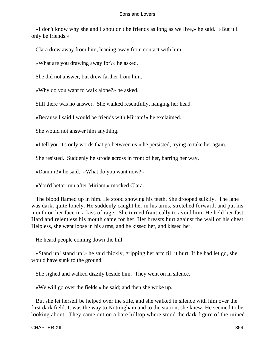«I don't know why she and I shouldn't be friends as long as we live,» he said. «But it'll only be friends.»

Clara drew away from him, leaning away from contact with him.

«What are you drawing away for?» he asked.

She did not answer, but drew farther from him.

«Why do you want to walk alone?» he asked.

Still there was no answer. She walked resentfully, hanging her head.

«Because I said I would be friends with Miriam!» he exclaimed.

She would not answer him anything.

«I tell you it's only words that go between us,» he persisted, trying to take her again.

She resisted. Suddenly he strode across in front of her, barring her way.

«Damn it!» he said. «What do you want now?»

«You'd better run after Miriam,» mocked Clara.

 The blood flamed up in him. He stood showing his teeth. She drooped sulkily. The lane was dark, quite lonely. He suddenly caught her in his arms, stretched forward, and put his mouth on her face in a kiss of rage. She turned frantically to avoid him. He held her fast. Hard and relentless his mouth came for her. Her breasts hurt against the wall of his chest. Helpless, she went loose in his arms, and he kissed her, and kissed her.

He heard people coming down the hill.

 «Stand up! stand up!» he said thickly, gripping her arm till it hurt. If he had let go, she would have sunk to the ground.

She sighed and walked dizzily beside him. They went on in silence.

«We will go over the fields,» he said; and then she woke up.

 But she let herself be helped over the stile, and she walked in silence with him over the first dark field. It was the way to Nottingham and to the station, she knew. He seemed to be looking about. They came out on a bare hilltop where stood the dark figure of the ruined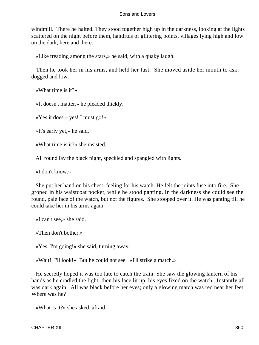windmill. There he halted. They stood together high up in the darkness, looking at the lights scattered on the night before them, handfuls of glittering points, villages lying high and low on the dark, here and there.

«Like treading among the stars,» he said, with a quaky laugh.

 Then he took her in his arms, and held her fast. She moved aside her mouth to ask, dogged and low:

«What time is it?»

«It doesn't matter,» he pleaded thickly.

«Yes it does – yes! I must go!»

«It's early yet,» he said.

«What time is it?» she insisted.

All round lay the black night, speckled and spangled with lights.

«I don't know.»

 She put her hand on his chest, feeling for his watch. He felt the joints fuse into fire. She groped in his waistcoat pocket, while he stood panting. In the darkness she could see the round, pale face of the watch, but not the figures. She stooped over it. He was panting till he could take her in his arms again.

«I can't see,» she said.

«Then don't bother.»

«Yes; I'm going!» she said, turning away.

«Wait! I'll look!» But he could not see. «I'll strike a match.»

 He secretly hoped it was too late to catch the train. She saw the glowing lantern of his hands as he cradled the light: then his face lit up, his eyes fixed on the watch. Instantly all was dark again. All was black before her eyes; only a glowing match was red near her feet. Where was he?

«What is it?» she asked, afraid.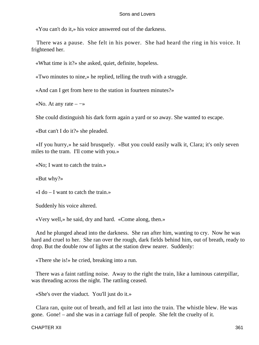«You can't do it,» his voice answered out of the darkness.

 There was a pause. She felt in his power. She had heard the ring in his voice. It frightened her.

«What time is it?» she asked, quiet, definite, hopeless.

«Two minutes to nine,» he replied, telling the truth with a struggle.

«And can I get from here to the station in fourteen minutes?»

«No. At any rate  $-\rightarrow$ 

She could distinguish his dark form again a yard or so away. She wanted to escape.

«But can't I do it?» she pleaded.

 «If you hurry,» he said brusquely. «But you could easily walk it, Clara; it's only seven miles to the tram. I'll come with you.»

«No; I want to catch the train.»

«But why?»

 $\ll$ I do – I want to catch the train.»

Suddenly his voice altered.

«Very well,» he said, dry and hard. «Come along, then.»

 And he plunged ahead into the darkness. She ran after him, wanting to cry. Now he was hard and cruel to her. She ran over the rough, dark fields behind him, out of breath, ready to drop. But the double row of lights at the station drew nearer. Suddenly:

«There she is!» he cried, breaking into a run.

 There was a faint rattling noise. Away to the right the train, like a luminous caterpillar, was threading across the night. The rattling ceased.

«She's over the viaduct. You'll just do it.»

 Clara ran, quite out of breath, and fell at last into the train. The whistle blew. He was gone. Gone! – and she was in a carriage full of people. She felt the cruelty of it.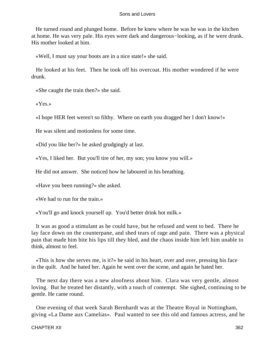He turned round and plunged home. Before he knew where he was he was in the kitchen at home. He was very pale. His eyes were dark and dangerous−looking, as if he were drunk. His mother looked at him.

«Well, I must say your boots are in a nice state!» she said.

 He looked at his feet. Then he took off his overcoat. His mother wondered if he were drunk.

«She caught the train then?» she said.

«Yes.»

«I hope HER feet weren't so filthy. Where on earth you dragged her I don't know!»

He was silent and motionless for some time.

«Did you like her?» he asked grudgingly at last.

«Yes, I liked her. But you'll tire of her, my son; you know you will.»

He did not answer. She noticed how he laboured in his breathing.

«Have you been running?» she asked.

«We had to run for the train.»

«You'll go and knock yourself up. You'd better drink hot milk.»

 It was as good a stimulant as he could have, but he refused and went to bed. There he lay face down on the counterpane, and shed tears of rage and pain. There was a physical pain that made him bite his lips till they bled, and the chaos inside him left him unable to think, almost to feel.

 «This is how she serves me, is it?» he said in his heart, over and over, pressing his face in the quilt. And he hated her. Again he went over the scene, and again he hated her.

 The next day there was a new aloofness about him. Clara was very gentle, almost loving. But he treated her distantly, with a touch of contempt. She sighed, continuing to be gentle. He came round.

 One evening of that week Sarah Bernhardt was at the Theatre Royal in Nottingham, giving «La Dame aux Camelias». Paul wanted to see this old and famous actress, and he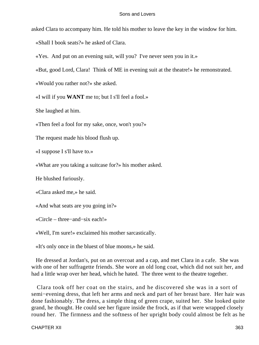asked Clara to accompany him. He told his mother to leave the key in the window for him.

«Shall I book seats?» he asked of Clara.

«Yes. And put on an evening suit, will you? I've never seen you in it.»

«But, good Lord, Clara! Think of ME in evening suit at the theatre!» he remonstrated.

«Would you rather not?» she asked.

«I will if you **WANT** me to; but I s'll feel a fool.»

She laughed at him.

«Then feel a fool for my sake, once, won't you?»

The request made his blood flush up.

«I suppose I s'll have to.»

«What are you taking a suitcase for?» his mother asked.

He blushed furiously.

«Clara asked me,» he said.

«And what seats are you going in?»

«Circle – three−and−six each!»

«Well, I'm sure!» exclaimed his mother sarcastically.

«It's only once in the bluest of blue moons,» he said.

 He dressed at Jordan's, put on an overcoat and a cap, and met Clara in a cafe. She was with one of her suffragette friends. She wore an old long coat, which did not suit her, and had a little wrap over her head, which he hated. The three went to the theatre together.

 Clara took off her coat on the stairs, and he discovered she was in a sort of semi−evening dress, that left her arms and neck and part of her breast bare. Her hair was done fashionably. The dress, a simple thing of green crape, suited her. She looked quite grand, he thought. He could see her figure inside the frock, as if that were wrapped closely round her. The firmness and the softness of her upright body could almost be felt as he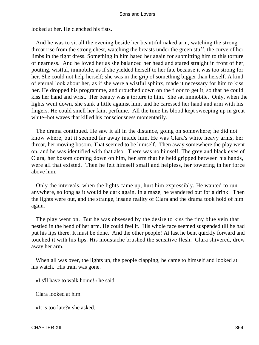looked at her. He clenched his fists.

 And he was to sit all the evening beside her beautiful naked arm, watching the strong throat rise from the strong chest, watching the breasts under the green stuff, the curve of her limbs in the tight dress. Something in him hated her again for submitting him to this torture of nearness. And he loved her as she balanced her head and stared straight in front of her, pouting, wistful, immobile, as if she yielded herself to her fate because it was too strong for her. She could not help herself; she was in the grip of something bigger than herself. A kind of eternal look about her, as if she were a wistful sphinx, made it necessary for him to kiss her. He dropped his programme, and crouched down on the floor to get it, so that he could kiss her hand and wrist. Her beauty was a torture to him. She sat immobile. Only, when the lights went down, she sank a little against him, and he caressed her hand and arm with his fingers. He could smell her faint perfume. All the time his blood kept sweeping up in great white−hot waves that killed his consciousness momentarily.

 The drama continued. He saw it all in the distance, going on somewhere; he did not know where, but it seemed far away inside him. He was Clara's white heavy arms, her throat, her moving bosom. That seemed to be himself. Then away somewhere the play went on, and he was identified with that also. There was no himself. The grey and black eyes of Clara, her bosom coming down on him, her arm that he held gripped between his hands, were all that existed. Then he felt himself small and helpless, her towering in her force above him.

 Only the intervals, when the lights came up, hurt him expressibly. He wanted to run anywhere, so long as it would be dark again. In a maze, he wandered out for a drink. Then the lights were out, and the strange, insane reality of Clara and the drama took hold of him again.

 The play went on. But he was obsessed by the desire to kiss the tiny blue vein that nestled in the bend of her arm. He could feel it. His whole face seemed suspended till he had put his lips there. It must be done. And the other people! At last he bent quickly forward and touched it with his lips. His moustache brushed the sensitive flesh. Clara shivered, drew away her arm.

When all was over, the lights up, the people clapping, he came to himself and looked at his watch. His train was gone.

«I s'll have to walk home!» he said.

Clara looked at him.

«It is too late?» she asked.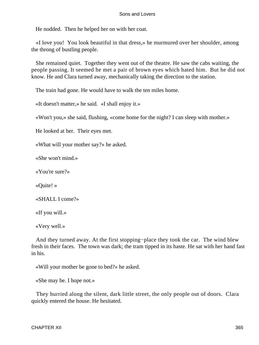He nodded. Then he helped her on with her coat.

 «I love you! You look beautiful in that dress,» he murmured over her shoulder, among the throng of bustling people.

 She remained quiet. Together they went out of the theatre. He saw the cabs waiting, the people passing. It seemed he met a pair of brown eyes which hated him. But he did not know. He and Clara turned away, mechanically taking the direction to the station.

The train had gone. He would have to walk the ten miles home.

«It doesn't matter,» he said. «I shall enjoy it.»

«Won't you,» she said, flushing, «come home for the night? I can sleep with mother.»

He looked at her. Their eyes met.

«What will your mother say?» he asked.

«She won't mind.»

«You're sure?»

«Quite! »

«SHALL I come?»

«If you will.»

«Very well.»

 And they turned away. At the first stopping−place they took the car. The wind blew fresh in their faces. The town was dark; the tram tipped in its haste. He sat with her hand fast in his.

«Will your mother be gone to bed?» he asked.

«She may be. I hope not.»

 They hurried along the silent, dark little street, the only people out of doors. Clara quickly entered the house. He hesitated.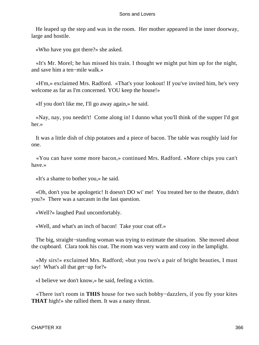He leaped up the step and was in the room. Her mother appeared in the inner doorway, large and hostile.

«Who have you got there?» she asked.

 «It's Mr. Morel; he has missed his train. I thought we might put him up for the night, and save him a ten−mile walk.»

 «H'm,» exclaimed Mrs. Radford. «That's your lookout! If you've invited him, he's very welcome as far as I'm concerned. YOU keep the house!»

«If you don't like me, I'll go away again,» he said.

 «Nay, nay, you needn't! Come along in! I dunno what you'll think of the supper I'd got her.»

 It was a little dish of chip potatoes and a piece of bacon. The table was roughly laid for one.

 «You can have some more bacon,» continued Mrs. Radford. «More chips you can't have.»

«It's a shame to bother you,» he said.

 «Oh, don't you be apologetic! It doesn't DO wi' me! You treated her to the theatre, didn't you?» There was a sarcasm in the last question.

«Well?» laughed Paul uncomfortably.

«Well, and what's an inch of bacon! Take your coat off.»

The big, straight–standing woman was trying to estimate the situation. She moved about the cupboard. Clara took his coat. The room was very warm and cosy in the lamplight.

 «My sirs!» exclaimed Mrs. Radford; «but you two's a pair of bright beauties, I must say! What's all that get−up for?»

«I believe we don't know,» he said, feeling a victim.

 «There isn't room in **THIS** house for two such bobby−dazzlers, if you fly your kites **THAT** high!» she rallied them. It was a nasty thrust.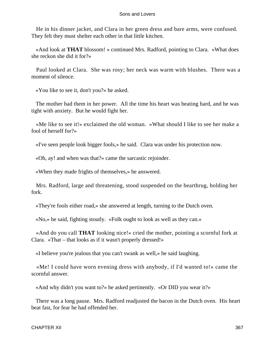He in his dinner jacket, and Clara in her green dress and bare arms, were confused. They felt they must shelter each other in that little kitchen.

 «And look at **THAT** blossom! » continued Mrs. Radford, pointing to Clara. «What does she reckon she did it for?»

 Paul looked at Clara. She was rosy; her neck was warm with blushes. There was a moment of silence.

«You like to see it, don't you?» he asked.

 The mother had them in her power. All the time his heart was beating hard, and he was tight with anxiety. But he would fight her.

 «Me like to see it!» exclaimed the old woman. «What should I like to see her make a fool of herself for?»

«I've seen people look bigger fools,» he said. Clara was under his protection now.

«Oh, ay! and when was that?» came the sarcastic rejoinder.

«When they made frights of themselves,» he answered.

 Mrs. Radford, large and threatening, stood suspended on the hearthrug, holding her fork.

«They're fools either road,» she answered at length, turning to the Dutch oven.

«No,» he said, fighting stoutly. «Folk ought to look as well as they can.»

 «And do you call **THAT** looking nice!» cried the mother, pointing a scornful fork at Clara. «That – that looks as if it wasn't properly dressed!»

«I believe you're jealous that you can't swank as well,» he said laughing.

 «Me! I could have worn evening dress with anybody, if I'd wanted to!» came the scornful answer.

«And why didn't you want to?» he asked pertinently. «Or DID you wear it?»

 There was a long pause. Mrs. Radford readjusted the bacon in the Dutch oven. His heart beat fast, for fear he had offended her.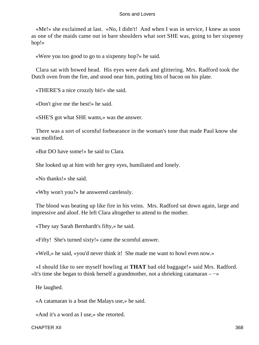«Me!» she exclaimed at last. «No, I didn't! And when I was in service, I knew as soon as one of the maids came out in bare shoulders what sort SHE was, going to her sixpenny hop!»

«Were you too good to go to a sixpenny hop?» he said.

 Clara sat with bowed head. His eyes were dark and glittering. Mrs. Radford took the Dutch oven from the fire, and stood near him, putting bits of bacon on his plate.

«THERE'S a nice crozzly bit!» she said.

«Don't give me the best!» he said.

«SHE'S got what SHE wants,» was the answer.

 There was a sort of scornful forbearance in the woman's tone that made Paul know she was mollified.

«But DO have some!» he said to Clara.

She looked up at him with her grey eyes, humiliated and lonely.

«No thanks!» she said.

«Why won't you?» he answered carelessly.

 The blood was beating up like fire in his veins. Mrs. Radford sat down again, large and impressive and aloof. He left Clara altogether to attend to the mother.

«They say Sarah Bernhardt's fifty,» he said.

«Fifty! She's turned sixty!» came the scornful answer.

«Well,» he said, «you'd never think it! She made me want to howl even now.»

 «I should like to see myself howling at **THAT** bad old baggage!» said Mrs. Radford. «It's time she began to think herself a grandmother, not a shrieking catamaran – −»

He laughed.

«A catamaran is a boat the Malays use,» he said.

«And it's a word as I use,» she retorted.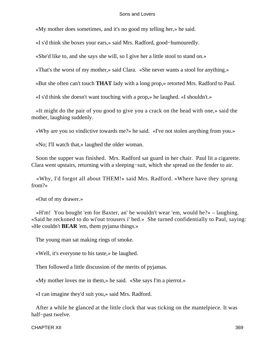«My mother does sometimes, and it's no good my telling her,» he said.

«I s'd think she boxes your ears,» said Mrs. Radford, good−humouredly.

«She'd like to, and she says she will, so I give her a little stool to stand on.»

«That's the worst of my mother,» said Clara. «She never wants a stool for anything.»

«But she often can't touch **THAT** lady with a long prop,» retorted Mrs. Radford to Paul.

«I s'd think she doesn't want touching with a prop,» he laughed. «I shouldn't.»

 «It might do the pair of you good to give you a crack on the head with one,» said the mother, laughing suddenly.

«Why are you so vindictive towards me?» he said. «I've not stolen anything from you.»

«No; I'll watch that,» laughed the older woman.

 Soon the supper was finished. Mrs. Radford sat guard in her chair. Paul lit a cigarette. Clara went upstairs, returning with a sleeping−suit, which she spread on the fender to air.

 «Why, I'd forgot all about THEM!» said Mrs. Radford. «Where have they sprung from?»

«Out of my drawer.»

 «H'm! You bought 'em for Baxter, an' he wouldn't wear 'em, would he?» – laughing. «Said he reckoned to do wi'out trousers i' bed.» She turned confidentially to Paul, saying: «He couldn't **BEAR** 'em, them pyjama things.»

The young man sat making rings of smoke.

«Well, it's everyone to his taste,» he laughed.

Then followed a little discussion of the merits of pyjamas.

«My mother loves me in them,» he said. «She says I'm a pierrot.»

«I can imagine they'd suit you,» said Mrs. Radford.

 After a while he glanced at the little clock that was ticking on the mantelpiece. It was half−past twelve.

CHAPTER XII 369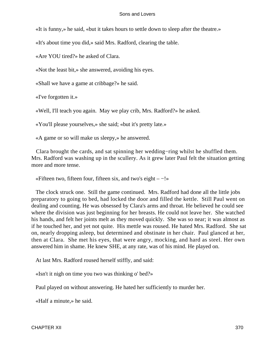«It is funny,» he said, «but it takes hours to settle down to sleep after the theatre.»

«It's about time you did,» said Mrs. Radford, clearing the table.

«Are YOU tired?» he asked of Clara.

«Not the least bit,» she answered, avoiding his eyes.

«Shall we have a game at cribbage?» he said.

«I've forgotten it.»

«Well, I'll teach you again. May we play crib, Mrs. Radford?» he asked.

«You'll please yourselves,» she said; «but it's pretty late.»

«A game or so will make us sleepy,» he answered.

 Clara brought the cards, and sat spinning her wedding−ring whilst he shuffled them. Mrs. Radford was washing up in the scullery. As it grew later Paul felt the situation getting more and more tense.

«Fifteen two, fifteen four, fifteen six, and two's eight – −!»

 The clock struck one. Still the game continued. Mrs. Radford had done all the little jobs preparatory to going to bed, had locked the door and filled the kettle. Still Paul went on dealing and counting. He was obsessed by Clara's arms and throat. He believed he could see where the division was just beginning for her breasts. He could not leave her. She watched his hands, and felt her joints melt as they moved quickly. She was so near; it was almost as if he touched her, and yet not quite. His mettle was roused. He hated Mrs. Radford. She sat on, nearly dropping asleep, but determined and obstinate in her chair. Paul glanced at her, then at Clara. She met his eyes, that were angry, mocking, and hard as steel. Her own answered him in shame. He knew SHE, at any rate, was of his mind. He played on.

At last Mrs. Radford roused herself stiffly, and said:

«Isn't it nigh on time you two was thinking o' bed?»

Paul played on without answering. He hated her sufficiently to murder her.

«Half a minute,» he said.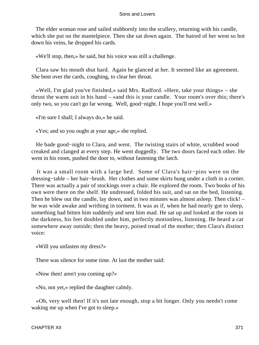The elder woman rose and sailed stubbornly into the scullery, returning with his candle, which she put on the mantelpiece. Then she sat down again. The hatred of her went so hot down his veins, he dropped his cards.

«We'll stop, then,» he said, but his voice was still a challenge.

 Clara saw his mouth shut hard. Again he glanced at her. It seemed like an agreement. She bent over the cards, coughing, to clear her throat.

 «Well, I'm glad you've finished,» said Mrs. Radford. «Here, take your things» – she thrust the warm suit in his hand – «and this is your candle. Your room's over this; there's only two, so you can't go far wrong. Well, good−night. I hope you'll rest well.»

«I'm sure I shall; I always do,» he said.

«Yes; and so you ought at your age,» she replied.

 He bade good−night to Clara, and went. The twisting stairs of white, scrubbed wood creaked and clanged at every step. He went doggedly. The two doors faced each other. He went in his room, pushed the door to, without fastening the latch.

 It was a small room with a large bed. Some of Clara's hair−pins were on the dressing−table – her hair−brush. Her clothes and some skirts hung under a cloth in a corner. There was actually a pair of stockings over a chair. He explored the room. Two books of his own were there on the shelf. He undressed, folded his suit, and sat on the bed, listening. Then he blew out the candle, lay down, and in two minutes was almost asleep. Then click! – he was wide awake and writhing in torment. It was as if, when he had nearly got to sleep, something had bitten him suddenly and sent him mad. He sat up and looked at the room in the darkness, his feet doubled under him, perfectly motionless, listening. He heard a cat somewhere away outside; then the heavy, poised tread of the mother; then Clara's distinct voice:

«Will you unfasten my dress?»

There was silence for some time. At last the mother said:

«Now then! aren't you coming up?»

«No, not yet,» replied the daughter calmly.

 «Oh, very well then! If it's not late enough, stop a bit longer. Only you needn't come waking me up when I've got to sleep.»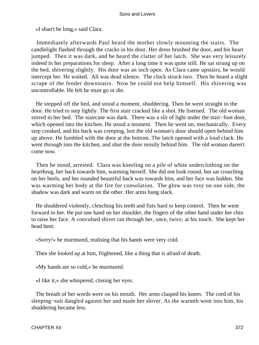«I shan't be long,» said Clara.

 Immediately afterwards Paul heard the mother slowly mounting the stairs. The candlelight flashed through the cracks in his door. Her dress brushed the door, and his heart jumped. Then it was dark, and he heard the clatter of her latch. She was very leisurely indeed in her preparations for sleep. After a long time it was quite still. He sat strung up on the bed, shivering slightly. His door was an inch open. As Clara came upstairs, he would intercept her. He waited. All was dead silence. The clock struck two. Then he heard a slight scrape of the fender downstairs. Now he could not help himself. His shivering was uncontrollable. He felt he must go or die.

 He stepped off the bed, and stood a moment, shuddering. Then he went straight to the door. He tried to step lightly. The first stair cracked like a shot. He listened. The old woman stirred in her bed. The staircase was dark. There was a slit of light under the stair−foot door, which opened into the kitchen. He stood a moment. Then he went on, mechanically. Every step creaked, and his back was creeping, lest the old woman's door should open behind him up above. He fumbled with the door at the bottom. The latch opened with a loud clack. He went through into the kitchen, and shut the door noisily behind him. The old woman daren't come now.

 Then he stood, arrested. Clara was kneeling on a pile of white underclothing on the hearthrug, her back towards him, warming herself. She did not look round, but sat crouching on her heels, and her rounded beautiful back was towards him, and her face was hidden. She was warming her body at the fire for consolation. The glow was rosy on one side, the shadow was dark and warm on the other. Her arms hung slack.

 He shuddered violently, clenching his teeth and fists hard to keep control. Then he went forward to her. He put one hand on her shoulder, the fingers of the other hand under her chin to raise her face. A convulsed shiver ran through her, once, twice, at his touch. She kept her head bent.

«Sorry!» he murmured, realising that his hands were very cold.

Then she looked up at him, frightened, like a thing that is afraid of death.

«My hands are so cold,» he murmured.

«I like it,» she whispered, closing her eyes.

 The breath of her words were on his mouth. Her arms clasped his knees. The cord of his sleeping−suit dangled against her and made her shiver. As the warmth went into him, his shuddering became less.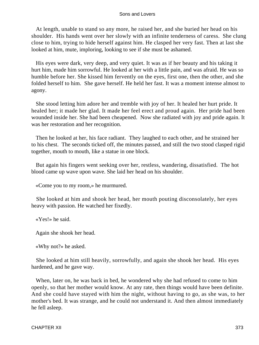At length, unable to stand so any more, he raised her, and she buried her head on his shoulder. His hands went over her slowly with an infinite tenderness of caress. She clung close to him, trying to hide herself against him. He clasped her very fast. Then at last she looked at him, mute, imploring, looking to see if she must be ashamed.

 His eyes were dark, very deep, and very quiet. It was as if her beauty and his taking it hurt him, made him sorrowful. He looked at her with a little pain, and was afraid. He was so humble before her. She kissed him fervently on the eyes, first one, then the other, and she folded herself to him. She gave herself. He held her fast. It was a moment intense almost to agony.

 She stood letting him adore her and tremble with joy of her. It healed her hurt pride. It healed her; it made her glad. It made her feel erect and proud again. Her pride had been wounded inside her. She had been cheapened. Now she radiated with joy and pride again. It was her restoration and her recognition.

 Then he looked at her, his face radiant. They laughed to each other, and he strained her to his chest. The seconds ticked off, the minutes passed, and still the two stood clasped rigid together, mouth to mouth, like a statue in one block.

 But again his fingers went seeking over her, restless, wandering, dissatisfied. The hot blood came up wave upon wave. She laid her head on his shoulder.

«Come you to my room,» he murmured.

 She looked at him and shook her head, her mouth pouting disconsolately, her eyes heavy with passion. He watched her fixedly.

«Yes!» he said.

Again she shook her head.

«Why not?» he asked.

 She looked at him still heavily, sorrowfully, and again she shook her head. His eyes hardened, and he gave way.

 When, later on, he was back in bed, he wondered why she had refused to come to him openly, so that her mother would know. At any rate, then things would have been definite. And she could have stayed with him the night, without having to go, as she was, to her mother's bed. It was strange, and he could not understand it. And then almost immediately he fell asleep.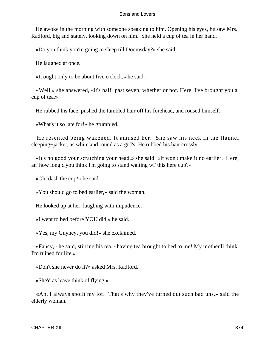He awoke in the morning with someone speaking to him. Opening his eyes, he saw Mrs. Radford, big and stately, looking down on him. She held a cup of tea in her hand.

«Do you think you're going to sleep till Doomsday?» she said.

He laughed at once.

«It ought only to be about five o'clock,» he said.

 «Well,» she answered, «it's half−past seven, whether or not. Here, I've brought you a cup of tea.»

He rubbed his face, pushed the tumbled hair off his forehead, and roused himself.

«What's it so late for!» he grumbled.

 He resented being wakened. It amused her. She saw his neck in the flannel sleeping−jacket, as white and round as a girl's. He rubbed his hair crossly.

 «It's no good your scratching your head,» she said. «It won't make it no earlier. Here, an' how long d'you think I'm going to stand waiting wi' this here cup?»

«Oh, dash the cup!» he said.

«You should go to bed earlier,» said the woman.

He looked up at her, laughing with impudence.

«I went to bed before YOU did,» he said.

«Yes, my Guyney, you did!» she exclaimed.

 «Fancy,» he said, stirring his tea, «having tea brought to bed to me! My mother'll think I'm ruined for life.»

«Don't she never do it?» asked Mrs. Radford.

«She'd as leave think of flying.»

 «Ah, I always spoilt my lot! That's why they've turned out such bad uns,» said the elderly woman.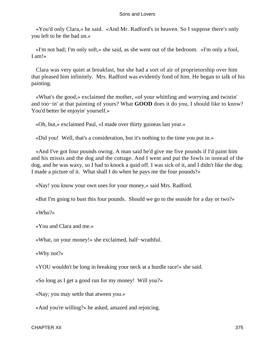«You'd only Clara,» he said. «And Mr. Radford's in heaven. So I suppose there's only you left to be the bad un.»

 «I'm not bad; I'm only soft,» she said, as she went out of the bedroom. «I'm only a fool, I am!»

 Clara was very quiet at breakfast, but she had a sort of air of proprietorship over him that pleased him infinitely. Mrs. Radford was evidently fond of him. He began to talk of his painting.

 «What's the good,» exclaimed the mother, «of your whittling and worrying and twistin' and too−in' at that painting of yours? What **GOOD** does it do you, I should like to know? You'd better be enjoyin' yourself.»

«Oh, but,» exclaimed Paul, «I made over thirty guineas last year.»

«Did you! Well, that's a consideration, but it's nothing to the time you put in.»

 «And I've got four pounds owing. A man said he'd give me five pounds if I'd paint him and his missis and the dog and the cottage. And I went and put the fowls in instead of the dog, and he was waxy, so I had to knock a quid off. I was sick of it, and I didn't like the dog. I made a picture of it. What shall I do when he pays me the four pounds?»

«Nay! you know your own uses for your money,» said Mrs. Radford.

«But I'm going to bust this four pounds. Should we go to the seaside for a day or two?»

«Who?»

«You and Clara and me.»

«What, on your money!» she exclaimed, half−wrathful.

«Why not?»

«YOU wouldn't be long in breaking your neck at a hurdle race!» she said.

«So long as I get a good run for my money! Will you?»

«Nay; you may settle that atween you.»

«And you're willing?» he asked, amazed and rejoicing.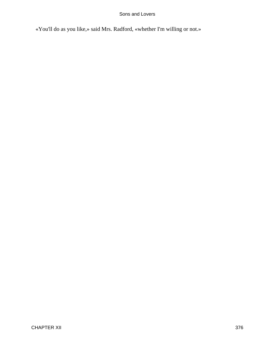«You'll do as you like,» said Mrs. Radford, «whether I'm willing or not.»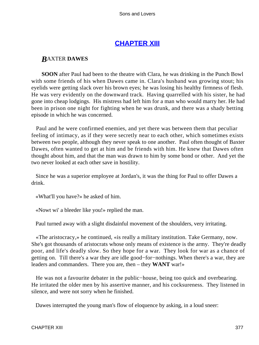# **[CHAPTER XIII](#page-470-0)**

# *B*AXTER **DAWES**

**SOON** after Paul had been to the theatre with Clara, he was drinking in the Punch Bowl with some friends of his when Dawes came in. Clara's husband was growing stout; his eyelids were getting slack over his brown eyes; he was losing his healthy firmness of flesh. He was very evidently on the downward track. Having quarrelled with his sister, he had gone into cheap lodgings. His mistress had left him for a man who would marry her. He had been in prison one night for fighting when he was drunk, and there was a shady betting episode in which he was concerned.

 Paul and he were confirmed enemies, and yet there was between them that peculiar feeling of intimacy, as if they were secretly near to each other, which sometimes exists between two people, although they never speak to one another. Paul often thought of Baxter Dawes, often wanted to get at him and be friends with him. He knew that Dawes often thought about him, and that the man was drawn to him by some bond or other. And yet the two never looked at each other save in hostility.

 Since he was a superior employee at Jordan's, it was the thing for Paul to offer Dawes a drink.

«What'll you have?» he asked of him.

«Nowt wi' a bleeder like you!» replied the man.

Paul turned away with a slight disdainful movement of the shoulders, very irritating.

 «The aristocracy,» he continued, «is really a military institution. Take Germany, now. She's got thousands of aristocrats whose only means of existence is the army. They're deadly poor, and life's deadly slow. So they hope for a war. They look for war as a chance of getting on. Till there's a war they are idle good−for−nothings. When there's a war, they are leaders and commanders. There you are, then – they **WANT** war!»

 He was not a favourite debater in the public−house, being too quick and overbearing. He irritated the older men by his assertive manner, and his cocksureness. They listened in silence, and were not sorry when he finished.

Dawes interrupted the young man's flow of eloquence by asking, in a loud sneer: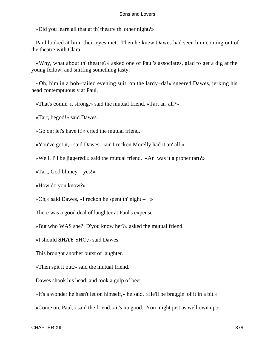«Did you learn all that at th' theatre th' other night?»

 Paul looked at him; their eyes met. Then he knew Dawes had seen him coming out of the theatre with Clara.

 «Why, what about th' theatre?» asked one of Paul's associates, glad to get a dig at the young fellow, and sniffing something tasty.

 «Oh, him in a bob−tailed evening suit, on the lardy−da!» sneered Dawes, jerking his head contemptuously at Paul.

«That's comin' it strong,» said the mutual friend. «Tart an' all?»

«Tart, begod!» said Dawes.

«Go on; let's have it!» cried the mutual friend.

«You've got it,» said Dawes, «an' I reckon Morelly had it an' all.»

«Well, I'll be jiggered!» said the mutual friend. «An' was it a proper tart?»

«Tart, God blimey – yes!»

«How do you know?»

«Oh,» said Dawes, «I reckon he spent th' night – −»

There was a good deal of laughter at Paul's expense.

«But who WAS she? D'you know her?» asked the mutual friend.

«I should **SHAY** SHO,» said Dawes.

This brought another burst of laughter.

«Then spit it out,» said the mutual friend.

Dawes shook his head, and took a gulp of beer.

«It's a wonder he hasn't let on himself,» he said. «He'll be braggin' of it in a bit.»

«Come on, Paul,» said the friend; «it's no good. You might just as well own up.»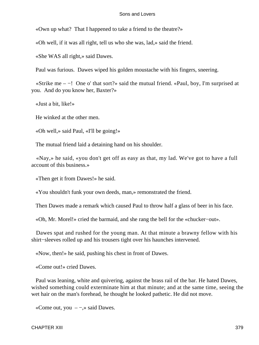«Own up what? That I happened to take a friend to the theatre?»

«Oh well, if it was all right, tell us who she was, lad,» said the friend.

«She WAS all right,» said Dawes.

Paul was furious. Dawes wiped his golden moustache with his fingers, sneering.

 «Strike me – −! One o' that sort?» said the mutual friend. «Paul, boy, I'm surprised at you. And do you know her, Baxter?»

«Just a bit, like!»

He winked at the other men.

«Oh well,» said Paul, «I'll be going!»

The mutual friend laid a detaining hand on his shoulder.

 «Nay,» he said, «you don't get off as easy as that, my lad. We've got to have a full account of this business.»

«Then get it from Dawes!» he said.

«You shouldn't funk your own deeds, man,» remonstrated the friend.

Then Dawes made a remark which caused Paul to throw half a glass of beer in his face.

«Oh, Mr. Morel!» cried the barmaid, and she rang the bell for the «chucker−out».

 Dawes spat and rushed for the young man. At that minute a brawny fellow with his shirt−sleeves rolled up and his trousers tight over his haunches intervened.

«Now, then!» he said, pushing his chest in front of Dawes.

«Come out!» cried Dawes.

 Paul was leaning, white and quivering, against the brass rail of the bar. He hated Dawes, wished something could exterminate him at that minute; and at the same time, seeing the wet hair on the man's forehead, he thought he looked pathetic. He did not move.

«Come out, you  $-\rightarrow$ » said Dawes.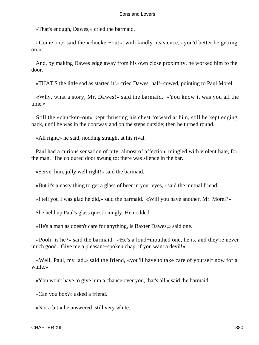«That's enough, Dawes,» cried the barmaid.

 «Come on,» said the «chucker−out», with kindly insistence, «you'd better be getting on.»

 And, by making Dawes edge away from his own close proximity, he worked him to the door.

«THAT'S the little sod as started it!» cried Dawes, half−cowed, pointing to Paul Morel.

 «Why, what a story, Mr. Dawes!» said the barmaid. «You know it was you all the time.»

 Still the «chucker−out» kept thrusting his chest forward at him, still he kept edging back, until he was in the doorway and on the steps outside; then he turned round.

«All right,» he said, nodding straight at his rival.

 Paul had a curious sensation of pity, almost of affection, mingled with violent hate, for the man. The coloured door swung to; there was silence in the bar.

«Serve, him, jolly well right!» said the barmaid.

«But it's a nasty thing to get a glass of beer in your eyes,» said the mutual friend.

«I tell you I was glad he did,» said the barmaid. «Will you have another, Mr. Morel?»

She held up Paul's glass questioningly. He nodded.

«He's a man as doesn't care for anything, is Baxter Dawes,» said one.

 «Pooh! is he?» said the barmaid. «He's a loud−mouthed one, he is, and they're never much good. Give me a pleasant−spoken chap, if you want a devil!»

 «Well, Paul, my lad,» said the friend, «you'll have to take care of yourself now for a while.»

«You won't have to give him a chance over you, that's all,» said the barmaid.

«Can you box?» asked a friend.

«Not a bit,» he answered, still very white.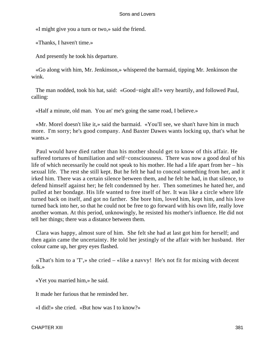«I might give you a turn or two,» said the friend.

«Thanks, I haven't time.»

And presently he took his departure.

 «Go along with him, Mr. Jenkinson,» whispered the barmaid, tipping Mr. Jenkinson the wink.

 The man nodded, took his hat, said: «Good−night all!» very heartily, and followed Paul, calling:

«Half a minute, old man. You an' me's going the same road, I believe.»

 «Mr. Morel doesn't like it,» said the barmaid. «You'll see, we shan't have him in much more. I'm sorry; he's good company. And Baxter Dawes wants locking up, that's what he wants.»

 Paul would have died rather than his mother should get to know of this affair. He suffered tortures of humiliation and self−consciousness. There was now a good deal of his life of which necessarily he could not speak to his mother. He had a life apart from her – his sexual life. The rest she still kept. But he felt he had to conceal something from her, and it irked him. There was a certain silence between them, and he felt he had, in that silence, to defend himself against her; he felt condemned by her. Then sometimes he hated her, and pulled at her bondage. His life wanted to free itself of her. It was like a circle where life turned back on itself, and got no farther. She bore him, loved him, kept him, and his love turned back into her, so that he could not be free to go forward with his own life, really love another woman. At this period, unknowingly, he resisted his mother's influence. He did not tell her things; there was a distance between them.

 Clara was happy, almost sure of him. She felt she had at last got him for herself; and then again came the uncertainty. He told her jestingly of the affair with her husband. Her colour came up, her grey eyes flashed.

 «That's him to a 'T',» she cried – «like a navvy! He's not fit for mixing with decent folk.»

«Yet you married him,» he said.

It made her furious that he reminded her.

«I did!» she cried. «But how was I to know?»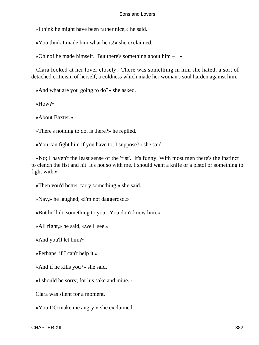«I think he might have been rather nice,» he said.

«You think I made him what he is!» she exclaimed.

«Oh no! he made himself. But there's something about him –  $\rightarrow$ »

 Clara looked at her lover closely. There was something in him she hated, a sort of detached criticism of herself, a coldness which made her woman's soul harden against him.

«And what are you going to do?» she asked.

«How?»

«About Baxter.»

«There's nothing to do, is there?» he replied.

«You can fight him if you have to, I suppose?» she said.

 «No; I haven't the least sense of the 'fist'. It's funny. With most men there's the instinct to clench the fist and hit. It's not so with me. I should want a knife or a pistol or something to fight with.»

«Then you'd better carry something,» she said.

«Nay,» he laughed; «I'm not daggeroso.»

«But he'll do something to you. You don't know him.»

«All right,» he said, «we'll see.»

«And you'll let him?»

«Perhaps, if I can't help it.»

«And if he kills you?» she said.

«I should be sorry, for his sake and mine.»

Clara was silent for a moment.

«You DO make me angry!» she exclaimed.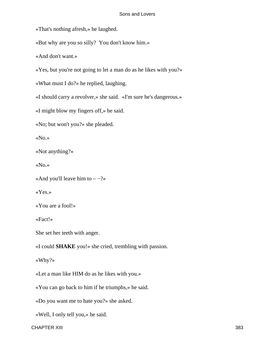«That's nothing afresh,» he laughed.

«But why are you so silly? You don't know him.»

«And don't want.»

«Yes, but you're not going to let a man do as he likes with you?»

«What must I do?» he replied, laughing.

«I should carry a revolver,» she said. «I'm sure he's dangerous.»

«I might blow my fingers off,» he said.

«No; but won't you?» she pleaded.

«No.»

«Not anything?»

«No.»

«And you'll leave him to  $-$  -?»

«Yes.»

«You are a fool!»

«Fact!»

She set her teeth with anger.

«I could **SHAKE** you!» she cried, trembling with passion.

«Why?»

«Let a man like HIM do as he likes with you.»

«You can go back to him if he triumphs,» he said.

«Do you want me to hate you?» she asked.

«Well, I only tell you,» he said.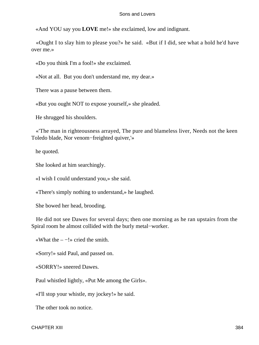«And YOU say you **LOVE** me!» she exclaimed, low and indignant.

 «Ought I to slay him to please you?» he said. «But if I did, see what a hold he'd have over me.»

«Do you think I'm a fool!» she exclaimed.

«Not at all. But you don't understand me, my dear.»

There was a pause between them.

«But you ought NOT to expose yourself,» she pleaded.

He shrugged his shoulders.

 «'The man in righteousness arrayed, The pure and blameless liver, Needs not the keen Toledo blade, Nor venom−freighted quiver,'»

he quoted.

She looked at him searchingly.

«I wish I could understand you,» she said.

«There's simply nothing to understand,» he laughed.

She bowed her head, brooding.

 He did not see Dawes for several days; then one morning as he ran upstairs from the Spiral room he almost collided with the burly metal−worker.

«What the  $-$  -!» cried the smith.

«Sorry!» said Paul, and passed on.

«SORRY!» sneered Dawes.

Paul whistled lightly, «Put Me among the Girls».

«I'll stop your whistle, my jockey!» he said.

The other took no notice.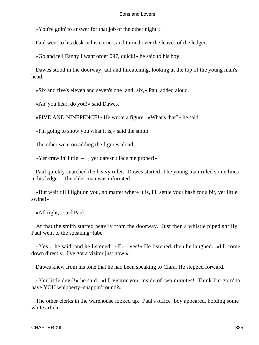«You're goin' to answer for that job of the other night.»

Paul went to his desk in his corner, and turned over the leaves of the ledger.

«Go and tell Fanny I want order 097, quick!» he said to his boy.

 Dawes stood in the doorway, tall and threatening, looking at the top of the young man's head.

«Six and five's eleven and seven's one−and−six,» Paul added aloud.

«An' you hear, do you!» said Dawes.

«FIVE AND NINEPENCE!» He wrote a figure. «What's that?» he said.

«I'm going to show you what it is,» said the smith.

The other went on adding the figures aloud.

«Yer crawlin' little – −, yer daresn't face me proper!»

 Paul quickly snatched the heavy ruler. Dawes started. The young man ruled some lines in his ledger. The elder man was infuriated.

 «But wait till I light on you, no matter where it is, I'll settle your hash for a bit, yer little swine!»

«All right,» said Paul.

 At that the smith started heavily from the doorway. Just then a whistle piped shrilly. Paul went to the speaking−tube.

 «Yes!» he said, and he listened. «Er – yes!» He listened, then he laughed. «I'll come down directly. I've got a visitor just now.»

Dawes knew from his tone that he had been speaking to Clara. He stepped forward.

 «Yer little devil!» he said. «I'll visitor you, inside of two minutes! Think I'm goin' to have YOU whipperty−snappin' round?»

 The other clerks in the warehouse looked up. Paul's office−boy appeared, holding some white article.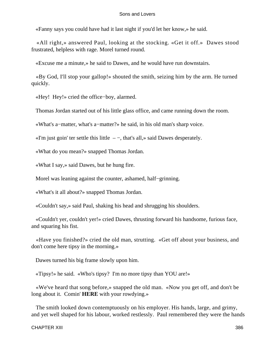«Fanny says you could have had it last night if you'd let her know,» he said.

 «All right,» answered Paul, looking at the stocking. «Get it off.» Dawes stood frustrated, helpless with rage. Morel turned round.

«Excuse me a minute,» he said to Dawes, and he would have run downstairs.

 «By God, I'll stop your gallop!» shouted the smith, seizing him by the arm. He turned quickly.

«Hey! Hey!» cried the office−boy, alarmed.

Thomas Jordan started out of his little glass office, and came running down the room.

«What's a−matter, what's a−matter?» he said, in his old man's sharp voice.

«I'm just goin' ter settle this little – −, that's all,» said Dawes desperately.

«What do you mean?» snapped Thomas Jordan.

«What I say,» said Dawes, but he hung fire.

Morel was leaning against the counter, ashamed, half−grinning.

«What's it all about?» snapped Thomas Jordan.

«Couldn't say,» said Paul, shaking his head and shrugging his shoulders.

 «Couldn't yer, couldn't yer!» cried Dawes, thrusting forward his handsome, furious face, and squaring his fist.

 «Have you finished?» cried the old man, strutting. «Get off about your business, and don't come here tipsy in the morning.»

Dawes turned his big frame slowly upon him.

«Tipsy!» he said. «Who's tipsy? I'm no more tipsy than YOU are!»

 «We've heard that song before,» snapped the old man. «Now you get off, and don't be long about it. Comin' **HERE** with your rowdying.»

 The smith looked down contemptuously on his employer. His hands, large, and grimy, and yet well shaped for his labour, worked restlessly. Paul remembered they were the hands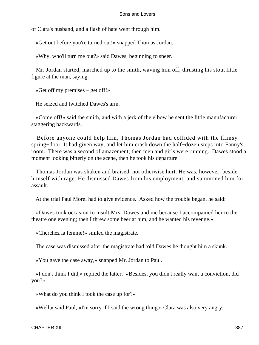of Clara's husband, and a flash of hate went through him.

«Get out before you're turned out!» snapped Thomas Jordan.

«Why, who'll turn me out?» said Dawes, beginning to sneer.

 Mr. Jordan started, marched up to the smith, waving him off, thrusting his stout little figure at the man, saying:

«Get off my premises – get off!»

He seized and twitched Dawes's arm.

 «Come off!» said the smith, and with a jerk of the elbow he sent the little manufacturer staggering backwards.

 Before anyone could help him, Thomas Jordan had collided with the flimsy spring−door. It had given way, and let him crash down the half−dozen steps into Fanny's room. There was a second of amazement; then men and girls were running. Dawes stood a moment looking bitterly on the scene, then he took his departure.

 Thomas Jordan was shaken and braised, not otherwise hurt. He was, however, beside himself with rage. He dismissed Dawes from his employment, and summoned him for assault.

At the trial Paul Morel had to give evidence. Asked how the trouble began, he said:

 «Dawes took occasion to insult Mrs. Dawes and me because I accompanied her to the theatre one evening; then I threw some beer at him, and he wanted his revenge.»

«Cherchez la femme!» smiled the magistrate.

The case was dismissed after the magistrate had told Dawes he thought him a skunk.

«You gave the case away,» snapped Mr. Jordan to Paul.

 «I don't think I did,» replied the latter. «Besides, you didn't really want a conviction, did you?»

«What do you think I took the case up for?»

«Well,» said Paul, «I'm sorry if I said the wrong thing.» Clara was also very angry.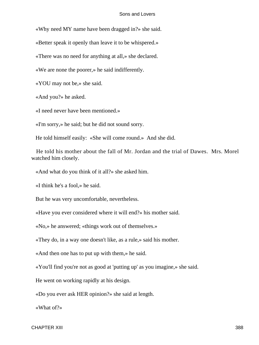«Why need MY name have been dragged in?» she said.

«Better speak it openly than leave it to be whispered.»

«There was no need for anything at all,» she declared.

«We are none the poorer,» he said indifferently.

«YOU may not be,» she said.

«And you?» he asked.

«I need never have been mentioned.»

«I'm sorry,» he said; but he did not sound sorry.

He told himself easily: «She will come round.» And she did.

 He told his mother about the fall of Mr. Jordan and the trial of Dawes. Mrs. Morel watched him closely.

«And what do you think of it all?» she asked him.

«I think he's a fool,» he said.

But he was very uncomfortable, nevertheless.

«Have you ever considered where it will end?» his mother said.

«No,» he answered; «things work out of themselves.»

«They do, in a way one doesn't like, as a rule,» said his mother.

«And then one has to put up with them,» he said.

«You'll find you're not as good at 'putting up' as you imagine,» she said.

He went on working rapidly at his design.

«Do you ever ask HER opinion?» she said at length.

«What of?»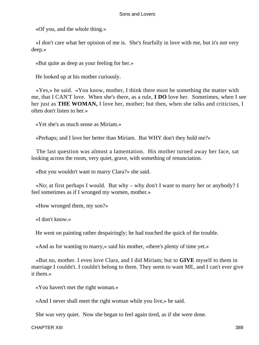«Of you, and the whole thing.»

 «I don't care what her opinion of me is. She's fearfully in love with me, but it's not very deep.»

«But quite as deep as your feeling for her.»

He looked up at his mother curiously.

 «Yes,» he said. «You know, mother, I think there must be something the matter with me, that I CAN'T love. When she's there, as a rule, **I DO** love her. Sometimes, when I see her just as **THE WOMAN,** I love her, mother; but then, when she talks and criticises, I often don't listen to her.»

«Yet she's as much sense as Miriam.»

«Perhaps; and I love her better than Miriam. But WHY don't they hold me?»

 The last question was almost a lamentation. His mother turned away her face, sat looking across the room, very quiet, grave, with something of renunciation.

«But you wouldn't want to marry Clara?» she said.

 «No; at first perhaps I would. But why – why don't I want to marry her or anybody? I feel sometimes as if I wronged my women, mother.»

«How wronged them, my son?»

«I don't know.»

He went on painting rather despairingly; he had touched the quick of the trouble.

«And as for wanting to marry,» said his mother, «there's plenty of time yet.»

 «But no, mother. I even love Clara, and I did Miriam; but to **GIVE** myself to them in marriage I couldn't. I couldn't belong to them. They seem to want ME, and I can't ever give it them.»

«You haven't met the right woman.»

«And I never shall meet the right woman while you live,» he said.

She was very quiet. Now she began to feel again tired, as if she were done.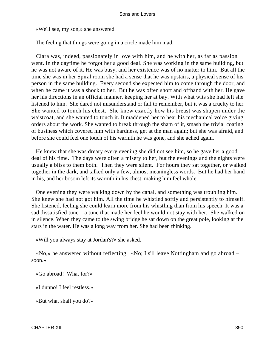«We'll see, my son,» she answered.

The feeling that things were going in a circle made him mad.

 Clara was, indeed, passionately in love with him, and he with her, as far as passion went. In the daytime he forgot her a good deal. She was working in the same building, but he was not aware of it. He was busy, and her existence was of no matter to him. But all the time she was in her Spiral room she had a sense that he was upstairs, a physical sense of his person in the same building. Every second she expected him to come through the door, and when he came it was a shock to her. But he was often short and offhand with her. He gave her his directions in an official manner, keeping her at bay. With what wits she had left she listened to him. She dared not misunderstand or fail to remember, but it was a cruelty to her. She wanted to touch his chest. She knew exactly how his breast was shapen under the waistcoat, and she wanted to touch it. It maddened her to hear his mechanical voice giving orders about the work. She wanted to break through the sham of it, smash the trivial coating of business which covered him with hardness, get at the man again; but she was afraid, and before she could feel one touch of his warmth he was gone, and she ached again.

 He knew that she was dreary every evening she did not see him, so he gave her a good deal of his time. The days were often a misery to her, but the evenings and the nights were usually a bliss to them both. Then they were silent. For hours they sat together, or walked together in the dark, and talked only a few, almost meaningless words. But he had her hand in his, and her bosom left its warmth in his chest, making him feel whole.

 One evening they were walking down by the canal, and something was troubling him. She knew she had not got him. All the time he whistled softly and persistently to himself. She listened, feeling she could learn more from his whistling than from his speech. It was a sad dissatisfied tune – a tune that made her feel he would not stay with her. She walked on in silence. When they came to the swing bridge he sat down on the great pole, looking at the stars in the water. He was a long way from her. She had been thinking.

«Will you always stay at Jordan's?» she asked.

 «No,» he answered without reflecting. «No; I s'll leave Nottingham and go abroad – soon.»

«Go abroad! What for?»

«I dunno! I feel restless.»

«But what shall you do?»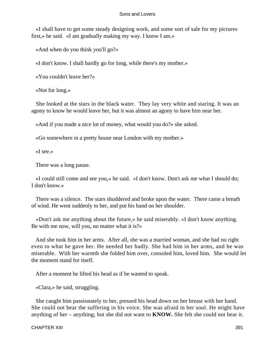«I shall have to get some steady designing work, and some sort of sale for my pictures first,» he said. «I am gradually making my way. I know I am.»

«And when do you think you'll go?»

«I don't know. I shall hardly go for long, while there's my mother.»

«You couldn't leave her?»

«Not for long.»

 She looked at the stars in the black water. They lay very white and staring. It was an agony to know he would leave her, but it was almost an agony to have him near her.

«And if you made a nice lot of money, what would you do?» she asked.

«Go somewhere in a pretty house near London with my mother.»

«I see.»

There was a long pause.

 «I could still come and see you,» he said. «I don't know. Don't ask me what I should do; I don't know.»

 There was a silence. The stars shuddered and broke upon the water. There came a breath of wind. He went suddenly to her, and put his hand on her shoulder.

 «Don't ask me anything about the future,» he said miserably. «I don't know anything. Be with me now, will you, no matter what it is?»

 And she took him in her arms. After all, she was a married woman, and she had no right even to what he gave her. He needed her badly. She had him in her arms, and he was miserable. With her warmth she folded him over, consoled him, loved him. She would let the moment stand for itself.

After a moment he lifted his head as if he wanted to speak.

«Clara,» he said, struggling.

 She caught him passionately to her, pressed his head down on her breast with her hand. She could not bear the suffering in his voice. She was afraid in her soul. He might have anything of her – anything; but she did not want to **KNOW.** She felt she could not bear it.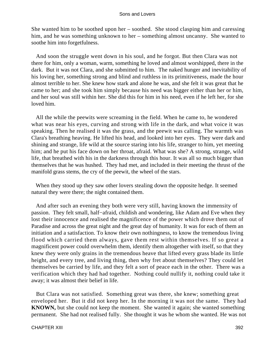She wanted him to be soothed upon her – soothed. She stood clasping him and caressing him, and he was something unknown to her – something almost uncanny. She wanted to soothe him into forgetfulness.

 And soon the struggle went down in his soul, and he forgot. But then Clara was not there for him, only a woman, warm, something he loved and almost worshipped, there in the dark. But it was not Clara, and she submitted to him. The naked hunger and inevitability of his loving her, something strong and blind and ruthless in its primitiveness, made the hour almost terrible to her. She knew how stark and alone he was, and she felt it was great that he came to her; and she took him simply because his need was bigger either than her or him, and her soul was still within her. She did this for him in his need, even if he left her, for she loved him.

 All the while the peewits were screaming in the field. When he came to, he wondered what was near his eyes, curving and strong with life in the dark, and what voice it was speaking. Then he realised it was the grass, and the peewit was calling. The warmth was Clara's breathing heaving. He lifted his head, and looked into her eyes. They were dark and shining and strange, life wild at the source staring into his life, stranger to him, yet meeting him; and he put his face down on her throat, afraid. What was she? A strong, strange, wild life, that breathed with his in the darkness through this hour. It was all so much bigger than themselves that he was hushed. They had met, and included in their meeting the thrust of the manifold grass stems, the cry of the peewit, the wheel of the stars.

 When they stood up they saw other lovers stealing down the opposite hedge. It seemed natural they were there; the night contained them.

 And after such an evening they both were very still, having known the immensity of passion. They felt small, half−afraid, childish and wondering, like Adam and Eve when they lost their innocence and realised the magnificence of the power which drove them out of Paradise and across the great night and the great day of humanity. It was for each of them an initiation and a satisfaction. To know their own nothingness, to know the tremendous living flood which carried them always, gave them rest within themselves. If so great a magnificent power could overwhelm them, identify them altogether with itself, so that they knew they were only grains in the tremendous heave that lifted every grass blade its little height, and every tree, and living thing, then why fret about themselves? They could let themselves be carried by life, and they felt a sort of peace each in the other. There was a verification which they had had together. Nothing could nullify it, nothing could take it away; it was almost their belief in life.

 But Clara was not satisfied. Something great was there, she knew; something great enveloped her. But it did not keep her. In the morning it was not the same. They had **KNOWN,** but she could not keep the moment. She wanted it again; she wanted something permanent. She had not realised fully. She thought it was he whom she wanted. He was not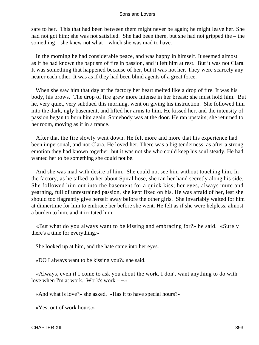safe to her. This that had been between them might never be again; he might leave her. She had not got him; she was not satisfied. She had been there, but she had not gripped the – the something – she knew not what – which she was mad to have.

 In the morning he had considerable peace, and was happy in himself. It seemed almost as if he had known the baptism of fire in passion, and it left him at rest. But it was not Clara. It was something that happened because of her, but it was not her. They were scarcely any nearer each other. It was as if they had been blind agents of a great force.

 When she saw him that day at the factory her heart melted like a drop of fire. It was his body, his brows. The drop of fire grew more intense in her breast; she must hold him. But he, very quiet, very subdued this morning, went on giving his instruction. She followed him into the dark, ugly basement, and lifted her arms to him. He kissed her, and the intensity of passion began to burn him again. Somebody was at the door. He ran upstairs; she returned to her room, moving as if in a trance.

 After that the fire slowly went down. He felt more and more that his experience had been impersonal, and not Clara. He loved her. There was a big tenderness, as after a strong emotion they had known together; but it was not she who could keep his soul steady. He had wanted her to be something she could not be.

 And she was mad with desire of him. She could not see him without touching him. In the factory, as he talked to her about Spiral hose, she ran her hand secretly along his side. She followed him out into the basement for a quick kiss; her eyes, always mute and yearning, full of unrestrained passion, she kept fixed on his. He was afraid of her, lest she should too flagrantly give herself away before the other girls. She invariably waited for him at dinnertime for him to embrace her before she went. He felt as if she were helpless, almost a burden to him, and it irritated him.

 «But what do you always want to be kissing and embracing for?» he said. «Surely there's a time for everything.»

She looked up at him, and the hate came into her eyes.

«DO I always want to be kissing you?» she said.

 «Always, even if I come to ask you about the work. I don't want anything to do with love when I'm at work. Work's work –  $\rightarrow$ 

«And what is love?» she asked. «Has it to have special hours?»

«Yes; out of work hours.»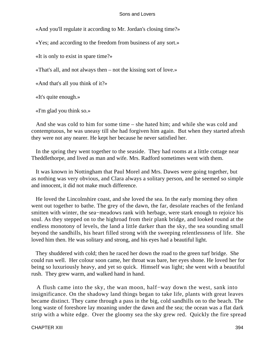«And you'll regulate it according to Mr. Jordan's closing time?»

«Yes; and according to the freedom from business of any sort.»

«It is only to exist in spare time?»

«That's all, and not always then – not the kissing sort of love.»

«And that's all you think of it?»

«It's quite enough.»

«I'm glad you think so.»

 And she was cold to him for some time – she hated him; and while she was cold and contemptuous, he was uneasy till she had forgiven him again. But when they started afresh they were not any nearer. He kept her because he never satisfied her.

 In the spring they went together to the seaside. They had rooms at a little cottage near Theddlethorpe, and lived as man and wife. Mrs. Radford sometimes went with them.

 It was known in Nottingham that Paul Morel and Mrs. Dawes were going together, but as nothing was very obvious, and Clara always a solitary person, and he seemed so simple and innocent, it did not make much difference.

 He loved the Lincolnshire coast, and she loved the sea. In the early morning they often went out together to bathe. The grey of the dawn, the far, desolate reaches of the fenland smitten with winter, the sea−meadows rank with herbage, were stark enough to rejoice his soul. As they stepped on to the highroad from their plank bridge, and looked round at the endless monotony of levels, the land a little darker than the sky, the sea sounding small beyond the sandhills, his heart filled strong with the sweeping relentlessness of life. She loved him then. He was solitary and strong, and his eyes had a beautiful light.

 They shuddered with cold; then he raced her down the road to the green turf bridge. She could run well. Her colour soon came, her throat was bare, her eyes shone. He loved her for being so luxuriously heavy, and yet so quick. Himself was light; she went with a beautiful rush. They grew warm, and walked hand in hand.

 A flush came into the sky, the wan moon, half−way down the west, sank into insignificance. On the shadowy land things began to take life, plants with great leaves became distinct. They came through a pass in the big, cold sandhills on to the beach. The long waste of foreshore lay moaning under the dawn and the sea; the ocean was a flat dark strip with a white edge. Over the gloomy sea the sky grew red. Quickly the fire spread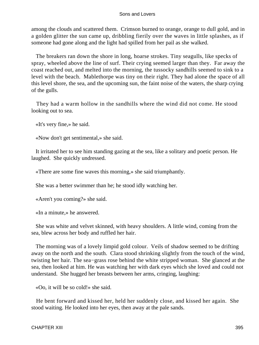among the clouds and scattered them. Crimson burned to orange, orange to dull gold, and in a golden glitter the sun came up, dribbling fierily over the waves in little splashes, as if someone had gone along and the light had spilled from her pail as she walked.

 The breakers ran down the shore in long, hoarse strokes. Tiny seagulls, like specks of spray, wheeled above the line of surf. Their crying seemed larger than they. Far away the coast reached out, and melted into the morning, the tussocky sandhills seemed to sink to a level with the beach. Mablethorpe was tiny on their right. They had alone the space of all this level shore, the sea, and the upcoming sun, the faint noise of the waters, the sharp crying of the gulls.

 They had a warm hollow in the sandhills where the wind did not come. He stood looking out to sea.

«It's very fine,» he said.

«Now don't get sentimental,» she said.

 It irritated her to see him standing gazing at the sea, like a solitary and poetic person. He laughed. She quickly undressed.

«There are some fine waves this morning,» she said triumphantly.

She was a better swimmer than he; he stood idly watching her.

«Aren't you coming?» she said.

«In a minute,» he answered.

 She was white and velvet skinned, with heavy shoulders. A little wind, coming from the sea, blew across her body and ruffled her hair.

 The morning was of a lovely limpid gold colour. Veils of shadow seemed to be drifting away on the north and the south. Clara stood shrinking slightly from the touch of the wind, twisting her hair. The sea−grass rose behind the white stripped woman. She glanced at the sea, then looked at him. He was watching her with dark eyes which she loved and could not understand. She hugged her breasts between her arms, cringing, laughing:

«Oo, it will be so cold!» she said.

 He bent forward and kissed her, held her suddenly close, and kissed her again. She stood waiting. He looked into her eyes, then away at the pale sands.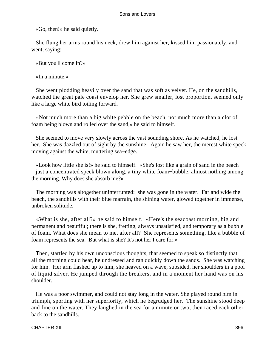«Go, then!» he said quietly.

 She flung her arms round his neck, drew him against her, kissed him passionately, and went, saying:

«But you'll come in?»

«In a minute.»

 She went plodding heavily over the sand that was soft as velvet. He, on the sandhills, watched the great pale coast envelop her. She grew smaller, lost proportion, seemed only like a large white bird toiling forward.

 «Not much more than a big white pebble on the beach, not much more than a clot of foam being blown and rolled over the sand,» he said to himself.

 She seemed to move very slowly across the vast sounding shore. As he watched, he lost her. She was dazzled out of sight by the sunshine. Again he saw her, the merest white speck moving against the white, muttering sea−edge.

 «Look how little she is!» he said to himself. «She's lost like a grain of sand in the beach – just a concentrated speck blown along, a tiny white foam−bubble, almost nothing among the morning. Why does she absorb me?»

 The morning was altogether uninterrupted: she was gone in the water. Far and wide the beach, the sandhills with their blue marrain, the shining water, glowed together in immense, unbroken solitude.

 «What is she, after all?» he said to himself. «Here's the seacoast morning, big and permanent and beautiful; there is she, fretting, always unsatisfied, and temporary as a bubble of foam. What does she mean to me, after all? She represents something, like a bubble of foam represents the sea. But what is she? It's not her I care for.»

 Then, startled by his own unconscious thoughts, that seemed to speak so distinctly that all the morning could hear, he undressed and ran quickly down the sands. She was watching for him. Her arm flashed up to him, she heaved on a wave, subsided, her shoulders in a pool of liquid silver. He jumped through the breakers, and in a moment her hand was on his shoulder.

 He was a poor swimmer, and could not stay long in the water. She played round him in triumph, sporting with her superiority, which he begrudged her. The sunshine stood deep and fine on the water. They laughed in the sea for a minute or two, then raced each other back to the sandhills.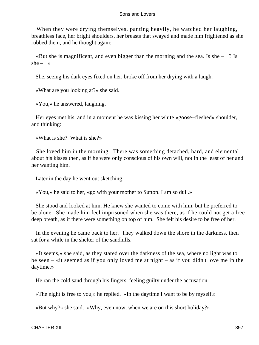When they were drying themselves, panting heavily, he watched her laughing, breathless face, her bright shoulders, her breasts that swayed and made him frightened as she rubbed them, and he thought again:

«But she is magnificent, and even bigger than the morning and the sea. Is she  $-$  -? Is she –  $\rightarrow$ 

She, seeing his dark eyes fixed on her, broke off from her drying with a laugh.

«What are you looking at?» she said.

«You,» he answered, laughing.

 Her eyes met his, and in a moment he was kissing her white «goose−fleshed» shoulder, and thinking:

«What is she? What is she?»

 She loved him in the morning. There was something detached, hard, and elemental about his kisses then, as if he were only conscious of his own will, not in the least of her and her wanting him.

Later in the day he went out sketching.

«You,» he said to her, «go with your mother to Sutton. I am so dull.»

 She stood and looked at him. He knew she wanted to come with him, but he preferred to be alone. She made him feel imprisoned when she was there, as if he could not get a free deep breath, as if there were something on top of him. She felt his desire to be free of her.

 In the evening he came back to her. They walked down the shore in the darkness, then sat for a while in the shelter of the sandhills.

 «It seems,» she said, as they stared over the darkness of the sea, where no light was to be seen – «it seemed as if you only loved me at night – as if you didn't love me in the daytime.»

He ran the cold sand through his fingers, feeling guilty under the accusation.

«The night is free to you,» he replied. «In the daytime I want to be by myself.»

«But why?» she said. «Why, even now, when we are on this short holiday?»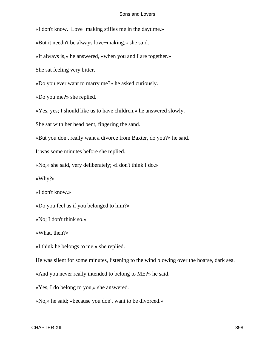«I don't know. Love−making stifles me in the daytime.»

«But it needn't be always love−making,» she said.

«It always is,» he answered, «when you and I are together.»

She sat feeling very bitter.

«Do you ever want to marry me?» he asked curiously.

«Do you me?» she replied.

«Yes, yes; I should like us to have children,» he answered slowly.

She sat with her head bent, fingering the sand.

«But you don't really want a divorce from Baxter, do you?» he said.

It was some minutes before she replied.

«No,» she said, very deliberately; «I don't think I do.»

«Why?»

«I don't know.»

«Do you feel as if you belonged to him?»

«No; I don't think so.»

«What, then?»

«I think he belongs to me,» she replied.

He was silent for some minutes, listening to the wind blowing over the hoarse, dark sea.

«And you never really intended to belong to ME?» he said.

«Yes, I do belong to you,» she answered.

«No,» he said; «because you don't want to be divorced.»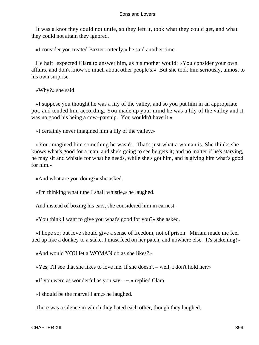It was a knot they could not untie, so they left it, took what they could get, and what they could not attain they ignored.

«I consider you treated Baxter rottenly,» he said another time.

 He half−expected Clara to answer him, as his mother would: «You consider your own affairs, and don't know so much about other people's.» But she took him seriously, almost to his own surprise.

«Why?» she said.

 «I suppose you thought he was a lily of the valley, and so you put him in an appropriate pot, and tended him according. You made up your mind he was a lily of the valley and it was no good his being a cow−parsnip. You wouldn't have it.»

«I certainly never imagined him a lily of the valley.»

 «You imagined him something he wasn't. That's just what a woman is. She thinks she knows what's good for a man, and she's going to see he gets it; and no matter if he's starving, he may sit and whistle for what he needs, while she's got him, and is giving him what's good for him.»

«And what are you doing?» she asked.

«I'm thinking what tune I shall whistle,» he laughed.

And instead of boxing his ears, she considered him in earnest.

«You think I want to give you what's good for you?» she asked.

 «I hope so; but love should give a sense of freedom, not of prison. Miriam made me feel tied up like a donkey to a stake. I must feed on her patch, and nowhere else. It's sickening!»

«And would YOU let a WOMAN do as she likes?»

«Yes; I'll see that she likes to love me. If she doesn't – well, I don't hold her.»

«If you were as wonderful as you say – −,» replied Clara.

«I should be the marvel I am,» he laughed.

There was a silence in which they hated each other, though they laughed.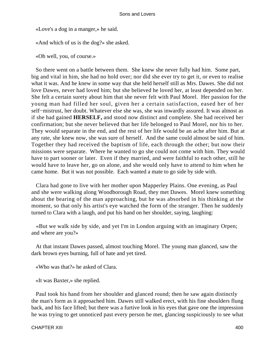«Love's a dog in a manger,» he said.

«And which of us is the dog?» she asked.

«Oh well, you, of course.»

 So there went on a battle between them. She knew she never fully had him. Some part, big and vital in him, she had no hold over; nor did she ever try to get it, or even to realise what it was. And he knew in some way that she held herself still as Mrs. Dawes. She did not love Dawes, never had loved him; but she believed he loved her, at least depended on her. She felt a certain surety about him that she never felt with Paul Morel. Her passion for the young man had filled her soul, given her a certain satisfaction, eased her of her self−mistrust, her doubt. Whatever else she was, she was inwardly assured. It was almost as if she had gained **HERSELF,** and stood now distinct and complete. She had received her confirmation; but she never believed that her life belonged to Paul Morel, nor his to her. They would separate in the end, and the rest of her life would be an ache after him. But at any rate, she knew now, she was sure of herself. And the same could almost be said of him. Together they had received the baptism of life, each through the other; but now their missions were separate. Where he wanted to go she could not come with him. They would have to part sooner or later. Even if they married, and were faithful to each other, still he would have to leave her, go on alone, and she would only have to attend to him when he came home. But it was not possible. Each wanted a mate to go side by side with.

 Clara had gone to live with her mother upon Mapperley Plains. One evening, as Paul and she were walking along Woodborough Road, they met Dawes. Morel knew something about the bearing of the man approaching, but he was absorbed in his thinking at the moment, so that only his artist's eye watched the form of the stranger. Then he suddenly turned to Clara with a laugh, and put his hand on her shoulder, saying, laughing:

 «But we walk side by side, and yet I'm in London arguing with an imaginary Orpen; and where are you?»

 At that instant Dawes passed, almost touching Morel. The young man glanced, saw the dark brown eyes burning, full of hate and yet tired.

«Who was that?» he asked of Clara.

«It was Baxter,» she replied.

 Paul took his hand from her shoulder and glanced round; then he saw again distinctly the man's form as it approached him. Dawes still walked erect, with his fine shoulders flung back, and his face lifted; but there was a furtive look in his eyes that gave one the impression he was trying to get unnoticed past every person he met, glancing suspiciously to see what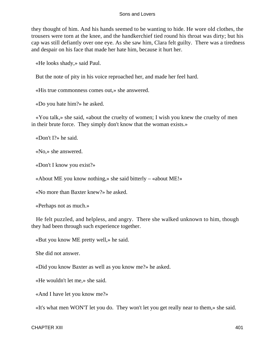they thought of him. And his hands seemed to be wanting to hide. He wore old clothes, the trousers were torn at the knee, and the handkerchief tied round his throat was dirty; but his cap was still defiantly over one eye. As she saw him, Clara felt guilty. There was a tiredness and despair on his face that made her hate him, because it hurt her.

«He looks shady,» said Paul.

But the note of pity in his voice reproached her, and made her feel hard.

«His true commonness comes out,» she answered.

«Do you hate him?» he asked.

 «You talk,» she said, «about the cruelty of women; I wish you knew the cruelty of men in their brute force. They simply don't know that the woman exists.»

«Don't I?» he said.

«No,» she answered.

«Don't I know you exist?»

«About ME you know nothing,» she said bitterly – «about ME!»

«No more than Baxter knew?» he asked.

«Perhaps not as much.»

 He felt puzzled, and helpless, and angry. There she walked unknown to him, though they had been through such experience together.

«But you know ME pretty well,» he said.

She did not answer.

«Did you know Baxter as well as you know me?» he asked.

«He wouldn't let me,» she said.

«And I have let you know me?»

«It's what men WON'T let you do. They won't let you get really near to them,» she said.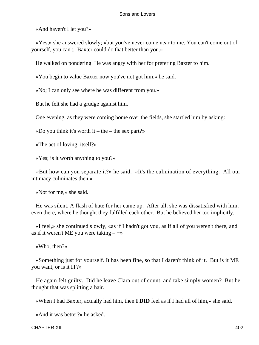«And haven't I let you?»

 «Yes,» she answered slowly; «but you've never come near to me. You can't come out of yourself, you can't. Baxter could do that better than you.»

He walked on pondering. He was angry with her for prefering Baxter to him.

«You begin to value Baxter now you've not got him,» he said.

«No; I can only see where he was different from you.»

But he felt she had a grudge against him.

One evening, as they were coming home over the fields, she startled him by asking:

«Do you think it's worth it – the – the sex part?»

«The act of loving, itself?»

«Yes; is it worth anything to you?»

 «But how can you separate it?» he said. «It's the culmination of everything. All our intimacy culminates then.»

«Not for me,» she said.

 He was silent. A flash of hate for her came up. After all, she was dissatisfied with him, even there, where he thought they fulfilled each other. But he believed her too implicitly.

 «I feel,» she continued slowly, «as if I hadn't got you, as if all of you weren't there, and as if it weren't ME you were taking  $-\rightarrow$ 

«Who, then?»

 «Something just for yourself. It has been fine, so that I daren't think of it. But is it ME you want, or is it IT?»

 He again felt guilty. Did he leave Clara out of count, and take simply women? But he thought that was splitting a hair.

«When I had Baxter, actually had him, then **I DID** feel as if I had all of him,» she said.

«And it was better?» he asked.

CHAPTER XIII 402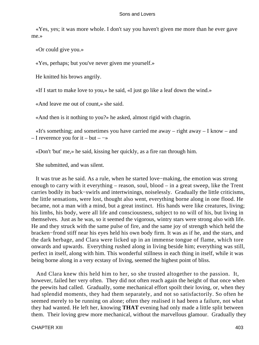«Yes, yes; it was more whole. I don't say you haven't given me more than he ever gave me.»

«Or could give you.»

«Yes, perhaps; but you've never given me yourself.»

He knitted his brows angrily.

«If I start to make love to you,» he said, «I just go like a leaf down the wind.»

«And leave me out of count,» she said.

«And then is it nothing to you?» he asked, almost rigid with chagrin.

 «It's something; and sometimes you have carried me away – right away – I know – and – I reverence you for it – but –  $\rightarrow$ 

«Don't 'but' me,» he said, kissing her quickly, as a fire ran through him.

She submitted, and was silent.

 It was true as he said. As a rule, when he started love−making, the emotion was strong enough to carry with it everything – reason, soul, blood – in a great sweep, like the Trent carries bodily its back−swirls and intertwinings, noiselessly. Gradually the little criticisms, the little sensations, were lost, thought also went, everything borne along in one flood. He became, not a man with a mind, but a great instinct. His hands were like creatures, living; his limbs, his body, were all life and consciousness, subject to no will of his, but living in themselves. Just as he was, so it seemed the vigorous, wintry stars were strong also with life. He and they struck with the same pulse of fire, and the same joy of strength which held the bracken−frond stiff near his eyes held his own body firm. It was as if he, and the stars, and the dark herbage, and Clara were licked up in an immense tongue of flame, which tore onwards and upwards. Everything rushed along in living beside him; everything was still, perfect in itself, along with him. This wonderful stillness in each thing in itself, while it was being borne along in a very ecstasy of living, seemed the highest point of bliss.

 And Clara knew this held him to her, so she trusted altogether to the passion. It, however, failed her very often. They did not often reach again the height of that once when the peewits had called. Gradually, some mechanical effort spoilt their loving, or, when they had splendid moments, they had them separately, and not so satisfactorily. So often he seemed merely to be running on alone; often they realised it had been a failure, not what they had wanted. He left her, knowing **THAT** evening had only made a little split between them. Their loving grew more mechanical, without the marvellous glamour. Gradually they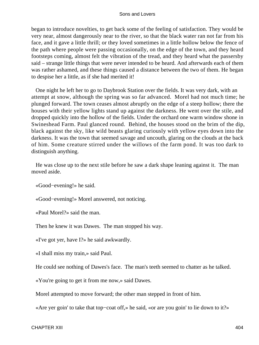began to introduce novelties, to get back some of the feeling of satisfaction. They would be very near, almost dangerously near to the river, so that the black water ran not far from his face, and it gave a little thrill; or they loved sometimes in a little hollow below the fence of the path where people were passing occasionally, on the edge of the town, and they heard footsteps coming, almost felt the vibration of the tread, and they heard what the passersby said – strange little things that were never intended to be heard. And afterwards each of them was rather ashamed, and these things caused a distance between the two of them. He began to despise her a little, as if she had merited it!

 One night he left her to go to Daybrook Station over the fields. It was very dark, with an attempt at snow, although the spring was so far advanced. Morel had not much time; he plunged forward. The town ceases almost abruptly on the edge of a steep hollow; there the houses with their yellow lights stand up against the darkness. He went over the stile, and dropped quickly into the hollow of the fields. Under the orchard one warm window shone in Swineshead Farm. Paul glanced round. Behind, the houses stood on the brim of the dip, black against the sky, like wild beasts glaring curiously with yellow eyes down into the darkness. It was the town that seemed savage and uncouth, glaring on the clouds at the back of him. Some creature stirred under the willows of the farm pond. It was too dark to distinguish anything.

 He was close up to the next stile before he saw a dark shape leaning against it. The man moved aside.

«Good−evening!» he said.

«Good−evening!» Morel answered, not noticing.

«Paul Morel?» said the man.

Then he knew it was Dawes. The man stopped his way.

«I've got yer, have I?» he said awkwardly.

«I shall miss my train,» said Paul.

He could see nothing of Dawes's face. The man's teeth seemed to chatter as he talked.

«You're going to get it from me now,» said Dawes.

Morel attempted to move forward; the other man stepped in front of him.

«Are yer goin' to take that top−coat off,» he said, «or are you goin' to lie down to it?»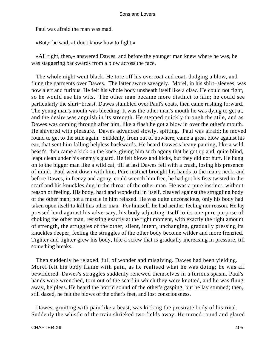Paul was afraid the man was mad.

«But,» he said, «I don't know how to fight.»

 «All right, then,» answered Dawes, and before the younger man knew where he was, he was staggering backwards from a blow across the face.

 The whole night went black. He tore off his overcoat and coat, dodging a blow, and flung the garments over Dawes. The latter swore savagely. Morel, in his shirt−sleeves, was now alert and furious. He felt his whole body unsheath itself like a claw. He could not fight, so he would use his wits. The other man became more distinct to him; he could see particularly the shirt−breast. Dawes stumbled over Paul's coats, then came rushing forward. The young man's mouth was bleeding. It was the other man's mouth he was dying to get at, and the desire was anguish in its strength. He stepped quickly through the stile, and as Dawes was coming through after him, like a flash he got a blow in over the other's mouth. He shivered with pleasure. Dawes advanced slowly, spitting. Paul was afraid; he moved round to get to the stile again. Suddenly, from out of nowhere, came a great blow against his ear, that sent him falling helpless backwards. He heard Dawes's heavy panting, like a wild beast's, then came a kick on the knee, giving him such agony that he got up and, quite blind, leapt clean under his enemy's guard. He felt blows and kicks, but they did not hurt. He hung on to the bigger man like a wild cat, till at last Dawes fell with a crash, losing his presence of mind. Paul went down with him. Pure instinct brought his hands to the man's neck, and before Dawes, in frenzy and agony, could wrench him free, he had got his fists twisted in the scarf and his knuckles dug in the throat of the other man. He was a pure instinct, without reason or feeling. His body, hard and wonderful in itself, cleaved against the struggling body of the other man; not a muscle in him relaxed. He was quite unconscious, only his body had taken upon itself to kill this other man. For himself, he had neither feeling nor reason. He lay pressed hard against his adversary, his body adjusting itself to its one pure purpose of choking the other man, resisting exactly at the right moment, with exactly the right amount of strength, the struggles of the other, silent, intent, unchanging, gradually pressing its knuckles deeper, feeling the struggles of the other body become wilder and more frenzied. Tighter and tighter grew his body, like a screw that is gradually increasing in pressure, till something breaks.

 Then suddenly he relaxed, full of wonder and misgiving. Dawes had been yielding. Morel felt his body flame with pain, as he realised what he was doing; he was all bewildered. Dawes's struggles suddenly renewed themselves in a furious spasm. Paul's hands were wrenched, torn out of the scarf in which they were knotted, and he was flung away, helpless. He heard the horrid sound of the other's gasping, but he lay stunned; then, still dazed, he felt the blows of the other's feet, and lost consciousness.

 Dawes, grunting with pain like a beast, was kicking the prostrate body of his rival. Suddenly the whistle of the train shrieked two fields away. He turned round and glared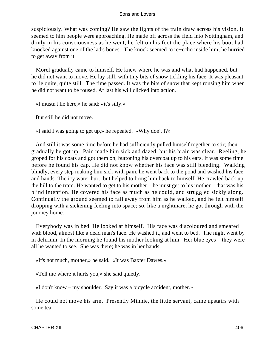suspiciously. What was coming? He saw the lights of the train draw across his vision. It seemed to him people were approaching. He made off across the field into Nottingham, and dimly in his consciousness as he went, he felt on his foot the place where his boot had knocked against one of the lad's bones. The knock seemed to re−echo inside him; he hurried to get away from it.

 Morel gradually came to himself. He knew where he was and what had happened, but he did not want to move. He lay still, with tiny bits of snow tickling his face. It was pleasant to lie quite, quite still. The time passed. It was the bits of snow that kept rousing him when he did not want to be roused. At last his will clicked into action.

«I mustn't lie here,» he said; «it's silly.»

But still he did not move.

«I said I was going to get up,» he repeated. «Why don't I?»

 And still it was some time before he had sufficiently pulled himself together to stir; then gradually he got up. Pain made him sick and dazed, but his brain was clear. Reeling, he groped for his coats and got them on, buttoning his overcoat up to his ears. It was some time before he found his cap. He did not know whether his face was still bleeding. Walking blindly, every step making him sick with pain, he went back to the pond and washed his face and hands. The icy water hurt, but helped to bring him back to himself. He crawled back up the hill to the tram. He wanted to get to his mother – he must get to his mother – that was his blind intention. He covered his face as much as he could, and struggled sickly along. Continually the ground seemed to fall away from him as he walked, and he felt himself dropping with a sickening feeling into space; so, like a nightmare, he got through with the journey home.

 Everybody was in bed. He looked at himself. His face was discoloured and smeared with blood, almost like a dead man's face. He washed it, and went to bed. The night went by in delirium. In the morning he found his mother looking at him. Her blue eyes – they were all he wanted to see. She was there; he was in her hands.

«It's not much, mother,» he said. «It was Baxter Dawes.»

«Tell me where it hurts you,» she said quietly.

«I don't know – my shoulder. Say it was a bicycle accident, mother.»

 He could not move his arm. Presently Minnie, the little servant, came upstairs with some tea.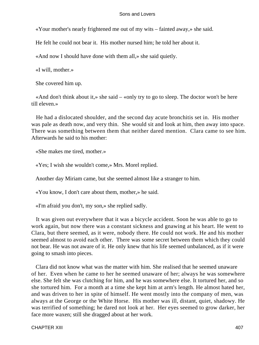«Your mother's nearly frightened me out of my wits – fainted away,» she said.

He felt he could not bear it. His mother nursed him; he told her about it.

«And now I should have done with them all,» she said quietly.

«I will, mother.»

She covered him up.

 «And don't think about it,» she said – «only try to go to sleep. The doctor won't be here till eleven.»

 He had a dislocated shoulder, and the second day acute bronchitis set in. His mother was pale as death now, and very thin. She would sit and look at him, then away into space. There was something between them that neither dared mention. Clara came to see him. Afterwards he said to his mother:

«She makes me tired, mother.»

«Yes; I wish she wouldn't come,» Mrs. Morel replied.

Another day Miriam came, but she seemed almost like a stranger to him.

«You know, I don't care about them, mother,» he said.

«I'm afraid you don't, my son,» she replied sadly.

 It was given out everywhere that it was a bicycle accident. Soon he was able to go to work again, but now there was a constant sickness and gnawing at his heart. He went to Clara, but there seemed, as it were, nobody there. He could not work. He and his mother seemed almost to avoid each other. There was some secret between them which they could not bear. He was not aware of it. He only knew that his life seemed unbalanced, as if it were going to smash into pieces.

 Clara did not know what was the matter with him. She realised that he seemed unaware of her. Even when he came to her he seemed unaware of her; always he was somewhere else. She felt she was clutching for him, and he was somewhere else. It tortured her, and so she tortured him. For a month at a time she kept him at arm's length. He almost hated her, and was driven to her in spite of himself. He went mostly into the company of men, was always at the George or the White Horse. His mother was ill, distant, quiet, shadowy. He was terrified of something; he dared not look at her. Her eyes seemed to grow darker, her face more waxen; still she dragged about at her work.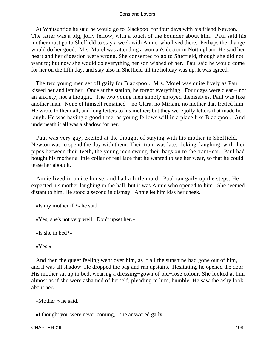At Whitsuntide he said he would go to Blackpool for four days with his friend Newton. The latter was a big, jolly fellow, with a touch of the bounder about him. Paul said his mother must go to Sheffield to stay a week with Annie, who lived there. Perhaps the change would do her good. Mrs. Morel was attending a woman's doctor in Nottingham. He said her heart and her digestion were wrong. She consented to go to Sheffield, though she did not want to; but now she would do everything her son wished of her. Paul said he would come for her on the fifth day, and stay also in Sheffield till the holiday was up. It was agreed.

 The two young men set off gaily for Blackpool. Mrs. Morel was quite lively as Paul kissed her and left her. Once at the station, he forgot everything. Four days were clear – not an anxiety, not a thought. The two young men simply enjoyed themselves. Paul was like another man. None of himself remained – no Clara, no Miriam, no mother that fretted him. He wrote to them all, and long letters to his mother; but they were jolly letters that made her laugh. He was having a good time, as young fellows will in a place like Blackpool. And underneath it all was a shadow for her.

 Paul was very gay, excited at the thought of staying with his mother in Sheffield. Newton was to spend the day with them. Their train was late. Joking, laughing, with their pipes between their teeth, the young men swung their bags on to the tram−car. Paul had bought his mother a little collar of real lace that he wanted to see her wear, so that he could tease her about it.

 Annie lived in a nice house, and had a little maid. Paul ran gaily up the steps. He expected his mother laughing in the hall, but it was Annie who opened to him. She seemed distant to him. He stood a second in dismay. Annie let him kiss her cheek.

«Is my mother ill?» he said.

«Yes; she's not very well. Don't upset her.»

«Is she in bed?»

«Yes.»

 And then the queer feeling went over him, as if all the sunshine had gone out of him, and it was all shadow. He dropped the bag and ran upstairs. Hesitating, he opened the door. His mother sat up in bed, wearing a dressing−gown of old−rose colour. She looked at him almost as if she were ashamed of herself, pleading to him, humble. He saw the ashy look about her.

«Mother!» he said.

«I thought you were never coming,» she answered gaily.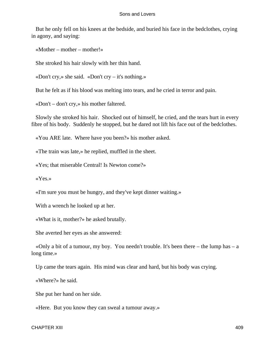But he only fell on his knees at the bedside, and buried his face in the bedclothes, crying in agony, and saying:

«Mother – mother – mother!»

She stroked his hair slowly with her thin hand.

«Don't cry,» she said. «Don't cry – it's nothing.»

But he felt as if his blood was melting into tears, and he cried in terror and pain.

«Don't – don't cry,» his mother faltered.

 Slowly she stroked his hair. Shocked out of himself, he cried, and the tears hurt in every fibre of his body. Suddenly he stopped, but he dared not lift his face out of the bedclothes.

«You ARE late. Where have you been?» his mother asked.

«The train was late,» he replied, muffled in the sheet.

«Yes; that miserable Central! Is Newton come?»

«Yes.»

«I'm sure you must be hungry, and they've kept dinner waiting.»

With a wrench he looked up at her.

«What is it, mother?» he asked brutally.

She averted her eyes as she answered:

«Only a bit of a tumour, my boy. You needn't trouble. It's been there – the lump has  $- a$ long time.»

Up came the tears again. His mind was clear and hard, but his body was crying.

«Where?» he said.

She put her hand on her side.

«Here. But you know they can sweal a tumour away.»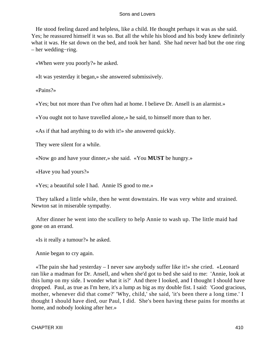He stood feeling dazed and helpless, like a child. He thought perhaps it was as she said. Yes; he reassured himself it was so. But all the while his blood and his body knew definitely what it was. He sat down on the bed, and took her hand. She had never had but the one ring – her wedding−ring.

«When were you poorly?» he asked.

«It was yesterday it began,» she answered submissively.

«Pains?»

«Yes; but not more than I've often had at home. I believe Dr. Ansell is an alarmist.»

«You ought not to have travelled alone,» he said, to himself more than to her.

«As if that had anything to do with it!» she answered quickly.

They were silent for a while.

«Now go and have your dinner,» she said. «You **MUST** be hungry.»

«Have you had yours?»

«Yes; a beautiful sole I had. Annie IS good to me.»

 They talked a little while, then he went downstairs. He was very white and strained. Newton sat in miserable sympathy.

 After dinner he went into the scullery to help Annie to wash up. The little maid had gone on an errand.

«Is it really a tumour?» he asked.

Annie began to cry again.

 «The pain she had yesterday – I never saw anybody suffer like it!» she cried. «Leonard ran like a madman for Dr. Ansell, and when she'd got to bed she said to me: 'Annie, look at this lump on my side. I wonder what it is?' And there I looked, and I thought I should have dropped. Paul, as true as I'm here, it's a lump as big as my double fist. I said: 'Good gracious, mother, whenever did that come?' 'Why, child,' she said, 'it's been there a long time.' I thought I should have died, our Paul, I did. She's been having these pains for months at home, and nobody looking after her.»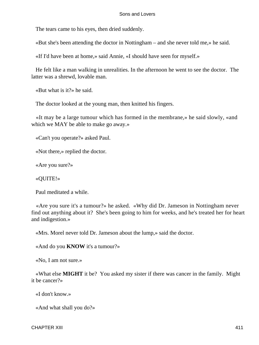The tears came to his eyes, then dried suddenly.

«But she's been attending the doctor in Nottingham – and she never told me,» he said.

«If I'd have been at home,» said Annie, «I should have seen for myself.»

 He felt like a man walking in unrealities. In the afternoon he went to see the doctor. The latter was a shrewd, lovable man.

«But what is it?» he said.

The doctor looked at the young man, then knitted his fingers.

 «It may be a large tumour which has formed in the membrane,» he said slowly, «and which we MAY be able to make go away.»

«Can't you operate?» asked Paul.

«Not there,» replied the doctor.

«Are you sure?»

«QUITE!»

Paul meditated a while.

 «Are you sure it's a tumour?» he asked. «Why did Dr. Jameson in Nottingham never find out anything about it? She's been going to him for weeks, and he's treated her for heart and indigestion.»

«Mrs. Morel never told Dr. Jameson about the lump,» said the doctor.

«And do you **KNOW** it's a tumour?»

«No, I am not sure.»

 «What else **MIGHT** it be? You asked my sister if there was cancer in the family. Might it be cancer?»

«I don't know.»

«And what shall you do?»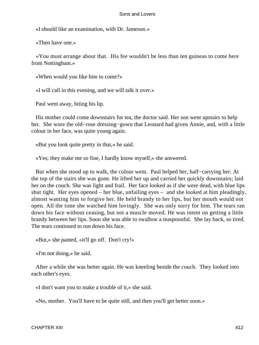«I should like an examination, with Dr. Jameson.»

«Then have one.»

 «You must arrange about that. His fee wouldn't be less than ten guineas to come here from Nottingham.»

«When would you like him to come?»

«I will call in this evening, and we will talk it over.»

Paul went away, biting his lip.

 His mother could come downstairs for tea, the doctor said. Her son went upstairs to help her. She wore the old−rose dressing−gown that Leonard had given Annie, and, with a little colour in her face, was quite young again.

«But you look quite pretty in that,» he said.

«Yes; they make me so fine, I hardly know myself,» she answered.

 But when she stood up to walk, the colour went. Paul helped her, half−carrying her. At the top of the stairs she was gone. He lifted her up and carried her quickly downstairs; laid her on the couch. She was light and frail. Her face looked as if she were dead, with blue lips shut tight. Her eyes opened – her blue, unfailing eyes – and she looked at him pleadingly, almost wanting him to forgive her. He held brandy to her lips, but her mouth would not open. All the time she watched him lovingly. She was only sorry for him. The tears ran down his face without ceasing, but not a muscle moved. He was intent on getting a little brandy between her lips. Soon she was able to swallow a teaspoonful. She lay back, so tired. The tears continued to run down his face.

«But,» she panted, «it'll go off. Don't cry!»

«I'm not doing,» he said.

 After a while she was better again. He was kneeling beside the couch. They looked into each other's eyes.

«I don't want you to make a trouble of it,» she said.

«No, mother. You'll have to be quite still, and then you'll get better soon.»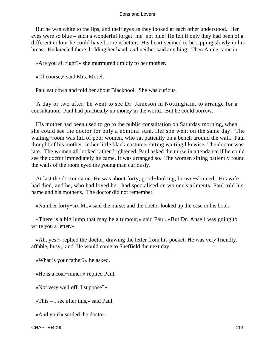But he was white to the lips, and their eyes as they looked at each other understood. Her eyes were so blue – such a wonderful forget−me−not blue! He felt if only they had been of a different colour he could have borne it better. His heart seemed to be ripping slowly in his breast. He kneeled there, holding her hand, and neither said anything. Then Annie came in.

«Are you all right?» she murmured timidly to her mother.

«Of course,» said Mrs. Morel.

Paul sat down and told her about Blackpool. She was curious.

 A day or two after, he went to see Dr. Jameson in Nottingham, to arrange for a consultation. Paul had practically no money in the world. But he could borrow.

 His mother had been used to go to the public consultation on Saturday morning, when she could see the doctor for only a nominal sum. Her son went on the same day. The waiting−room was full of poor women, who sat patiently on a bench around the wall. Paul thought of his mother, in her little black costume, sitting waiting likewise. The doctor was late. The women all looked rather frightened. Paul asked the nurse in attendance if he could see the doctor immediately he came. It was arranged so. The women sitting patiently round the walls of the room eyed the young man curiously.

 At last the doctor came. He was about forty, good−looking, brown−skinned. His wife had died, and he, who had loved her, had specialised on women's ailments. Paul told his name and his mother's. The doctor did not remember.

«Number forty−six M.,» said the nurse; and the doctor looked up the case in his book.

 «There is a big lump that may be a tumour,» said Paul. «But Dr. Ansell was going to write you a letter.»

 «Ah, yes!» replied the doctor, drawing the letter from his pocket. He was very friendly, affable, busy, kind. He would come to Sheffield the next day.

«What is your father?» he asked.

«He is a coal−miner,» replied Paul.

«Not very well off, I suppose?»

«This – I see after this,» said Paul.

«And you?» smiled the doctor.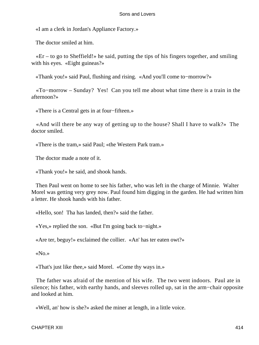«I am a clerk in Jordan's Appliance Factory.»

The doctor smiled at him.

 $*Er - to go to Sheffield!$  he said, putting the tips of his fingers together, and smiling with his eyes. «Eight guineas?»

«Thank you!» said Paul, flushing and rising. «And you'll come to−morrow?»

 «To−morrow – Sunday? Yes! Can you tell me about what time there is a train in the afternoon?»

«There is a Central gets in at four−fifteen.»

 «And will there be any way of getting up to the house? Shall I have to walk?» The doctor smiled.

«There is the tram,» said Paul; «the Western Park tram.»

The doctor made a note of it.

«Thank you!» he said, and shook hands.

 Then Paul went on home to see his father, who was left in the charge of Minnie. Walter Morel was getting very grey now. Paul found him digging in the garden. He had written him a letter. He shook hands with his father.

«Hello, son! Tha has landed, then?» said the father.

«Yes,» replied the son. «But I'm going back to−night.»

«Are ter, beguy!» exclaimed the collier. «An' has ter eaten owt?»

«No.»

«That's just like thee,» said Morel. «Come thy ways in.»

 The father was afraid of the mention of his wife. The two went indoors. Paul ate in silence; his father, with earthy hands, and sleeves rolled up, sat in the arm−chair opposite and looked at him.

«Well, an' how is she?» asked the miner at length, in a little voice.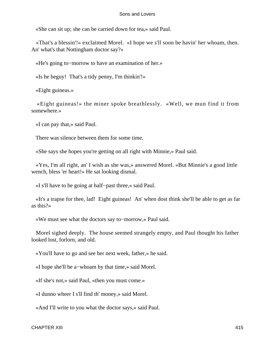«She can sit up; she can be carried down for tea,» said Paul.

 «That's a blessin'!» exclaimed Morel. «I hope we s'll soon be havin' her whoam, then. An' what's that Nottingham doctor say?»

«He's going to−morrow to have an examination of her.»

«Is he beguy! That's a tidy penny, I'm thinkin'!»

«Eight guineas.»

 «Eight guineas!» the miner spoke breathlessly. «Well, we mun find it from somewhere.»

«I can pay that,» said Paul.

There was silence between them for some time.

«She says she hopes you're getting on all right with Minnie,» Paul said.

 «Yes, I'm all right, an' I wish as she was,» answered Morel. «But Minnie's a good little wench, bless 'er heart!» He sat looking dismal.

«I s'll have to be going at half−past three,» said Paul.

 «It's a trapse for thee, lad! Eight guineas! An' when dost think she'll be able to get as far as this?»

«We must see what the doctors say to−morrow,» Paul said.

 Morel sighed deeply. The house seemed strangely empty, and Paul thought his father looked lost, forlorn, and old.

«You'll have to go and see her next week, father,» he said.

«I hope she'll be a−whoam by that time,» said Morel.

«If she's not,» said Paul, «then you must come.»

«I dunno wheer I s'll find th' money,» said Morel.

«And I'll write to you what the doctor says,» said Paul.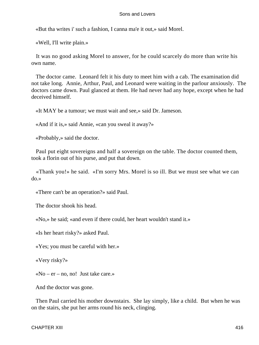«But tha writes i' such a fashion, I canna ma'e it out,» said Morel.

«Well, I'll write plain.»

 It was no good asking Morel to answer, for he could scarcely do more than write his own name.

 The doctor came. Leonard felt it his duty to meet him with a cab. The examination did not take long. Annie, Arthur, Paul, and Leonard were waiting in the parlour anxiously. The doctors came down. Paul glanced at them. He had never had any hope, except when he had deceived himself.

«It MAY be a tumour; we must wait and see,» said Dr. Jameson.

«And if it is,» said Annie, «can you sweal it away?»

«Probably,» said the doctor.

 Paul put eight sovereigns and half a sovereign on the table. The doctor counted them, took a florin out of his purse, and put that down.

 «Thank you!» he said. «I'm sorry Mrs. Morel is so ill. But we must see what we can do.»

«There can't be an operation?» said Paul.

The doctor shook his head.

«No,» he said; «and even if there could, her heart wouldn't stand it.»

«Is her heart risky?» asked Paul.

«Yes; you must be careful with her.»

«Very risky?»

 $\triangleleft$ No – er – no, no! Just take care.»

And the doctor was gone.

 Then Paul carried his mother downstairs. She lay simply, like a child. But when he was on the stairs, she put her arms round his neck, clinging.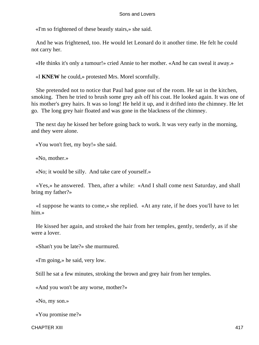«I'm so frightened of these beastly stairs,» she said.

 And he was frightened, too. He would let Leonard do it another time. He felt he could not carry her.

«He thinks it's only a tumour!» cried Annie to her mother. «And he can sweal it away.»

«I **KNEW** he could,» protested Mrs. Morel scornfully.

 She pretended not to notice that Paul had gone out of the room. He sat in the kitchen, smoking. Then he tried to brush some grey ash off his coat. He looked again. It was one of his mother's grey hairs. It was so long! He held it up, and it drifted into the chimney. He let go. The long grey hair floated and was gone in the blackness of the chimney.

 The next day he kissed her before going back to work. It was very early in the morning, and they were alone.

«You won't fret, my boy!» she said.

«No, mother.»

«No; it would be silly. And take care of yourself.»

 «Yes,» he answered. Then, after a while: «And I shall come next Saturday, and shall bring my father?»

 «I suppose he wants to come,» she replied. «At any rate, if he does you'll have to let him.»

 He kissed her again, and stroked the hair from her temples, gently, tenderly, as if she were a lover.

«Shan't you be late?» she murmured.

«I'm going,» he said, very low.

Still he sat a few minutes, stroking the brown and grey hair from her temples.

«And you won't be any worse, mother?»

«No, my son.»

«You promise me?»

CHAPTER XIII 417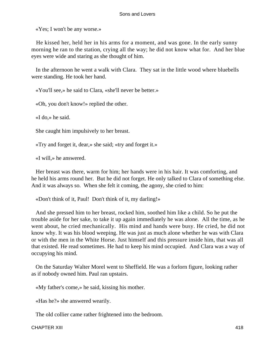«Yes; I won't be any worse.»

 He kissed her, held her in his arms for a moment, and was gone. In the early sunny morning he ran to the station, crying all the way; he did not know what for. And her blue eyes were wide and staring as she thought of him.

 In the afternoon he went a walk with Clara. They sat in the little wood where bluebells were standing. He took her hand.

«You'll see,» he said to Clara, «she'll never be better.»

«Oh, you don't know!» replied the other.

«I do,» he said.

She caught him impulsively to her breast.

«Try and forget it, dear,» she said; «try and forget it.»

«I will,» he answered.

 Her breast was there, warm for him; her hands were in his hair. It was comforting, and he held his arms round her. But he did not forget. He only talked to Clara of something else. And it was always so. When she felt it coming, the agony, she cried to him:

«Don't think of it, Paul! Don't think of it, my darling!»

 And she pressed him to her breast, rocked him, soothed him like a child. So he put the trouble aside for her sake, to take it up again immediately he was alone. All the time, as he went about, he cried mechanically. His mind and hands were busy. He cried, he did not know why. It was his blood weeping. He was just as much alone whether he was with Clara or with the men in the White Horse. Just himself and this pressure inside him, that was all that existed. He read sometimes. He had to keep his mind occupied. And Clara was a way of occupying his mind.

 On the Saturday Walter Morel went to Sheffield. He was a forlorn figure, looking rather as if nobody owned him. Paul ran upstairs.

«My father's come,» he said, kissing his mother.

«Has he?» she answered wearily.

The old collier came rather frightened into the bedroom.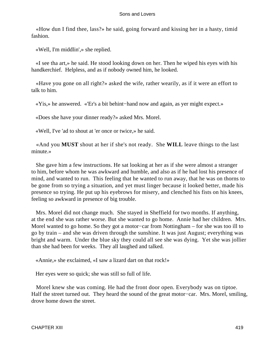«How dun I find thee, lass?» he said, going forward and kissing her in a hasty, timid fashion.

«Well, I'm middlin',» she replied.

 «I see tha art,» he said. He stood looking down on her. Then he wiped his eyes with his handkerchief. Helpless, and as if nobody owned him, he looked.

 «Have you gone on all right?» asked the wife, rather wearily, as if it were an effort to talk to him.

«Yis,» he answered. «'Er's a bit behint−hand now and again, as yer might expect.»

«Does she have your dinner ready?» asked Mrs. Morel.

«Well, I've 'ad to shout at 'er once or twice,» he said.

 «And you **MUST** shout at her if she's not ready. She **WILL** leave things to the last minute.»

 She gave him a few instructions. He sat looking at her as if she were almost a stranger to him, before whom he was awkward and humble, and also as if he had lost his presence of mind, and wanted to run. This feeling that he wanted to run away, that he was on thorns to be gone from so trying a situation, and yet must linger because it looked better, made his presence so trying. He put up his eyebrows for misery, and clenched his fists on his knees, feeling so awkward in presence of big trouble.

 Mrs. Morel did not change much. She stayed in Sheffield for two months. If anything, at the end she was rather worse. But she wanted to go home. Annie had her children. Mrs. Morel wanted to go home. So they got a motor−car from Nottingham – for she was too ill to go by train – and she was driven through the sunshine. It was just August; everything was bright and warm. Under the blue sky they could all see she was dying. Yet she was jollier than she had been for weeks. They all laughed and talked.

«Annie,» she exclaimed, «I saw a lizard dart on that rock!»

Her eyes were so quick; she was still so full of life.

 Morel knew she was coming. He had the front door open. Everybody was on tiptoe. Half the street turned out. They heard the sound of the great motor−car. Mrs. Morel, smiling, drove home down the street.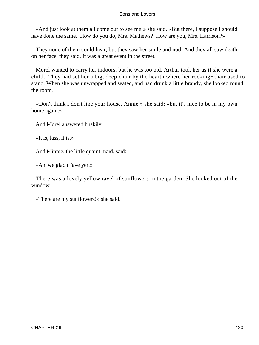«And just look at them all come out to see me!» she said. «But there, I suppose I should have done the same. How do you do, Mrs. Mathews? How are you, Mrs. Harrison?»

 They none of them could hear, but they saw her smile and nod. And they all saw death on her face, they said. It was a great event in the street.

 Morel wanted to carry her indoors, but he was too old. Arthur took her as if she were a child. They had set her a big, deep chair by the hearth where her rocking−chair used to stand. When she was unwrapped and seated, and had drunk a little brandy, she looked round the room.

 «Don't think I don't like your house, Annie,» she said; «but it's nice to be in my own home again.»

And Morel answered huskily:

«It is, lass, it is.»

And Minnie, the little quaint maid, said:

«An' we glad t' 'ave yer.»

 There was a lovely yellow ravel of sunflowers in the garden. She looked out of the window.

«There are my sunflowers!» she said.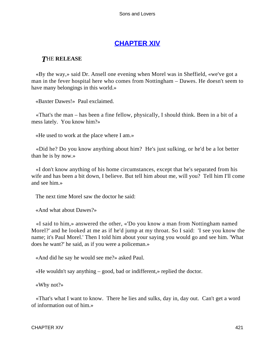# **[CHAPTER XIV](#page-470-0)**

# *T*HE **RELEASE**

 «By the way,» said Dr. Ansell one evening when Morel was in Sheffield, «we've got a man in the fever hospital here who comes from Nottingham – Dawes. He doesn't seem to have many belongings in this world.»

«Baxter Dawes!» Paul exclaimed.

 «That's the man – has been a fine fellow, physically, I should think. Been in a bit of a mess lately. You know him?»

«He used to work at the place where I am.»

 «Did he? Do you know anything about him? He's just sulking, or he'd be a lot better than he is by now.»

 «I don't know anything of his home circumstances, except that he's separated from his wife and has been a bit down, I believe. But tell him about me, will you? Tell him I'll come and see him.»

The next time Morel saw the doctor he said:

«And what about Dawes?»

 «I said to him,» answered the other, «'Do you know a man from Nottingham named Morel?' and he looked at me as if he'd jump at my throat. So I said: 'I see you know the name; it's Paul Morel.' Then I told him about your saying you would go and see him. 'What does he want?' he said, as if you were a policeman.»

«And did he say he would see me?» asked Paul.

«He wouldn't say anything – good, bad or indifferent,» replied the doctor.

«Why not?»

 «That's what I want to know. There he lies and sulks, day in, day out. Can't get a word of information out of him.»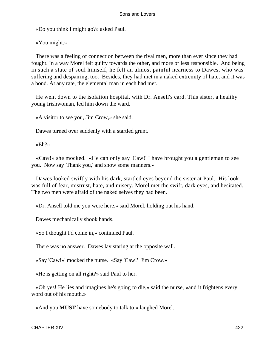«Do you think I might go?» asked Paul.

«You might.»

 There was a feeling of connection between the rival men, more than ever since they had fought. In a way Morel felt guilty towards the other, and more or less responsible. And being in such a state of soul himself, he felt an almost painful nearness to Dawes, who was suffering and despairing, too. Besides, they had met in a naked extremity of hate, and it was a bond. At any rate, the elemental man in each had met.

 He went down to the isolation hospital, with Dr. Ansell's card. This sister, a healthy young Irishwoman, led him down the ward.

«A visitor to see you, Jim Crow,» she said.

Dawes turned over suddenly with a startled grunt.

«Eh?»

 «Caw!» she mocked. «He can only say 'Caw!' I have brought you a gentleman to see you. Now say 'Thank you,' and show some manners.»

 Dawes looked swiftly with his dark, startled eyes beyond the sister at Paul. His look was full of fear, mistrust, hate, and misery. Morel met the swift, dark eyes, and hesitated. The two men were afraid of the naked selves they had been.

«Dr. Ansell told me you were here,» said Morel, holding out his hand.

Dawes mechanically shook hands.

«So I thought I'd come in,» continued Paul.

There was no answer. Dawes lay staring at the opposite wall.

«Say 'Caw!»' mocked the nurse. «Say 'Caw!' Jim Crow.»

«He is getting on all right?» said Paul to her.

 «Oh yes! He lies and imagines he's going to die,» said the nurse, «and it frightens every word out of his mouth.»

«And you **MUST** have somebody to talk to,» laughed Morel.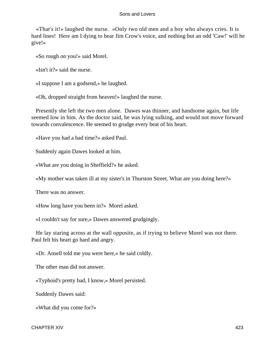«That's it!» laughed the nurse. «Only two old men and a boy who always cries. It is hard lines! Here am I dying to hear Jim Crow's voice, and nothing but an odd 'Caw!' will he give!»

«So rough on you!» said Morel.

«Isn't it?» said the nurse.

«I suppose I am a godsend,» he laughed.

«Oh, dropped straight from heaven!» laughed the nurse.

 Presently she left the two men alone. Dawes was thinner, and handsome again, but life seemed low in him. As the doctor said, he was lying sulking, and would not move forward towards convalescence. He seemed to grudge every beat of his heart.

«Have you had a bad time?» asked Paul.

Suddenly again Dawes looked at him.

«What are you doing in Sheffield?» he asked.

«My mother was taken ill at my sister's in Thurston Street. What are you doing here?»

There was no answer.

«How long have you been in?» Morel asked.

«I couldn't say for sure,» Dawes answered grudgingly.

 He lay staring across at the wall opposite, as if trying to believe Morel was not there. Paul felt his heart go hard and angry.

«Dr. Ansell told me you were here,» he said coldly.

The other man did not answer.

«Typhoid's pretty bad, I know,» Morel persisted.

Suddenly Dawes said:

«What did you come for?»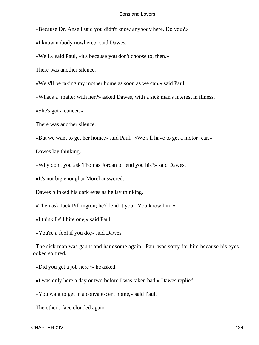«Because Dr. Ansell said you didn't know anybody here. Do you?»

«I know nobody nowhere,» said Dawes.

«Well,» said Paul, «it's because you don't choose to, then.»

There was another silence.

«We s'll be taking my mother home as soon as we can,» said Paul.

«What's a−matter with her?» asked Dawes, with a sick man's interest in illness.

«She's got a cancer.»

There was another silence.

«But we want to get her home,» said Paul. «We s'll have to get a motor−car.»

Dawes lay thinking.

«Why don't you ask Thomas Jordan to lend you his?» said Dawes.

«It's not big enough,» Morel answered.

Dawes blinked his dark eyes as he lay thinking.

«Then ask Jack Pilkington; he'd lend it you. You know him.»

«I think I s'll hire one,» said Paul.

«You're a fool if you do,» said Dawes.

 The sick man was gaunt and handsome again. Paul was sorry for him because his eyes looked so tired.

«Did you get a job here?» he asked.

«I was only here a day or two before I was taken bad,» Dawes replied.

«You want to get in a convalescent home,» said Paul.

The other's face clouded again.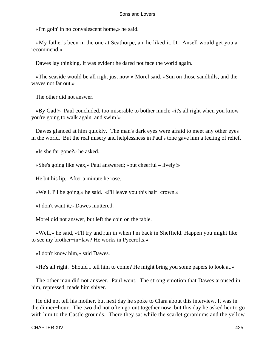«I'm goin' in no convalescent home,» he said.

 «My father's been in the one at Seathorpe, an' he liked it. Dr. Ansell would get you a recommend.»

Dawes lay thinking. It was evident he dared not face the world again.

 «The seaside would be all right just now,» Morel said. «Sun on those sandhills, and the waves not far out.»

The other did not answer.

 «By Gad!» Paul concluded, too miserable to bother much; «it's all right when you know you're going to walk again, and swim!»

 Dawes glanced at him quickly. The man's dark eyes were afraid to meet any other eyes in the world. But the real misery and helplessness in Paul's tone gave him a feeling of relief.

«Is she far gone?» he asked.

«She's going like wax,» Paul answered; «but cheerful – lively!»

He bit his lip. After a minute he rose.

«Well, I'll be going,» he said. «I'll leave you this half−crown.»

«I don't want it,» Dawes muttered.

Morel did not answer, but left the coin on the table.

 «Well,» he said, «I'll try and run in when I'm back in Sheffield. Happen you might like to see my brother−in−law? He works in Pyecrofts.»

«I don't know him,» said Dawes.

«He's all right. Should I tell him to come? He might bring you some papers to look at.»

 The other man did not answer. Paul went. The strong emotion that Dawes aroused in him, repressed, made him shiver.

 He did not tell his mother, but next day he spoke to Clara about this interview. It was in the dinner−hour. The two did not often go out together now, but this day he asked her to go with him to the Castle grounds. There they sat while the scarlet geraniums and the yellow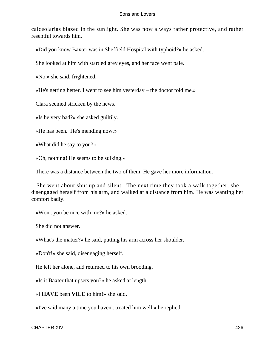calceolarias blazed in the sunlight. She was now always rather protective, and rather resentful towards him.

«Did you know Baxter was in Sheffield Hospital with typhoid?» he asked.

She looked at him with startled grey eyes, and her face went pale.

«No,» she said, frightened.

«He's getting better. I went to see him yesterday – the doctor told me.»

Clara seemed stricken by the news.

«Is he very bad?» she asked guiltily.

«He has been. He's mending now.»

«What did he say to you?»

«Oh, nothing! He seems to be sulking.»

There was a distance between the two of them. He gave her more information.

 She went about shut up and silent. The next time they took a walk together, she disengaged herself from his arm, and walked at a distance from him. He was wanting her comfort badly.

«Won't you be nice with me?» he asked.

She did not answer.

«What's the matter?» he said, putting his arm across her shoulder.

«Don't!» she said, disengaging herself.

He left her alone, and returned to his own brooding.

«Is it Baxter that upsets you?» he asked at length.

«I **HAVE** been **VILE** to him!» she said.

«I've said many a time you haven't treated him well,» he replied.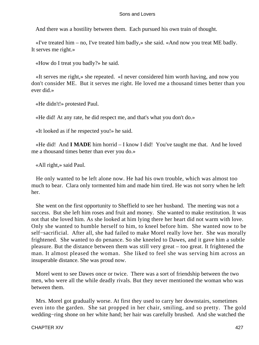And there was a hostility between them. Each pursued his own train of thought.

 «I've treated him – no, I've treated him badly,» she said. «And now you treat ME badly. It serves me right.»

«How do I treat you badly?» he said.

 «It serves me right,» she repeated. «I never considered him worth having, and now you don't consider ME. But it serves me right. He loved me a thousand times better than you ever did.»

«He didn't!» protested Paul.

«He did! At any rate, he did respect me, and that's what you don't do.»

«It looked as if he respected you!» he said.

 «He did! And **I MADE** him horrid – I know I did! You've taught me that. And he loved me a thousand times better than ever you do.»

«All right,» said Paul.

 He only wanted to be left alone now. He had his own trouble, which was almost too much to bear. Clara only tormented him and made him tired. He was not sorry when he left her.

 She went on the first opportunity to Sheffield to see her husband. The meeting was not a success. But she left him roses and fruit and money. She wanted to make restitution. It was not that she loved him. As she looked at him lying there her heart did not warm with love. Only she wanted to humble herself to him, to kneel before him. She wanted now to be self−sacrificial. After all, she had failed to make Morel really love her. She was morally frightened. She wanted to do penance. So she kneeled to Dawes, and it gave him a subtle pleasure. But the distance between them was still very great – too great. It frightened the man. It almost pleased the woman. She liked to feel she was serving him across an insuperable distance. She was proud now.

 Morel went to see Dawes once or twice. There was a sort of friendship between the two men, who were all the while deadly rivals. But they never mentioned the woman who was between them.

 Mrs. Morel got gradually worse. At first they used to carry her downstairs, sometimes even into the garden. She sat propped in her chair, smiling, and so pretty. The gold wedding−ring shone on her white hand; her hair was carefully brushed. And she watched the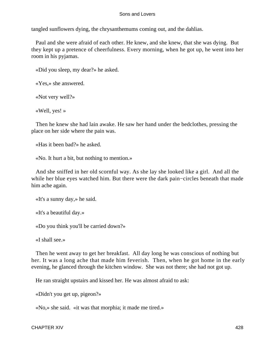tangled sunflowers dying, the chrysanthemums coming out, and the dahlias.

 Paul and she were afraid of each other. He knew, and she knew, that she was dying. But they kept up a pretence of cheerfulness. Every morning, when he got up, he went into her room in his pyjamas.

«Did you sleep, my dear?» he asked.

«Yes,» she answered.

«Not very well?»

«Well, yes! »

 Then he knew she had lain awake. He saw her hand under the bedclothes, pressing the place on her side where the pain was.

«Has it been bad?» he asked.

«No. It hurt a bit, but nothing to mention.»

 And she sniffed in her old scornful way. As she lay she looked like a girl. And all the while her blue eyes watched him. But there were the dark pain−circles beneath that made him ache again.

«It's a sunny day,» he said.

«It's a beautiful day.»

«Do you think you'll be carried down?»

«I shall see.»

 Then he went away to get her breakfast. All day long he was conscious of nothing but her. It was a long ache that made him feverish. Then, when he got home in the early evening, he glanced through the kitchen window. She was not there; she had not got up.

He ran straight upstairs and kissed her. He was almost afraid to ask:

«Didn't you get up, pigeon?»

«No,» she said. «it was that morphia; it made me tired.»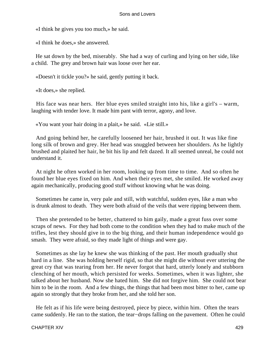«I think he gives you too much,» he said.

«I think he does,» she answered.

 He sat down by the bed, miserably. She had a way of curling and lying on her side, like a child. The grey and brown hair was loose over her ear.

«Doesn't it tickle you?» he said, gently putting it back.

«It does,» she replied.

 His face was near hers. Her blue eyes smiled straight into his, like a girl's – warm, laughing with tender love. It made him pant with terror, agony, and love.

«You want your hair doing in a plait,» he said. «Lie still.»

 And going behind her, he carefully loosened her hair, brushed it out. It was like fine long silk of brown and grey. Her head was snuggled between her shoulders. As he lightly brushed and plaited her hair, he bit his lip and felt dazed. It all seemed unreal, he could not understand it.

 At night he often worked in her room, looking up from time to time. And so often he found her blue eyes fixed on him. And when their eyes met, she smiled. He worked away again mechanically, producing good stuff without knowing what he was doing.

 Sometimes he came in, very pale and still, with watchful, sudden eyes, like a man who is drunk almost to death. They were both afraid of the veils that were ripping between them.

 Then she pretended to be better, chattered to him gaily, made a great fuss over some scraps of news. For they had both come to the condition when they had to make much of the trifles, lest they should give in to the big thing, and their human independence would go smash. They were afraid, so they made light of things and were gay.

 Sometimes as she lay he knew she was thinking of the past. Her mouth gradually shut hard in a line. She was holding herself rigid, so that she might die without ever uttering the great cry that was tearing from her. He never forgot that hard, utterly lonely and stubborn clenching of her mouth, which persisted for weeks. Sometimes, when it was lighter, she talked about her husband. Now she hated him. She did not forgive him. She could not bear him to be in the room. And a few things, the things that had been most bitter to her, came up again so strongly that they broke from her, and she told her son.

 He felt as if his life were being destroyed, piece by piece, within him. Often the tears came suddenly. He ran to the station, the tear−drops falling on the pavement. Often he could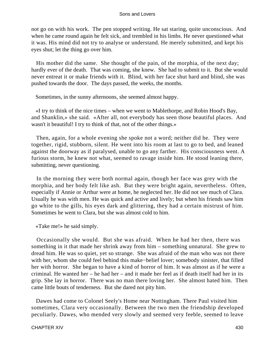not go on with his work. The pen stopped writing. He sat staring, quite unconscious. And when he came round again he felt sick, and trembled in his limbs. He never questioned what it was. His mind did not try to analyse or understand. He merely submitted, and kept his eyes shut; let the thing go over him.

 His mother did the same. She thought of the pain, of the morphia, of the next day; hardly ever of the death. That was coming, she knew. She had to submit to it. But she would never entreat it or make friends with it. Blind, with her face shut hard and blind, she was pushed towards the door. The days passed, the weeks, the months.

Sometimes, in the sunny afternoons, she seemed almost happy.

 «I try to think of the nice times – when we went to Mablethorpe, and Robin Hood's Bay, and Shanklin,» she said. «After all, not everybody has seen those beautiful places. And wasn't it beautiful! I try to think of that, not of the other things.»

 Then, again, for a whole evening she spoke not a word; neither did he. They were together, rigid, stubborn, silent. He went into his room at last to go to bed, and leaned against the doorway as if paralysed, unable to go any farther. His consciousness went. A furious storm, he knew not what, seemed to ravage inside him. He stood leaning there, submitting, never questioning.

 In the morning they were both normal again, though her face was grey with the morphia, and her body felt like ash. But they were bright again, nevertheless. Often, especially if Annie or Arthur were at home, he neglected her. He did not see much of Clara. Usually he was with men. He was quick and active and lively; but when his friends saw him go white to the gills, his eyes dark and glittering, they had a certain mistrust of him. Sometimes he went to Clara, but she was almost cold to him.

«Take me!» he said simply.

 Occasionally she would. But she was afraid. When he had her then, there was something in it that made her shrink away from him – something unnatural. She grew to dread him. He was so quiet, yet so strange. She was afraid of the man who was not there with her, whom she could feel behind this make−belief lover; somebody sinister, that filled her with horror. She began to have a kind of horror of him. It was almost as if he were a criminal. He wanted her – he had her – and it made her feel as if death itself had her in its grip. She lay in horror. There was no man there loving her. She almost hated him. Then came little bouts of tenderness. But she dared not pity him.

 Dawes had come to Colonel Seely's Home near Nottingham. There Paul visited him sometimes, Clara very occasionally. Between the two men the friendship developed peculiarly. Dawes, who mended very slowly and seemed very feeble, seemed to leave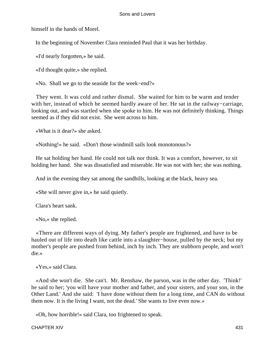himself in the hands of Morel.

In the beginning of November Clara reminded Paul that it was her birthday.

«I'd nearly forgotten,» he said.

«I'd thought quite,» she replied.

«No. Shall we go to the seaside for the week−end?»

 They went. It was cold and rather dismal. She waited for him to be warm and tender with her, instead of which he seemed hardly aware of her. He sat in the railway−carriage, looking out, and was startled when she spoke to him. He was not definitely thinking. Things seemed as if they did not exist. She went across to him.

«What is it dear?» she asked.

«Nothing!» he said. «Don't those windmill sails look monotonous?»

 He sat holding her hand. He could not talk nor think. It was a comfort, however, to sit holding her hand. She was dissatisfied and miserable. He was not with her; she was nothing.

And in the evening they sat among the sandhills, looking at the black, heavy sea.

«She will never give in,» he said quietly.

Clara's heart sank.

«No,» she replied.

 «There are different ways of dying. My father's people are frightened, and have to be hauled out of life into death like cattle into a slaughter−house, pulled by the neck; but my mother's people are pushed from behind, inch by inch. They are stubborn people, and won't die.»

«Yes,» said Clara.

 «And she won't die. She can't. Mr. Renshaw, the parson, was in the other day. 'Think!' he said to her; 'you will have your mother and father, and your sisters, and your son, in the Other Land.' And she said: 'I have done without them for a long time, and CAN do without them now. It is the living I want, not the dead.' She wants to live even now.»

«Oh, how horrible!» said Clara, too frightened to speak.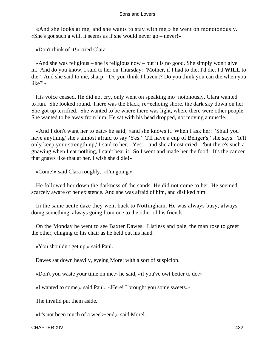«And she looks at me, and she wants to stay with me,» he went on monotonously. «She's got such a will, it seems as if she would never go – never!»

«Don't think of it!» cried Clara.

 «And she was religious – she is religious now – but it is no good. She simply won't give in. And do you know, I said to her on Thursday: 'Mother, if I had to die, I'd die. I'd **WILL** to die.' And she said to me, sharp: 'Do you think I haven't? Do you think you can die when you like?'»

 His voice ceased. He did not cry, only went on speaking mo−notonously. Clara wanted to run. She looked round. There was the black, re−echoing shore, the dark sky down on her. She got up terrified. She wanted to be where there was light, where there were other people. She wanted to be away from him. He sat with his head dropped, not moving a muscle.

 «And I don't want her to eat,» he said, «and she knows it. When I ask her: 'Shall you have anything' she's almost afraid to say 'Yes.' 'I'll have a cup of Benger's,' she says. 'It'll only keep your strength up,' I said to her. 'Yes' – and she almost cried – 'but there's such a gnawing when I eat nothing, I can't bear it.' So I went and made her the food. It's the cancer that gnaws like that at her. I wish she'd die!»

«Come!» said Clara roughly. «I'm going.»

 He followed her down the darkness of the sands. He did not come to her. He seemed scarcely aware of her existence. And she was afraid of him, and disliked him.

 In the same acute daze they went back to Nottingham. He was always busy, always doing something, always going from one to the other of his friends.

 On the Monday he went to see Baxter Dawes. Listless and pale, the man rose to greet the other, clinging to his chair as he held out his hand.

«You shouldn't get up,» said Paul.

Dawes sat down heavily, eyeing Morel with a sort of suspicion.

«Don't you waste your time on me,» he said, «if you've owt better to do.»

«I wanted to come,» said Paul. «Here! I brought you some sweets.»

The invalid put them aside.

«It's not been much of a week−end,» said Morel.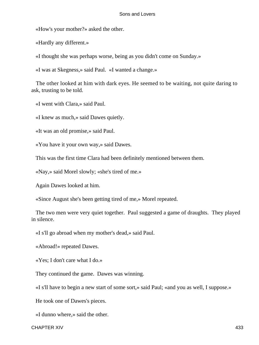«How's your mother?» asked the other.

«Hardly any different.»

«I thought she was perhaps worse, being as you didn't come on Sunday.»

«I was at Skegness,» said Paul. «I wanted a change.»

 The other looked at him with dark eyes. He seemed to be waiting, not quite daring to ask, trusting to be told.

«I went with Clara,» said Paul.

«I knew as much,» said Dawes quietly.

«It was an old promise,» said Paul.

«You have it your own way,» said Dawes.

This was the first time Clara had been definitely mentioned between them.

«Nay,» said Morel slowly; «she's tired of me.»

Again Dawes looked at him.

«Since August she's been getting tired of me,» Morel repeated.

 The two men were very quiet together. Paul suggested a game of draughts. They played in silence.

«I s'll go abroad when my mother's dead,» said Paul.

«Abroad!» repeated Dawes.

«Yes; I don't care what I do.»

They continued the game. Dawes was winning.

«I s'll have to begin a new start of some sort,» said Paul; «and you as well, I suppose.»

He took one of Dawes's pieces.

«I dunno where,» said the other.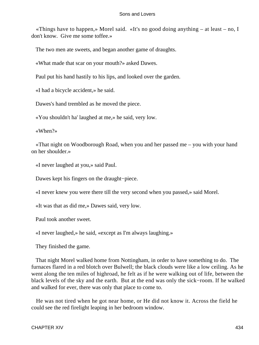«Things have to happen,» Morel said. «It's no good doing anything – at least – no, I don't know. Give me some toffee.»

The two men ate sweets, and began another game of draughts.

«What made that scar on your mouth?» asked Dawes.

Paul put his hand hastily to his lips, and looked over the garden.

«I had a bicycle accident,» he said.

Dawes's hand trembled as he moved the piece.

«You shouldn't ha' laughed at me,» he said, very low.

«When?»

 «That night on Woodborough Road, when you and her passed me – you with your hand on her shoulder.»

«I never laughed at you,» said Paul.

Dawes kept his fingers on the draught−piece.

«I never knew you were there till the very second when you passed,» said Morel.

«It was that as did me,» Dawes said, very low.

Paul took another sweet.

«I never laughed,» he said, «except as I'm always laughing.»

They finished the game.

 That night Morel walked home from Nottingham, in order to have something to do. The furnaces flared in a red blotch over Bulwell; the black clouds were like a low ceiling. As he went along the ten miles of highroad, he felt as if he were walking out of life, between the black levels of the sky and the earth. But at the end was only the sick−room. If he walked and walked for ever, there was only that place to come to.

 He was not tired when he got near home, or He did not know it. Across the field he could see the red firelight leaping in her bedroom window.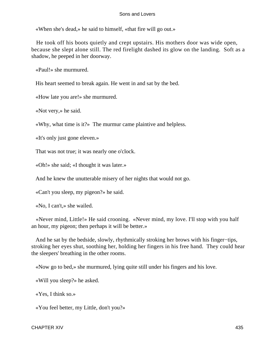«When she's dead,» he said to himself, «that fire will go out.»

 He took off his boots quietly and crept upstairs. His mothers door was wide open, because she slept alone still. The red firelight dashed its glow on the landing. Soft as a shadow, he peeped in her doorway.

«Paul!» she murmured.

His heart seemed to break again. He went in and sat by the bed.

«How late you are!» she murmured.

«Not very,» he said.

«Why, what time is it?» The murmur came plaintive and helpless.

«It's only just gone eleven.»

That was not true; it was nearly one o'clock.

«Oh!» she said; «I thought it was later.»

And he knew the unutterable misery of her nights that would not go.

«Can't you sleep, my pigeon?» he said.

«No, I can't,» she wailed.

 «Never mind, Little!» He said crooning. «Never mind, my love. I'll stop with you half an hour, my pigeon; then perhaps it will be better.»

 And he sat by the bedside, slowly, rhythmically stroking her brows with his finger−tips, stroking her eyes shut, soothing her, holding her fingers in his free hand. They could hear the sleepers' breathing in the other rooms.

«Now go to bed,» she murmured, lying quite still under his fingers and his love.

«Will you sleep?» he asked.

«Yes, I think so.»

«You feel better, my Little, don't you?»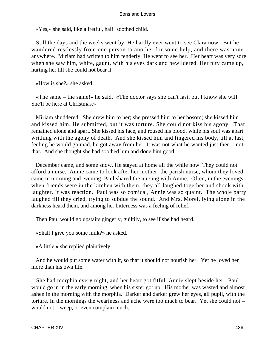«Yes,» she said, like a fretful, half−soothed child.

 Still the days and the weeks went by. He hardly ever went to see Clara now. But he wandered restlessly from one person to another for some help, and there was none anywhere. Miriam had written to him tenderly. He went to see her. Her heart was very sore when she saw him, white, gaunt, with his eyes dark and bewildered. Her pity came up, hurting her till she could not bear it.

«How is she?» she asked.

 «The same – the same!» he said. «The doctor says she can't last, but I know she will. She'll be here at Christmas.»

 Miriam shuddered. She drew him to her; she pressed him to her bosom; she kissed him and kissed him. He submitted, but it was torture. She could not kiss his agony. That remained alone and apart. She kissed his face, and roused his blood, while his soul was apart writhing with the agony of death. And she kissed him and fingered his body, till at last, feeling he would go mad, he got away from her. It was not what he wanted just then – not that. And she thought she had soothed him and done him good.

 December came, and some snow. He stayed at home all the while now. They could not afford a nurse. Annie came to look after her mother; the parish nurse, whom they loved, came in morning and evening. Paul shared the nursing with Annie. Often, in the evenings, when friends were in the kitchen with them, they all laughed together and shook with laughter. It was reaction. Paul was so comical, Annie was so quaint. The whole party laughed till they cried, trying to subdue the sound. And Mrs. Morel, lying alone in the darkness heard them, and among her bitterness was a feeling of relief.

Then Paul would go upstairs gingerly, guiltily, to see if she had heard.

«Shall I give you some milk?» he asked.

«A little,» she replied plaintively.

 And he would put some water with it, so that it should not nourish her. Yet he loved her more than his own life.

 She had morphia every night, and her heart got fitful. Annie slept beside her. Paul would go in in the early morning, when his sister got up. His mother was wasted and almost ashen in the morning with the morphia. Darker and darker grew her eyes, all pupil, with the torture. In the mornings the weariness and ache were too much to bear. Yet she could not – would not – weep, or even complain much.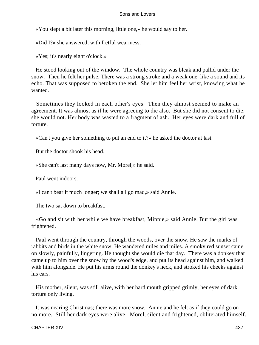«You slept a bit later this morning, little one,» he would say to her.

«Did I?» she answered, with fretful weariness.

«Yes; it's nearly eight o'clock.»

 He stood looking out of the window. The whole country was bleak and pallid under the snow. Then he felt her pulse. There was a strong stroke and a weak one, like a sound and its echo. That was supposed to betoken the end. She let him feel her wrist, knowing what he wanted.

 Sometimes they looked in each other's eyes. Then they almost seemed to make an agreement. It was almost as if he were agreeing to die also. But she did not consent to die; she would not. Her body was wasted to a fragment of ash. Her eyes were dark and full of torture.

«Can't you give her something to put an end to it?» he asked the doctor at last.

But the doctor shook his head.

«She can't last many days now, Mr. Morel,» he said.

Paul went indoors.

«I can't bear it much longer; we shall all go mad,» said Annie.

The two sat down to breakfast.

 «Go and sit with her while we have breakfast, Minnie,» said Annie. But the girl was frightened.

 Paul went through the country, through the woods, over the snow. He saw the marks of rabbits and birds in the white snow. He wandered miles and miles. A smoky red sunset came on slowly, painfully, lingering. He thought she would die that day. There was a donkey that came up to him over the snow by the wood's edge, and put its head against him, and walked with him alongside. He put his arms round the donkey's neck, and stroked his cheeks against his ears.

 His mother, silent, was still alive, with her hard mouth gripped grimly, her eyes of dark torture only living.

 It was nearing Christmas; there was more snow. Annie and he felt as if they could go on no more. Still her dark eyes were alive. Morel, silent and frightened, obliterated himself.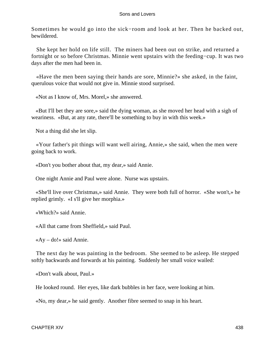Sometimes he would go into the sick−room and look at her. Then he backed out, bewildered.

 She kept her hold on life still. The miners had been out on strike, and returned a fortnight or so before Christmas. Minnie went upstairs with the feeding−cup. It was two days after the men had been in.

 «Have the men been saying their hands are sore, Minnie?» she asked, in the faint, querulous voice that would not give in. Minnie stood surprised.

«Not as I know of, Mrs. Morel,» she answered.

 «But I'll bet they are sore,» said the dying woman, as she moved her head with a sigh of weariness. «But, at any rate, there'll be something to buy in with this week.»

Not a thing did she let slip.

 «Your father's pit things will want well airing, Annie,» she said, when the men were going back to work.

«Don't you bother about that, my dear,» said Annie.

One night Annie and Paul were alone. Nurse was upstairs.

 «She'll live over Christmas,» said Annie. They were both full of horror. «She won't,» he replied grimly. «I s'll give her morphia.»

«Which?» said Annie.

«All that came from Sheffield,» said Paul.

«Ay – do!» said Annie.

 The next day he was painting in the bedroom. She seemed to be asleep. He stepped softly backwards and forwards at his painting. Suddenly her small voice wailed:

«Don't walk about, Paul.»

He looked round. Her eyes, like dark bubbles in her face, were looking at him.

«No, my dear,» he said gently. Another fibre seemed to snap in his heart.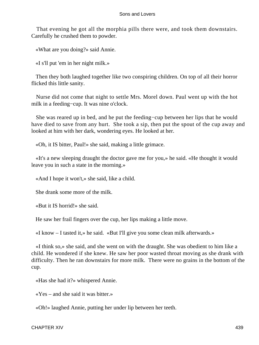That evening he got all the morphia pills there were, and took them downstairs. Carefully he crushed them to powder.

«What are you doing?» said Annie.

«I s'll put 'em in her night milk.»

 Then they both laughed together like two conspiring children. On top of all their horror flicked this little sanity.

 Nurse did not come that night to settle Mrs. Morel down. Paul went up with the hot milk in a feeding−cup. It was nine o'clock.

 She was reared up in bed, and he put the feeding−cup between her lips that he would have died to save from any hurt. She took a sip, then put the spout of the cup away and looked at him with her dark, wondering eyes. He looked at her.

«Oh, it IS bitter, Paul!» she said, making a little grimace.

 «It's a new sleeping draught the doctor gave me for you,» he said. «He thought it would leave you in such a state in the morning.»

«And I hope it won't,» she said, like a child.

She drank some more of the milk.

«But it IS horrid!» she said.

He saw her frail fingers over the cup, her lips making a little move.

«I know – I tasted it,» he said. «But I'll give you some clean milk afterwards.»

 «I think so,» she said, and she went on with the draught. She was obedient to him like a child. He wondered if she knew. He saw her poor wasted throat moving as she drank with difficulty. Then he ran downstairs for more milk. There were no grains in the bottom of the cup.

«Has she had it?» whispered Annie.

«Yes – and she said it was bitter.»

«Oh!» laughed Annie, putting her under lip between her teeth.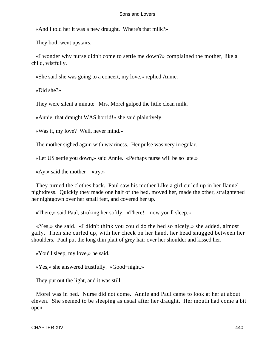«And I told her it was a new draught. Where's that milk?»

They both went upstairs.

 «I wonder why nurse didn't come to settle me down?» complained the mother, like a child, wistfully.

«She said she was going to a concert, my love,» replied Annie.

«Did she?»

They were silent a minute. Mrs. Morel gulped the little clean milk.

«Annie, that draught WAS horrid!» she said plaintively.

«Was it, my love? Well, never mind.»

The mother sighed again with weariness. Her pulse was very irregular.

«Let US settle you down,» said Annie. «Perhaps nurse will be so late.»

«Ay,» said the mother – «try.»

 They turned the clothes back. Paul saw his mother LIke a girl curled up in her flannel nightdress. Quickly they made one half of the bed, moved her, made the other, straightened her nightgown over her small feet, and covered her up.

«There,» said Paul, stroking her softly. «There! – now you'll sleep.»

 «Yes,» she said. «I didn't think you could do the bed so nicely,» she added, almost gaily. Then she curled up, with her cheek on her hand, her head snugged between her shoulders. Paul put the long thin plait of grey hair over her shoulder and kissed her.

«You'll sleep, my love,» he said.

«Yes,» she answered trustfully. «Good−night.»

They put out the light, and it was still.

 Morel was in bed. Nurse did not come. Annie and Paul came to look at her at about eleven. She seemed to be sleeping as usual after her draught. Her mouth had come a bit open.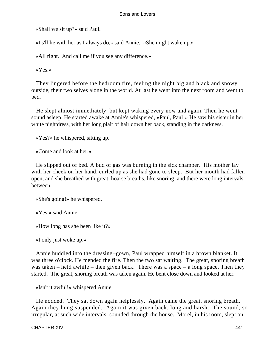«Shall we sit up?» said Paul.

«I s'll lie with her as I always do,» said Annie. «She might wake up.»

«All right. And call me if you see any difference.»

«Yes.»

 They lingered before the bedroom fire, feeling the night big and black and snowy outside, their two selves alone in the world. At last he went into the next room and went to bed.

 He slept almost immediately, but kept waking every now and again. Then he went sound asleep. He started awake at Annie's whispered, «Paul, Paul!» He saw his sister in her white nightdress, with her long plait of hair down her back, standing in the darkness.

«Yes?» he whispered, sitting up.

«Come and look at her.»

 He slipped out of bed. A bud of gas was burning in the sick chamber. His mother lay with her cheek on her hand, curled up as she had gone to sleep. But her mouth had fallen open, and she breathed with great, hoarse breaths, like snoring, and there were long intervals between.

«She's going!» he whispered.

«Yes,» said Annie.

«How long has she been like it?»

«I only just woke up.»

 Annie huddled into the dressing−gown, Paul wrapped himself in a brown blanket. It was three o'clock. He mended the fire. Then the two sat waiting. The great, snoring breath was taken – held awhile – then given back. There was a space – a long space. Then they started. The great, snoring breath was taken again. He bent close down and looked at her.

«Isn't it awful!» whispered Annie.

 He nodded. They sat down again helplessly. Again came the great, snoring breath. Again they hung suspended. Again it was given back, long and harsh. The sound, so irregular, at such wide intervals, sounded through the house. Morel, in his room, slept on.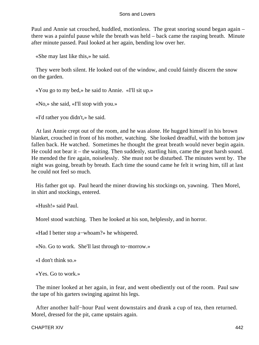Paul and Annie sat crouched, huddled, motionless. The great snoring sound began again – there was a painful pause while the breath was held – back came the rasping breath. Minute after minute passed. Paul looked at her again, bending low over her.

«She may last like this,» he said.

 They were both silent. He looked out of the window, and could faintly discern the snow on the garden.

«You go to my bed,» he said to Annie. «I'll sit up.»

«No,» she said, «I'll stop with you.»

«I'd rather you didn't,» he said.

 At last Annie crept out of the room, and he was alone. He hugged himself in his brown blanket, crouched in front of his mother, watching. She looked dreadful, with the bottom jaw fallen back. He watched. Sometimes he thought the great breath would never begin again. He could not bear it – the waiting. Then suddenly, startling him, came the great harsh sound. He mended the fire again, noiselessly. She must not be disturbed. The minutes went by. The night was going, breath by breath. Each time the sound came he felt it wring him, till at last he could not feel so much.

 His father got up. Paul heard the miner drawing his stockings on, yawning. Then Morel, in shirt and stockings, entered.

«Hush!» said Paul.

Morel stood watching. Then he looked at his son, helplessly, and in horror.

«Had I better stop a−whoam?» he whispered.

«No. Go to work. She'll last through to−morrow.»

«I don't think so.»

«Yes. Go to work.»

 The miner looked at her again, in fear, and went obediently out of the room. Paul saw the tape of his garters swinging against his legs.

 After another half−hour Paul went downstairs and drank a cup of tea, then returned. Morel, dressed for the pit, came upstairs again.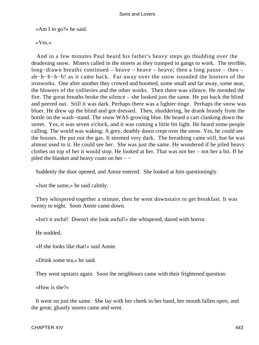«Am I to go?» he said.

«Yes.»

 And in a few minutes Paul heard his father's heavy steps go thudding over the deadening snow. Miners called in the streets as they tramped in gangs to work. The terrible, long−drawn breaths continued – heave – heave – heave; then a long pause – then – ah−h−h−h−h! as it came back. Far away over the snow sounded the hooters of the ironworks. One after another they crowed and boomed, some small and far away, some near, the blowers of the collieries and the other works. Then there was silence. He mended the fire. The great breaths broke the silence – she looked just the same. He put back the blind and peered out. Still it was dark. Perhaps there was a lighter tinge. Perhaps the snow was bluer. He drew up the blind and got dressed. Then, shuddering, he drank brandy from the bottle on the wash−stand. The snow WAS growing blue. He heard a cart clanking down the street. Yes, it was seven o'clock, and it was coming a little bit light. He heard some people calling. The world was waking. A grey, deathly dawn crept over the snow. Yes, he could see the houses. He put out the gas. It seemed very dark. The breathing came still, but he was almost used to it. He could see her. She was just the same. He wondered if he piled heavy clothes on top of her it would stop. He looked at her. That was not her – not her a bit. If he piled the blanket and heavy coats on her – −

Suddenly the door opened, and Annie entered. She looked at him questioningly.

«Just the same,» he said calmly.

 They whispered together a minute, then he went downstairs to get breakfast. It was twenty to eight. Soon Annie came down.

«Isn't it awful! Doesn't she look awful!» she whispered, dazed with horror.

He nodded.

«If she looks like that!» said Annie.

«Drink some tea,» he said.

They went upstairs again. Soon the neighbours came with their frightened question:

«How is she?»

 It went on just the same. She lay with her cheek in her hand, her mouth fallen open, and the great, ghastly snores came and went.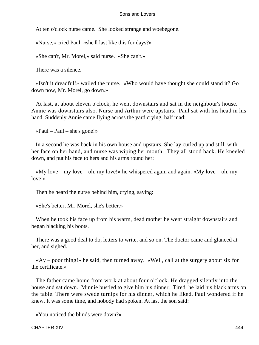At ten o'clock nurse came. She looked strange and woebegone.

«Nurse,» cried Paul, «she'll last like this for days?»

«She can't, Mr. Morel,» said nurse. «She can't.»

There was a silence.

 «Isn't it dreadful!» wailed the nurse. «Who would have thought she could stand it? Go down now, Mr. Morel, go down.»

 At last, at about eleven o'clock, he went downstairs and sat in the neighbour's house. Annie was downstairs also. Nurse and Arthur were upstairs. Paul sat with his head in his hand. Suddenly Annie came flying across the yard crying, half mad:

«Paul – Paul – she's gone!»

 In a second he was back in his own house and upstairs. She lay curled up and still, with her face on her hand, and nurse was wiping her mouth. They all stood back. He kneeled down, and put his face to hers and his arms round her:

«My love – my love – oh, my love!» he whispered again and again. «My love – oh, my love!»

Then he heard the nurse behind him, crying, saying:

«She's better, Mr. Morel, she's better.»

 When he took his face up from his warm, dead mother he went straight downstairs and began blacking his boots.

 There was a good deal to do, letters to write, and so on. The doctor came and glanced at her, and sighed.

 «Ay – poor thing!» he said, then turned away. «Well, call at the surgery about six for the certificate.»

 The father came home from work at about four o'clock. He dragged silently into the house and sat down. Minnie bustled to give him his dinner. Tired, he laid his black arms on the table. There were swede turnips for his dinner, which he liked. Paul wondered if he knew. It was some time, and nobody had spoken. At last the son said:

«You noticed the blinds were down?»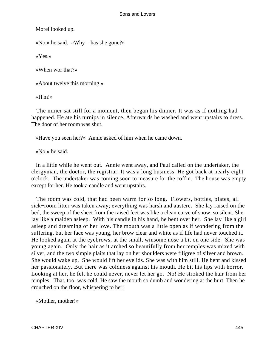Morel looked up.

«No,» he said. «Why – has she gone?»

«Yes.»

«When wor that?»

«About twelve this morning.»

«H'm!»

 The miner sat still for a moment, then began his dinner. It was as if nothing had happened. He ate his turnips in silence. Afterwards he washed and went upstairs to dress. The door of her room was shut.

«Have you seen her?» Annie asked of him when he came down.

«No,» he said.

 In a little while he went out. Annie went away, and Paul called on the undertaker, the clergyman, the doctor, the registrar. It was a long business. He got back at nearly eight o'clock. The undertaker was coming soon to measure for the coffin. The house was empty except for her. He took a candle and went upstairs.

 The room was cold, that had been warm for so long. Flowers, bottles, plates, all sick−room litter was taken away; everything was harsh and austere. She lay raised on the bed, the sweep of the sheet from the raised feet was like a clean curve of snow, so silent. She lay like a maiden asleep. With his candle in his hand, he bent over her. She lay like a girl asleep and dreaming of her love. The mouth was a little open as if wondering from the suffering, but her face was young, her brow clear and white as if life had never touched it. He looked again at the eyebrows, at the small, winsome nose a bit on one side. She was young again. Only the hair as it arched so beautifully from her temples was mixed with silver, and the two simple plaits that lay on her shoulders were filigree of silver and brown. She would wake up. She would lift her eyelids. She was with him still. He bent and kissed her passionately. But there was coldness against his mouth. He bit his lips with horror. Looking at her, he felt he could never, never let her go. No! He stroked the hair from her temples. That, too, was cold. He saw the mouth so dumb and wondering at the hurt. Then he crouched on the floor, whispering to her:

«Mother, mother!»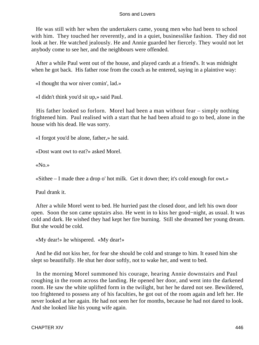He was still with her when the undertakers came, young men who had been to school with him. They touched her reverently, and in a quiet, businesslike fashion. They did not look at her. He watched jealously. He and Annie guarded her fiercely. They would not let anybody come to see her, and the neighbours were offended.

 After a while Paul went out of the house, and played cards at a friend's. It was midnight when he got back. His father rose from the couch as he entered, saying in a plaintive way:

«I thought tha wor niver comin', lad.»

«I didn't think you'd sit up,» said Paul.

 His father looked so forlorn. Morel had been a man without fear – simply nothing frightened him. Paul realised with a start that he had been afraid to go to bed, alone in the house with his dead. He was sorry.

«I forgot you'd be alone, father,» he said.

«Dost want owt to eat?» asked Morel.

«No.»

«Sithee – I made thee a drop o' hot milk. Get it down thee; it's cold enough for owt.»

Paul drank it.

 After a while Morel went to bed. He hurried past the closed door, and left his own door open. Soon the son came upstairs also. He went in to kiss her good−night, as usual. It was cold and dark. He wished they had kept her fire burning. Still she dreamed her young dream. But she would be cold.

«My dear!» he whispered. «My dear!»

 And he did not kiss her, for fear she should be cold and strange to him. It eased him she slept so beautifully. He shut her door softly, not to wake her, and went to bed.

 In the morning Morel summoned his courage, hearing Annie downstairs and Paul coughing in the room across the landing. He opened her door, and went into the darkened room. He saw the white uplifted form in the twilight, but her he dared not see. Bewildered, too frightened to possess any of his faculties, he got out of the room again and left her. He never looked at her again. He had not seen her for months, because he had not dared to look. And she looked like his young wife again.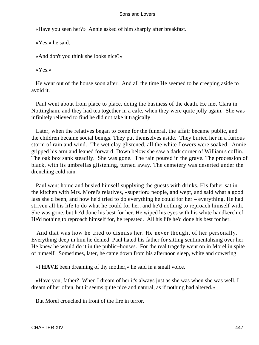«Have you seen her?» Annie asked of him sharply after breakfast.

«Yes,» he said.

«And don't you think she looks nice?»

«Yes.»

 He went out of the house soon after. And all the time He seemed to be creeping aside to avoid it.

 Paul went about from place to place, doing the business of the death. He met Clara in Nottingham, and they had tea together in a cafe, when they were quite jolly again. She was infinitely relieved to find he did not take it tragically.

 Later, when the relatives began to come for the funeral, the affair became public, and the children became social beings. They put themselves aside. They buried her in a furious storm of rain and wind. The wet clay glistened, all the white flowers were soaked. Annie gripped his arm and leaned forward. Down below she saw a dark corner of William's coffin. The oak box sank steadily. She was gone. The rain poured in the grave. The procession of black, with its umbrellas glistening, turned away. The cemetery was deserted under the drenching cold rain.

 Paul went home and busied himself supplying the guests with drinks. His father sat in the kitchen with Mrs. Morel's relatives, «superior» people, and wept, and said what a good lass she'd been, and how he'd tried to do everything he could for her – everything. He had striven all his life to do what he could for her, and he'd nothing to reproach himself with. She was gone, but he'd done his best for her. He wiped his eyes with his white handkerchief. He'd nothing to reproach himself for, he repeated. All his life he'd done his best for her.

 And that was how he tried to dismiss her. He never thought of her personally. Everything deep in him he denied. Paul hated his father for sitting sentimentalising over her. He knew he would do it in the public−houses. For the real tragedy went on in Morel in spite of himself. Sometimes, later, he came down from his afternoon sleep, white and cowering.

«I **HAVE** been dreaming of thy mother,» he said in a small voice.

 «Have you, father? When I dream of her it's always just as she was when she was well. I dream of her often, but it seems quite nice and natural, as if nothing had altered.»

But Morel crouched in front of the fire in terror.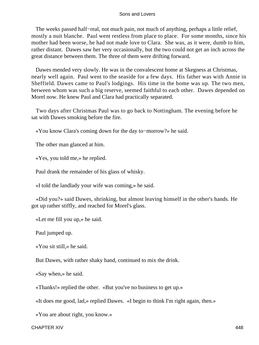The weeks passed half–real, not much pain, not much of anything, perhaps a little relief, mostly a nuit blanche. Paul went restless from place to place. For some months, since his mother had been worse, he had not made love to Clara. She was, as it were, dumb to him, rather distant. Dawes saw her very occasionally, but the two could not get an inch across the great distance between them. The three of them were drifting forward.

 Dawes mended very slowly. He was in the convalescent home at Skegness at Christmas, nearly well again. Paul went to the seaside for a few days. His father was with Annie in Sheffield. Dawes came to Paul's lodgings. His time in the home was up. The two men, between whom was such a big reserve, seemed faithful to each other. Dawes depended on Morel now. He knew Paul and Clara had practically separated.

 Two days after Christmas Paul was to go back to Nottingham. The evening before he sat with Dawes smoking before the fire.

«You know Clara's coming down for the day to−morrow?» he said.

The other man glanced at him.

«Yes, you told me,» he replied.

Paul drank the remainder of his glass of whisky.

«I told the landlady your wife was coming,» he said.

 «Did you?» said Dawes, shrinking, but almost leaving himself in the other's hands. He got up rather stiffly, and reached for Morel's glass.

«Let me fill you up,» he said.

Paul jumped up.

«You sit still,» he said.

But Dawes, with rather shaky hand, continued to mix the drink.

«Say when,» he said.

«Thanks!» replied the other. «But you've no business to get up.»

«It does me good, lad,» replied Dawes. «I begin to think I'm right again, then.»

«You are about right, you know.»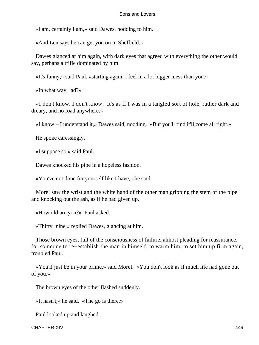«I am, certainly I am,» said Dawes, nodding to him.

«And Len says he can get you on in Sheffield.»

 Dawes glanced at him again, with dark eyes that agreed with everything the other would say, perhaps a trifle dominated by him.

«It's funny,» said Paul, «starting again. I feel in a lot bigger mess than you.»

«In what way, lad?»

 «I don't know. I don't know. It's as if I was in a tangled sort of hole, rather dark and dreary, and no road anywhere.»

«I know – I understand it,» Dawes said, nodding. «But you'll find it'll come all right.»

He spoke caressingly.

«I suppose so,» said Paul.

Dawes knocked his pipe in a hopeless fashion.

«You've not done for yourself like I have,» he said.

 Morel saw the wrist and the white hand of the other man gripping the stem of the pipe and knocking out the ash, as if he had given up.

«How old are you?» Paul asked.

«Thirty−nine,» replied Dawes, glancing at him.

 Those brown eyes, full of the consciousness of failure, almost pleading for reassurance, for someone to re−establish the man in himself, to warm him, to set him up firm again, troubled Paul.

 «You'll just be in your prime,» said Morel. «You don't look as if much life had gone out of you.»

The brown eyes of the other flashed suddenly.

«It hasn't,» he said. «The go is there.»

Paul looked up and laughed.

CHAPTER XIV 449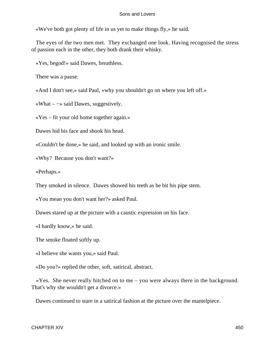«We've both got plenty of life in us yet to make things fly,» he said.

 The eyes of the two men met. They exchanged one look. Having recognised the stress of passion each in the other, they both drank their whisky.

«Yes, begod!» said Dawes, breathless.

There was a pause.

«And I don't see,» said Paul, «why you shouldn't go on where you left off.»

«What – −» said Dawes, suggestively.

«Yes – fit your old home together again.»

Dawes hid his face and shook his head.

«Couldn't be done,» he said, and looked up with an ironic smile.

«Why? Because you don't want?»

«Perhaps.»

They smoked in silence. Dawes showed his teeth as he bit his pipe stem.

«You mean you don't want her?» asked Paul.

Dawes stared up at the picture with a caustic expression on his face.

«I hardly know,» he said.

The smoke floated softly up.

«I believe she wants you,» said Paul.

«Do you?» replied the other, soft, satirical, abstract.

 «Yes. She never really hitched on to me – you were always there in the background. That's why she wouldn't get a divorce.»

Dawes continued to stare in a satirical fashion at the picture over the mantelpiece.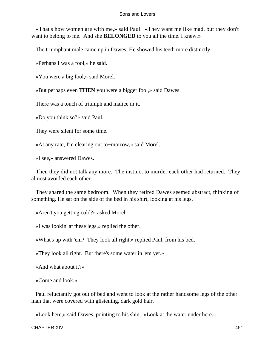«That's how women are with me,» said Paul. «They want me like mad, but they don't want to belong to me. And she **BELONGED** to you all the time. I knew.»

The triumphant male came up in Dawes. He showed his teeth more distinctly.

«Perhaps I was a fool,» he said.

«You were a big fool,» said Morel.

«But perhaps even **THEN** you were a bigger fool,» said Dawes.

There was a touch of triumph and malice in it.

«Do you think so?» said Paul.

They were silent for some time.

«At any rate, I'm clearing out to−morrow,» said Morel.

«I see,» answered Dawes.

 Then they did not talk any more. The instinct to murder each other had returned. They almost avoided each other.

 They shared the same bedroom. When they retired Dawes seemed abstract, thinking of something. He sat on the side of the bed in his shirt, looking at his legs.

«Aren't you getting cold?» asked Morel.

«I was lookin' at these legs,» replied the other.

«What's up with 'em? They look all right,» replied Paul, from his bed.

«They look all right. But there's some water in 'em yet.»

«And what about it?»

«Come and look.»

 Paul reluctantly got out of bed and went to look at the rather handsome legs of the other man that were covered with glistening, dark gold hair.

«Look here,» said Dawes, pointing to his shin. «Look at the water under here.»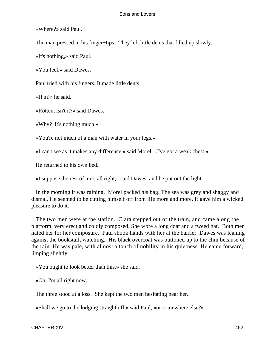«Where?» said Paul.

The man pressed in his finger–tips. They left little dents that filled up slowly.

«It's nothing,» said Paul.

«You feel,» said Dawes.

Paul tried with his fingers. It made little dents.

«H'm!» he said.

«Rotten, isn't it?» said Dawes.

«Why? It's nothing much.»

«You're not much of a man with water in your legs.»

«I can't see as it makes any difference,» said Morel. «I've got a weak chest.»

He returned to his own bed.

«I suppose the rest of me's all right,» said Dawes, and he put out the light.

 In the morning it was raining. Morel packed his bag. The sea was grey and shaggy and dismal. He seemed to be cutting himself off from life more and more. It gave him a wicked pleasure to do it.

 The two men were at the station. Clara stepped out of the train, and came along the platform, very erect and coldly composed. She wore a long coat and a tweed hat. Both men hated her for her composure. Paul shook hands with her at the barrier. Dawes was leaning against the bookstall, watching. His black overcoat was buttoned up to the chin because of the rain. He was pale, with almost a touch of nobility in his quietness. He came forward, limping slightly.

«You ought to look better than this,» she said.

«Oh, I'm all right now.»

The three stood at a loss. She kept the two men hesitating near her.

«Shall we go to the lodging straight off,» said Paul, «or somewhere else?»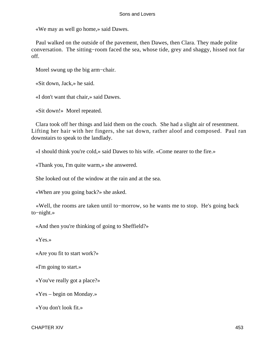«We may as well go home,» said Dawes.

 Paul walked on the outside of the pavement, then Dawes, then Clara. They made polite conversation. The sitting−room faced the sea, whose tide, grey and shaggy, hissed not far off.

Morel swung up the big arm−chair.

«Sit down, Jack,» he said.

«I don't want that chair,» said Dawes.

«Sit down!» Morel repeated.

 Clara took off her things and laid them on the couch. She had a slight air of resentment. Lifting her hair with her fingers, she sat down, rather aloof and composed. Paul ran downstairs to speak to the landlady.

«I should think you're cold,» said Dawes to his wife. «Come nearer to the fire.»

«Thank you, I'm quite warm,» she answered.

She looked out of the window at the rain and at the sea.

«When are you going back?» she asked.

 «Well, the rooms are taken until to−morrow, so he wants me to stop. He's going back to−night.»

«And then you're thinking of going to Sheffield?»

«Yes.»

«Are you fit to start work?»

«I'm going to start.»

«You've really got a place?»

«Yes – begin on Monday.»

«You don't look fit.»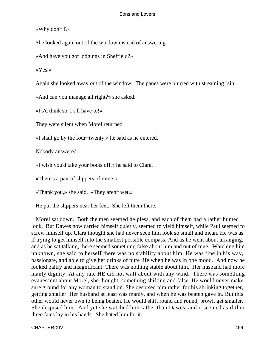«Why don't I?»

She looked again out of the window instead of answering.

«And have you got lodgings in Sheffield?»

«Yes.»

Again she looked away out of the window. The panes were blurred with streaming rain.

«And can you manage all right?» she asked.

«I s'd think so. I s'll have to!»

They were silent when Morel returned.

«I shall go by the four−twenty,» he said as he entered.

Nobody answered.

«I wish you'd take your boots off,» he said to Clara.

«There's a pair of slippers of mine.»

«Thank you,» she said. «They aren't wet.»

He put the slippers near her feet. She left them there.

 Morel sat down. Both the men seemed helpless, and each of them had a rather hunted look. But Dawes now carried himself quietly, seemed to yield himself, while Paul seemed to screw himself up. Clara thought she had never seen him look so small and mean. He was as if trying to get himself into the smallest possible compass. And as he went about arranging, and as he sat talking, there seemed something false about him and out of tune. Watching him unknown, she said to herself there was no stability about him. He was fine in his way, passionate, and able to give her drinks of pure life when he was in one mood. And now he looked paltry and insignificant. There was nothing stable about him. Her husband had more manly dignity. At any rate HE did not waft about with any wind. There was something evanescent about Morel, she thought, something shifting and false. He would never make sure ground for any woman to stand on. She despised him rather for his shrinking together, getting smaller. Her husband at least was manly, and when he was beaten gave in. But this other would never own to being beaten. He would shift round and round, prowl, get smaller. She despised him. And yet she watched him rather than Dawes, and it seemed as if their three fates lay in his hands. She hated him for it.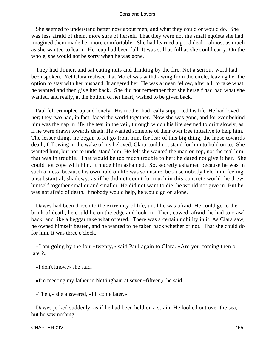She seemed to understand better now about men, and what they could or would do. She was less afraid of them, more sure of herself. That they were not the small egoists she had imagined them made her more comfortable. She had learned a good deal – almost as much as she wanted to learn. Her cup had been full. It was still as full as she could carry. On the whole, she would not be sorry when he was gone.

 They had dinner, and sat eating nuts and drinking by the fire. Not a serious word had been spoken. Yet Clara realised that Morel was withdrawing from the circle, leaving her the option to stay with her husband. It angered her. He was a mean fellow, after all, to take what he wanted and then give her back. She did not remember that she herself had had what she wanted, and really, at the bottom of her heart, wished to be given back.

 Paul felt crumpled up and lonely. His mother had really supported his life. He had loved her; they two had, in fact, faced the world together. Now she was gone, and for ever behind him was the gap in life, the tear in the veil, through which his life seemed to drift slowly, as if he were drawn towards death. He wanted someone of their own free initiative to help him. The lesser things he began to let go from him, for fear of this big thing, the lapse towards death, following in the wake of his beloved. Clara could not stand for him to hold on to. She wanted him, but not to understand him. He felt she wanted the man on top, not the real him that was in trouble. That would be too much trouble to her; he dared not give it her. She could not cope with him. It made him ashamed. So, secretly ashamed because he was in such a mess, because his own hold on life was so unsure, because nobody held him, feeling unsubstantial, shadowy, as if he did not count for much in this concrete world, he drew himself together smaller and smaller. He did not want to die; he would not give in. But he was not afraid of death. If nobody would help, he would go on alone.

 Dawes had been driven to the extremity of life, until he was afraid. He could go to the brink of death, he could lie on the edge and look in. Then, cowed, afraid, he had to crawl back, and like a beggar take what offered. There was a certain nobility in it. As Clara saw, he owned himself beaten, and he wanted to be taken back whether or not. That she could do for him. It was three o'clock.

 «I am going by the four−twenty,» said Paul again to Clara. «Are you coming then or later?»

«I don't know,» she said.

«I'm meeting my father in Nottingham at seven−fifteen,» he said.

«Then,» she answered, «I'll come later.»

 Dawes jerked suddenly, as if he had been held on a strain. He looked out over the sea, but he saw nothing.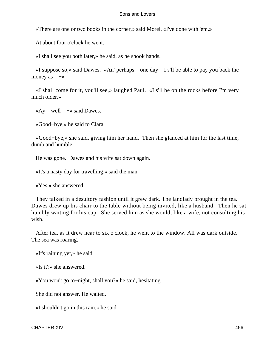«There are one or two books in the corner,» said Morel. «I've done with 'em.»

At about four o'clock he went.

«I shall see you both later,» he said, as he shook hands.

«I suppose so,» said Dawes. «An' perhaps – one day  $-$  I s'll be able to pay you back the money as  $-\rightarrow$ 

 «I shall come for it, you'll see,» laughed Paul. «I s'll be on the rocks before I'm very much older.»

 $\kappa$ Ay – well – –» said Dawes.

«Good−bye,» he said to Clara.

 «Good−bye,» she said, giving him her hand. Then she glanced at him for the last time, dumb and humble.

He was gone. Dawes and his wife sat down again.

«It's a nasty day for travelling,» said the man.

«Yes,» she answered.

 They talked in a desultory fashion until it grew dark. The landlady brought in the tea. Dawes drew up his chair to the table without being invited, like a husband. Then he sat humbly waiting for his cup. She served him as she would, like a wife, not consulting his wish.

 After tea, as it drew near to six o'clock, he went to the window. All was dark outside. The sea was roaring.

«It's raining yet,» he said.

«Is it?» she answered.

«You won't go to−night, shall you?» he said, hesitating.

She did not answer. He waited.

«I shouldn't go in this rain,» he said.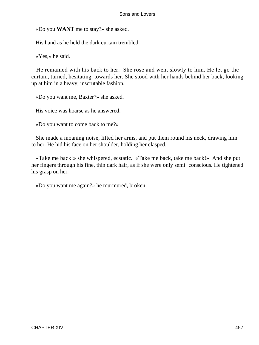«Do you **WANT** me to stay?» she asked.

His hand as he held the dark curtain trembled.

«Yes,» he said.

 He remained with his back to her. She rose and went slowly to him. He let go the curtain, turned, hesitating, towards her. She stood with her hands behind her back, looking up at him in a heavy, inscrutable fashion.

«Do you want me, Baxter?» she asked.

His voice was hoarse as he answered:

«Do you want to come back to me?»

 She made a moaning noise, lifted her arms, and put them round his neck, drawing him to her. He hid his face on her shoulder, holding her clasped.

 «Take me back!» she whispered, ecstatic. «Take me back, take me back!» And she put her fingers through his fine, thin dark hair, as if she were only semi−conscious. He tightened his grasp on her.

«Do you want me again?» he murmured, broken.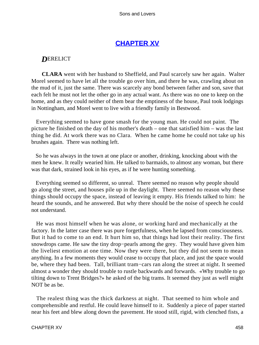# **[CHAPTER XV](#page-470-0)**

# *D*ERELICT

**CLARA** went with her husband to Sheffield, and Paul scarcely saw her again. Walter Morel seemed to have let all the trouble go over him, and there he was, crawling about on the mud of it, just the same. There was scarcely any bond between father and son, save that each felt he must not let the other go in any actual want. As there was no one to keep on the home, and as they could neither of them bear the emptiness of the house, Paul took lodgings in Nottingham, and Morel went to live with a friendly family in Bestwood.

 Everything seemed to have gone smash for the young man. He could not paint. The picture he finished on the day of his mother's death – one that satisfied him – was the last thing he did. At work there was no Clara. When he came home he could not take up his brushes again. There was nothing left.

 So he was always in the town at one place or another, drinking, knocking about with the men he knew. It really wearied him. He talked to barmaids, to almost any woman, but there was that dark, strained look in his eyes, as if he were hunting something.

 Everything seemed so different, so unreal. There seemed no reason why people should go along the street, and houses pile up in the daylight. There seemed no reason why these things should occupy the space, instead of leaving it empty. His friends talked to him: he heard the sounds, and he answered. But why there should be the noise of speech he could not understand.

 He was most himself when he was alone, or working hard and mechanically at the factory. In the latter case there was pure forgetfulness, when he lapsed from consciousness. But it had to come to an end. It hurt him so, that things had lost their reality. The first snowdrops came. He saw the tiny drop−pearls among the grey. They would have given him the liveliest emotion at one time. Now they were there, but they did not seem to mean anything. In a few moments they would cease to occupy that place, and just the space would be, where they had been. Tall, brilliant tram−cars ran along the street at night. It seemed almost a wonder they should trouble to rustle backwards and forwards. «Why trouble to go tilting down to Trent Bridges?» he asked of the big trams. It seemed they just as well might NOT be as be.

 The realest thing was the thick darkness at night. That seemed to him whole and comprehensible and restful. He could leave himself to it. Suddenly a piece of paper started near his feet and blew along down the pavement. He stood still, rigid, with clenched fists, a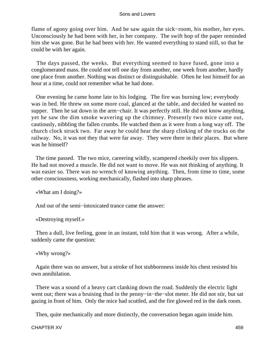flame of agony going over him. And he saw again the sick−room, his mother, her eyes. Unconsciously he had been with her, in her company. The swift hop of the paper reminded him she was gone. But he had been with her. He wanted everything to stand still, so that he could be with her again.

 The days passed, the weeks. But everything seemed to have fused, gone into a conglomerated mass. He could not tell one day from another, one week from another, hardly one place from another. Nothing was distinct or distinguishable. Often he lost himself for an hour at a time, could not remember what he had done.

 One evening he came home late to his lodging. The fire was burning low; everybody was in bed. He threw on some more coal, glanced at the table, and decided he wanted no supper. Then he sat down in the arm−chair. It was perfectly still. He did not know anything, yet he saw the dim smoke wavering up the chimney. Presently two mice came out, cautiously, nibbling the fallen crumbs. He watched them as it were from a long way off. The church clock struck two. Far away he could hear the sharp clinking of the trucks on the railway. No, it was not they that were far away. They were there in their places. But where was he himself?

 The time passed. The two mice, careering wildly, scampered cheekily over his slippers. He had not moved a muscle. He did not want to move. He was not thinking of anything. It was easier so. There was no wrench of knowing anything. Then, from time to time, some other consciousness, working mechanically, flashed into sharp phrases.

«What am I doing?»

And out of the semi−intoxicated trance came the answer:

«Destroying myself.»

 Then a dull, live feeling, gone in an instant, told him that it was wrong. After a while, suddenly came the question:

«Why wrong?»

 Again there was no answer, but a stroke of hot stubbornness inside his chest resisted his own annihilation.

 There was a sound of a heavy cart clanking down the road. Suddenly the electric light went out; there was a bruising thud in the penny−in−the−slot meter. He did not stir, but sat gazing in front of him. Only the mice had scuttled, and the fire glowed red in the dark room.

Then, quite mechanically and more distinctly, the conversation began again inside him.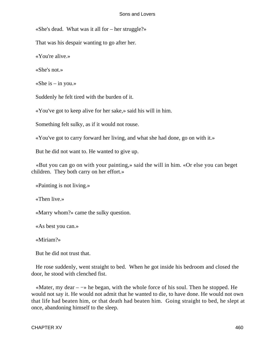«She's dead. What was it all for – her struggle?»

That was his despair wanting to go after her.

«You're alive.»

«She's not.»

«She is  $-$  in you.»

Suddenly he felt tired with the burden of it.

«You've got to keep alive for her sake,» said his will in him.

Something felt sulky, as if it would not rouse.

«You've got to carry forward her living, and what she had done, go on with it.»

But he did not want to. He wanted to give up.

 «But you can go on with your painting,» said the will in him. «Or else you can beget children. They both carry on her effort.»

«Painting is not living.»

«Then live.»

«Marry whom?» came the sulky question.

«As best you can.»

«Miriam?»

But he did not trust that.

 He rose suddenly, went straight to bed. When he got inside his bedroom and closed the door, he stood with clenched fist.

 «Mater, my dear – −» he began, with the whole force of his soul. Then he stopped. He would not say it. He would not admit that he wanted to die, to have done. He would not own that life had beaten him, or that death had beaten him. Going straight to bed, he slept at once, abandoning himself to the sleep.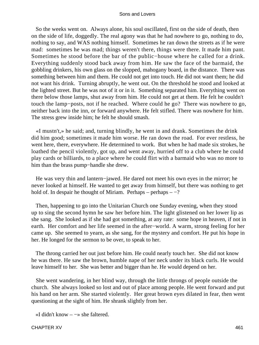So the weeks went on. Always alone, his soul oscillated, first on the side of death, then on the side of life, doggedly. The real agony was that he had nowhere to go, nothing to do, nothing to say, and WAS nothing himself. Sometimes he ran down the streets as if he were mad: sometimes he was mad; things weren't there, things were there. It made him pant. Sometimes he stood before the bar of the public−house where he called for a drink. Everything suddenly stood back away from him. He saw the face of the barmaid, the gobbling drinkers, his own glass on the slopped, mahogany board, in the distance. There was something between him and them. He could not get into touch. He did not want them; he did not want his drink. Turning abruptly, he went out. On the threshold he stood and looked at the lighted street. But he was not of it or in it. Something separated him. Everything went on there below those lamps, shut away from him. He could not get at them. He felt he couldn't touch the lamp−posts, not if he reached. Where could he go? There was nowhere to go, neither back into the inn, or forward anywhere. He felt stifled. There was nowhere for him. The stress grew inside him; he felt he should smash.

 «I mustn't,» he said; and, turning blindly, he went in and drank. Sometimes the drink did him good; sometimes it made him worse. He ran down the road. For ever restless, he went here, there, everywhere. He determined to work. But when he had made six strokes, he loathed the pencil violently, got up, and went away, hurried off to a club where he could play cards or billiards, to a place where he could flirt with a barmaid who was no more to him than the brass pump−handle she drew.

 He was very thin and lantern−jawed. He dared not meet his own eyes in the mirror; he never looked at himself. He wanted to get away from himself, but there was nothing to get hold of. In despair he thought of Miriam. Perhaps – perhaps  $-$  -?

 Then, happening to go into the Unitarian Church one Sunday evening, when they stood up to sing the second hymn he saw her before him. The light glistened on her lower lip as she sang. She looked as if she had got something, at any rate: some hope in heaven, if not in earth. Her comfort and her life seemed in the after−world. A warm, strong feeling for her came up. She seemed to yearn, as she sang, for the mystery and comfort. He put his hope in her. He longed for the sermon to be over, to speak to her.

 The throng carried her out just before him. He could nearly touch her. She did not know he was there. He saw the brown, humble nape of her neck under its black curls. He would leave himself to her. She was better and bigger than he. He would depend on her.

 She went wandering, in her blind way, through the little throngs of people outside the church. She always looked so lost and out of place among people. He went forward and put his hand on her arm. She started violently. Her great brown eyes dilated in fear, then went questioning at the sight of him. He shrank slightly from her.

«I didn't know  $-\rightarrow$  she faltered.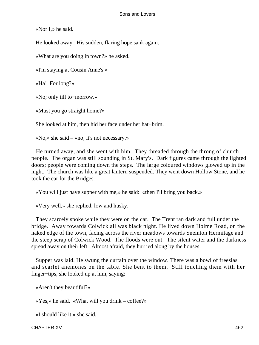«Nor I,» he said.

He looked away. His sudden, flaring hope sank again.

«What are you doing in town?» he asked.

«I'm staying at Cousin Anne's.»

«Ha! For long?»

«No; only till to−morrow.»

«Must you go straight home?»

She looked at him, then hid her face under her hat−brim.

«No,» she said – «no; it's not necessary.»

 He turned away, and she went with him. They threaded through the throng of church people. The organ was still sounding in St. Mary's. Dark figures came through the lighted doors; people were coming down the steps. The large coloured windows glowed up in the night. The church was like a great lantern suspended. They went down Hollow Stone, and he took the car for the Bridges.

«You will just have supper with me,» he said: «then I'll bring you back.»

«Very well,» she replied, low and husky.

 They scarcely spoke while they were on the car. The Trent ran dark and full under the bridge. Away towards Colwick all was black night. He lived down Holme Road, on the naked edge of the town, facing across the river meadows towards Sneinton Hermitage and the steep scrap of Colwick Wood. The floods were out. The silent water and the darkness spread away on their left. Almost afraid, they hurried along by the houses.

 Supper was laid. He swung the curtain over the window. There was a bowl of freesias and scarlet anemones on the table. She bent to them. Still touching them with her finger−tips, she looked up at him, saying:

«Aren't they beautiful?»

«Yes,» he said. «What will you drink – coffee?»

«I should like it,» she said.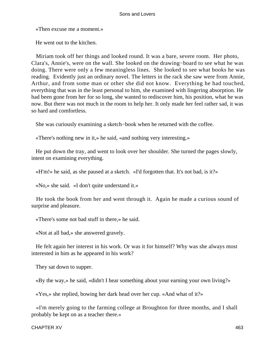«Then excuse me a moment.»

He went out to the kitchen.

 Miriam took off her things and looked round. It was a bare, severe room. Her photo, Clara's, Annie's, were on the wall. She looked on the drawing−board to see what he was doing. There were only a few meaningless lines. She looked to see what books he was reading. Evidently just an ordinary novel. The letters in the rack she saw were from Annie, Arthur, and from some man or other she did not know. Everything he had touched, everything that was in the least personal to him, she examined with lingering absorption. He had been gone from her for so long, she wanted to rediscover him, his position, what he was now. But there was not much in the room to help her. It only made her feel rather sad, it was so hard and comfortless.

She was curiously examining a sketch−book when he returned with the coffee.

«There's nothing new in it,» he said, «and nothing very interesting.»

 He put down the tray, and went to look over her shoulder. She turned the pages slowly, intent on examining everything.

«H'm!» he said, as she paused at a sketch. «I'd forgotten that. It's not bad, is it?»

«No,» she said. «I don't quite understand it.»

 He took the book from her and went through it. Again he made a curious sound of surprise and pleasure.

«There's some not bad stuff in there,» he said.

«Not at all bad,» she answered gravely.

 He felt again her interest in his work. Or was it for himself? Why was she always most interested in him as he appeared in his work?

They sat down to supper.

«By the way,» he said, «didn't I hear something about your earning your own living?»

«Yes,» she replied, bowing her dark head over her cup. «And what of it?»

 «I'm merely going to the farming college at Broughton for three months, and I shall probably be kept on as a teacher there.»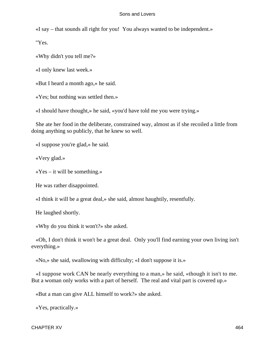«I say – that sounds all right for you! You always wanted to be independent.»

"Yes.

«Why didn't you tell me?»

«I only knew last week.»

«But I heard a month ago,» he said.

«Yes; but nothing was settled then.»

«I should have thought,» he said, «you'd have told me you were trying.»

 She ate her food in the deliberate, constrained way, almost as if she recoiled a little from doing anything so publicly, that he knew so well.

«I suppose you're glad,» he said.

«Very glad.»

 $\angle$  Yes – it will be something.»

He was rather disappointed.

«I think it will be a great deal,» she said, almost haughtily, resentfully.

He laughed shortly.

«Why do you think it won't?» she asked.

 «Oh, I don't think it won't be a great deal. Only you'll find earning your own living isn't everything.»

«No,» she said, swallowing with difficulty; «I don't suppose it is.»

 «I suppose work CAN be nearly everything to a man,» he said, «though it isn't to me. But a woman only works with a part of herself. The real and vital part is covered up.»

«But a man can give ALL himself to work?» she asked.

«Yes, practically.»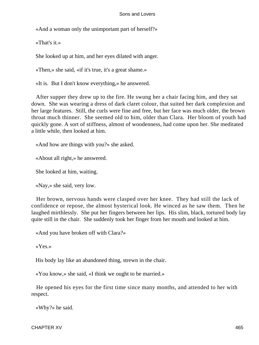«And a woman only the unimportant part of herself?»

«That's it.»

She looked up at him, and her eyes dilated with anger.

«Then,» she said, «if it's true, it's a great shame.»

«It is. But I don't know everything,» he answered.

 After supper they drew up to the fire. He swung her a chair facing him, and they sat down. She was wearing a dress of dark claret colour, that suited her dark complexion and her large features. Still, the curls were fine and free, but her face was much older, the brown throat much thinner. She seemed old to him, older than Clara. Her bloom of youth had quickly gone. A sort of stiffness, almost of woodenness, had come upon her. She meditated a little while, then looked at him.

«And how are things with you?» she asked.

«About all right,» he answered.

She looked at him, waiting.

«Nay,» she said, very low.

 Her brown, nervous hands were clasped over her knee. They had still the lack of confidence or repose, the almost hysterical look. He winced as he saw them. Then he laughed mirthlessly. She put her fingers between her lips. His slim, black, tortured body lay quite still in the chair. She suddenly took her finger from her mouth and looked at him.

«And you have broken off with Clara?»

«Yes.»

His body lay like an abandoned thing, strewn in the chair.

«You know,» she said, «I think we ought to be married.»

 He opened his eyes for the first time since many months, and attended to her with respect.

«Why?» he said.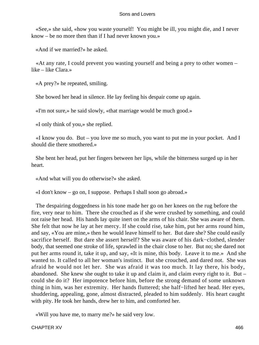«See,» she said, «how you waste yourself! You might be ill, you might die, and I never know – be no more then than if I had never known you.»

«And if we married?» he asked.

 «At any rate, I could prevent you wasting yourself and being a prey to other women – like – like Clara.»

«A prey?» he repeated, smiling.

She bowed her head in silence. He lay feeling his despair come up again.

«I'm not sure,» he said slowly, «that marriage would be much good.»

«I only think of you,» she replied.

 «I know you do. But – you love me so much, you want to put me in your pocket. And I should die there smothered.»

 She bent her head, put her fingers between her lips, while the bitterness surged up in her heart.

«And what will you do otherwise?» she asked.

«I don't know – go on, I suppose. Perhaps I shall soon go abroad.»

 The despairing doggedness in his tone made her go on her knees on the rug before the fire, very near to him. There she crouched as if she were crushed by something, and could not raise her head. His hands lay quite inert on the arms of his chair. She was aware of them. She felt that now he lay at her mercy. If she could rise, take him, put her arms round him, and say, «You are mine,» then he would leave himself to her. But dare she? She could easily sacrifice herself. But dare she assert herself? She was aware of his dark−clothed, slender body, that seemed one stroke of life, sprawled in the chair close to her. But no; she dared not put her arms round it, take it up, and say, «It is mine, this body. Leave it to me.» And she wanted to. It called to all her woman's instinct. But she crouched, and dared not. She was afraid he would not let her. She was afraid it was too much. It lay there, his body, abandoned. She knew she ought to take it up and claim it, and claim every right to it. But – could she do it? Her impotence before him, before the strong demand of some unknown thing in him, was her extremity. Her hands fluttered; she half−lifted her head. Her eyes, shuddering, appealing, gone, almost distracted, pleaded to him suddenly. His heart caught with pity. He took her hands, drew her to him, and comforted her.

«Will you have me, to marry me?» he said very low.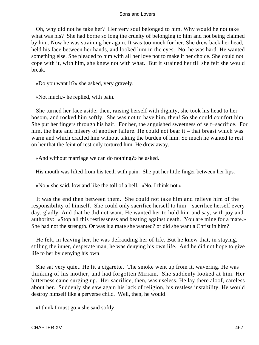Oh, why did not he take her? Her very soul belonged to him. Why would he not take what was his? She had borne so long the cruelty of belonging to him and not being claimed by him. Now he was straining her again. It was too much for her. She drew back her head, held his face between her hands, and looked him in the eyes. No, he was hard. He wanted something else. She pleaded to him with all her love not to make it her choice. She could not cope with it, with him, she knew not with what. But it strained her till she felt she would break.

«Do you want it?» she asked, very gravely.

«Not much,» he replied, with pain.

 She turned her face aside; then, raising herself with dignity, she took his head to her bosom, and rocked him softly. She was not to have him, then! So she could comfort him. She put her fingers through his hair. For her, the anguished sweetness of self−sacrifice. For him, the hate and misery of another failure. He could not bear it – that breast which was warm and which cradled him without taking the burden of him. So much he wanted to rest on her that the feint of rest only tortured him. He drew away.

«And without marriage we can do nothing?» he asked.

His mouth was lifted from his teeth with pain. She put her little finger between her lips.

«No,» she said, low and like the toll of a bell. «No, I think not.»

 It was the end then between them. She could not take him and relieve him of the responsibility of himself. She could only sacrifice herself to him – sacrifice herself every day, gladly. And that he did not want. He wanted her to hold him and say, with joy and authority: «Stop all this restlessness and beating against death. You are mine for a mate.» She had not the strength. Or was it a mate she wanted? or did she want a Christ in him?

 He felt, in leaving her, he was defrauding her of life. But he knew that, in staying, stilling the inner, desperate man, he was denying his own life. And he did not hope to give life to her by denying his own.

 She sat very quiet. He lit a cigarette. The smoke went up from it, wavering. He was thinking of his mother, and had forgotten Miriam. She suddenly looked at him. Her bitterness came surging up. Her sacrifice, then, was useless. He lay there aloof, careless about her. Suddenly she saw again his lack of religion, his restless instability. He would destroy himself like a perverse child. Well, then, he would!

«I think I must go,» she said softly.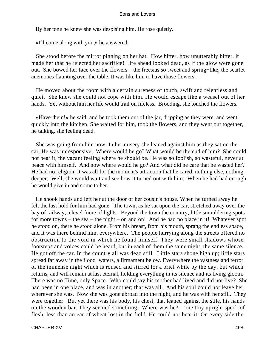By her tone he knew she was despising him. He rose quietly.

«I'll come along with you,» he answered.

 She stood before the mirror pinning on her hat. How bitter, how unutterably bitter, it made her that he rejected her sacrifice! Life ahead looked dead, as if the glow were gone out. She bowed her face over the flowers – the freesias so sweet and spring−like, the scarlet anemones flaunting over the table. It was like him to have those flowers.

 He moved about the room with a certain sureness of touch, swift and relentless and quiet. She knew she could not cope with him. He would escape like a weasel out of her hands. Yet without him her life would trail on lifeless. Brooding, she touched the flowers.

 «Have them!» he said; and he took them out of the jar, dripping as they were, and went quickly into the kitchen. She waited for him, took the flowers, and they went out together, he talking, she feeling dead.

 She was going from him now. In her misery she leaned against him as they sat on the car. He was unresponsive. Where would he go? What would be the end of him? She could not bear it, the vacant feeling where he should be. He was so foolish, so wasteful, never at peace with himself. And now where would he go? And what did he care that he wasted her? He had no religion; it was all for the moment's attraction that he cared, nothing else, nothing deeper. Well, she would wait and see how it turned out with him. When he had had enough he would give in and come to her.

 He shook hands and left her at the door of her cousin's house. When he turned away he felt the last hold for him had gone. The town, as he sat upon the car, stretched away over the bay of railway, a level fume of lights. Beyond the town the country, little smouldering spots for more towns – the sea – the night – on and on! And he had no place in it! Whatever spot he stood on, there he stood alone. From his breast, from his mouth, sprang the endless space, and it was there behind him, everywhere. The people hurrying along the streets offered no obstruction to the void in which he found himself. They were small shadows whose footsteps and voices could be heard, but in each of them the same night, the same silence. He got off the car. In the country all was dead still. Little stars shone high up; little stars spread far away in the flood−waters, a firmament below. Everywhere the vastness and terror of the immense night which is roused and stirred for a brief while by the day, but which returns, and will remain at last eternal, holding everything in its silence and its living gloom. There was no Time, only Space. Who could say his mother had lived and did not live? She had been in one place, and was in another; that was all. And his soul could not leave her, wherever she was. Now she was gone abroad into the night, and he was with her still. They were together. But yet there was his body, his chest, that leaned against the stile, his hands on the wooden bar. They seemed something. Where was he? – one tiny upright speck of flesh, less than an ear of wheat lost in the field. He could not bear it. On every side the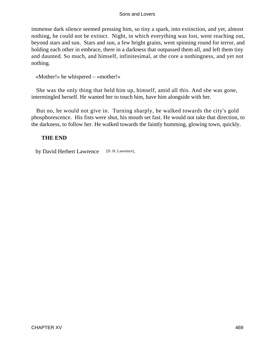immense dark silence seemed pressing him, so tiny a spark, into extinction, and yet, almost nothing, he could not be extinct. Night, in which everything was lost, went reaching out, beyond stars and sun. Stars and sun, a few bright grains, went spinning round for terror, and holding each other in embrace, there in a darkness that outpassed them all, and left them tiny and daunted. So much, and himself, infinitesimal, at the core a nothingness, and yet not nothing.

«Mother!» he whispered – «mother!»

 She was the only thing that held him up, himself, amid all this. And she was gone, intermingled herself. He wanted her to touch him, have him alongside with her.

 But no, he would not give in. Turning sharply, he walked towards the city's gold phosphorescence. His fists were shut, his mouth set fast. He would not take that direction, to the darkness, to follow her. He walked towards the faintly humming, glowing town, quickly.

## **THE END**

by David Herbert Lawrence [D. H. Lawrence].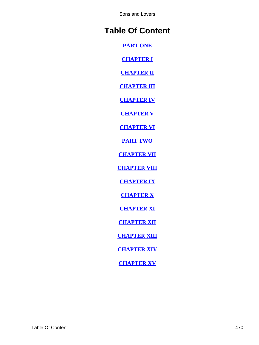# **Table Of Content**

**[PART ONE](#page-3-0)**

**[CHAPTER I](#page-4-0)**

**[CHAPTER II](#page-29-0)**

**[CHAPTER III](#page-49-0)**

**[CHAPTER IV](#page-62-0)**

**[CHAPTER V](#page-90-0)**

**[CHAPTER VI](#page-121-0)**

**[PART TWO](#page-154-0)**

**[CHAPTER VII](#page-155-0)**

**[CHAPTER VIII](#page-193-0)**

**[CHAPTER IX](#page-234-0)**

**[CHAPTER X](#page-274-0)**

**[CHAPTER XI](#page-304-0)**

**[CHAPTER XII](#page-330-0)**

**[CHAPTER XIII](#page-377-0)**

**[CHAPTER XIV](#page-421-0)**

**[CHAPTER XV](#page-458-0)**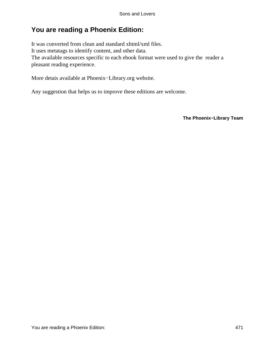## **You are reading a Phoenix Edition:**

It was converted from clean and standard xhtml/xml files. It uses metatags to identify content, and other data. The available resources specific to each ebook format were used to give the reader a pleasant reading experience.

More detais available at Phoenix−Library.org website.

Any suggestion that helps us to improve these editions are welcome.

**The Phoenix−Library Team**